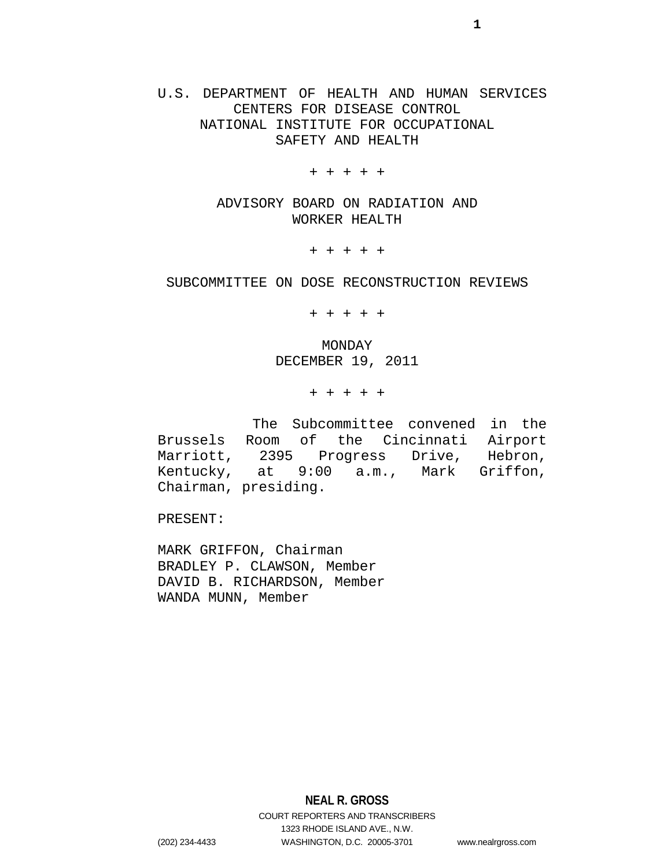# U.S. DEPARTMENT OF HEALTH AND HUMAN SERVICES CENTERS FOR DISEASE CONTROL NATIONAL INSTITUTE FOR OCCUPATIONAL SAFETY AND HEALTH

+ + + + +

ADVISORY BOARD ON RADIATION AND WORKER HEALTH

+ + + + +

## SUBCOMMITTEE ON DOSE RECONSTRUCTION REVIEWS

+ + + + +

MONDAY DECEMBER 19, 2011

+ + + + +

The Subcommittee convened in the Brussels Room of the Cincinnati Airport Marriott, 2395 Progress Drive, Hebron, Kentucky, at 9:00 a.m., Mark Griffon, Chairman, presiding.

PRESENT:

MARK GRIFFON, Chairman BRADLEY P. CLAWSON, Member DAVID B. RICHARDSON, Member WANDA MUNN, Member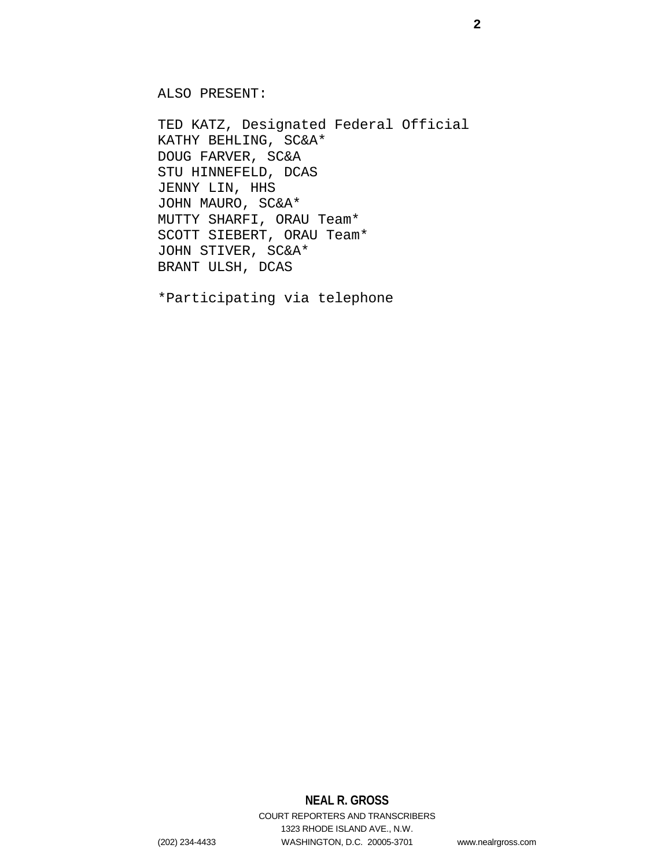ALSO PRESENT:

TED KATZ, Designated Federal Official KATHY BEHLING, SC&A\* DOUG FARVER, SC&A STU HINNEFELD, DCAS JENNY LIN, HHS JOHN MAURO, SC&A\* MUTTY SHARFI, ORAU Team\* SCOTT SIEBERT, ORAU Team\* JOHN STIVER, SC&A\* BRANT ULSH, DCAS

\*Participating via telephone

# **NEAL R. GROSS**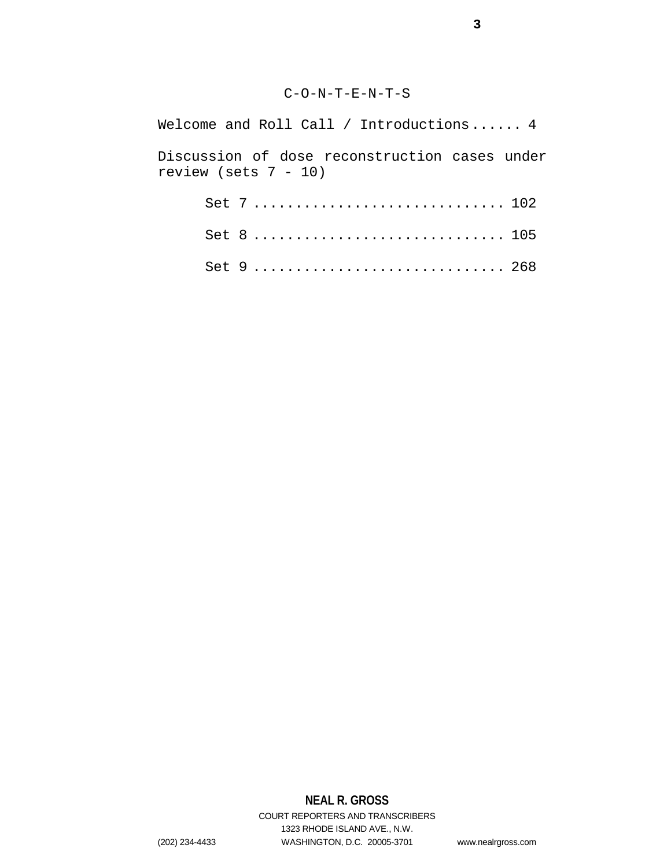# C-O-N-T-E-N-T-S

| Welcome and Roll Call / Introductions $4$                             |
|-----------------------------------------------------------------------|
| Discussion of dose reconstruction cases under<br>review (sets 7 - 10) |
| Set $7102$                                                            |
| Set 8  105                                                            |
| Set 9  268                                                            |

# **NEAL R. GROSS**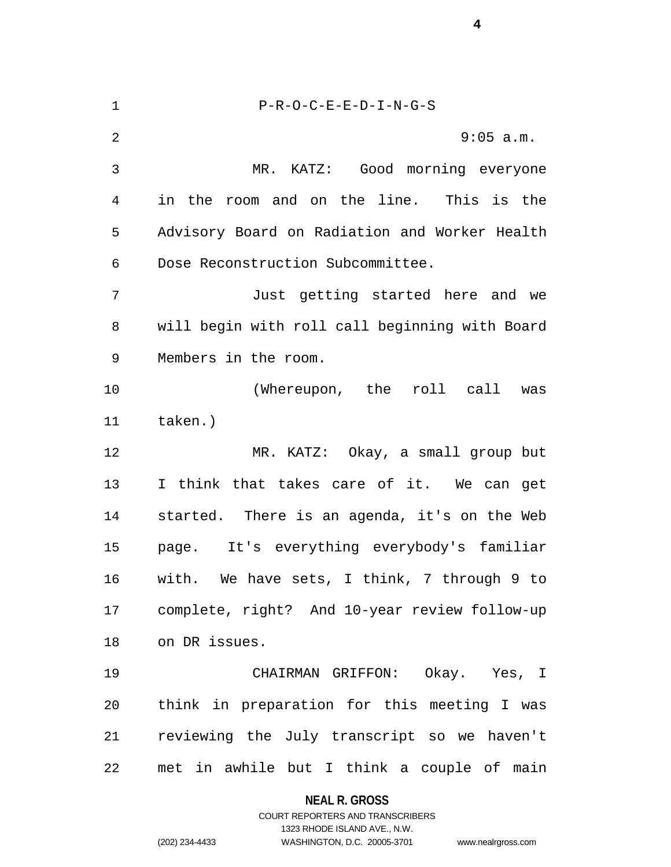| $\mathbf 1$    | $P-R-O-C-E-E-D-I-N-G-S$                        |
|----------------|------------------------------------------------|
| $\overline{2}$ | 9:05 a.m.                                      |
| 3              | MR. KATZ: Good morning everyone                |
| 4              | in the room and on the line. This is the       |
| 5              | Advisory Board on Radiation and Worker Health  |
| 6              | Dose Reconstruction Subcommittee.              |
| 7              | Just getting started here and we               |
| 8              | will begin with roll call beginning with Board |
| 9              | Members in the room.                           |
| 10             | (Whereupon, the roll call was                  |
| 11             | taken.)                                        |
| 12             | MR. KATZ: Okay, a small group but              |
| 13             | I think that takes care of it. We can get      |
| 14             | started. There is an agenda, it's on the Web   |
| 15             | page. It's everything everybody's familiar     |
| 16             | with. We have sets, I think, 7 through 9 to    |
| 17             | complete, right? And 10-year review follow-up  |
| 18             | on DR issues.                                  |
| 19             | CHAIRMAN GRIFFON: Okay. Yes, I                 |
| 20             | think in preparation for this meeting I was    |
| 21             | reviewing the July transcript so we haven't    |
| 22             | met in awhile but I think a couple of main     |

**NEAL R. GROSS**

# COURT REPORTERS AND TRANSCRIBERS 1323 RHODE ISLAND AVE., N.W. (202) 234-4433 WASHINGTON, D.C. 20005-3701 www.nealrgross.com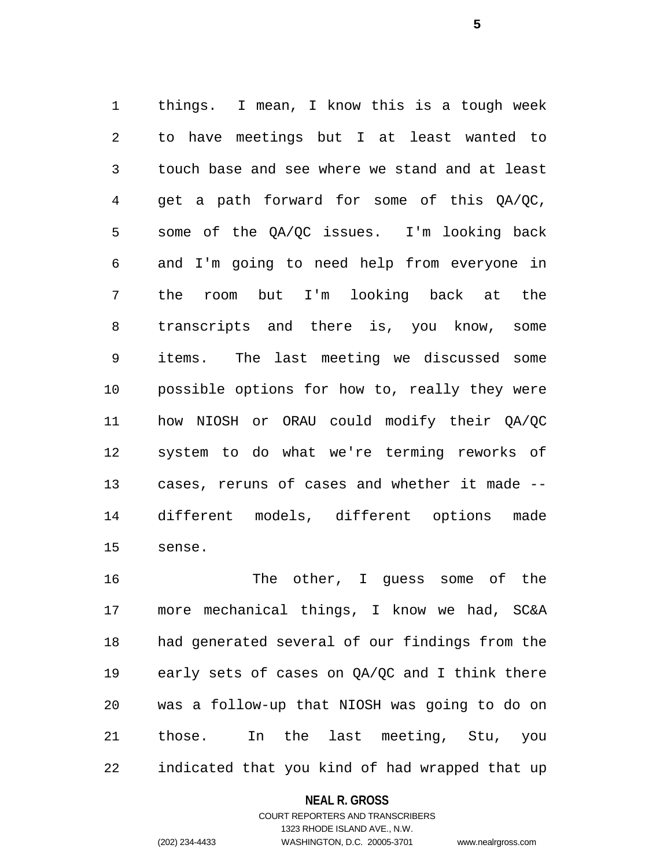things. I mean, I know this is a tough week to have meetings but I at least wanted to touch base and see where we stand and at least get a path forward for some of this QA/QC, some of the QA/QC issues. I'm looking back and I'm going to need help from everyone in the room but I'm looking back at the transcripts and there is, you know, some items. The last meeting we discussed some possible options for how to, really they were how NIOSH or ORAU could modify their QA/QC system to do what we're terming reworks of cases, reruns of cases and whether it made -- different models, different options made sense.

 The other, I guess some of the more mechanical things, I know we had, SC&A had generated several of our findings from the early sets of cases on QA/QC and I think there was a follow-up that NIOSH was going to do on those. In the last meeting, Stu, you indicated that you kind of had wrapped that up

### **NEAL R. GROSS**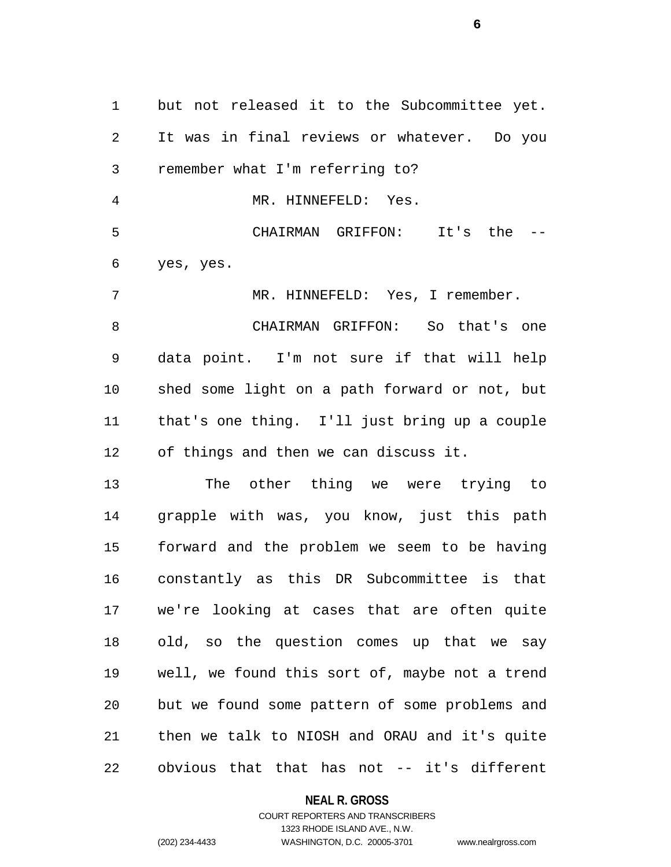but not released it to the Subcommittee yet. It was in final reviews or whatever. Do you remember what I'm referring to? MR. HINNEFELD: Yes. CHAIRMAN GRIFFON: It's the -- yes, yes. MR. HINNEFELD: Yes, I remember. CHAIRMAN GRIFFON: So that's one data point. I'm not sure if that will help shed some light on a path forward or not, but that's one thing. I'll just bring up a couple of things and then we can discuss it. The other thing we were trying to grapple with was, you know, just this path forward and the problem we seem to be having

 constantly as this DR Subcommittee is that we're looking at cases that are often quite old, so the question comes up that we say well, we found this sort of, maybe not a trend but we found some pattern of some problems and then we talk to NIOSH and ORAU and it's quite obvious that that has not -- it's different

### **NEAL R. GROSS**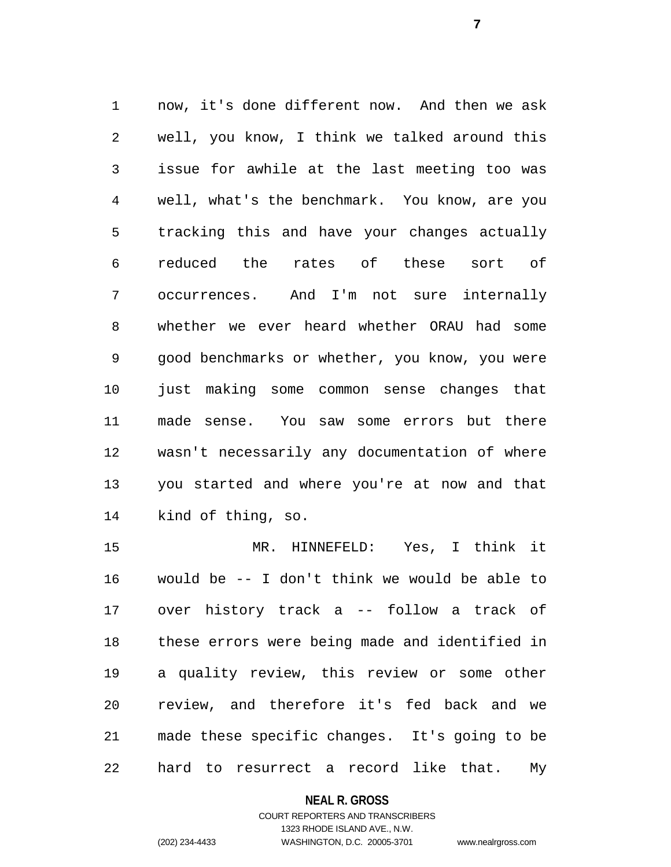now, it's done different now. And then we ask well, you know, I think we talked around this issue for awhile at the last meeting too was well, what's the benchmark. You know, are you tracking this and have your changes actually reduced the rates of these sort of occurrences. And I'm not sure internally whether we ever heard whether ORAU had some good benchmarks or whether, you know, you were just making some common sense changes that made sense. You saw some errors but there wasn't necessarily any documentation of where you started and where you're at now and that kind of thing, so.

 MR. HINNEFELD: Yes, I think it would be -- I don't think we would be able to over history track a -- follow a track of these errors were being made and identified in a quality review, this review or some other review, and therefore it's fed back and we made these specific changes. It's going to be hard to resurrect a record like that. My

#### **NEAL R. GROSS**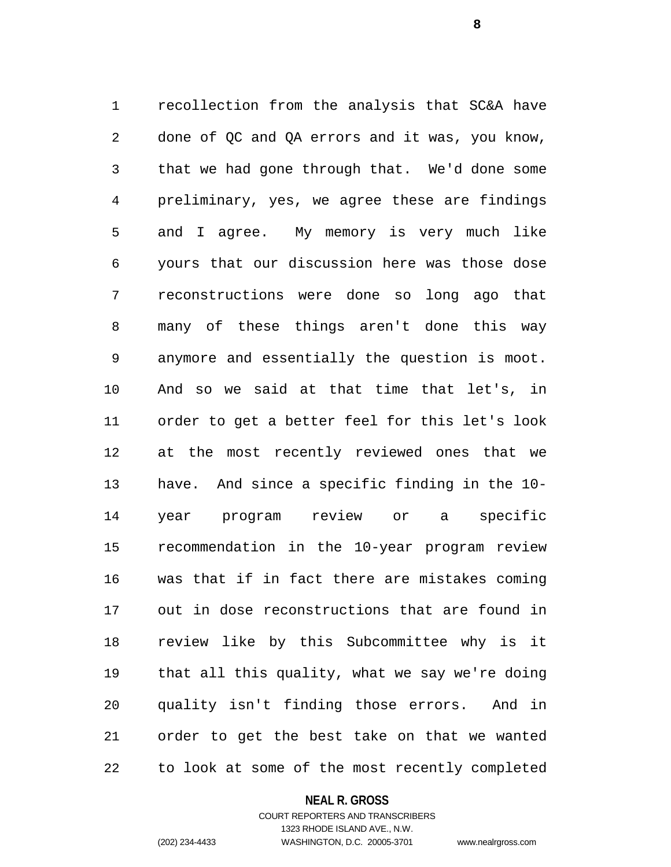recollection from the analysis that SC&A have done of QC and QA errors and it was, you know, that we had gone through that. We'd done some preliminary, yes, we agree these are findings and I agree. My memory is very much like yours that our discussion here was those dose reconstructions were done so long ago that many of these things aren't done this way anymore and essentially the question is moot. And so we said at that time that let's, in order to get a better feel for this let's look at the most recently reviewed ones that we have. And since a specific finding in the 10- year program review or a specific recommendation in the 10-year program review was that if in fact there are mistakes coming out in dose reconstructions that are found in review like by this Subcommittee why is it that all this quality, what we say we're doing quality isn't finding those errors. And in order to get the best take on that we wanted to look at some of the most recently completed

### **NEAL R. GROSS**

### COURT REPORTERS AND TRANSCRIBERS 1323 RHODE ISLAND AVE., N.W. (202) 234-4433 WASHINGTON, D.C. 20005-3701 www.nealrgross.com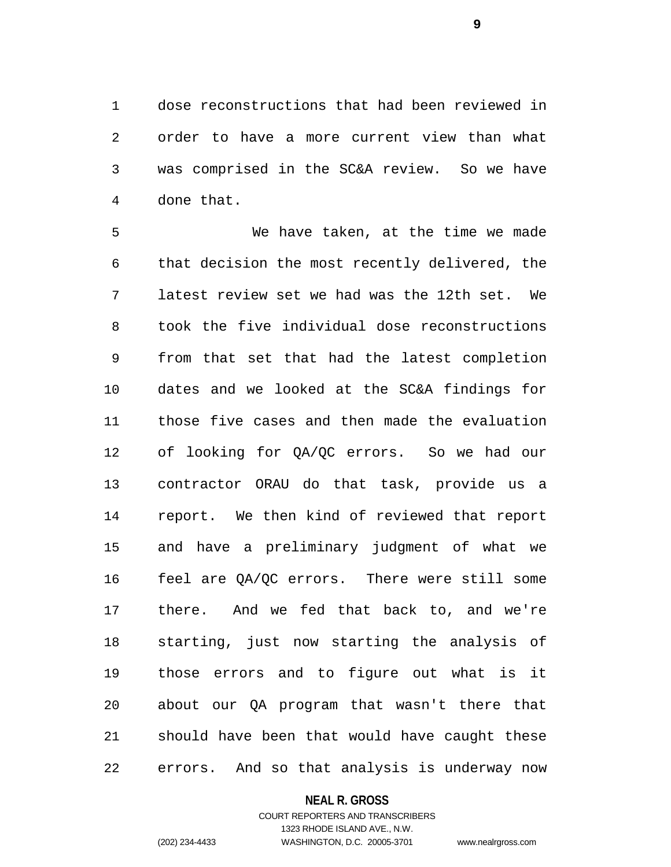dose reconstructions that had been reviewed in order to have a more current view than what was comprised in the SC&A review. So we have done that.

 We have taken, at the time we made that decision the most recently delivered, the latest review set we had was the 12th set. We took the five individual dose reconstructions from that set that had the latest completion dates and we looked at the SC&A findings for those five cases and then made the evaluation of looking for QA/QC errors. So we had our contractor ORAU do that task, provide us a report. We then kind of reviewed that report and have a preliminary judgment of what we feel are QA/QC errors. There were still some there. And we fed that back to, and we're starting, just now starting the analysis of those errors and to figure out what is it about our QA program that wasn't there that should have been that would have caught these errors. And so that analysis is underway now

### **NEAL R. GROSS**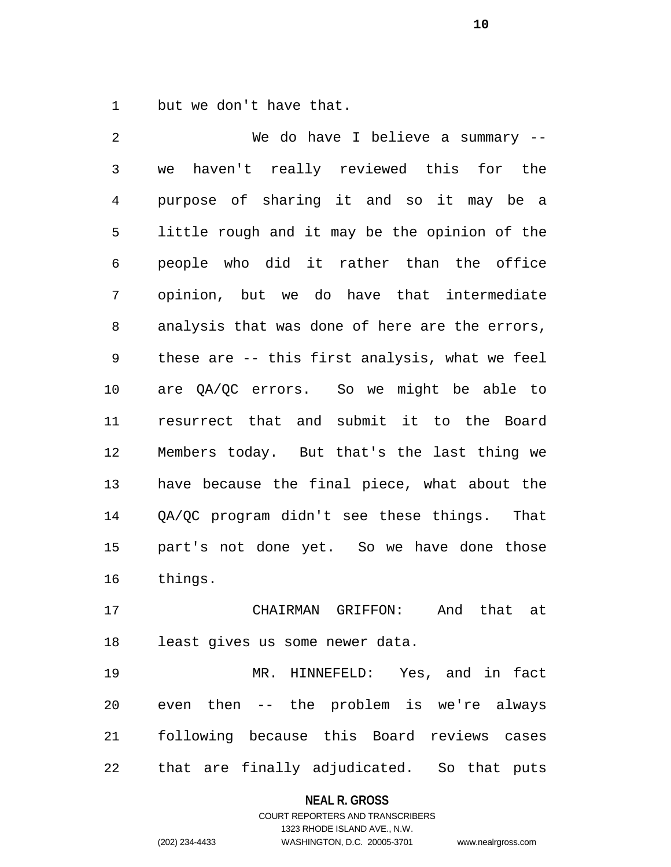but we don't have that.

 We do have I believe a summary -- we haven't really reviewed this for the purpose of sharing it and so it may be a little rough and it may be the opinion of the people who did it rather than the office opinion, but we do have that intermediate analysis that was done of here are the errors, these are -- this first analysis, what we feel are QA/QC errors. So we might be able to resurrect that and submit it to the Board Members today. But that's the last thing we have because the final piece, what about the QA/QC program didn't see these things. That part's not done yet. So we have done those things.

 CHAIRMAN GRIFFON: And that at least gives us some newer data.

 MR. HINNEFELD: Yes, and in fact even then -- the problem is we're always following because this Board reviews cases that are finally adjudicated. So that puts

### **NEAL R. GROSS**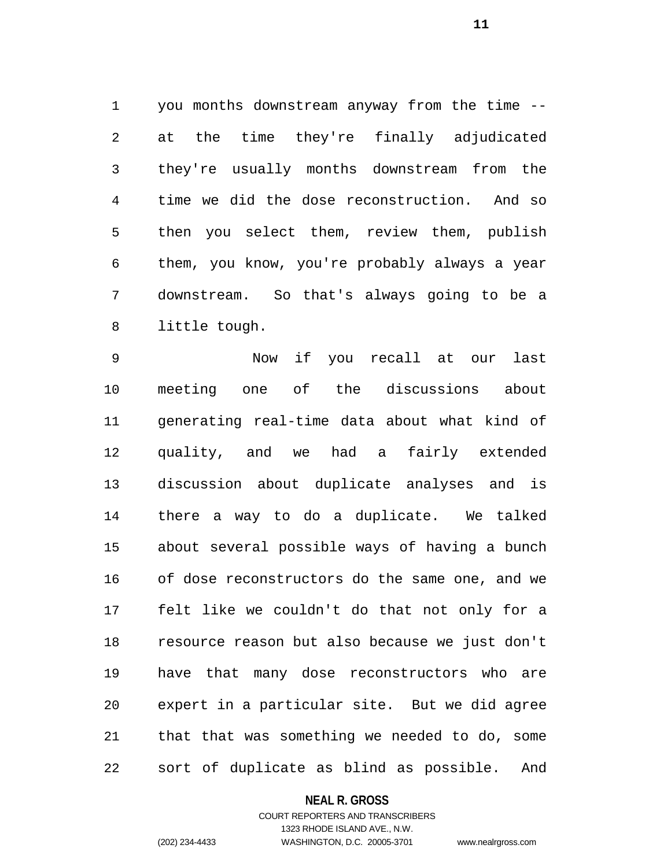you months downstream anyway from the time -- at the time they're finally adjudicated they're usually months downstream from the time we did the dose reconstruction. And so then you select them, review them, publish them, you know, you're probably always a year downstream. So that's always going to be a little tough.

 Now if you recall at our last meeting one of the discussions about generating real-time data about what kind of quality, and we had a fairly extended discussion about duplicate analyses and is there a way to do a duplicate. We talked about several possible ways of having a bunch of dose reconstructors do the same one, and we felt like we couldn't do that not only for a resource reason but also because we just don't have that many dose reconstructors who are expert in a particular site. But we did agree that that was something we needed to do, some sort of duplicate as blind as possible. And

### **NEAL R. GROSS**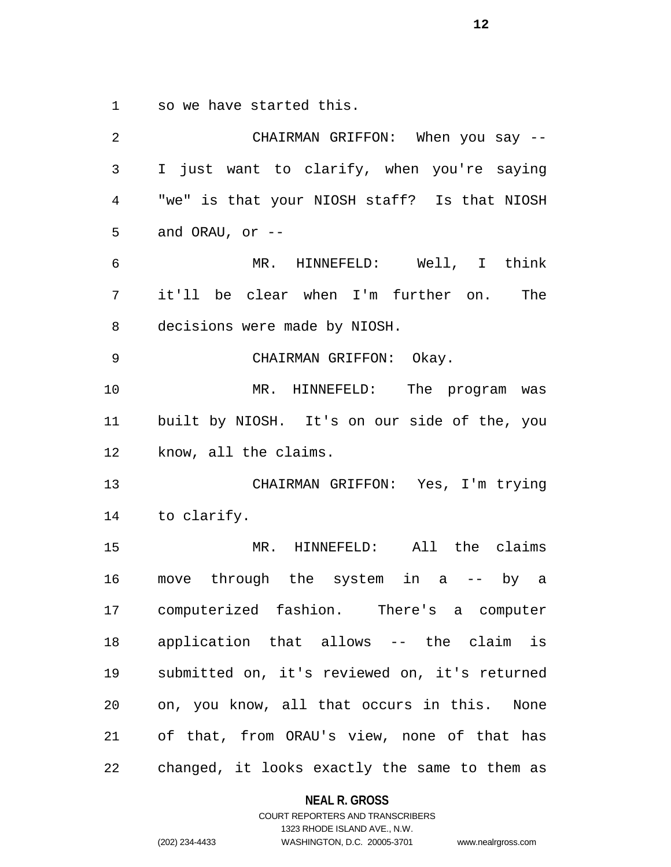so we have started this.

| 2              | CHAIRMAN GRIFFON: When you say --             |
|----------------|-----------------------------------------------|
| $\mathfrak{Z}$ | I just want to clarify, when you're saying    |
| 4              | "we" is that your NIOSH staff? Is that NIOSH  |
| 5              | and ORAU, or $-$                              |
| 6              | MR. HINNEFELD: Well, I think                  |
| 7              | it'll be clear when I'm further on. The       |
| 8              | decisions were made by NIOSH.                 |
| 9              | CHAIRMAN GRIFFON: Okay.                       |
| 10             | MR. HINNEFELD: The program was                |
| 11             | built by NIOSH. It's on our side of the, you  |
| 12             | know, all the claims.                         |
| 13             | CHAIRMAN GRIFFON: Yes, I'm trying             |
|                | 14 to clarify.                                |
| 15             | MR. HINNEFELD: All the claims                 |
| 16             | move through the system in a -- by a          |
|                | 17 computerized fashion. There's a computer   |
| 18             | application that allows -- the claim is       |
| 19             | submitted on, it's reviewed on, it's returned |
| 20             | on, you know, all that occurs in this. None   |
| 21             | of that, from ORAU's view, none of that has   |
| 22             | changed, it looks exactly the same to them as |

**NEAL R. GROSS** COURT REPORTERS AND TRANSCRIBERS

1323 RHODE ISLAND AVE., N.W. (202) 234-4433 WASHINGTON, D.C. 20005-3701 www.nealrgross.com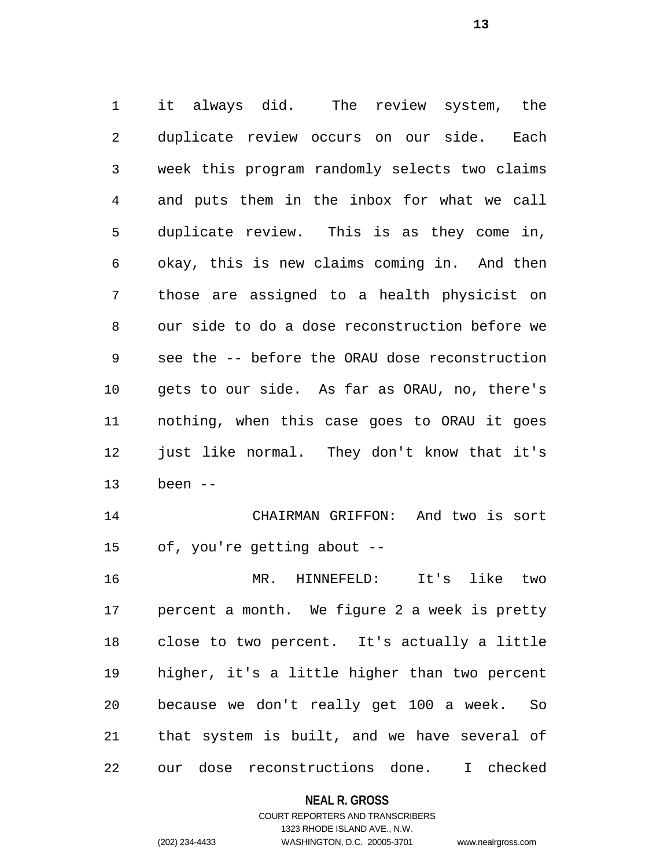it always did. The review system, the duplicate review occurs on our side. Each week this program randomly selects two claims and puts them in the inbox for what we call duplicate review. This is as they come in, okay, this is new claims coming in. And then those are assigned to a health physicist on our side to do a dose reconstruction before we see the -- before the ORAU dose reconstruction gets to our side. As far as ORAU, no, there's nothing, when this case goes to ORAU it goes just like normal. They don't know that it's been --

 CHAIRMAN GRIFFON: And two is sort of, you're getting about --

 MR. HINNEFELD: It's like two percent a month. We figure 2 a week is pretty close to two percent. It's actually a little higher, it's a little higher than two percent because we don't really get 100 a week. So that system is built, and we have several of our dose reconstructions done. I checked

### **NEAL R. GROSS**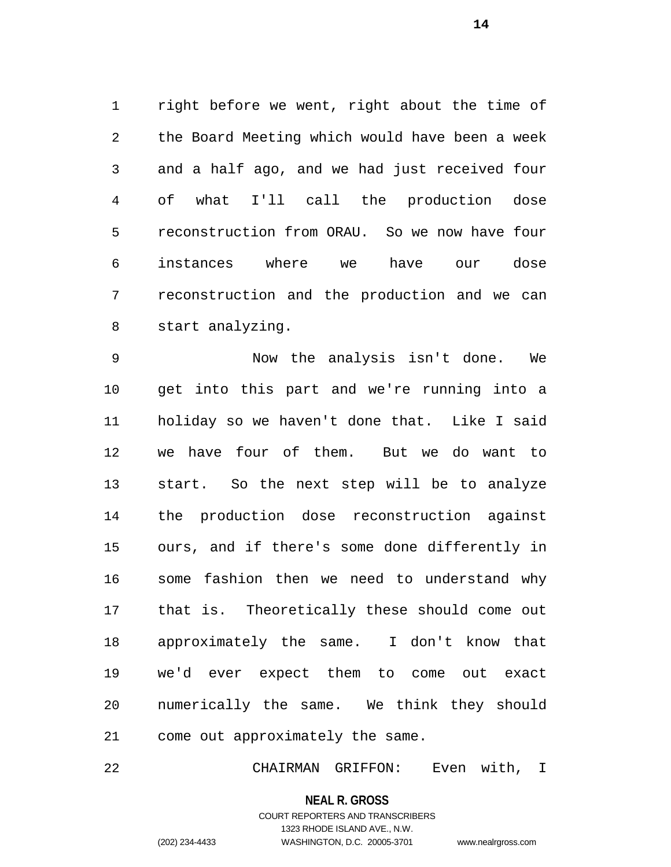right before we went, right about the time of the Board Meeting which would have been a week and a half ago, and we had just received four of what I'll call the production dose reconstruction from ORAU. So we now have four instances where we have our dose reconstruction and the production and we can start analyzing.

 Now the analysis isn't done. We get into this part and we're running into a holiday so we haven't done that. Like I said we have four of them. But we do want to start. So the next step will be to analyze the production dose reconstruction against ours, and if there's some done differently in some fashion then we need to understand why that is. Theoretically these should come out approximately the same. I don't know that we'd ever expect them to come out exact numerically the same. We think they should come out approximately the same.

CHAIRMAN GRIFFON: Even with, I

**NEAL R. GROSS**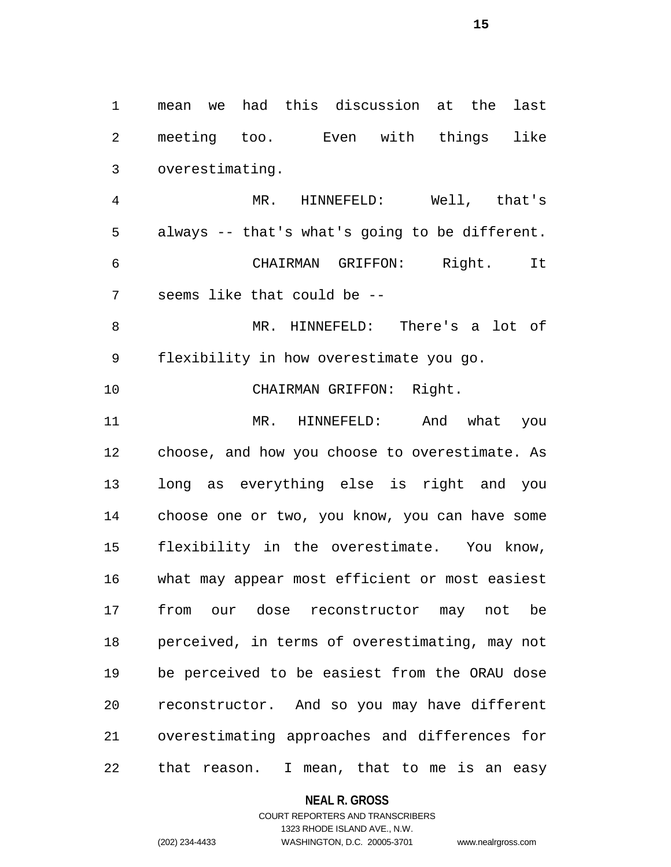mean we had this discussion at the last meeting too. Even with things like overestimating. MR. HINNEFELD: Well, that's always -- that's what's going to be different. CHAIRMAN GRIFFON: Right. It seems like that could be -- MR. HINNEFELD: There's a lot of flexibility in how overestimate you go. CHAIRMAN GRIFFON: Right. MR. HINNEFELD: And what you choose, and how you choose to overestimate. As long as everything else is right and you choose one or two, you know, you can have some flexibility in the overestimate. You know, what may appear most efficient or most easiest from our dose reconstructor may not be perceived, in terms of overestimating, may not be perceived to be easiest from the ORAU dose reconstructor. And so you may have different overestimating approaches and differences for that reason. I mean, that to me is an easy

**NEAL R. GROSS**

COURT REPORTERS AND TRANSCRIBERS 1323 RHODE ISLAND AVE., N.W. (202) 234-4433 WASHINGTON, D.C. 20005-3701 www.nealrgross.com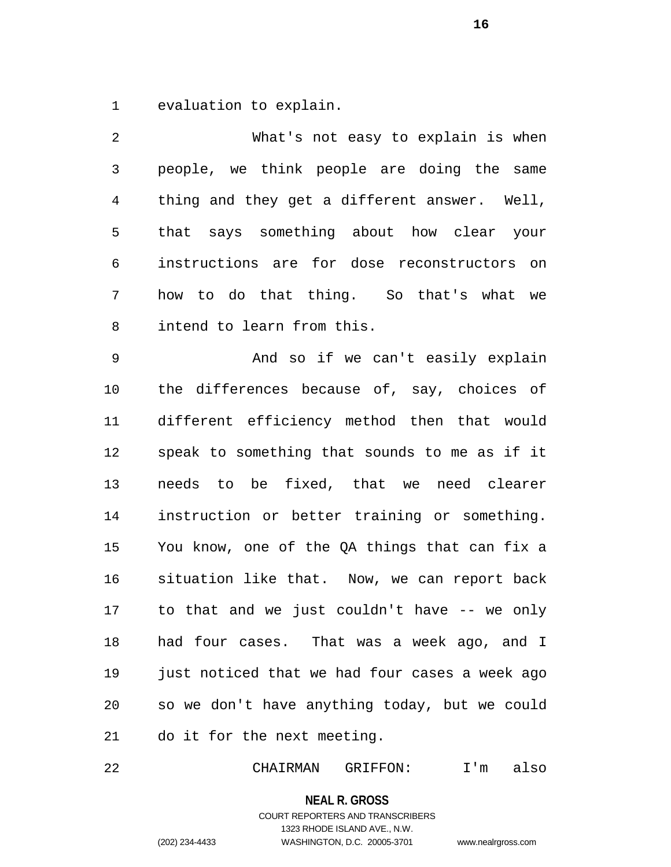evaluation to explain.

 What's not easy to explain is when people, we think people are doing the same thing and they get a different answer. Well, that says something about how clear your instructions are for dose reconstructors on how to do that thing. So that's what we intend to learn from this. And so if we can't easily explain the differences because of, say, choices of different efficiency method then that would speak to something that sounds to me as if it needs to be fixed, that we need clearer instruction or better training or something. You know, one of the QA things that can fix a situation like that. Now, we can report back to that and we just couldn't have -- we only had four cases. That was a week ago, and I just noticed that we had four cases a week ago so we don't have anything today, but we could do it for the next meeting.

CHAIRMAN GRIFFON: I'm also

**NEAL R. GROSS**

COURT REPORTERS AND TRANSCRIBERS 1323 RHODE ISLAND AVE., N.W. (202) 234-4433 WASHINGTON, D.C. 20005-3701 www.nealrgross.com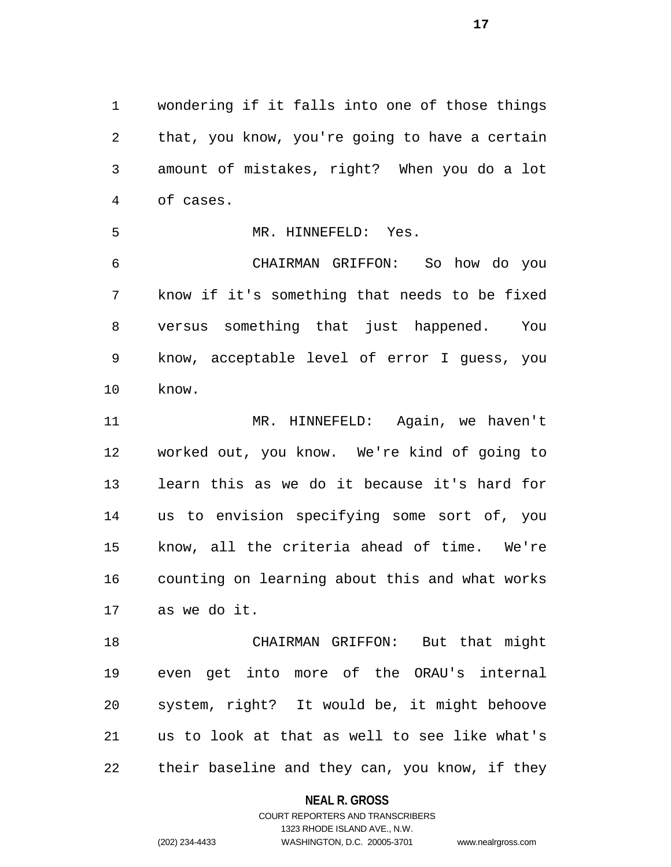wondering if it falls into one of those things that, you know, you're going to have a certain amount of mistakes, right? When you do a lot of cases.

MR. HINNEFELD: Yes.

 CHAIRMAN GRIFFON: So how do you know if it's something that needs to be fixed versus something that just happened. You know, acceptable level of error I guess, you know.

 MR. HINNEFELD: Again, we haven't worked out, you know. We're kind of going to learn this as we do it because it's hard for us to envision specifying some sort of, you know, all the criteria ahead of time. We're counting on learning about this and what works as we do it.

 CHAIRMAN GRIFFON: But that might even get into more of the ORAU's internal system, right? It would be, it might behoove us to look at that as well to see like what's their baseline and they can, you know, if they

**NEAL R. GROSS**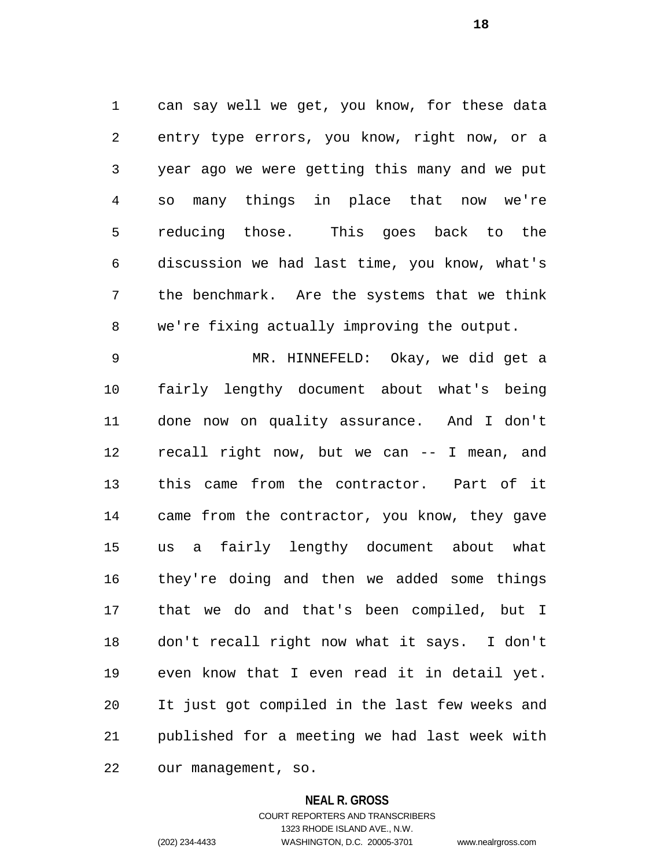can say well we get, you know, for these data entry type errors, you know, right now, or a year ago we were getting this many and we put so many things in place that now we're reducing those. This goes back to the discussion we had last time, you know, what's the benchmark. Are the systems that we think we're fixing actually improving the output.

 MR. HINNEFELD: Okay, we did get a fairly lengthy document about what's being done now on quality assurance. And I don't recall right now, but we can -- I mean, and this came from the contractor. Part of it came from the contractor, you know, they gave us a fairly lengthy document about what they're doing and then we added some things that we do and that's been compiled, but I don't recall right now what it says. I don't even know that I even read it in detail yet. It just got compiled in the last few weeks and published for a meeting we had last week with our management, so.

**NEAL R. GROSS**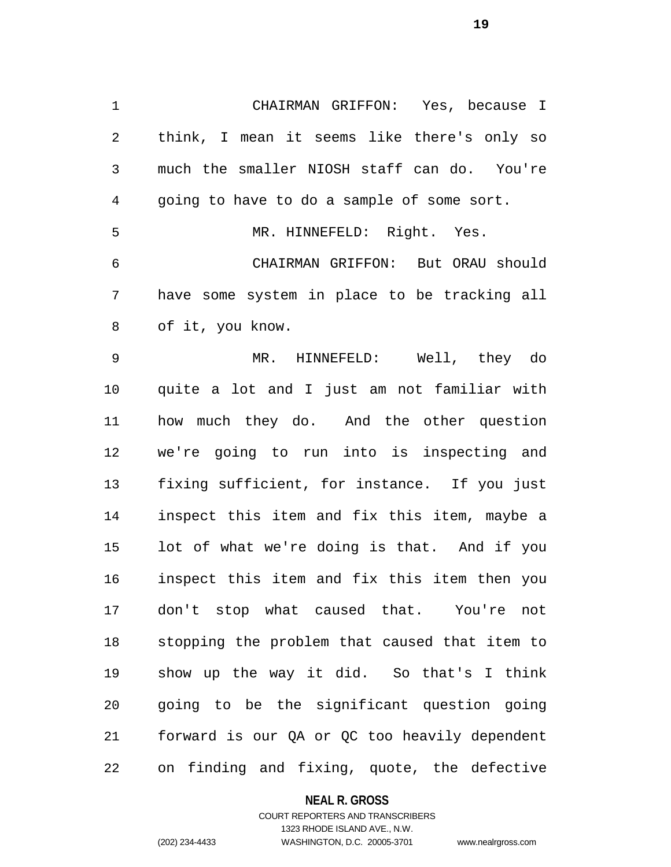CHAIRMAN GRIFFON: Yes, because I think, I mean it seems like there's only so much the smaller NIOSH staff can do. You're going to have to do a sample of some sort. MR. HINNEFELD: Right. Yes. CHAIRMAN GRIFFON: But ORAU should have some system in place to be tracking all of it, you know.

 MR. HINNEFELD: Well, they do quite a lot and I just am not familiar with how much they do. And the other question we're going to run into is inspecting and fixing sufficient, for instance. If you just inspect this item and fix this item, maybe a lot of what we're doing is that. And if you inspect this item and fix this item then you don't stop what caused that. You're not stopping the problem that caused that item to show up the way it did. So that's I think going to be the significant question going forward is our QA or QC too heavily dependent on finding and fixing, quote, the defective

**NEAL R. GROSS**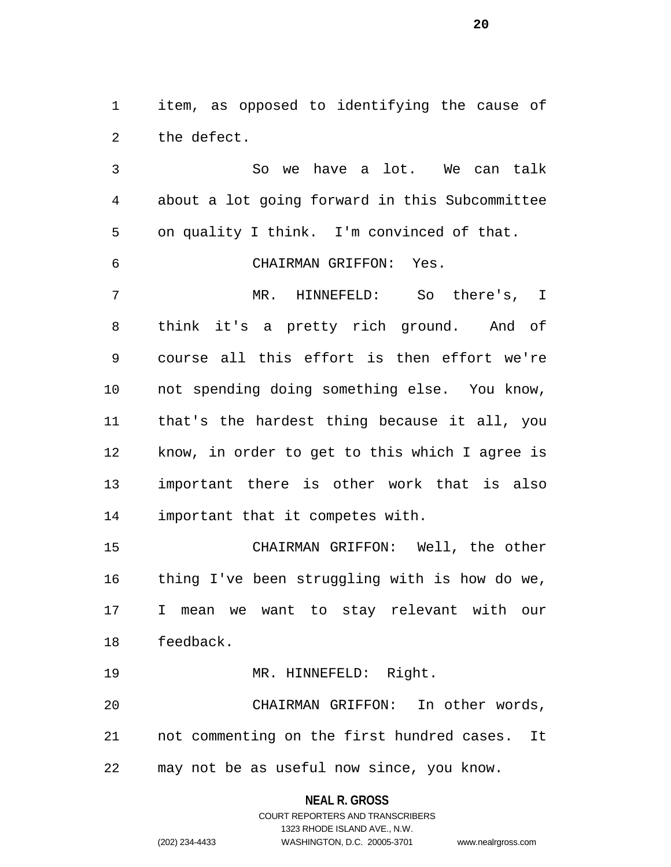item, as opposed to identifying the cause of the defect.

 So we have a lot. We can talk about a lot going forward in this Subcommittee on quality I think. I'm convinced of that. CHAIRMAN GRIFFON: Yes. MR. HINNEFELD: So there's, I think it's a pretty rich ground. And of course all this effort is then effort we're not spending doing something else. You know, that's the hardest thing because it all, you know, in order to get to this which I agree is important there is other work that is also important that it competes with. CHAIRMAN GRIFFON: Well, the other thing I've been struggling with is how do we, I mean we want to stay relevant with our feedback. 19 MR. HINNEFELD: Right.

 CHAIRMAN GRIFFON: In other words, not commenting on the first hundred cases. It may not be as useful now since, you know.

**NEAL R. GROSS**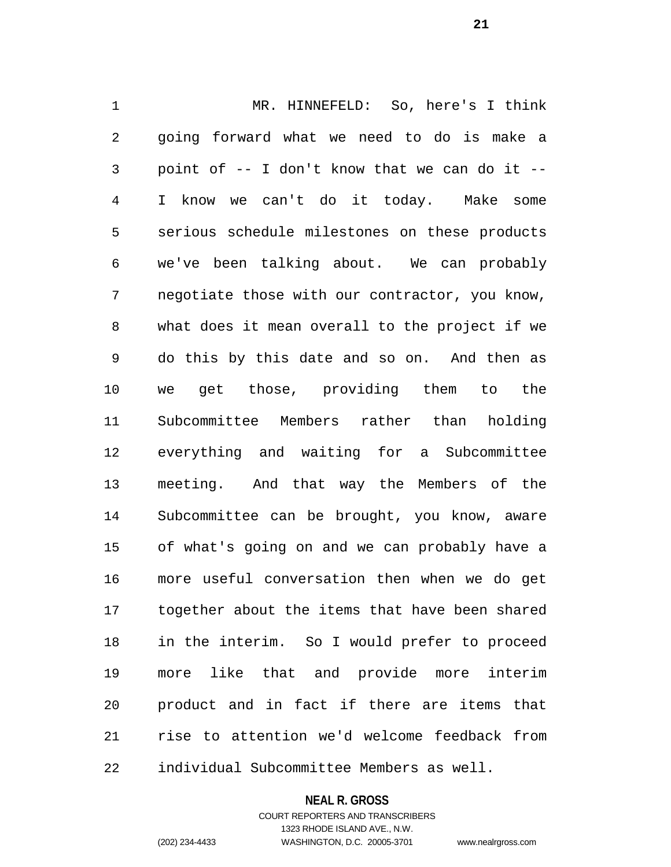MR. HINNEFELD: So, here's I think going forward what we need to do is make a point of -- I don't know that we can do it -- I know we can't do it today. Make some serious schedule milestones on these products we've been talking about. We can probably negotiate those with our contractor, you know, what does it mean overall to the project if we do this by this date and so on. And then as we get those, providing them to the Subcommittee Members rather than holding everything and waiting for a Subcommittee meeting. And that way the Members of the Subcommittee can be brought, you know, aware of what's going on and we can probably have a more useful conversation then when we do get together about the items that have been shared in the interim. So I would prefer to proceed more like that and provide more interim product and in fact if there are items that rise to attention we'd welcome feedback from individual Subcommittee Members as well.

#### **NEAL R. GROSS**

COURT REPORTERS AND TRANSCRIBERS 1323 RHODE ISLAND AVE., N.W. (202) 234-4433 WASHINGTON, D.C. 20005-3701 www.nealrgross.com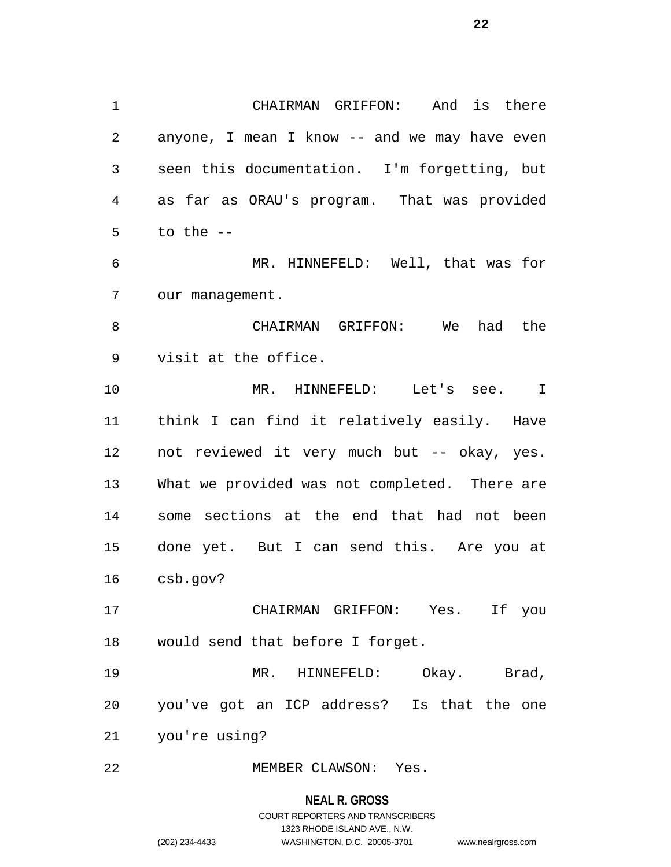CHAIRMAN GRIFFON: And is there anyone, I mean I know -- and we may have even seen this documentation. I'm forgetting, but as far as ORAU's program. That was provided to the  $-$  MR. HINNEFELD: Well, that was for our management. CHAIRMAN GRIFFON: We had the

visit at the office.

 MR. HINNEFELD: Let's see. I think I can find it relatively easily. Have not reviewed it very much but -- okay, yes. What we provided was not completed. There are some sections at the end that had not been done yet. But I can send this. Are you at csb.gov?

 CHAIRMAN GRIFFON: Yes. If you would send that before I forget.

 MR. HINNEFELD: Okay. Brad, you've got an ICP address? Is that the one you're using?

MEMBER CLAWSON: Yes.

# **NEAL R. GROSS**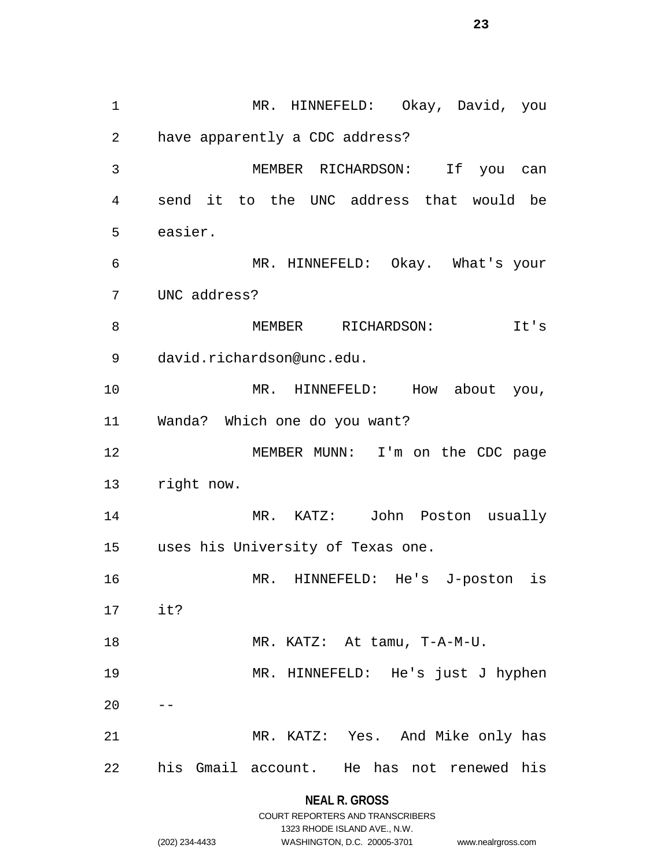MR. HINNEFELD: Okay, David, you have apparently a CDC address? MEMBER RICHARDSON: If you can send it to the UNC address that would be easier. MR. HINNEFELD: Okay. What's your UNC address? 8 MEMBER RICHARDSON: It's david.richardson@unc.edu. 10 MR. HINNEFELD: How about you, Wanda? Which one do you want? MEMBER MUNN: I'm on the CDC page right now. MR. KATZ: John Poston usually uses his University of Texas one. MR. HINNEFELD: He's J-poston is it? MR. KATZ: At tamu, T-A-M-U. MR. HINNEFELD: He's just J hyphen MR. KATZ: Yes. And Mike only has his Gmail account. He has not renewed his

> **NEAL R. GROSS** COURT REPORTERS AND TRANSCRIBERS

> > 1323 RHODE ISLAND AVE., N.W.

(202) 234-4433 WASHINGTON, D.C. 20005-3701 www.nealrgross.com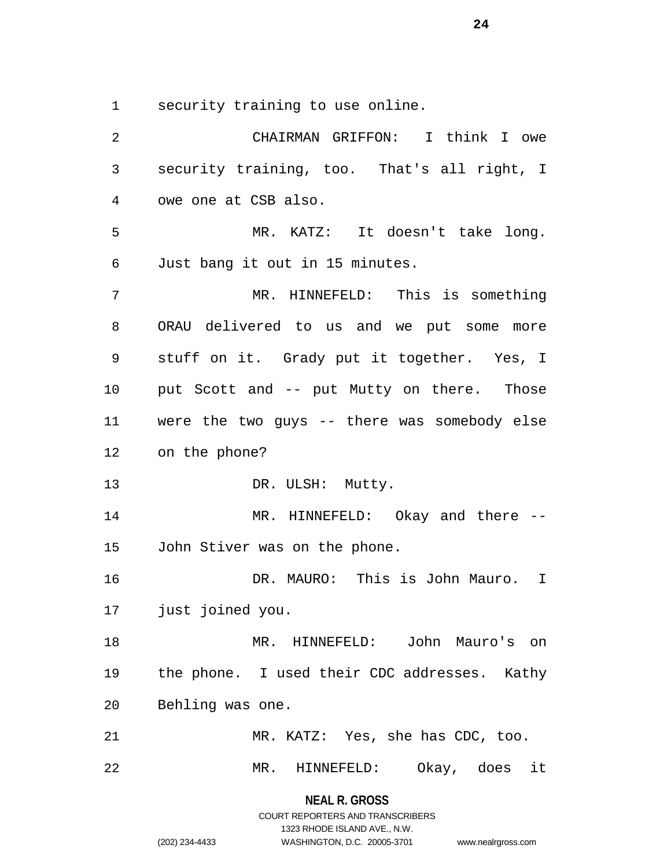security training to use online.

 CHAIRMAN GRIFFON: I think I owe security training, too. That's all right, I owe one at CSB also. MR. KATZ: It doesn't take long. Just bang it out in 15 minutes. MR. HINNEFELD: This is something ORAU delivered to us and we put some more stuff on it. Grady put it together. Yes, I put Scott and -- put Mutty on there. Those were the two guys -- there was somebody else on the phone? 13 DR. ULSH: Mutty. MR. HINNEFELD: Okay and there -- John Stiver was on the phone. DR. MAURO: This is John Mauro. I just joined you. MR. HINNEFELD: John Mauro's on the phone. I used their CDC addresses. Kathy Behling was one. MR. KATZ: Yes, she has CDC, too. MR. HINNEFELD: Okay, does it

# **NEAL R. GROSS** COURT REPORTERS AND TRANSCRIBERS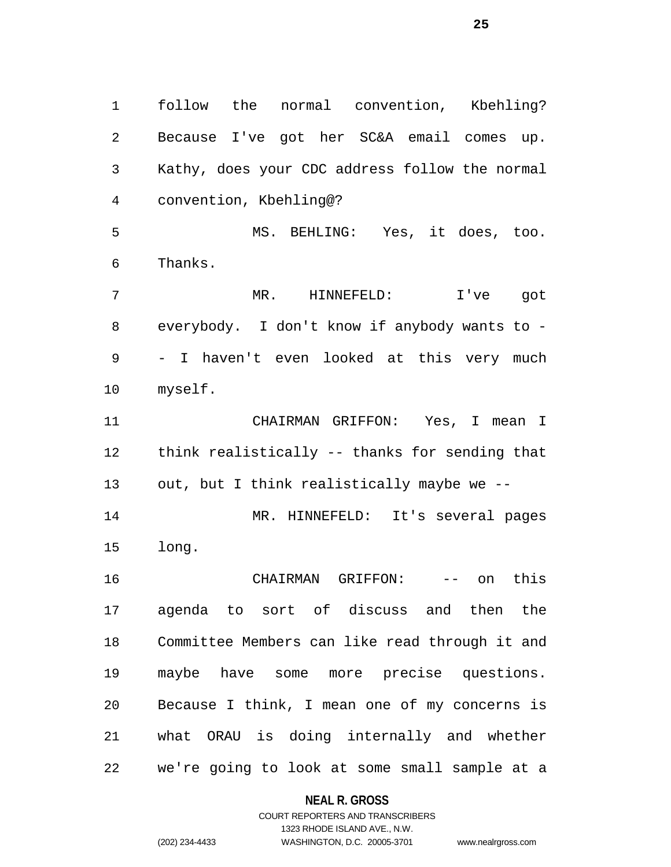follow the normal convention, Kbehling? Because I've got her SC&A email comes up. Kathy, does your CDC address follow the normal convention, Kbehling@? MS. BEHLING: Yes, it does, too. Thanks. MR. HINNEFELD: I've got everybody. I don't know if anybody wants to - - I haven't even looked at this very much myself. CHAIRMAN GRIFFON: Yes, I mean I think realistically -- thanks for sending that out, but I think realistically maybe we -- MR. HINNEFELD: It's several pages long. CHAIRMAN GRIFFON: -- on this agenda to sort of discuss and then the Committee Members can like read through it and maybe have some more precise questions. Because I think, I mean one of my concerns is what ORAU is doing internally and whether we're going to look at some small sample at a

## **NEAL R. GROSS**

### COURT REPORTERS AND TRANSCRIBERS 1323 RHODE ISLAND AVE., N.W. (202) 234-4433 WASHINGTON, D.C. 20005-3701 www.nealrgross.com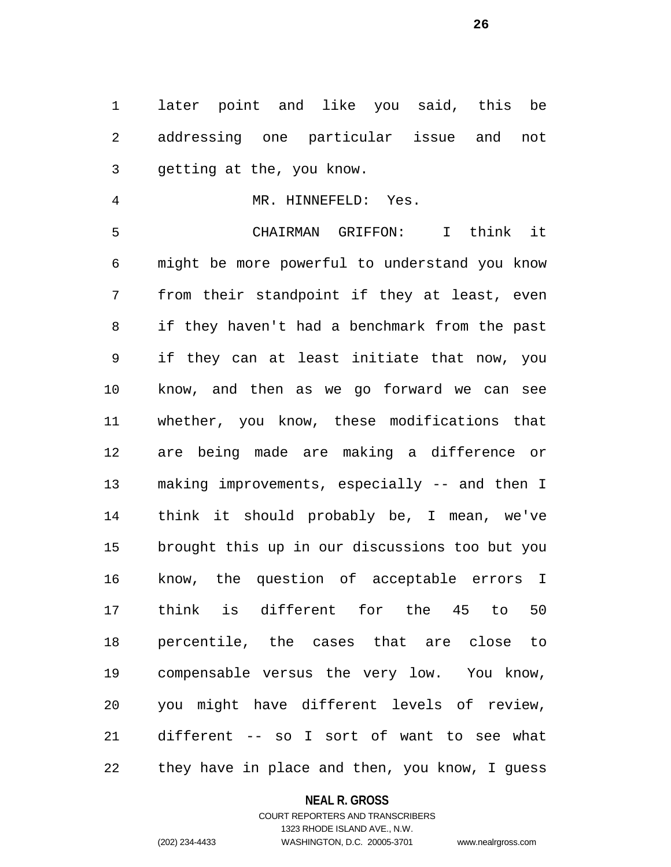later point and like you said, this be addressing one particular issue and not getting at the, you know.

MR. HINNEFELD: Yes.

 CHAIRMAN GRIFFON: I think it might be more powerful to understand you know from their standpoint if they at least, even if they haven't had a benchmark from the past if they can at least initiate that now, you know, and then as we go forward we can see whether, you know, these modifications that are being made are making a difference or making improvements, especially -- and then I think it should probably be, I mean, we've brought this up in our discussions too but you know, the question of acceptable errors I think is different for the 45 to 50 percentile, the cases that are close to compensable versus the very low. You know, you might have different levels of review, different -- so I sort of want to see what they have in place and then, you know, I guess

### **NEAL R. GROSS**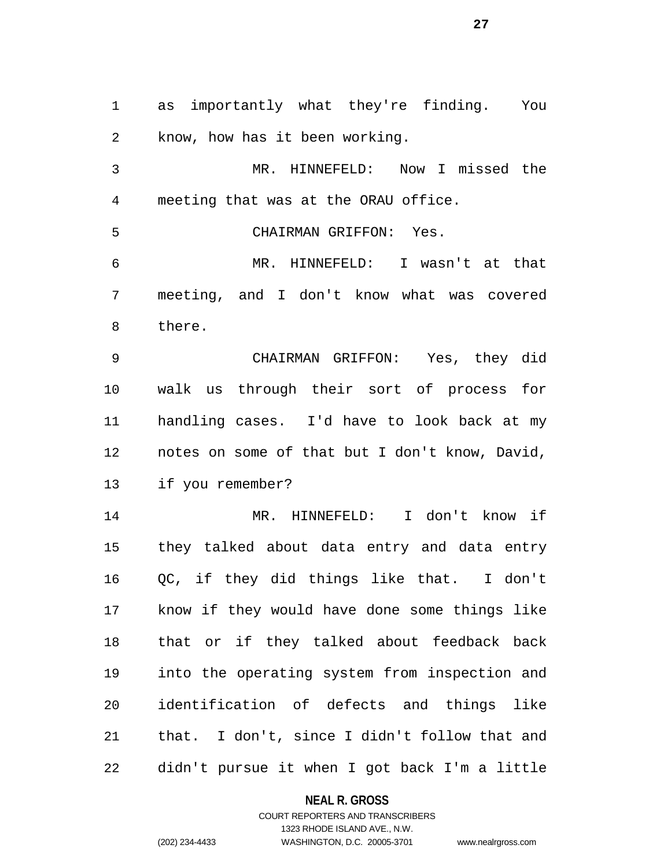as importantly what they're finding. You know, how has it been working.

 MR. HINNEFELD: Now I missed the meeting that was at the ORAU office.

CHAIRMAN GRIFFON: Yes.

 MR. HINNEFELD: I wasn't at that meeting, and I don't know what was covered there.

 CHAIRMAN GRIFFON: Yes, they did walk us through their sort of process for handling cases. I'd have to look back at my notes on some of that but I don't know, David, if you remember?

 MR. HINNEFELD: I don't know if they talked about data entry and data entry QC, if they did things like that. I don't know if they would have done some things like that or if they talked about feedback back into the operating system from inspection and identification of defects and things like that. I don't, since I didn't follow that and didn't pursue it when I got back I'm a little

**NEAL R. GROSS**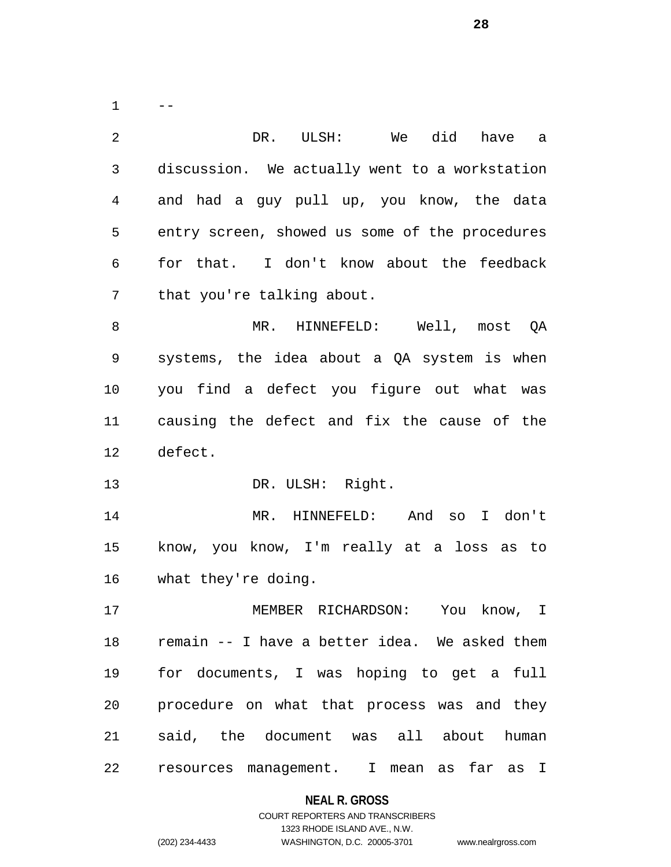$1 \qquad --$  DR. ULSH: We did have a discussion. We actually went to a workstation and had a guy pull up, you know, the data entry screen, showed us some of the procedures for that. I don't know about the feedback that you're talking about. MR. HINNEFELD: Well, most QA systems, the idea about a QA system is when you find a defect you figure out what was causing the defect and fix the cause of the defect. 13 DR. ULSH: Right. MR. HINNEFELD: And so I don't know, you know, I'm really at a loss as to what they're doing. MEMBER RICHARDSON: You know, I remain -- I have a better idea. We asked them for documents, I was hoping to get a full procedure on what that process was and they said, the document was all about human resources management. I mean as far as I

### **NEAL R. GROSS**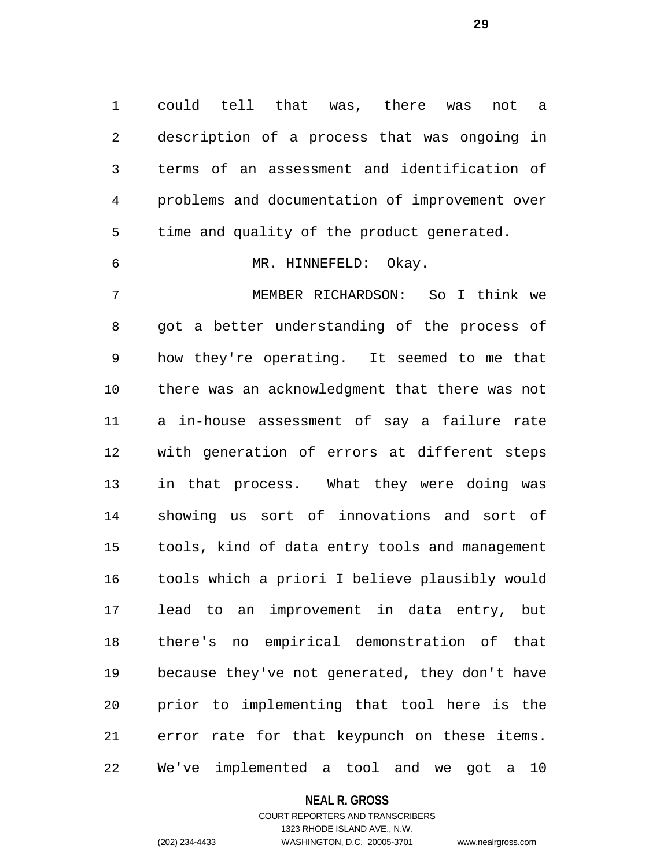could tell that was, there was not a description of a process that was ongoing in terms of an assessment and identification of problems and documentation of improvement over time and quality of the product generated. MR. HINNEFELD: Okay.

 MEMBER RICHARDSON: So I think we got a better understanding of the process of how they're operating. It seemed to me that there was an acknowledgment that there was not a in-house assessment of say a failure rate with generation of errors at different steps in that process. What they were doing was showing us sort of innovations and sort of tools, kind of data entry tools and management tools which a priori I believe plausibly would lead to an improvement in data entry, but there's no empirical demonstration of that because they've not generated, they don't have prior to implementing that tool here is the error rate for that keypunch on these items. We've implemented a tool and we got a 10

### **NEAL R. GROSS**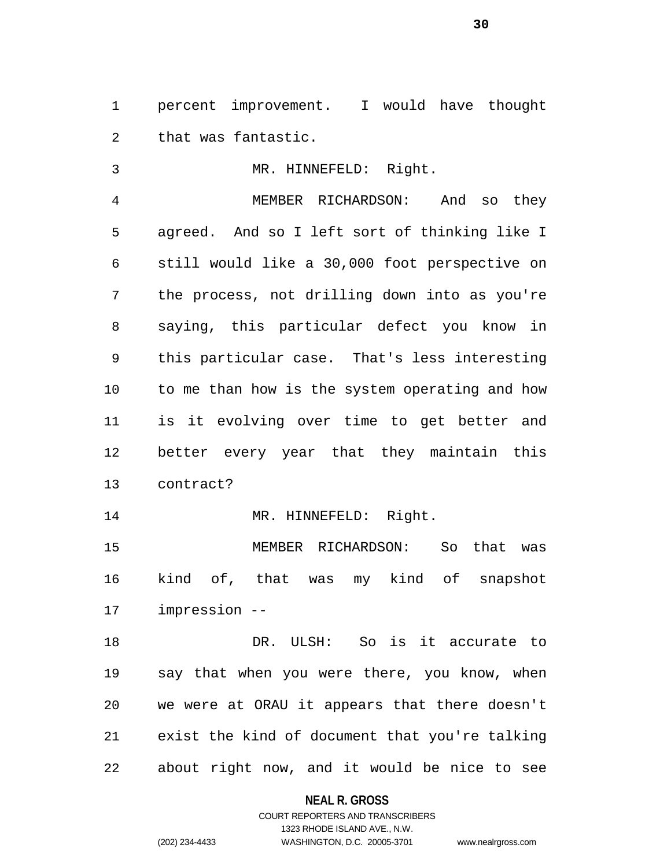percent improvement. I would have thought that was fantastic.

 MR. HINNEFELD: Right. MEMBER RICHARDSON: And so they agreed. And so I left sort of thinking like I still would like a 30,000 foot perspective on the process, not drilling down into as you're saying, this particular defect you know in this particular case. That's less interesting to me than how is the system operating and how is it evolving over time to get better and better every year that they maintain this contract?

14 MR. HINNEFELD: Right.

 MEMBER RICHARDSON: So that was kind of, that was my kind of snapshot impression --

 DR. ULSH: So is it accurate to say that when you were there, you know, when we were at ORAU it appears that there doesn't exist the kind of document that you're talking about right now, and it would be nice to see

**NEAL R. GROSS**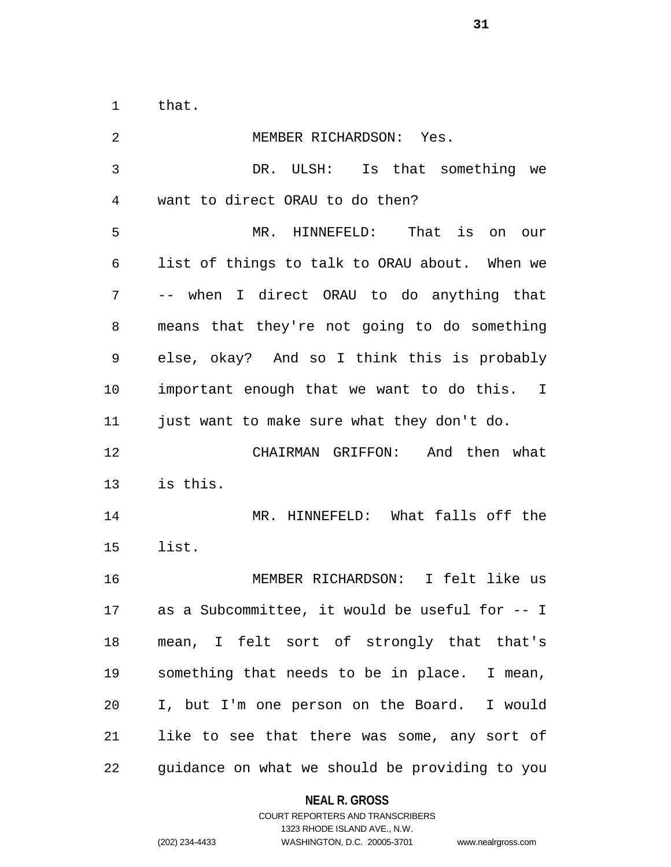that.

| 2              | MEMBER RICHARDSON: Yes.                        |
|----------------|------------------------------------------------|
| $\mathfrak{Z}$ | DR. ULSH: Is that something we                 |
| $\overline{4}$ | want to direct ORAU to do then?                |
| 5              | MR. HINNEFELD: That is on our                  |
| 6              | list of things to talk to ORAU about. When we  |
| 7              | -- when I direct ORAU to do anything that      |
| 8              | means that they're not going to do something   |
| 9              | else, okay? And so I think this is probably    |
| 10             | important enough that we want to do this. I    |
| 11             | just want to make sure what they don't do.     |
| 12             | CHAIRMAN GRIFFON: And then what                |
| 13             | is this.                                       |
| 14             | MR. HINNEFELD: What falls off the              |
| 15             | list.                                          |
| 16             | MEMBER RICHARDSON: I felt like us              |
| 17             | as a Subcommittee, it would be useful for -- I |
| 18             | mean, I felt sort of strongly that that's      |
| 19             | something that needs to be in place. I mean,   |
| 20             | I, but I'm one person on the Board. I would    |
| 21             | like to see that there was some, any sort of   |
| 22             | guidance on what we should be providing to you |

# **NEAL R. GROSS**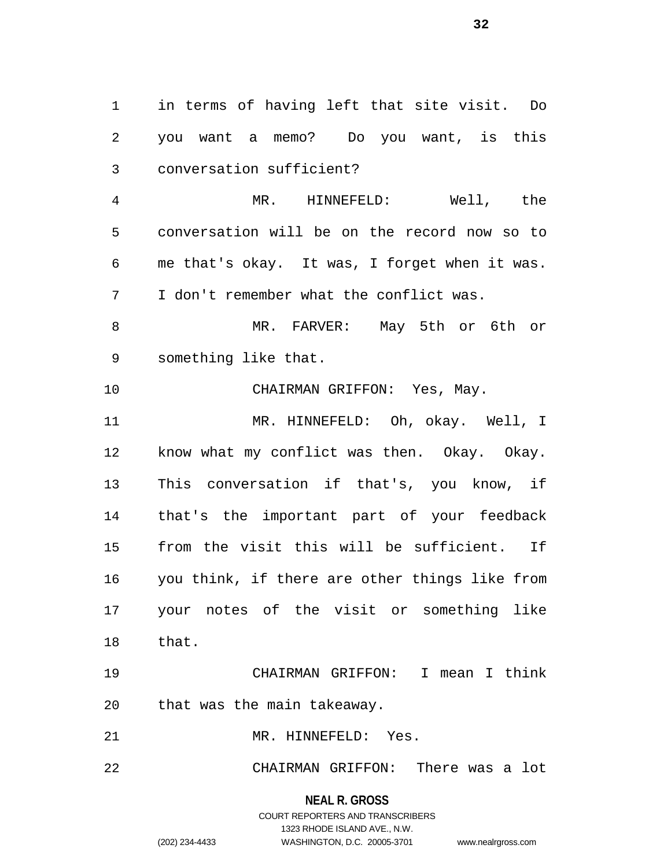in terms of having left that site visit. Do you want a memo? Do you want, is this conversation sufficient? MR. HINNEFELD: Well, the conversation will be on the record now so to me that's okay. It was, I forget when it was. I don't remember what the conflict was. MR. FARVER: May 5th or 6th or something like that. CHAIRMAN GRIFFON: Yes, May. MR. HINNEFELD: Oh, okay. Well, I know what my conflict was then. Okay. Okay. This conversation if that's, you know, if that's the important part of your feedback from the visit this will be sufficient. If you think, if there are other things like from your notes of the visit or something like that. CHAIRMAN GRIFFON: I mean I think that was the main takeaway. MR. HINNEFELD: Yes. CHAIRMAN GRIFFON: There was a lot

**NEAL R. GROSS**

COURT REPORTERS AND TRANSCRIBERS 1323 RHODE ISLAND AVE., N.W. (202) 234-4433 WASHINGTON, D.C. 20005-3701 www.nealrgross.com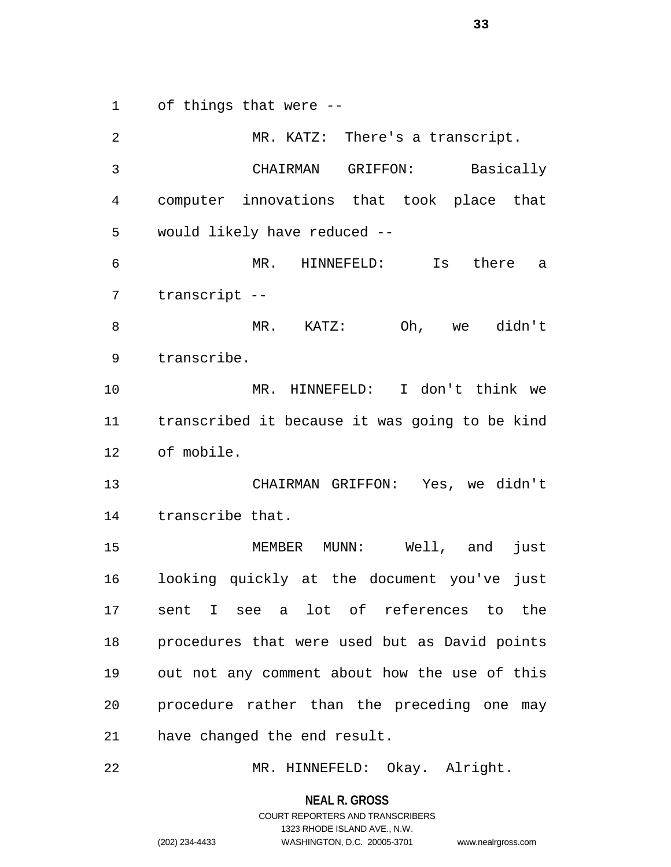of things that were --

 MR. KATZ: There's a transcript. CHAIRMAN GRIFFON: Basically computer innovations that took place that would likely have reduced -- MR. HINNEFELD: Is there a transcript -- MR. KATZ: Oh, we didn't transcribe. MR. HINNEFELD: I don't think we transcribed it because it was going to be kind of mobile. CHAIRMAN GRIFFON: Yes, we didn't transcribe that. MEMBER MUNN: Well, and just looking quickly at the document you've just sent I see a lot of references to the procedures that were used but as David points out not any comment about how the use of this procedure rather than the preceding one may have changed the end result.

MR. HINNEFELD: Okay. Alright.

**NEAL R. GROSS**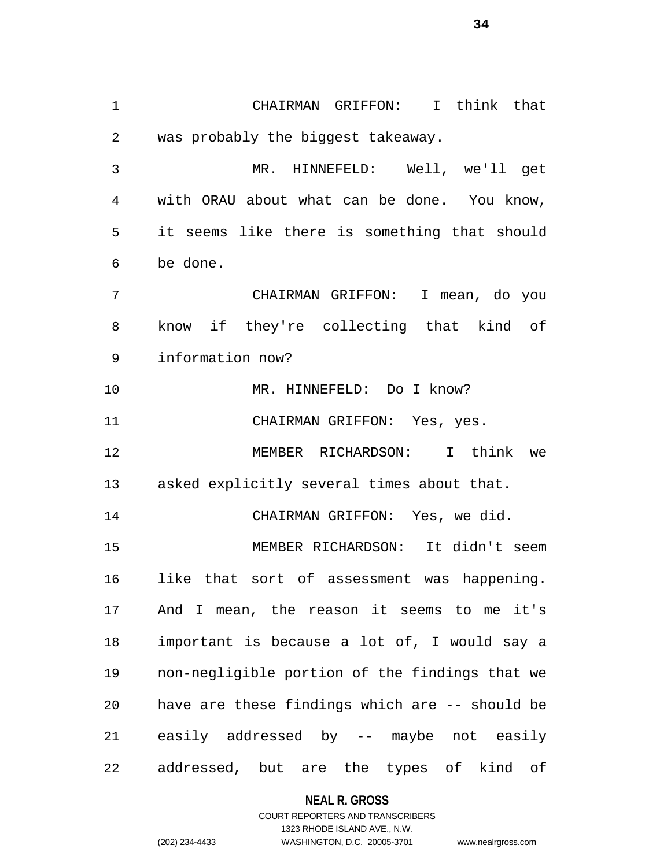CHAIRMAN GRIFFON: I think that was probably the biggest takeaway. MR. HINNEFELD: Well, we'll get with ORAU about what can be done. You know, it seems like there is something that should be done. CHAIRMAN GRIFFON: I mean, do you know if they're collecting that kind of information now? 10 MR. HINNEFELD: Do I know? CHAIRMAN GRIFFON: Yes, yes. MEMBER RICHARDSON: I think we asked explicitly several times about that. CHAIRMAN GRIFFON: Yes, we did. MEMBER RICHARDSON: It didn't seem like that sort of assessment was happening. And I mean, the reason it seems to me it's important is because a lot of, I would say a non-negligible portion of the findings that we have are these findings which are -- should be easily addressed by -- maybe not easily addressed, but are the types of kind of

### **NEAL R. GROSS**

### COURT REPORTERS AND TRANSCRIBERS 1323 RHODE ISLAND AVE., N.W. (202) 234-4433 WASHINGTON, D.C. 20005-3701 www.nealrgross.com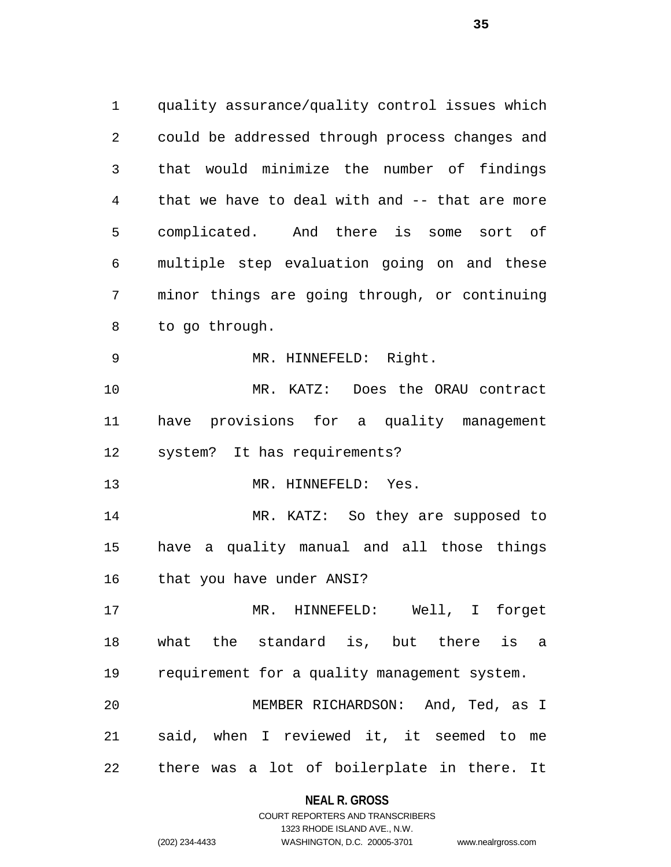quality assurance/quality control issues which could be addressed through process changes and that would minimize the number of findings that we have to deal with and -- that are more complicated. And there is some sort of multiple step evaluation going on and these minor things are going through, or continuing to go through. MR. HINNEFELD: Right. MR. KATZ: Does the ORAU contract have provisions for a quality management system? It has requirements? 13 MR. HINNEFELD: Yes. MR. KATZ: So they are supposed to have a quality manual and all those things that you have under ANSI? MR. HINNEFELD: Well, I forget what the standard is, but there is a requirement for a quality management system. MEMBER RICHARDSON: And, Ted, as I said, when I reviewed it, it seemed to me there was a lot of boilerplate in there. It

## **NEAL R. GROSS** COURT REPORTERS AND TRANSCRIBERS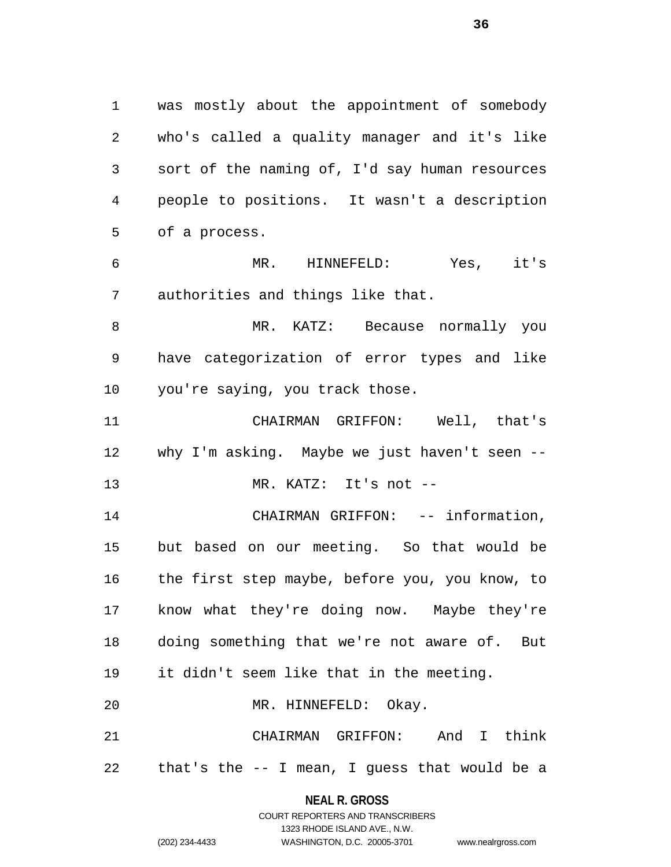was mostly about the appointment of somebody who's called a quality manager and it's like sort of the naming of, I'd say human resources people to positions. It wasn't a description of a process.

 MR. HINNEFELD: Yes, it's authorities and things like that.

 MR. KATZ: Because normally you have categorization of error types and like you're saying, you track those.

 CHAIRMAN GRIFFON: Well, that's why I'm asking. Maybe we just haven't seen -- MR. KATZ: It's not --

14 CHAIRMAN GRIFFON: -- information, but based on our meeting. So that would be the first step maybe, before you, you know, to know what they're doing now. Maybe they're doing something that we're not aware of. But it didn't seem like that in the meeting. MR. HINNEFELD: Okay.

 CHAIRMAN GRIFFON: And I think that's the -- I mean, I guess that would be a

## **NEAL R. GROSS** COURT REPORTERS AND TRANSCRIBERS

1323 RHODE ISLAND AVE., N.W.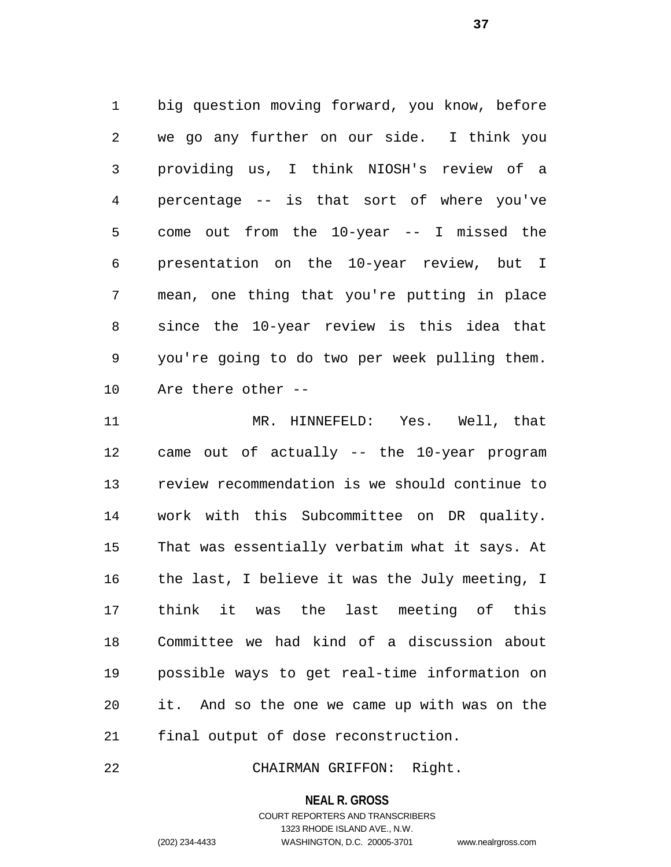big question moving forward, you know, before we go any further on our side. I think you providing us, I think NIOSH's review of a percentage -- is that sort of where you've come out from the 10-year -- I missed the presentation on the 10-year review, but I mean, one thing that you're putting in place since the 10-year review is this idea that you're going to do two per week pulling them. Are there other --

 MR. HINNEFELD: Yes. Well, that came out of actually -- the 10-year program review recommendation is we should continue to work with this Subcommittee on DR quality. That was essentially verbatim what it says. At the last, I believe it was the July meeting, I think it was the last meeting of this Committee we had kind of a discussion about possible ways to get real-time information on it. And so the one we came up with was on the final output of dose reconstruction.

CHAIRMAN GRIFFON: Right.

#### **NEAL R. GROSS**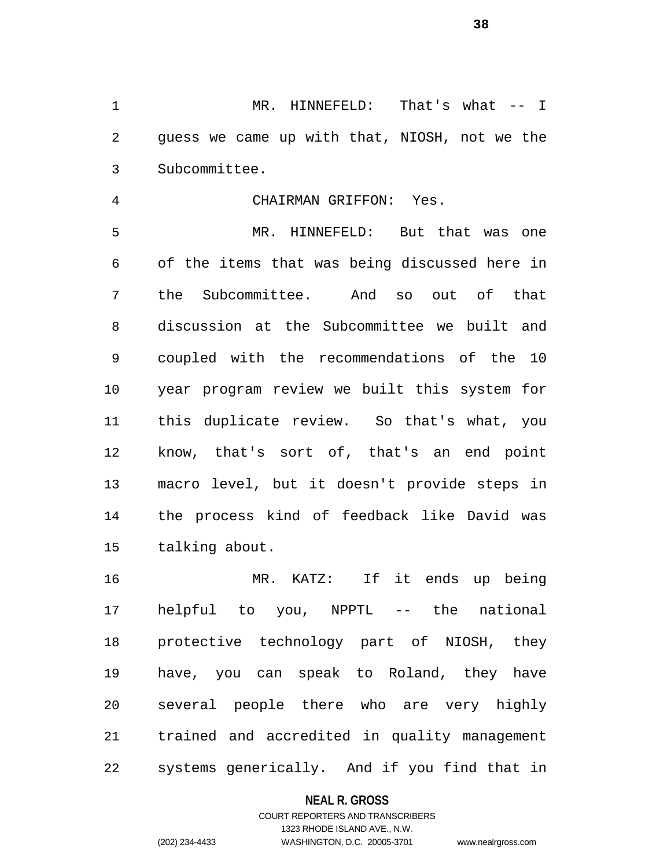1 MR. HINNEFELD: That's what -- I guess we came up with that, NIOSH, not we the Subcommittee.

CHAIRMAN GRIFFON: Yes.

 MR. HINNEFELD: But that was one of the items that was being discussed here in the Subcommittee. And so out of that discussion at the Subcommittee we built and coupled with the recommendations of the 10 year program review we built this system for this duplicate review. So that's what, you know, that's sort of, that's an end point macro level, but it doesn't provide steps in the process kind of feedback like David was talking about.

 MR. KATZ: If it ends up being helpful to you, NPPTL -- the national protective technology part of NIOSH, they have, you can speak to Roland, they have several people there who are very highly trained and accredited in quality management systems generically. And if you find that in

## **NEAL R. GROSS**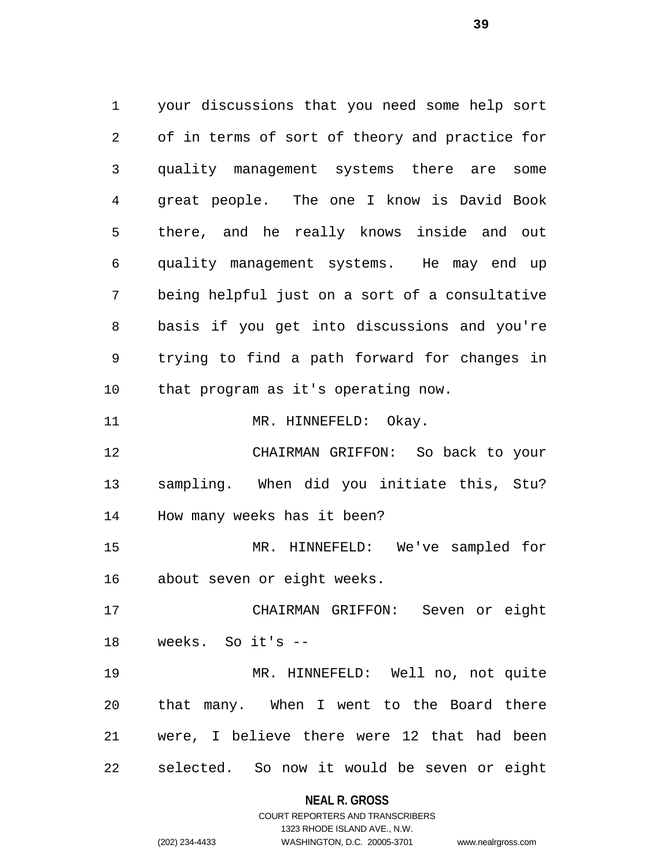your discussions that you need some help sort of in terms of sort of theory and practice for quality management systems there are some great people. The one I know is David Book there, and he really knows inside and out quality management systems. He may end up being helpful just on a sort of a consultative basis if you get into discussions and you're trying to find a path forward for changes in that program as it's operating now. 11 MR. HINNEFELD: Okay. CHAIRMAN GRIFFON: So back to your sampling. When did you initiate this, Stu? How many weeks has it been? MR. HINNEFELD: We've sampled for about seven or eight weeks. CHAIRMAN GRIFFON: Seven or eight weeks. So it's -- MR. HINNEFELD: Well no, not quite that many. When I went to the Board there were, I believe there were 12 that had been selected. So now it would be seven or eight

#### **NEAL R. GROSS**

COURT REPORTERS AND TRANSCRIBERS 1323 RHODE ISLAND AVE., N.W. (202) 234-4433 WASHINGTON, D.C. 20005-3701 www.nealrgross.com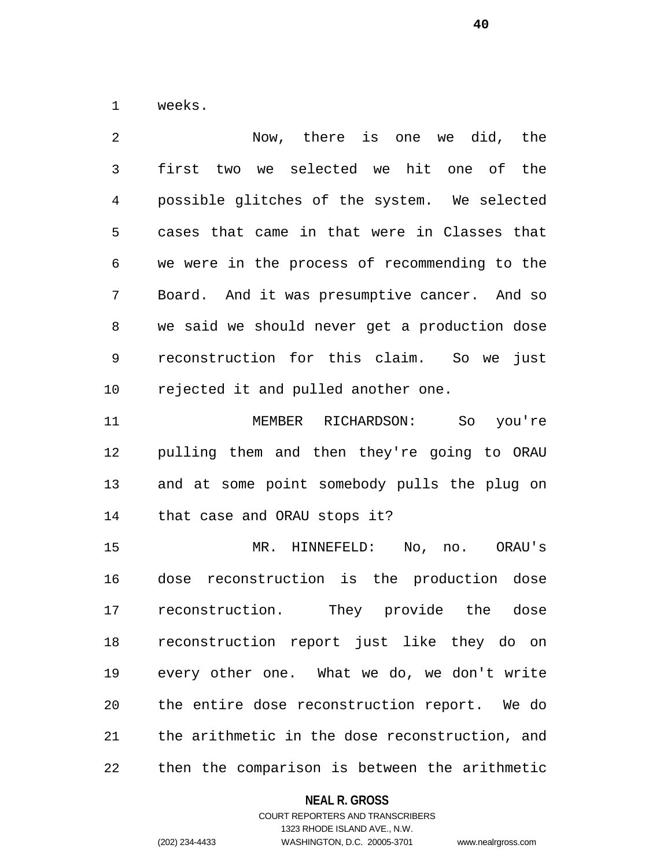weeks.

 Now, there is one we did, the first two we selected we hit one of the possible glitches of the system. We selected cases that came in that were in Classes that we were in the process of recommending to the Board. And it was presumptive cancer. And so we said we should never get a production dose reconstruction for this claim. So we just rejected it and pulled another one. MEMBER RICHARDSON: So you're

 pulling them and then they're going to ORAU and at some point somebody pulls the plug on that case and ORAU stops it?

 MR. HINNEFELD: No, no. ORAU's dose reconstruction is the production dose reconstruction. They provide the dose reconstruction report just like they do on every other one. What we do, we don't write the entire dose reconstruction report. We do the arithmetic in the dose reconstruction, and then the comparison is between the arithmetic

## **NEAL R. GROSS**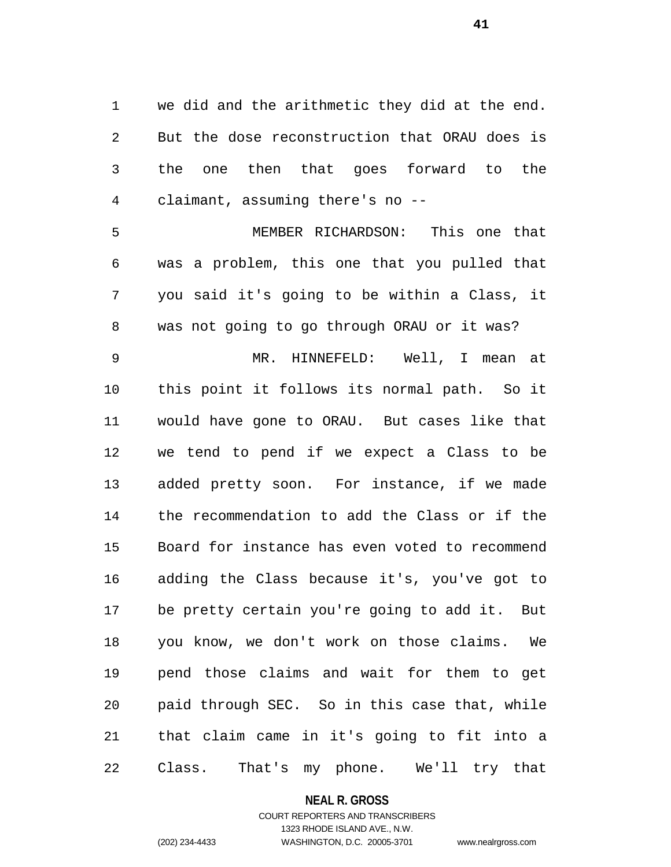we did and the arithmetic they did at the end. But the dose reconstruction that ORAU does is the one then that goes forward to the claimant, assuming there's no --

 MEMBER RICHARDSON: This one that was a problem, this one that you pulled that you said it's going to be within a Class, it was not going to go through ORAU or it was?

 MR. HINNEFELD: Well, I mean at this point it follows its normal path. So it would have gone to ORAU. But cases like that we tend to pend if we expect a Class to be added pretty soon. For instance, if we made the recommendation to add the Class or if the Board for instance has even voted to recommend adding the Class because it's, you've got to be pretty certain you're going to add it. But you know, we don't work on those claims. We pend those claims and wait for them to get paid through SEC. So in this case that, while that claim came in it's going to fit into a Class. That's my phone. We'll try that

**NEAL R. GROSS**

COURT REPORTERS AND TRANSCRIBERS 1323 RHODE ISLAND AVE., N.W. (202) 234-4433 WASHINGTON, D.C. 20005-3701 www.nealrgross.com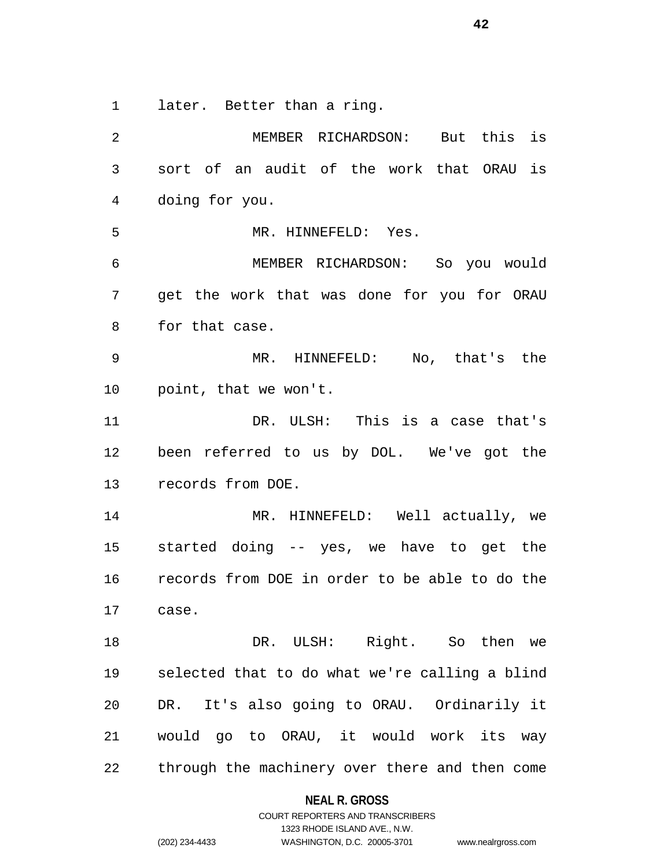later. Better than a ring.

 MEMBER RICHARDSON: But this is sort of an audit of the work that ORAU is doing for you. MR. HINNEFELD: Yes. MEMBER RICHARDSON: So you would get the work that was done for you for ORAU for that case. MR. HINNEFELD: No, that's the point, that we won't. DR. ULSH: This is a case that's been referred to us by DOL. We've got the records from DOE. MR. HINNEFELD: Well actually, we started doing -- yes, we have to get the records from DOE in order to be able to do the case. DR. ULSH: Right. So then we selected that to do what we're calling a blind DR. It's also going to ORAU. Ordinarily it would go to ORAU, it would work its way through the machinery over there and then come

#### **NEAL R. GROSS**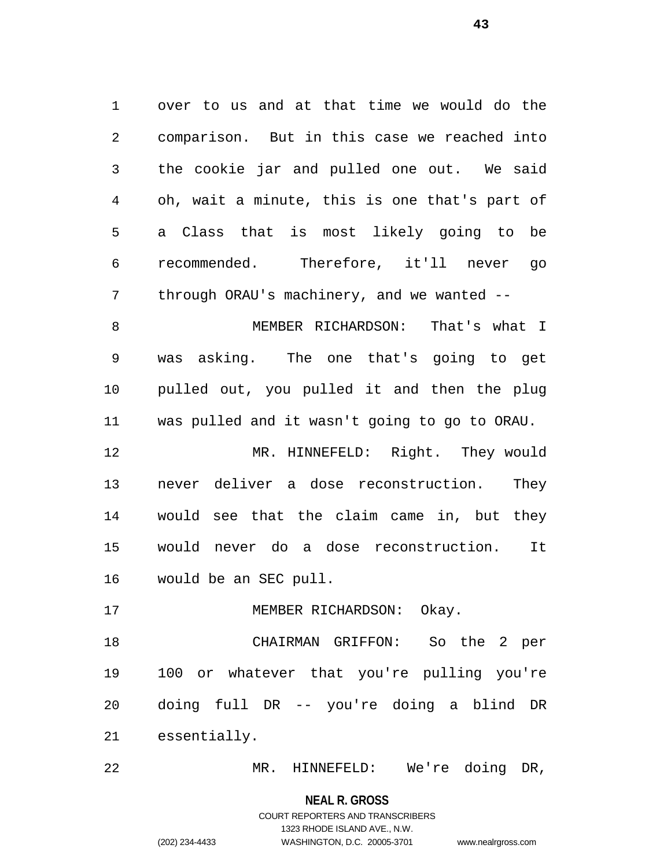over to us and at that time we would do the comparison. But in this case we reached into the cookie jar and pulled one out. We said oh, wait a minute, this is one that's part of a Class that is most likely going to be recommended. Therefore, it'll never go 7 through ORAU's machinery, and we wanted -- MEMBER RICHARDSON: That's what I was asking. The one that's going to get pulled out, you pulled it and then the plug was pulled and it wasn't going to go to ORAU. MR. HINNEFELD: Right. They would never deliver a dose reconstruction. They would see that the claim came in, but they would never do a dose reconstruction. It would be an SEC pull.

17 MEMBER RICHARDSON: Okay.

 CHAIRMAN GRIFFON: So the 2 per 100 or whatever that you're pulling you're doing full DR -- you're doing a blind DR essentially.

MR. HINNEFELD: We're doing DR,

**NEAL R. GROSS**

# COURT REPORTERS AND TRANSCRIBERS 1323 RHODE ISLAND AVE., N.W. (202) 234-4433 WASHINGTON, D.C. 20005-3701 www.nealrgross.com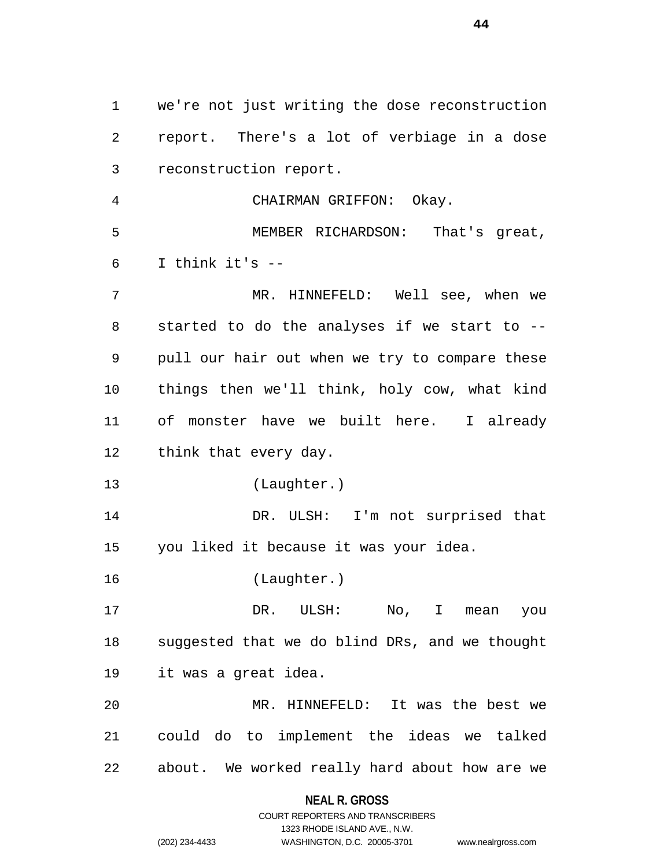we're not just writing the dose reconstruction report. There's a lot of verbiage in a dose reconstruction report. CHAIRMAN GRIFFON: Okay. MEMBER RICHARDSON: That's great, I think it's  $-$  MR. HINNEFELD: Well see, when we started to do the analyses if we start to -- pull our hair out when we try to compare these things then we'll think, holy cow, what kind of monster have we built here. I already think that every day. (Laughter.) DR. ULSH: I'm not surprised that you liked it because it was your idea. (Laughter.) DR. ULSH: No, I mean you suggested that we do blind DRs, and we thought it was a great idea. MR. HINNEFELD: It was the best we could do to implement the ideas we talked about. We worked really hard about how are we

> **NEAL R. GROSS** COURT REPORTERS AND TRANSCRIBERS

> > 1323 RHODE ISLAND AVE., N.W.

(202) 234-4433 WASHINGTON, D.C. 20005-3701 www.nealrgross.com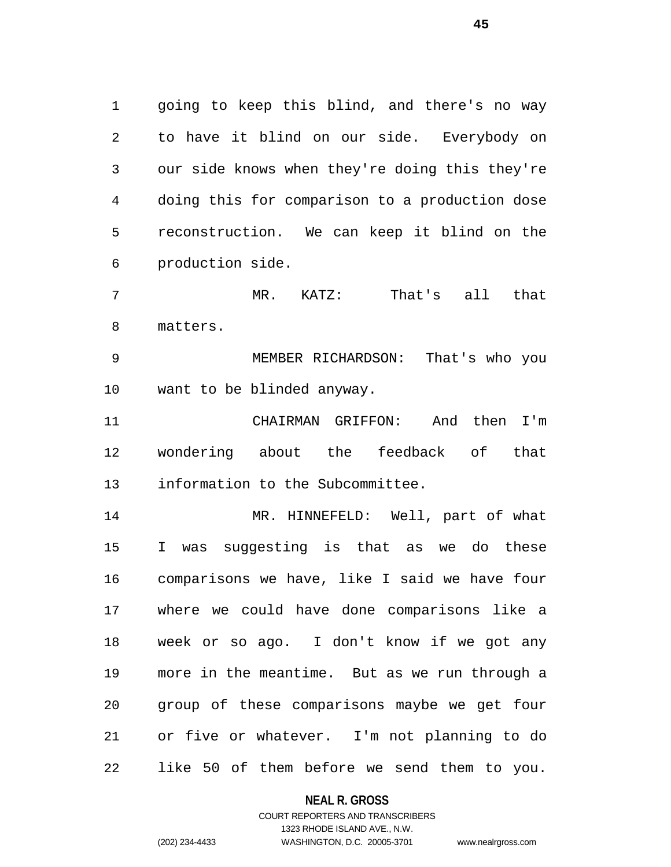going to keep this blind, and there's no way to have it blind on our side. Everybody on our side knows when they're doing this they're doing this for comparison to a production dose reconstruction. We can keep it blind on the production side.

 MR. KATZ: That's all that matters.

 MEMBER RICHARDSON: That's who you want to be blinded anyway.

 CHAIRMAN GRIFFON: And then I'm wondering about the feedback of that information to the Subcommittee.

 MR. HINNEFELD: Well, part of what I was suggesting is that as we do these comparisons we have, like I said we have four where we could have done comparisons like a week or so ago. I don't know if we got any more in the meantime. But as we run through a group of these comparisons maybe we get four or five or whatever. I'm not planning to do like 50 of them before we send them to you.

## **NEAL R. GROSS**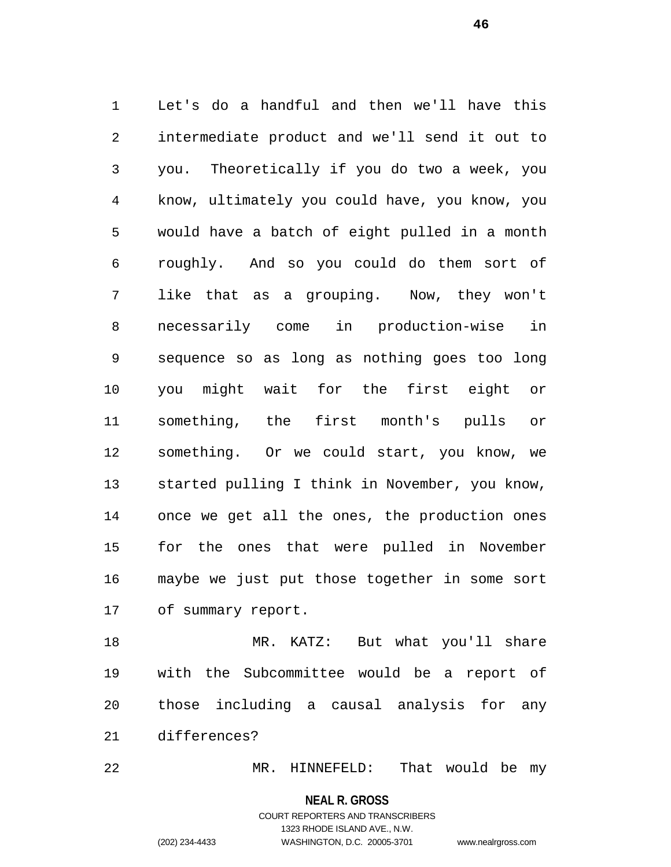Let's do a handful and then we'll have this intermediate product and we'll send it out to you. Theoretically if you do two a week, you know, ultimately you could have, you know, you would have a batch of eight pulled in a month roughly. And so you could do them sort of like that as a grouping. Now, they won't necessarily come in production-wise in sequence so as long as nothing goes too long you might wait for the first eight or something, the first month's pulls or something. Or we could start, you know, we started pulling I think in November, you know, once we get all the ones, the production ones for the ones that were pulled in November maybe we just put those together in some sort of summary report.

 MR. KATZ: But what you'll share with the Subcommittee would be a report of those including a causal analysis for any differences?

MR. HINNEFELD: That would be my

**NEAL R. GROSS**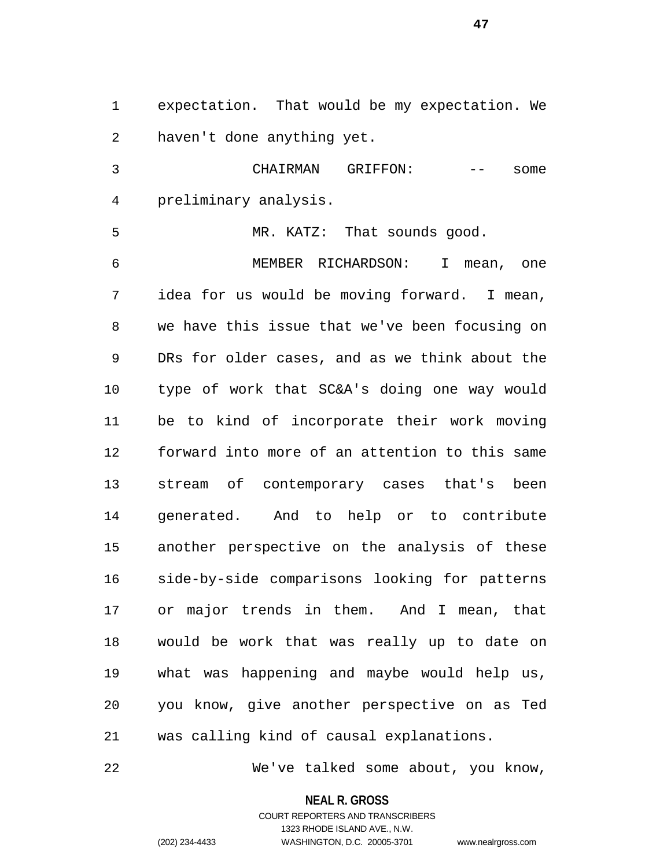expectation. That would be my expectation. We haven't done anything yet.

 CHAIRMAN GRIFFON: -- some preliminary analysis.

 MR. KATZ: That sounds good. MEMBER RICHARDSON: I mean, one idea for us would be moving forward. I mean, we have this issue that we've been focusing on DRs for older cases, and as we think about the type of work that SC&A's doing one way would be to kind of incorporate their work moving forward into more of an attention to this same stream of contemporary cases that's been generated. And to help or to contribute another perspective on the analysis of these side-by-side comparisons looking for patterns or major trends in them. And I mean, that would be work that was really up to date on what was happening and maybe would help us, you know, give another perspective on as Ted was calling kind of causal explanations.

We've talked some about, you know,

**NEAL R. GROSS**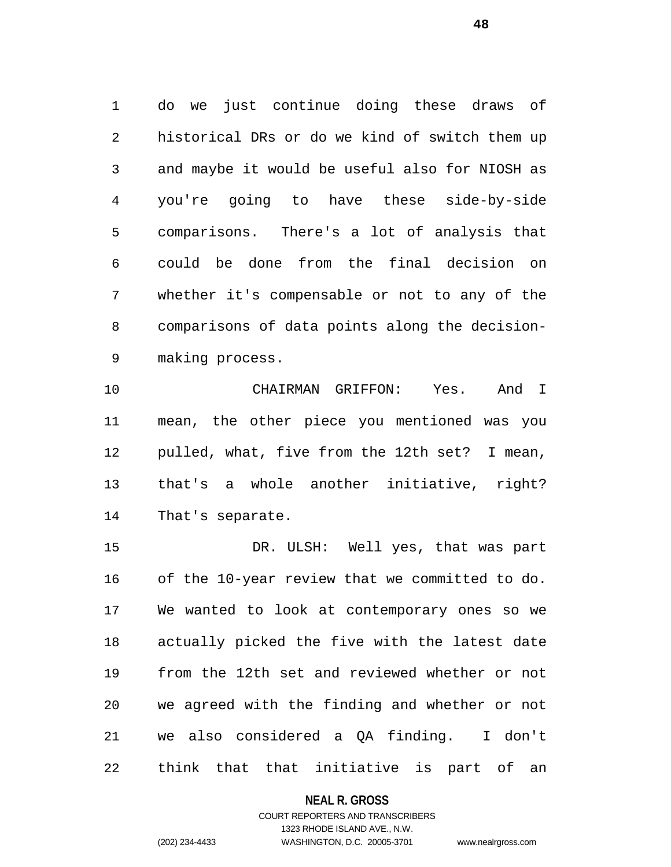do we just continue doing these draws of historical DRs or do we kind of switch them up and maybe it would be useful also for NIOSH as you're going to have these side-by-side comparisons. There's a lot of analysis that could be done from the final decision on whether it's compensable or not to any of the comparisons of data points along the decision-making process.

 CHAIRMAN GRIFFON: Yes. And I mean, the other piece you mentioned was you pulled, what, five from the 12th set? I mean, that's a whole another initiative, right? That's separate.

 DR. ULSH: Well yes, that was part of the 10-year review that we committed to do. We wanted to look at contemporary ones so we actually picked the five with the latest date from the 12th set and reviewed whether or not we agreed with the finding and whether or not we also considered a QA finding. I don't think that that initiative is part of an

## **NEAL R. GROSS**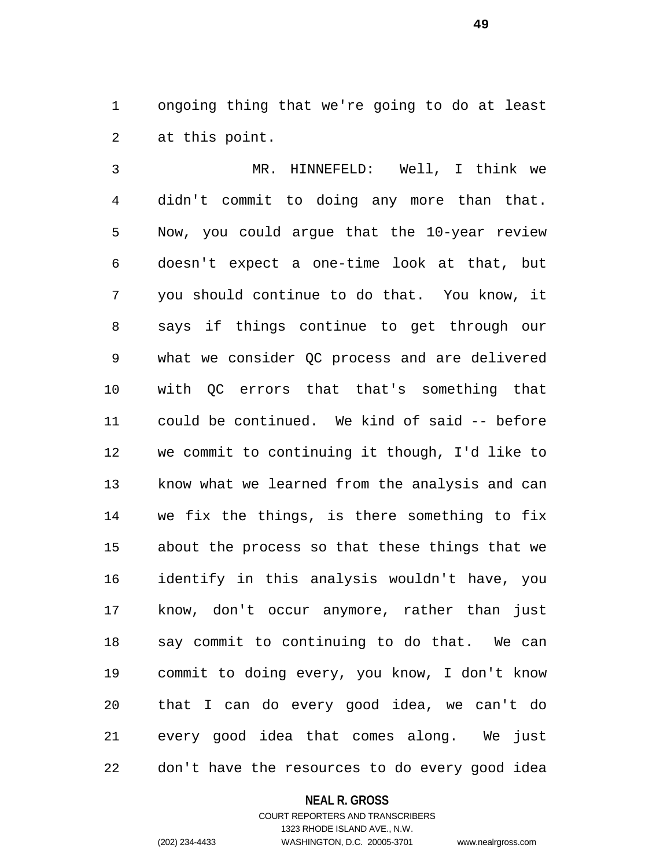ongoing thing that we're going to do at least at this point.

 MR. HINNEFELD: Well, I think we didn't commit to doing any more than that. Now, you could argue that the 10-year review doesn't expect a one-time look at that, but you should continue to do that. You know, it says if things continue to get through our what we consider QC process and are delivered with QC errors that that's something that could be continued. We kind of said -- before we commit to continuing it though, I'd like to know what we learned from the analysis and can we fix the things, is there something to fix about the process so that these things that we identify in this analysis wouldn't have, you know, don't occur anymore, rather than just say commit to continuing to do that. We can commit to doing every, you know, I don't know that I can do every good idea, we can't do every good idea that comes along. We just don't have the resources to do every good idea

## **NEAL R. GROSS**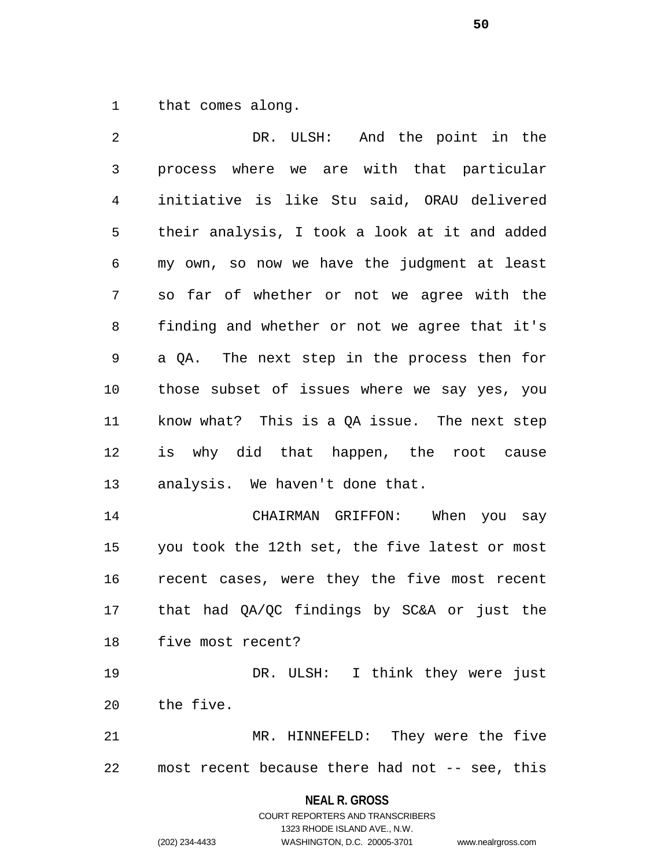that comes along.

 DR. ULSH: And the point in the process where we are with that particular initiative is like Stu said, ORAU delivered their analysis, I took a look at it and added my own, so now we have the judgment at least so far of whether or not we agree with the finding and whether or not we agree that it's a QA. The next step in the process then for those subset of issues where we say yes, you know what? This is a QA issue. The next step is why did that happen, the root cause analysis. We haven't done that. CHAIRMAN GRIFFON: When you say you took the 12th set, the five latest or most recent cases, were they the five most recent that had QA/QC findings by SC&A or just the five most recent? DR. ULSH: I think they were just the five. MR. HINNEFELD: They were the five

most recent because there had not -- see, this

**NEAL R. GROSS** COURT REPORTERS AND TRANSCRIBERS

1323 RHODE ISLAND AVE., N.W.

(202) 234-4433 WASHINGTON, D.C. 20005-3701 www.nealrgross.com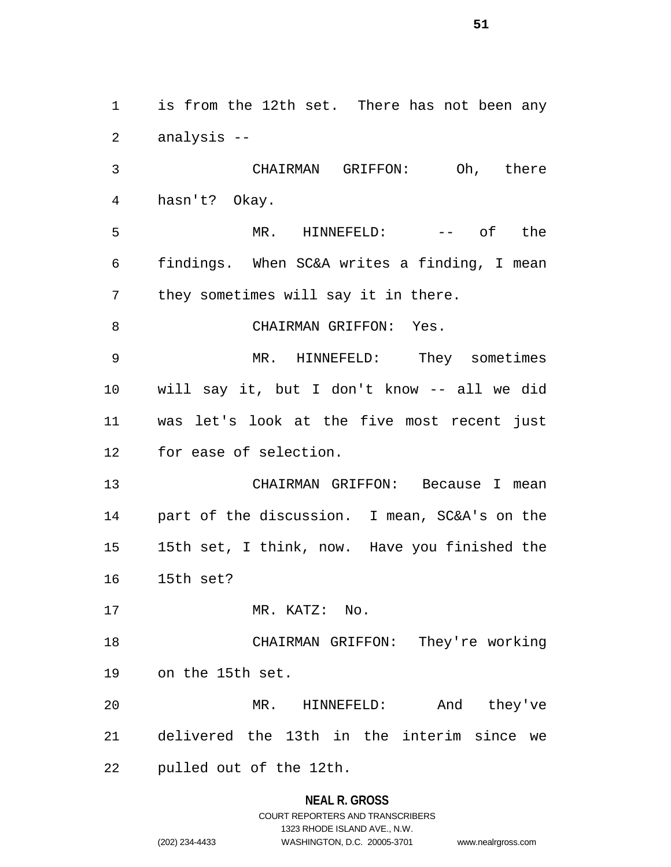is from the 12th set. There has not been any analysis --

 CHAIRMAN GRIFFON: Oh, there hasn't? Okay.

 MR. HINNEFELD: -- of the findings. When SC&A writes a finding, I mean they sometimes will say it in there.

8 CHAIRMAN GRIFFON: Yes.

 MR. HINNEFELD: They sometimes will say it, but I don't know -- all we did was let's look at the five most recent just for ease of selection.

 CHAIRMAN GRIFFON: Because I mean part of the discussion. I mean, SC&A's on the 15th set, I think, now. Have you finished the 15th set?

17 MR. KATZ: No.

 CHAIRMAN GRIFFON: They're working on the 15th set.

 MR. HINNEFELD: And they've delivered the 13th in the interim since we

pulled out of the 12th.

## **NEAL R. GROSS**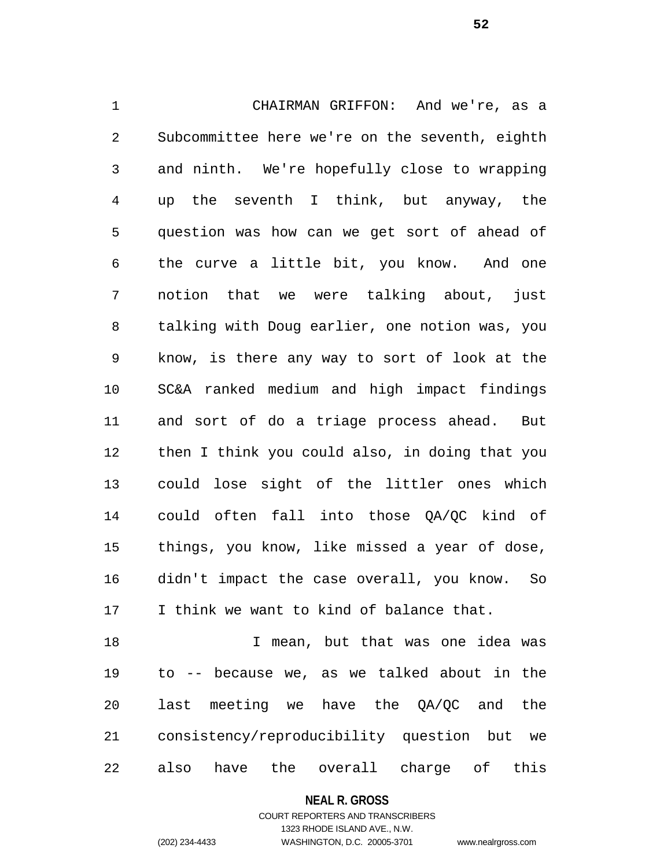CHAIRMAN GRIFFON: And we're, as a Subcommittee here we're on the seventh, eighth and ninth. We're hopefully close to wrapping up the seventh I think, but anyway, the question was how can we get sort of ahead of the curve a little bit, you know. And one notion that we were talking about, just talking with Doug earlier, one notion was, you know, is there any way to sort of look at the SC&A ranked medium and high impact findings and sort of do a triage process ahead. But then I think you could also, in doing that you could lose sight of the littler ones which could often fall into those QA/QC kind of things, you know, like missed a year of dose, didn't impact the case overall, you know. So I think we want to kind of balance that.

 I mean, but that was one idea was to -- because we, as we talked about in the last meeting we have the QA/QC and the consistency/reproducibility question but we also have the overall charge of this

**NEAL R. GROSS**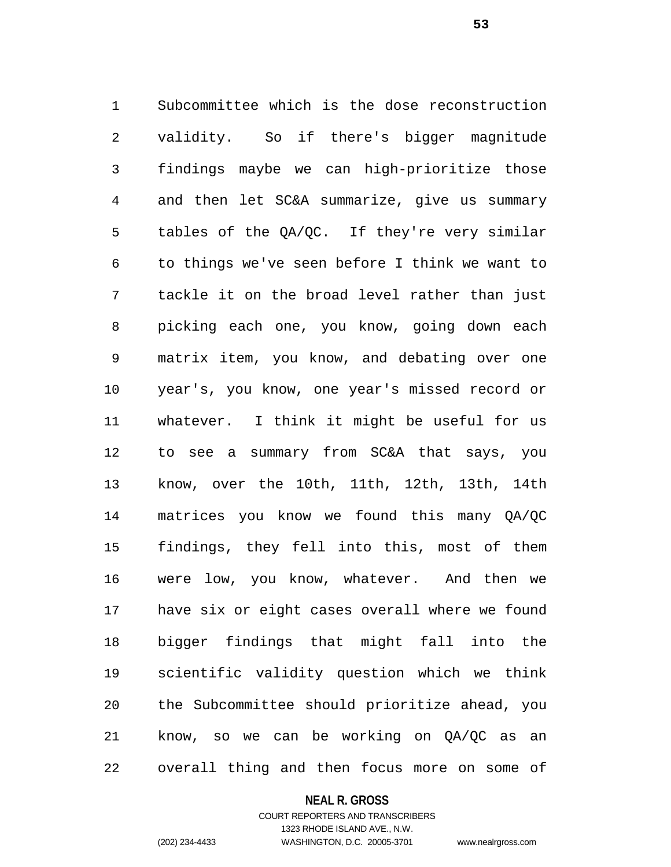Subcommittee which is the dose reconstruction validity. So if there's bigger magnitude findings maybe we can high-prioritize those and then let SC&A summarize, give us summary tables of the QA/QC. If they're very similar to things we've seen before I think we want to tackle it on the broad level rather than just picking each one, you know, going down each matrix item, you know, and debating over one year's, you know, one year's missed record or whatever. I think it might be useful for us to see a summary from SC&A that says, you know, over the 10th, 11th, 12th, 13th, 14th matrices you know we found this many QA/QC findings, they fell into this, most of them were low, you know, whatever. And then we have six or eight cases overall where we found bigger findings that might fall into the scientific validity question which we think the Subcommittee should prioritize ahead, you know, so we can be working on QA/QC as an overall thing and then focus more on some of

#### **NEAL R. GROSS**

COURT REPORTERS AND TRANSCRIBERS 1323 RHODE ISLAND AVE., N.W. (202) 234-4433 WASHINGTON, D.C. 20005-3701 www.nealrgross.com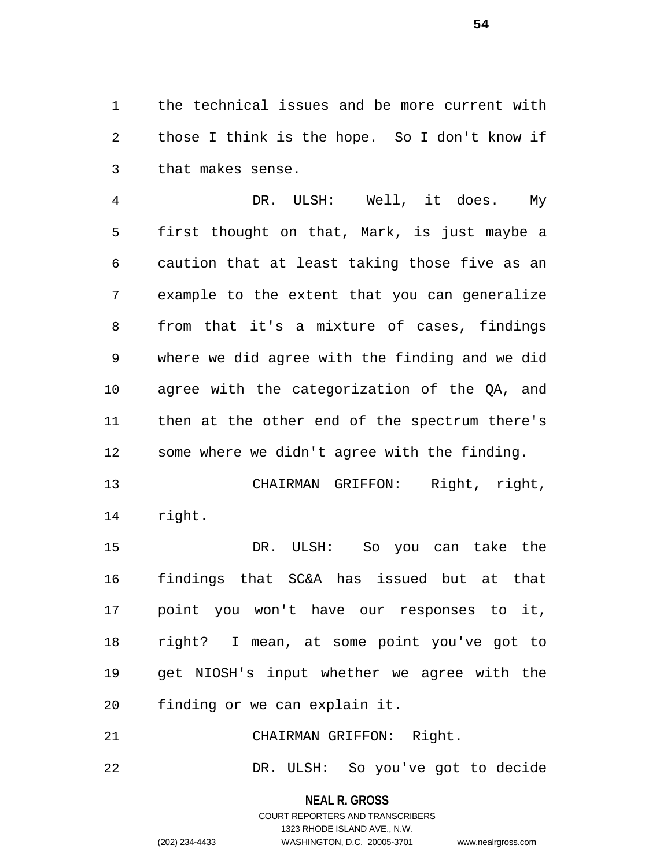the technical issues and be more current with those I think is the hope. So I don't know if that makes sense.

 DR. ULSH: Well, it does. My first thought on that, Mark, is just maybe a caution that at least taking those five as an example to the extent that you can generalize from that it's a mixture of cases, findings where we did agree with the finding and we did agree with the categorization of the QA, and then at the other end of the spectrum there's some where we didn't agree with the finding.

 CHAIRMAN GRIFFON: Right, right, right.

 DR. ULSH: So you can take the findings that SC&A has issued but at that point you won't have our responses to it, right? I mean, at some point you've got to get NIOSH's input whether we agree with the finding or we can explain it.

CHAIRMAN GRIFFON: Right.

DR. ULSH: So you've got to decide

**NEAL R. GROSS** COURT REPORTERS AND TRANSCRIBERS

1323 RHODE ISLAND AVE., N.W.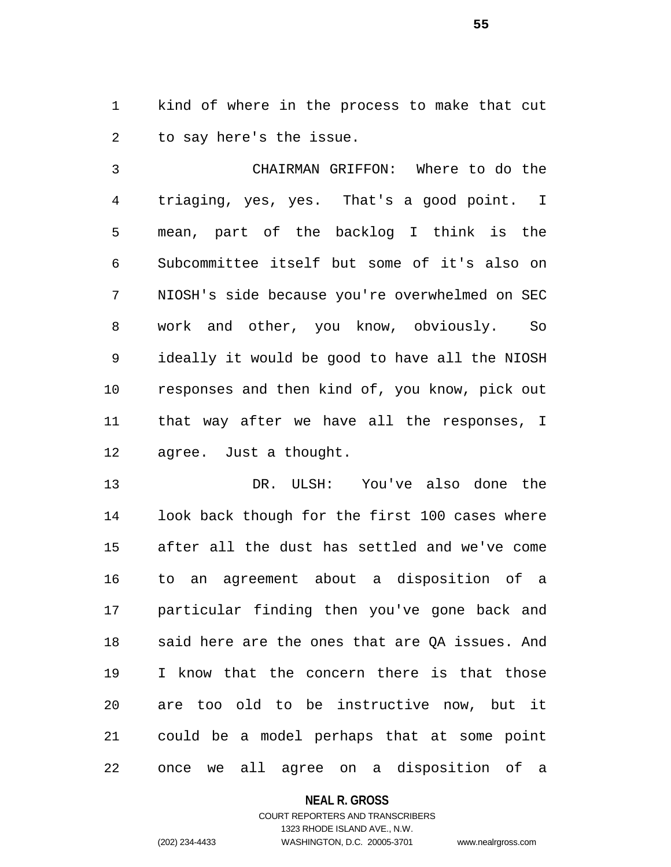kind of where in the process to make that cut to say here's the issue.

 CHAIRMAN GRIFFON: Where to do the triaging, yes, yes. That's a good point. I mean, part of the backlog I think is the Subcommittee itself but some of it's also on NIOSH's side because you're overwhelmed on SEC work and other, you know, obviously. So ideally it would be good to have all the NIOSH responses and then kind of, you know, pick out that way after we have all the responses, I agree. Just a thought.

 DR. ULSH: You've also done the look back though for the first 100 cases where after all the dust has settled and we've come to an agreement about a disposition of a particular finding then you've gone back and said here are the ones that are QA issues. And I know that the concern there is that those are too old to be instructive now, but it could be a model perhaps that at some point once we all agree on a disposition of a

#### **NEAL R. GROSS**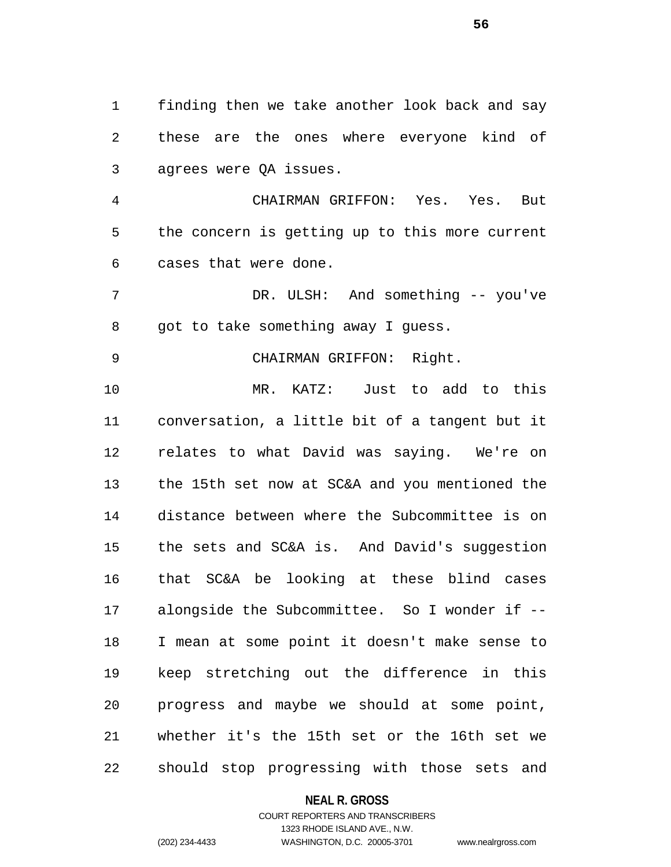finding then we take another look back and say these are the ones where everyone kind of agrees were QA issues.

 CHAIRMAN GRIFFON: Yes. Yes. But the concern is getting up to this more current cases that were done.

 DR. ULSH: And something -- you've got to take something away I guess.

# 9 CHAIRMAN GRIFFON: Right.

 MR. KATZ: Just to add to this conversation, a little bit of a tangent but it relates to what David was saying. We're on the 15th set now at SC&A and you mentioned the distance between where the Subcommittee is on the sets and SC&A is. And David's suggestion that SC&A be looking at these blind cases alongside the Subcommittee. So I wonder if -- I mean at some point it doesn't make sense to keep stretching out the difference in this progress and maybe we should at some point, whether it's the 15th set or the 16th set we should stop progressing with those sets and

#### **NEAL R. GROSS**

## COURT REPORTERS AND TRANSCRIBERS 1323 RHODE ISLAND AVE., N.W. (202) 234-4433 WASHINGTON, D.C. 20005-3701 www.nealrgross.com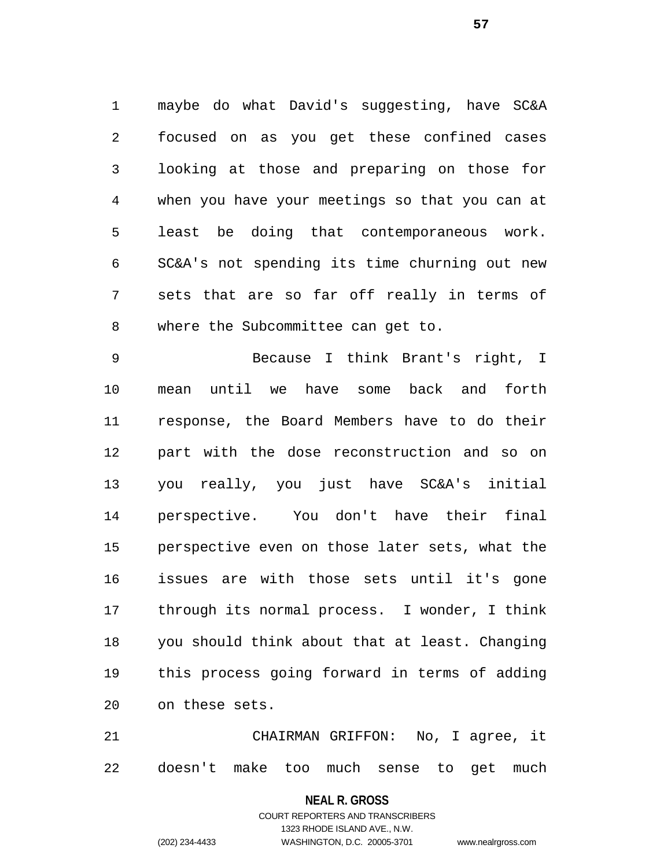maybe do what David's suggesting, have SC&A focused on as you get these confined cases looking at those and preparing on those for when you have your meetings so that you can at least be doing that contemporaneous work. SC&A's not spending its time churning out new sets that are so far off really in terms of where the Subcommittee can get to.

 Because I think Brant's right, I mean until we have some back and forth response, the Board Members have to do their part with the dose reconstruction and so on you really, you just have SC&A's initial perspective. You don't have their final perspective even on those later sets, what the issues are with those sets until it's gone through its normal process. I wonder, I think you should think about that at least. Changing this process going forward in terms of adding on these sets.

 CHAIRMAN GRIFFON: No, I agree, it doesn't make too much sense to get much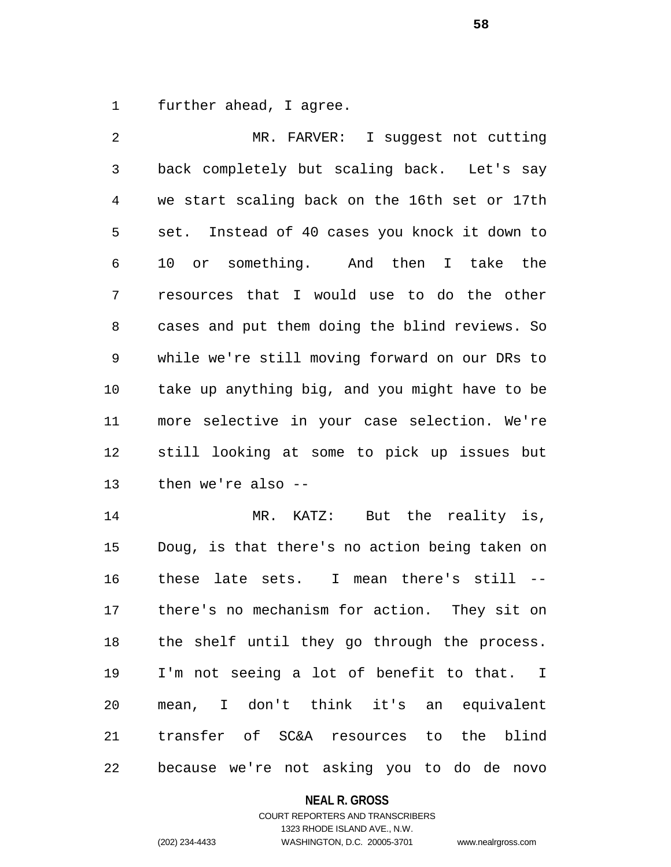further ahead, I agree.

 MR. FARVER: I suggest not cutting back completely but scaling back. Let's say we start scaling back on the 16th set or 17th set. Instead of 40 cases you knock it down to 10 or something. And then I take the resources that I would use to do the other cases and put them doing the blind reviews. So while we're still moving forward on our DRs to take up anything big, and you might have to be more selective in your case selection. We're still looking at some to pick up issues but then we're also -- MR. KATZ: But the reality is, Doug, is that there's no action being taken on

 these late sets. I mean there's still -- there's no mechanism for action. They sit on the shelf until they go through the process. I'm not seeing a lot of benefit to that. I mean, I don't think it's an equivalent transfer of SC&A resources to the blind because we're not asking you to do de novo

## **NEAL R. GROSS**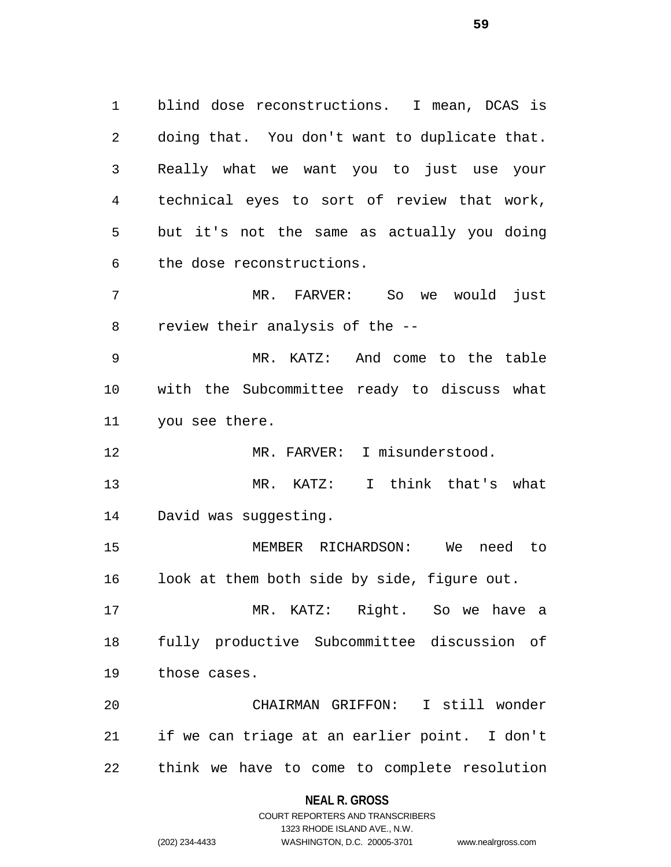blind dose reconstructions. I mean, DCAS is doing that. You don't want to duplicate that. Really what we want you to just use your technical eyes to sort of review that work, but it's not the same as actually you doing the dose reconstructions. MR. FARVER: So we would just review their analysis of the -- MR. KATZ: And come to the table with the Subcommittee ready to discuss what you see there. 12 MR. FARVER: I misunderstood. MR. KATZ: I think that's what David was suggesting. MEMBER RICHARDSON: We need to look at them both side by side, figure out. MR. KATZ: Right. So we have a fully productive Subcommittee discussion of

those cases.

 CHAIRMAN GRIFFON: I still wonder if we can triage at an earlier point. I don't think we have to come to complete resolution

## **NEAL R. GROSS**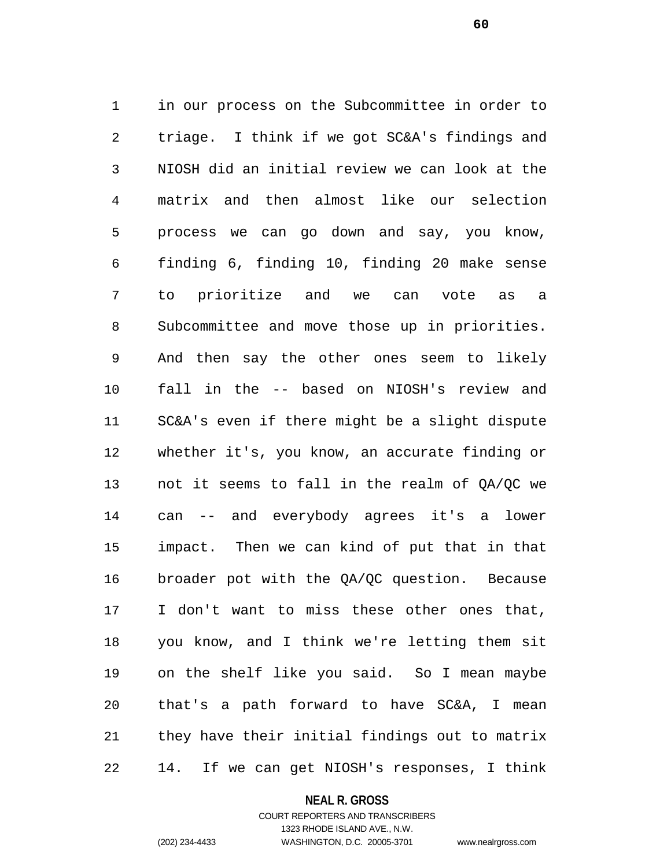in our process on the Subcommittee in order to triage. I think if we got SC&A's findings and NIOSH did an initial review we can look at the matrix and then almost like our selection process we can go down and say, you know, finding 6, finding 10, finding 20 make sense to prioritize and we can vote as a Subcommittee and move those up in priorities. And then say the other ones seem to likely fall in the -- based on NIOSH's review and SC&A's even if there might be a slight dispute whether it's, you know, an accurate finding or not it seems to fall in the realm of QA/QC we can -- and everybody agrees it's a lower impact. Then we can kind of put that in that broader pot with the QA/QC question. Because I don't want to miss these other ones that, you know, and I think we're letting them sit on the shelf like you said. So I mean maybe that's a path forward to have SC&A, I mean they have their initial findings out to matrix 14. If we can get NIOSH's responses, I think

#### **NEAL R. GROSS**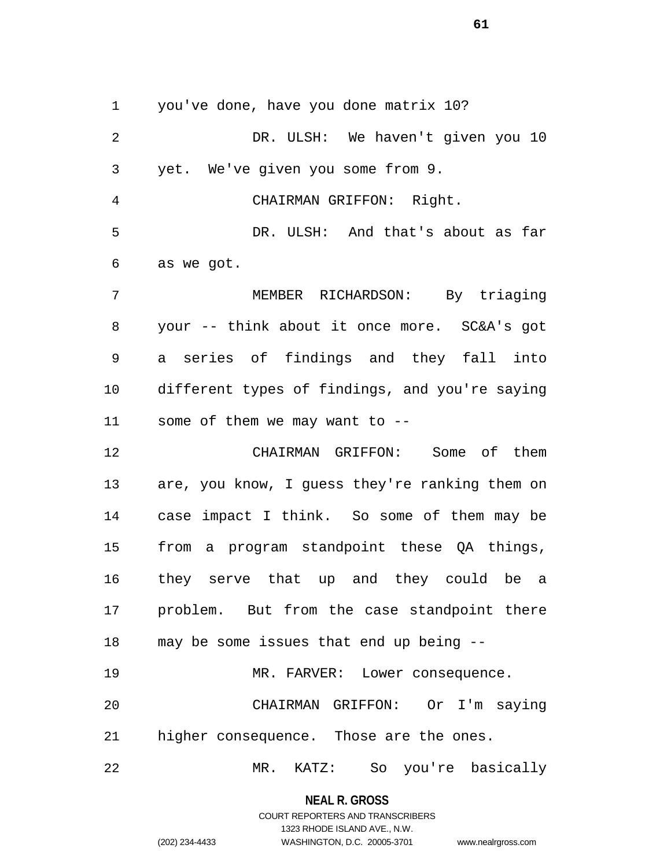you've done, have you done matrix 10?

 DR. ULSH: We haven't given you 10 yet. We've given you some from 9. CHAIRMAN GRIFFON: Right.

 DR. ULSH: And that's about as far as we got.

 MEMBER RICHARDSON: By triaging your -- think about it once more. SC&A's got a series of findings and they fall into different types of findings, and you're saying some of them we may want to --

 CHAIRMAN GRIFFON: Some of them are, you know, I guess they're ranking them on case impact I think. So some of them may be from a program standpoint these QA things, they serve that up and they could be a problem. But from the case standpoint there may be some issues that end up being --

19 MR. FARVER: Lower consequence. CHAIRMAN GRIFFON: Or I'm saying higher consequence. Those are the ones.

MR. KATZ: So you're basically

**NEAL R. GROSS** COURT REPORTERS AND TRANSCRIBERS

1323 RHODE ISLAND AVE., N.W. (202) 234-4433 WASHINGTON, D.C. 20005-3701 www.nealrgross.com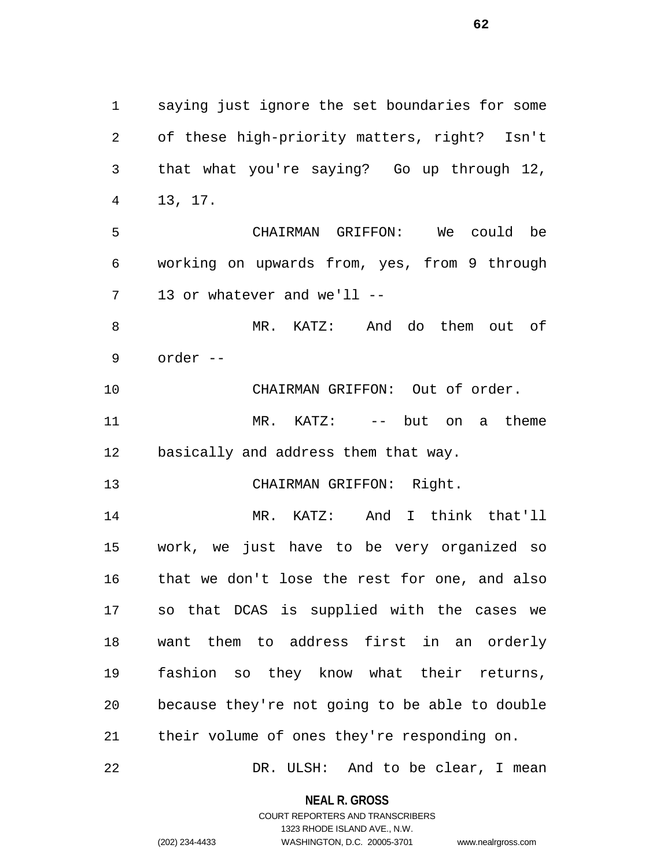saying just ignore the set boundaries for some of these high-priority matters, right? Isn't that what you're saying? Go up through 12, 13, 17. CHAIRMAN GRIFFON: We could be working on upwards from, yes, from 9 through 13 or whatever and we'll -- MR. KATZ: And do them out of order -- CHAIRMAN GRIFFON: Out of order. MR. KATZ: -- but on a theme basically and address them that way. CHAIRMAN GRIFFON: Right. MR. KATZ: And I think that'll work, we just have to be very organized so that we don't lose the rest for one, and also so that DCAS is supplied with the cases we want them to address first in an orderly fashion so they know what their returns, because they're not going to be able to double their volume of ones they're responding on.

DR. ULSH: And to be clear, I mean

**NEAL R. GROSS** COURT REPORTERS AND TRANSCRIBERS

1323 RHODE ISLAND AVE., N.W.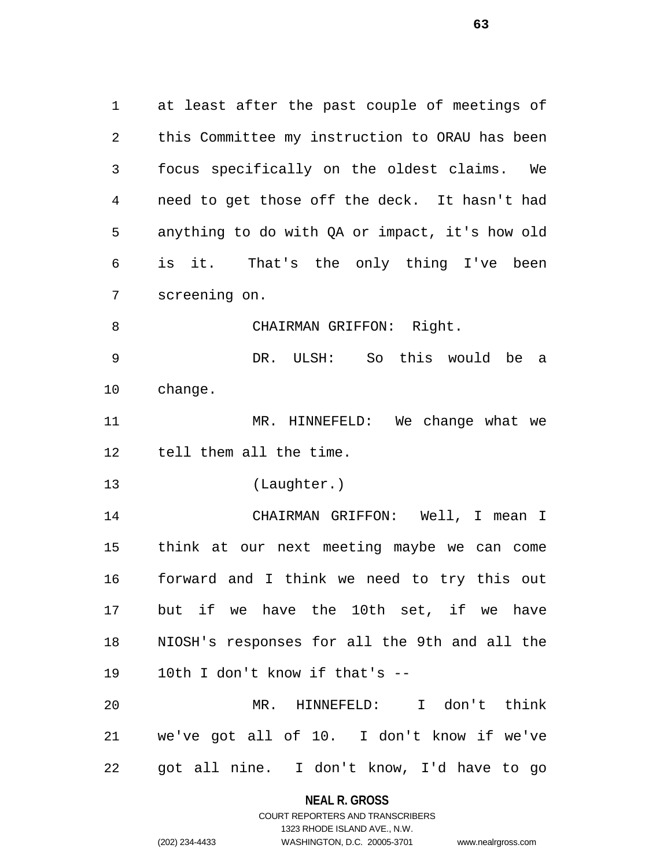at least after the past couple of meetings of this Committee my instruction to ORAU has been focus specifically on the oldest claims. We need to get those off the deck. It hasn't had anything to do with QA or impact, it's how old is it. That's the only thing I've been screening on. 8 CHAIRMAN GRIFFON: Right. DR. ULSH: So this would be a change. MR. HINNEFELD: We change what we tell them all the time. (Laughter.) CHAIRMAN GRIFFON: Well, I mean I think at our next meeting maybe we can come forward and I think we need to try this out but if we have the 10th set, if we have NIOSH's responses for all the 9th and all the 10th I don't know if that's -- MR. HINNEFELD: I don't think we've got all of 10. I don't know if we've

got all nine. I don't know, I'd have to go

**NEAL R. GROSS** COURT REPORTERS AND TRANSCRIBERS

1323 RHODE ISLAND AVE., N.W.

(202) 234-4433 WASHINGTON, D.C. 20005-3701 www.nealrgross.com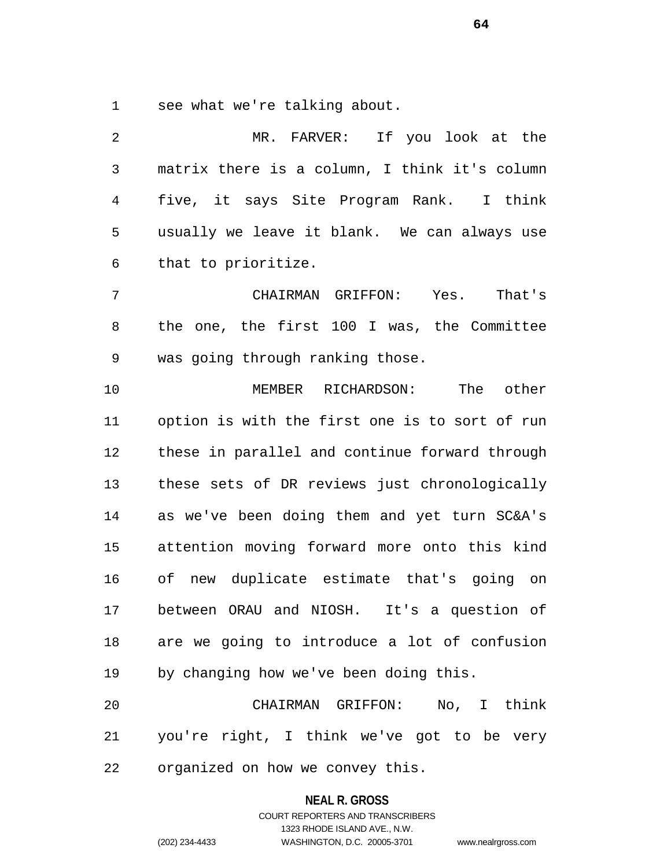see what we're talking about.

 MR. FARVER: If you look at the matrix there is a column, I think it's column five, it says Site Program Rank. I think usually we leave it blank. We can always use that to prioritize. CHAIRMAN GRIFFON: Yes. That's the one, the first 100 I was, the Committee was going through ranking those. MEMBER RICHARDSON: The other option is with the first one is to sort of run these in parallel and continue forward through these sets of DR reviews just chronologically as we've been doing them and yet turn SC&A's attention moving forward more onto this kind of new duplicate estimate that's going on between ORAU and NIOSH. It's a question of are we going to introduce a lot of confusion by changing how we've been doing this. CHAIRMAN GRIFFON: No, I think you're right, I think we've got to be very

organized on how we convey this.

#### **NEAL R. GROSS**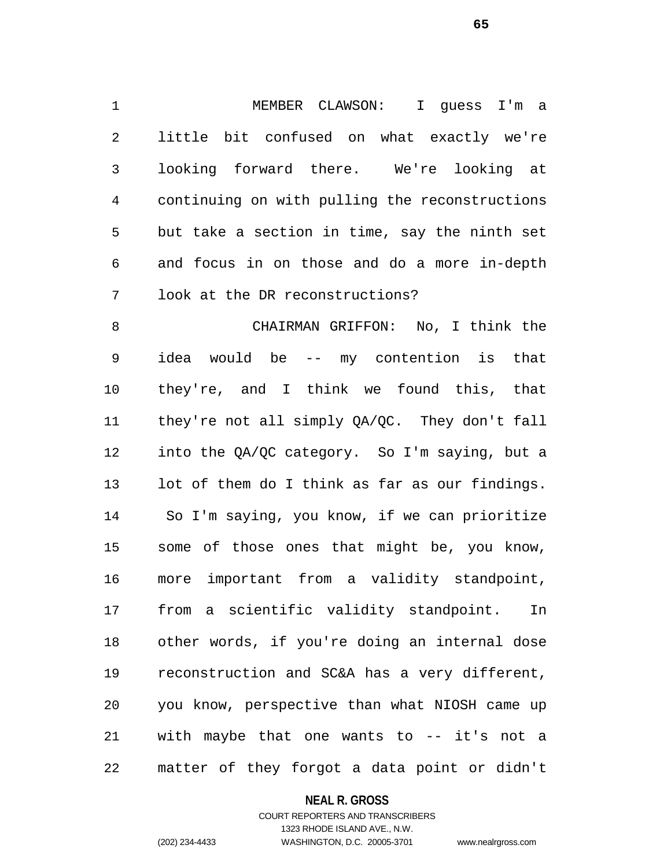MEMBER CLAWSON: I guess I'm a little bit confused on what exactly we're looking forward there. We're looking at continuing on with pulling the reconstructions but take a section in time, say the ninth set and focus in on those and do a more in-depth look at the DR reconstructions?

 CHAIRMAN GRIFFON: No, I think the idea would be -- my contention is that they're, and I think we found this, that they're not all simply QA/QC. They don't fall into the QA/QC category. So I'm saying, but a lot of them do I think as far as our findings. So I'm saying, you know, if we can prioritize some of those ones that might be, you know, more important from a validity standpoint, from a scientific validity standpoint. In other words, if you're doing an internal dose reconstruction and SC&A has a very different, you know, perspective than what NIOSH came up with maybe that one wants to -- it's not a matter of they forgot a data point or didn't

## **NEAL R. GROSS**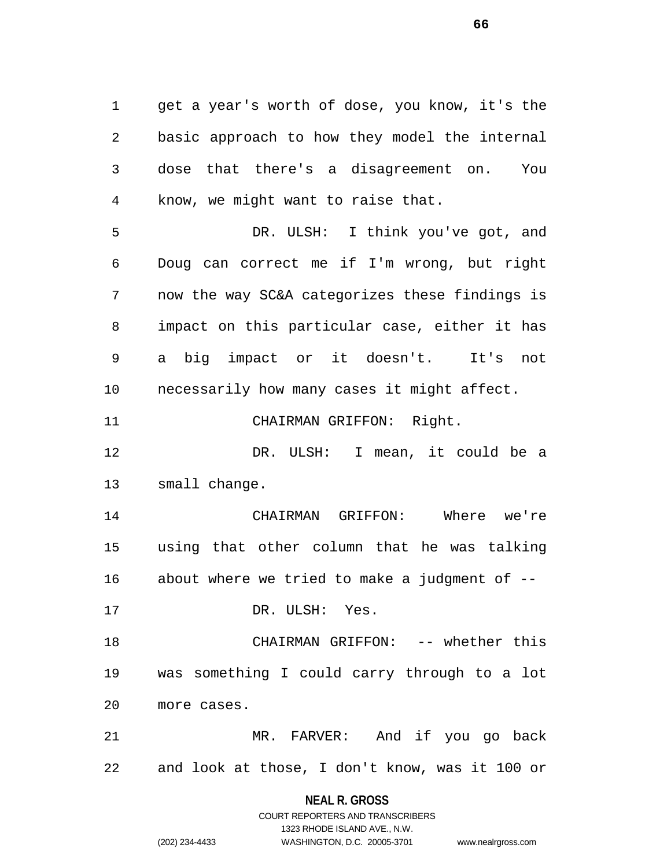get a year's worth of dose, you know, it's the basic approach to how they model the internal dose that there's a disagreement on. You know, we might want to raise that.

 DR. ULSH: I think you've got, and Doug can correct me if I'm wrong, but right now the way SC&A categorizes these findings is impact on this particular case, either it has a big impact or it doesn't. It's not necessarily how many cases it might affect.

CHAIRMAN GRIFFON: Right.

 DR. ULSH: I mean, it could be a small change.

 CHAIRMAN GRIFFON: Where we're using that other column that he was talking about where we tried to make a judgment of --

DR. ULSH: Yes.

 CHAIRMAN GRIFFON: -- whether this was something I could carry through to a lot more cases.

 MR. FARVER: And if you go back and look at those, I don't know, was it 100 or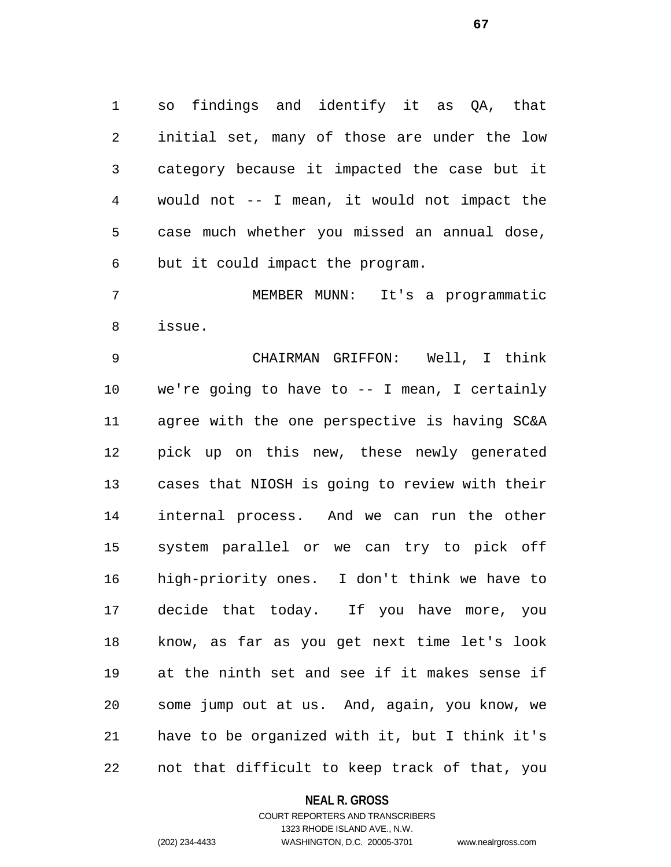so findings and identify it as QA, that initial set, many of those are under the low category because it impacted the case but it would not -- I mean, it would not impact the case much whether you missed an annual dose, but it could impact the program.

 MEMBER MUNN: It's a programmatic issue.

 CHAIRMAN GRIFFON: Well, I think we're going to have to -- I mean, I certainly agree with the one perspective is having SC&A pick up on this new, these newly generated cases that NIOSH is going to review with their internal process. And we can run the other system parallel or we can try to pick off high-priority ones. I don't think we have to decide that today. If you have more, you know, as far as you get next time let's look at the ninth set and see if it makes sense if some jump out at us. And, again, you know, we have to be organized with it, but I think it's not that difficult to keep track of that, you

**NEAL R. GROSS**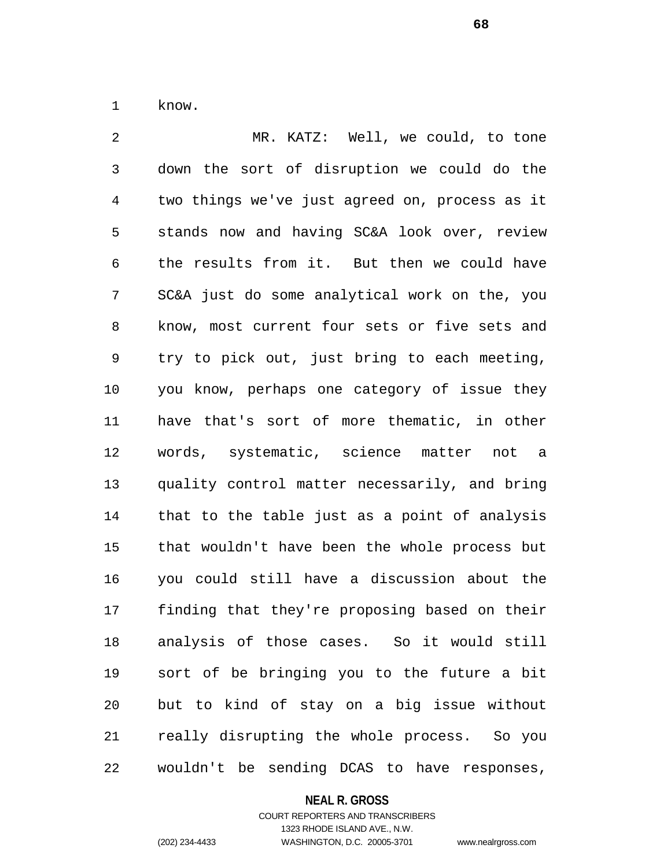know.

 MR. KATZ: Well, we could, to tone down the sort of disruption we could do the two things we've just agreed on, process as it stands now and having SC&A look over, review the results from it. But then we could have SC&A just do some analytical work on the, you know, most current four sets or five sets and try to pick out, just bring to each meeting, you know, perhaps one category of issue they have that's sort of more thematic, in other words, systematic, science matter not a quality control matter necessarily, and bring that to the table just as a point of analysis that wouldn't have been the whole process but you could still have a discussion about the finding that they're proposing based on their analysis of those cases. So it would still sort of be bringing you to the future a bit but to kind of stay on a big issue without really disrupting the whole process. So you wouldn't be sending DCAS to have responses,

#### **NEAL R. GROSS**

COURT REPORTERS AND TRANSCRIBERS 1323 RHODE ISLAND AVE., N.W. (202) 234-4433 WASHINGTON, D.C. 20005-3701 www.nealrgross.com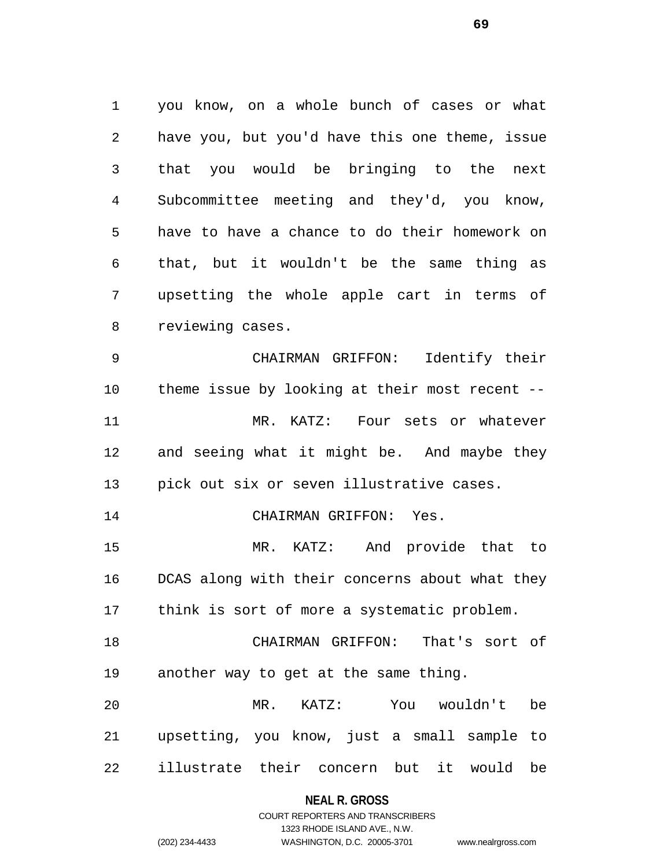you know, on a whole bunch of cases or what have you, but you'd have this one theme, issue that you would be bringing to the next Subcommittee meeting and they'd, you know, have to have a chance to do their homework on that, but it wouldn't be the same thing as upsetting the whole apple cart in terms of reviewing cases.

 CHAIRMAN GRIFFON: Identify their theme issue by looking at their most recent -- MR. KATZ: Four sets or whatever and seeing what it might be. And maybe they pick out six or seven illustrative cases.

CHAIRMAN GRIFFON: Yes.

 MR. KATZ: And provide that to DCAS along with their concerns about what they think is sort of more a systematic problem.

 CHAIRMAN GRIFFON: That's sort of another way to get at the same thing.

 MR. KATZ: You wouldn't be upsetting, you know, just a small sample to illustrate their concern but it would be

**NEAL R. GROSS**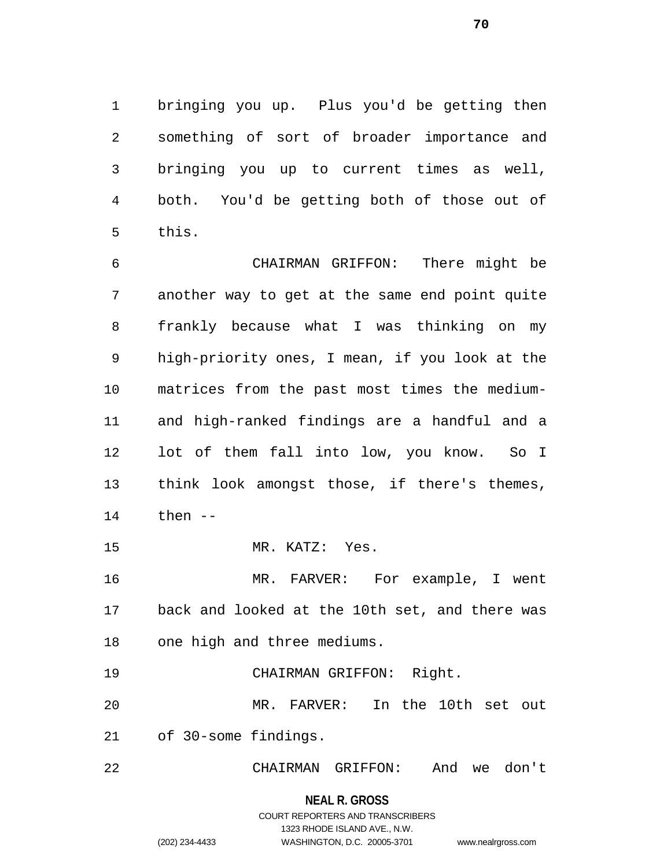bringing you up. Plus you'd be getting then something of sort of broader importance and bringing you up to current times as well, both. You'd be getting both of those out of this.

 CHAIRMAN GRIFFON: There might be another way to get at the same end point quite frankly because what I was thinking on my high-priority ones, I mean, if you look at the matrices from the past most times the medium- and high-ranked findings are a handful and a lot of them fall into low, you know. So I think look amongst those, if there's themes, then --

MR. KATZ: Yes.

 MR. FARVER: For example, I went back and looked at the 10th set, and there was one high and three mediums.

CHAIRMAN GRIFFON: Right.

 MR. FARVER: In the 10th set out of 30-some findings.

CHAIRMAN GRIFFON: And we don't

**NEAL R. GROSS**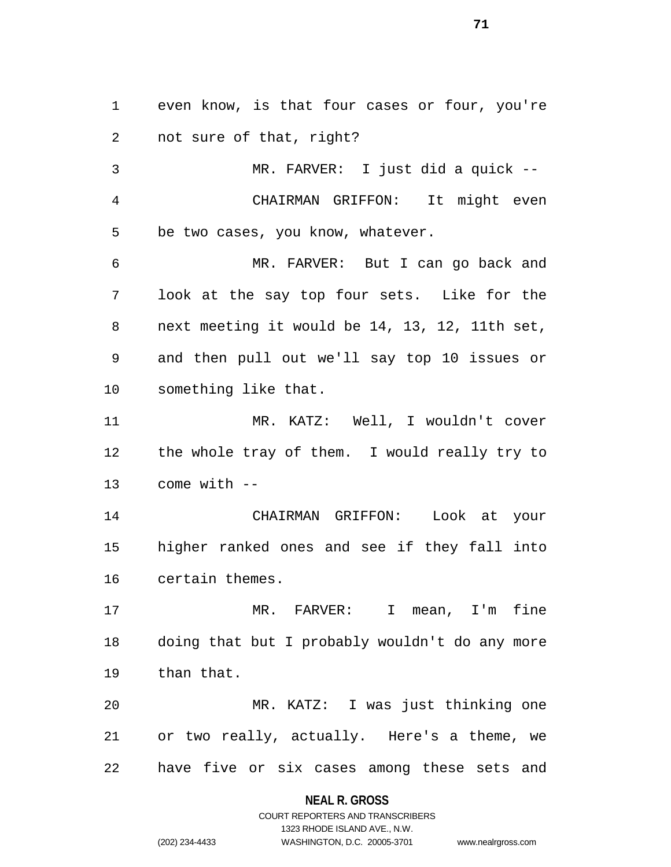even know, is that four cases or four, you're not sure of that, right?

 MR. FARVER: I just did a quick -- CHAIRMAN GRIFFON: It might even be two cases, you know, whatever.

 MR. FARVER: But I can go back and look at the say top four sets. Like for the next meeting it would be 14, 13, 12, 11th set, and then pull out we'll say top 10 issues or something like that.

 MR. KATZ: Well, I wouldn't cover the whole tray of them. I would really try to come with --

 CHAIRMAN GRIFFON: Look at your higher ranked ones and see if they fall into certain themes.

 MR. FARVER: I mean, I'm fine doing that but I probably wouldn't do any more than that.

 MR. KATZ: I was just thinking one or two really, actually. Here's a theme, we have five or six cases among these sets and

## **NEAL R. GROSS**

# COURT REPORTERS AND TRANSCRIBERS 1323 RHODE ISLAND AVE., N.W. (202) 234-4433 WASHINGTON, D.C. 20005-3701 www.nealrgross.com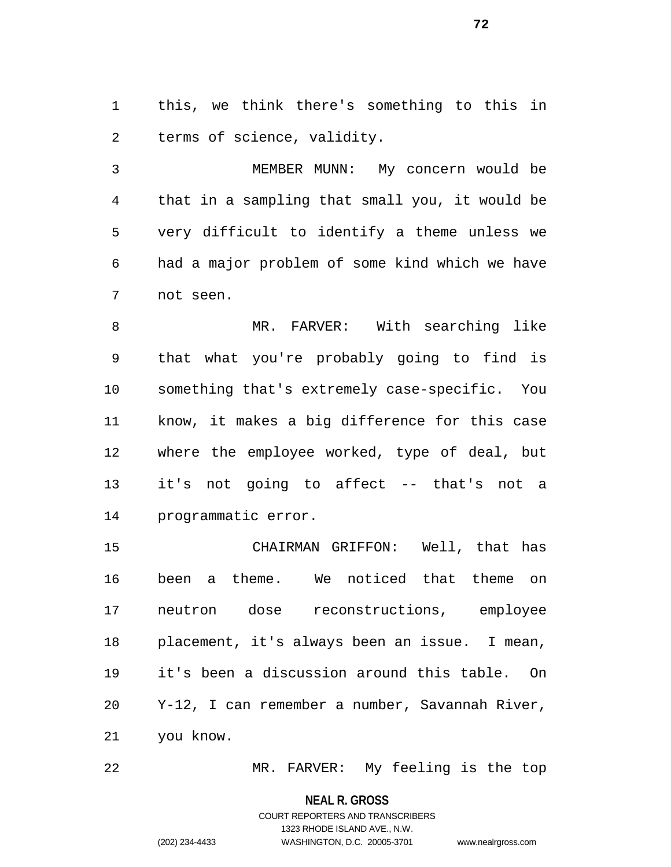this, we think there's something to this in terms of science, validity.

 MEMBER MUNN: My concern would be that in a sampling that small you, it would be very difficult to identify a theme unless we had a major problem of some kind which we have not seen.

 MR. FARVER: With searching like that what you're probably going to find is something that's extremely case-specific. You know, it makes a big difference for this case where the employee worked, type of deal, but it's not going to affect -- that's not a programmatic error.

 CHAIRMAN GRIFFON: Well, that has been a theme. We noticed that theme on neutron dose reconstructions, employee placement, it's always been an issue. I mean, it's been a discussion around this table. On Y-12, I can remember a number, Savannah River, you know.

MR. FARVER: My feeling is the top

**NEAL R. GROSS**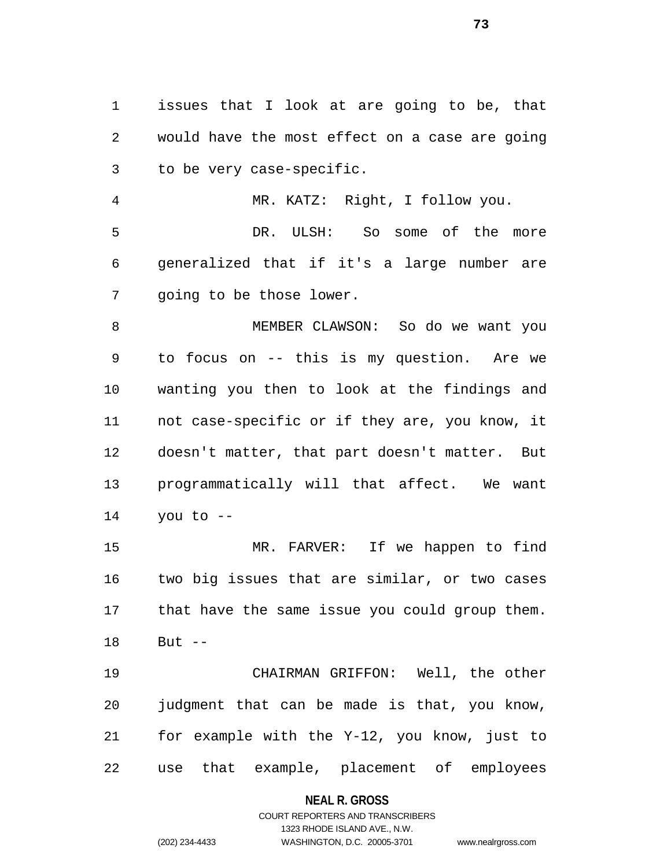issues that I look at are going to be, that would have the most effect on a case are going to be very case-specific.

 MR. KATZ: Right, I follow you. DR. ULSH: So some of the more generalized that if it's a large number are going to be those lower.

 MEMBER CLAWSON: So do we want you to focus on -- this is my question. Are we wanting you then to look at the findings and not case-specific or if they are, you know, it doesn't matter, that part doesn't matter. But programmatically will that affect. We want you to --

 MR. FARVER: If we happen to find two big issues that are similar, or two cases that have the same issue you could group them. But --

 CHAIRMAN GRIFFON: Well, the other judgment that can be made is that, you know, for example with the Y-12, you know, just to use that example, placement of employees

#### **NEAL R. GROSS**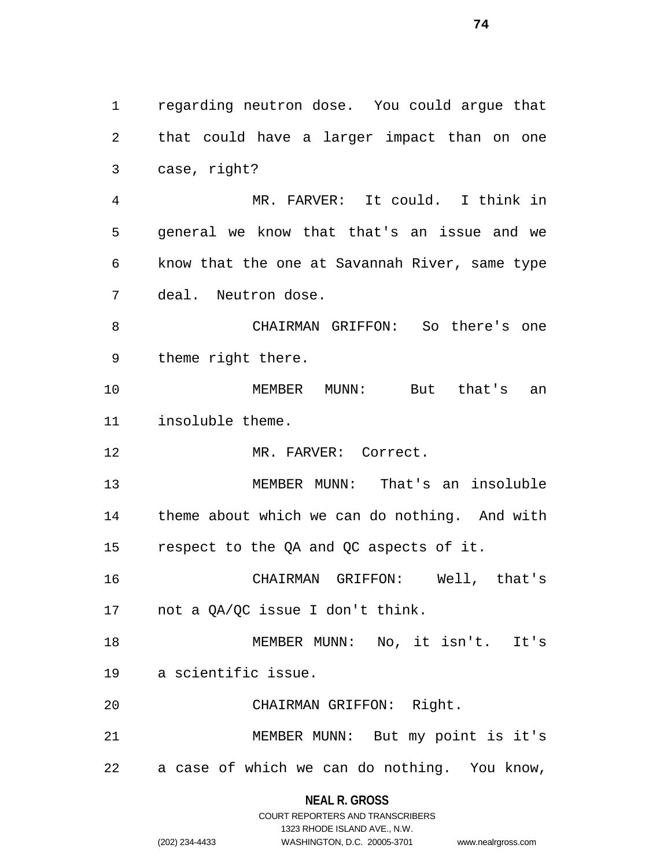regarding neutron dose. You could argue that that could have a larger impact than on one case, right? MR. FARVER: It could. I think in general we know that that's an issue and we know that the one at Savannah River, same type deal. Neutron dose. CHAIRMAN GRIFFON: So there's one theme right there. MEMBER MUNN: But that's an insoluble theme. MR. FARVER: Correct. MEMBER MUNN: That's an insoluble theme about which we can do nothing. And with respect to the QA and QC aspects of it. CHAIRMAN GRIFFON: Well, that's not a QA/QC issue I don't think. MEMBER MUNN: No, it isn't. It's a scientific issue. CHAIRMAN GRIFFON: Right. MEMBER MUNN: But my point is it's a case of which we can do nothing. You know,

> **NEAL R. GROSS** COURT REPORTERS AND TRANSCRIBERS

> > 1323 RHODE ISLAND AVE., N.W.

(202) 234-4433 WASHINGTON, D.C. 20005-3701 www.nealrgross.com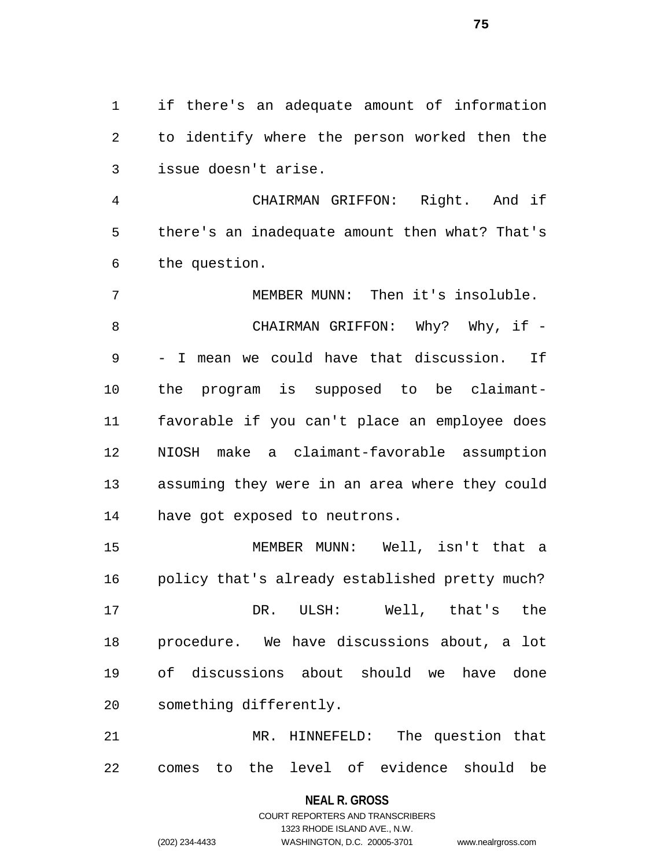if there's an adequate amount of information to identify where the person worked then the issue doesn't arise.

 CHAIRMAN GRIFFON: Right. And if there's an inadequate amount then what? That's the question.

 MEMBER MUNN: Then it's insoluble. 8 CHAIRMAN GRIFFON: Why? Why, if - - I mean we could have that discussion. If the program is supposed to be claimant- favorable if you can't place an employee does NIOSH make a claimant-favorable assumption assuming they were in an area where they could have got exposed to neutrons.

 MEMBER MUNN: Well, isn't that a policy that's already established pretty much? DR. ULSH: Well, that's the procedure. We have discussions about, a lot of discussions about should we have done something differently.

 MR. HINNEFELD: The question that comes to the level of evidence should be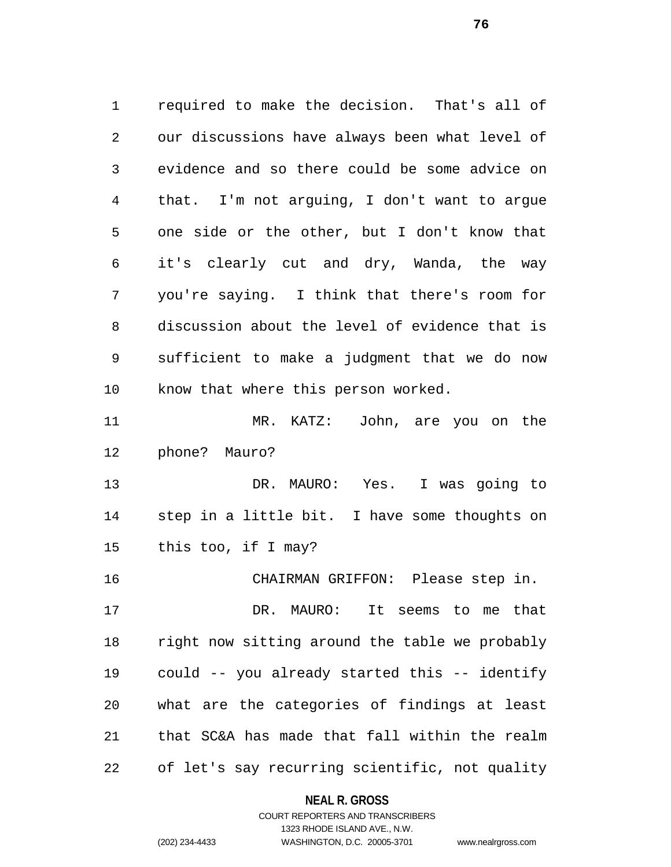required to make the decision. That's all of our discussions have always been what level of evidence and so there could be some advice on that. I'm not arguing, I don't want to argue one side or the other, but I don't know that it's clearly cut and dry, Wanda, the way you're saying. I think that there's room for discussion about the level of evidence that is sufficient to make a judgment that we do now know that where this person worked. MR. KATZ: John, are you on the phone? Mauro? DR. MAURO: Yes. I was going to step in a little bit. I have some thoughts on this too, if I may? CHAIRMAN GRIFFON: Please step in. DR. MAURO: It seems to me that right now sitting around the table we probably could -- you already started this -- identify what are the categories of findings at least that SC&A has made that fall within the realm of let's say recurring scientific, not quality

**NEAL R. GROSS**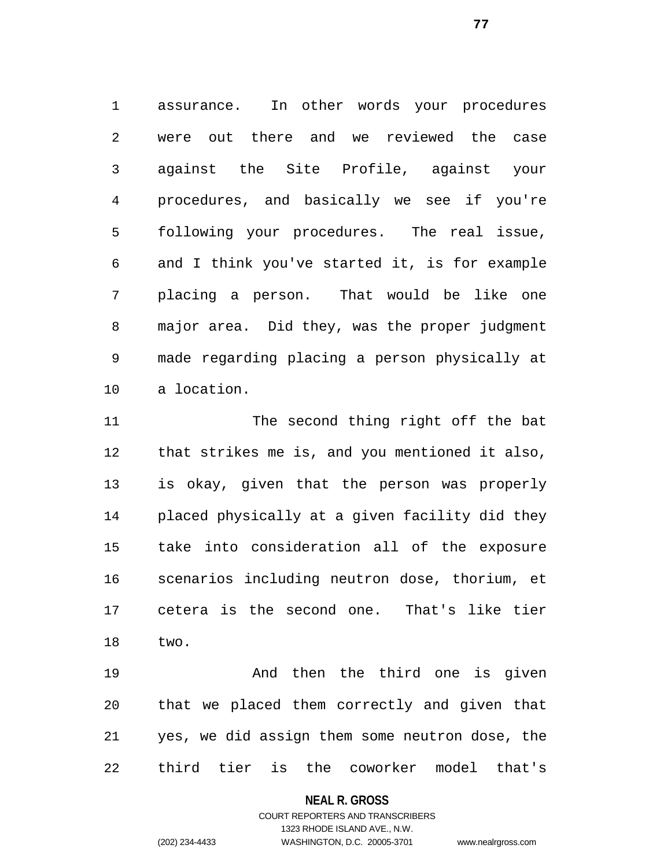assurance. In other words your procedures were out there and we reviewed the case against the Site Profile, against your procedures, and basically we see if you're following your procedures. The real issue, and I think you've started it, is for example placing a person. That would be like one major area. Did they, was the proper judgment made regarding placing a person physically at a location.

11 The second thing right off the bat that strikes me is, and you mentioned it also, is okay, given that the person was properly placed physically at a given facility did they take into consideration all of the exposure scenarios including neutron dose, thorium, et cetera is the second one. That's like tier two.

**And then the third one is given**  that we placed them correctly and given that yes, we did assign them some neutron dose, the third tier is the coworker model that's

#### **NEAL R. GROSS**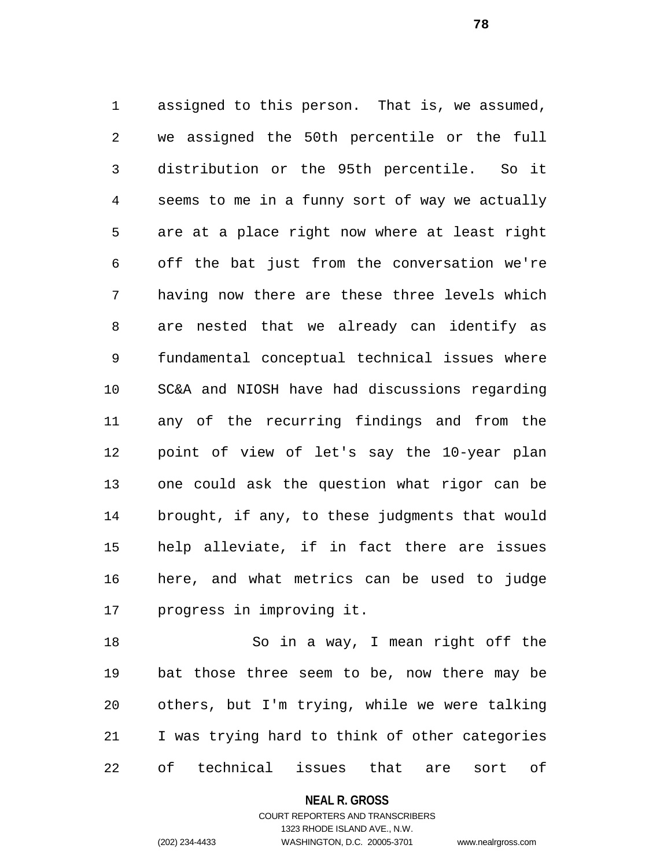assigned to this person. That is, we assumed, we assigned the 50th percentile or the full distribution or the 95th percentile. So it seems to me in a funny sort of way we actually are at a place right now where at least right off the bat just from the conversation we're having now there are these three levels which are nested that we already can identify as fundamental conceptual technical issues where SC&A and NIOSH have had discussions regarding any of the recurring findings and from the point of view of let's say the 10-year plan one could ask the question what rigor can be brought, if any, to these judgments that would help alleviate, if in fact there are issues here, and what metrics can be used to judge progress in improving it.

 So in a way, I mean right off the bat those three seem to be, now there may be others, but I'm trying, while we were talking I was trying hard to think of other categories of technical issues that are sort of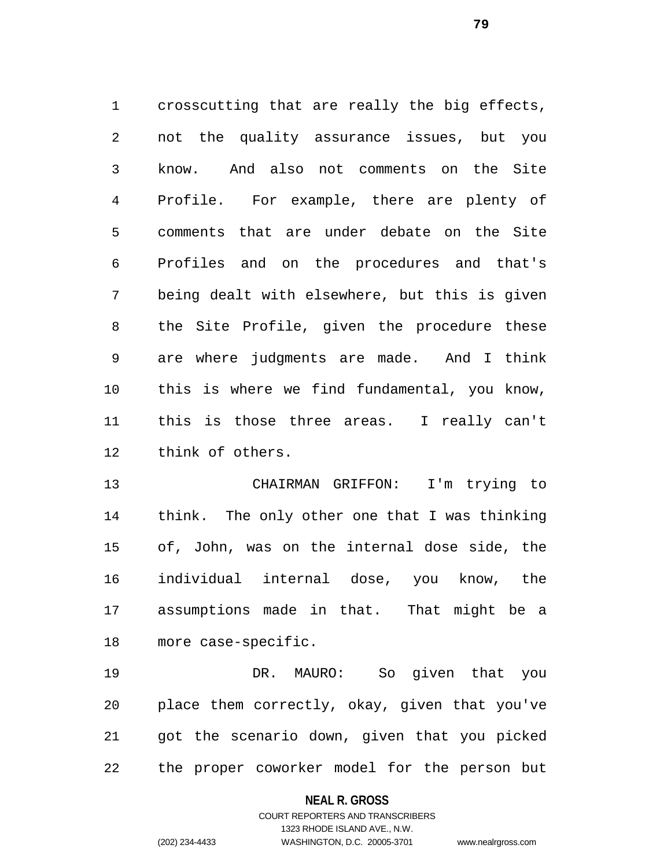crosscutting that are really the big effects, not the quality assurance issues, but you know. And also not comments on the Site Profile. For example, there are plenty of comments that are under debate on the Site Profiles and on the procedures and that's being dealt with elsewhere, but this is given the Site Profile, given the procedure these are where judgments are made. And I think this is where we find fundamental, you know, this is those three areas. I really can't think of others.

 CHAIRMAN GRIFFON: I'm trying to think. The only other one that I was thinking of, John, was on the internal dose side, the individual internal dose, you know, the assumptions made in that. That might be a more case-specific.

 DR. MAURO: So given that you place them correctly, okay, given that you've got the scenario down, given that you picked the proper coworker model for the person but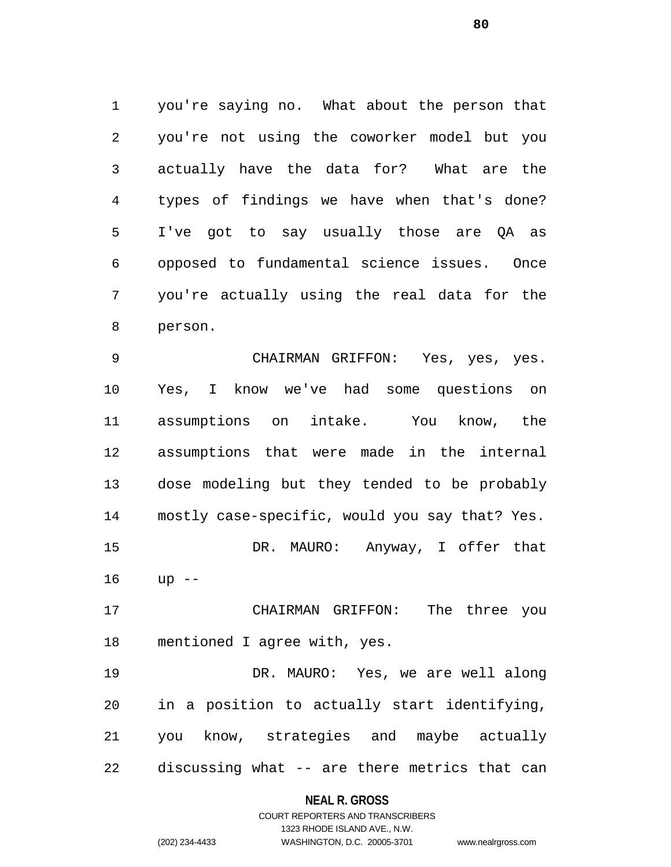you're saying no. What about the person that you're not using the coworker model but you actually have the data for? What are the types of findings we have when that's done? I've got to say usually those are QA as opposed to fundamental science issues. Once you're actually using the real data for the person.

 CHAIRMAN GRIFFON: Yes, yes, yes. Yes, I know we've had some questions on assumptions on intake. You know, the assumptions that were made in the internal dose modeling but they tended to be probably mostly case-specific, would you say that? Yes. DR. MAURO: Anyway, I offer that up --

 CHAIRMAN GRIFFON: The three you mentioned I agree with, yes.

 DR. MAURO: Yes, we are well along in a position to actually start identifying, you know, strategies and maybe actually discussing what -- are there metrics that can

#### **NEAL R. GROSS**

COURT REPORTERS AND TRANSCRIBERS 1323 RHODE ISLAND AVE., N.W. (202) 234-4433 WASHINGTON, D.C. 20005-3701 www.nealrgross.com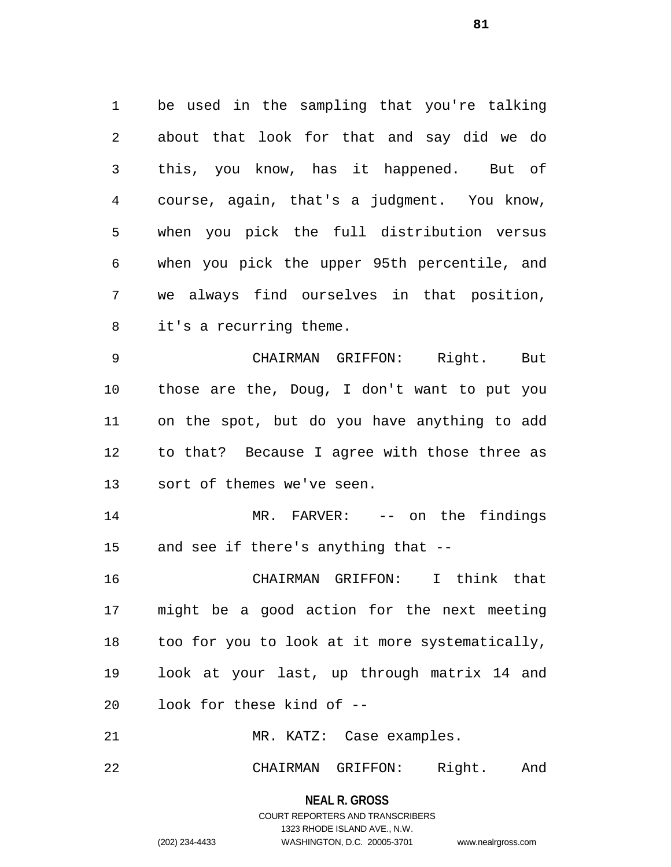be used in the sampling that you're talking about that look for that and say did we do this, you know, has it happened. But of course, again, that's a judgment. You know, when you pick the full distribution versus when you pick the upper 95th percentile, and we always find ourselves in that position, it's a recurring theme.

 CHAIRMAN GRIFFON: Right. But those are the, Doug, I don't want to put you on the spot, but do you have anything to add to that? Because I agree with those three as sort of themes we've seen.

 MR. FARVER: -- on the findings and see if there's anything that --

 CHAIRMAN GRIFFON: I think that might be a good action for the next meeting too for you to look at it more systematically, look at your last, up through matrix 14 and look for these kind of --

MR. KATZ: Case examples.

CHAIRMAN GRIFFON: Right. And

**NEAL R. GROSS** COURT REPORTERS AND TRANSCRIBERS

1323 RHODE ISLAND AVE., N.W.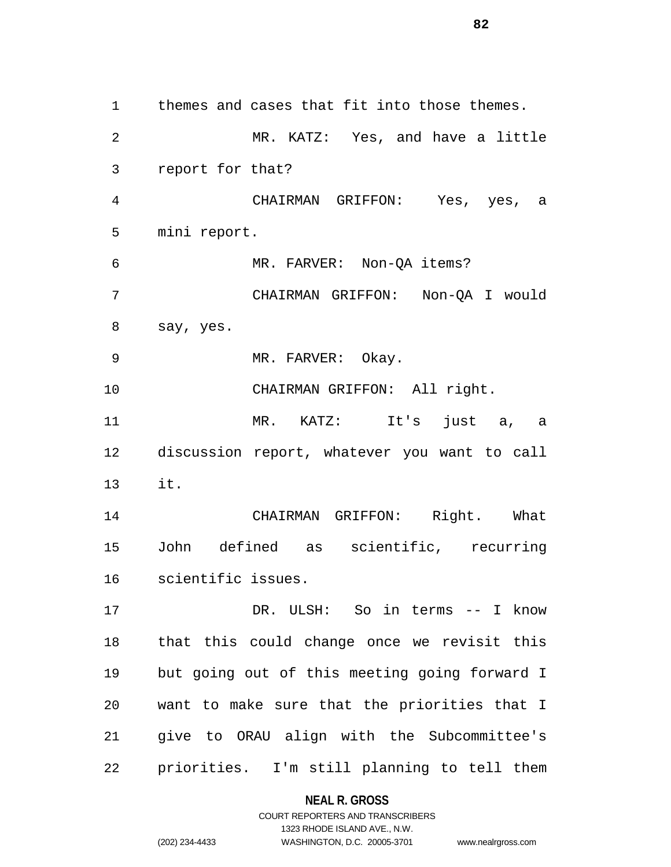themes and cases that fit into those themes. MR. KATZ: Yes, and have a little report for that? CHAIRMAN GRIFFON: Yes, yes, a mini report. MR. FARVER: Non-QA items? CHAIRMAN GRIFFON: Non-QA I would say, yes. 9 MR. FARVER: Okay. 10 CHAIRMAN GRIFFON: All right. MR. KATZ: It's just a, a discussion report, whatever you want to call it. CHAIRMAN GRIFFON: Right. What John defined as scientific, recurring scientific issues. DR. ULSH: So in terms -- I know that this could change once we revisit this but going out of this meeting going forward I want to make sure that the priorities that I give to ORAU align with the Subcommittee's priorities. I'm still planning to tell them

### **NEAL R. GROSS**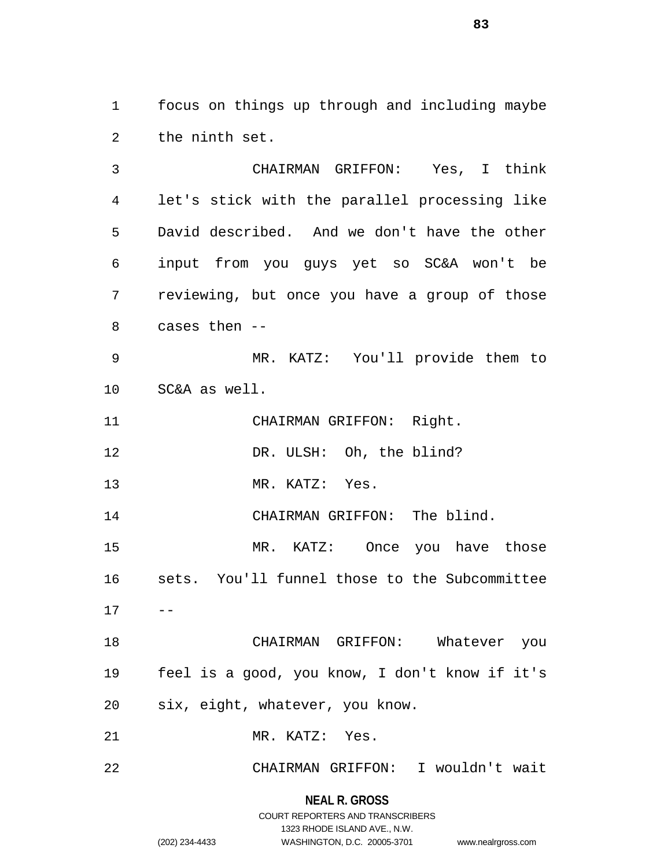focus on things up through and including maybe the ninth set.

 CHAIRMAN GRIFFON: Yes, I think let's stick with the parallel processing like David described. And we don't have the other input from you guys yet so SC&A won't be reviewing, but once you have a group of those cases then -- MR. KATZ: You'll provide them to SC&A as well. CHAIRMAN GRIFFON: Right. 12 DR. ULSH: Oh, the blind? MR. KATZ: Yes. 14 CHAIRMAN GRIFFON: The blind. MR. KATZ: Once you have those sets. You'll funnel those to the Subcommittee  $17 - -$  CHAIRMAN GRIFFON: Whatever you feel is a good, you know, I don't know if it's six, eight, whatever, you know. MR. KATZ: Yes. CHAIRMAN GRIFFON: I wouldn't wait

> **NEAL R. GROSS** COURT REPORTERS AND TRANSCRIBERS

> > 1323 RHODE ISLAND AVE., N.W.

(202) 234-4433 WASHINGTON, D.C. 20005-3701 www.nealrgross.com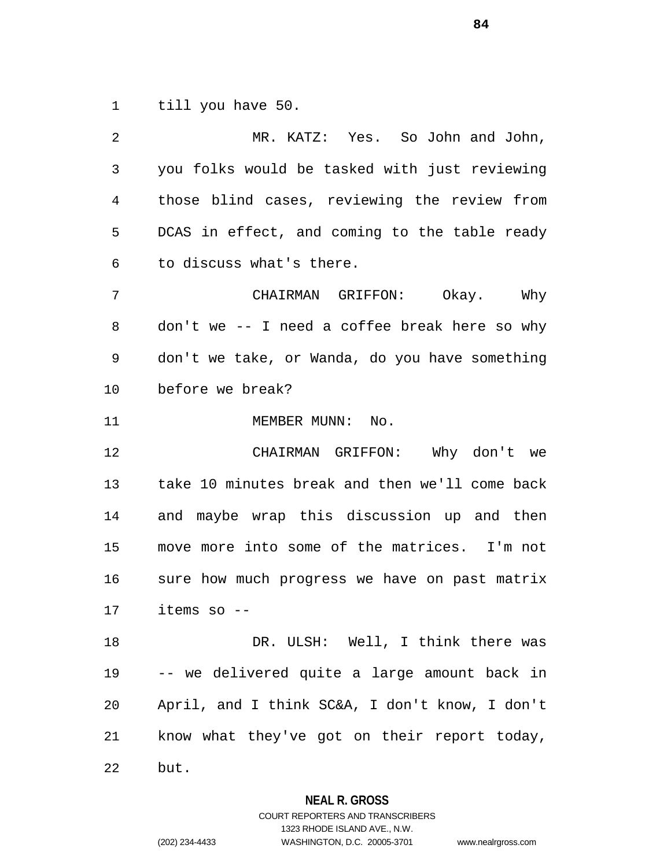till you have 50.

| 2  | MR. KATZ: Yes. So John and John,               |
|----|------------------------------------------------|
| 3  | you folks would be tasked with just reviewing  |
| 4  | those blind cases, reviewing the review from   |
| 5  | DCAS in effect, and coming to the table ready  |
| 6  | to discuss what's there.                       |
| 7  | CHAIRMAN GRIFFON: Okay. Why                    |
| 8  | don't we -- I need a coffee break here so why  |
| 9  | don't we take, or Wanda, do you have something |
| 10 | before we break?                               |
| 11 | MEMBER MUNN: No.                               |
| 12 | CHAIRMAN GRIFFON: Why don't we                 |
| 13 | take 10 minutes break and then we'll come back |
| 14 | and maybe wrap this discussion up and then     |
| 15 | move more into some of the matrices. I'm not   |
| 16 | sure how much progress we have on past matrix  |
| 17 | items so --                                    |
| 18 | DR. ULSH: Well, I think there was              |
| 19 | -- we delivered quite a large amount back in   |
| 20 | April, and I think SC&A, I don't know, I don't |
| 21 | know what they've got on their report today,   |
| 22 | but.                                           |

**NEAL R. GROSS**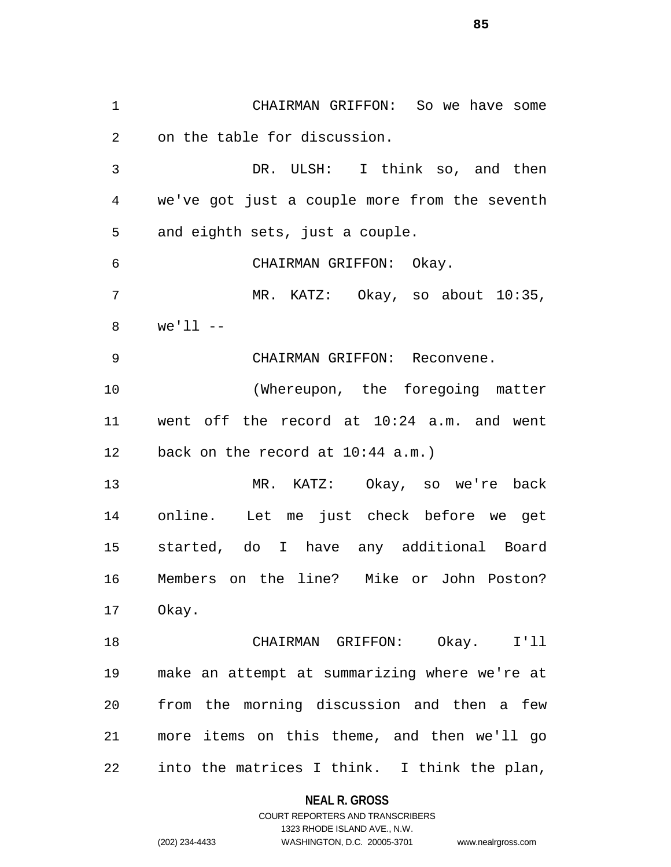CHAIRMAN GRIFFON: So we have some on the table for discussion. DR. ULSH: I think so, and then we've got just a couple more from the seventh and eighth sets, just a couple. CHAIRMAN GRIFFON: Okay. MR. KATZ: Okay, so about 10:35, we'll -- CHAIRMAN GRIFFON: Reconvene. (Whereupon, the foregoing matter went off the record at 10:24 a.m. and went back on the record at 10:44 a.m.) MR. KATZ: Okay, so we're back online. Let me just check before we get started, do I have any additional Board Members on the line? Mike or John Poston? Okay. CHAIRMAN GRIFFON: Okay. I'll make an attempt at summarizing where we're at from the morning discussion and then a few more items on this theme, and then we'll go into the matrices I think. I think the plan,

> **NEAL R. GROSS** COURT REPORTERS AND TRANSCRIBERS

1323 RHODE ISLAND AVE., N.W. (202) 234-4433 WASHINGTON, D.C. 20005-3701 www.nealrgross.com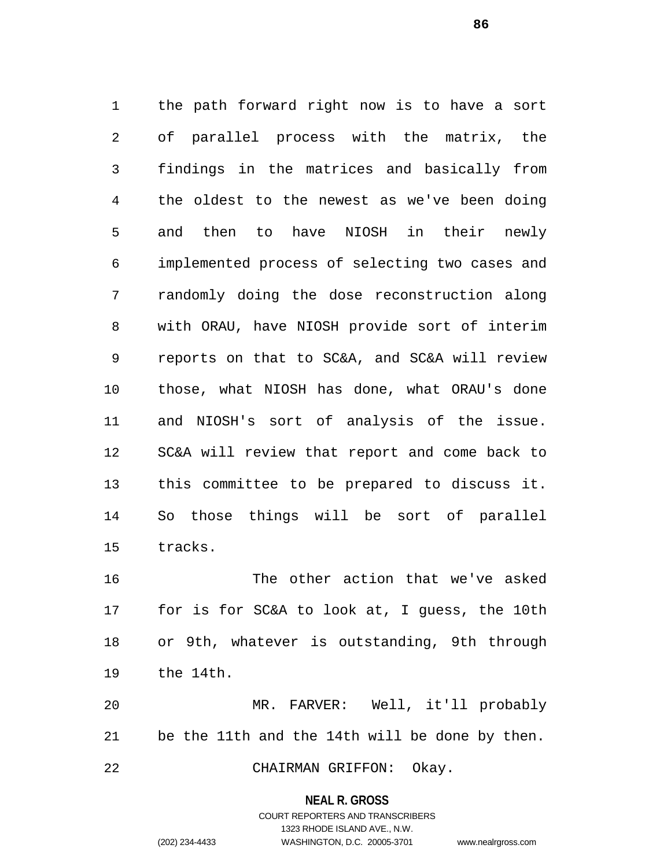the path forward right now is to have a sort of parallel process with the matrix, the findings in the matrices and basically from the oldest to the newest as we've been doing and then to have NIOSH in their newly implemented process of selecting two cases and randomly doing the dose reconstruction along with ORAU, have NIOSH provide sort of interim reports on that to SC&A, and SC&A will review those, what NIOSH has done, what ORAU's done and NIOSH's sort of analysis of the issue. SC&A will review that report and come back to this committee to be prepared to discuss it. So those things will be sort of parallel tracks.

 The other action that we've asked for is for SC&A to look at, I guess, the 10th or 9th, whatever is outstanding, 9th through the 14th.

 MR. FARVER: Well, it'll probably be the 11th and the 14th will be done by then. CHAIRMAN GRIFFON: Okay.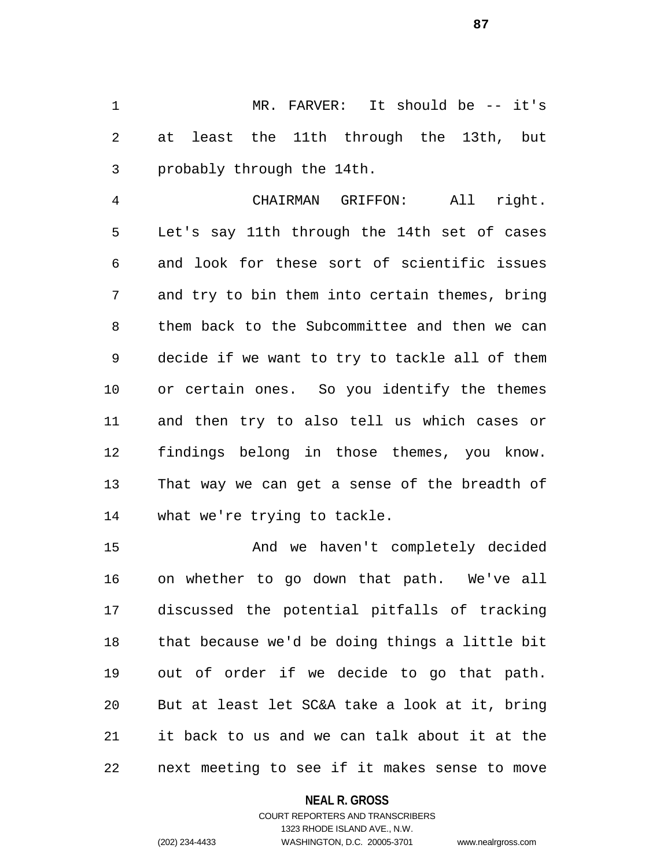MR. FARVER: It should be -- it's at least the 11th through the 13th, but probably through the 14th.

 CHAIRMAN GRIFFON: All right. Let's say 11th through the 14th set of cases and look for these sort of scientific issues and try to bin them into certain themes, bring them back to the Subcommittee and then we can decide if we want to try to tackle all of them or certain ones. So you identify the themes and then try to also tell us which cases or findings belong in those themes, you know. That way we can get a sense of the breadth of what we're trying to tackle.

 And we haven't completely decided on whether to go down that path. We've all discussed the potential pitfalls of tracking that because we'd be doing things a little bit out of order if we decide to go that path. But at least let SC&A take a look at it, bring it back to us and we can talk about it at the next meeting to see if it makes sense to move

### **NEAL R. GROSS**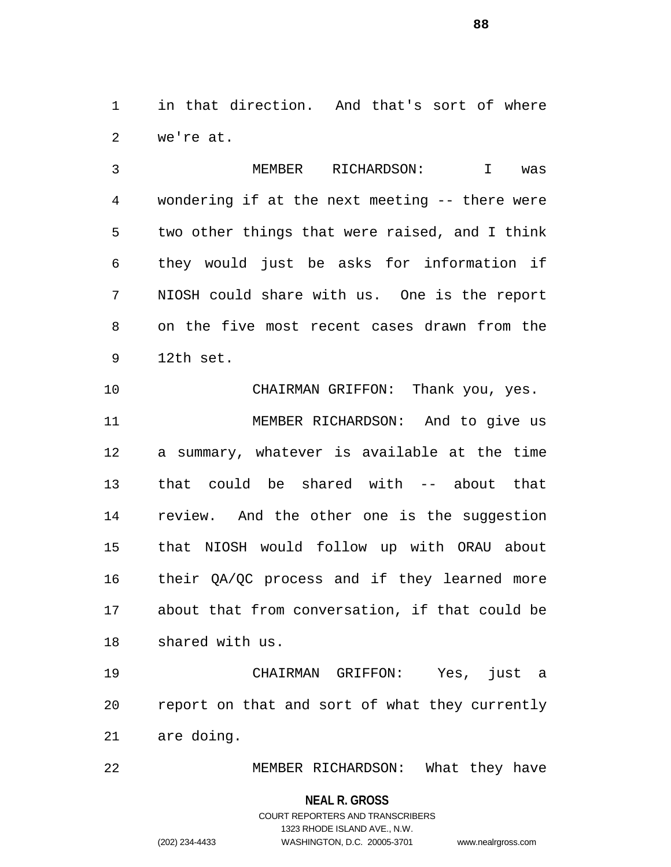in that direction. And that's sort of where we're at.

 MEMBER RICHARDSON: I was wondering if at the next meeting -- there were two other things that were raised, and I think they would just be asks for information if NIOSH could share with us. One is the report on the five most recent cases drawn from the 12th set.

10 CHAIRMAN GRIFFON: Thank you, yes. MEMBER RICHARDSON: And to give us a summary, whatever is available at the time that could be shared with -- about that review. And the other one is the suggestion that NIOSH would follow up with ORAU about their QA/QC process and if they learned more about that from conversation, if that could be shared with us.

 CHAIRMAN GRIFFON: Yes, just a report on that and sort of what they currently are doing.

MEMBER RICHARDSON: What they have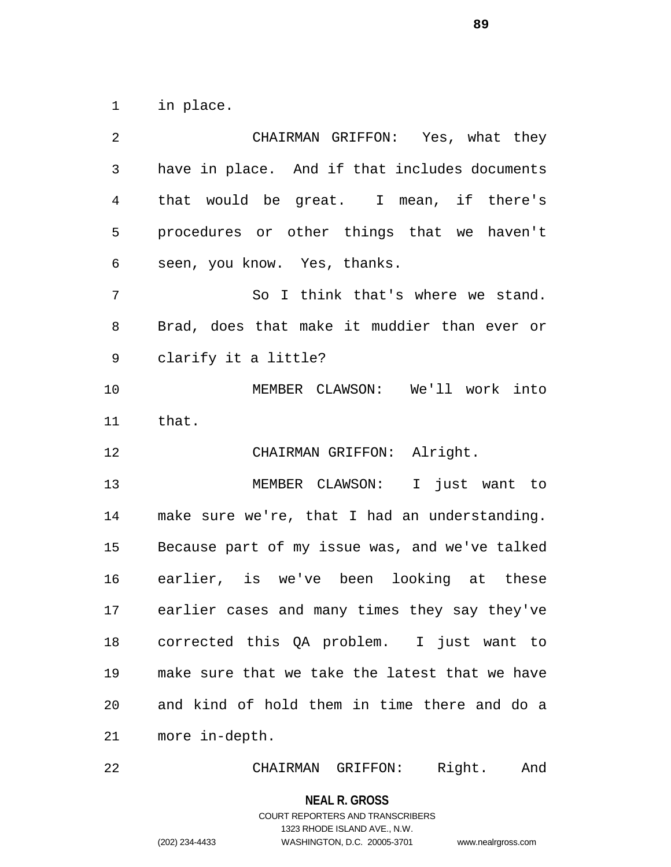in place.

 CHAIRMAN GRIFFON: Yes, what they have in place. And if that includes documents that would be great. I mean, if there's procedures or other things that we haven't seen, you know. Yes, thanks. So I think that's where we stand. Brad, does that make it muddier than ever or clarify it a little? MEMBER CLAWSON: We'll work into that. CHAIRMAN GRIFFON: Alright. MEMBER CLAWSON: I just want to make sure we're, that I had an understanding. Because part of my issue was, and we've talked earlier, is we've been looking at these earlier cases and many times they say they've corrected this QA problem. I just want to make sure that we take the latest that we have and kind of hold them in time there and do a more in-depth.

CHAIRMAN GRIFFON: Right. And

#### **NEAL R. GROSS**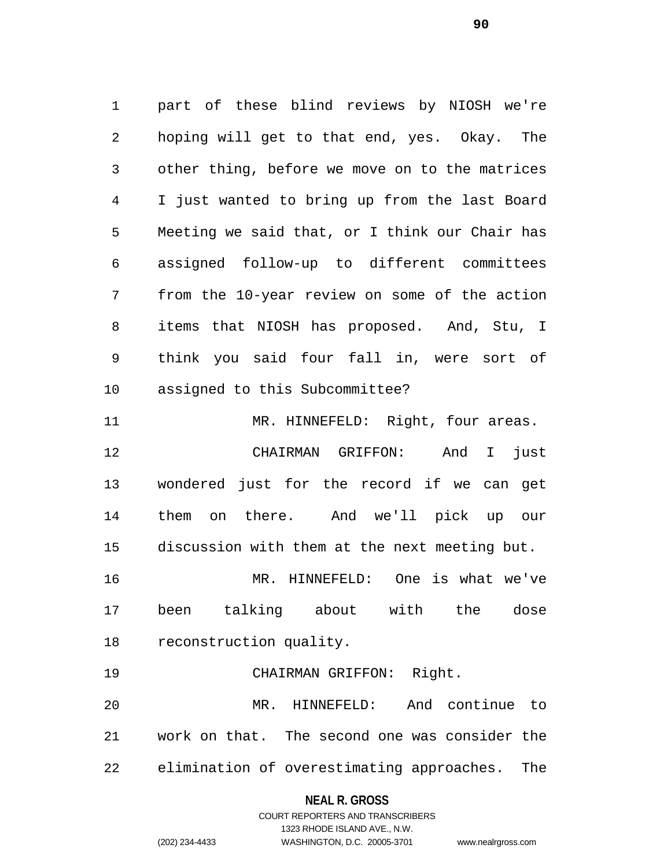part of these blind reviews by NIOSH we're hoping will get to that end, yes. Okay. The other thing, before we move on to the matrices I just wanted to bring up from the last Board Meeting we said that, or I think our Chair has assigned follow-up to different committees from the 10-year review on some of the action items that NIOSH has proposed. And, Stu, I think you said four fall in, were sort of assigned to this Subcommittee? 11 MR. HINNEFELD: Right, four areas. CHAIRMAN GRIFFON: And I just wondered just for the record if we can get them on there. And we'll pick up our discussion with them at the next meeting but. MR. HINNEFELD: One is what we've been talking about with the dose reconstruction quality. CHAIRMAN GRIFFON: Right. MR. HINNEFELD: And continue to work on that. The second one was consider the

elimination of overestimating approaches. The

### **NEAL R. GROSS**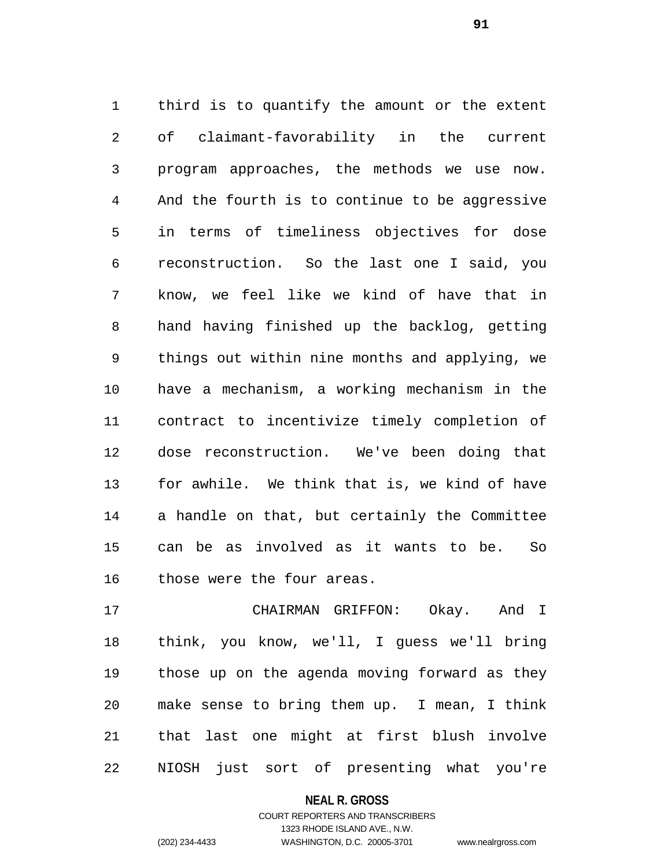third is to quantify the amount or the extent of claimant-favorability in the current program approaches, the methods we use now. And the fourth is to continue to be aggressive in terms of timeliness objectives for dose reconstruction. So the last one I said, you know, we feel like we kind of have that in hand having finished up the backlog, getting things out within nine months and applying, we have a mechanism, a working mechanism in the contract to incentivize timely completion of dose reconstruction. We've been doing that for awhile. We think that is, we kind of have a handle on that, but certainly the Committee can be as involved as it wants to be. So those were the four areas.

 CHAIRMAN GRIFFON: Okay. And I think, you know, we'll, I guess we'll bring those up on the agenda moving forward as they make sense to bring them up. I mean, I think that last one might at first blush involve NIOSH just sort of presenting what you're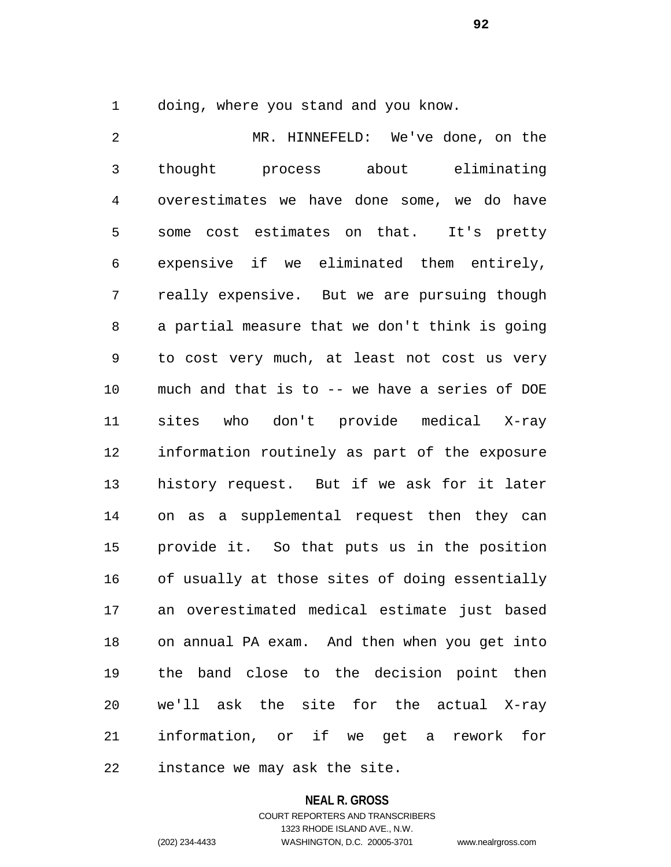doing, where you stand and you know.

 MR. HINNEFELD: We've done, on the thought process about eliminating overestimates we have done some, we do have some cost estimates on that. It's pretty expensive if we eliminated them entirely, really expensive. But we are pursuing though a partial measure that we don't think is going to cost very much, at least not cost us very much and that is to -- we have a series of DOE sites who don't provide medical X-ray information routinely as part of the exposure history request. But if we ask for it later on as a supplemental request then they can provide it. So that puts us in the position of usually at those sites of doing essentially an overestimated medical estimate just based on annual PA exam. And then when you get into the band close to the decision point then we'll ask the site for the actual X-ray information, or if we get a rework for instance we may ask the site.

#### **NEAL R. GROSS**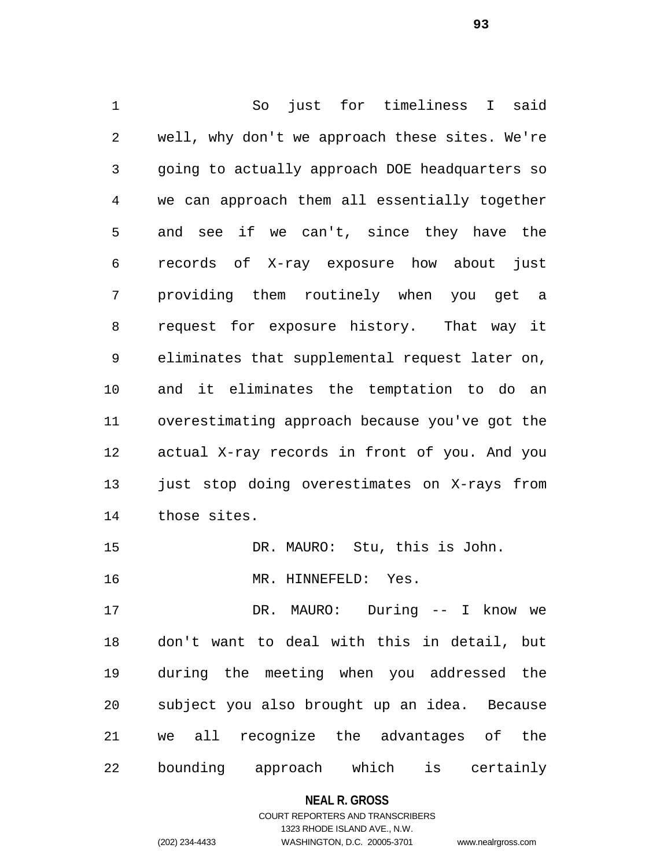So just for timeliness I said well, why don't we approach these sites. We're going to actually approach DOE headquarters so we can approach them all essentially together and see if we can't, since they have the records of X-ray exposure how about just providing them routinely when you get a request for exposure history. That way it eliminates that supplemental request later on, and it eliminates the temptation to do an overestimating approach because you've got the actual X-ray records in front of you. And you just stop doing overestimates on X-rays from those sites. DR. MAURO: Stu, this is John. MR. HINNEFELD: Yes. DR. MAURO: During -- I know we don't want to deal with this in detail, but during the meeting when you addressed the subject you also brought up an idea. Because

bounding approach which is certainly

we all recognize the advantages of the

### **NEAL R. GROSS**

## COURT REPORTERS AND TRANSCRIBERS 1323 RHODE ISLAND AVE., N.W. (202) 234-4433 WASHINGTON, D.C. 20005-3701 www.nealrgross.com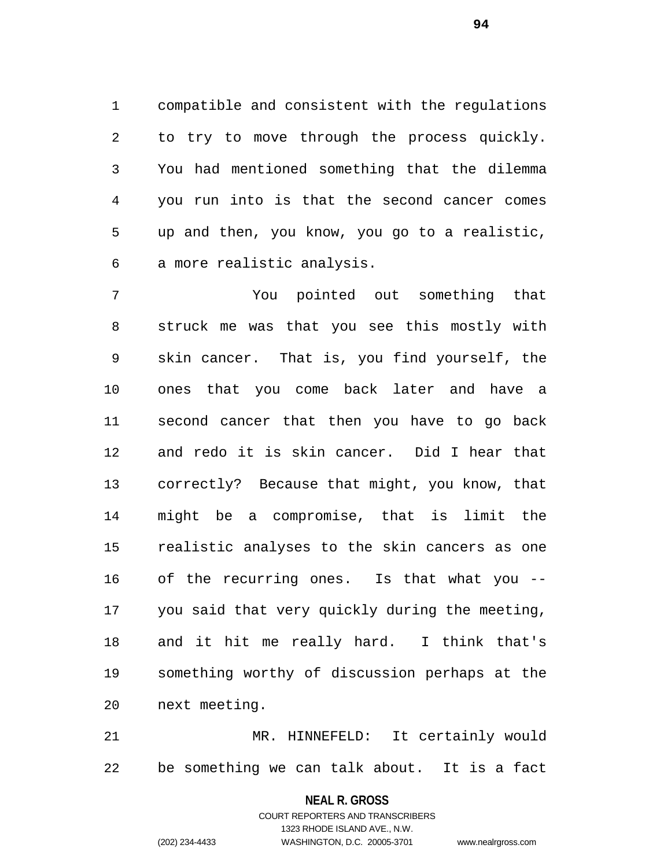compatible and consistent with the regulations to try to move through the process quickly. You had mentioned something that the dilemma you run into is that the second cancer comes up and then, you know, you go to a realistic, a more realistic analysis.

 You pointed out something that struck me was that you see this mostly with skin cancer. That is, you find yourself, the ones that you come back later and have a second cancer that then you have to go back and redo it is skin cancer. Did I hear that correctly? Because that might, you know, that might be a compromise, that is limit the realistic analyses to the skin cancers as one of the recurring ones. Is that what you -- you said that very quickly during the meeting, and it hit me really hard. I think that's something worthy of discussion perhaps at the next meeting.

 MR. HINNEFELD: It certainly would be something we can talk about. It is a fact

**NEAL R. GROSS**

COURT REPORTERS AND TRANSCRIBERS 1323 RHODE ISLAND AVE., N.W. (202) 234-4433 WASHINGTON, D.C. 20005-3701 www.nealrgross.com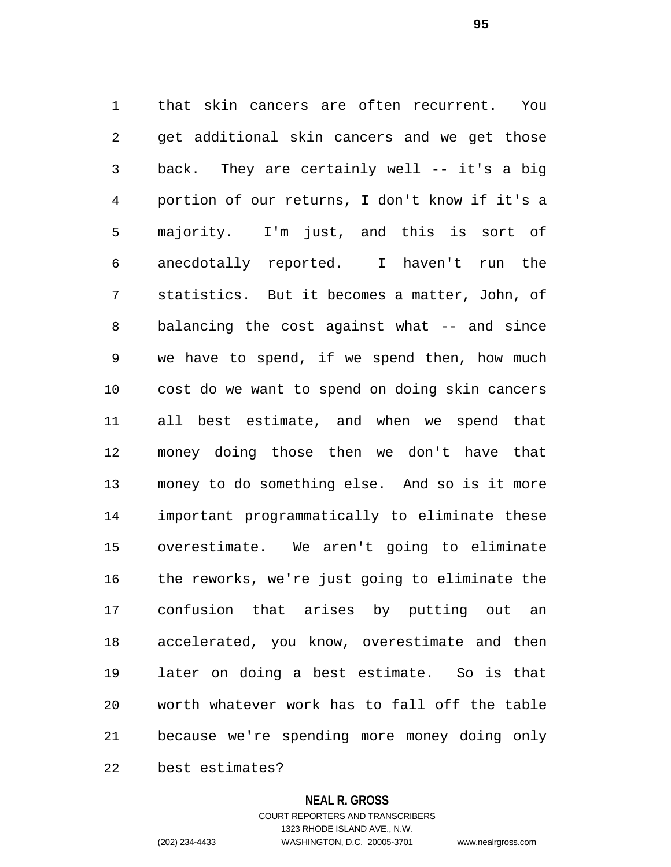that skin cancers are often recurrent. You get additional skin cancers and we get those back. They are certainly well -- it's a big portion of our returns, I don't know if it's a majority. I'm just, and this is sort of anecdotally reported. I haven't run the statistics. But it becomes a matter, John, of balancing the cost against what -- and since we have to spend, if we spend then, how much cost do we want to spend on doing skin cancers all best estimate, and when we spend that money doing those then we don't have that money to do something else. And so is it more important programmatically to eliminate these overestimate. We aren't going to eliminate the reworks, we're just going to eliminate the confusion that arises by putting out an accelerated, you know, overestimate and then later on doing a best estimate. So is that worth whatever work has to fall off the table because we're spending more money doing only

best estimates?

### **NEAL R. GROSS**

COURT REPORTERS AND TRANSCRIBERS 1323 RHODE ISLAND AVE., N.W. (202) 234-4433 WASHINGTON, D.C. 20005-3701 www.nealrgross.com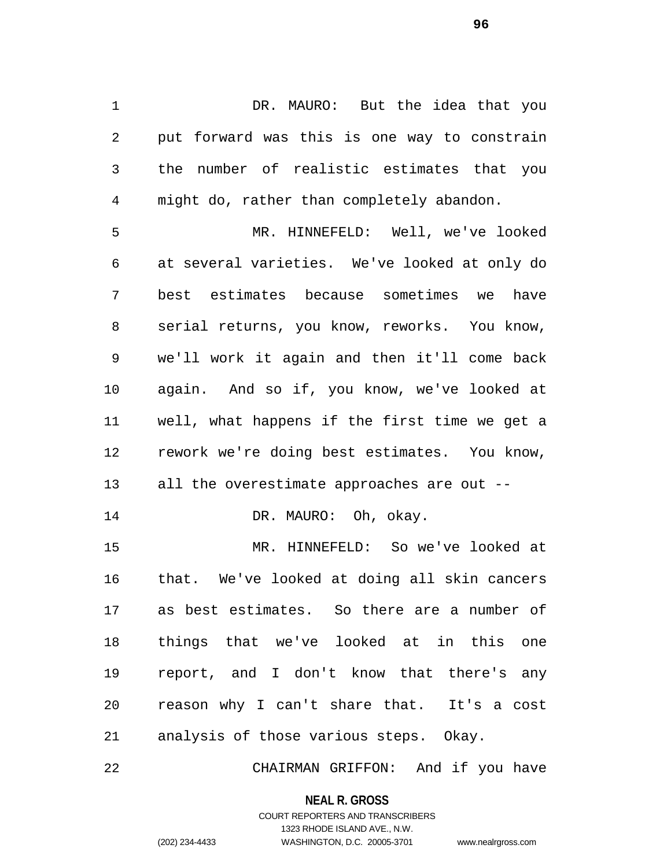DR. MAURO: But the idea that you put forward was this is one way to constrain the number of realistic estimates that you might do, rather than completely abandon.

 MR. HINNEFELD: Well, we've looked at several varieties. We've looked at only do best estimates because sometimes we have serial returns, you know, reworks. You know, we'll work it again and then it'll come back again. And so if, you know, we've looked at well, what happens if the first time we get a rework we're doing best estimates. You know, all the overestimate approaches are out -- 14 DR. MAURO: Oh, okay.

 MR. HINNEFELD: So we've looked at that. We've looked at doing all skin cancers as best estimates. So there are a number of things that we've looked at in this one report, and I don't know that there's any reason why I can't share that. It's a cost analysis of those various steps. Okay.

CHAIRMAN GRIFFON: And if you have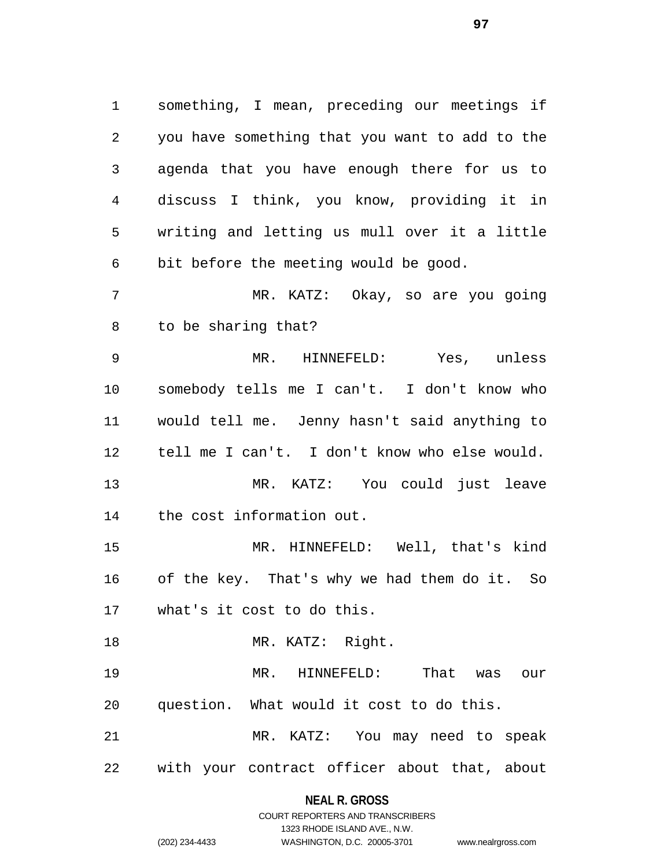something, I mean, preceding our meetings if you have something that you want to add to the agenda that you have enough there for us to discuss I think, you know, providing it in writing and letting us mull over it a little bit before the meeting would be good. MR. KATZ: Okay, so are you going to be sharing that? MR. HINNEFELD: Yes, unless somebody tells me I can't. I don't know who would tell me. Jenny hasn't said anything to tell me I can't. I don't know who else would. MR. KATZ: You could just leave the cost information out. MR. HINNEFELD: Well, that's kind of the key. That's why we had them do it. So what's it cost to do this. 18 MR. KATZ: Right. MR. HINNEFELD: That was our question. What would it cost to do this. MR. KATZ: You may need to speak with your contract officer about that, about

> **NEAL R. GROSS** COURT REPORTERS AND TRANSCRIBERS

> > 1323 RHODE ISLAND AVE., N.W.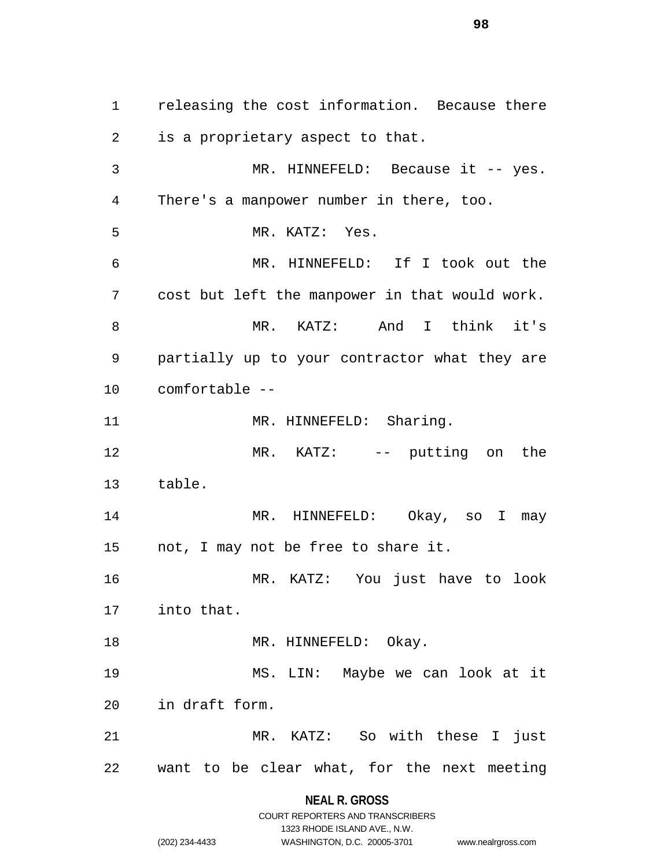releasing the cost information. Because there is a proprietary aspect to that. MR. HINNEFELD: Because it -- yes. There's a manpower number in there, too. MR. KATZ: Yes. MR. HINNEFELD: If I took out the cost but left the manpower in that would work. MR. KATZ: And I think it's partially up to your contractor what they are comfortable -- 11 MR. HINNEFELD: Sharing. MR. KATZ: -- putting on the table. MR. HINNEFELD: Okay, so I may not, I may not be free to share it. MR. KATZ: You just have to look into that. 18 MR. HINNEFELD: Okay. MS. LIN: Maybe we can look at it in draft form. MR. KATZ: So with these I just want to be clear what, for the next meeting

> **NEAL R. GROSS** COURT REPORTERS AND TRANSCRIBERS

> > 1323 RHODE ISLAND AVE., N.W.

(202) 234-4433 WASHINGTON, D.C. 20005-3701 www.nealrgross.com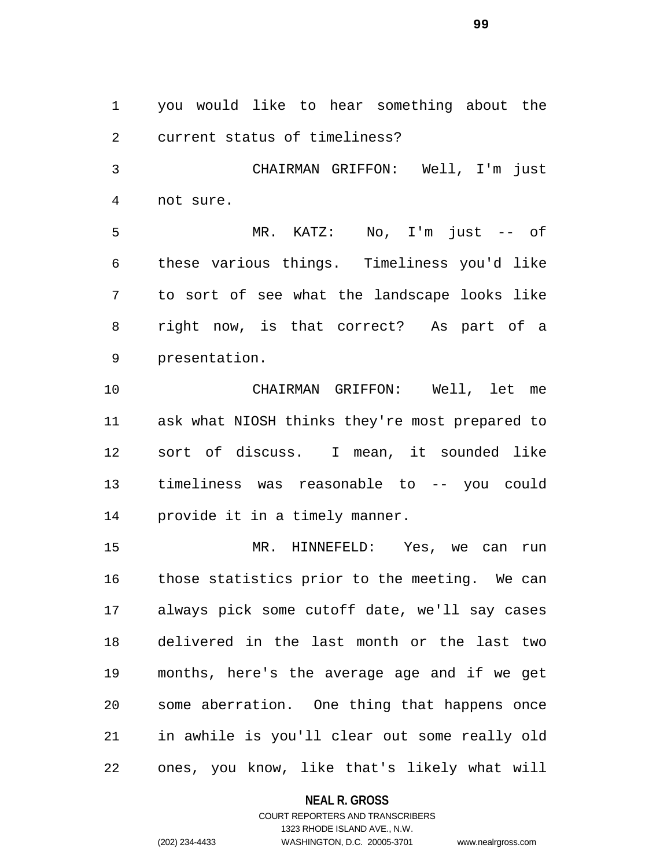you would like to hear something about the current status of timeliness?

 CHAIRMAN GRIFFON: Well, I'm just not sure.

 MR. KATZ: No, I'm just -- of these various things. Timeliness you'd like to sort of see what the landscape looks like right now, is that correct? As part of a presentation.

 CHAIRMAN GRIFFON: Well, let me ask what NIOSH thinks they're most prepared to sort of discuss. I mean, it sounded like timeliness was reasonable to -- you could provide it in a timely manner.

 MR. HINNEFELD: Yes, we can run those statistics prior to the meeting. We can always pick some cutoff date, we'll say cases delivered in the last month or the last two months, here's the average age and if we get some aberration. One thing that happens once in awhile is you'll clear out some really old ones, you know, like that's likely what will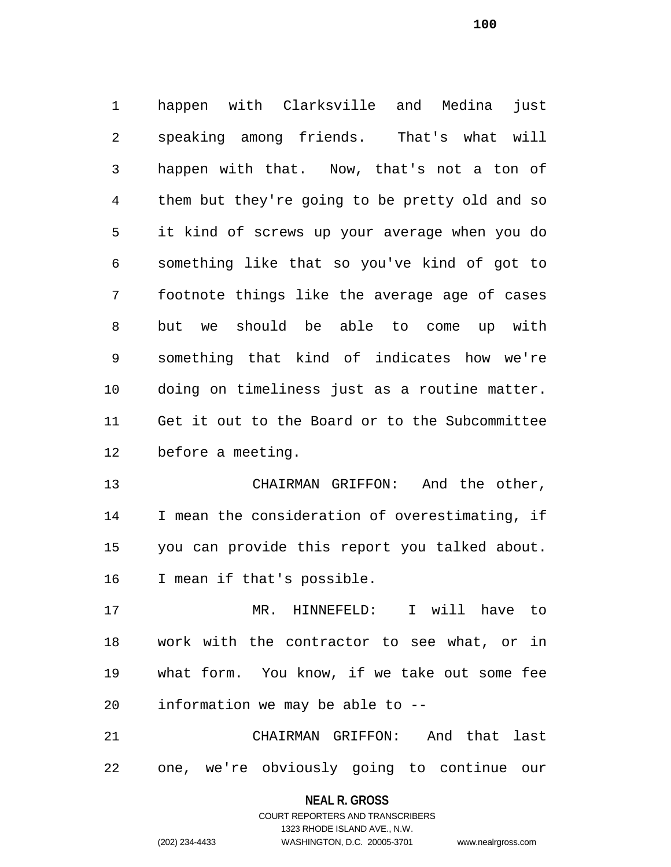happen with Clarksville and Medina just speaking among friends. That's what will happen with that. Now, that's not a ton of them but they're going to be pretty old and so it kind of screws up your average when you do something like that so you've kind of got to footnote things like the average age of cases but we should be able to come up with something that kind of indicates how we're doing on timeliness just as a routine matter. Get it out to the Board or to the Subcommittee before a meeting.

 CHAIRMAN GRIFFON: And the other, I mean the consideration of overestimating, if you can provide this report you talked about. I mean if that's possible.

 MR. HINNEFELD: I will have to work with the contractor to see what, or in what form. You know, if we take out some fee information we may be able to --

 CHAIRMAN GRIFFON: And that last one, we're obviously going to continue our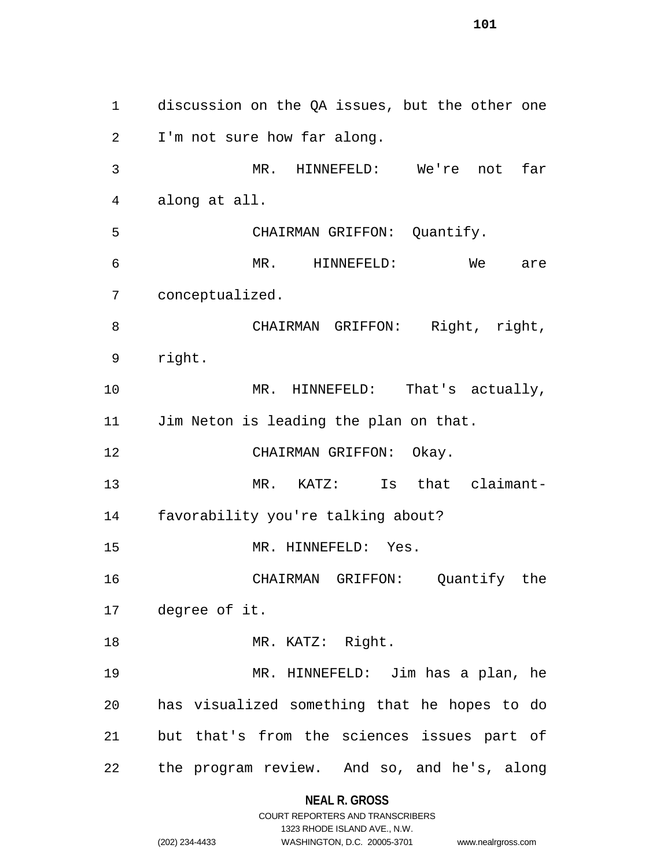discussion on the QA issues, but the other one I'm not sure how far along. MR. HINNEFELD: We're not far along at all. CHAIRMAN GRIFFON: Quantify. MR. HINNEFELD: We are conceptualized. 8 CHAIRMAN GRIFFON: Right, right, right. 10 MR. HINNEFELD: That's actually, Jim Neton is leading the plan on that. 12 CHAIRMAN GRIFFON: Okay. MR. KATZ: Is that claimant- favorability you're talking about? MR. HINNEFELD: Yes. CHAIRMAN GRIFFON: Quantify the degree of it. 18 MR. KATZ: Right. MR. HINNEFELD: Jim has a plan, he has visualized something that he hopes to do but that's from the sciences issues part of the program review. And so, and he's, along

**NEAL R. GROSS**

COURT REPORTERS AND TRANSCRIBERS 1323 RHODE ISLAND AVE., N.W. (202) 234-4433 WASHINGTON, D.C. 20005-3701 www.nealrgross.com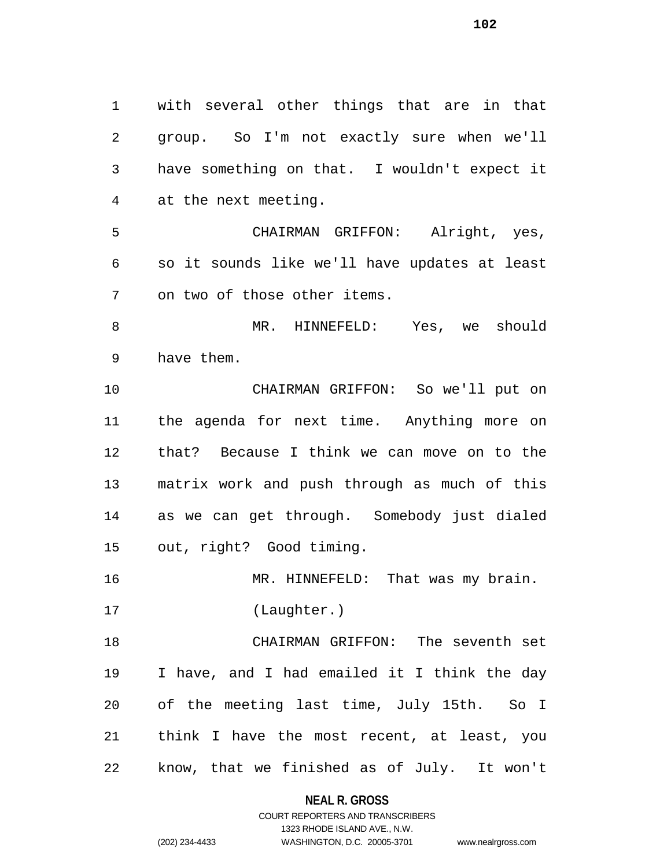with several other things that are in that group. So I'm not exactly sure when we'll have something on that. I wouldn't expect it at the next meeting. CHAIRMAN GRIFFON: Alright, yes, so it sounds like we'll have updates at least on two of those other items. MR. HINNEFELD: Yes, we should have them. CHAIRMAN GRIFFON: So we'll put on the agenda for next time. Anything more on that? Because I think we can move on to the matrix work and push through as much of this as we can get through. Somebody just dialed out, right? Good timing. MR. HINNEFELD: That was my brain. (Laughter.) CHAIRMAN GRIFFON: The seventh set I have, and I had emailed it I think the day of the meeting last time, July 15th. So I

know, that we finished as of July. It won't

think I have the most recent, at least, you

**NEAL R. GROSS** COURT REPORTERS AND TRANSCRIBERS

1323 RHODE ISLAND AVE., N.W.

(202) 234-4433 WASHINGTON, D.C. 20005-3701 www.nealrgross.com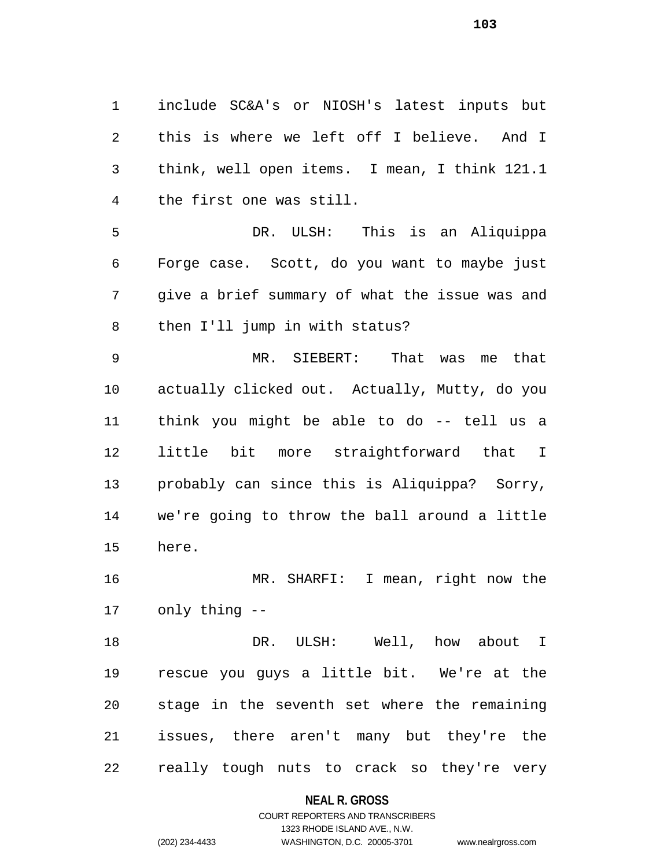include SC&A's or NIOSH's latest inputs but this is where we left off I believe. And I think, well open items. I mean, I think 121.1 the first one was still.

 DR. ULSH: This is an Aliquippa Forge case. Scott, do you want to maybe just give a brief summary of what the issue was and then I'll jump in with status?

 MR. SIEBERT: That was me that actually clicked out. Actually, Mutty, do you think you might be able to do -- tell us a little bit more straightforward that I probably can since this is Aliquippa? Sorry, we're going to throw the ball around a little here.

 MR. SHARFI: I mean, right now the only thing --

18 DR. ULSH: Well, how about I rescue you guys a little bit. We're at the stage in the seventh set where the remaining issues, there aren't many but they're the really tough nuts to crack so they're very

#### **NEAL R. GROSS**

## COURT REPORTERS AND TRANSCRIBERS 1323 RHODE ISLAND AVE., N.W. (202) 234-4433 WASHINGTON, D.C. 20005-3701 www.nealrgross.com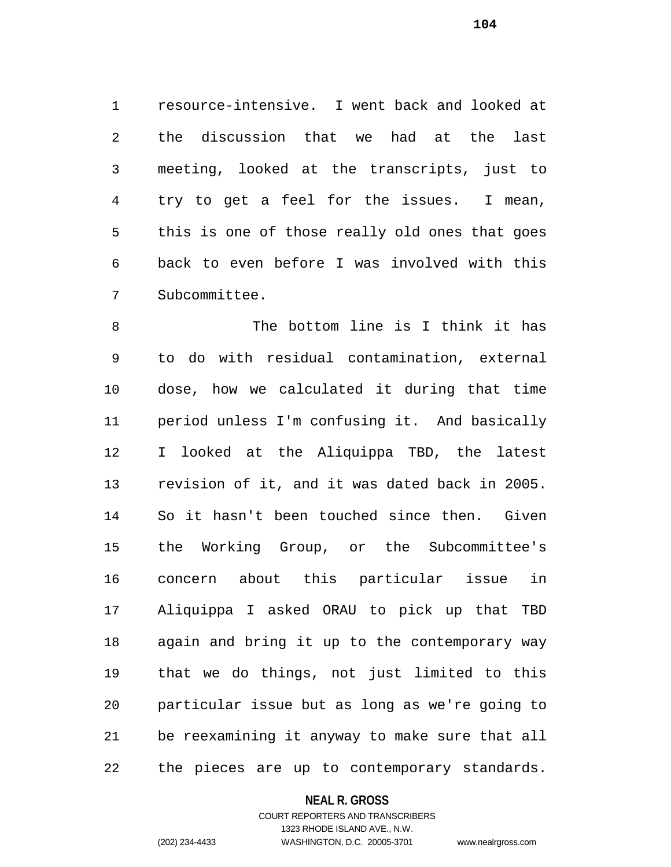resource-intensive. I went back and looked at the discussion that we had at the last meeting, looked at the transcripts, just to try to get a feel for the issues. I mean, this is one of those really old ones that goes back to even before I was involved with this Subcommittee.

8 The bottom line is I think it has to do with residual contamination, external dose, how we calculated it during that time period unless I'm confusing it. And basically I looked at the Aliquippa TBD, the latest revision of it, and it was dated back in 2005. So it hasn't been touched since then. Given the Working Group, or the Subcommittee's concern about this particular issue in Aliquippa I asked ORAU to pick up that TBD again and bring it up to the contemporary way that we do things, not just limited to this particular issue but as long as we're going to be reexamining it anyway to make sure that all the pieces are up to contemporary standards.

### **NEAL R. GROSS**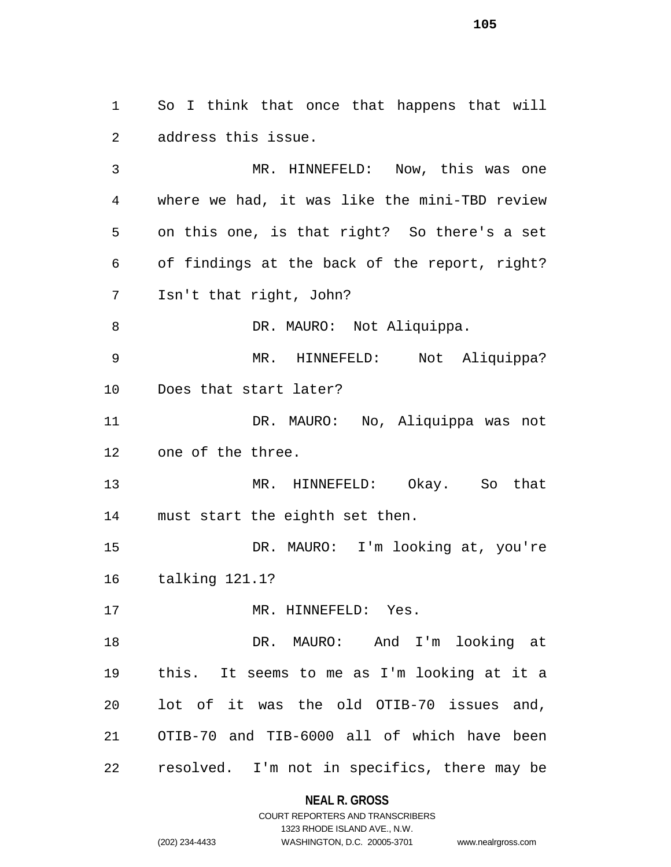So I think that once that happens that will address this issue.

 MR. HINNEFELD: Now, this was one where we had, it was like the mini-TBD review on this one, is that right? So there's a set of findings at the back of the report, right? Isn't that right, John? 8 DR. MAURO: Not Aliquippa. MR. HINNEFELD: Not Aliquippa? Does that start later? DR. MAURO: No, Aliquippa was not one of the three. MR. HINNEFELD: Okay. So that must start the eighth set then. DR. MAURO: I'm looking at, you're talking 121.1? 17 MR. HINNEFELD: Yes. DR. MAURO: And I'm looking at this. It seems to me as I'm looking at it a lot of it was the old OTIB-70 issues and, OTIB-70 and TIB-6000 all of which have been resolved. I'm not in specifics, there may be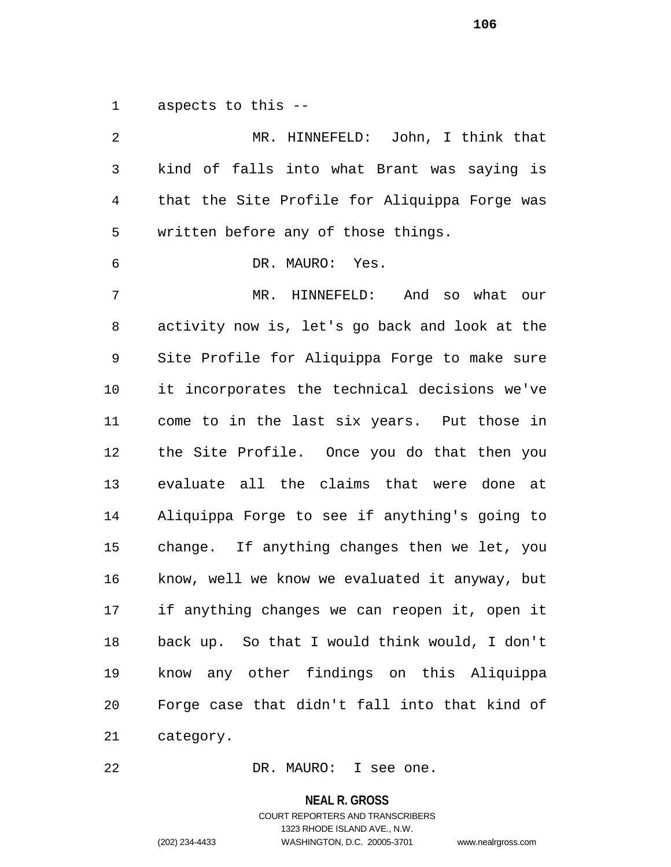aspects to this --

 MR. HINNEFELD: John, I think that kind of falls into what Brant was saying is that the Site Profile for Aliquippa Forge was written before any of those things. DR. MAURO: Yes. MR. HINNEFELD: And so what our activity now is, let's go back and look at the Site Profile for Aliquippa Forge to make sure it incorporates the technical decisions we've come to in the last six years. Put those in the Site Profile. Once you do that then you evaluate all the claims that were done at Aliquippa Forge to see if anything's going to change. If anything changes then we let, you know, well we know we evaluated it anyway, but if anything changes we can reopen it, open it back up. So that I would think would, I don't know any other findings on this Aliquippa Forge case that didn't fall into that kind of category.

DR. MAURO: I see one.

**NEAL R. GROSS**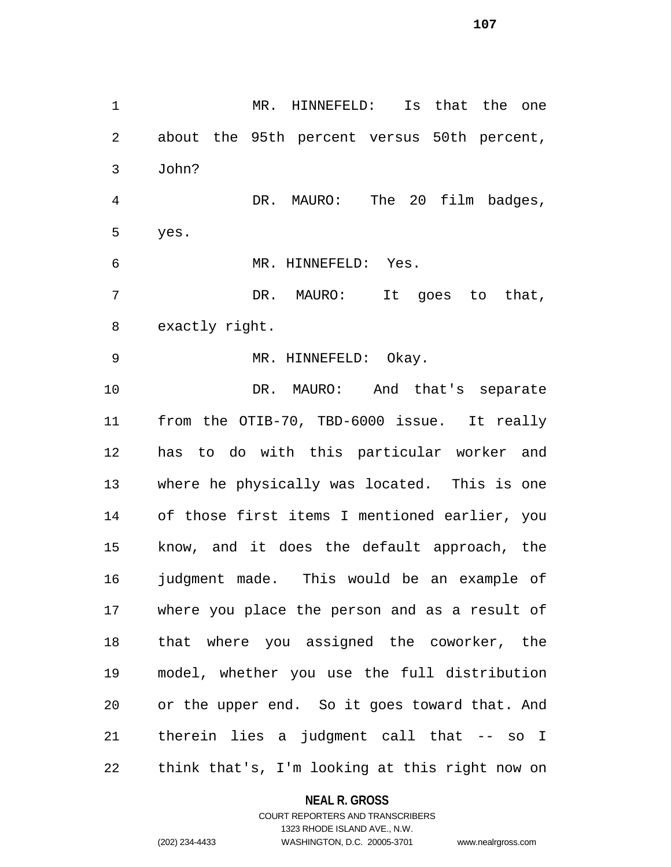MR. HINNEFELD: Is that the one about the 95th percent versus 50th percent, John? DR. MAURO: The 20 film badges, yes. MR. HINNEFELD: Yes. DR. MAURO: It goes to that, exactly right. MR. HINNEFELD: Okay. DR. MAURO: And that's separate from the OTIB-70, TBD-6000 issue. It really has to do with this particular worker and where he physically was located. This is one of those first items I mentioned earlier, you know, and it does the default approach, the judgment made. This would be an example of where you place the person and as a result of that where you assigned the coworker, the model, whether you use the full distribution or the upper end. So it goes toward that. And

think that's, I'm looking at this right now on

therein lies a judgment call that -- so I

#### **NEAL R. GROSS**

## COURT REPORTERS AND TRANSCRIBERS 1323 RHODE ISLAND AVE., N.W. (202) 234-4433 WASHINGTON, D.C. 20005-3701 www.nealrgross.com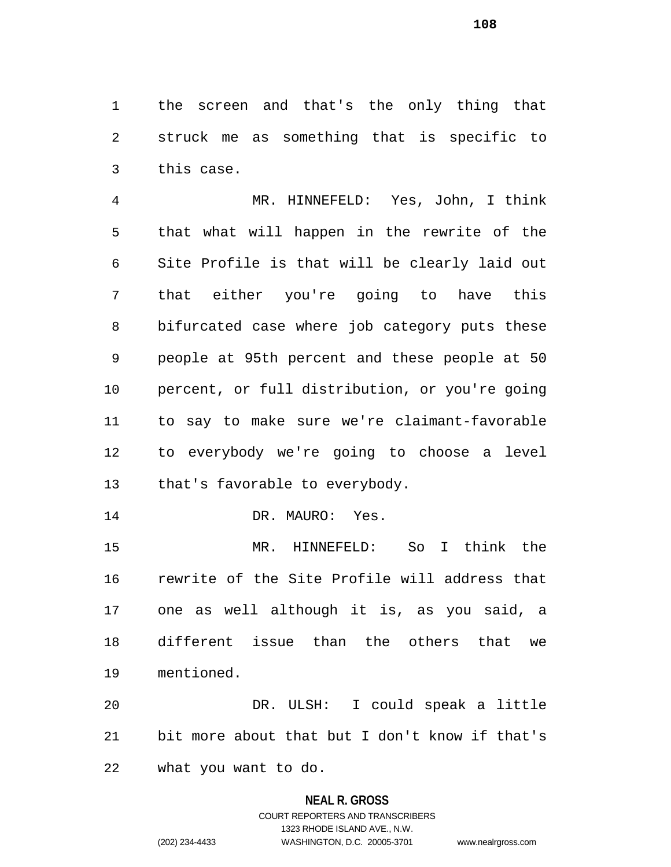the screen and that's the only thing that struck me as something that is specific to this case.

 MR. HINNEFELD: Yes, John, I think that what will happen in the rewrite of the Site Profile is that will be clearly laid out that either you're going to have this bifurcated case where job category puts these people at 95th percent and these people at 50 percent, or full distribution, or you're going to say to make sure we're claimant-favorable to everybody we're going to choose a level that's favorable to everybody.

14 DR. MAURO: Yes.

 MR. HINNEFELD: So I think the rewrite of the Site Profile will address that one as well although it is, as you said, a different issue than the others that we mentioned.

 DR. ULSH: I could speak a little bit more about that but I don't know if that's what you want to do.

# **NEAL R. GROSS** COURT REPORTERS AND TRANSCRIBERS 1323 RHODE ISLAND AVE., N.W.

(202) 234-4433 WASHINGTON, D.C. 20005-3701 www.nealrgross.com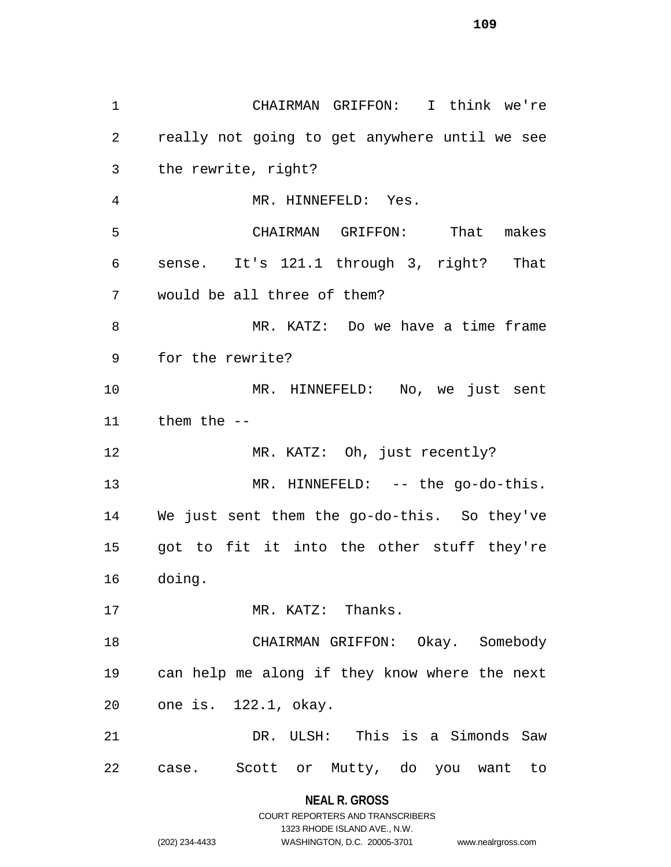CHAIRMAN GRIFFON: I think we're really not going to get anywhere until we see the rewrite, right? MR. HINNEFELD: Yes. CHAIRMAN GRIFFON: That makes sense. It's 121.1 through 3, right? That would be all three of them? MR. KATZ: Do we have a time frame for the rewrite? MR. HINNEFELD: No, we just sent them the -- 12 MR. KATZ: Oh, just recently? 13 MR. HINNEFELD: -- the go-do-this. We just sent them the go-do-this. So they've got to fit it into the other stuff they're doing. 17 MR. KATZ: Thanks. CHAIRMAN GRIFFON: Okay. Somebody can help me along if they know where the next one is. 122.1, okay. DR. ULSH: This is a Simonds Saw case. Scott or Mutty, do you want to

> **NEAL R. GROSS** COURT REPORTERS AND TRANSCRIBERS

> > 1323 RHODE ISLAND AVE., N.W.

(202) 234-4433 WASHINGTON, D.C. 20005-3701 www.nealrgross.com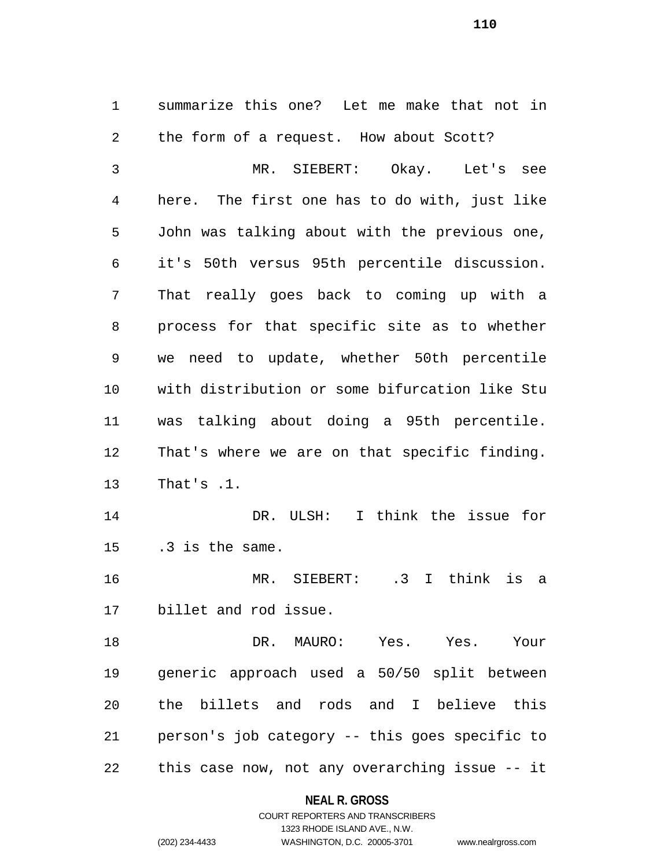summarize this one? Let me make that not in the form of a request. How about Scott? MR. SIEBERT: Okay. Let's see here. The first one has to do with, just like John was talking about with the previous one, it's 50th versus 95th percentile discussion. That really goes back to coming up with a process for that specific site as to whether we need to update, whether 50th percentile with distribution or some bifurcation like Stu was talking about doing a 95th percentile. That's where we are on that specific finding. That's .1. DR. ULSH: I think the issue for .3 is the same. MR. SIEBERT: .3 I think is a billet and rod issue. DR. MAURO: Yes. Yes. Your generic approach used a 50/50 split between the billets and rods and I believe this person's job category -- this goes specific to

this case now, not any overarching issue -- it

### **NEAL R. GROSS**

# COURT REPORTERS AND TRANSCRIBERS 1323 RHODE ISLAND AVE., N.W. (202) 234-4433 WASHINGTON, D.C. 20005-3701 www.nealrgross.com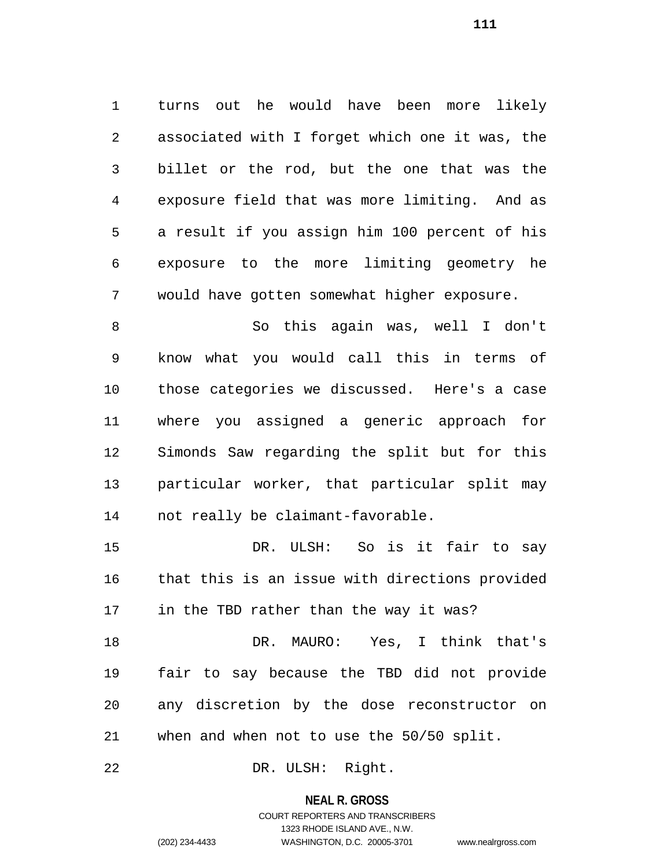turns out he would have been more likely associated with I forget which one it was, the billet or the rod, but the one that was the exposure field that was more limiting. And as a result if you assign him 100 percent of his exposure to the more limiting geometry he would have gotten somewhat higher exposure.

 So this again was, well I don't know what you would call this in terms of those categories we discussed. Here's a case where you assigned a generic approach for Simonds Saw regarding the split but for this particular worker, that particular split may not really be claimant-favorable.

 DR. ULSH: So is it fair to say that this is an issue with directions provided in the TBD rather than the way it was?

 DR. MAURO: Yes, I think that's fair to say because the TBD did not provide any discretion by the dose reconstructor on when and when not to use the 50/50 split.

DR. ULSH: Right.

### **NEAL R. GROSS**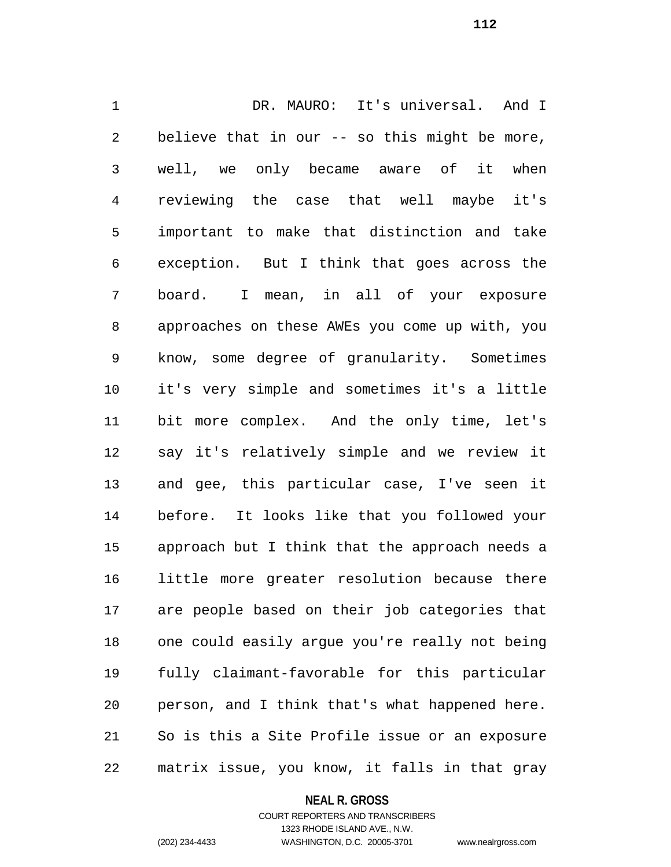DR. MAURO: It's universal. And I believe that in our -- so this might be more, well, we only became aware of it when reviewing the case that well maybe it's important to make that distinction and take exception. But I think that goes across the board. I mean, in all of your exposure approaches on these AWEs you come up with, you know, some degree of granularity. Sometimes it's very simple and sometimes it's a little bit more complex. And the only time, let's say it's relatively simple and we review it and gee, this particular case, I've seen it before. It looks like that you followed your approach but I think that the approach needs a little more greater resolution because there are people based on their job categories that one could easily argue you're really not being fully claimant-favorable for this particular person, and I think that's what happened here. So is this a Site Profile issue or an exposure matrix issue, you know, it falls in that gray

**NEAL R. GROSS**

COURT REPORTERS AND TRANSCRIBERS 1323 RHODE ISLAND AVE., N.W. (202) 234-4433 WASHINGTON, D.C. 20005-3701 www.nealrgross.com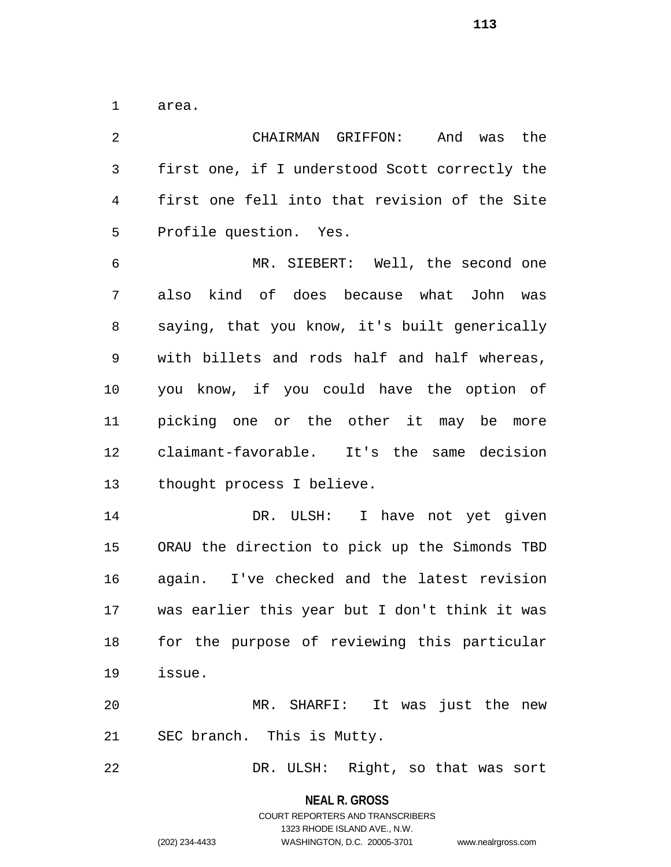area.

 CHAIRMAN GRIFFON: And was the first one, if I understood Scott correctly the first one fell into that revision of the Site Profile question. Yes. MR. SIEBERT: Well, the second one also kind of does because what John was saying, that you know, it's built generically with billets and rods half and half whereas, you know, if you could have the option of picking one or the other it may be more claimant-favorable. It's the same decision thought process I believe. DR. ULSH: I have not yet given ORAU the direction to pick up the Simonds TBD again. I've checked and the latest revision was earlier this year but I don't think it was for the purpose of reviewing this particular issue. MR. SHARFI: It was just the new SEC branch. This is Mutty. DR. ULSH: Right, so that was sort

**NEAL R. GROSS**

COURT REPORTERS AND TRANSCRIBERS 1323 RHODE ISLAND AVE., N.W. (202) 234-4433 WASHINGTON, D.C. 20005-3701 www.nealrgross.com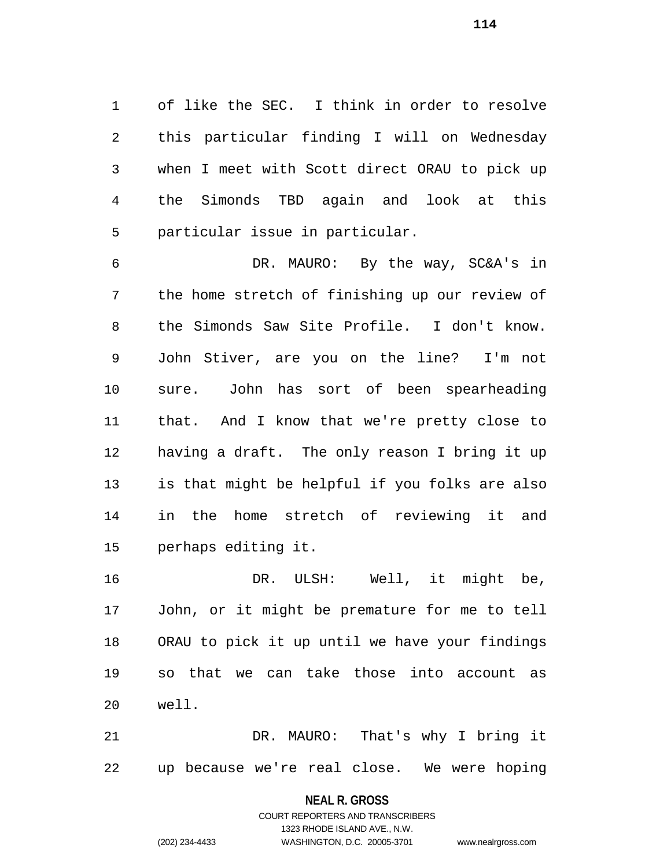of like the SEC. I think in order to resolve this particular finding I will on Wednesday when I meet with Scott direct ORAU to pick up the Simonds TBD again and look at this particular issue in particular.

 DR. MAURO: By the way, SC&A's in the home stretch of finishing up our review of the Simonds Saw Site Profile. I don't know. John Stiver, are you on the line? I'm not sure. John has sort of been spearheading that. And I know that we're pretty close to having a draft. The only reason I bring it up is that might be helpful if you folks are also in the home stretch of reviewing it and perhaps editing it.

16 DR. ULSH: Well, it might be, John, or it might be premature for me to tell ORAU to pick it up until we have your findings so that we can take those into account as well.

 DR. MAURO: That's why I bring it up because we're real close. We were hoping

**NEAL R. GROSS**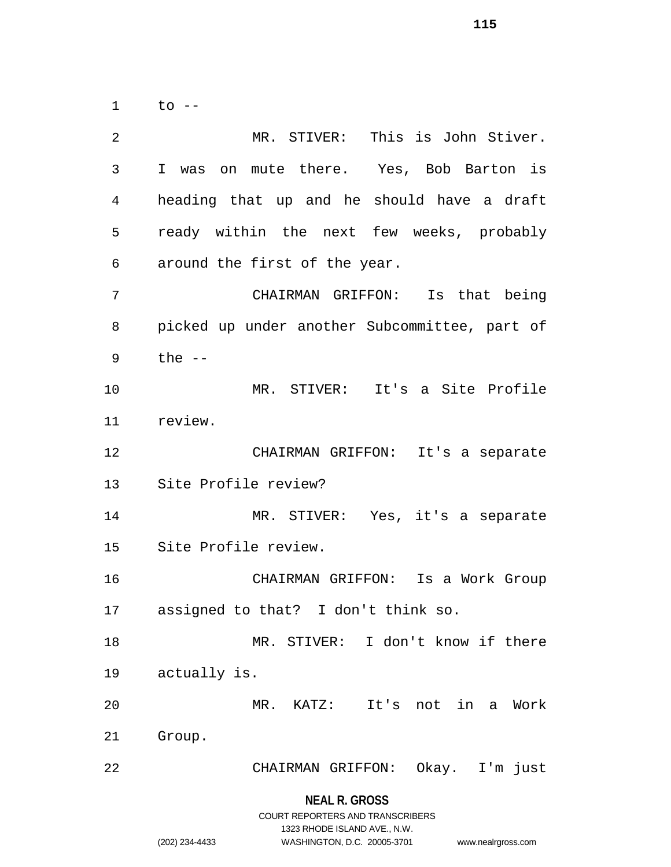to --

**NEAL R. GROSS** MR. STIVER: This is John Stiver. I was on mute there. Yes, Bob Barton is heading that up and he should have a draft ready within the next few weeks, probably around the first of the year. CHAIRMAN GRIFFON: Is that being picked up under another Subcommittee, part of the -- MR. STIVER: It's a Site Profile review. CHAIRMAN GRIFFON: It's a separate Site Profile review? MR. STIVER: Yes, it's a separate Site Profile review. CHAIRMAN GRIFFON: Is a Work Group assigned to that? I don't think so. MR. STIVER: I don't know if there actually is. MR. KATZ: It's not in a Work Group. CHAIRMAN GRIFFON: Okay. I'm just

> COURT REPORTERS AND TRANSCRIBERS 1323 RHODE ISLAND AVE., N.W.

(202) 234-4433 WASHINGTON, D.C. 20005-3701 www.nealrgross.com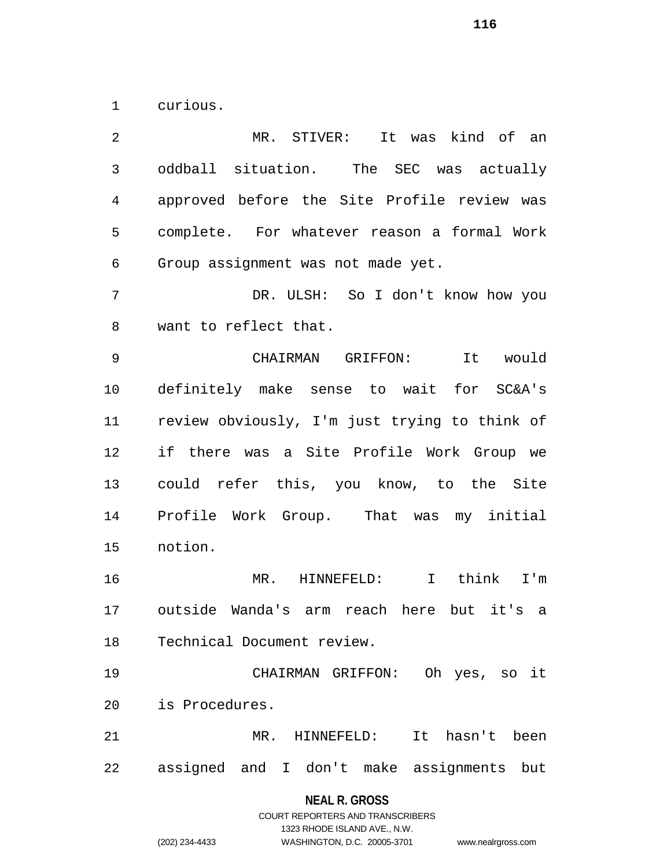curious.

 MR. STIVER: It was kind of an oddball situation. The SEC was actually approved before the Site Profile review was complete. For whatever reason a formal Work Group assignment was not made yet. DR. ULSH: So I don't know how you want to reflect that. CHAIRMAN GRIFFON: It would definitely make sense to wait for SC&A's review obviously, I'm just trying to think of if there was a Site Profile Work Group we could refer this, you know, to the Site Profile Work Group. That was my initial notion. MR. HINNEFELD: I think I'm outside Wanda's arm reach here but it's a Technical Document review. CHAIRMAN GRIFFON: Oh yes, so it is Procedures. MR. HINNEFELD: It hasn't been assigned and I don't make assignments but

#### **NEAL R. GROSS**

COURT REPORTERS AND TRANSCRIBERS 1323 RHODE ISLAND AVE., N.W. (202) 234-4433 WASHINGTON, D.C. 20005-3701 www.nealrgross.com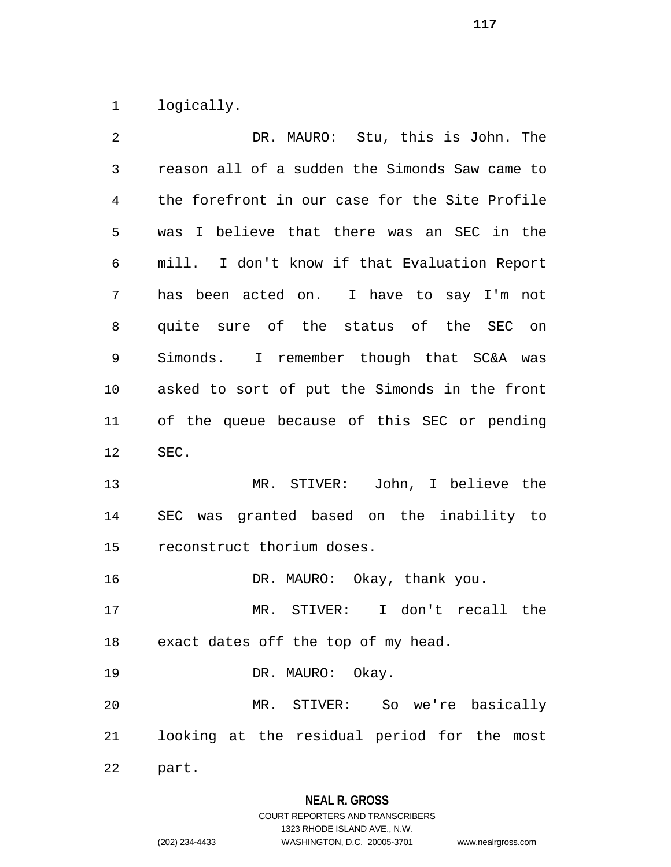logically.

| DR. MAURO: Stu, this is John. The              |
|------------------------------------------------|
| reason all of a sudden the Simonds Saw came to |
| the forefront in our case for the Site Profile |
| was I believe that there was an SEC in the     |
| mill. I don't know if that Evaluation Report   |
| has been acted on. I have to say I'm not       |
| quite sure of the status of the SEC on         |
| Simonds. I remember though that SC&A was       |
| asked to sort of put the Simonds in the front  |
| of the queue because of this SEC or pending    |
|                                                |
| SEC.                                           |
| MR. STIVER: John, I believe the                |
| SEC was granted based on the inability to      |
| reconstruct thorium doses.                     |
| DR. MAURO: Okay, thank you.                    |
| MR. STIVER:<br>I don't recall the              |
| exact dates off the top of my head.            |
| DR. MAURO: Okay.                               |
| MR. STIVER: So we're basically                 |
| looking at the residual period for the most    |
|                                                |

**NEAL R. GROSS**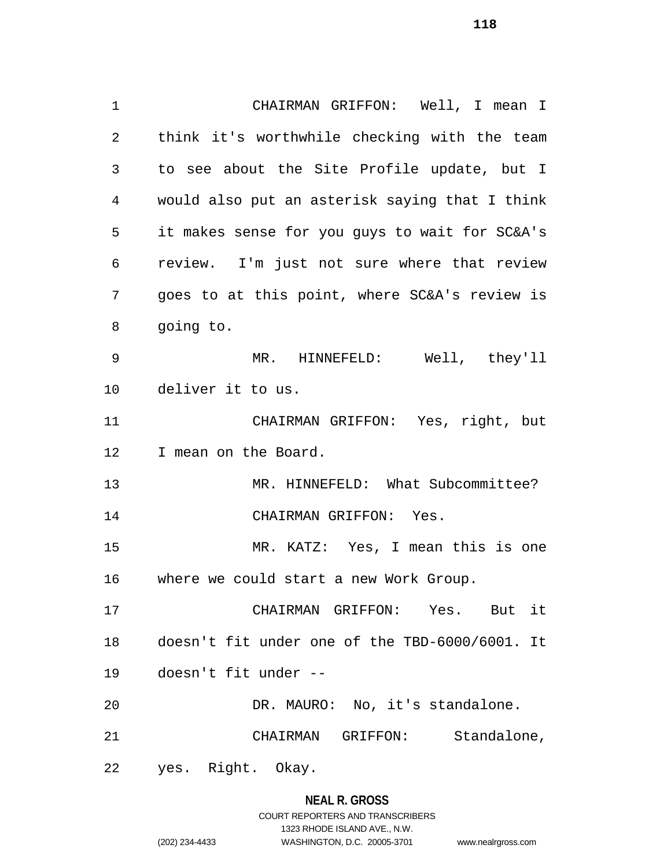CHAIRMAN GRIFFON: Well, I mean I think it's worthwhile checking with the team to see about the Site Profile update, but I would also put an asterisk saying that I think it makes sense for you guys to wait for SC&A's review. I'm just not sure where that review goes to at this point, where SC&A's review is going to. MR. HINNEFELD: Well, they'll deliver it to us. CHAIRMAN GRIFFON: Yes, right, but I mean on the Board. MR. HINNEFELD: What Subcommittee? CHAIRMAN GRIFFON: Yes. MR. KATZ: Yes, I mean this is one where we could start a new Work Group. CHAIRMAN GRIFFON: Yes. But it doesn't fit under one of the TBD-6000/6001. It doesn't fit under -- DR. MAURO: No, it's standalone. CHAIRMAN GRIFFON: Standalone, yes. Right. Okay.

### **NEAL R. GROSS**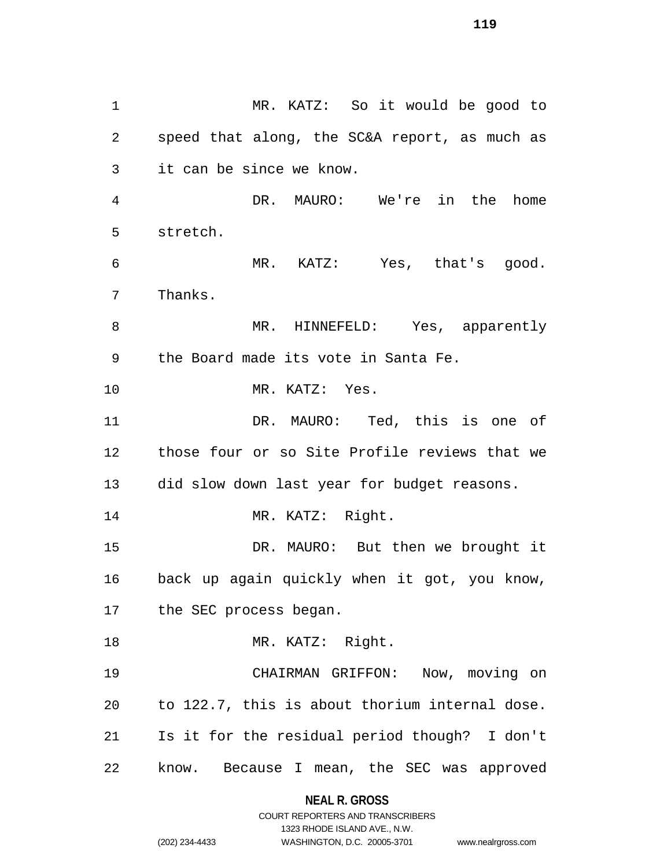MR. KATZ: So it would be good to speed that along, the SC&A report, as much as it can be since we know. DR. MAURO: We're in the home stretch. MR. KATZ: Yes, that's good. Thanks. 8 MR. HINNEFELD: Yes, apparently the Board made its vote in Santa Fe. MR. KATZ: Yes. DR. MAURO: Ted, this is one of those four or so Site Profile reviews that we did slow down last year for budget reasons. 14 MR. KATZ: Right. DR. MAURO: But then we brought it back up again quickly when it got, you know, the SEC process began. 18 MR. KATZ: Right. CHAIRMAN GRIFFON: Now, moving on to 122.7, this is about thorium internal dose. Is it for the residual period though? I don't know. Because I mean, the SEC was approved

> **NEAL R. GROSS** COURT REPORTERS AND TRANSCRIBERS

> > 1323 RHODE ISLAND AVE., N.W.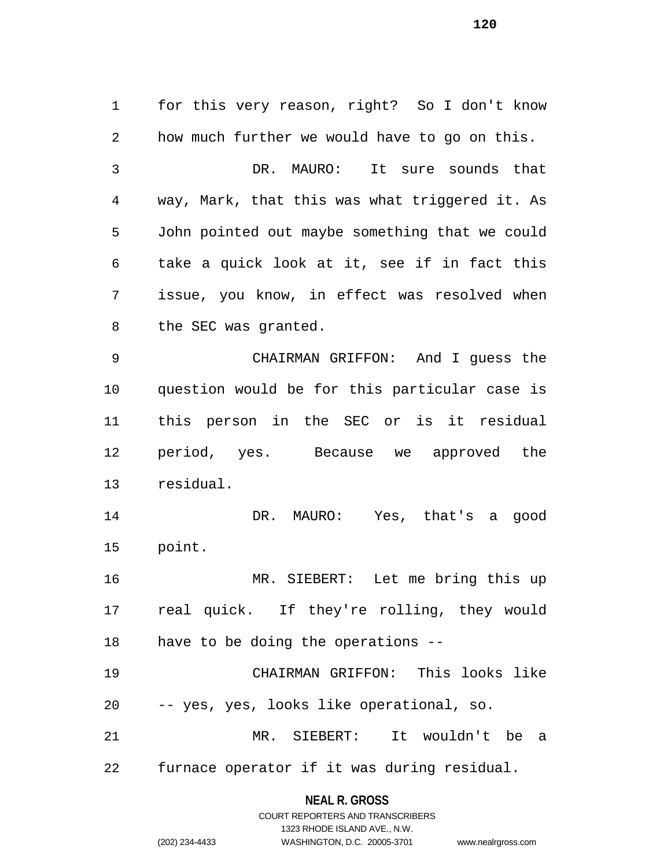for this very reason, right? So I don't know how much further we would have to go on this. DR. MAURO: It sure sounds that way, Mark, that this was what triggered it. As John pointed out maybe something that we could take a quick look at it, see if in fact this issue, you know, in effect was resolved when the SEC was granted. CHAIRMAN GRIFFON: And I guess the question would be for this particular case is this person in the SEC or is it residual period, yes. Because we approved the residual. DR. MAURO: Yes, that's a good point. MR. SIEBERT: Let me bring this up real quick. If they're rolling, they would have to be doing the operations -- CHAIRMAN GRIFFON: This looks like -- yes, yes, looks like operational, so. MR. SIEBERT: It wouldn't be a

furnace operator if it was during residual.

# **NEAL R. GROSS** COURT REPORTERS AND TRANSCRIBERS

1323 RHODE ISLAND AVE., N.W.

(202) 234-4433 WASHINGTON, D.C. 20005-3701 www.nealrgross.com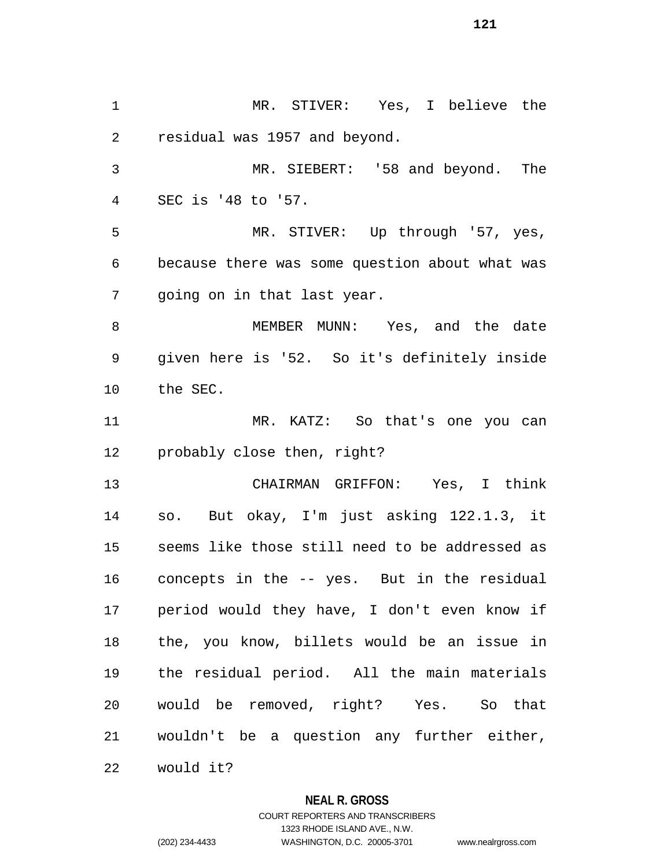MR. STIVER: Yes, I believe the residual was 1957 and beyond. MR. SIEBERT: '58 and beyond. The SEC is '48 to '57. MR. STIVER: Up through '57, yes, because there was some question about what was going on in that last year. 8 MEMBER MUNN: Yes, and the date given here is '52. So it's definitely inside the SEC. MR. KATZ: So that's one you can probably close then, right? CHAIRMAN GRIFFON: Yes, I think so. But okay, I'm just asking 122.1.3, it seems like those still need to be addressed as concepts in the -- yes. But in the residual period would they have, I don't even know if the, you know, billets would be an issue in the residual period. All the main materials would be removed, right? Yes. So that wouldn't be a question any further either, would it?

**NEAL R. GROSS**

COURT REPORTERS AND TRANSCRIBERS 1323 RHODE ISLAND AVE., N.W. (202) 234-4433 WASHINGTON, D.C. 20005-3701 www.nealrgross.com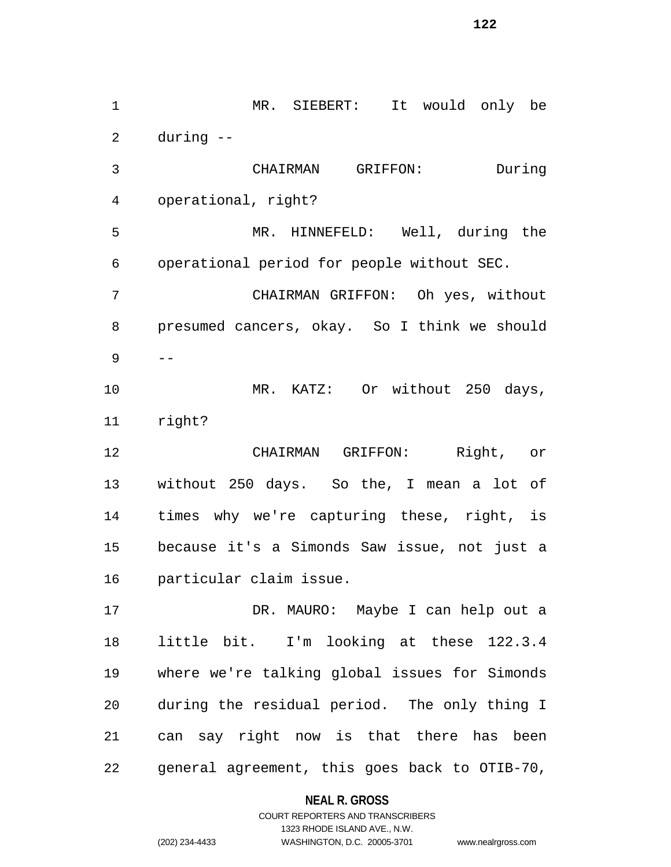MR. SIEBERT: It would only be during -- CHAIRMAN GRIFFON: During operational, right? MR. HINNEFELD: Well, during the operational period for people without SEC. CHAIRMAN GRIFFON: Oh yes, without presumed cancers, okay. So I think we should  $9 - -$  MR. KATZ: Or without 250 days, right? CHAIRMAN GRIFFON: Right, or without 250 days. So the, I mean a lot of times why we're capturing these, right, is because it's a Simonds Saw issue, not just a particular claim issue. DR. MAURO: Maybe I can help out a little bit. I'm looking at these 122.3.4 where we're talking global issues for Simonds during the residual period. The only thing I can say right now is that there has been general agreement, this goes back to OTIB-70,

**NEAL R. GROSS**

COURT REPORTERS AND TRANSCRIBERS 1323 RHODE ISLAND AVE., N.W. (202) 234-4433 WASHINGTON, D.C. 20005-3701 www.nealrgross.com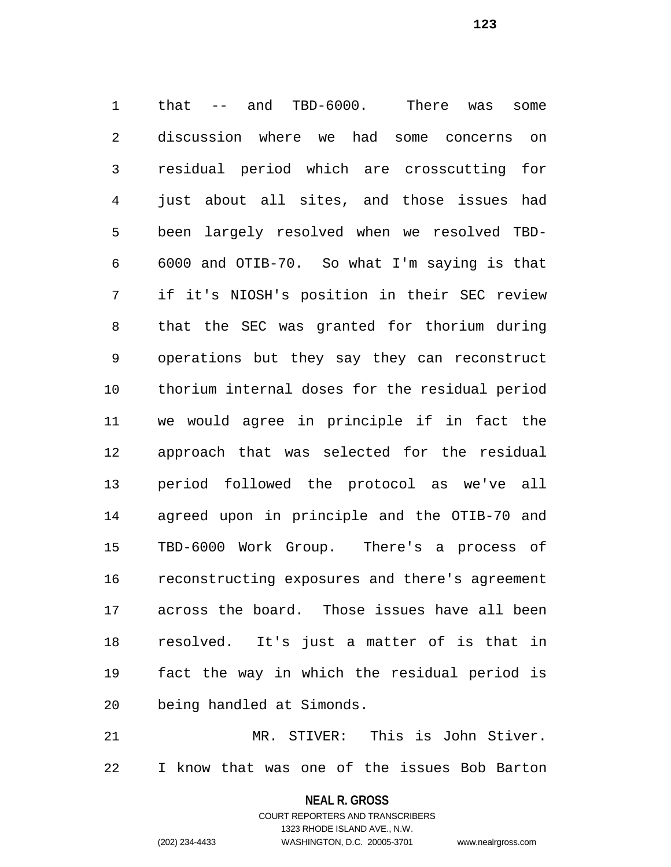that -- and TBD-6000. There was some discussion where we had some concerns on residual period which are crosscutting for just about all sites, and those issues had been largely resolved when we resolved TBD- 6000 and OTIB-70. So what I'm saying is that if it's NIOSH's position in their SEC review that the SEC was granted for thorium during operations but they say they can reconstruct thorium internal doses for the residual period we would agree in principle if in fact the approach that was selected for the residual period followed the protocol as we've all agreed upon in principle and the OTIB-70 and TBD-6000 Work Group. There's a process of reconstructing exposures and there's agreement across the board. Those issues have all been resolved. It's just a matter of is that in fact the way in which the residual period is being handled at Simonds.

 MR. STIVER: This is John Stiver. I know that was one of the issues Bob Barton

> **NEAL R. GROSS** COURT REPORTERS AND TRANSCRIBERS

> > 1323 RHODE ISLAND AVE., N.W.

(202) 234-4433 WASHINGTON, D.C. 20005-3701 www.nealrgross.com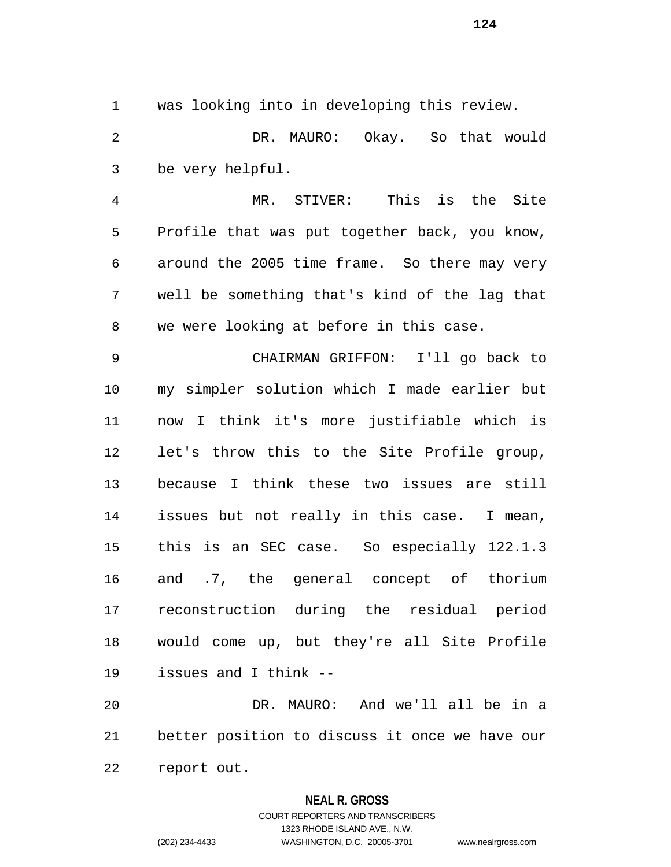was looking into in developing this review. DR. MAURO: Okay. So that would be very helpful.

 MR. STIVER: This is the Site Profile that was put together back, you know, around the 2005 time frame. So there may very well be something that's kind of the lag that we were looking at before in this case.

 CHAIRMAN GRIFFON: I'll go back to my simpler solution which I made earlier but now I think it's more justifiable which is let's throw this to the Site Profile group, because I think these two issues are still issues but not really in this case. I mean, this is an SEC case. So especially 122.1.3 and .7, the general concept of thorium reconstruction during the residual period would come up, but they're all Site Profile issues and I think --

 DR. MAURO: And we'll all be in a better position to discuss it once we have our report out.

### **NEAL R. GROSS**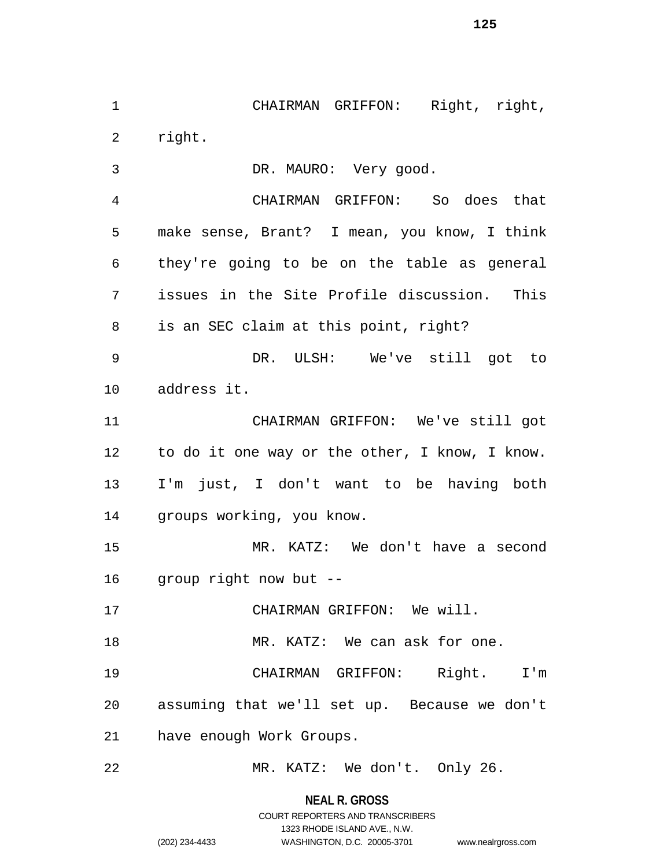CHAIRMAN GRIFFON: Right, right, right.

 DR. MAURO: Very good. CHAIRMAN GRIFFON: So does that

 make sense, Brant? I mean, you know, I think they're going to be on the table as general issues in the Site Profile discussion. This is an SEC claim at this point, right?

 DR. ULSH: We've still got to address it.

 CHAIRMAN GRIFFON: We've still got to do it one way or the other, I know, I know. I'm just, I don't want to be having both groups working, you know.

 MR. KATZ: We don't have a second group right now but --

CHAIRMAN GRIFFON: We will.

18 MR. KATZ: We can ask for one.

 CHAIRMAN GRIFFON: Right. I'm assuming that we'll set up. Because we don't have enough Work Groups.

MR. KATZ: We don't. Only 26.

**NEAL R. GROSS**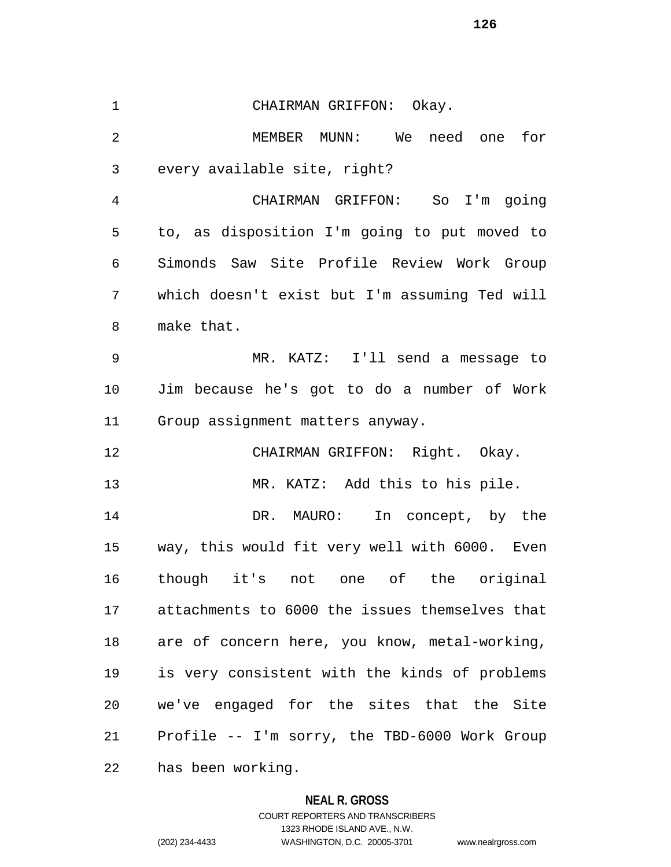CHAIRMAN GRIFFON: Okay. MEMBER MUNN: We need one for every available site, right? CHAIRMAN GRIFFON: So I'm going to, as disposition I'm going to put moved to Simonds Saw Site Profile Review Work Group which doesn't exist but I'm assuming Ted will make that. MR. KATZ: I'll send a message to Jim because he's got to do a number of Work Group assignment matters anyway. CHAIRMAN GRIFFON: Right. Okay. MR. KATZ: Add this to his pile. DR. MAURO: In concept, by the way, this would fit very well with 6000. Even though it's not one of the original attachments to 6000 the issues themselves that are of concern here, you know, metal-working, is very consistent with the kinds of problems we've engaged for the sites that the Site Profile -- I'm sorry, the TBD-6000 Work Group has been working.

### **NEAL R. GROSS**

COURT REPORTERS AND TRANSCRIBERS 1323 RHODE ISLAND AVE., N.W. (202) 234-4433 WASHINGTON, D.C. 20005-3701 www.nealrgross.com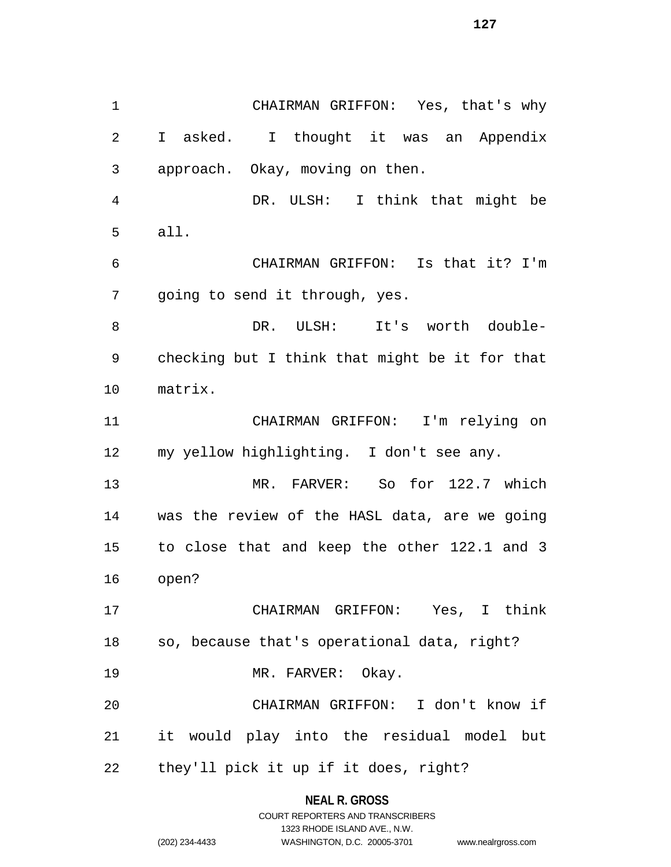CHAIRMAN GRIFFON: Yes, that's why I asked. I thought it was an Appendix approach. Okay, moving on then. DR. ULSH: I think that might be all. CHAIRMAN GRIFFON: Is that it? I'm going to send it through, yes. DR. ULSH: It's worth double- checking but I think that might be it for that matrix. CHAIRMAN GRIFFON: I'm relying on my yellow highlighting. I don't see any. MR. FARVER: So for 122.7 which was the review of the HASL data, are we going to close that and keep the other 122.1 and 3 open? CHAIRMAN GRIFFON: Yes, I think so, because that's operational data, right? 19 MR. FARVER: Okay. CHAIRMAN GRIFFON: I don't know if

they'll pick it up if it does, right?

### **NEAL R. GROSS**

it would play into the residual model but

COURT REPORTERS AND TRANSCRIBERS 1323 RHODE ISLAND AVE., N.W. (202) 234-4433 WASHINGTON, D.C. 20005-3701 www.nealrgross.com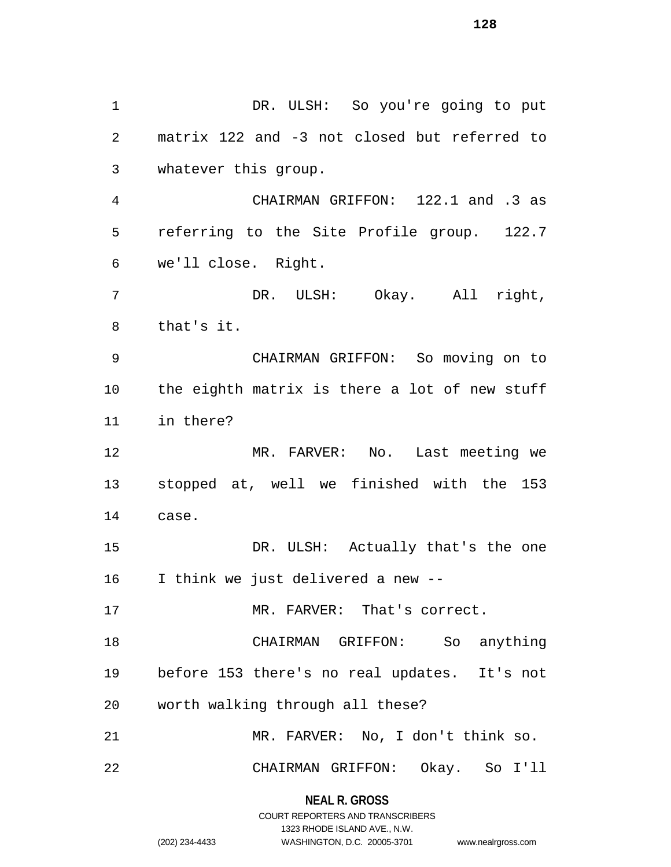DR. ULSH: So you're going to put matrix 122 and -3 not closed but referred to whatever this group. CHAIRMAN GRIFFON: 122.1 and .3 as referring to the Site Profile group. 122.7 we'll close. Right. DR. ULSH: Okay. All right, that's it. CHAIRMAN GRIFFON: So moving on to the eighth matrix is there a lot of new stuff in there? MR. FARVER: No. Last meeting we stopped at, well we finished with the 153 case. DR. ULSH: Actually that's the one I think we just delivered a new -- MR. FARVER: That's correct. CHAIRMAN GRIFFON: So anything before 153 there's no real updates. It's not worth walking through all these? MR. FARVER: No, I don't think so. CHAIRMAN GRIFFON: Okay. So I'll

> **NEAL R. GROSS** COURT REPORTERS AND TRANSCRIBERS

> > 1323 RHODE ISLAND AVE., N.W.

(202) 234-4433 WASHINGTON, D.C. 20005-3701 www.nealrgross.com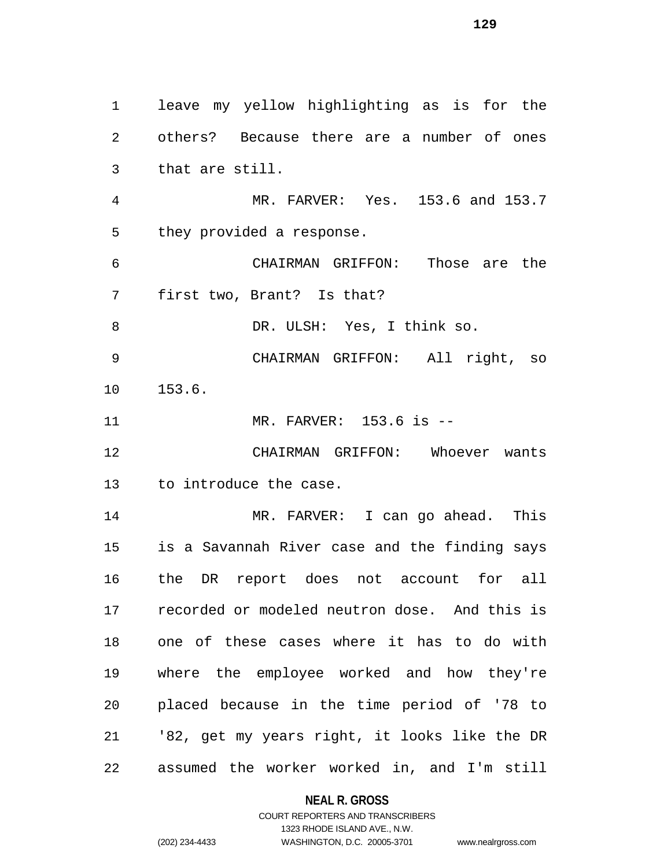leave my yellow highlighting as is for the others? Because there are a number of ones that are still. MR. FARVER: Yes. 153.6 and 153.7 they provided a response. CHAIRMAN GRIFFON: Those are the first two, Brant? Is that? 8 DR. ULSH: Yes, I think so. CHAIRMAN GRIFFON: All right, so 153.6. MR. FARVER: 153.6 is -- CHAIRMAN GRIFFON: Whoever wants to introduce the case. MR. FARVER: I can go ahead. This is a Savannah River case and the finding says the DR report does not account for all recorded or modeled neutron dose. And this is one of these cases where it has to do with where the employee worked and how they're placed because in the time period of '78 to '82, get my years right, it looks like the DR assumed the worker worked in, and I'm still

#### **NEAL R. GROSS**

# COURT REPORTERS AND TRANSCRIBERS 1323 RHODE ISLAND AVE., N.W. (202) 234-4433 WASHINGTON, D.C. 20005-3701 www.nealrgross.com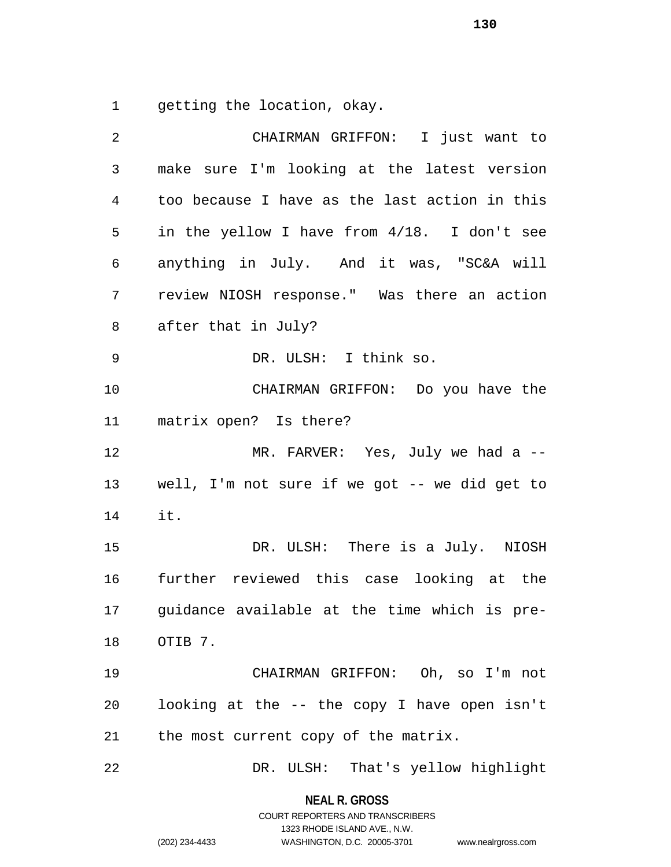getting the location, okay.

| 2              | CHAIRMAN GRIFFON: I just want to              |
|----------------|-----------------------------------------------|
| $\mathsf{3}$   | make sure I'm looking at the latest version   |
| $\overline{4}$ | too because I have as the last action in this |
| 5              | in the yellow I have from 4/18. I don't see   |
| 6              | anything in July. And it was, "SC&A will      |
| 7              | review NIOSH response." Was there an action   |
| 8              | after that in July?                           |
| 9              | DR. ULSH: I think so.                         |
| 10             | CHAIRMAN GRIFFON: Do you have the             |
| 11             | matrix open? Is there?                        |
| 12             | MR. FARVER: Yes, July we had a --             |
| 13             | well, I'm not sure if we got -- we did get to |
| 14             | it.                                           |
| 15             | DR. ULSH: There is a July. NIOSH              |
| 16             | further reviewed this case looking at the     |
| 17             | guidance available at the time which is pre-  |
| 18             | OTIB 7.                                       |
| 19             | CHAIRMAN GRIFFON: Oh, so I'm not              |
| 20             | looking at the -- the copy I have open isn't  |
| 21             | the most current copy of the matrix.          |
| 22             | That's yellow highlight<br>DR. ULSH:          |

**NEAL R. GROSS**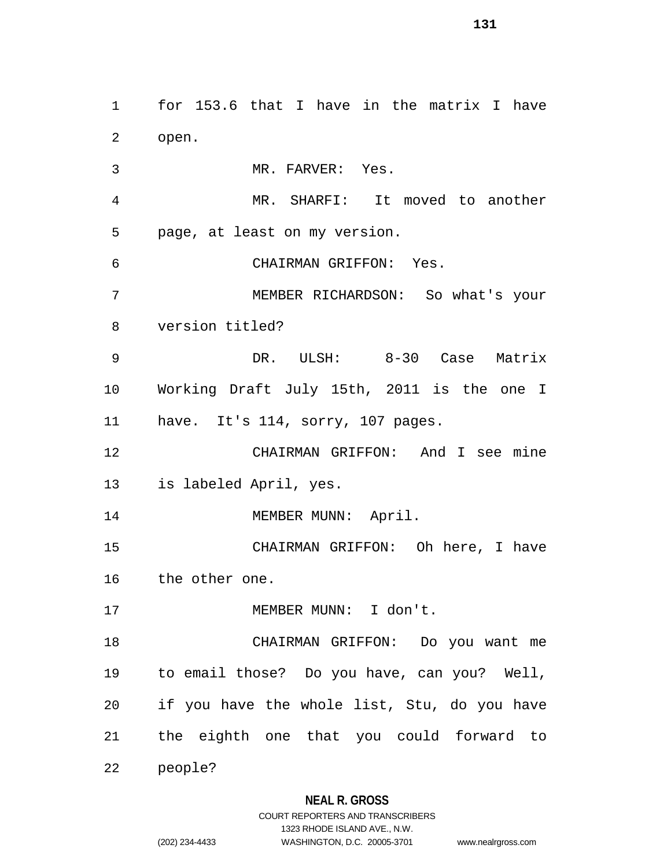for 153.6 that I have in the matrix I have open. MR. FARVER: Yes. MR. SHARFI: It moved to another page, at least on my version. CHAIRMAN GRIFFON: Yes. MEMBER RICHARDSON: So what's your version titled? DR. ULSH: 8-30 Case Matrix Working Draft July 15th, 2011 is the one I have. It's 114, sorry, 107 pages. CHAIRMAN GRIFFON: And I see mine is labeled April, yes. 14 MEMBER MUNN: April. CHAIRMAN GRIFFON: Oh here, I have the other one. MEMBER MUNN: I don't. CHAIRMAN GRIFFON: Do you want me to email those? Do you have, can you? Well, if you have the whole list, Stu, do you have the eighth one that you could forward to people?

# **NEAL R. GROSS**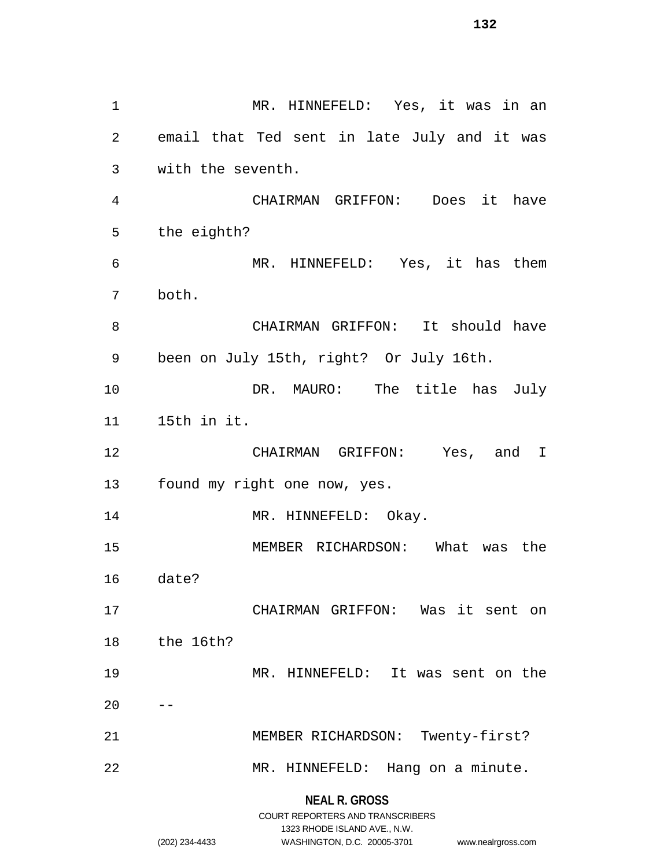MR. HINNEFELD: Yes, it was in an email that Ted sent in late July and it was with the seventh. CHAIRMAN GRIFFON: Does it have the eighth? MR. HINNEFELD: Yes, it has them both. CHAIRMAN GRIFFON: It should have been on July 15th, right? Or July 16th. 10 DR. MAURO: The title has July 15th in it. CHAIRMAN GRIFFON: Yes, and I found my right one now, yes. 14 MR. HINNEFELD: Okay. MEMBER RICHARDSON: What was the date? CHAIRMAN GRIFFON: Was it sent on the 16th? MR. HINNEFELD: It was sent on the  $20 - -$  MEMBER RICHARDSON: Twenty-first? MR. HINNEFELD: Hang on a minute.

**NEAL R. GROSS**

|                | COURT REPORTERS AND TRANSCRIBERS |                    |
|----------------|----------------------------------|--------------------|
|                | 1323 RHODE ISLAND AVE N.W.       |                    |
| (202) 234-4433 | WASHINGTON, D.C. 20005-3701      | www.nealrgross.com |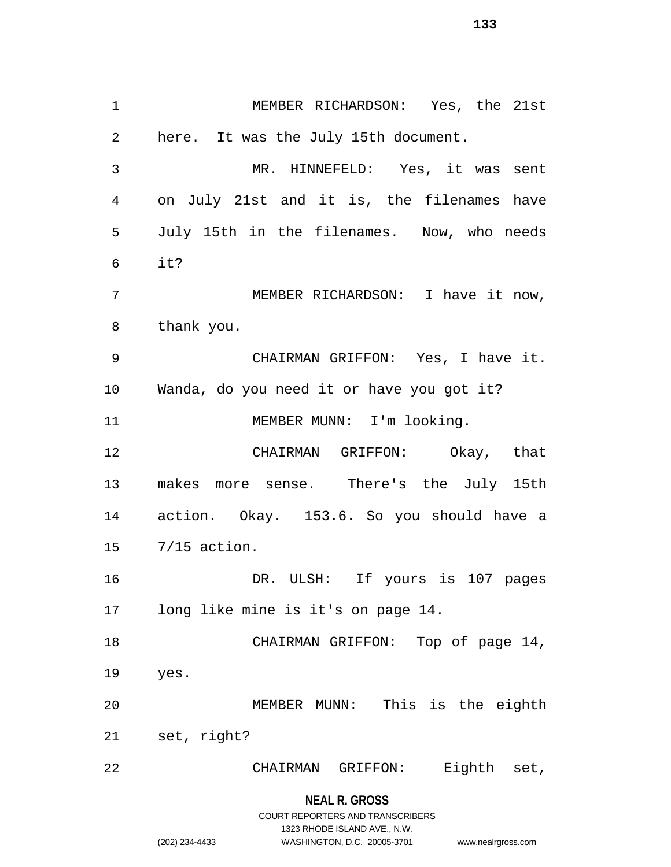MEMBER RICHARDSON: Yes, the 21st here. It was the July 15th document. MR. HINNEFELD: Yes, it was sent on July 21st and it is, the filenames have July 15th in the filenames. Now, who needs it? MEMBER RICHARDSON: I have it now, thank you. CHAIRMAN GRIFFON: Yes, I have it. Wanda, do you need it or have you got it? 11 MEMBER MUNN: I'm looking. CHAIRMAN GRIFFON: Okay, that makes more sense. There's the July 15th action. Okay. 153.6. So you should have a 7/15 action. DR. ULSH: If yours is 107 pages long like mine is it's on page 14. 18 CHAIRMAN GRIFFON: Top of page 14, yes. MEMBER MUNN: This is the eighth set, right? CHAIRMAN GRIFFON: Eighth set,

**NEAL R. GROSS**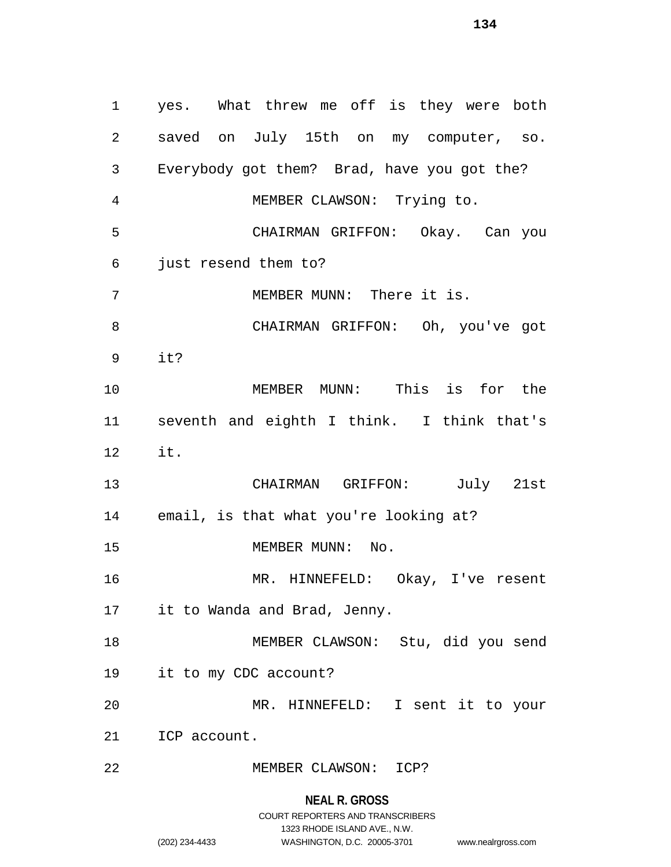yes. What threw me off is they were both saved on July 15th on my computer, so. Everybody got them? Brad, have you got the? MEMBER CLAWSON: Trying to. CHAIRMAN GRIFFON: Okay. Can you just resend them to? MEMBER MUNN: There it is. CHAIRMAN GRIFFON: Oh, you've got it? MEMBER MUNN: This is for the seventh and eighth I think. I think that's it. CHAIRMAN GRIFFON: July 21st email, is that what you're looking at? 15 MEMBER MUNN: No. MR. HINNEFELD: Okay, I've resent it to Wanda and Brad, Jenny. MEMBER CLAWSON: Stu, did you send it to my CDC account? MR. HINNEFELD: I sent it to your ICP account. MEMBER CLAWSON: ICP?

**NEAL R. GROSS**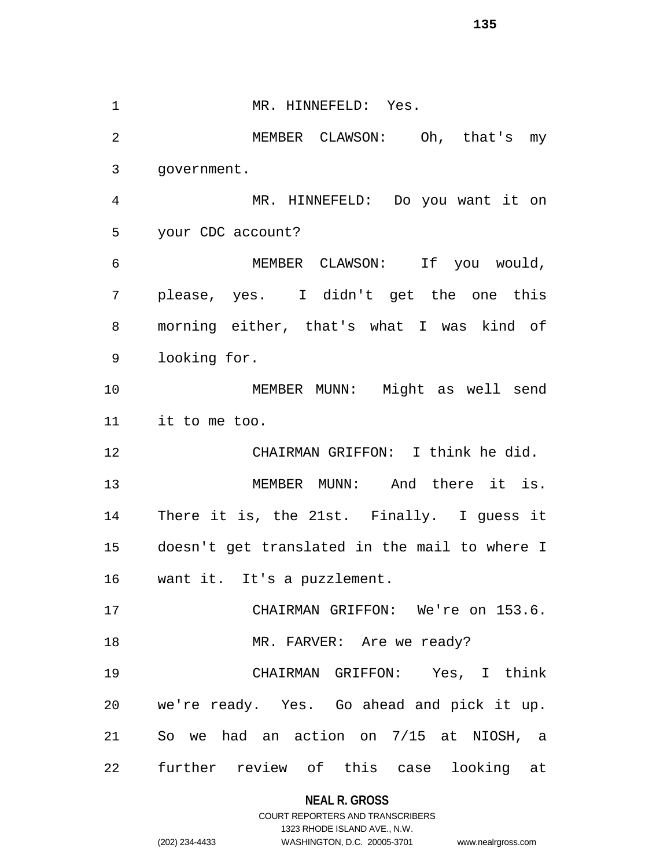1 MR. HINNEFELD: Yes. MEMBER CLAWSON: Oh, that's my government. MR. HINNEFELD: Do you want it on your CDC account? MEMBER CLAWSON: If you would, please, yes. I didn't get the one this morning either, that's what I was kind of looking for. MEMBER MUNN: Might as well send it to me too. CHAIRMAN GRIFFON: I think he did. MEMBER MUNN: And there it is. There it is, the 21st. Finally. I guess it doesn't get translated in the mail to where I want it. It's a puzzlement. CHAIRMAN GRIFFON: We're on 153.6. 18 MR. FARVER: Are we ready? CHAIRMAN GRIFFON: Yes, I think we're ready. Yes. Go ahead and pick it up. So we had an action on 7/15 at NIOSH, a further review of this case looking at

> **NEAL R. GROSS** COURT REPORTERS AND TRANSCRIBERS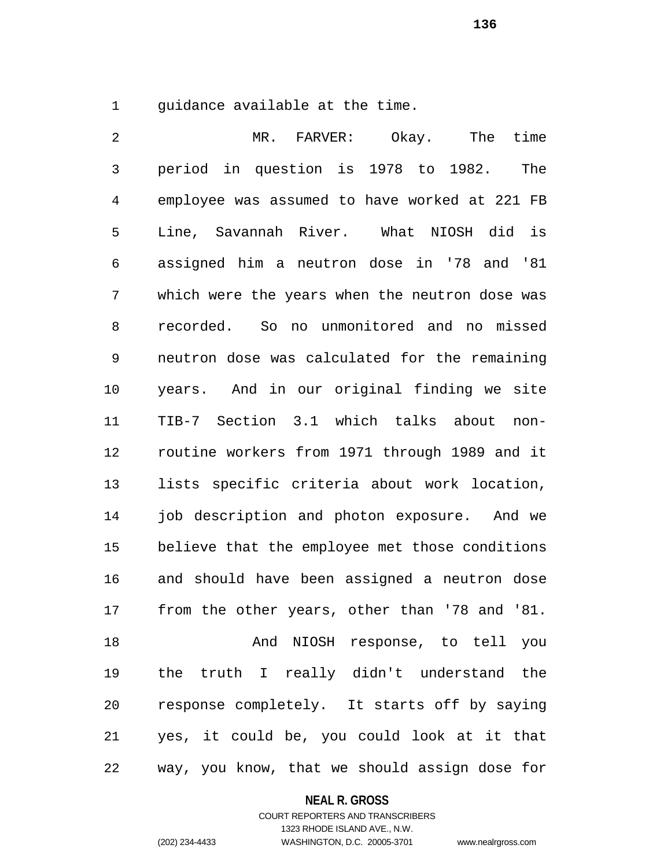guidance available at the time.

| 2              | MR. FARVER: Okay.<br>The time                  |
|----------------|------------------------------------------------|
| $\mathfrak{Z}$ | period in question is 1978 to 1982.<br>The     |
| $\overline{4}$ | employee was assumed to have worked at 221 FB  |
| 5              | Line, Savannah River. What NIOSH did is        |
| 6              | assigned him a neutron dose in '78 and '81     |
| 7              | which were the years when the neutron dose was |
| 8              | recorded. So no unmonitored and no missed      |
| 9              | neutron dose was calculated for the remaining  |
| 10             | years. And in our original finding we site     |
| 11             | TIB-7 Section 3.1 which talks about<br>non-    |
| 12             | routine workers from 1971 through 1989 and it  |
| 13             | lists specific criteria about work location,   |
| 14             | job description and photon exposure. And we    |
| 15             | believe that the employee met those conditions |
| 16             | and should have been assigned a neutron dose   |
| 17             | from the other years, other than '78 and '81.  |
| 18             | And NIOSH response, to tell you                |
| 19             | the truth I really didn't understand the       |
| 20             | response completely. It starts off by saying   |
| 21             | yes, it could be, you could look at it that    |
| 22             | way, you know, that we should assign dose for  |

# **NEAL R. GROSS**

# COURT REPORTERS AND TRANSCRIBERS 1323 RHODE ISLAND AVE., N.W. (202) 234-4433 WASHINGTON, D.C. 20005-3701 www.nealrgross.com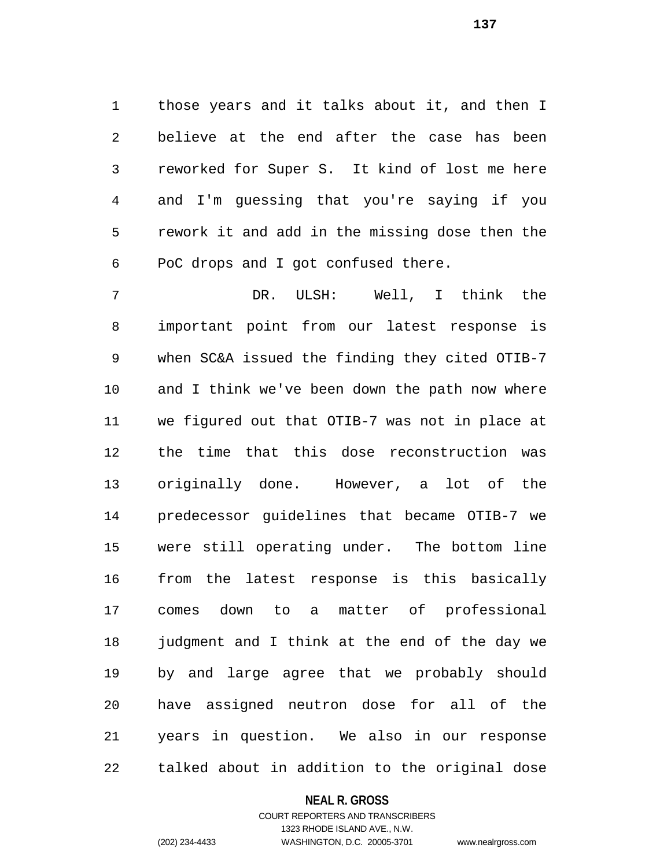those years and it talks about it, and then I believe at the end after the case has been reworked for Super S. It kind of lost me here and I'm guessing that you're saying if you rework it and add in the missing dose then the PoC drops and I got confused there.

 DR. ULSH: Well, I think the important point from our latest response is when SC&A issued the finding they cited OTIB-7 and I think we've been down the path now where we figured out that OTIB-7 was not in place at the time that this dose reconstruction was originally done. However, a lot of the predecessor guidelines that became OTIB-7 we were still operating under. The bottom line from the latest response is this basically comes down to a matter of professional judgment and I think at the end of the day we by and large agree that we probably should have assigned neutron dose for all of the years in question. We also in our response talked about in addition to the original dose

#### **NEAL R. GROSS**

# COURT REPORTERS AND TRANSCRIBERS 1323 RHODE ISLAND AVE., N.W. (202) 234-4433 WASHINGTON, D.C. 20005-3701 www.nealrgross.com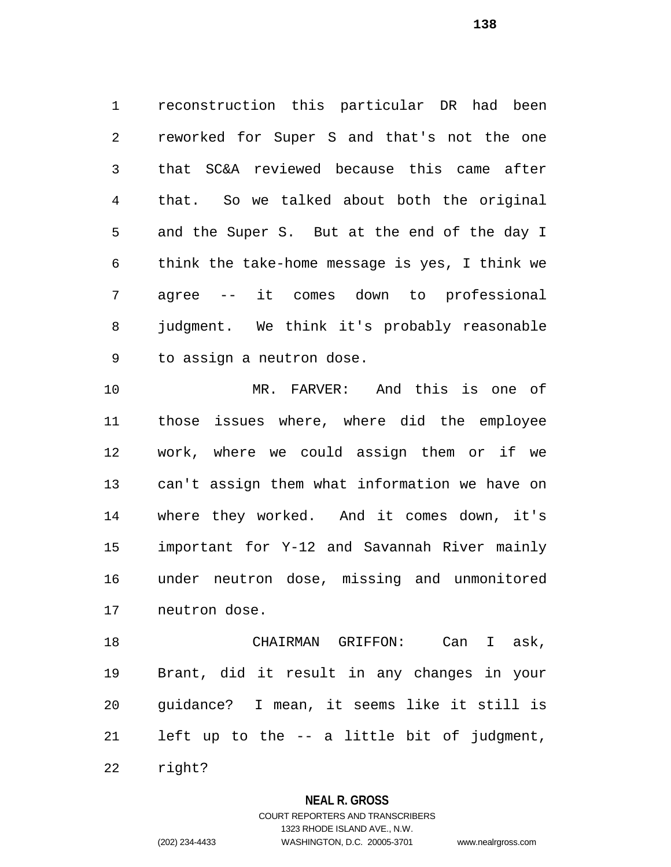reconstruction this particular DR had been reworked for Super S and that's not the one that SC&A reviewed because this came after that. So we talked about both the original and the Super S. But at the end of the day I think the take-home message is yes, I think we agree -- it comes down to professional judgment. We think it's probably reasonable to assign a neutron dose.

 MR. FARVER: And this is one of those issues where, where did the employee work, where we could assign them or if we can't assign them what information we have on where they worked. And it comes down, it's important for Y-12 and Savannah River mainly under neutron dose, missing and unmonitored neutron dose.

 CHAIRMAN GRIFFON: Can I ask, Brant, did it result in any changes in your guidance? I mean, it seems like it still is left up to the -- a little bit of judgment,

right?

### **NEAL R. GROSS**

# COURT REPORTERS AND TRANSCRIBERS 1323 RHODE ISLAND AVE., N.W. (202) 234-4433 WASHINGTON, D.C. 20005-3701 www.nealrgross.com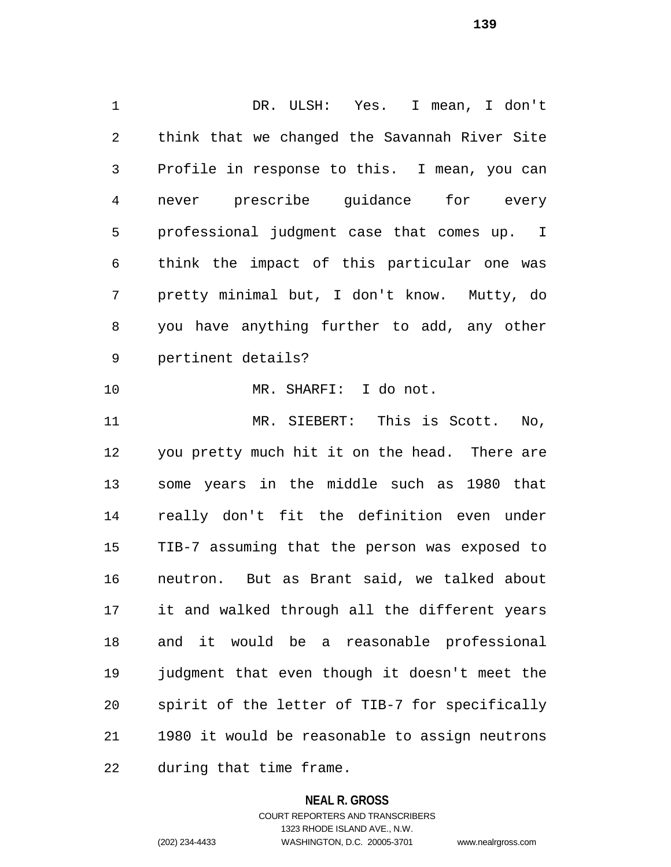DR. ULSH: Yes. I mean, I don't think that we changed the Savannah River Site Profile in response to this. I mean, you can never prescribe guidance for every professional judgment case that comes up. I think the impact of this particular one was pretty minimal but, I don't know. Mutty, do you have anything further to add, any other pertinent details? MR. SHARFI: I do not. MR. SIEBERT: This is Scott. No, you pretty much hit it on the head. There are some years in the middle such as 1980 that really don't fit the definition even under TIB-7 assuming that the person was exposed to neutron. But as Brant said, we talked about it and walked through all the different years and it would be a reasonable professional judgment that even though it doesn't meet the spirit of the letter of TIB-7 for specifically 1980 it would be reasonable to assign neutrons

during that time frame.

### **NEAL R. GROSS**

COURT REPORTERS AND TRANSCRIBERS 1323 RHODE ISLAND AVE., N.W. (202) 234-4433 WASHINGTON, D.C. 20005-3701 www.nealrgross.com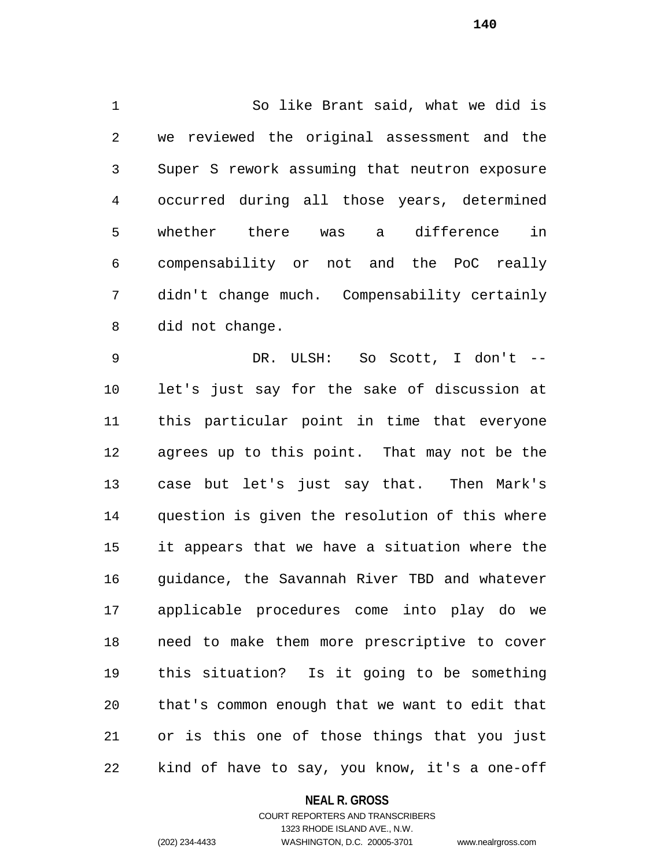So like Brant said, what we did is we reviewed the original assessment and the Super S rework assuming that neutron exposure occurred during all those years, determined whether there was a difference in compensability or not and the PoC really didn't change much. Compensability certainly did not change.

 DR. ULSH: So Scott, I don't -- let's just say for the sake of discussion at this particular point in time that everyone agrees up to this point. That may not be the case but let's just say that. Then Mark's question is given the resolution of this where it appears that we have a situation where the guidance, the Savannah River TBD and whatever applicable procedures come into play do we need to make them more prescriptive to cover this situation? Is it going to be something that's common enough that we want to edit that or is this one of those things that you just kind of have to say, you know, it's a one-off

### **NEAL R. GROSS**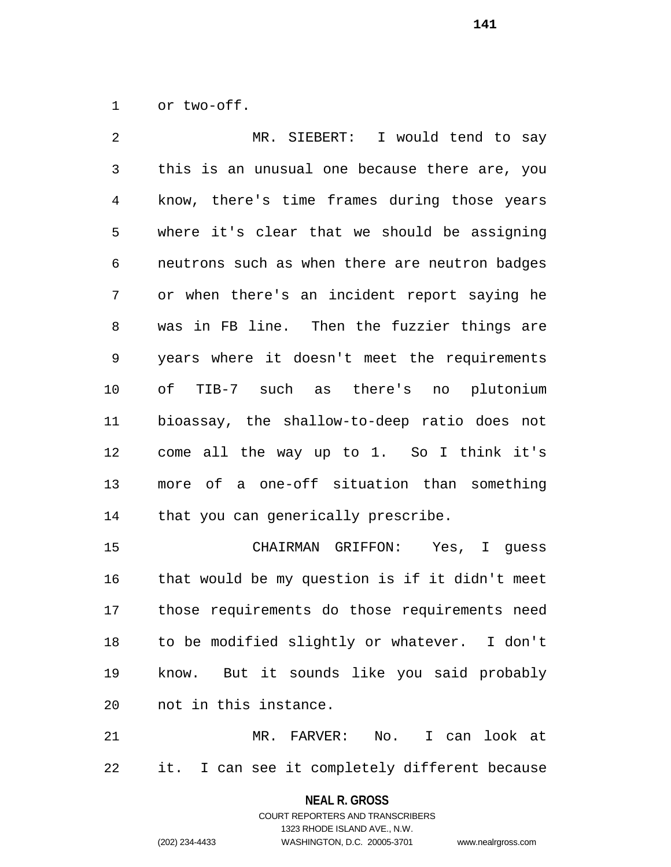or two-off.

 MR. SIEBERT: I would tend to say this is an unusual one because there are, you know, there's time frames during those years where it's clear that we should be assigning neutrons such as when there are neutron badges or when there's an incident report saying he was in FB line. Then the fuzzier things are years where it doesn't meet the requirements of TIB-7 such as there's no plutonium bioassay, the shallow-to-deep ratio does not come all the way up to 1. So I think it's more of a one-off situation than something that you can generically prescribe. CHAIRMAN GRIFFON: Yes, I guess

 that would be my question is if it didn't meet those requirements do those requirements need to be modified slightly or whatever. I don't know. But it sounds like you said probably not in this instance.

 MR. FARVER: No. I can look at it. I can see it completely different because

> **NEAL R. GROSS** COURT REPORTERS AND TRANSCRIBERS

> > 1323 RHODE ISLAND AVE., N.W.

(202) 234-4433 WASHINGTON, D.C. 20005-3701 www.nealrgross.com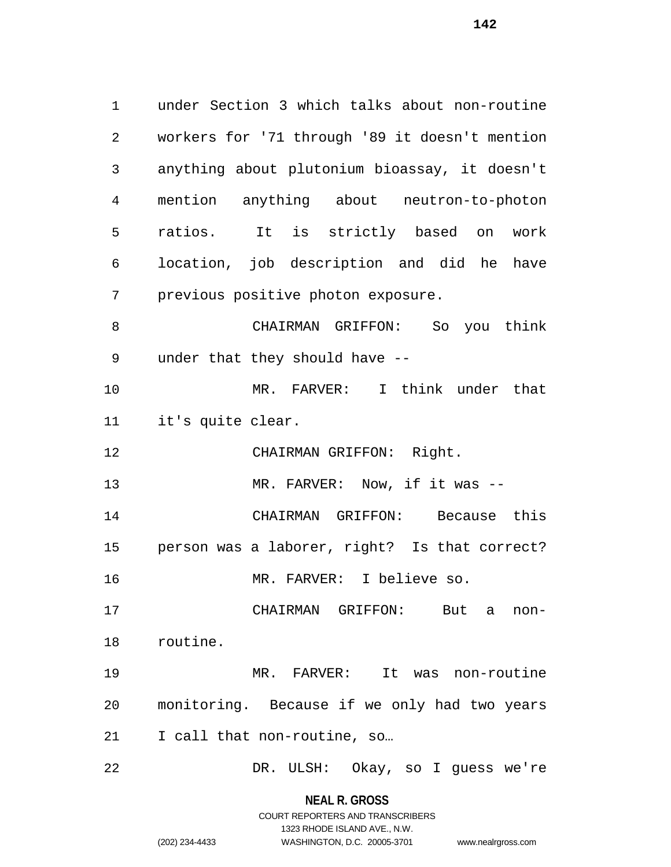under Section 3 which talks about non-routine workers for '71 through '89 it doesn't mention anything about plutonium bioassay, it doesn't mention anything about neutron-to-photon ratios. It is strictly based on work location, job description and did he have previous positive photon exposure. CHAIRMAN GRIFFON: So you think under that they should have -- MR. FARVER: I think under that it's quite clear. CHAIRMAN GRIFFON: Right. MR. FARVER: Now, if it was -- CHAIRMAN GRIFFON: Because this person was a laborer, right? Is that correct? MR. FARVER: I believe so. CHAIRMAN GRIFFON: But a non- routine. MR. FARVER: It was non-routine monitoring. Because if we only had two years 21 I call that non-routine, so... DR. ULSH: Okay, so I guess we're

#### **NEAL R. GROSS**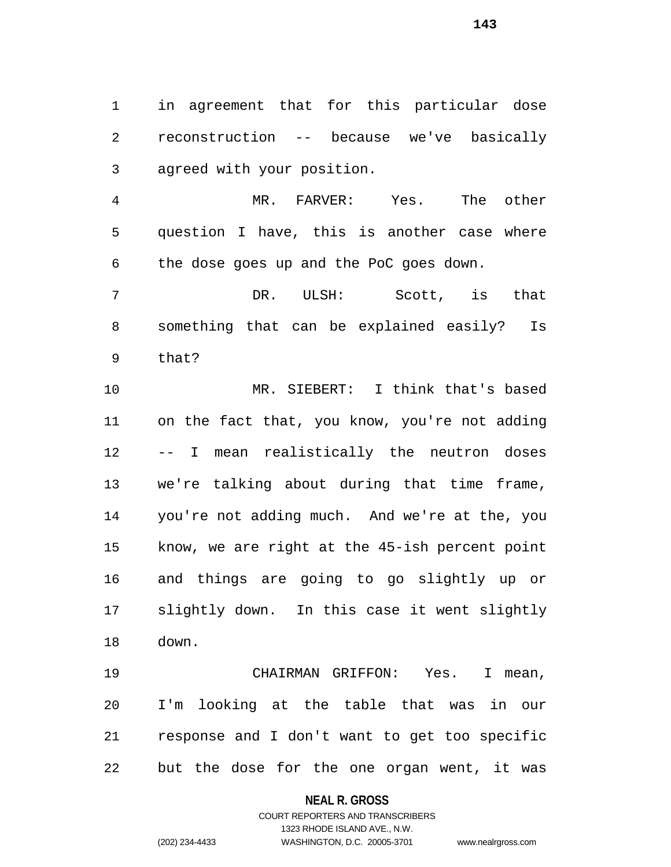in agreement that for this particular dose reconstruction -- because we've basically agreed with your position.

 MR. FARVER: Yes. The other question I have, this is another case where the dose goes up and the PoC goes down.

 DR. ULSH: Scott, is that something that can be explained easily? Is that?

 MR. SIEBERT: I think that's based on the fact that, you know, you're not adding -- I mean realistically the neutron doses we're talking about during that time frame, you're not adding much. And we're at the, you know, we are right at the 45-ish percent point and things are going to go slightly up or slightly down. In this case it went slightly down.

 CHAIRMAN GRIFFON: Yes. I mean, I'm looking at the table that was in our response and I don't want to get too specific but the dose for the one organ went, it was

### **NEAL R. GROSS**

COURT REPORTERS AND TRANSCRIBERS 1323 RHODE ISLAND AVE., N.W. (202) 234-4433 WASHINGTON, D.C. 20005-3701 www.nealrgross.com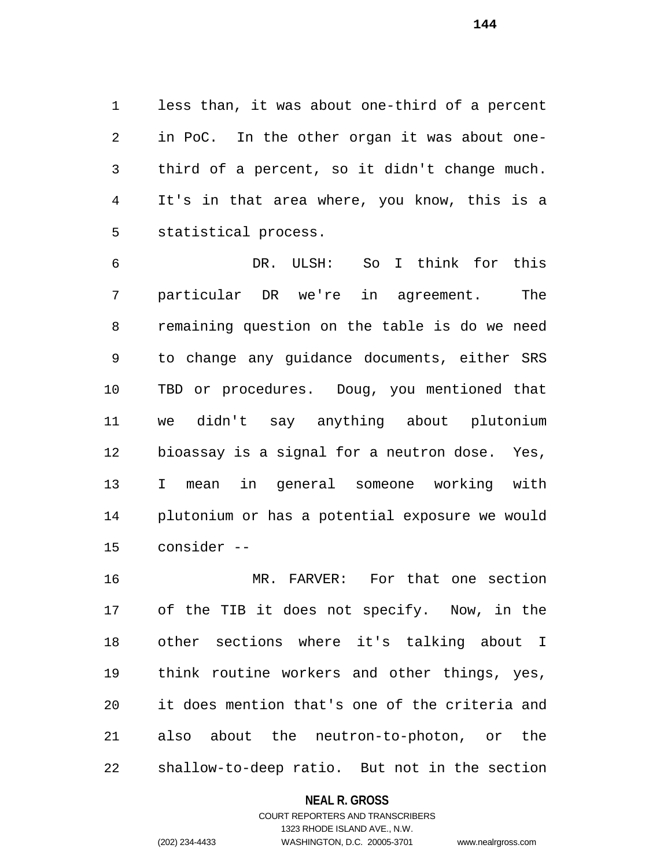less than, it was about one-third of a percent in PoC. In the other organ it was about one- third of a percent, so it didn't change much. It's in that area where, you know, this is a statistical process.

 DR. ULSH: So I think for this particular DR we're in agreement. The remaining question on the table is do we need to change any guidance documents, either SRS TBD or procedures. Doug, you mentioned that we didn't say anything about plutonium bioassay is a signal for a neutron dose. Yes, I mean in general someone working with plutonium or has a potential exposure we would consider --

 MR. FARVER: For that one section of the TIB it does not specify. Now, in the other sections where it's talking about I think routine workers and other things, yes, it does mention that's one of the criteria and also about the neutron-to-photon, or the shallow-to-deep ratio. But not in the section

### **NEAL R. GROSS**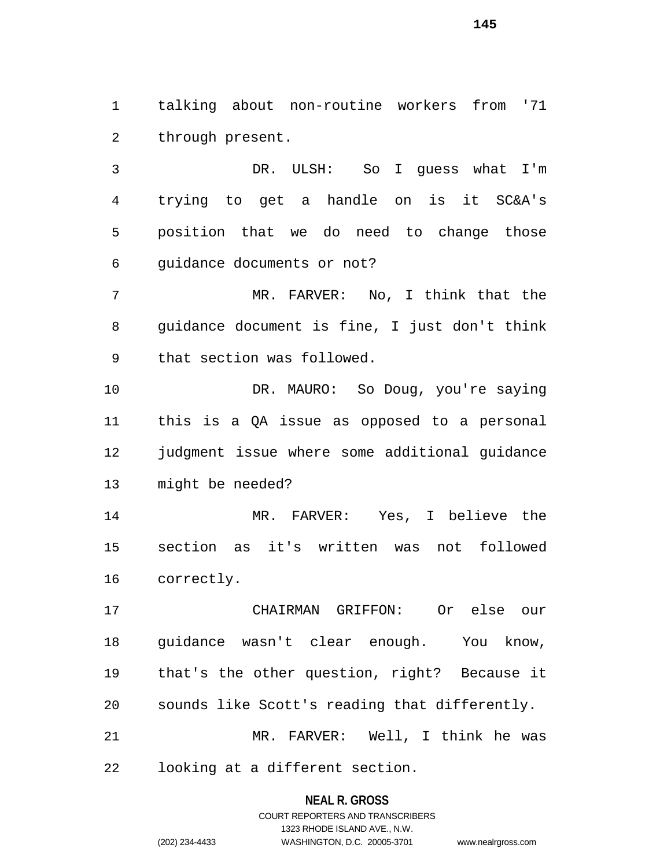talking about non-routine workers from '71 through present.

 DR. ULSH: So I guess what I'm trying to get a handle on is it SC&A's position that we do need to change those guidance documents or not?

 MR. FARVER: No, I think that the guidance document is fine, I just don't think that section was followed.

10 DR. MAURO: So Doug, you're saying this is a QA issue as opposed to a personal judgment issue where some additional guidance might be needed?

 MR. FARVER: Yes, I believe the section as it's written was not followed correctly.

 CHAIRMAN GRIFFON: Or else our guidance wasn't clear enough. You know, that's the other question, right? Because it sounds like Scott's reading that differently. MR. FARVER: Well, I think he was

looking at a different section.

**NEAL R. GROSS** COURT REPORTERS AND TRANSCRIBERS

1323 RHODE ISLAND AVE., N.W.

(202) 234-4433 WASHINGTON, D.C. 20005-3701 www.nealrgross.com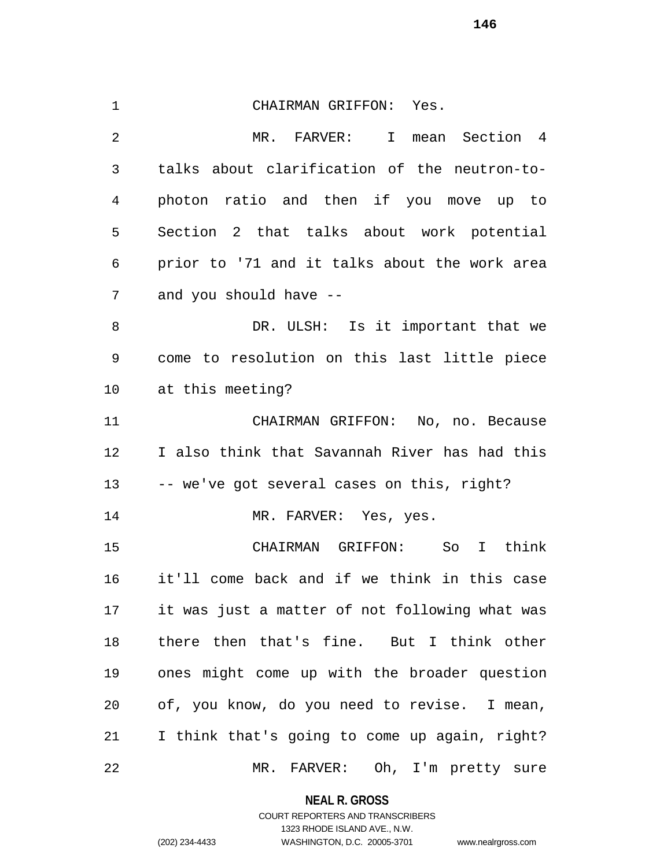CHAIRMAN GRIFFON: Yes. MR. FARVER: I mean Section 4 talks about clarification of the neutron-to- photon ratio and then if you move up to Section 2 that talks about work potential prior to '71 and it talks about the work area and you should have -- DR. ULSH: Is it important that we come to resolution on this last little piece at this meeting? CHAIRMAN GRIFFON: No, no. Because I also think that Savannah River has had this -- we've got several cases on this, right? 14 MR. FARVER: Yes, yes. CHAIRMAN GRIFFON: So I think it'll come back and if we think in this case it was just a matter of not following what was there then that's fine. But I think other ones might come up with the broader question of, you know, do you need to revise. I mean, I think that's going to come up again, right? MR. FARVER: Oh, I'm pretty sure

**NEAL R. GROSS**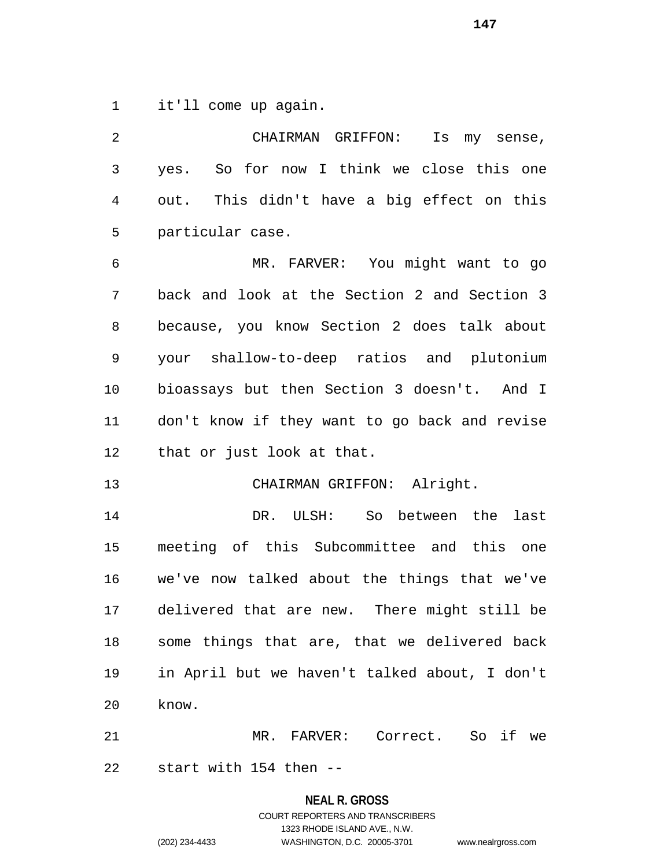it'll come up again.

 CHAIRMAN GRIFFON: Is my sense, yes. So for now I think we close this one out. This didn't have a big effect on this particular case. MR. FARVER: You might want to go back and look at the Section 2 and Section 3 because, you know Section 2 does talk about your shallow-to-deep ratios and plutonium bioassays but then Section 3 doesn't. And I don't know if they want to go back and revise that or just look at that. CHAIRMAN GRIFFON: Alright. DR. ULSH: So between the last meeting of this Subcommittee and this one we've now talked about the things that we've delivered that are new. There might still be some things that are, that we delivered back in April but we haven't talked about, I don't know. MR. FARVER: Correct. So if we start with 154 then --

> **NEAL R. GROSS** COURT REPORTERS AND TRANSCRIBERS 1323 RHODE ISLAND AVE., N.W. (202) 234-4433 WASHINGTON, D.C. 20005-3701 www.nealrgross.com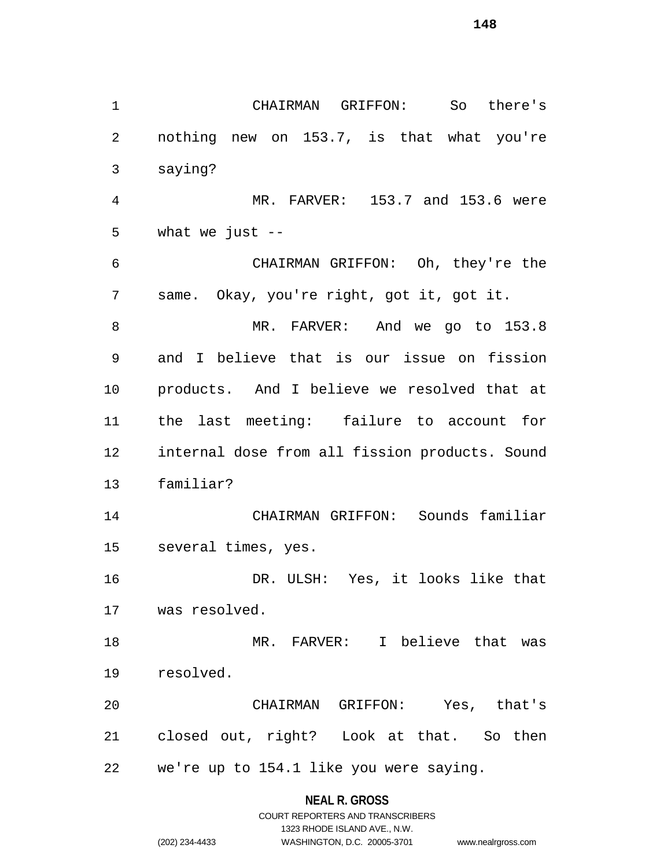CHAIRMAN GRIFFON: So there's nothing new on 153.7, is that what you're saying? MR. FARVER: 153.7 and 153.6 were 5 what we just  $-$  CHAIRMAN GRIFFON: Oh, they're the same. Okay, you're right, got it, got it. MR. FARVER: And we go to 153.8 and I believe that is our issue on fission products. And I believe we resolved that at the last meeting: failure to account for internal dose from all fission products. Sound familiar? CHAIRMAN GRIFFON: Sounds familiar several times, yes. DR. ULSH: Yes, it looks like that was resolved. MR. FARVER: I believe that was resolved. CHAIRMAN GRIFFON: Yes, that's closed out, right? Look at that. So then we're up to 154.1 like you were saying.

#### **NEAL R. GROSS**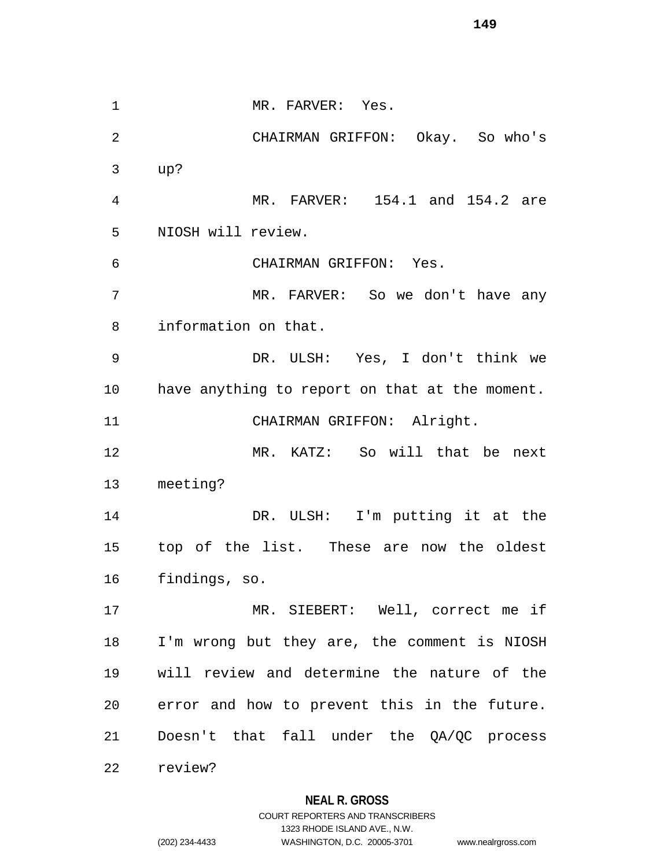1 MR. FARVER: Yes. CHAIRMAN GRIFFON: Okay. So who's up? MR. FARVER: 154.1 and 154.2 are NIOSH will review. CHAIRMAN GRIFFON: Yes. MR. FARVER: So we don't have any information on that. DR. ULSH: Yes, I don't think we have anything to report on that at the moment. CHAIRMAN GRIFFON: Alright. MR. KATZ: So will that be next meeting? DR. ULSH: I'm putting it at the top of the list. These are now the oldest findings, so. MR. SIEBERT: Well, correct me if I'm wrong but they are, the comment is NIOSH will review and determine the nature of the error and how to prevent this in the future. Doesn't that fall under the QA/QC process review?

#### **NEAL R. GROSS**

COURT REPORTERS AND TRANSCRIBERS 1323 RHODE ISLAND AVE., N.W. (202) 234-4433 WASHINGTON, D.C. 20005-3701 www.nealrgross.com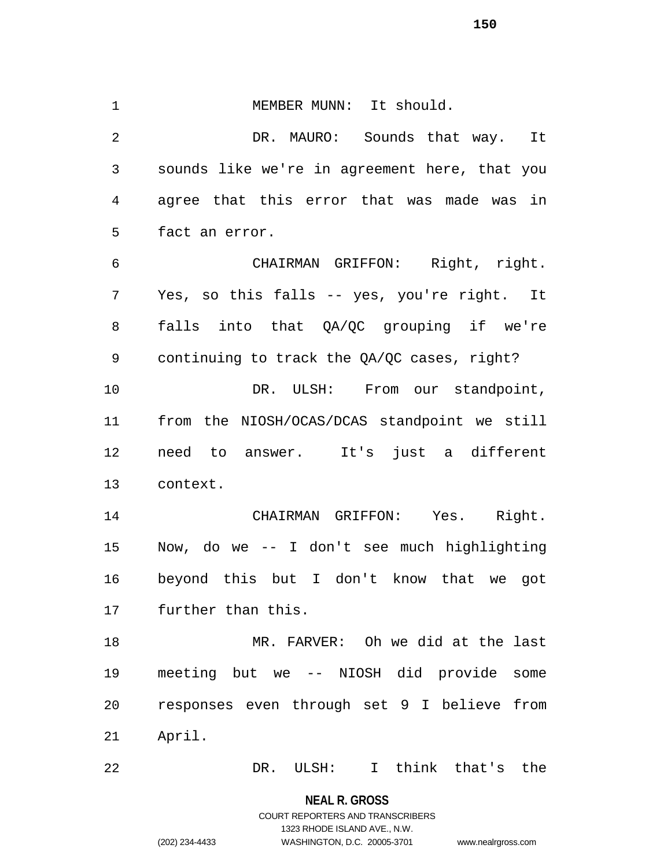1 MEMBER MUNN: It should. DR. MAURO: Sounds that way. It sounds like we're in agreement here, that you agree that this error that was made was in fact an error. CHAIRMAN GRIFFON: Right, right. Yes, so this falls -- yes, you're right. It falls into that QA/QC grouping if we're continuing to track the QA/QC cases, right? 10 DR. ULSH: From our standpoint, from the NIOSH/OCAS/DCAS standpoint we still need to answer. It's just a different context. CHAIRMAN GRIFFON: Yes. Right. Now, do we -- I don't see much highlighting beyond this but I don't know that we got further than this. MR. FARVER: Oh we did at the last meeting but we -- NIOSH did provide some responses even through set 9 I believe from April. DR. ULSH: I think that's the

> **NEAL R. GROSS** COURT REPORTERS AND TRANSCRIBERS 1323 RHODE ISLAND AVE., N.W. (202) 234-4433 WASHINGTON, D.C. 20005-3701 www.nealrgross.com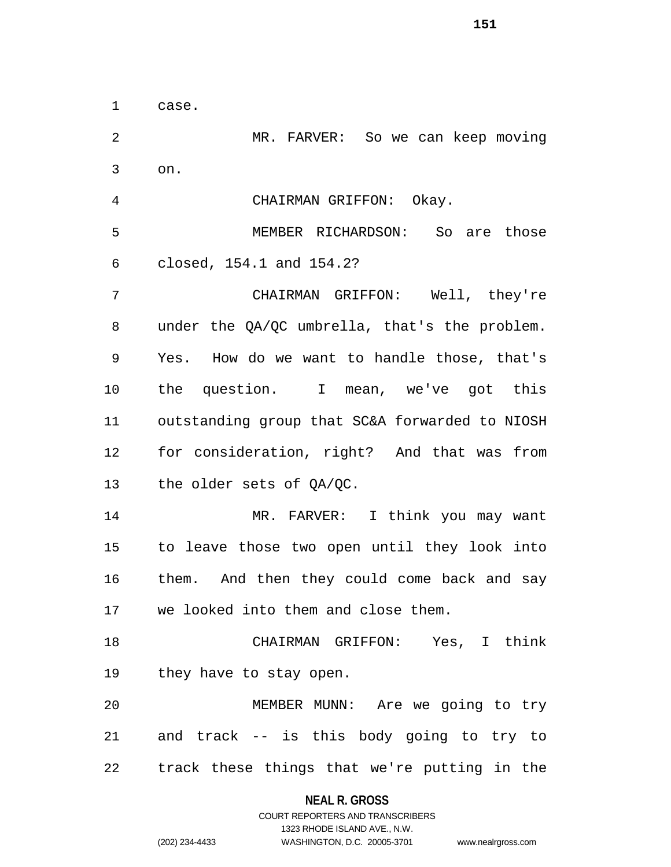case.

 MR. FARVER: So we can keep moving on. CHAIRMAN GRIFFON: Okay. MEMBER RICHARDSON: So are those closed, 154.1 and 154.2? CHAIRMAN GRIFFON: Well, they're under the QA/QC umbrella, that's the problem. Yes. How do we want to handle those, that's the question. I mean, we've got this outstanding group that SC&A forwarded to NIOSH for consideration, right? And that was from the older sets of QA/QC. MR. FARVER: I think you may want to leave those two open until they look into them. And then they could come back and say we looked into them and close them. CHAIRMAN GRIFFON: Yes, I think they have to stay open. MEMBER MUNN: Are we going to try and track -- is this body going to try to track these things that we're putting in the

#### **NEAL R. GROSS**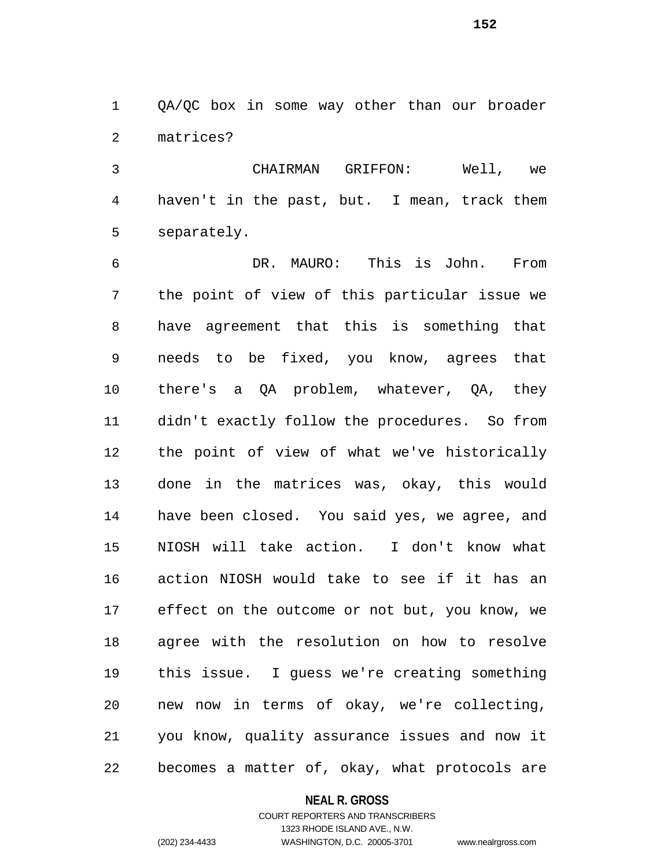QA/QC box in some way other than our broader matrices?

 CHAIRMAN GRIFFON: Well, we haven't in the past, but. I mean, track them separately.

 DR. MAURO: This is John. From the point of view of this particular issue we have agreement that this is something that needs to be fixed, you know, agrees that there's a QA problem, whatever, QA, they didn't exactly follow the procedures. So from the point of view of what we've historically done in the matrices was, okay, this would have been closed. You said yes, we agree, and NIOSH will take action. I don't know what action NIOSH would take to see if it has an effect on the outcome or not but, you know, we agree with the resolution on how to resolve this issue. I guess we're creating something new now in terms of okay, we're collecting, you know, quality assurance issues and now it becomes a matter of, okay, what protocols are

#### **NEAL R. GROSS**

#### COURT REPORTERS AND TRANSCRIBERS 1323 RHODE ISLAND AVE., N.W. (202) 234-4433 WASHINGTON, D.C. 20005-3701 www.nealrgross.com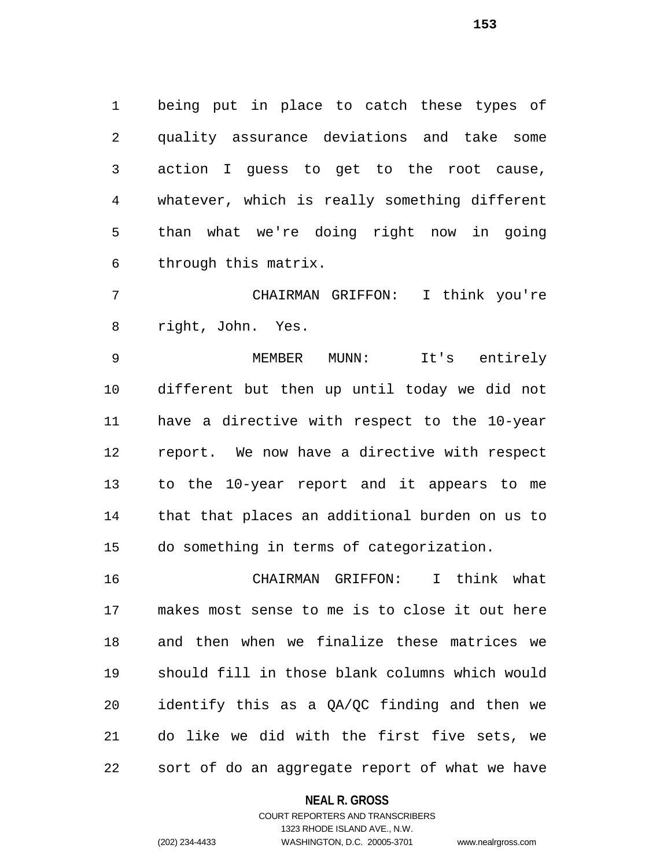being put in place to catch these types of quality assurance deviations and take some action I guess to get to the root cause, whatever, which is really something different than what we're doing right now in going through this matrix.

 CHAIRMAN GRIFFON: I think you're right, John. Yes.

 MEMBER MUNN: It's entirely different but then up until today we did not have a directive with respect to the 10-year report. We now have a directive with respect to the 10-year report and it appears to me that that places an additional burden on us to do something in terms of categorization.

 CHAIRMAN GRIFFON: I think what makes most sense to me is to close it out here and then when we finalize these matrices we should fill in those blank columns which would identify this as a QA/QC finding and then we do like we did with the first five sets, we sort of do an aggregate report of what we have

#### **NEAL R. GROSS**

#### COURT REPORTERS AND TRANSCRIBERS 1323 RHODE ISLAND AVE., N.W. (202) 234-4433 WASHINGTON, D.C. 20005-3701 www.nealrgross.com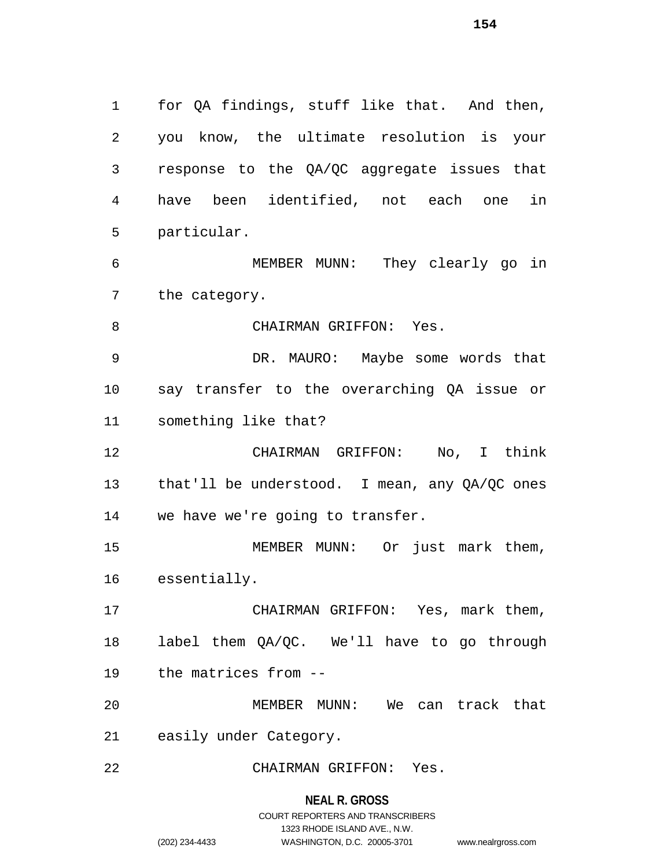for QA findings, stuff like that. And then, you know, the ultimate resolution is your response to the QA/QC aggregate issues that have been identified, not each one in particular.

 MEMBER MUNN: They clearly go in the category.

8 CHAIRMAN GRIFFON: Yes.

 DR. MAURO: Maybe some words that say transfer to the overarching QA issue or something like that?

 CHAIRMAN GRIFFON: No, I think that'll be understood. I mean, any QA/QC ones we have we're going to transfer.

 MEMBER MUNN: Or just mark them, essentially.

 CHAIRMAN GRIFFON: Yes, mark them, label them QA/QC. We'll have to go through the matrices from --

 MEMBER MUNN: We can track that easily under Category.

CHAIRMAN GRIFFON: Yes.

**NEAL R. GROSS** COURT REPORTERS AND TRANSCRIBERS

1323 RHODE ISLAND AVE., N.W.

(202) 234-4433 WASHINGTON, D.C. 20005-3701 www.nealrgross.com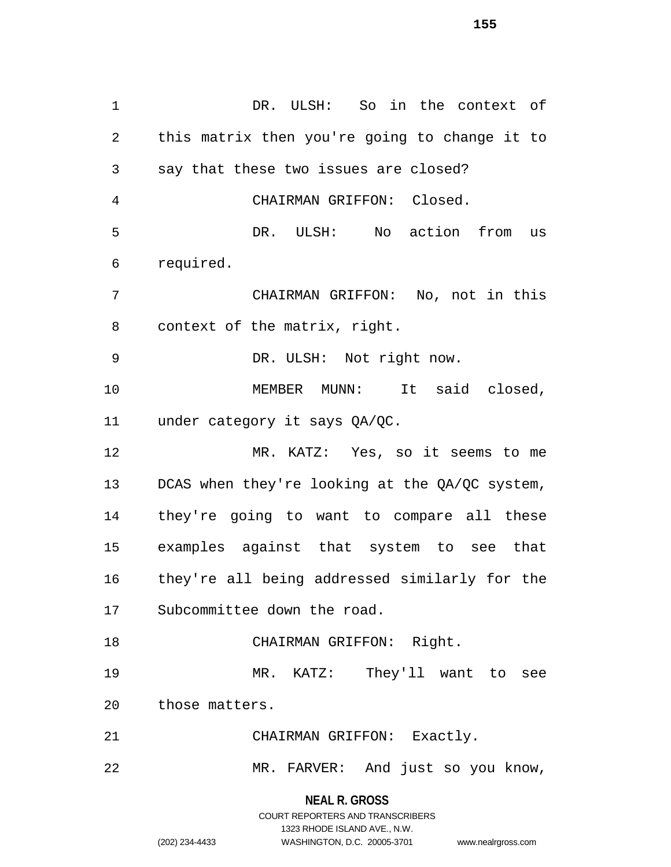**NEAL R. GROSS** DR. ULSH: So in the context of this matrix then you're going to change it to say that these two issues are closed? CHAIRMAN GRIFFON: Closed. DR. ULSH: No action from us required. CHAIRMAN GRIFFON: No, not in this context of the matrix, right. DR. ULSH: Not right now. 10 MEMBER MUNN: It said closed, under category it says QA/QC. MR. KATZ: Yes, so it seems to me DCAS when they're looking at the QA/QC system, they're going to want to compare all these examples against that system to see that they're all being addressed similarly for the Subcommittee down the road. 18 CHAIRMAN GRIFFON: Right. MR. KATZ: They'll want to see those matters. CHAIRMAN GRIFFON: Exactly. MR. FARVER: And just so you know,

> COURT REPORTERS AND TRANSCRIBERS 1323 RHODE ISLAND AVE., N.W. (202) 234-4433 WASHINGTON, D.C. 20005-3701 www.nealrgross.com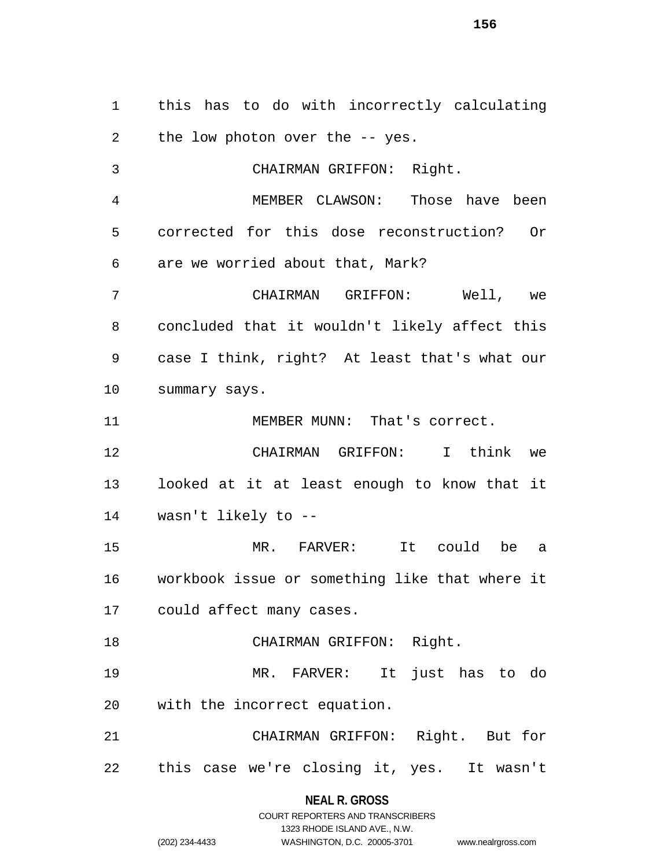this has to do with incorrectly calculating the low photon over the -- yes.

 CHAIRMAN GRIFFON: Right. MEMBER CLAWSON: Those have been corrected for this dose reconstruction? Or are we worried about that, Mark? CHAIRMAN GRIFFON: Well, we concluded that it wouldn't likely affect this case I think, right? At least that's what our summary says. 11 MEMBER MUNN: That's correct. CHAIRMAN GRIFFON: I think we looked at it at least enough to know that it wasn't likely to -- MR. FARVER: It could be a workbook issue or something like that where it could affect many cases. CHAIRMAN GRIFFON: Right. MR. FARVER: It just has to do with the incorrect equation. CHAIRMAN GRIFFON: Right. But for this case we're closing it, yes. It wasn't

**NEAL R. GROSS**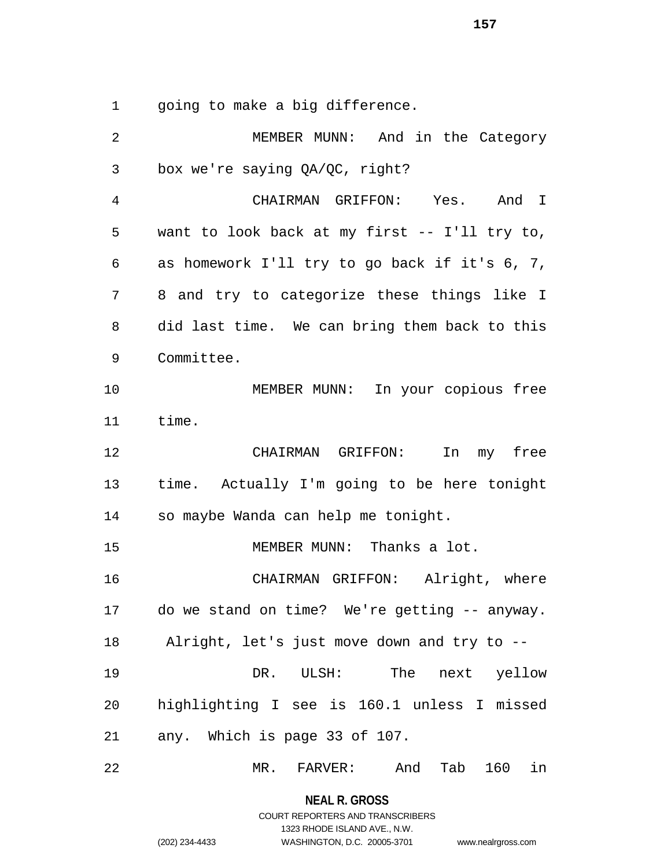going to make a big difference.

| 2              | MEMBER MUNN: And in the Category                      |
|----------------|-------------------------------------------------------|
| 3              | box we're saying QA/QC, right?                        |
| $\overline{4}$ | CHAIRMAN GRIFFON: Yes. And I                          |
| 5              | want to look back at my first -- I'll try to,         |
| 6              | as homework I'll try to go back if it's 6, 7,         |
| 7              | 8 and try to categorize these things like I           |
| 8              | did last time. We can bring them back to this         |
| 9              | Committee.                                            |
| 10             | MEMBER MUNN: In your copious free                     |
| 11             | time.                                                 |
| 12             | CHAIRMAN GRIFFON: In my free                          |
| 13             | time. Actually I'm going to be here tonight           |
| 14             | so maybe Wanda can help me tonight.                   |
| 15             | MEMBER MUNN: Thanks a lot.                            |
| 16             | CHAIRMAN GRIFFON: Alright, where                      |
| 17             | do we stand on time? We're getting -- anyway.         |
| 18             | Alright, let's just move down and try to --           |
| 19             | The<br>DR. ULSH:<br>next yellow                       |
| 20             | highlighting I see is 160.1 unless I missed           |
| 21             | any. Which is page 33 of 107.                         |
| 22             | And<br>Tab 160<br>in<br>$MR$ .<br>$\mathtt{FARVER}$ : |

**NEAL R. GROSS** COURT REPORTERS AND TRANSCRIBERS

1323 RHODE ISLAND AVE., N.W.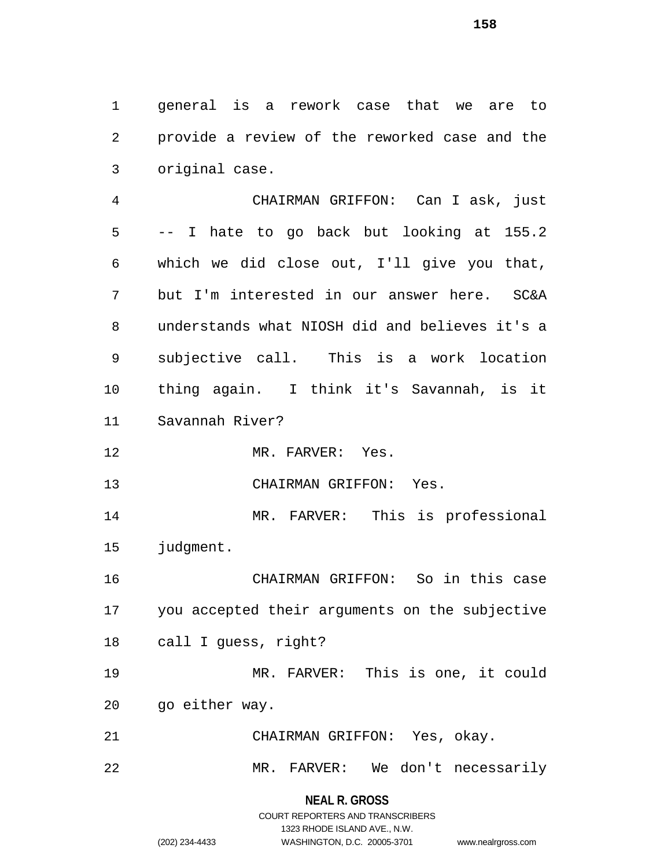general is a rework case that we are to provide a review of the reworked case and the original case.

 CHAIRMAN GRIFFON: Can I ask, just -- I hate to go back but looking at 155.2 which we did close out, I'll give you that, but I'm interested in our answer here. SC&A understands what NIOSH did and believes it's a subjective call. This is a work location thing again. I think it's Savannah, is it Savannah River?

12 MR. FARVER: Yes.

CHAIRMAN GRIFFON: Yes.

 MR. FARVER: This is professional judgment.

 CHAIRMAN GRIFFON: So in this case you accepted their arguments on the subjective call I guess, right?

 MR. FARVER: This is one, it could go either way.

CHAIRMAN GRIFFON: Yes, okay.

MR. FARVER: We don't necessarily

**NEAL R. GROSS** COURT REPORTERS AND TRANSCRIBERS

1323 RHODE ISLAND AVE., N.W.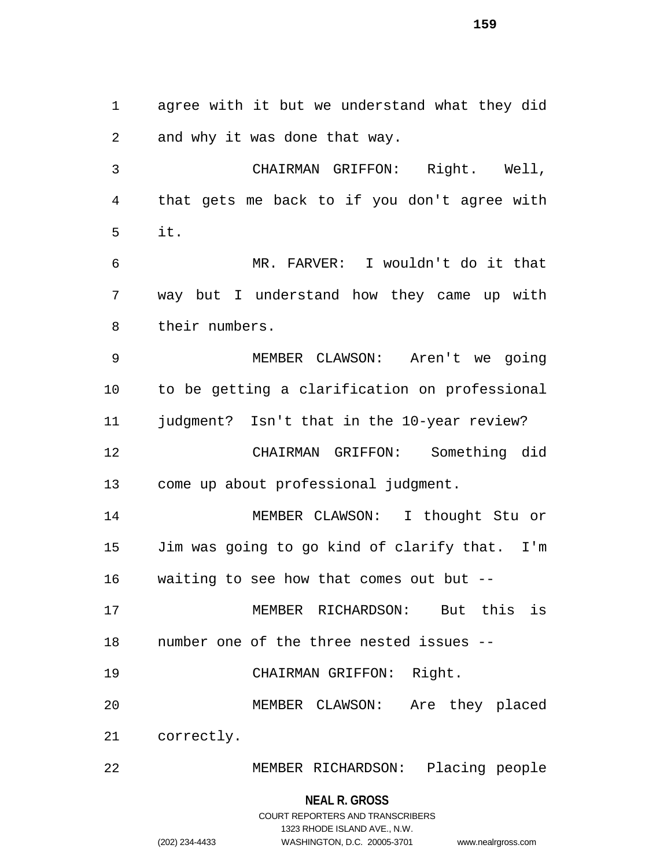agree with it but we understand what they did and why it was done that way. CHAIRMAN GRIFFON: Right. Well, that gets me back to if you don't agree with it. MR. FARVER: I wouldn't do it that way but I understand how they came up with their numbers. MEMBER CLAWSON: Aren't we going to be getting a clarification on professional judgment? Isn't that in the 10-year review? CHAIRMAN GRIFFON: Something did come up about professional judgment. MEMBER CLAWSON: I thought Stu or Jim was going to go kind of clarify that. I'm waiting to see how that comes out but -- MEMBER RICHARDSON: But this is number one of the three nested issues -- CHAIRMAN GRIFFON: Right. MEMBER CLAWSON: Are they placed correctly. MEMBER RICHARDSON: Placing people

**NEAL R. GROSS**

## COURT REPORTERS AND TRANSCRIBERS 1323 RHODE ISLAND AVE., N.W. (202) 234-4433 WASHINGTON, D.C. 20005-3701 www.nealrgross.com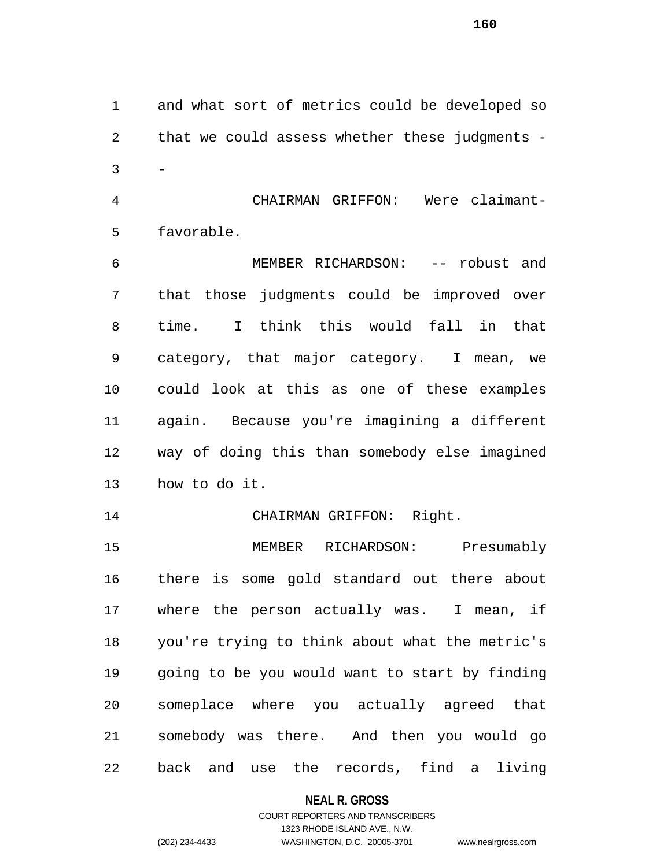and what sort of metrics could be developed so that we could assess whether these judgments -  $3 -$ 

 CHAIRMAN GRIFFON: Were claimant-favorable.

 MEMBER RICHARDSON: -- robust and that those judgments could be improved over time. I think this would fall in that category, that major category. I mean, we could look at this as one of these examples again. Because you're imagining a different way of doing this than somebody else imagined how to do it.

14 CHAIRMAN GRIFFON: Right.

 MEMBER RICHARDSON: Presumably there is some gold standard out there about where the person actually was. I mean, if you're trying to think about what the metric's going to be you would want to start by finding someplace where you actually agreed that somebody was there. And then you would go back and use the records, find a living

#### **NEAL R. GROSS**

#### COURT REPORTERS AND TRANSCRIBERS 1323 RHODE ISLAND AVE., N.W. (202) 234-4433 WASHINGTON, D.C. 20005-3701 www.nealrgross.com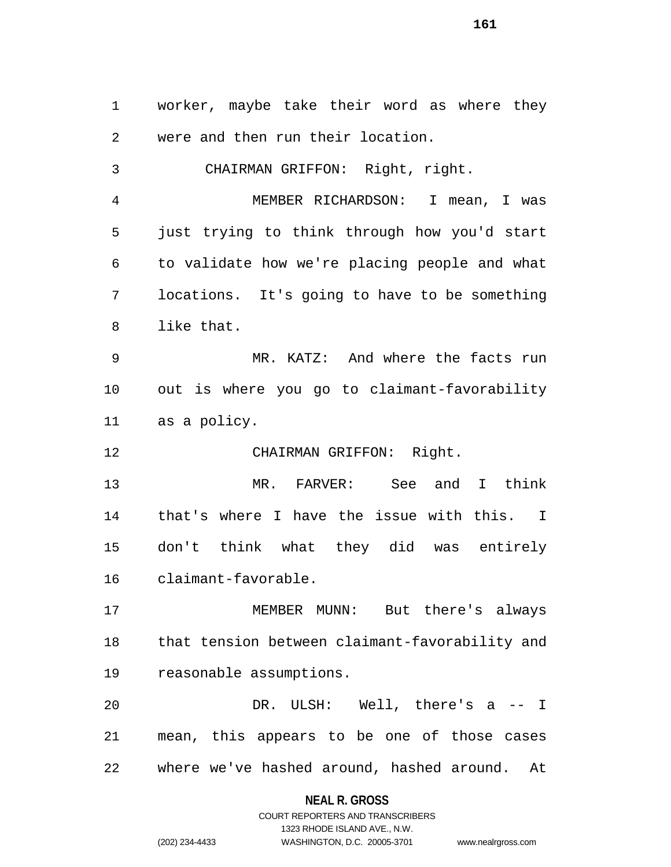worker, maybe take their word as where they were and then run their location. CHAIRMAN GRIFFON: Right, right. MEMBER RICHARDSON: I mean, I was just trying to think through how you'd start to validate how we're placing people and what locations. It's going to have to be something like that. MR. KATZ: And where the facts run out is where you go to claimant-favorability as a policy. CHAIRMAN GRIFFON: Right. MR. FARVER: See and I think that's where I have the issue with this. I don't think what they did was entirely claimant-favorable. MEMBER MUNN: But there's always that tension between claimant-favorability and reasonable assumptions.

 DR. ULSH: Well, there's a -- I mean, this appears to be one of those cases where we've hashed around, hashed around. At

# **NEAL R. GROSS**

COURT REPORTERS AND TRANSCRIBERS 1323 RHODE ISLAND AVE., N.W. (202) 234-4433 WASHINGTON, D.C. 20005-3701 www.nealrgross.com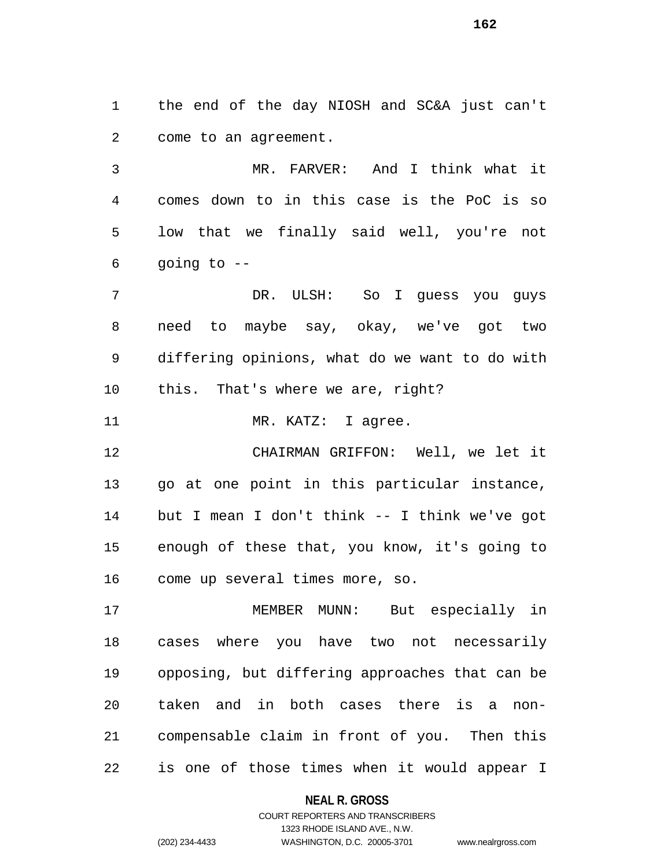the end of the day NIOSH and SC&A just can't come to an agreement.

 MR. FARVER: And I think what it comes down to in this case is the PoC is so low that we finally said well, you're not going to --

 DR. ULSH: So I guess you guys need to maybe say, okay, we've got two differing opinions, what do we want to do with this. That's where we are, right?

11 MR. KATZ: I agree.

 CHAIRMAN GRIFFON: Well, we let it go at one point in this particular instance, but I mean I don't think -- I think we've got enough of these that, you know, it's going to come up several times more, so.

 MEMBER MUNN: But especially in cases where you have two not necessarily opposing, but differing approaches that can be taken and in both cases there is a non- compensable claim in front of you. Then this is one of those times when it would appear I

**NEAL R. GROSS**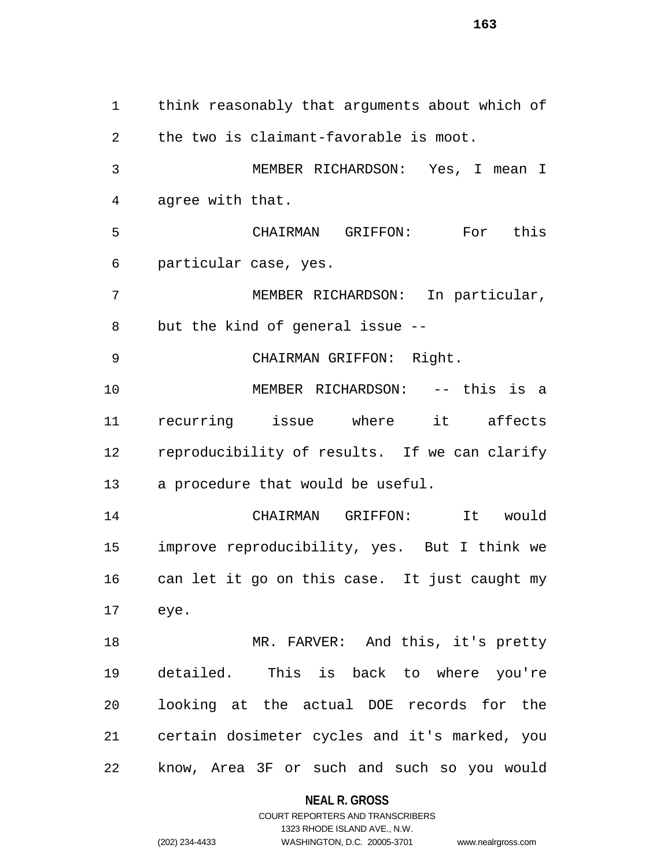think reasonably that arguments about which of the two is claimant-favorable is moot. MEMBER RICHARDSON: Yes, I mean I agree with that. CHAIRMAN GRIFFON: For this particular case, yes. MEMBER RICHARDSON: In particular, but the kind of general issue -- CHAIRMAN GRIFFON: Right. MEMBER RICHARDSON: -- this is a recurring issue where it affects reproducibility of results. If we can clarify a procedure that would be useful. CHAIRMAN GRIFFON: It would improve reproducibility, yes. But I think we can let it go on this case. It just caught my eye. MR. FARVER: And this, it's pretty detailed. This is back to where you're looking at the actual DOE records for the certain dosimeter cycles and it's marked, you know, Area 3F or such and such so you would

**NEAL R. GROSS**

COURT REPORTERS AND TRANSCRIBERS 1323 RHODE ISLAND AVE., N.W. (202) 234-4433 WASHINGTON, D.C. 20005-3701 www.nealrgross.com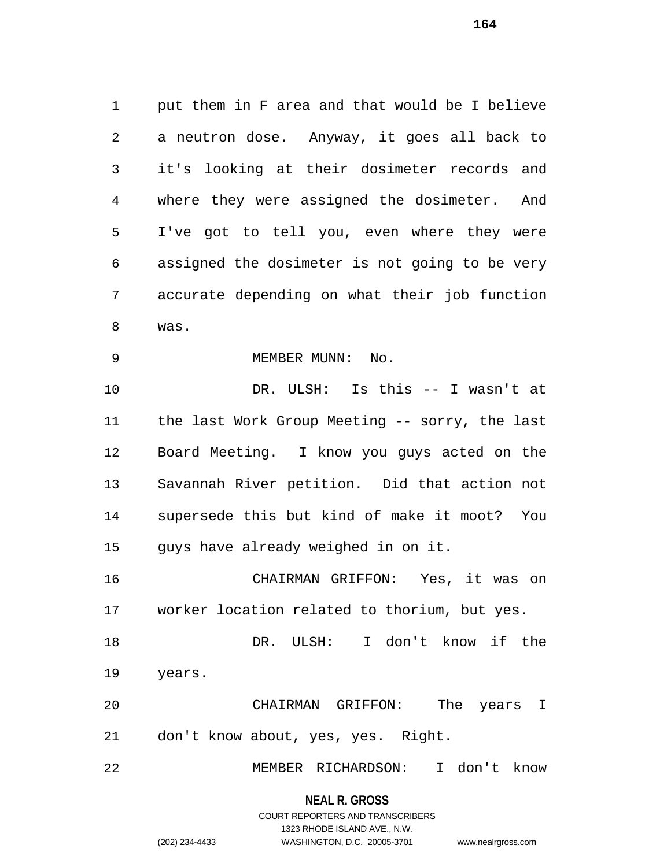put them in F area and that would be I believe a neutron dose. Anyway, it goes all back to it's looking at their dosimeter records and where they were assigned the dosimeter. And I've got to tell you, even where they were assigned the dosimeter is not going to be very accurate depending on what their job function was. MEMBER MUNN: No. DR. ULSH: Is this -- I wasn't at the last Work Group Meeting -- sorry, the last Board Meeting. I know you guys acted on the Savannah River petition. Did that action not supersede this but kind of make it moot? You guys have already weighed in on it. CHAIRMAN GRIFFON: Yes, it was on

worker location related to thorium, but yes.

 DR. ULSH: I don't know if the years.

 CHAIRMAN GRIFFON: The years I don't know about, yes, yes. Right.

MEMBER RICHARDSON: I don't know

#### **NEAL R. GROSS**

#### COURT REPORTERS AND TRANSCRIBERS 1323 RHODE ISLAND AVE., N.W. (202) 234-4433 WASHINGTON, D.C. 20005-3701 www.nealrgross.com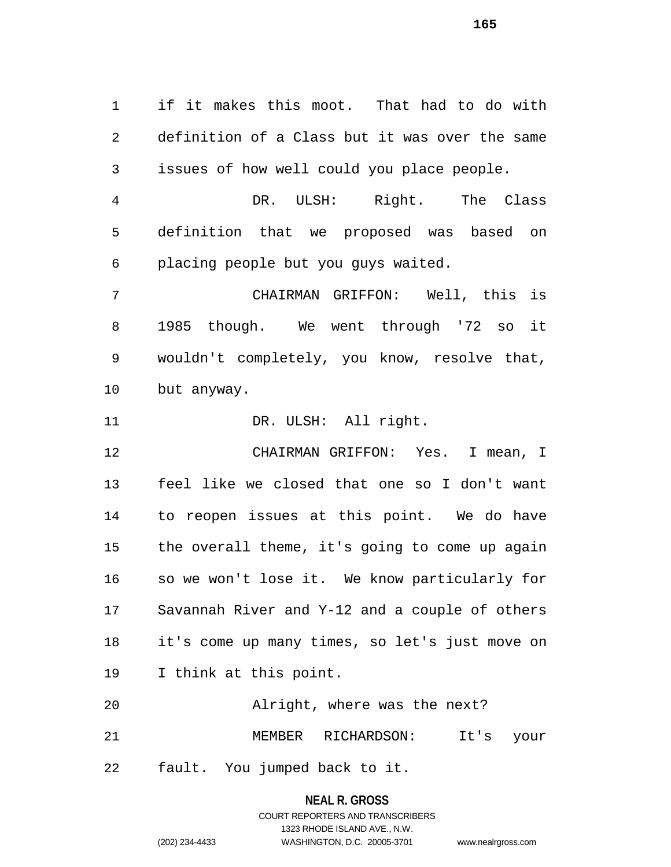if it makes this moot. That had to do with definition of a Class but it was over the same issues of how well could you place people.

 DR. ULSH: Right. The Class definition that we proposed was based on placing people but you guys waited.

 CHAIRMAN GRIFFON: Well, this is 1985 though. We went through '72 so it wouldn't completely, you know, resolve that, but anyway.

11 DR. ULSH: All right.

 CHAIRMAN GRIFFON: Yes. I mean, I feel like we closed that one so I don't want to reopen issues at this point. We do have the overall theme, it's going to come up again so we won't lose it. We know particularly for Savannah River and Y-12 and a couple of others it's come up many times, so let's just move on I think at this point.

 Alright, where was the next? MEMBER RICHARDSON: It's your

fault. You jumped back to it.

#### **NEAL R. GROSS**

#### COURT REPORTERS AND TRANSCRIBERS 1323 RHODE ISLAND AVE., N.W. (202) 234-4433 WASHINGTON, D.C. 20005-3701 www.nealrgross.com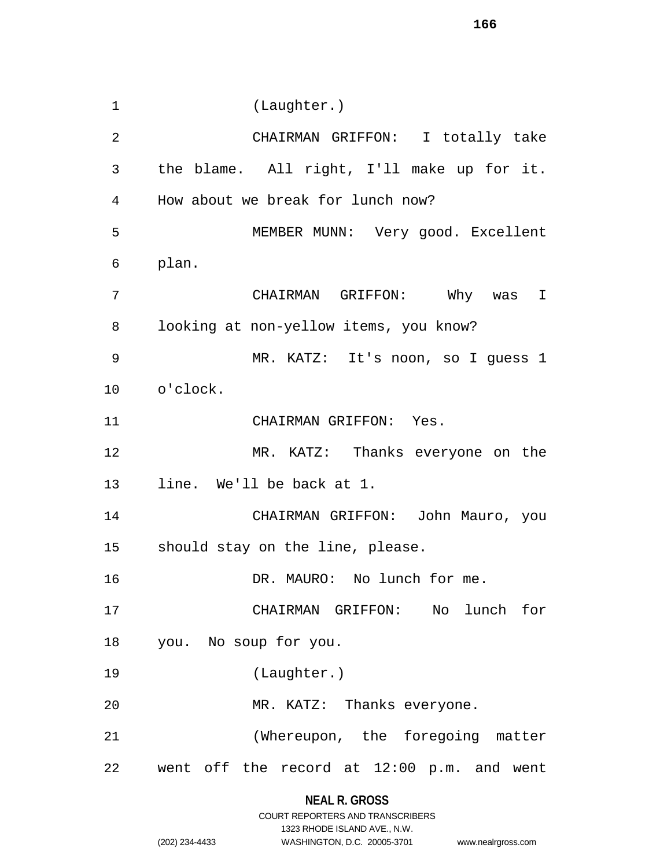(Laughter.) CHAIRMAN GRIFFON: I totally take the blame. All right, I'll make up for it. How about we break for lunch now? MEMBER MUNN: Very good. Excellent plan. CHAIRMAN GRIFFON: Why was I looking at non-yellow items, you know? MR. KATZ: It's noon, so I guess 1 o'clock. CHAIRMAN GRIFFON: Yes. MR. KATZ: Thanks everyone on the line. We'll be back at 1. CHAIRMAN GRIFFON: John Mauro, you should stay on the line, please. 16 DR. MAURO: No lunch for me. CHAIRMAN GRIFFON: No lunch for you. No soup for you. (Laughter.) MR. KATZ: Thanks everyone. (Whereupon, the foregoing matter went off the record at 12:00 p.m. and went

### **NEAL R. GROSS**

|                | COURT REPORTERS AND TRANSCRIBERS |                    |
|----------------|----------------------------------|--------------------|
|                | 1323 RHODE ISLAND AVE N.W.       |                    |
| (202) 234-4433 | WASHINGTON, D.C. 20005-3701      | www.nealrgross.com |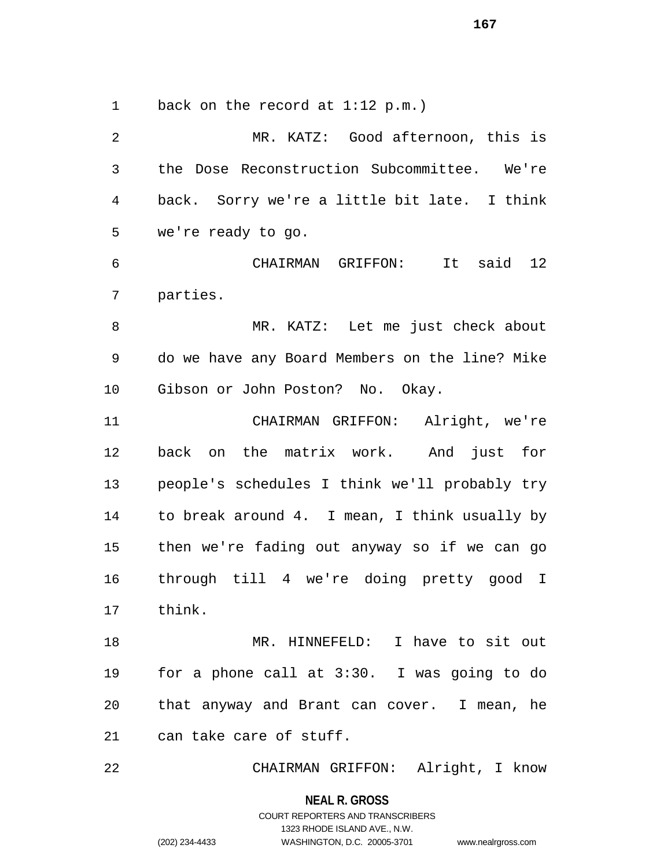1 back on the record at 1:12 p.m.)

 MR. KATZ: Good afternoon, this is the Dose Reconstruction Subcommittee. We're back. Sorry we're a little bit late. I think we're ready to go. CHAIRMAN GRIFFON: It said 12 parties. MR. KATZ: Let me just check about do we have any Board Members on the line? Mike Gibson or John Poston? No. Okay. CHAIRMAN GRIFFON: Alright, we're back on the matrix work. And just for people's schedules I think we'll probably try to break around 4. I mean, I think usually by then we're fading out anyway so if we can go through till 4 we're doing pretty good I think. MR. HINNEFELD: I have to sit out for a phone call at 3:30. I was going to do that anyway and Brant can cover. I mean, he can take care of stuff.

CHAIRMAN GRIFFON: Alright, I know

**NEAL R. GROSS**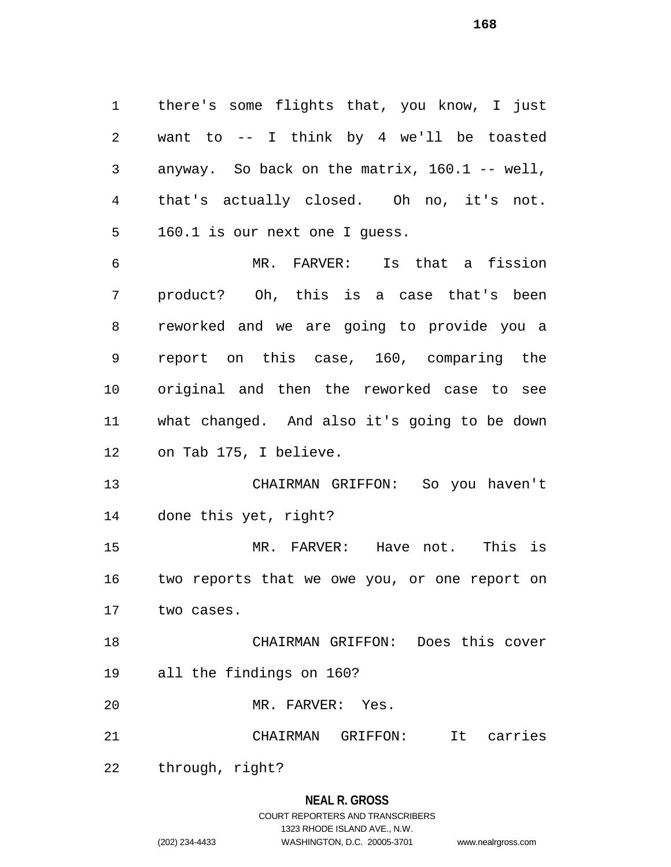there's some flights that, you know, I just want to -- I think by 4 we'll be toasted anyway. So back on the matrix, 160.1 -- well, that's actually closed. Oh no, it's not. 160.1 is our next one I guess.

 MR. FARVER: Is that a fission product? Oh, this is a case that's been reworked and we are going to provide you a report on this case, 160, comparing the original and then the reworked case to see what changed. And also it's going to be down on Tab 175, I believe.

 CHAIRMAN GRIFFON: So you haven't done this yet, right?

 MR. FARVER: Have not. This is two reports that we owe you, or one report on two cases.

 CHAIRMAN GRIFFON: Does this cover all the findings on 160?

MR. FARVER: Yes.

CHAIRMAN GRIFFON: It carries

through, right?

### **NEAL R. GROSS**

### COURT REPORTERS AND TRANSCRIBERS 1323 RHODE ISLAND AVE., N.W. (202) 234-4433 WASHINGTON, D.C. 20005-3701 www.nealrgross.com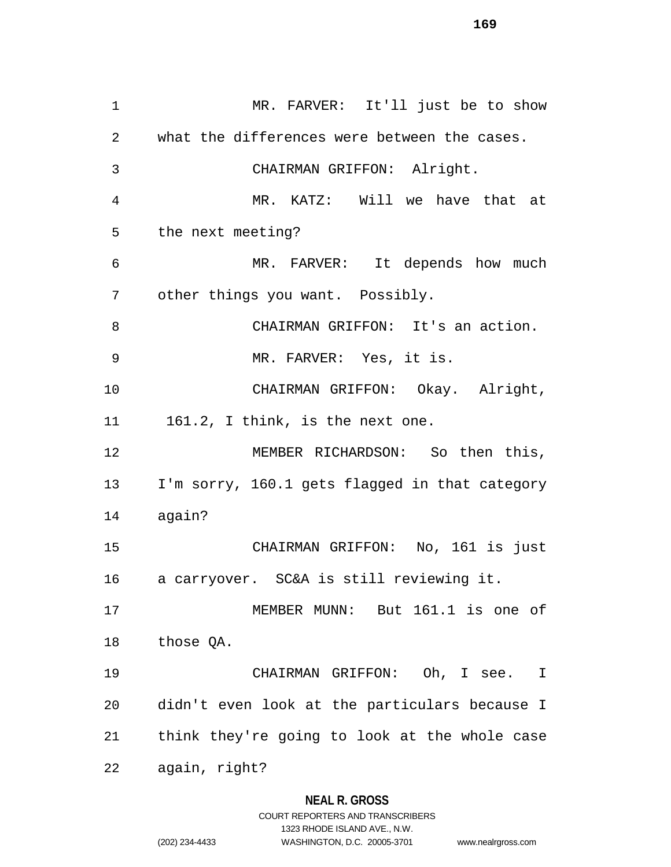MR. FARVER: It'll just be to show what the differences were between the cases. CHAIRMAN GRIFFON: Alright. MR. KATZ: Will we have that at the next meeting? MR. FARVER: It depends how much other things you want. Possibly. CHAIRMAN GRIFFON: It's an action. MR. FARVER: Yes, it is. CHAIRMAN GRIFFON: Okay. Alright, 11 161.2, I think, is the next one. MEMBER RICHARDSON: So then this, I'm sorry, 160.1 gets flagged in that category again? CHAIRMAN GRIFFON: No, 161 is just a carryover. SC&A is still reviewing it. MEMBER MUNN: But 161.1 is one of those QA. CHAIRMAN GRIFFON: Oh, I see. I didn't even look at the particulars because I think they're going to look at the whole case again, right?

### **NEAL R. GROSS**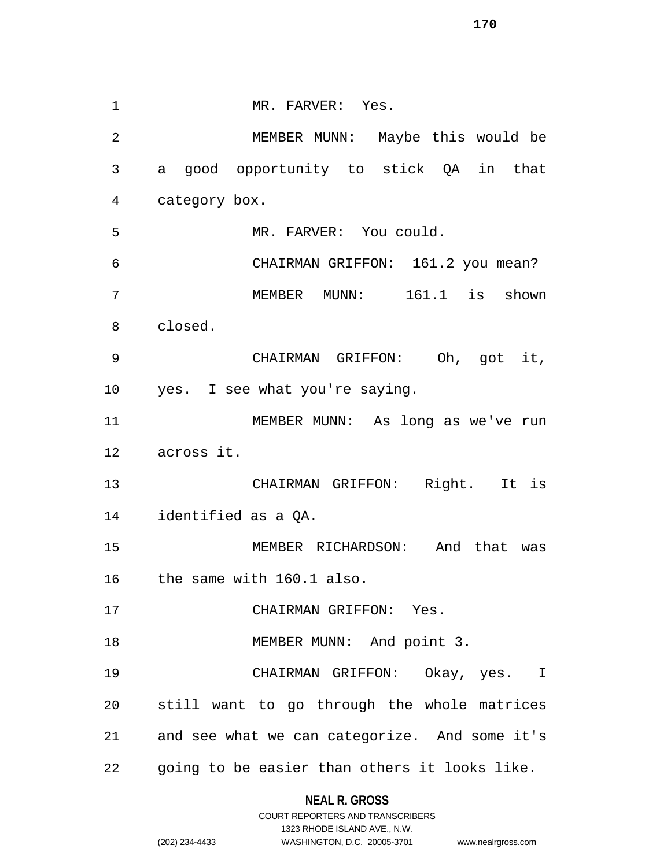1 MR. FARVER: Yes. MEMBER MUNN: Maybe this would be a good opportunity to stick QA in that category box. MR. FARVER: You could. CHAIRMAN GRIFFON: 161.2 you mean? MEMBER MUNN: 161.1 is shown closed. CHAIRMAN GRIFFON: Oh, got it, yes. I see what you're saying. MEMBER MUNN: As long as we've run across it. CHAIRMAN GRIFFON: Right. It is identified as a QA. MEMBER RICHARDSON: And that was the same with 160.1 also. CHAIRMAN GRIFFON: Yes. 18 MEMBER MUNN: And point 3. CHAIRMAN GRIFFON: Okay, yes. I still want to go through the whole matrices and see what we can categorize. And some it's going to be easier than others it looks like.

#### **NEAL R. GROSS**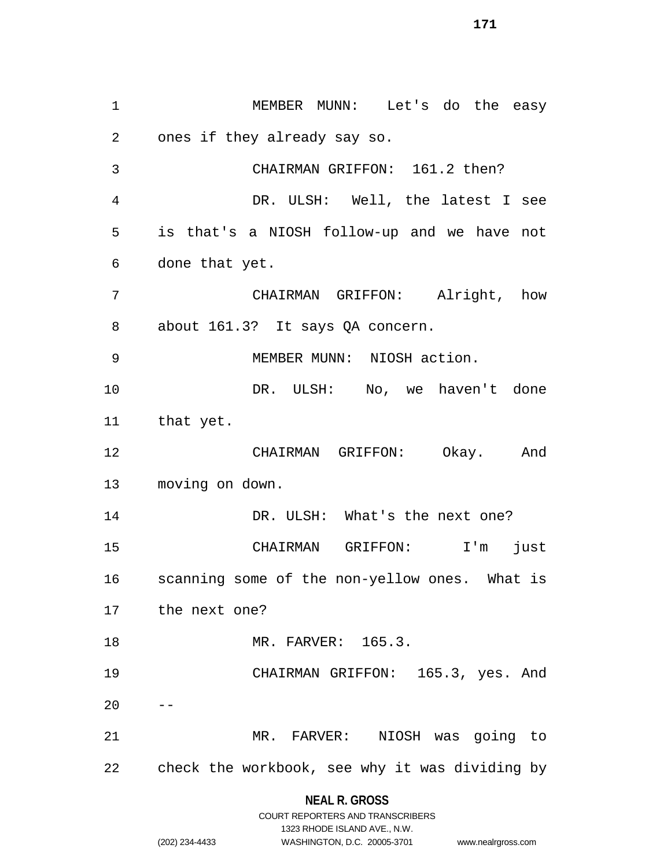MEMBER MUNN: Let's do the easy ones if they already say so. CHAIRMAN GRIFFON: 161.2 then? DR. ULSH: Well, the latest I see is that's a NIOSH follow-up and we have not done that yet. CHAIRMAN GRIFFON: Alright, how about 161.3? It says QA concern. MEMBER MUNN: NIOSH action. 10 DR. ULSH: No, we haven't done that yet. CHAIRMAN GRIFFON: Okay. And moving on down. 14 DR. ULSH: What's the next one? CHAIRMAN GRIFFON: I'm just scanning some of the non-yellow ones. What is the next one? MR. FARVER: 165.3. CHAIRMAN GRIFFON: 165.3, yes. And MR. FARVER: NIOSH was going to check the workbook, see why it was dividing by

> **NEAL R. GROSS** COURT REPORTERS AND TRANSCRIBERS

> > 1323 RHODE ISLAND AVE., N.W.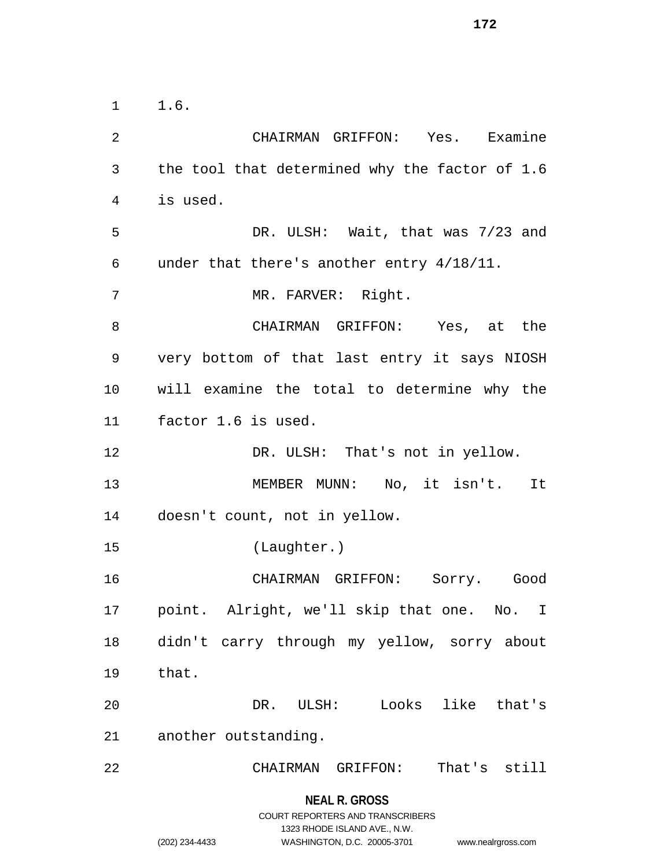1.6.

 CHAIRMAN GRIFFON: Yes. Examine the tool that determined why the factor of 1.6 is used. DR. ULSH: Wait, that was 7/23 and under that there's another entry 4/18/11. MR. FARVER: Right. CHAIRMAN GRIFFON: Yes, at the very bottom of that last entry it says NIOSH will examine the total to determine why the factor 1.6 is used. 12 DR. ULSH: That's not in yellow. 13 MEMBER MUNN: No, it isn't. It doesn't count, not in yellow. (Laughter.) CHAIRMAN GRIFFON: Sorry. Good point. Alright, we'll skip that one. No. I didn't carry through my yellow, sorry about that. DR. ULSH: Looks like that's another outstanding. CHAIRMAN GRIFFON: That's still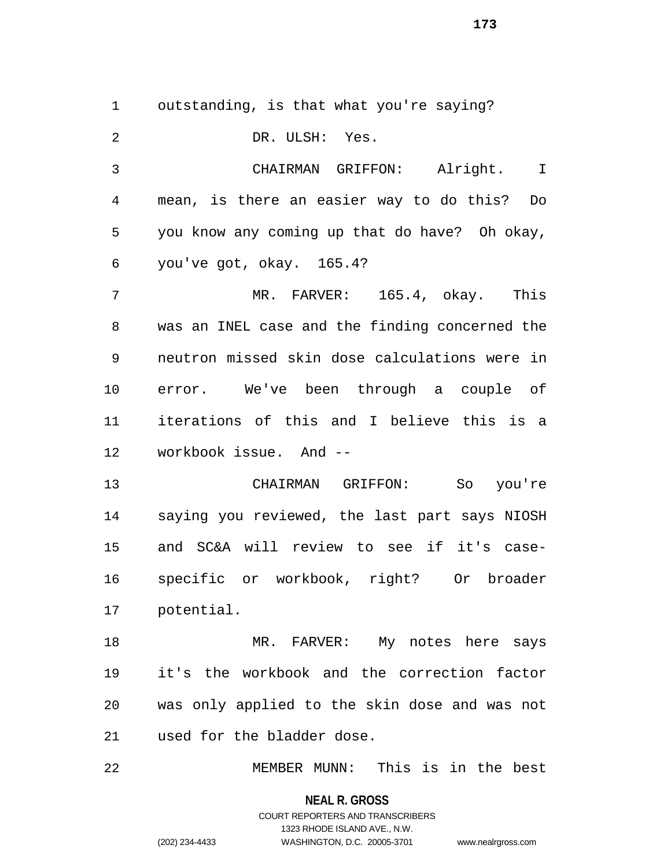outstanding, is that what you're saying?

 DR. ULSH: Yes. CHAIRMAN GRIFFON: Alright. I mean, is there an easier way to do this? Do you know any coming up that do have? Oh okay, you've got, okay. 165.4? MR. FARVER: 165.4, okay. This was an INEL case and the finding concerned the neutron missed skin dose calculations were in error. We've been through a couple of iterations of this and I believe this is a workbook issue. And -- CHAIRMAN GRIFFON: So you're saying you reviewed, the last part says NIOSH and SC&A will review to see if it's case- specific or workbook, right? Or broader potential. MR. FARVER: My notes here says it's the workbook and the correction factor was only applied to the skin dose and was not used for the bladder dose.

MEMBER MUNN: This is in the best

**NEAL R. GROSS** COURT REPORTERS AND TRANSCRIBERS

1323 RHODE ISLAND AVE., N.W.

(202) 234-4433 WASHINGTON, D.C. 20005-3701 www.nealrgross.com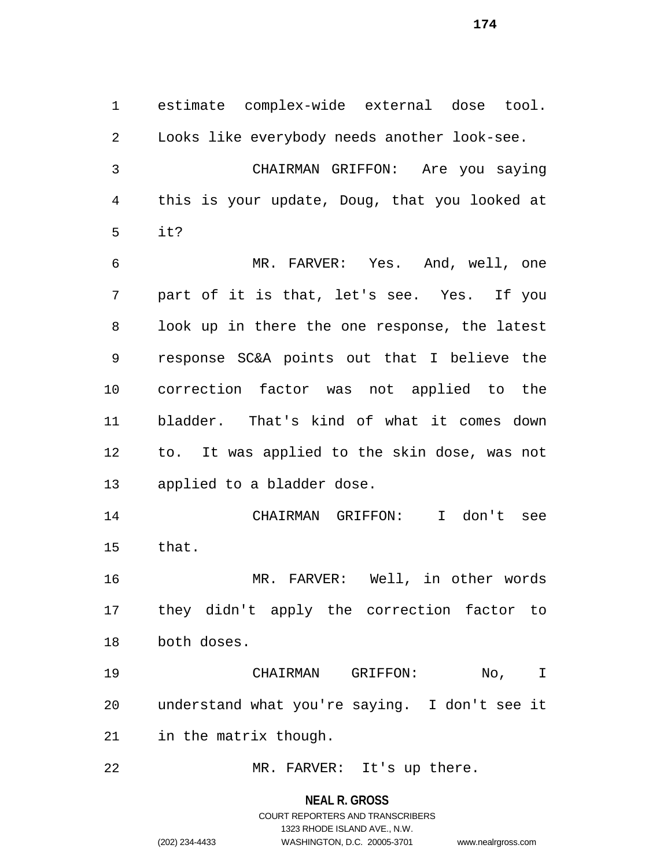estimate complex-wide external dose tool. Looks like everybody needs another look-see. CHAIRMAN GRIFFON: Are you saying this is your update, Doug, that you looked at it? MR. FARVER: Yes. And, well, one part of it is that, let's see. Yes. If you look up in there the one response, the latest response SC&A points out that I believe the correction factor was not applied to the bladder. That's kind of what it comes down to. It was applied to the skin dose, was not applied to a bladder dose. CHAIRMAN GRIFFON: I don't see that.

 MR. FARVER: Well, in other words they didn't apply the correction factor to both doses.

 CHAIRMAN GRIFFON: No, I understand what you're saying. I don't see it in the matrix though.

MR. FARVER: It's up there.

**NEAL R. GROSS**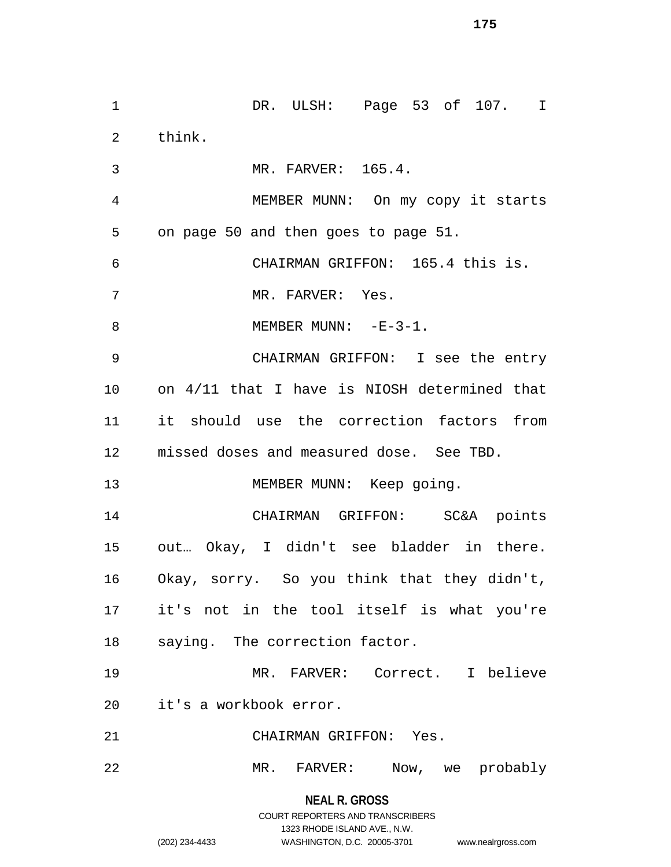**NEAL R. GROSS** DR. ULSH: Page 53 of 107. I think. MR. FARVER: 165.4. MEMBER MUNN: On my copy it starts on page 50 and then goes to page 51. CHAIRMAN GRIFFON: 165.4 this is. 7 MR. FARVER: Yes. 8 MEMBER MUNN: -E-3-1. CHAIRMAN GRIFFON: I see the entry on 4/11 that I have is NIOSH determined that it should use the correction factors from missed doses and measured dose. See TBD. 13 MEMBER MUNN: Keep going. CHAIRMAN GRIFFON: SC&A points out… Okay, I didn't see bladder in there. Okay, sorry. So you think that they didn't, it's not in the tool itself is what you're saying. The correction factor. MR. FARVER: Correct. I believe it's a workbook error. CHAIRMAN GRIFFON: Yes. MR. FARVER: Now, we probably

> COURT REPORTERS AND TRANSCRIBERS 1323 RHODE ISLAND AVE., N.W.

(202) 234-4433 WASHINGTON, D.C. 20005-3701 www.nealrgross.com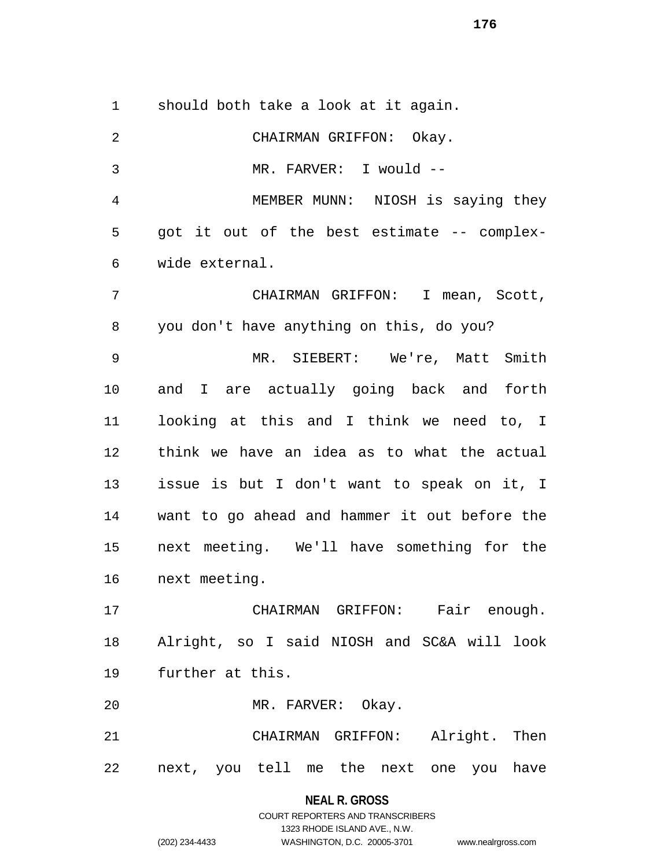should both take a look at it again.

 CHAIRMAN GRIFFON: Okay. MR. FARVER: I would -- MEMBER MUNN: NIOSH is saying they got it out of the best estimate -- complex- wide external. CHAIRMAN GRIFFON: I mean, Scott, you don't have anything on this, do you? MR. SIEBERT: We're, Matt Smith and I are actually going back and forth looking at this and I think we need to, I think we have an idea as to what the actual issue is but I don't want to speak on it, I want to go ahead and hammer it out before the next meeting. We'll have something for the next meeting. CHAIRMAN GRIFFON: Fair enough. Alright, so I said NIOSH and SC&A will look further at this. MR. FARVER: Okay. CHAIRMAN GRIFFON: Alright. Then next, you tell me the next one you have

## **NEAL R. GROSS** COURT REPORTERS AND TRANSCRIBERS 1323 RHODE ISLAND AVE., N.W. (202) 234-4433 WASHINGTON, D.C. 20005-3701 www.nealrgross.com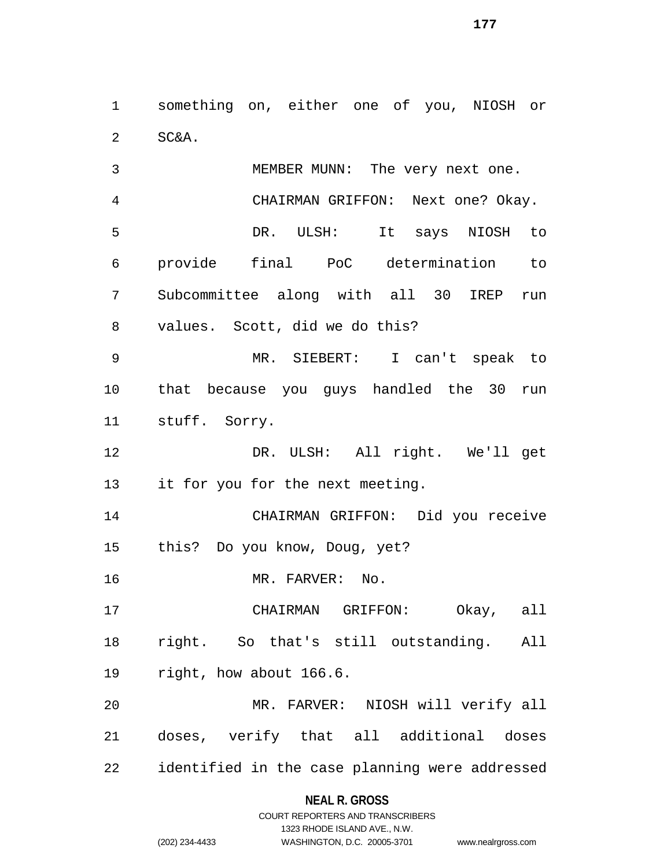something on, either one of you, NIOSH or SC&A.

 MEMBER MUNN: The very next one. CHAIRMAN GRIFFON: Next one? Okay. DR. ULSH: It says NIOSH to provide final PoC determination to Subcommittee along with all 30 IREP run values. Scott, did we do this?

 MR. SIEBERT: I can't speak to that because you guys handled the 30 run stuff. Sorry.

 DR. ULSH: All right. We'll get it for you for the next meeting.

 CHAIRMAN GRIFFON: Did you receive this? Do you know, Doug, yet?

16 MR. FARVER: No.

 CHAIRMAN GRIFFON: Okay, all right. So that's still outstanding. All right, how about 166.6.

 MR. FARVER: NIOSH will verify all doses, verify that all additional doses identified in the case planning were addressed

### **NEAL R. GROSS**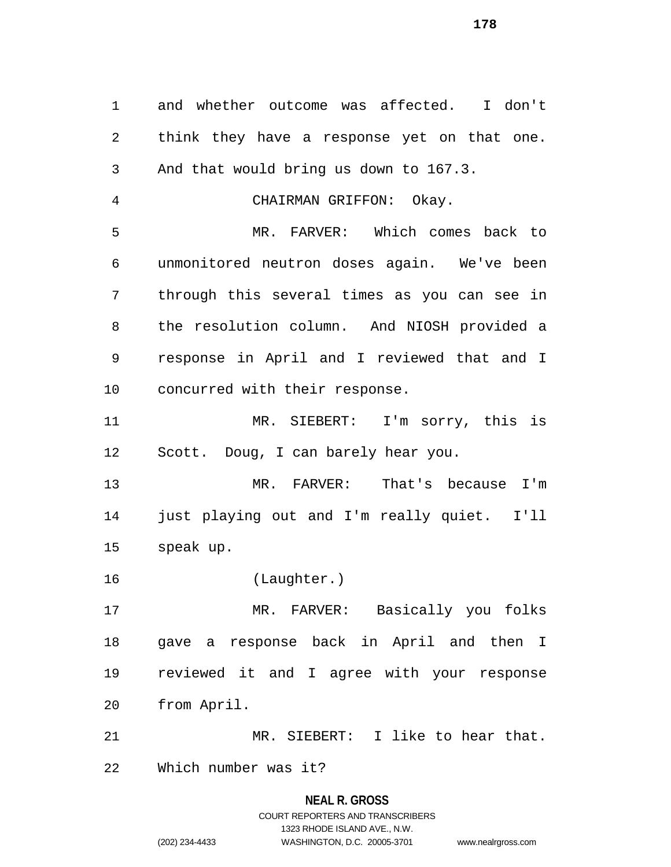and whether outcome was affected. I don't think they have a response yet on that one. And that would bring us down to 167.3. CHAIRMAN GRIFFON: Okay. MR. FARVER: Which comes back to unmonitored neutron doses again. We've been through this several times as you can see in the resolution column. And NIOSH provided a response in April and I reviewed that and I concurred with their response. MR. SIEBERT: I'm sorry, this is Scott. Doug, I can barely hear you. MR. FARVER: That's because I'm just playing out and I'm really quiet. I'll speak up. (Laughter.) MR. FARVER: Basically you folks gave a response back in April and then I reviewed it and I agree with your response from April. MR. SIEBERT: I like to hear that. Which number was it?

## **NEAL R. GROSS** COURT REPORTERS AND TRANSCRIBERS 1323 RHODE ISLAND AVE., N.W. (202) 234-4433 WASHINGTON, D.C. 20005-3701 www.nealrgross.com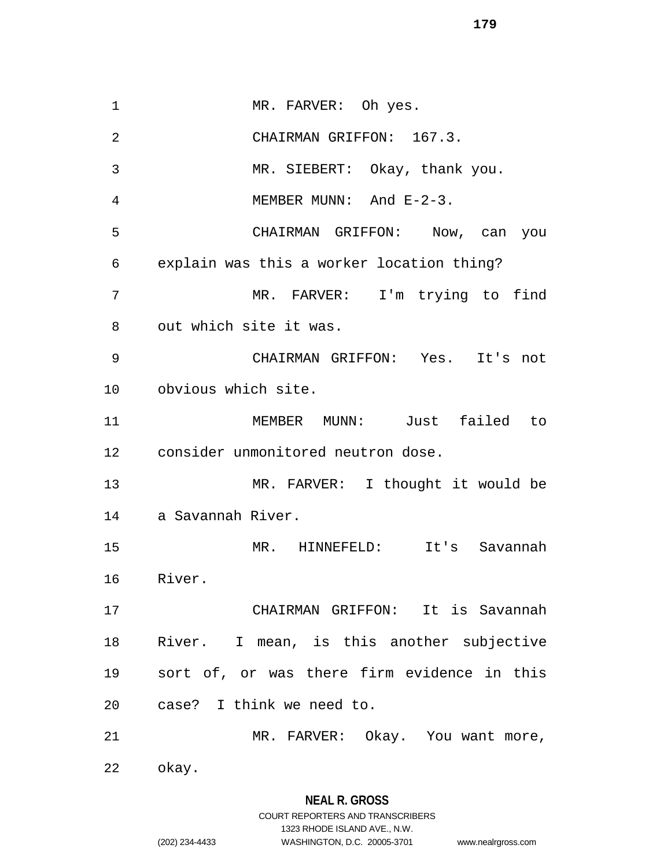MR. FARVER: Oh yes. CHAIRMAN GRIFFON: 167.3. MR. SIEBERT: Okay, thank you. MEMBER MUNN: And E-2-3. CHAIRMAN GRIFFON: Now, can you explain was this a worker location thing? MR. FARVER: I'm trying to find out which site it was. CHAIRMAN GRIFFON: Yes. It's not obvious which site. MEMBER MUNN: Just failed to consider unmonitored neutron dose. MR. FARVER: I thought it would be a Savannah River. MR. HINNEFELD: It's Savannah River. CHAIRMAN GRIFFON: It is Savannah River. I mean, is this another subjective sort of, or was there firm evidence in this case? I think we need to. MR. FARVER: Okay. You want more, okay.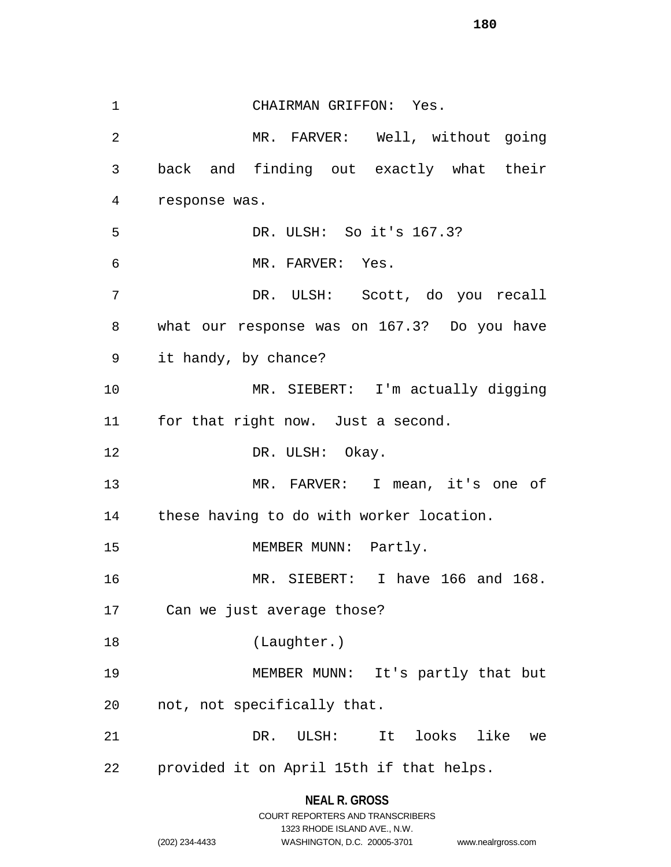CHAIRMAN GRIFFON: Yes. MR. FARVER: Well, without going back and finding out exactly what their response was. DR. ULSH: So it's 167.3? MR. FARVER: Yes. DR. ULSH: Scott, do you recall what our response was on 167.3? Do you have it handy, by chance? MR. SIEBERT: I'm actually digging for that right now. Just a second. 12 DR. ULSH: Okay. MR. FARVER: I mean, it's one of these having to do with worker location. 15 MEMBER MUNN: Partly. MR. SIEBERT: I have 166 and 168. Can we just average those? (Laughter.) MEMBER MUNN: It's partly that but not, not specifically that. DR. ULSH: It looks like we provided it on April 15th if that helps.

1323 RHODE ISLAND AVE., N.W.

(202) 234-4433 WASHINGTON, D.C. 20005-3701 www.nealrgross.com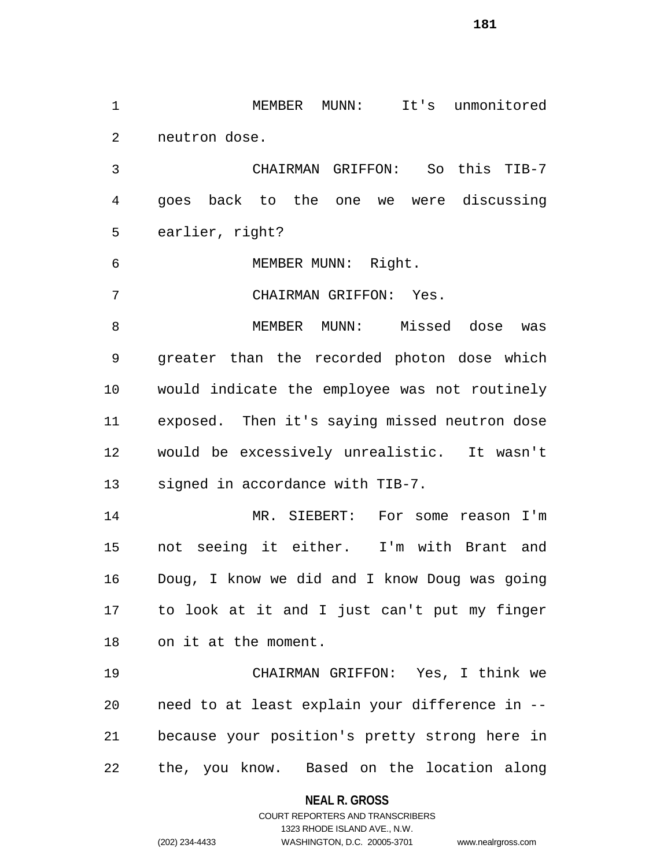MEMBER MUNN: It's unmonitored neutron dose.

 CHAIRMAN GRIFFON: So this TIB-7 goes back to the one we were discussing earlier, right?

MEMBER MUNN: Right.

CHAIRMAN GRIFFON: Yes.

 MEMBER MUNN: Missed dose was greater than the recorded photon dose which would indicate the employee was not routinely exposed. Then it's saying missed neutron dose would be excessively unrealistic. It wasn't signed in accordance with TIB-7.

 MR. SIEBERT: For some reason I'm not seeing it either. I'm with Brant and Doug, I know we did and I know Doug was going to look at it and I just can't put my finger on it at the moment.

 CHAIRMAN GRIFFON: Yes, I think we need to at least explain your difference in -- because your position's pretty strong here in the, you know. Based on the location along

**NEAL R. GROSS**

COURT REPORTERS AND TRANSCRIBERS 1323 RHODE ISLAND AVE., N.W. (202) 234-4433 WASHINGTON, D.C. 20005-3701 www.nealrgross.com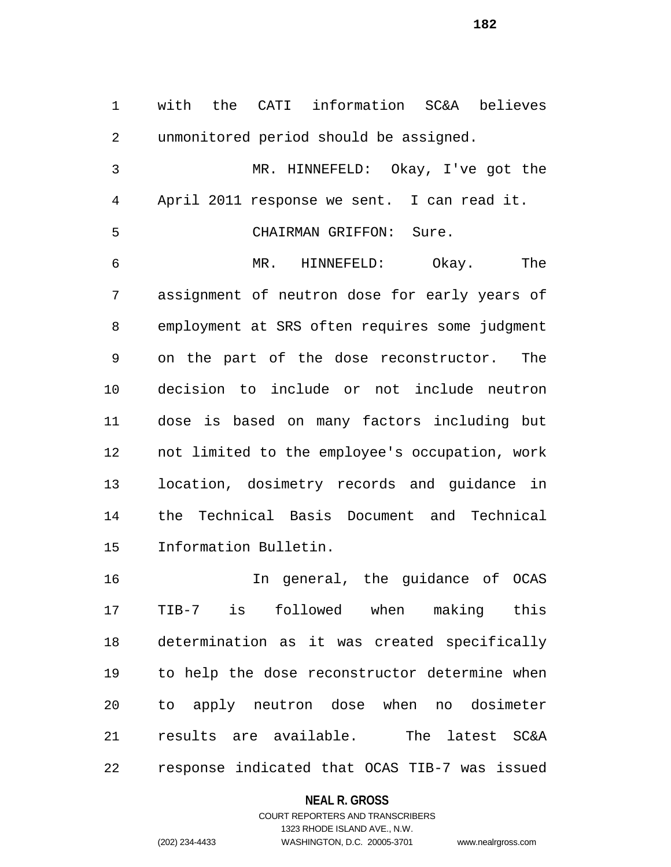with the CATI information SC&A believes unmonitored period should be assigned. MR. HINNEFELD: Okay, I've got the April 2011 response we sent. I can read it. CHAIRMAN GRIFFON: Sure. MR. HINNEFELD: Okay. The assignment of neutron dose for early years of employment at SRS often requires some judgment on the part of the dose reconstructor. The decision to include or not include neutron dose is based on many factors including but not limited to the employee's occupation, work location, dosimetry records and guidance in the Technical Basis Document and Technical Information Bulletin.

 In general, the guidance of OCAS TIB-7 is followed when making this determination as it was created specifically to help the dose reconstructor determine when to apply neutron dose when no dosimeter results are available. The latest SC&A response indicated that OCAS TIB-7 was issued

#### **NEAL R. GROSS**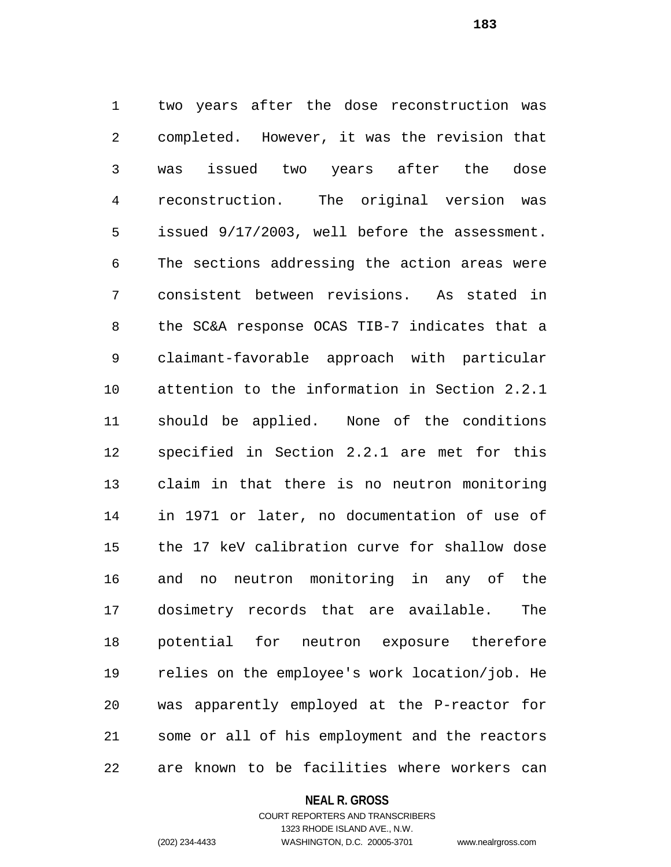two years after the dose reconstruction was completed. However, it was the revision that was issued two years after the dose reconstruction. The original version was issued 9/17/2003, well before the assessment. The sections addressing the action areas were consistent between revisions. As stated in the SC&A response OCAS TIB-7 indicates that a claimant-favorable approach with particular attention to the information in Section 2.2.1 should be applied. None of the conditions specified in Section 2.2.1 are met for this claim in that there is no neutron monitoring in 1971 or later, no documentation of use of the 17 keV calibration curve for shallow dose and no neutron monitoring in any of the dosimetry records that are available. The potential for neutron exposure therefore relies on the employee's work location/job. He was apparently employed at the P-reactor for some or all of his employment and the reactors are known to be facilities where workers can

#### **NEAL R. GROSS**

## COURT REPORTERS AND TRANSCRIBERS 1323 RHODE ISLAND AVE., N.W. (202) 234-4433 WASHINGTON, D.C. 20005-3701 www.nealrgross.com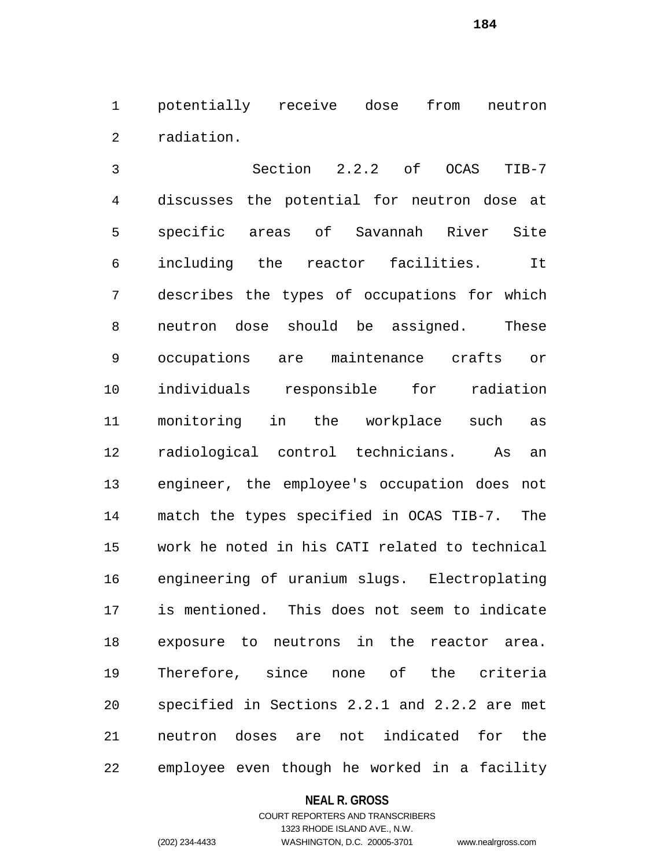potentially receive dose from neutron radiation.

 Section 2.2.2 of OCAS TIB-7 discusses the potential for neutron dose at specific areas of Savannah River Site including the reactor facilities. It describes the types of occupations for which neutron dose should be assigned. These occupations are maintenance crafts or individuals responsible for radiation monitoring in the workplace such as radiological control technicians. As an engineer, the employee's occupation does not match the types specified in OCAS TIB-7. The work he noted in his CATI related to technical engineering of uranium slugs. Electroplating is mentioned. This does not seem to indicate exposure to neutrons in the reactor area. Therefore, since none of the criteria specified in Sections 2.2.1 and 2.2.2 are met neutron doses are not indicated for the employee even though he worked in a facility

#### **NEAL R. GROSS**

## COURT REPORTERS AND TRANSCRIBERS 1323 RHODE ISLAND AVE., N.W. (202) 234-4433 WASHINGTON, D.C. 20005-3701 www.nealrgross.com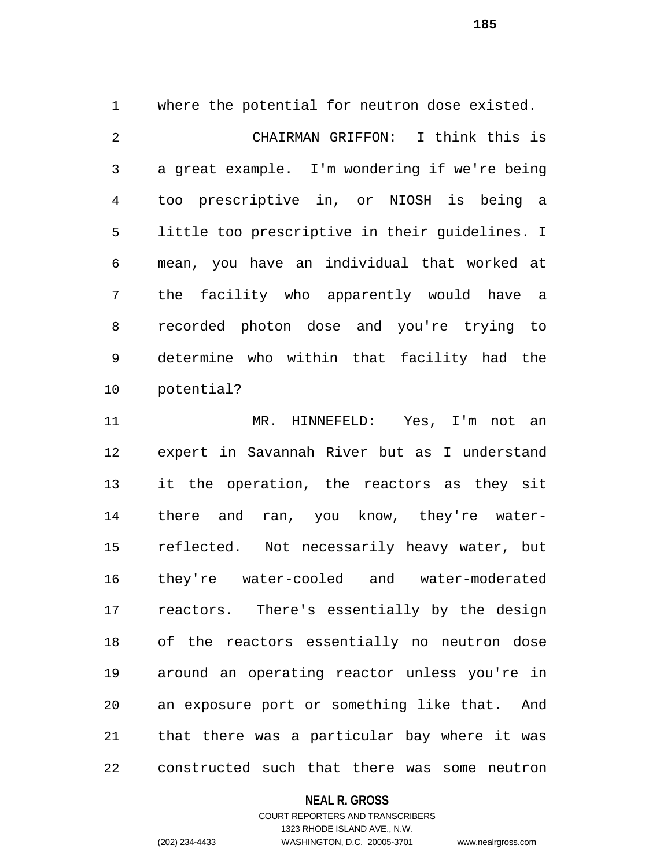where the potential for neutron dose existed. CHAIRMAN GRIFFON: I think this is a great example. I'm wondering if we're being too prescriptive in, or NIOSH is being a little too prescriptive in their guidelines. I mean, you have an individual that worked at the facility who apparently would have a recorded photon dose and you're trying to determine who within that facility had the potential?

 MR. HINNEFELD: Yes, I'm not an expert in Savannah River but as I understand it the operation, the reactors as they sit there and ran, you know, they're water- reflected. Not necessarily heavy water, but they're water-cooled and water-moderated reactors. There's essentially by the design of the reactors essentially no neutron dose around an operating reactor unless you're in an exposure port or something like that. And that there was a particular bay where it was constructed such that there was some neutron

## **NEAL R. GROSS**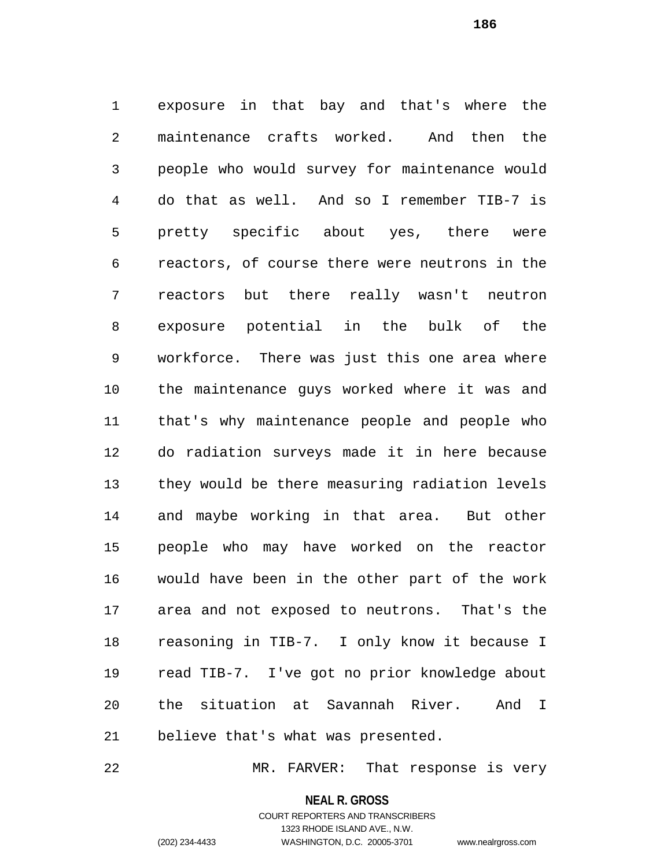exposure in that bay and that's where the maintenance crafts worked. And then the people who would survey for maintenance would do that as well. And so I remember TIB-7 is pretty specific about yes, there were reactors, of course there were neutrons in the reactors but there really wasn't neutron exposure potential in the bulk of the workforce. There was just this one area where the maintenance guys worked where it was and that's why maintenance people and people who do radiation surveys made it in here because they would be there measuring radiation levels and maybe working in that area. But other people who may have worked on the reactor would have been in the other part of the work area and not exposed to neutrons. That's the reasoning in TIB-7. I only know it because I read TIB-7. I've got no prior knowledge about the situation at Savannah River. And I believe that's what was presented.

MR. FARVER: That response is very

**NEAL R. GROSS**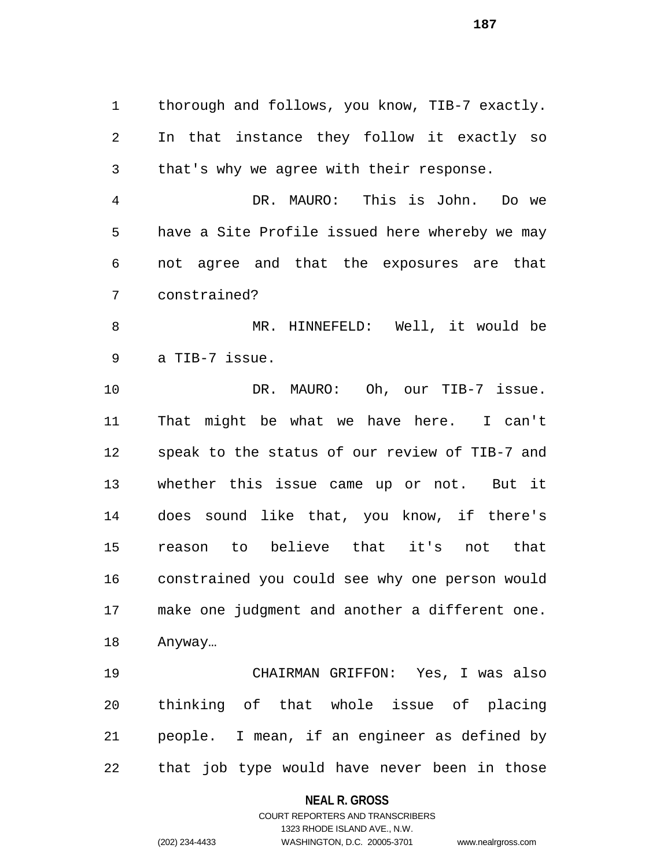thorough and follows, you know, TIB-7 exactly. In that instance they follow it exactly so that's why we agree with their response.

 DR. MAURO: This is John. Do we have a Site Profile issued here whereby we may not agree and that the exposures are that constrained?

 MR. HINNEFELD: Well, it would be a TIB-7 issue.

 DR. MAURO: Oh, our TIB-7 issue. That might be what we have here. I can't speak to the status of our review of TIB-7 and whether this issue came up or not. But it does sound like that, you know, if there's reason to believe that it's not that constrained you could see why one person would make one judgment and another a different one. Anyway…

 CHAIRMAN GRIFFON: Yes, I was also thinking of that whole issue of placing people. I mean, if an engineer as defined by that job type would have never been in those

#### **NEAL R. GROSS**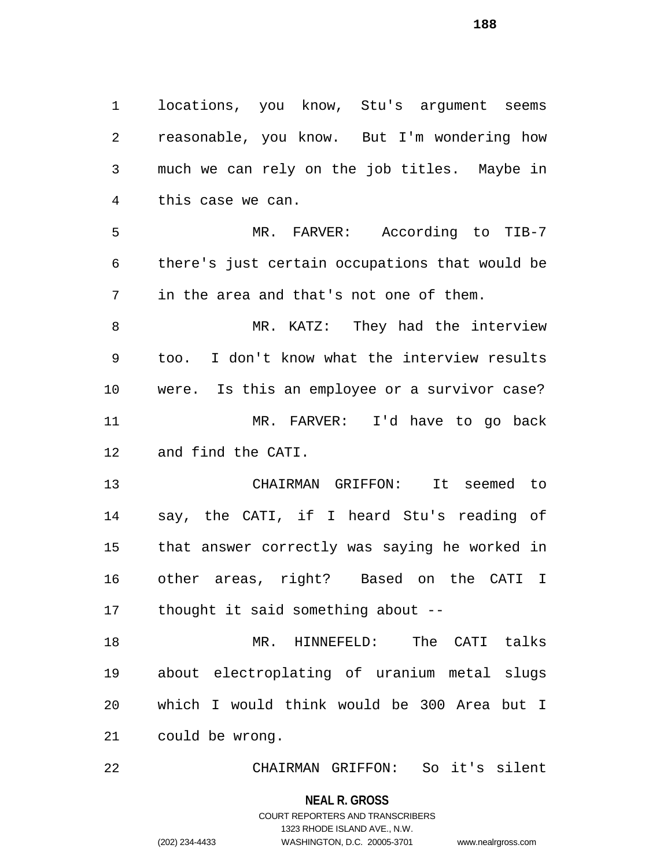locations, you know, Stu's argument seems reasonable, you know. But I'm wondering how much we can rely on the job titles. Maybe in this case we can.

 MR. FARVER: According to TIB-7 there's just certain occupations that would be in the area and that's not one of them.

8 MR. KATZ: They had the interview too. I don't know what the interview results were. Is this an employee or a survivor case? MR. FARVER: I'd have to go back and find the CATI.

 CHAIRMAN GRIFFON: It seemed to say, the CATI, if I heard Stu's reading of that answer correctly was saying he worked in other areas, right? Based on the CATI I thought it said something about --

 MR. HINNEFELD: The CATI talks about electroplating of uranium metal slugs which I would think would be 300 Area but I could be wrong.

CHAIRMAN GRIFFON: So it's silent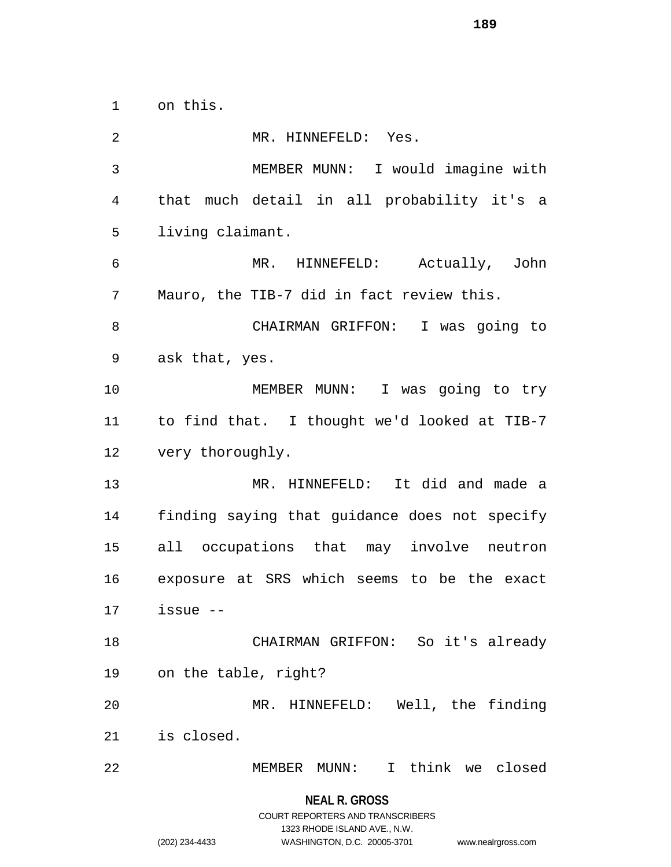on this.

 MR. HINNEFELD: Yes. MEMBER MUNN: I would imagine with that much detail in all probability it's a living claimant. MR. HINNEFELD: Actually, John Mauro, the TIB-7 did in fact review this. CHAIRMAN GRIFFON: I was going to ask that, yes. MEMBER MUNN: I was going to try to find that. I thought we'd looked at TIB-7 very thoroughly. MR. HINNEFELD: It did and made a finding saying that guidance does not specify all occupations that may involve neutron exposure at SRS which seems to be the exact issue -- CHAIRMAN GRIFFON: So it's already on the table, right? MR. HINNEFELD: Well, the finding is closed. MEMBER MUNN: I think we closed

## **NEAL R. GROSS** COURT REPORTERS AND TRANSCRIBERS 1323 RHODE ISLAND AVE., N.W.

(202) 234-4433 WASHINGTON, D.C. 20005-3701 www.nealrgross.com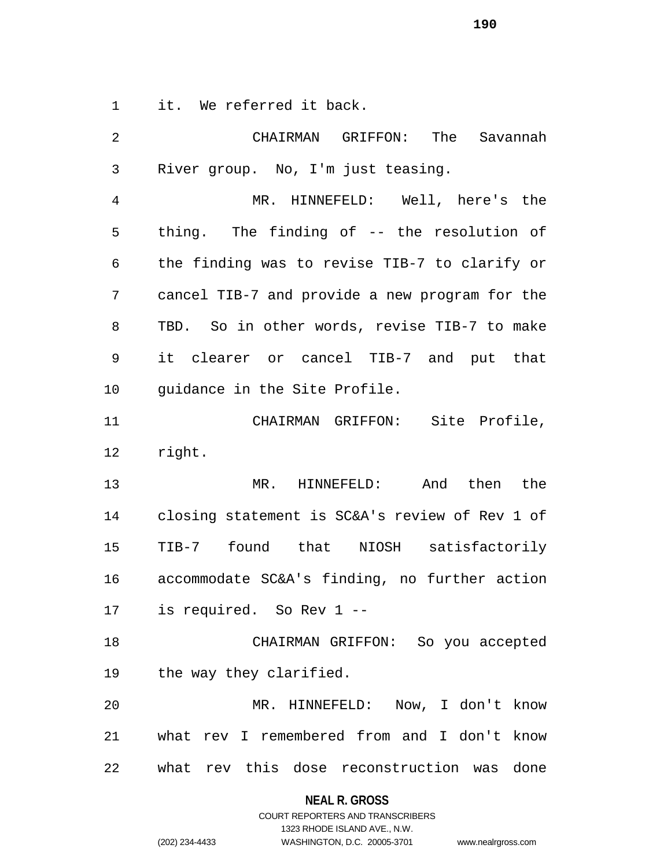it. We referred it back.

| $\overline{2}$ | GRIFFON: The Savannah<br>CHAIRMAN              |
|----------------|------------------------------------------------|
| 3              | River group. No, I'm just teasing.             |
| 4              | MR. HINNEFELD: Well, here's the                |
| 5              | thing. The finding of -- the resolution of     |
| 6              | the finding was to revise TIB-7 to clarify or  |
| 7              | cancel TIB-7 and provide a new program for the |
| 8              | TBD. So in other words, revise TIB-7 to make   |
| 9              | it clearer or cancel TIB-7 and put that        |
| 10             | quidance in the Site Profile.                  |
| 11             | CHAIRMAN GRIFFON: Site Profile,                |
| 12             | right.                                         |
| 13             | MR. HINNEFELD: And then the                    |
| 14             | closing statement is SC&A's review of Rev 1 of |
| 15             | TIB-7 found that NIOSH satisfactorily          |
| 16             | accommodate SC&A's finding, no further action  |
| 17             | is required. So Rev 1 --                       |
| 18             | CHAIRMAN GRIFFON: So you accepted              |
| 19             | the way they clarified.                        |
| 20             | MR. HINNEFELD: Now, I don't know               |
| 21             | what rev I remembered from and I don't know    |
| 22             | what rev this dose reconstruction was<br>done  |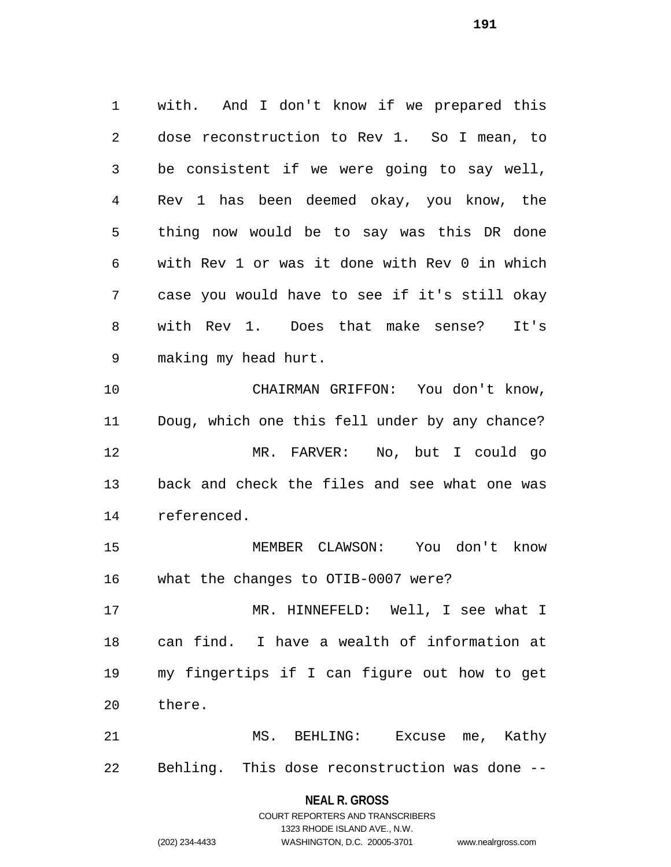with. And I don't know if we prepared this dose reconstruction to Rev 1. So I mean, to be consistent if we were going to say well, Rev 1 has been deemed okay, you know, the thing now would be to say was this DR done with Rev 1 or was it done with Rev 0 in which case you would have to see if it's still okay with Rev 1. Does that make sense? It's making my head hurt. CHAIRMAN GRIFFON: You don't know, Doug, which one this fell under by any chance? MR. FARVER: No, but I could go

 back and check the files and see what one was referenced.

 MEMBER CLAWSON: You don't know what the changes to OTIB-0007 were?

 MR. HINNEFELD: Well, I see what I can find. I have a wealth of information at my fingertips if I can figure out how to get there.

 MS. BEHLING: Excuse me, Kathy Behling. This dose reconstruction was done --

#### **NEAL R. GROSS**

COURT REPORTERS AND TRANSCRIBERS 1323 RHODE ISLAND AVE., N.W. (202) 234-4433 WASHINGTON, D.C. 20005-3701 www.nealrgross.com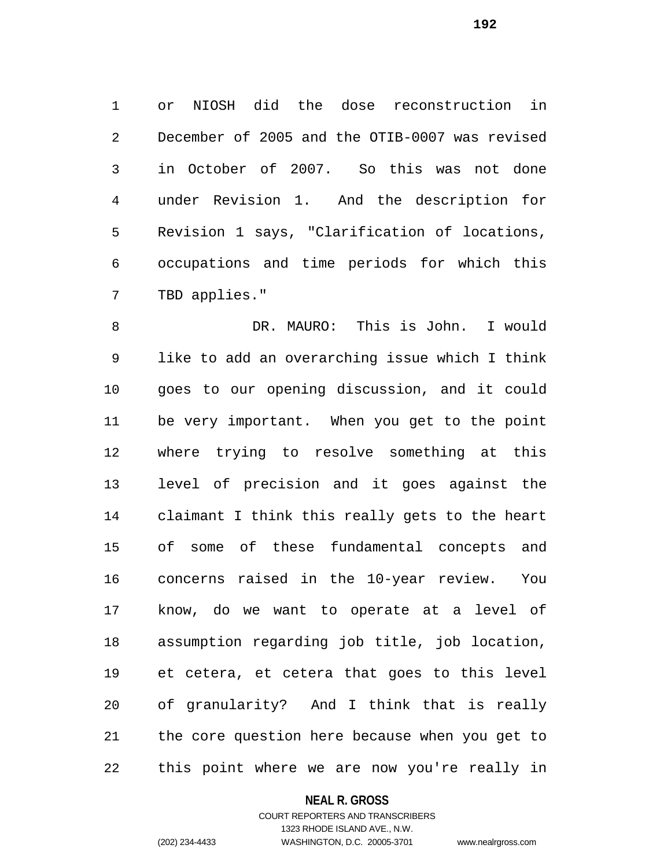or NIOSH did the dose reconstruction in December of 2005 and the OTIB-0007 was revised in October of 2007. So this was not done under Revision 1. And the description for Revision 1 says, "Clarification of locations, occupations and time periods for which this TBD applies."

 DR. MAURO: This is John. I would like to add an overarching issue which I think goes to our opening discussion, and it could be very important. When you get to the point where trying to resolve something at this level of precision and it goes against the claimant I think this really gets to the heart of some of these fundamental concepts and concerns raised in the 10-year review. You know, do we want to operate at a level of assumption regarding job title, job location, et cetera, et cetera that goes to this level of granularity? And I think that is really the core question here because when you get to this point where we are now you're really in

## **NEAL R. GROSS**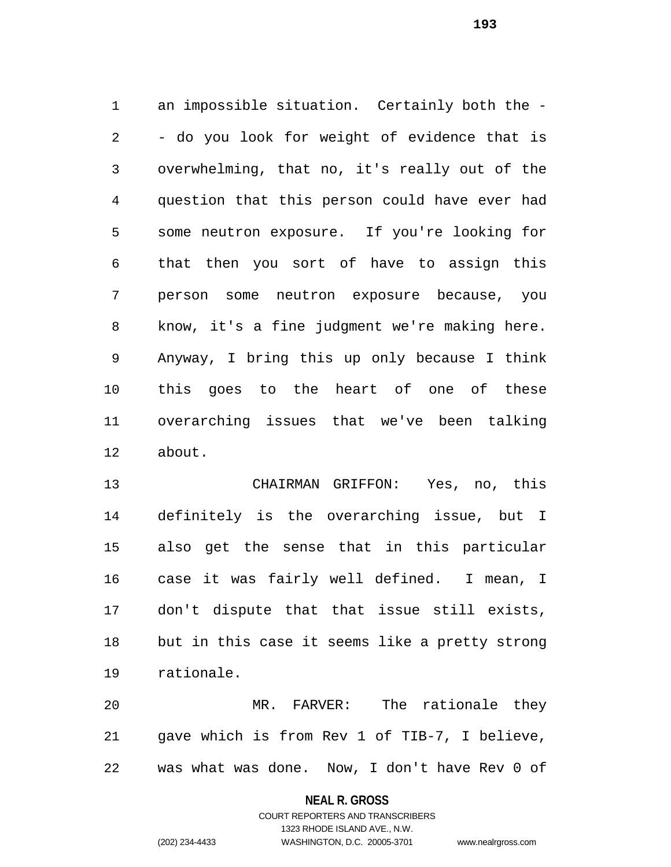an impossible situation. Certainly both the - - do you look for weight of evidence that is overwhelming, that no, it's really out of the question that this person could have ever had some neutron exposure. If you're looking for that then you sort of have to assign this person some neutron exposure because, you know, it's a fine judgment we're making here. Anyway, I bring this up only because I think this goes to the heart of one of these overarching issues that we've been talking about.

 CHAIRMAN GRIFFON: Yes, no, this definitely is the overarching issue, but I also get the sense that in this particular case it was fairly well defined. I mean, I don't dispute that that issue still exists, but in this case it seems like a pretty strong rationale.

 MR. FARVER: The rationale they gave which is from Rev 1 of TIB-7, I believe, was what was done. Now, I don't have Rev 0 of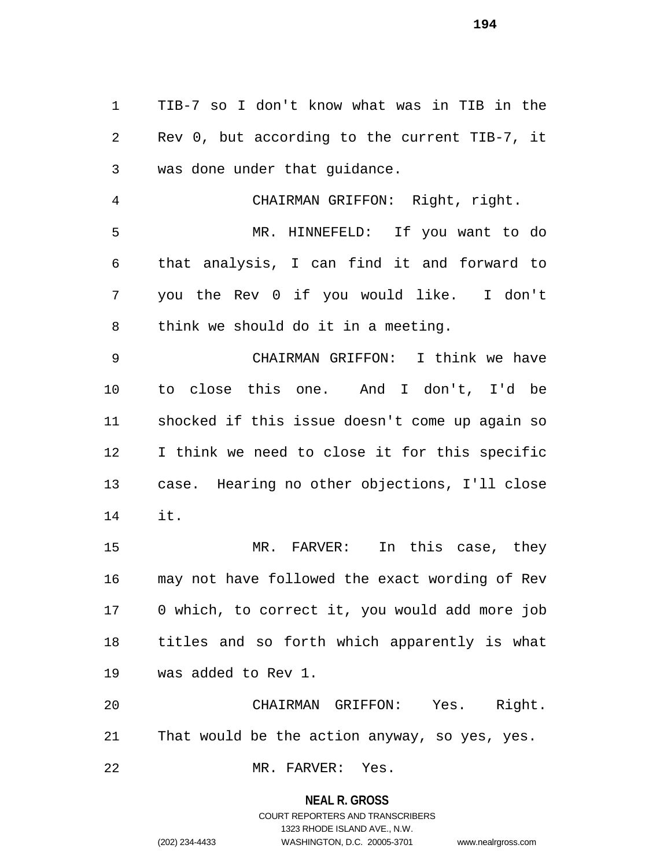TIB-7 so I don't know what was in TIB in the Rev 0, but according to the current TIB-7, it was done under that guidance.

 CHAIRMAN GRIFFON: Right, right. MR. HINNEFELD: If you want to do that analysis, I can find it and forward to you the Rev 0 if you would like. I don't think we should do it in a meeting.

 CHAIRMAN GRIFFON: I think we have to close this one. And I don't, I'd be shocked if this issue doesn't come up again so I think we need to close it for this specific case. Hearing no other objections, I'll close it.

 MR. FARVER: In this case, they may not have followed the exact wording of Rev 0 which, to correct it, you would add more job titles and so forth which apparently is what was added to Rev 1.

 CHAIRMAN GRIFFON: Yes. Right. That would be the action anyway, so yes, yes.

MR. FARVER: Yes.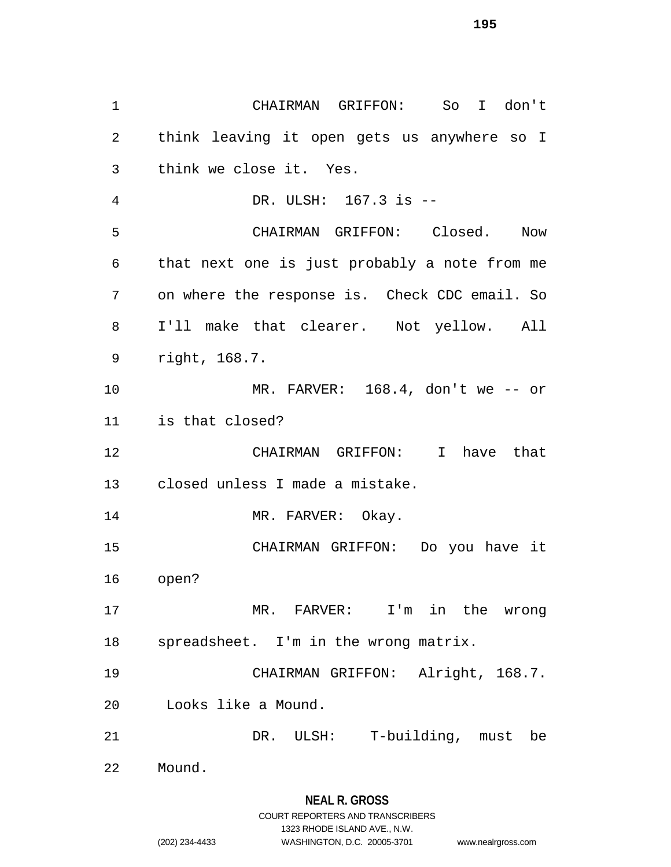CHAIRMAN GRIFFON: So I don't think leaving it open gets us anywhere so I think we close it. Yes. DR. ULSH: 167.3 is -- CHAIRMAN GRIFFON: Closed. Now that next one is just probably a note from me on where the response is. Check CDC email. So I'll make that clearer. Not yellow. All right, 168.7. MR. FARVER: 168.4, don't we -- or is that closed? CHAIRMAN GRIFFON: I have that closed unless I made a mistake. 14 MR. FARVER: Okay. CHAIRMAN GRIFFON: Do you have it open? MR. FARVER: I'm in the wrong spreadsheet. I'm in the wrong matrix. CHAIRMAN GRIFFON: Alright, 168.7. Looks like a Mound. DR. ULSH: T-building, must be Mound.

1323 RHODE ISLAND AVE., N.W.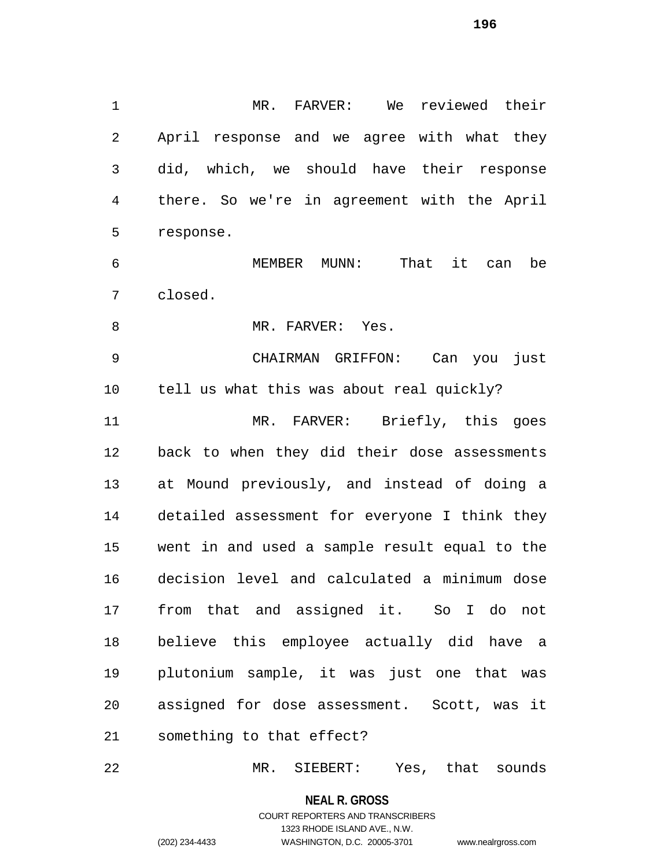MR. FARVER: We reviewed their April response and we agree with what they did, which, we should have their response there. So we're in agreement with the April response. MEMBER MUNN: That it can be

closed.

8 MR. FARVER: Yes.

 CHAIRMAN GRIFFON: Can you just tell us what this was about real quickly? MR. FARVER: Briefly, this goes back to when they did their dose assessments at Mound previously, and instead of doing a detailed assessment for everyone I think they went in and used a sample result equal to the decision level and calculated a minimum dose from that and assigned it. So I do not believe this employee actually did have a plutonium sample, it was just one that was assigned for dose assessment. Scott, was it something to that effect?

MR. SIEBERT: Yes, that sounds

**NEAL R. GROSS** COURT REPORTERS AND TRANSCRIBERS 1323 RHODE ISLAND AVE., N.W. (202) 234-4433 WASHINGTON, D.C. 20005-3701 www.nealrgross.com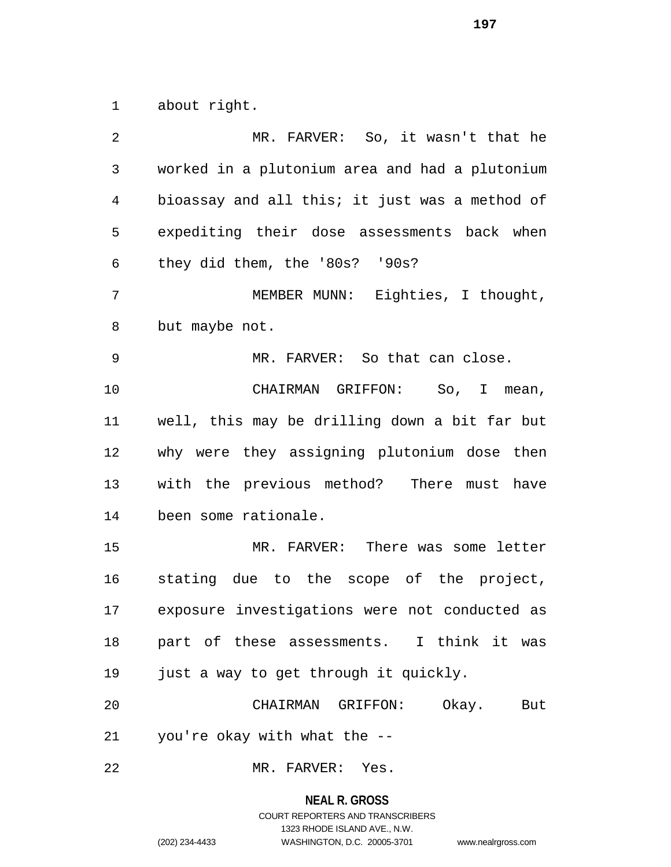about right.

 MR. FARVER: So, it wasn't that he worked in a plutonium area and had a plutonium bioassay and all this; it just was a method of expediting their dose assessments back when they did them, the '80s? '90s? MEMBER MUNN: Eighties, I thought, but maybe not. MR. FARVER: So that can close. CHAIRMAN GRIFFON: So, I mean, well, this may be drilling down a bit far but why were they assigning plutonium dose then with the previous method? There must have been some rationale. MR. FARVER: There was some letter stating due to the scope of the project, exposure investigations were not conducted as part of these assessments. I think it was just a way to get through it quickly. CHAIRMAN GRIFFON: Okay. But you're okay with what the -- MR. FARVER: Yes.

#### **NEAL R. GROSS**

## COURT REPORTERS AND TRANSCRIBERS 1323 RHODE ISLAND AVE., N.W. (202) 234-4433 WASHINGTON, D.C. 20005-3701 www.nealrgross.com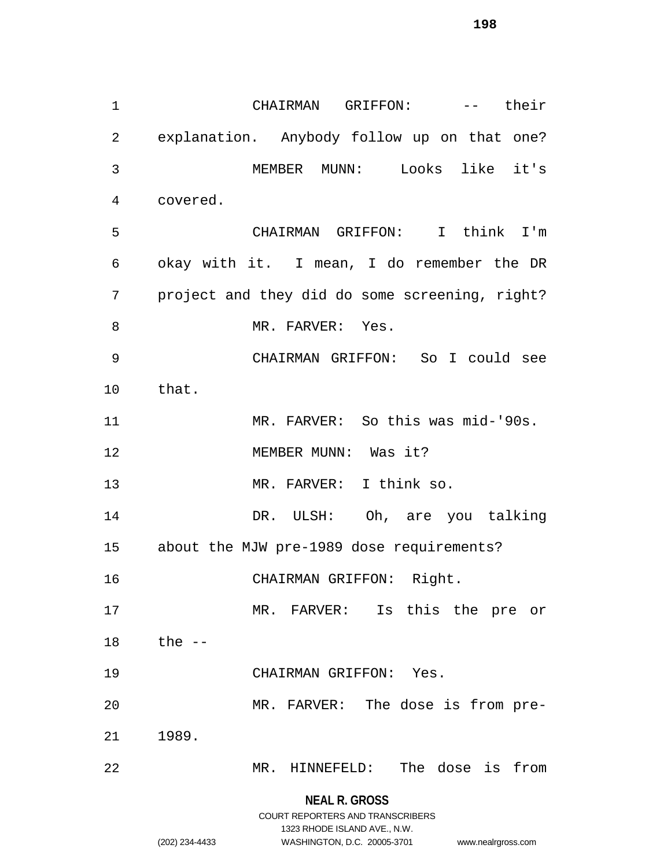CHAIRMAN GRIFFON: -- their explanation. Anybody follow up on that one? MEMBER MUNN: Looks like it's covered. CHAIRMAN GRIFFON: I think I'm okay with it. I mean, I do remember the DR project and they did do some screening, right? 8 MR. FARVER: Yes. CHAIRMAN GRIFFON: So I could see that. MR. FARVER: So this was mid-'90s. MEMBER MUNN: Was it? MR. FARVER: I think so. DR. ULSH: Oh, are you talking about the MJW pre-1989 dose requirements? CHAIRMAN GRIFFON: Right. MR. FARVER: Is this the pre or the -- CHAIRMAN GRIFFON: Yes. MR. FARVER: The dose is from pre-1989.

MR. HINNEFELD: The dose is from

**NEAL R. GROSS** COURT REPORTERS AND TRANSCRIBERS

1323 RHODE ISLAND AVE., N.W.

(202) 234-4433 WASHINGTON, D.C. 20005-3701 www.nealrgross.com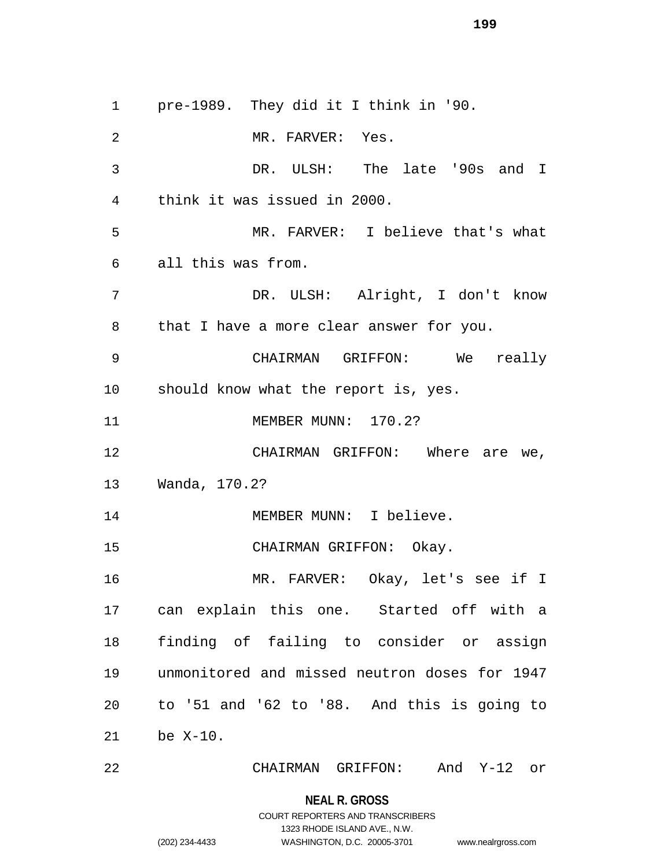pre-1989. They did it I think in '90. 2 MR. FARVER: Yes. DR. ULSH: The late '90s and I think it was issued in 2000. MR. FARVER: I believe that's what all this was from. DR. ULSH: Alright, I don't know that I have a more clear answer for you. CHAIRMAN GRIFFON: We really should know what the report is, yes. MEMBER MUNN: 170.2? 12 CHAIRMAN GRIFFON: Where are we, Wanda, 170.2? 14 MEMBER MUNN: I believe. CHAIRMAN GRIFFON: Okay. MR. FARVER: Okay, let's see if I can explain this one. Started off with a finding of failing to consider or assign unmonitored and missed neutron doses for 1947 to '51 and '62 to '88. And this is going to be X-10.

CHAIRMAN GRIFFON: And Y-12 or

**NEAL R. GROSS** COURT REPORTERS AND TRANSCRIBERS

1323 RHODE ISLAND AVE., N.W.

(202) 234-4433 WASHINGTON, D.C. 20005-3701 www.nealrgross.com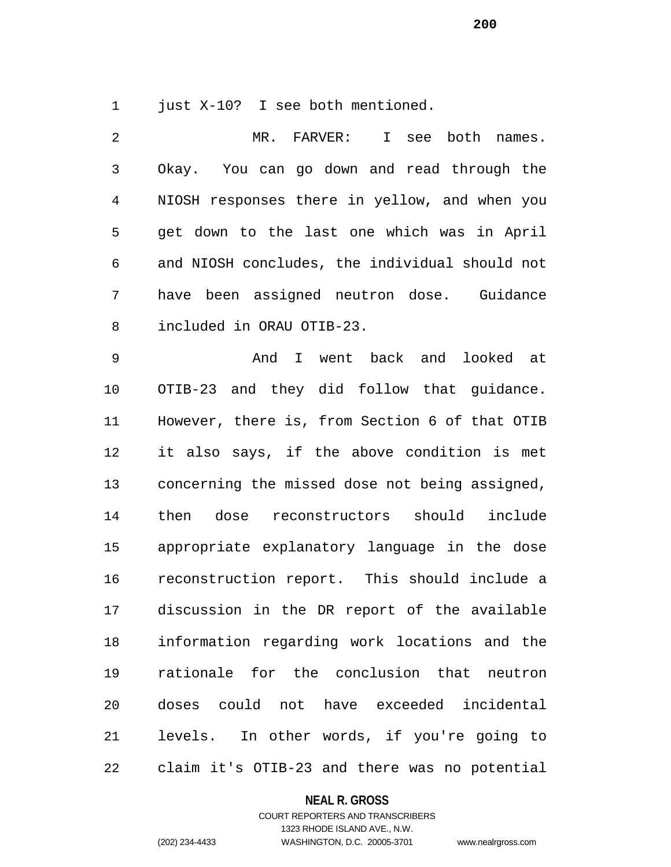1 just X-10? I see both mentioned.

 MR. FARVER: I see both names. Okay. You can go down and read through the NIOSH responses there in yellow, and when you get down to the last one which was in April and NIOSH concludes, the individual should not have been assigned neutron dose. Guidance included in ORAU OTIB-23. And I went back and looked at OTIB-23 and they did follow that guidance. However, there is, from Section 6 of that OTIB it also says, if the above condition is met concerning the missed dose not being assigned, then dose reconstructors should include appropriate explanatory language in the dose reconstruction report. This should include a discussion in the DR report of the available information regarding work locations and the rationale for the conclusion that neutron doses could not have exceeded incidental levels. In other words, if you're going to

claim it's OTIB-23 and there was no potential

## **NEAL R. GROSS**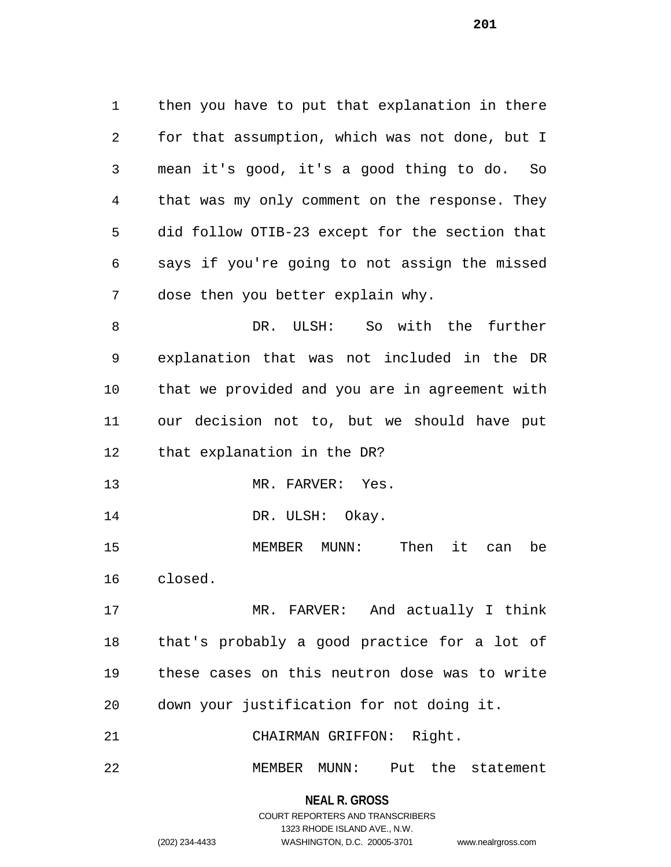then you have to put that explanation in there for that assumption, which was not done, but I mean it's good, it's a good thing to do. So that was my only comment on the response. They did follow OTIB-23 except for the section that says if you're going to not assign the missed dose then you better explain why.

 DR. ULSH: So with the further explanation that was not included in the DR that we provided and you are in agreement with our decision not to, but we should have put that explanation in the DR?

13 MR. FARVER: Yes.

14 DR. ULSH: Okay.

 MEMBER MUNN: Then it can be closed.

 MR. FARVER: And actually I think that's probably a good practice for a lot of these cases on this neutron dose was to write down your justification for not doing it.

CHAIRMAN GRIFFON: Right.

MEMBER MUNN: Put the statement

**NEAL R. GROSS** COURT REPORTERS AND TRANSCRIBERS

1323 RHODE ISLAND AVE., N.W.

(202) 234-4433 WASHINGTON, D.C. 20005-3701 www.nealrgross.com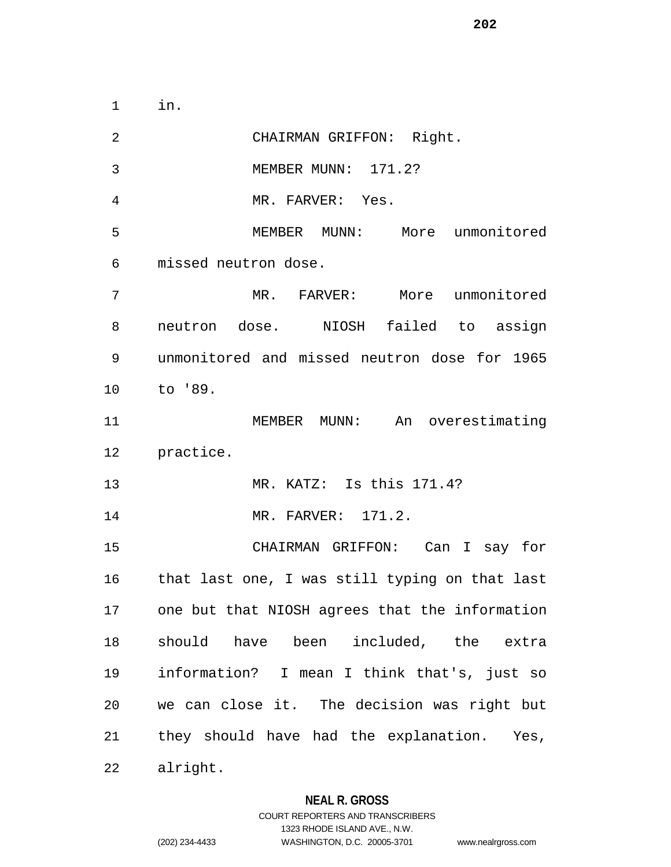in.

| $\overline{2}$ | CHAIRMAN GRIFFON: Right.                          |
|----------------|---------------------------------------------------|
| 3              | MEMBER MUNN: 171.2?                               |
| 4              | MR. FARVER: Yes.                                  |
| 5              | MEMBER MUNN: More unmonitored                     |
| 6              | missed neutron dose.                              |
| 7              | MR. FARVER: More unmonitored                      |
| 8              | neutron dose. NIOSH failed to assign              |
| 9              | unmonitored and missed neutron dose for 1965      |
| 10             | to '89.                                           |
| 11             | MEMBER MUNN: An overestimating                    |
| 12             | practice.                                         |
| 13             | MR. KATZ: Is this 171.4?                          |
| 14             | MR. FARVER: 171.2.                                |
| 15             | CHAIRMAN GRIFFON: Can I say for                   |
| 16 1           | that last one, I was still typing on that last    |
|                | 17 one but that NIOSH agrees that the information |
| 18             | should have been included, the extra              |
| 19             | information? I mean I think that's, just so       |
| 20             | we can close it. The decision was right but       |
| 21             | they should have had the explanation. Yes,        |
| 22             | alright.                                          |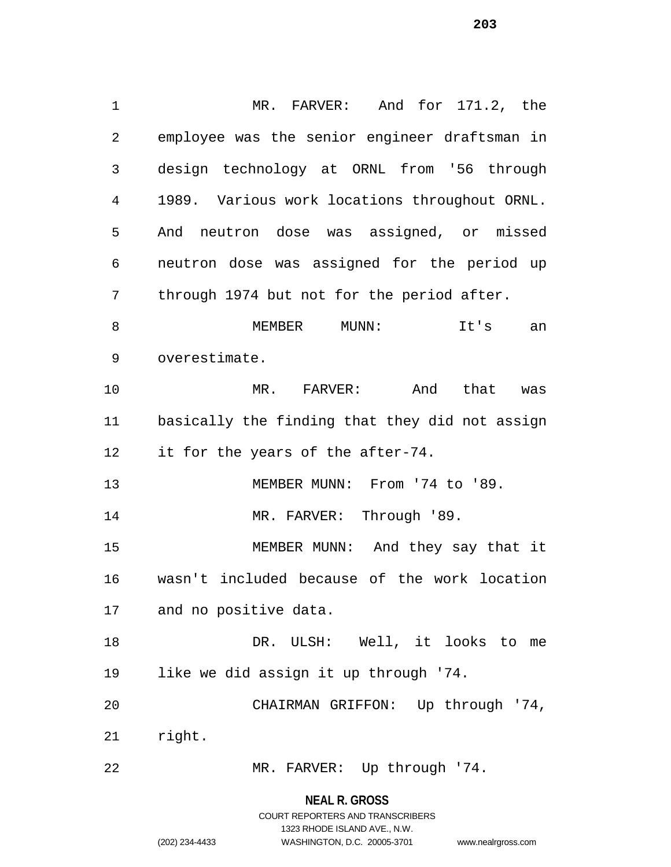MR. FARVER: And for 171.2, the employee was the senior engineer draftsman in design technology at ORNL from '56 through 1989. Various work locations throughout ORNL. And neutron dose was assigned, or missed neutron dose was assigned for the period up through 1974 but not for the period after. 8 MEMBER MUNN: It's an overestimate. MR. FARVER: And that was basically the finding that they did not assign 12 it for the years of the after-74. 13 MEMBER MUNN: From '74 to '89. 14 MR. FARVER: Through '89. MEMBER MUNN: And they say that it wasn't included because of the work location and no positive data. DR. ULSH: Well, it looks to me like we did assign it up through '74. CHAIRMAN GRIFFON: Up through '74, right. MR. FARVER: Up through '74.

> **NEAL R. GROSS** COURT REPORTERS AND TRANSCRIBERS

> > 1323 RHODE ISLAND AVE., N.W.

(202) 234-4433 WASHINGTON, D.C. 20005-3701 www.nealrgross.com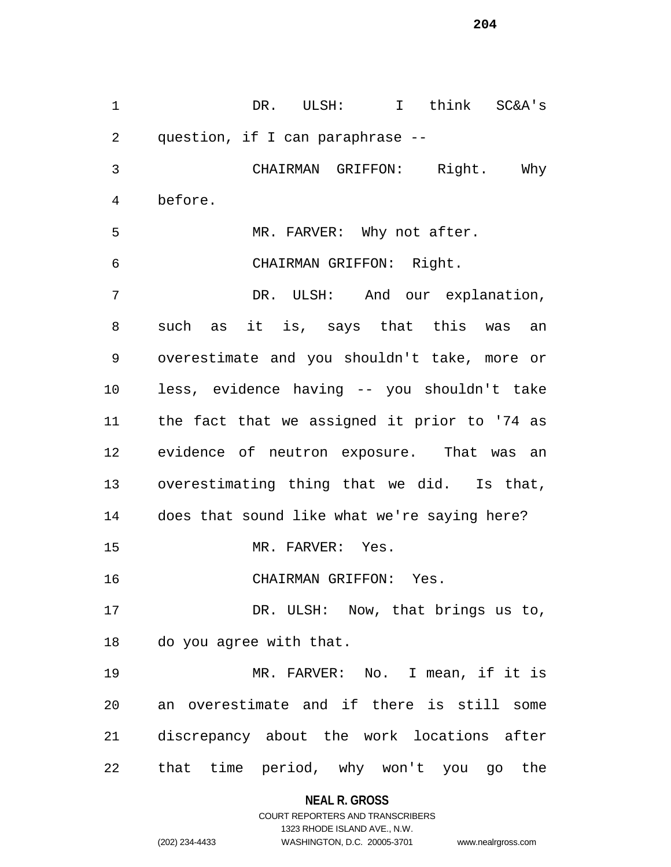DR. ULSH: I think SC&A's question, if I can paraphrase -- CHAIRMAN GRIFFON: Right. Why before. MR. FARVER: Why not after. CHAIRMAN GRIFFON: Right. DR. ULSH: And our explanation, such as it is, says that this was an overestimate and you shouldn't take, more or less, evidence having -- you shouldn't take the fact that we assigned it prior to '74 as evidence of neutron exposure. That was an overestimating thing that we did. Is that, does that sound like what we're saying here? 15 MR. FARVER: Yes. CHAIRMAN GRIFFON: Yes. 17 DR. ULSH: Now, that brings us to, do you agree with that. MR. FARVER: No. I mean, if it is an overestimate and if there is still some discrepancy about the work locations after that time period, why won't you go the

> **NEAL R. GROSS** COURT REPORTERS AND TRANSCRIBERS

> > 1323 RHODE ISLAND AVE., N.W.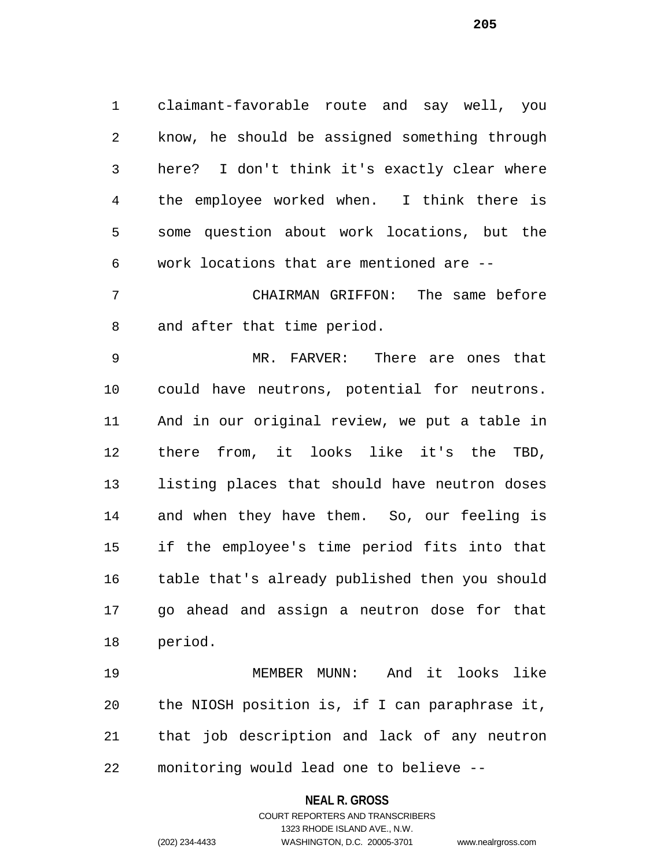claimant-favorable route and say well, you know, he should be assigned something through here? I don't think it's exactly clear where the employee worked when. I think there is some question about work locations, but the work locations that are mentioned are --

 CHAIRMAN GRIFFON: The same before and after that time period.

 MR. FARVER: There are ones that could have neutrons, potential for neutrons. And in our original review, we put a table in there from, it looks like it's the TBD, listing places that should have neutron doses and when they have them. So, our feeling is if the employee's time period fits into that table that's already published then you should go ahead and assign a neutron dose for that period.

 MEMBER MUNN: And it looks like the NIOSH position is, if I can paraphrase it, that job description and lack of any neutron monitoring would lead one to believe --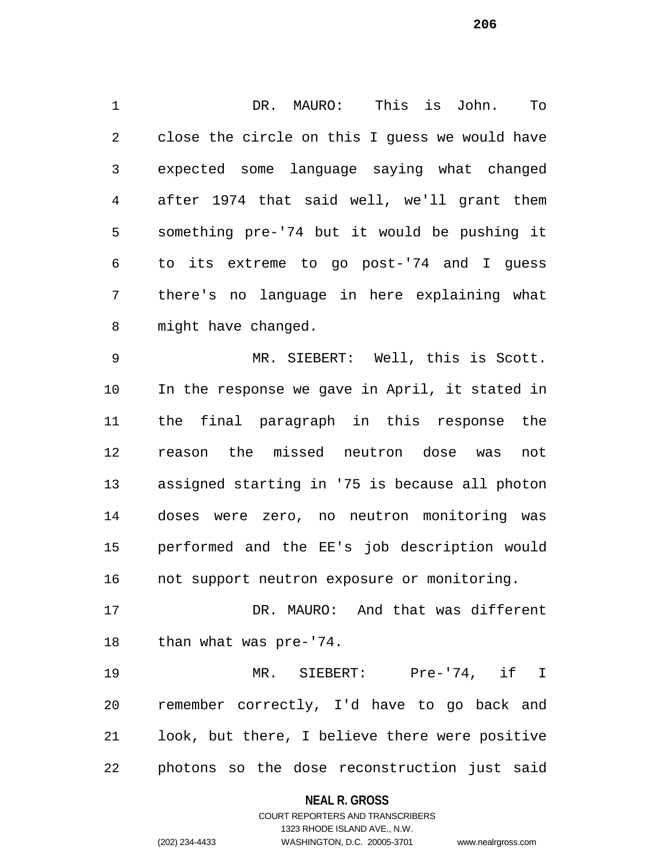DR. MAURO: This is John. To close the circle on this I guess we would have expected some language saying what changed after 1974 that said well, we'll grant them something pre-'74 but it would be pushing it to its extreme to go post-'74 and I guess there's no language in here explaining what might have changed.

 MR. SIEBERT: Well, this is Scott. In the response we gave in April, it stated in the final paragraph in this response the reason the missed neutron dose was not assigned starting in '75 is because all photon doses were zero, no neutron monitoring was performed and the EE's job description would not support neutron exposure or monitoring.

 DR. MAURO: And that was different than what was pre-'74.

 MR. SIEBERT: Pre-'74, if I remember correctly, I'd have to go back and look, but there, I believe there were positive photons so the dose reconstruction just said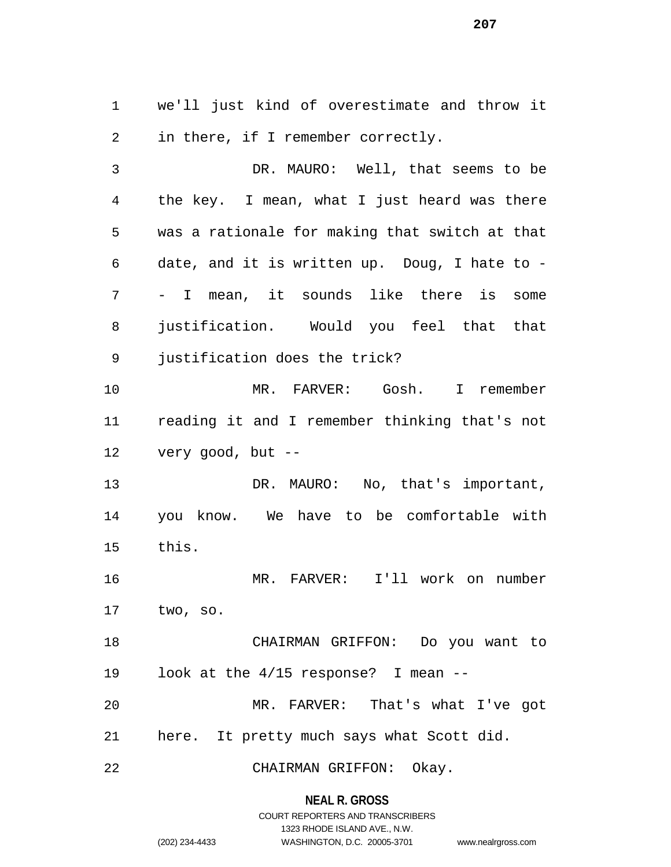we'll just kind of overestimate and throw it in there, if I remember correctly.

 DR. MAURO: Well, that seems to be the key. I mean, what I just heard was there was a rationale for making that switch at that date, and it is written up. Doug, I hate to - - I mean, it sounds like there is some justification. Would you feel that that justification does the trick? MR. FARVER: Gosh. I remember reading it and I remember thinking that's not very good, but -- 13 DR. MAURO: No, that's important, you know. We have to be comfortable with this. MR. FARVER: I'll work on number two, so.

 CHAIRMAN GRIFFON: Do you want to look at the 4/15 response? I mean --

 MR. FARVER: That's what I've got here. It pretty much says what Scott did.

CHAIRMAN GRIFFON: Okay.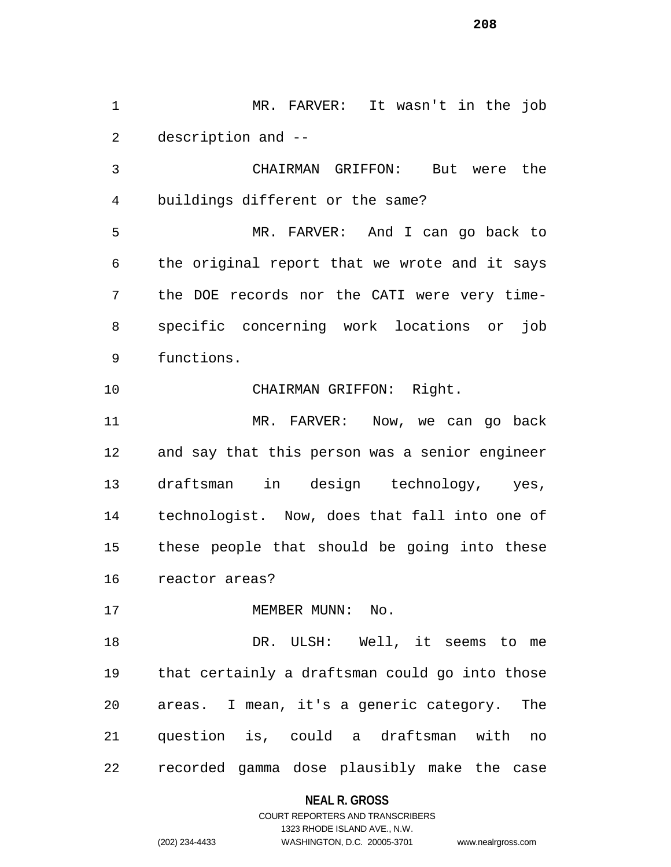MR. FARVER: It wasn't in the job description and --

 CHAIRMAN GRIFFON: But were the buildings different or the same?

 MR. FARVER: And I can go back to the original report that we wrote and it says the DOE records nor the CATI were very time- specific concerning work locations or job functions.

CHAIRMAN GRIFFON: Right.

 MR. FARVER: Now, we can go back and say that this person was a senior engineer draftsman in design technology, yes, technologist. Now, does that fall into one of these people that should be going into these reactor areas?

17 MEMBER MUNN: No.

18 DR. ULSH: Well, it seems to me that certainly a draftsman could go into those areas. I mean, it's a generic category. The question is, could a draftsman with no recorded gamma dose plausibly make the case

#### **NEAL R. GROSS**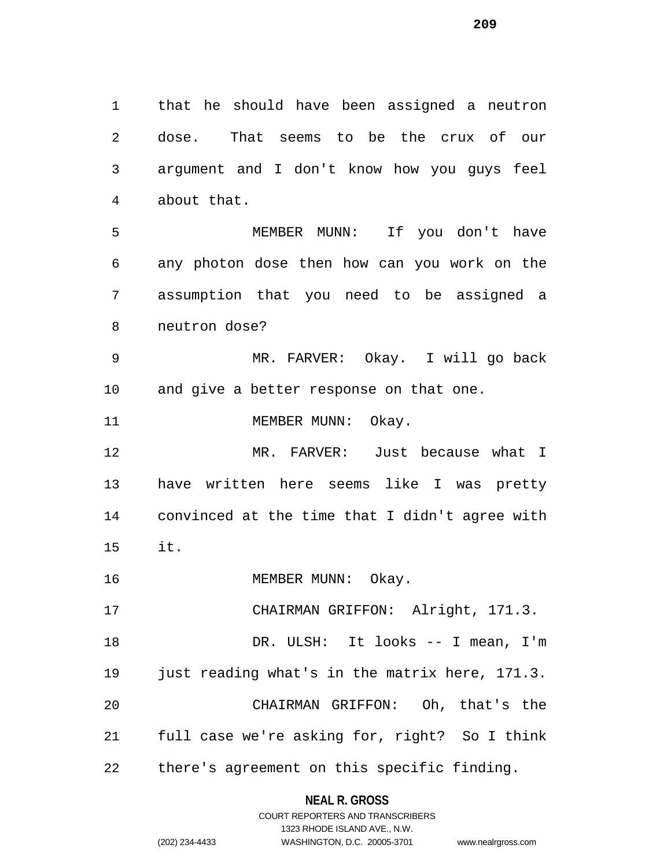that he should have been assigned a neutron dose. That seems to be the crux of our argument and I don't know how you guys feel about that. MEMBER MUNN: If you don't have any photon dose then how can you work on the assumption that you need to be assigned a neutron dose? MR. FARVER: Okay. I will go back and give a better response on that one. 11 MEMBER MUNN: Okay. MR. FARVER: Just because what I have written here seems like I was pretty convinced at the time that I didn't agree with

- it.
- 16 MEMBER MUNN: Okay.

17 CHAIRMAN GRIFFON: Alright, 171.3. 18 DR. ULSH: It looks -- I mean, I'm just reading what's in the matrix here, 171.3. CHAIRMAN GRIFFON: Oh, that's the full case we're asking for, right? So I think there's agreement on this specific finding.

## **NEAL R. GROSS**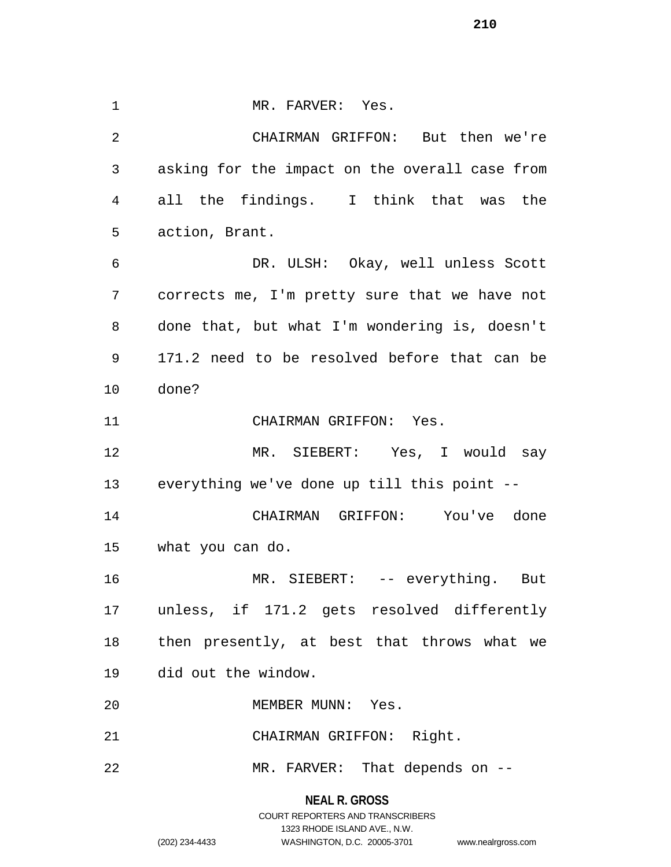1 MR. FARVER: Yes. CHAIRMAN GRIFFON: But then we're asking for the impact on the overall case from all the findings. I think that was the action, Brant. DR. ULSH: Okay, well unless Scott corrects me, I'm pretty sure that we have not done that, but what I'm wondering is, doesn't 171.2 need to be resolved before that can be done? CHAIRMAN GRIFFON: Yes. MR. SIEBERT: Yes, I would say everything we've done up till this point -- CHAIRMAN GRIFFON: You've done what you can do. MR. SIEBERT: -- everything. But unless, if 171.2 gets resolved differently then presently, at best that throws what we did out the window. MEMBER MUNN: Yes. CHAIRMAN GRIFFON: Right. 22 MR. FARVER: That depends on --

## **NEAL R. GROSS**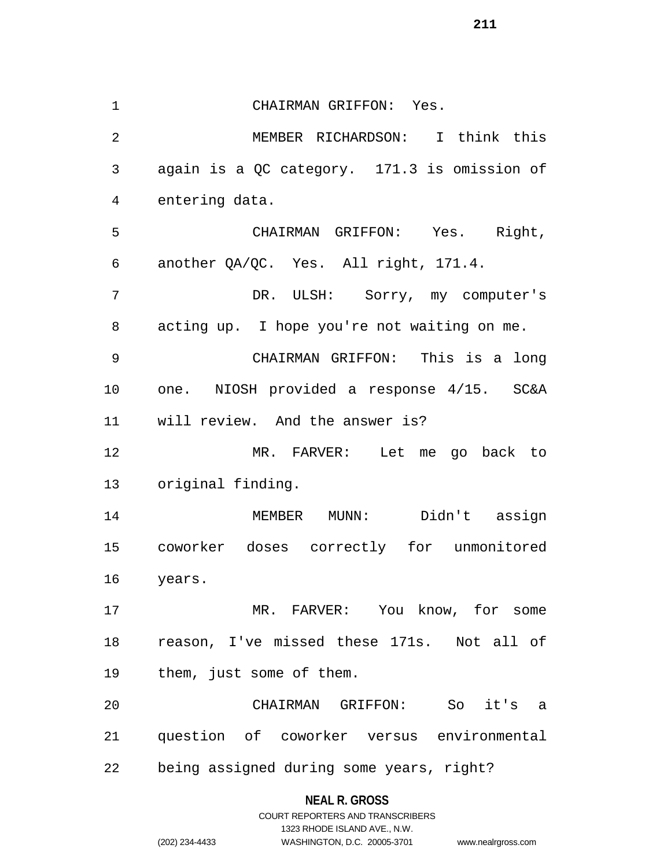CHAIRMAN GRIFFON: Yes. MEMBER RICHARDSON: I think this again is a QC category. 171.3 is omission of entering data. CHAIRMAN GRIFFON: Yes. Right, another QA/QC. Yes. All right, 171.4. DR. ULSH: Sorry, my computer's acting up. I hope you're not waiting on me. CHAIRMAN GRIFFON: This is a long one. NIOSH provided a response 4/15. SC&A will review. And the answer is? MR. FARVER: Let me go back to original finding. MEMBER MUNN: Didn't assign coworker doses correctly for unmonitored years. MR. FARVER: You know, for some reason, I've missed these 171s. Not all of them, just some of them. CHAIRMAN GRIFFON: So it's a question of coworker versus environmental being assigned during some years, right?

## **NEAL R. GROSS**

COURT REPORTERS AND TRANSCRIBERS 1323 RHODE ISLAND AVE., N.W. (202) 234-4433 WASHINGTON, D.C. 20005-3701 www.nealrgross.com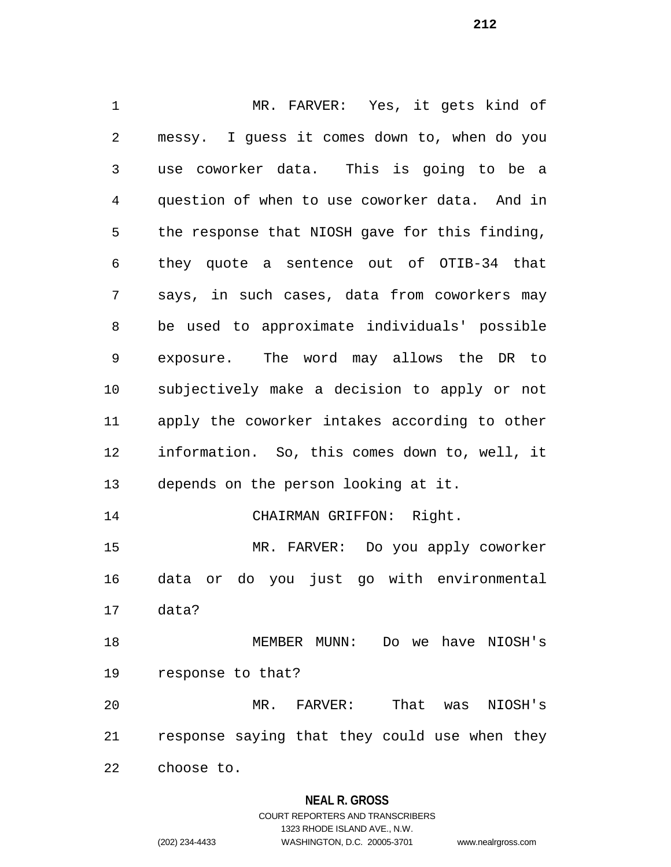MR. FARVER: Yes, it gets kind of messy. I guess it comes down to, when do you use coworker data. This is going to be a question of when to use coworker data. And in the response that NIOSH gave for this finding, they quote a sentence out of OTIB-34 that says, in such cases, data from coworkers may be used to approximate individuals' possible exposure. The word may allows the DR to subjectively make a decision to apply or not apply the coworker intakes according to other information. So, this comes down to, well, it depends on the person looking at it. 14 CHAIRMAN GRIFFON: Right. MR. FARVER: Do you apply coworker data or do you just go with environmental data? MEMBER MUNN: Do we have NIOSH's response to that? MR. FARVER: That was NIOSH's response saying that they could use when they choose to.

## **NEAL R. GROSS**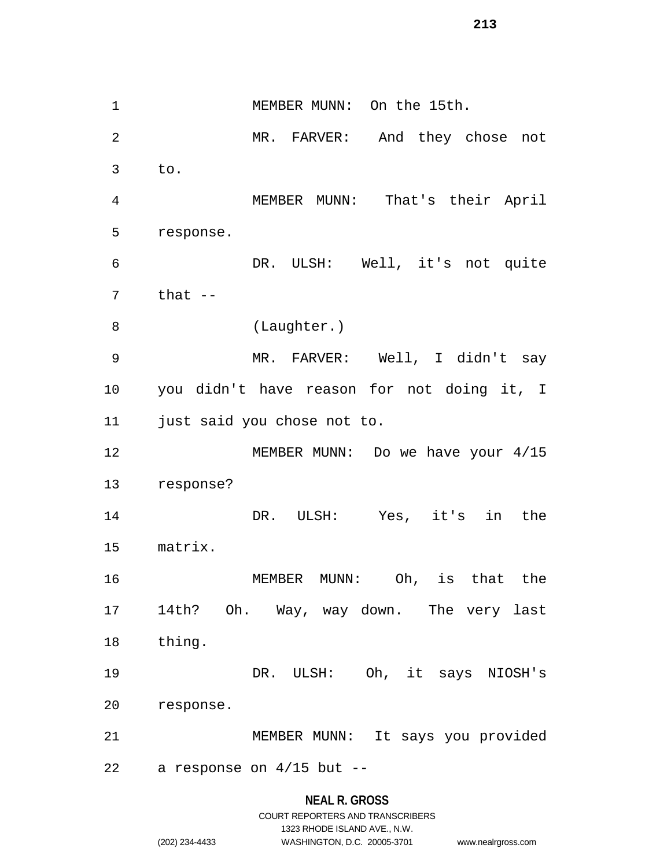1 MEMBER MUNN: On the 15th. MR. FARVER: And they chose not to. MEMBER MUNN: That's their April response. DR. ULSH: Well, it's not quite that  $-$ 8 (Laughter.) MR. FARVER: Well, I didn't say you didn't have reason for not doing it, I just said you chose not to. 12 MEMBER MUNN: Do we have your 4/15 response? DR. ULSH: Yes, it's in the matrix. MEMBER MUNN: Oh, is that the 14th? Oh. Way, way down. The very last thing. DR. ULSH: Oh, it says NIOSH's response. MEMBER MUNN: It says you provided a response on 4/15 but --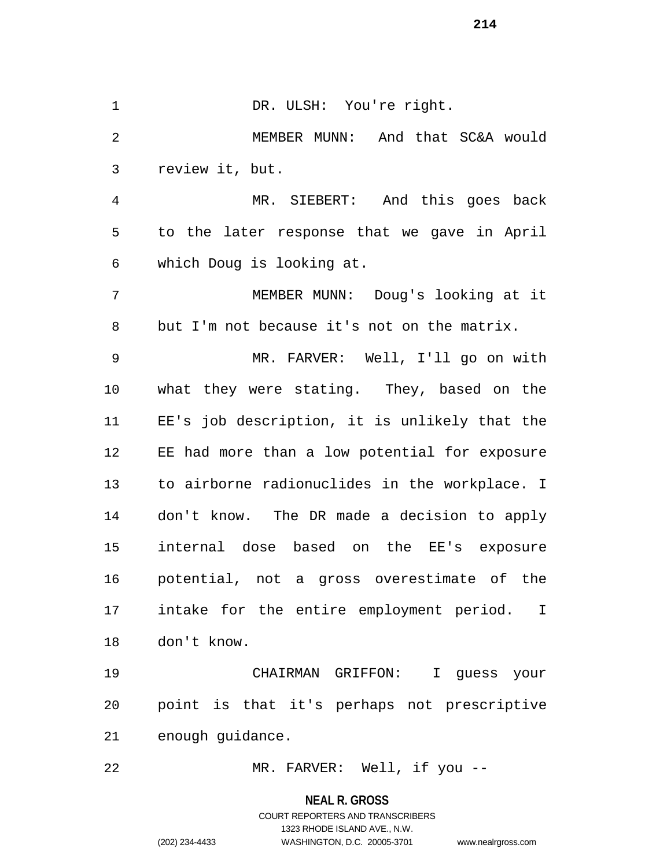1 DR. ULSH: You're right. MEMBER MUNN: And that SC&A would review it, but. MR. SIEBERT: And this goes back to the later response that we gave in April which Doug is looking at. MEMBER MUNN: Doug's looking at it but I'm not because it's not on the matrix. MR. FARVER: Well, I'll go on with what they were stating. They, based on the EE's job description, it is unlikely that the EE had more than a low potential for exposure to airborne radionuclides in the workplace. I don't know. The DR made a decision to apply internal dose based on the EE's exposure potential, not a gross overestimate of the intake for the entire employment period. I don't know. CHAIRMAN GRIFFON: I guess your point is that it's perhaps not prescriptive enough guidance.

MR. FARVER: Well, if you --

**NEAL R. GROSS**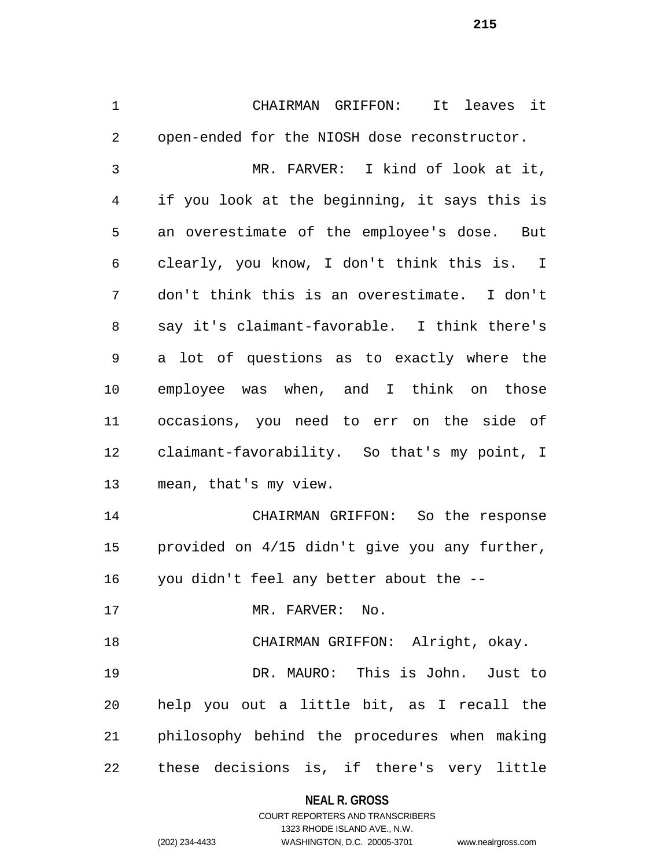CHAIRMAN GRIFFON: It leaves it open-ended for the NIOSH dose reconstructor. MR. FARVER: I kind of look at it, if you look at the beginning, it says this is an overestimate of the employee's dose. But clearly, you know, I don't think this is. I don't think this is an overestimate. I don't say it's claimant-favorable. I think there's a lot of questions as to exactly where the employee was when, and I think on those occasions, you need to err on the side of claimant-favorability. So that's my point, I mean, that's my view. CHAIRMAN GRIFFON: So the response provided on 4/15 didn't give you any further, you didn't feel any better about the -- 17 MR. FARVER: No. CHAIRMAN GRIFFON: Alright, okay. DR. MAURO: This is John. Just to

 help you out a little bit, as I recall the philosophy behind the procedures when making these decisions is, if there's very little

> **NEAL R. GROSS** COURT REPORTERS AND TRANSCRIBERS 1323 RHODE ISLAND AVE., N.W. (202) 234-4433 WASHINGTON, D.C. 20005-3701 www.nealrgross.com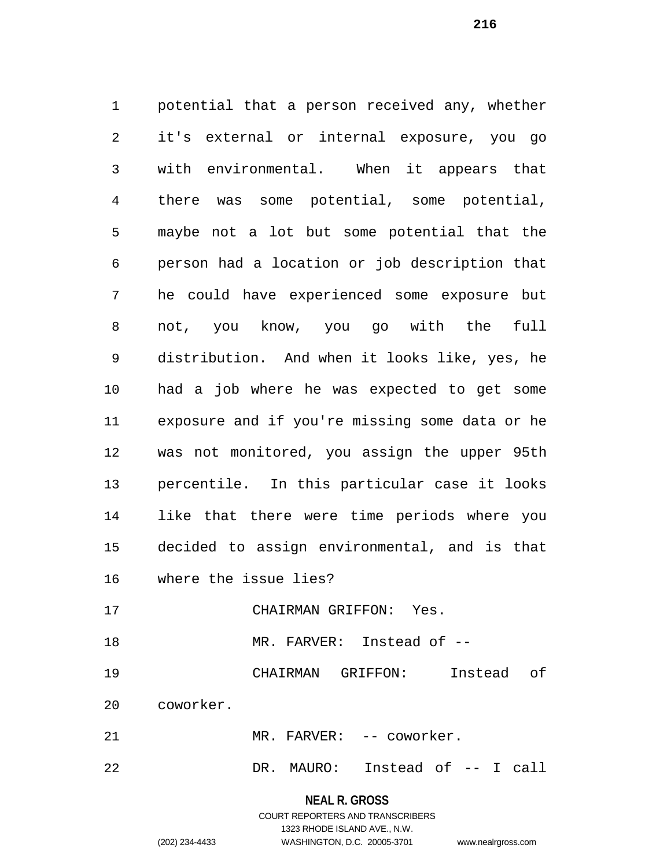potential that a person received any, whether it's external or internal exposure, you go with environmental. When it appears that there was some potential, some potential, maybe not a lot but some potential that the person had a location or job description that he could have experienced some exposure but not, you know, you go with the full distribution. And when it looks like, yes, he had a job where he was expected to get some exposure and if you're missing some data or he was not monitored, you assign the upper 95th percentile. In this particular case it looks like that there were time periods where you decided to assign environmental, and is that where the issue lies? CHAIRMAN GRIFFON: Yes. MR. FARVER: Instead of --

 CHAIRMAN GRIFFON: Instead of coworker.

MR. FARVER: -- coworker.

DR. MAURO: Instead of -- I call

**NEAL R. GROSS**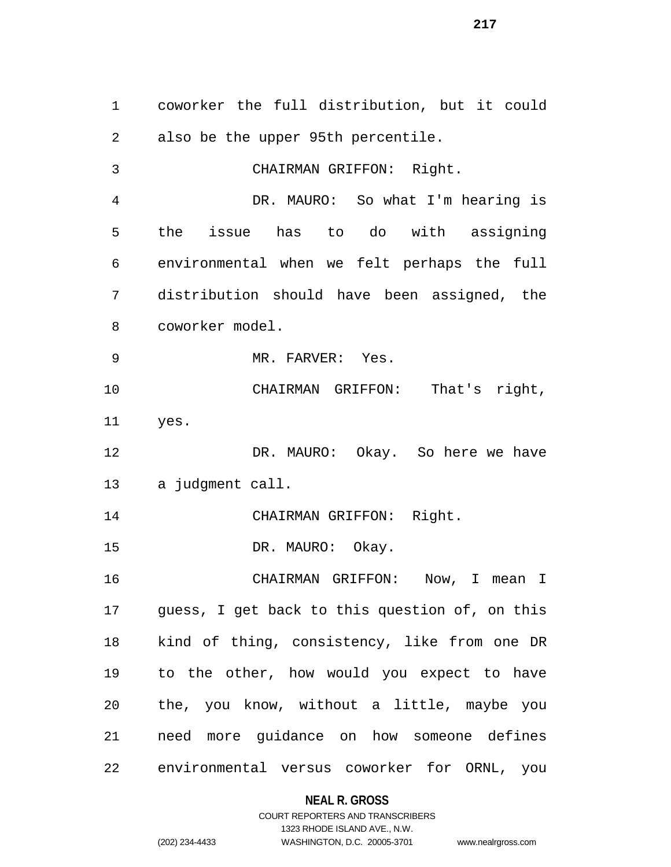coworker the full distribution, but it could also be the upper 95th percentile. CHAIRMAN GRIFFON: Right. DR. MAURO: So what I'm hearing is the issue has to do with assigning environmental when we felt perhaps the full distribution should have been assigned, the coworker model. MR. FARVER: Yes. CHAIRMAN GRIFFON: That's right, yes. DR. MAURO: Okay. So here we have a judgment call. CHAIRMAN GRIFFON: Right. 15 DR. MAURO: Okay. CHAIRMAN GRIFFON: Now, I mean I guess, I get back to this question of, on this kind of thing, consistency, like from one DR to the other, how would you expect to have the, you know, without a little, maybe you need more guidance on how someone defines environmental versus coworker for ORNL, you

### **NEAL R. GROSS**

COURT REPORTERS AND TRANSCRIBERS 1323 RHODE ISLAND AVE., N.W. (202) 234-4433 WASHINGTON, D.C. 20005-3701 www.nealrgross.com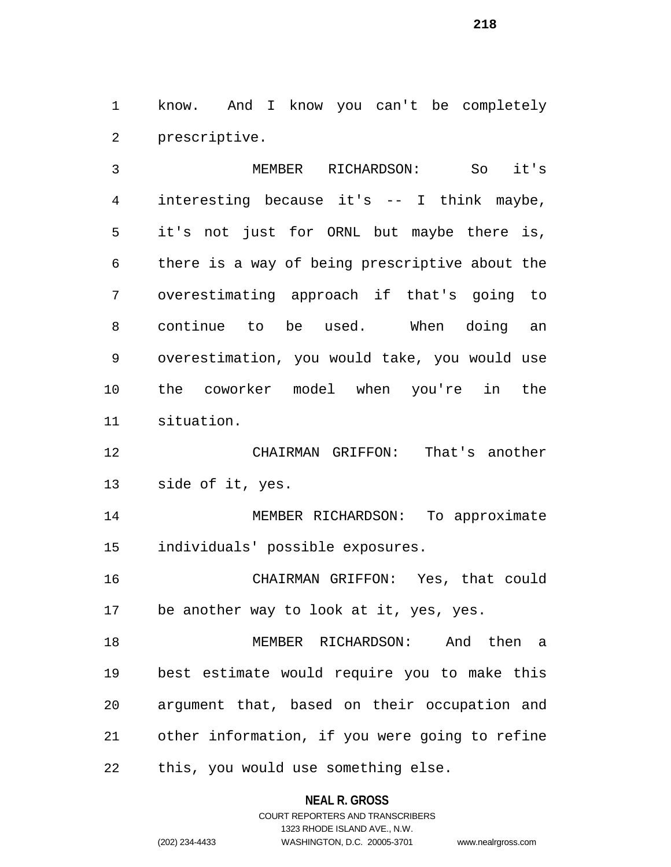know. And I know you can't be completely prescriptive.

 MEMBER RICHARDSON: So it's interesting because it's -- I think maybe, it's not just for ORNL but maybe there is, there is a way of being prescriptive about the overestimating approach if that's going to continue to be used. When doing an overestimation, you would take, you would use the coworker model when you're in the situation.

 CHAIRMAN GRIFFON: That's another side of it, yes.

 MEMBER RICHARDSON: To approximate individuals' possible exposures.

 CHAIRMAN GRIFFON: Yes, that could be another way to look at it, yes, yes.

 MEMBER RICHARDSON: And then a best estimate would require you to make this argument that, based on their occupation and other information, if you were going to refine this, you would use something else.

**NEAL R. GROSS**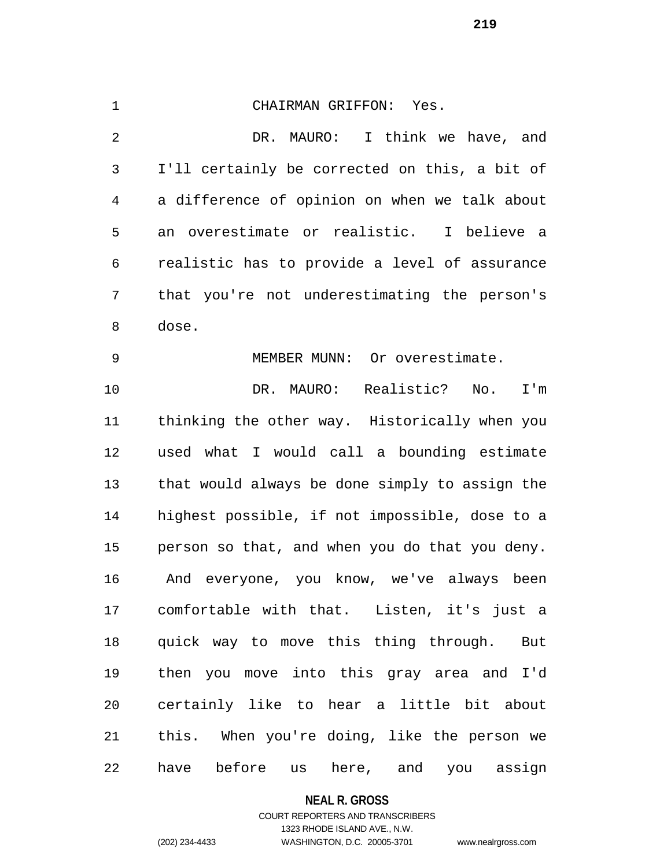CHAIRMAN GRIFFON: Yes. DR. MAURO: I think we have, and I'll certainly be corrected on this, a bit of a difference of opinion on when we talk about an overestimate or realistic. I believe a realistic has to provide a level of assurance that you're not underestimating the person's dose. MEMBER MUNN: Or overestimate. DR. MAURO: Realistic? No. I'm thinking the other way. Historically when you used what I would call a bounding estimate that would always be done simply to assign the highest possible, if not impossible, dose to a person so that, and when you do that you deny. And everyone, you know, we've always been comfortable with that. Listen, it's just a quick way to move this thing through. But then you move into this gray area and I'd certainly like to hear a little bit about this. When you're doing, like the person we

#### **NEAL R. GROSS**

have before us here, and you assign

## COURT REPORTERS AND TRANSCRIBERS 1323 RHODE ISLAND AVE., N.W. (202) 234-4433 WASHINGTON, D.C. 20005-3701 www.nealrgross.com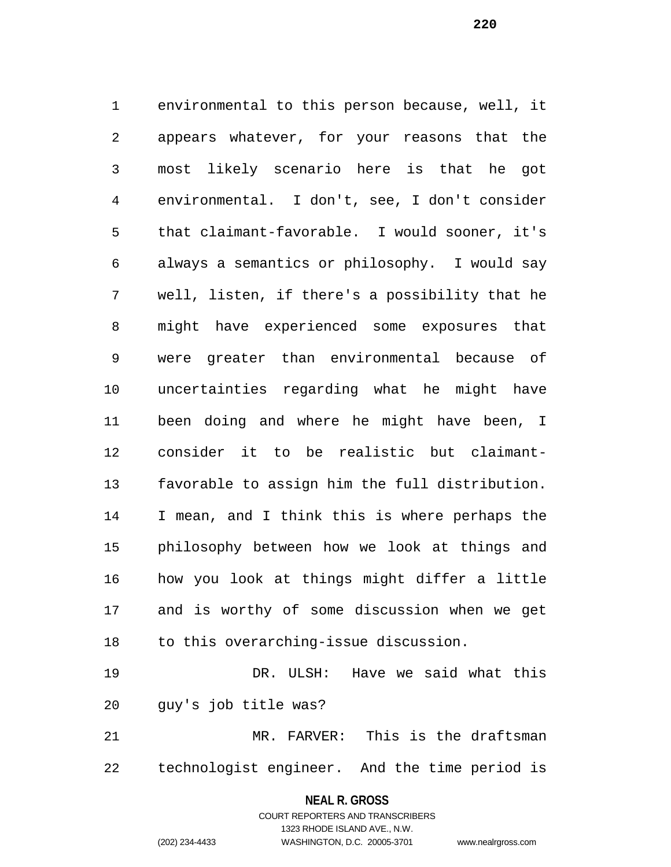environmental to this person because, well, it appears whatever, for your reasons that the most likely scenario here is that he got environmental. I don't, see, I don't consider that claimant-favorable. I would sooner, it's always a semantics or philosophy. I would say well, listen, if there's a possibility that he might have experienced some exposures that were greater than environmental because of uncertainties regarding what he might have been doing and where he might have been, I consider it to be realistic but claimant- favorable to assign him the full distribution. I mean, and I think this is where perhaps the philosophy between how we look at things and how you look at things might differ a little and is worthy of some discussion when we get to this overarching-issue discussion.

 DR. ULSH: Have we said what this guy's job title was?

 MR. FARVER: This is the draftsman technologist engineer. And the time period is

> **NEAL R. GROSS** COURT REPORTERS AND TRANSCRIBERS

> > 1323 RHODE ISLAND AVE., N.W.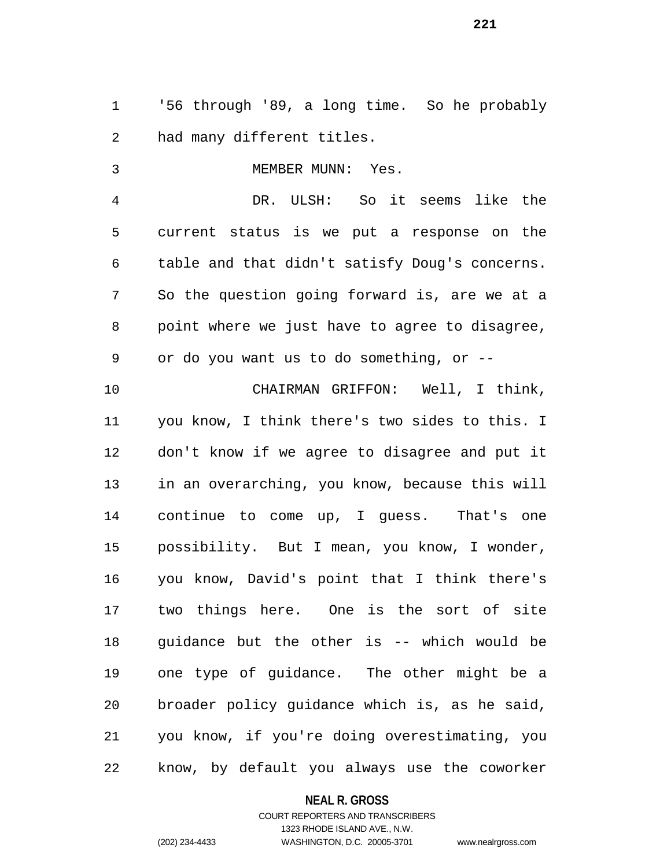'56 through '89, a long time. So he probably had many different titles.

3 MEMBER MUNN: Yes. DR. ULSH: So it seems like the current status is we put a response on the table and that didn't satisfy Doug's concerns. So the question going forward is, are we at a point where we just have to agree to disagree, or do you want us to do something, or -- CHAIRMAN GRIFFON: Well, I think, you know, I think there's two sides to this. I don't know if we agree to disagree and put it in an overarching, you know, because this will continue to come up, I guess. That's one possibility. But I mean, you know, I wonder,

 you know, David's point that I think there's two things here. One is the sort of site guidance but the other is -- which would be one type of guidance. The other might be a broader policy guidance which is, as he said, you know, if you're doing overestimating, you know, by default you always use the coworker

**NEAL R. GROSS**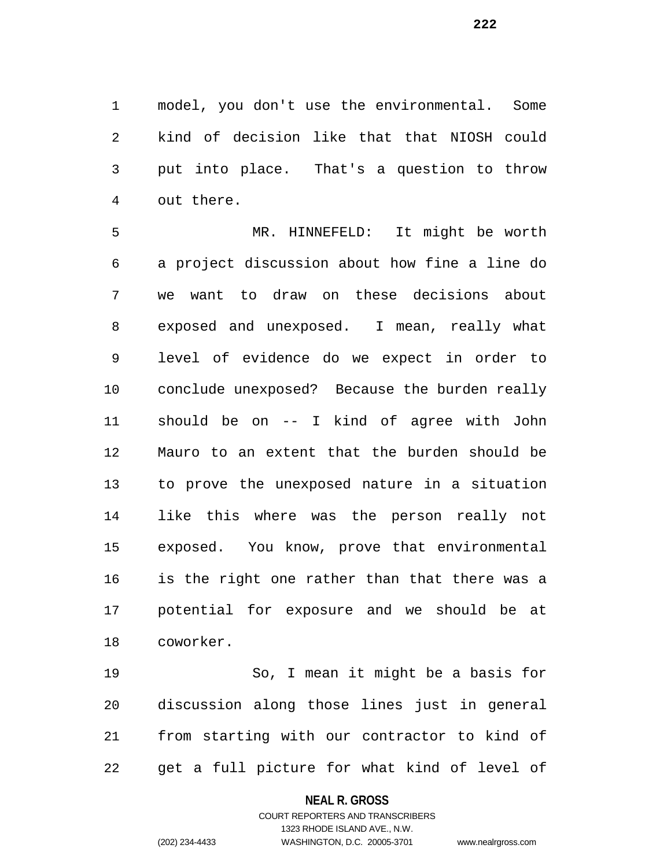model, you don't use the environmental. Some kind of decision like that that NIOSH could put into place. That's a question to throw out there.

 MR. HINNEFELD: It might be worth a project discussion about how fine a line do we want to draw on these decisions about exposed and unexposed. I mean, really what level of evidence do we expect in order to conclude unexposed? Because the burden really should be on -- I kind of agree with John Mauro to an extent that the burden should be to prove the unexposed nature in a situation like this where was the person really not exposed. You know, prove that environmental is the right one rather than that there was a potential for exposure and we should be at coworker.

 So, I mean it might be a basis for discussion along those lines just in general from starting with our contractor to kind of get a full picture for what kind of level of

#### **NEAL R. GROSS**

# COURT REPORTERS AND TRANSCRIBERS 1323 RHODE ISLAND AVE., N.W. (202) 234-4433 WASHINGTON, D.C. 20005-3701 www.nealrgross.com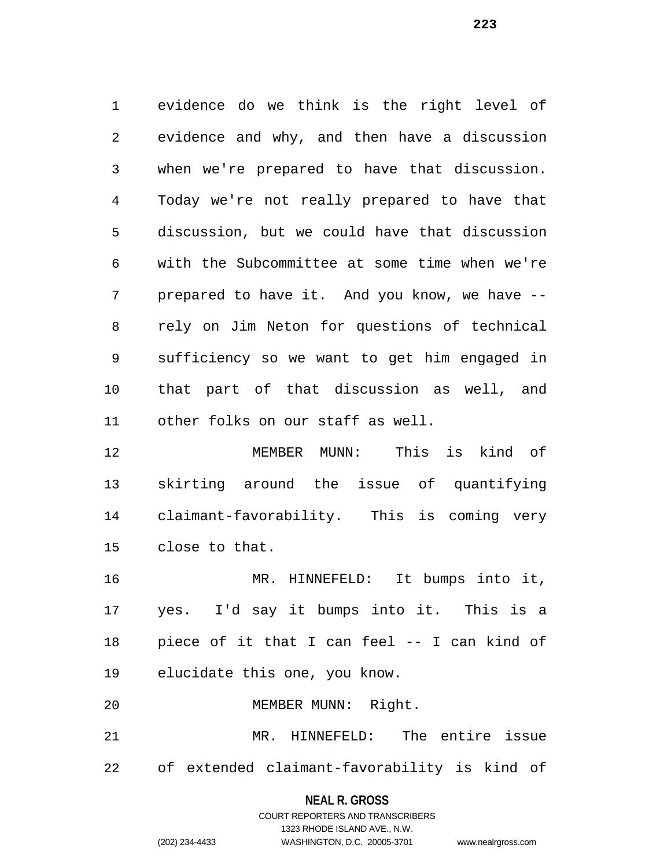evidence do we think is the right level of evidence and why, and then have a discussion when we're prepared to have that discussion. Today we're not really prepared to have that discussion, but we could have that discussion with the Subcommittee at some time when we're prepared to have it. And you know, we have -- rely on Jim Neton for questions of technical sufficiency so we want to get him engaged in that part of that discussion as well, and other folks on our staff as well.

 MEMBER MUNN: This is kind of skirting around the issue of quantifying claimant-favorability. This is coming very close to that.

 MR. HINNEFELD: It bumps into it, yes. I'd say it bumps into it. This is a piece of it that I can feel -- I can kind of elucidate this one, you know.

 MR. HINNEFELD: The entire issue of extended claimant-favorability is kind of

MEMBER MUNN: Right.

# **NEAL R. GROSS** COURT REPORTERS AND TRANSCRIBERS 1323 RHODE ISLAND AVE., N.W. (202) 234-4433 WASHINGTON, D.C. 20005-3701 www.nealrgross.com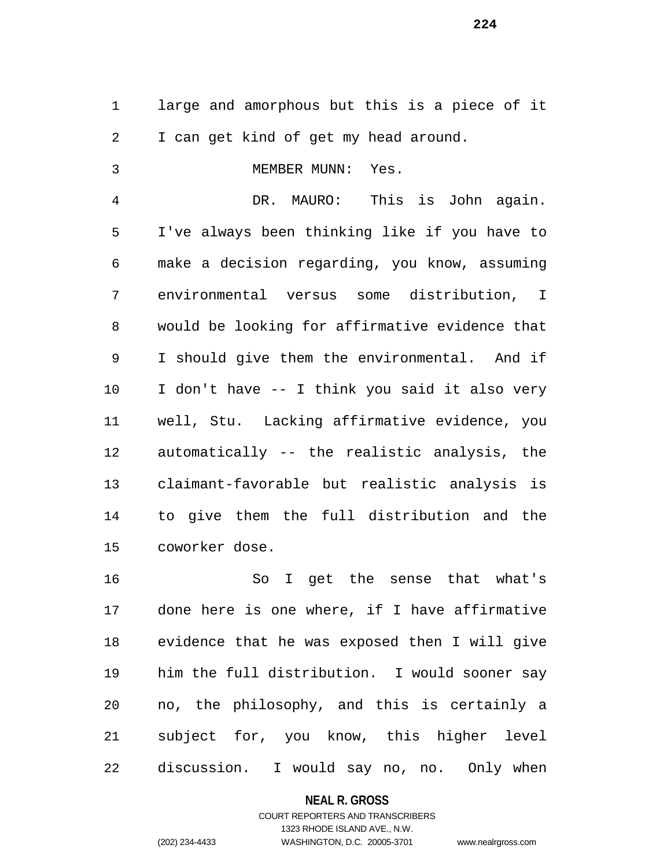large and amorphous but this is a piece of it I can get kind of get my head around.

| 3 | MEMBER MUNN: | Yes. |
|---|--------------|------|
|   |              |      |
|   |              |      |

 DR. MAURO: This is John again. I've always been thinking like if you have to make a decision regarding, you know, assuming environmental versus some distribution, I would be looking for affirmative evidence that I should give them the environmental. And if I don't have -- I think you said it also very well, Stu. Lacking affirmative evidence, you automatically -- the realistic analysis, the claimant-favorable but realistic analysis is to give them the full distribution and the coworker dose.

 So I get the sense that what's done here is one where, if I have affirmative evidence that he was exposed then I will give him the full distribution. I would sooner say no, the philosophy, and this is certainly a subject for, you know, this higher level discussion. I would say no, no. Only when

#### **NEAL R. GROSS**

# COURT REPORTERS AND TRANSCRIBERS 1323 RHODE ISLAND AVE., N.W. (202) 234-4433 WASHINGTON, D.C. 20005-3701 www.nealrgross.com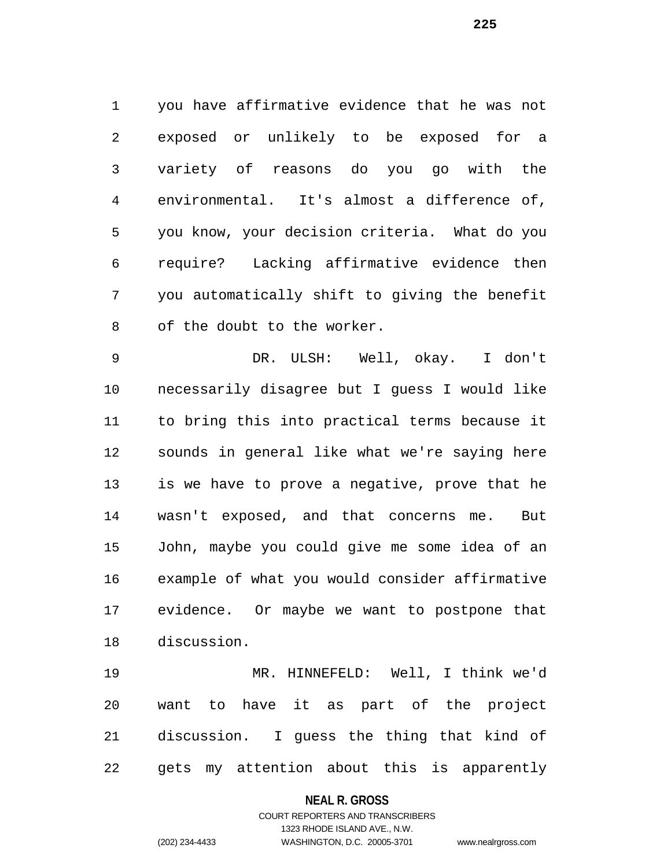you have affirmative evidence that he was not exposed or unlikely to be exposed for a variety of reasons do you go with the environmental. It's almost a difference of, you know, your decision criteria. What do you require? Lacking affirmative evidence then you automatically shift to giving the benefit of the doubt to the worker.

 DR. ULSH: Well, okay. I don't necessarily disagree but I guess I would like to bring this into practical terms because it sounds in general like what we're saying here is we have to prove a negative, prove that he wasn't exposed, and that concerns me. But John, maybe you could give me some idea of an example of what you would consider affirmative evidence. Or maybe we want to postpone that discussion.

 MR. HINNEFELD: Well, I think we'd want to have it as part of the project discussion. I guess the thing that kind of gets my attention about this is apparently

#### **NEAL R. GROSS**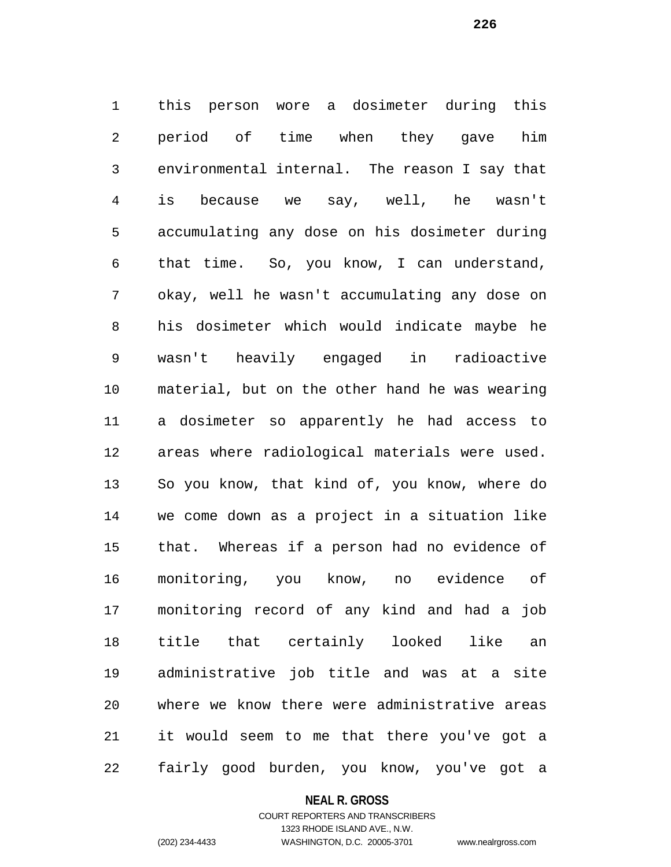this person wore a dosimeter during this period of time when they gave him environmental internal. The reason I say that is because we say, well, he wasn't accumulating any dose on his dosimeter during that time. So, you know, I can understand, okay, well he wasn't accumulating any dose on his dosimeter which would indicate maybe he wasn't heavily engaged in radioactive material, but on the other hand he was wearing a dosimeter so apparently he had access to areas where radiological materials were used. So you know, that kind of, you know, where do we come down as a project in a situation like that. Whereas if a person had no evidence of monitoring, you know, no evidence of monitoring record of any kind and had a job title that certainly looked like an administrative job title and was at a site where we know there were administrative areas it would seem to me that there you've got a fairly good burden, you know, you've got a

#### **NEAL R. GROSS**

## COURT REPORTERS AND TRANSCRIBERS 1323 RHODE ISLAND AVE., N.W. (202) 234-4433 WASHINGTON, D.C. 20005-3701 www.nealrgross.com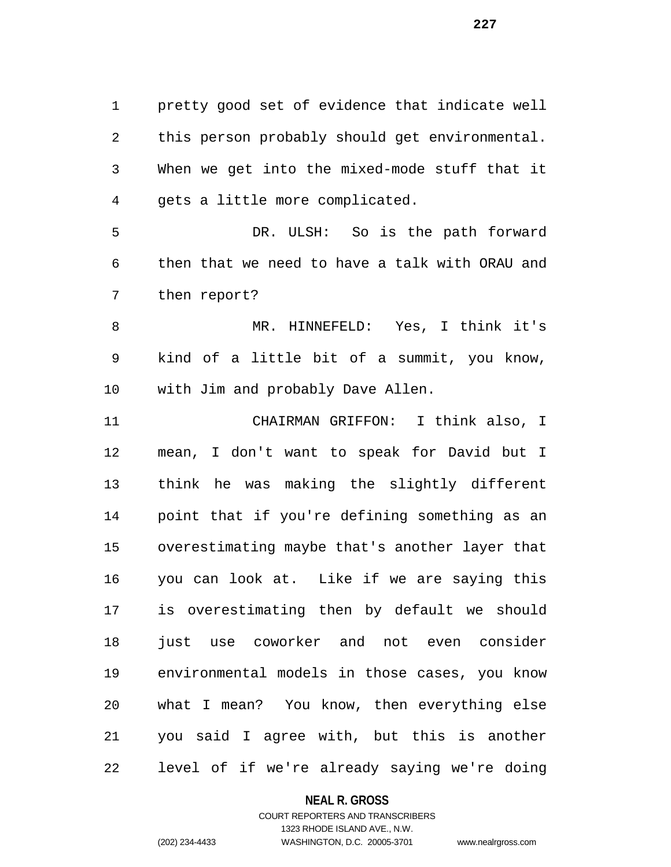pretty good set of evidence that indicate well this person probably should get environmental. When we get into the mixed-mode stuff that it gets a little more complicated.

 DR. ULSH: So is the path forward then that we need to have a talk with ORAU and then report?

 MR. HINNEFELD: Yes, I think it's kind of a little bit of a summit, you know, with Jim and probably Dave Allen.

 CHAIRMAN GRIFFON: I think also, I mean, I don't want to speak for David but I think he was making the slightly different point that if you're defining something as an overestimating maybe that's another layer that you can look at. Like if we are saying this is overestimating then by default we should 18 just use coworker and not even consider environmental models in those cases, you know what I mean? You know, then everything else you said I agree with, but this is another level of if we're already saying we're doing

### **NEAL R. GROSS**

# COURT REPORTERS AND TRANSCRIBERS 1323 RHODE ISLAND AVE., N.W. (202) 234-4433 WASHINGTON, D.C. 20005-3701 www.nealrgross.com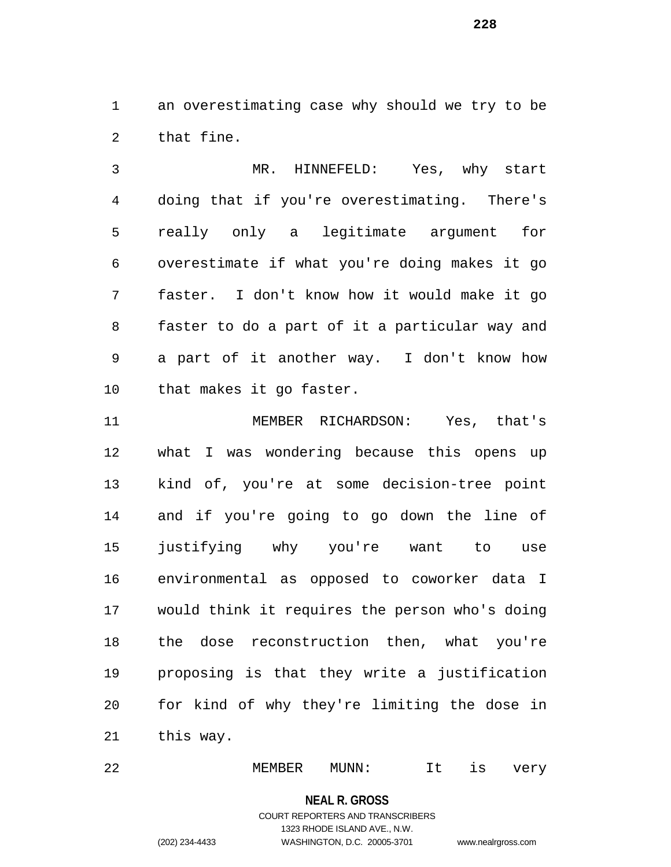an overestimating case why should we try to be that fine.

 MR. HINNEFELD: Yes, why start doing that if you're overestimating. There's really only a legitimate argument for overestimate if what you're doing makes it go faster. I don't know how it would make it go faster to do a part of it a particular way and a part of it another way. I don't know how that makes it go faster.

 MEMBER RICHARDSON: Yes, that's what I was wondering because this opens up kind of, you're at some decision-tree point and if you're going to go down the line of justifying why you're want to use environmental as opposed to coworker data I would think it requires the person who's doing the dose reconstruction then, what you're proposing is that they write a justification for kind of why they're limiting the dose in this way.

MEMBER MUNN: It is very

**NEAL R. GROSS**

# COURT REPORTERS AND TRANSCRIBERS 1323 RHODE ISLAND AVE., N.W. (202) 234-4433 WASHINGTON, D.C. 20005-3701 www.nealrgross.com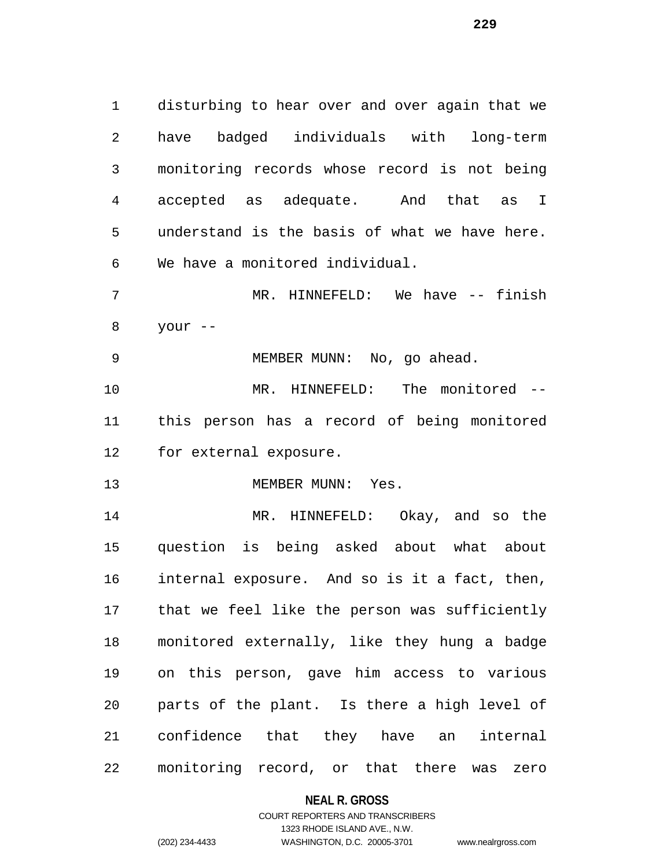disturbing to hear over and over again that we have badged individuals with long-term monitoring records whose record is not being accepted as adequate. And that as I understand is the basis of what we have here. We have a monitored individual. MR. HINNEFELD: We have -- finish your -- MEMBER MUNN: No, go ahead. MR. HINNEFELD: The monitored -- this person has a record of being monitored for external exposure. 13 MEMBER MUNN: Yes. MR. HINNEFELD: Okay, and so the question is being asked about what about internal exposure. And so is it a fact, then, that we feel like the person was sufficiently

 monitored externally, like they hung a badge on this person, gave him access to various parts of the plant. Is there a high level of confidence that they have an internal monitoring record, or that there was zero

#### **NEAL R. GROSS**

# COURT REPORTERS AND TRANSCRIBERS 1323 RHODE ISLAND AVE., N.W. (202) 234-4433 WASHINGTON, D.C. 20005-3701 www.nealrgross.com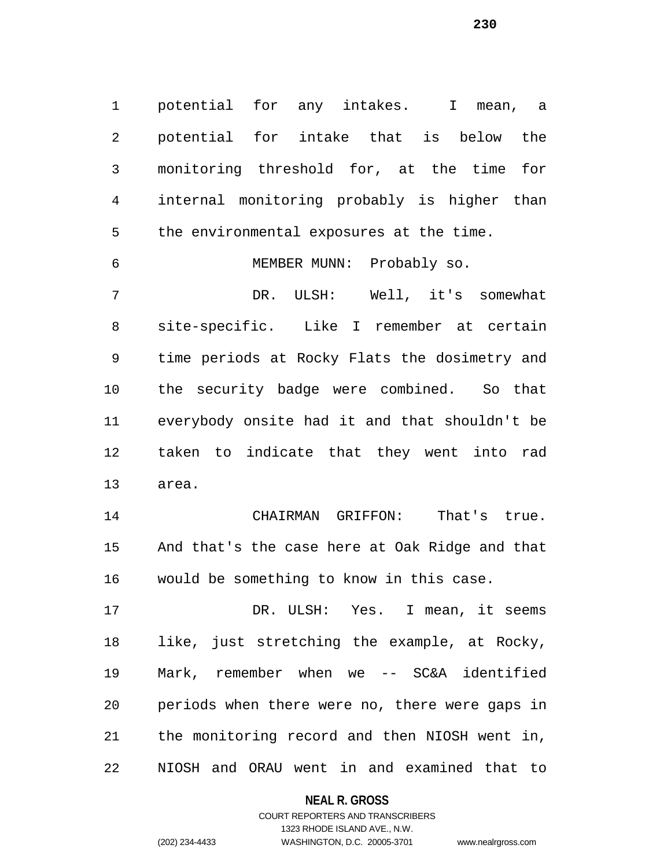potential for any intakes. I mean, a potential for intake that is below the monitoring threshold for, at the time for internal monitoring probably is higher than the environmental exposures at the time. MEMBER MUNN: Probably so. DR. ULSH: Well, it's somewhat site-specific. Like I remember at certain time periods at Rocky Flats the dosimetry and the security badge were combined. So that everybody onsite had it and that shouldn't be taken to indicate that they went into rad area. CHAIRMAN GRIFFON: That's true. And that's the case here at Oak Ridge and that would be something to know in this case.

17 DR. ULSH: Yes. I mean, it seems like, just stretching the example, at Rocky, Mark, remember when we -- SC&A identified periods when there were no, there were gaps in the monitoring record and then NIOSH went in, NIOSH and ORAU went in and examined that to

**NEAL R. GROSS**

COURT REPORTERS AND TRANSCRIBERS 1323 RHODE ISLAND AVE., N.W. (202) 234-4433 WASHINGTON, D.C. 20005-3701 www.nealrgross.com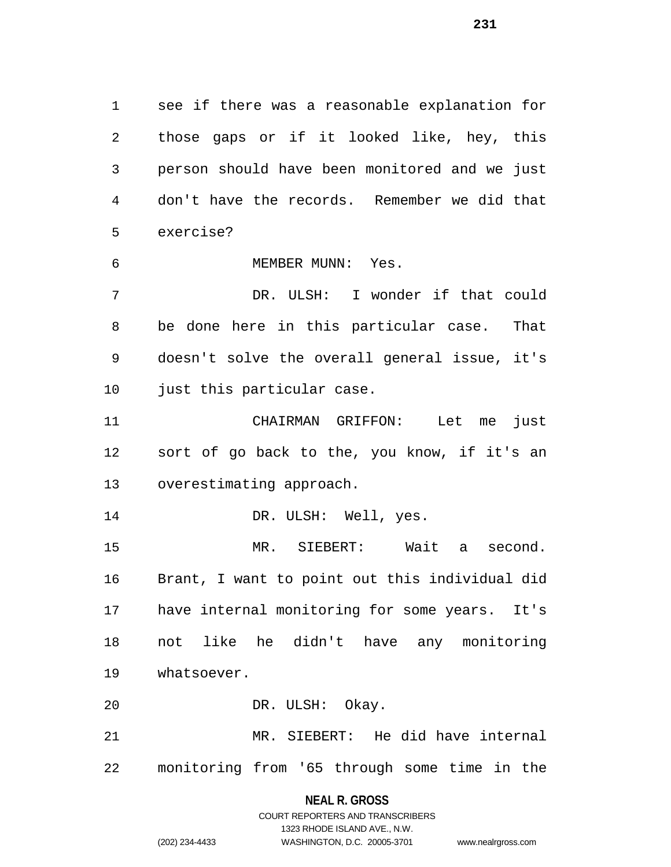see if there was a reasonable explanation for those gaps or if it looked like, hey, this person should have been monitored and we just don't have the records. Remember we did that exercise?

MEMBER MUNN: Yes.

 DR. ULSH: I wonder if that could be done here in this particular case. That doesn't solve the overall general issue, it's just this particular case.

 CHAIRMAN GRIFFON: Let me just sort of go back to the, you know, if it's an overestimating approach.

14 DR. ULSH: Well, yes.

 MR. SIEBERT: Wait a second. Brant, I want to point out this individual did have internal monitoring for some years. It's not like he didn't have any monitoring whatsoever.

DR. ULSH: Okay.

 MR. SIEBERT: He did have internal monitoring from '65 through some time in the

**NEAL R. GROSS**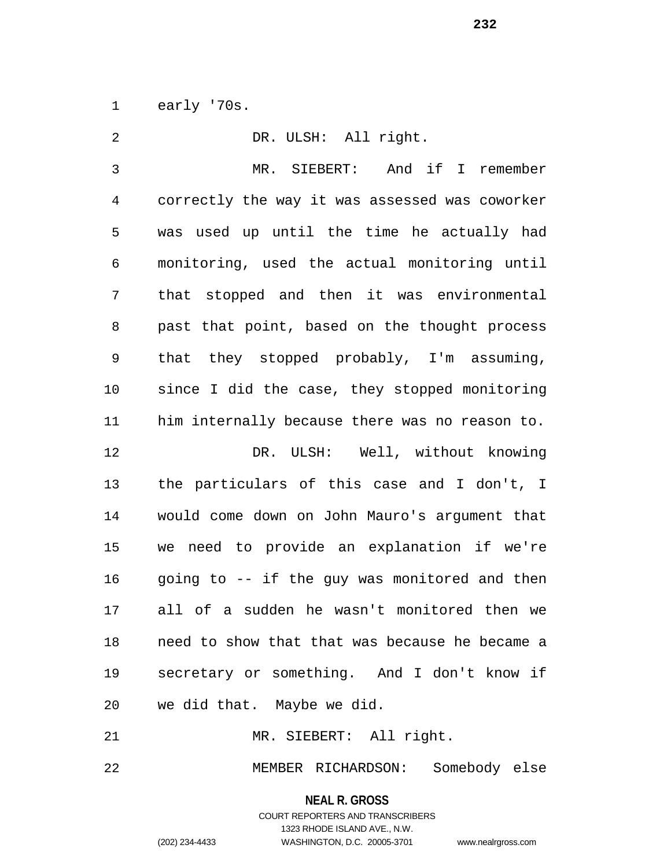early '70s.

| 2            | DR. ULSH: All right.                           |
|--------------|------------------------------------------------|
| $\mathbf{3}$ | MR. SIEBERT: And if I remember                 |
| 4            | correctly the way it was assessed was coworker |
| 5            | was used up until the time he actually had     |
| 6            | monitoring, used the actual monitoring until   |
| 7            | that stopped and then it was environmental     |
| 8            | past that point, based on the thought process  |
| 9            | that they stopped probably, I'm assuming,      |
| 10           | since I did the case, they stopped monitoring  |
| 11           | him internally because there was no reason to. |
| 12           | DR. ULSH: Well, without knowing                |
| 13           | the particulars of this case and I don't, I    |
| 14           | would come down on John Mauro's argument that  |
| 15           | we need to provide an explanation if we're     |
| 16           | going to -- if the guy was monitored and then  |
| 17           | all of a sudden he wasn't monitored then we    |
| 18           | need to show that that was because he became a |
| 19           | secretary or something. And I don't know if    |
| 20           | we did that. Maybe we did.                     |
| 21           | MR. SIEBERT: All right.                        |

MEMBER RICHARDSON: Somebody else

**NEAL R. GROSS** COURT REPORTERS AND TRANSCRIBERS 1323 RHODE ISLAND AVE., N.W. (202) 234-4433 WASHINGTON, D.C. 20005-3701 www.nealrgross.com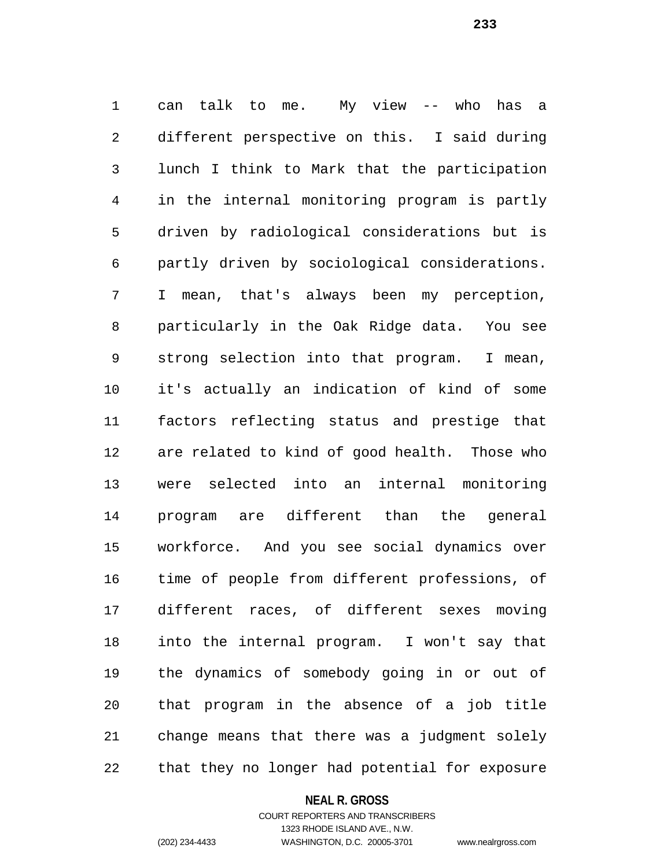can talk to me. My view -- who has a different perspective on this. I said during lunch I think to Mark that the participation in the internal monitoring program is partly driven by radiological considerations but is partly driven by sociological considerations. I mean, that's always been my perception, particularly in the Oak Ridge data. You see strong selection into that program. I mean, it's actually an indication of kind of some factors reflecting status and prestige that are related to kind of good health. Those who were selected into an internal monitoring program are different than the general workforce. And you see social dynamics over time of people from different professions, of different races, of different sexes moving into the internal program. I won't say that the dynamics of somebody going in or out of that program in the absence of a job title change means that there was a judgment solely that they no longer had potential for exposure

#### **NEAL R. GROSS**

# COURT REPORTERS AND TRANSCRIBERS 1323 RHODE ISLAND AVE., N.W. (202) 234-4433 WASHINGTON, D.C. 20005-3701 www.nealrgross.com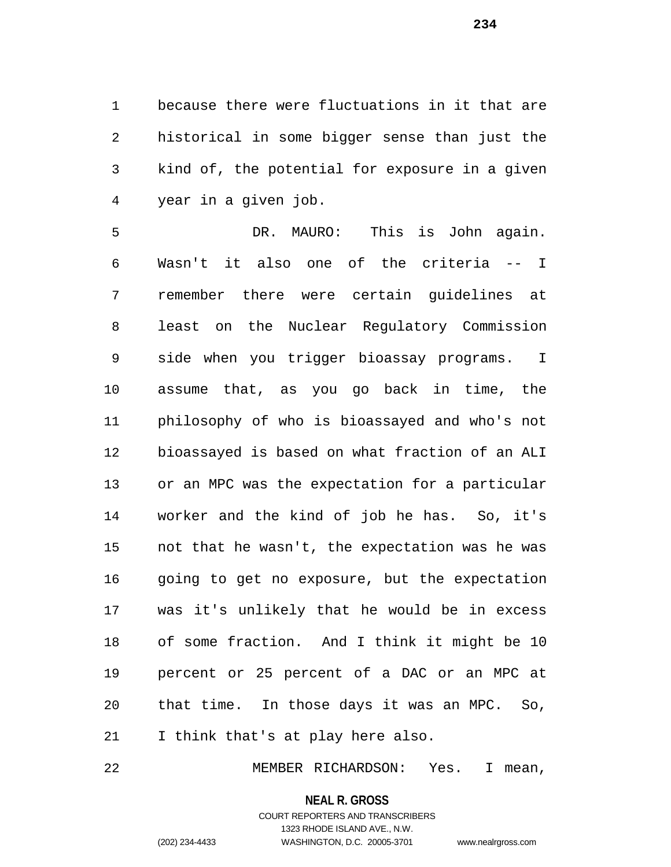because there were fluctuations in it that are historical in some bigger sense than just the kind of, the potential for exposure in a given year in a given job.

 DR. MAURO: This is John again. Wasn't it also one of the criteria -- I remember there were certain guidelines at least on the Nuclear Regulatory Commission side when you trigger bioassay programs. I assume that, as you go back in time, the philosophy of who is bioassayed and who's not bioassayed is based on what fraction of an ALI or an MPC was the expectation for a particular worker and the kind of job he has. So, it's not that he wasn't, the expectation was he was going to get no exposure, but the expectation was it's unlikely that he would be in excess of some fraction. And I think it might be 10 percent or 25 percent of a DAC or an MPC at that time. In those days it was an MPC. So, I think that's at play here also.

MEMBER RICHARDSON: Yes. I mean,

**NEAL R. GROSS**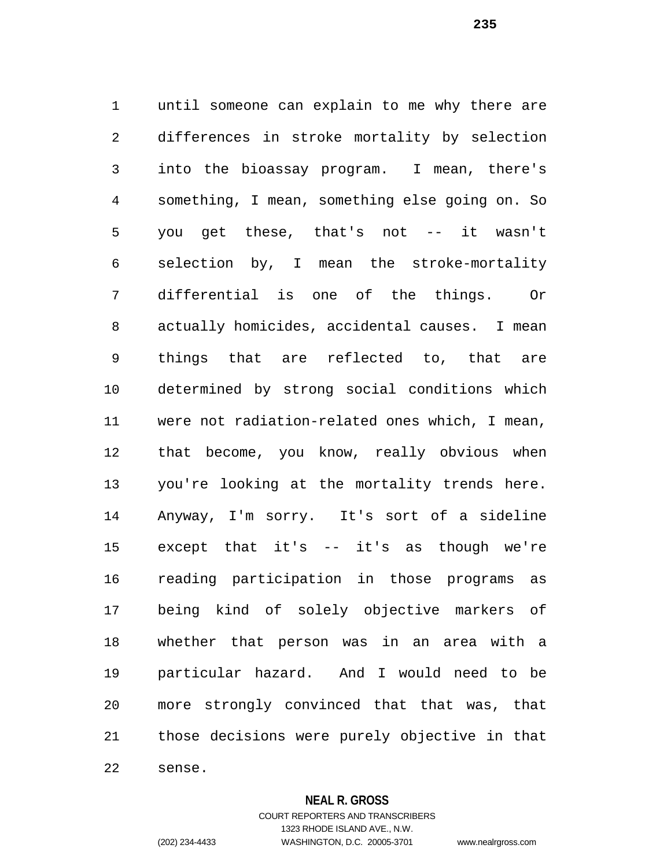until someone can explain to me why there are differences in stroke mortality by selection into the bioassay program. I mean, there's something, I mean, something else going on. So you get these, that's not -- it wasn't selection by, I mean the stroke-mortality differential is one of the things. Or actually homicides, accidental causes. I mean things that are reflected to, that are determined by strong social conditions which were not radiation-related ones which, I mean, that become, you know, really obvious when you're looking at the mortality trends here. Anyway, I'm sorry. It's sort of a sideline except that it's -- it's as though we're reading participation in those programs as being kind of solely objective markers of whether that person was in an area with a particular hazard. And I would need to be more strongly convinced that that was, that those decisions were purely objective in that sense.

**NEAL R. GROSS**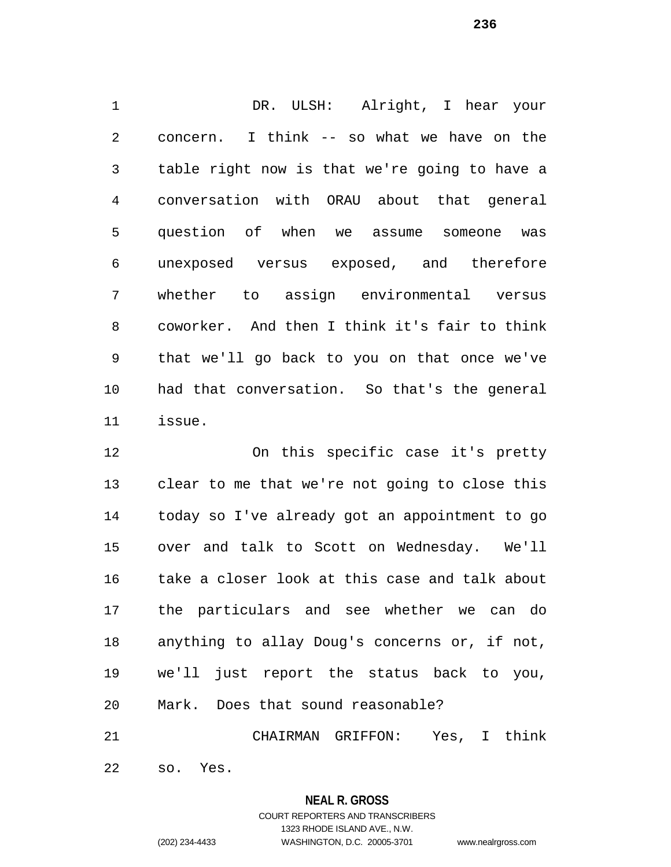1 DR. ULSH: Alright, I hear your concern. I think -- so what we have on the table right now is that we're going to have a conversation with ORAU about that general question of when we assume someone was unexposed versus exposed, and therefore whether to assign environmental versus coworker. And then I think it's fair to think that we'll go back to you on that once we've had that conversation. So that's the general issue.

 On this specific case it's pretty clear to me that we're not going to close this today so I've already got an appointment to go over and talk to Scott on Wednesday. We'll take a closer look at this case and talk about the particulars and see whether we can do anything to allay Doug's concerns or, if not, we'll just report the status back to you, Mark. Does that sound reasonable?

CHAIRMAN GRIFFON: Yes, I think

so. Yes.

# **NEAL R. GROSS**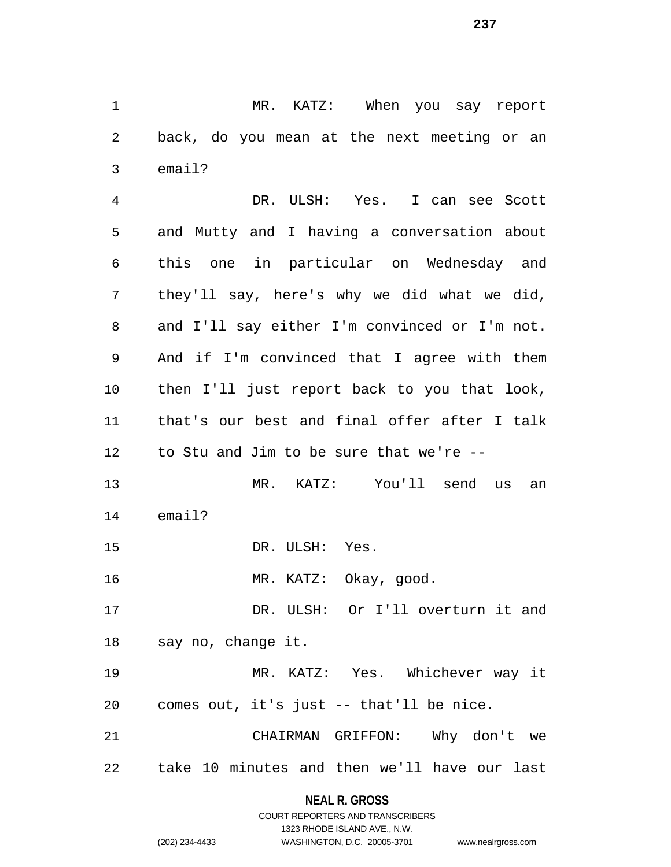MR. KATZ: When you say report back, do you mean at the next meeting or an email?

 DR. ULSH: Yes. I can see Scott and Mutty and I having a conversation about this one in particular on Wednesday and they'll say, here's why we did what we did, and I'll say either I'm convinced or I'm not. And if I'm convinced that I agree with them then I'll just report back to you that look, that's our best and final offer after I talk to Stu and Jim to be sure that we're -- MR. KATZ: You'll send us an email?

DR. ULSH: Yes.

MR. KATZ: Okay, good.

 DR. ULSH: Or I'll overturn it and say no, change it.

 MR. KATZ: Yes. Whichever way it comes out, it's just -- that'll be nice.

 CHAIRMAN GRIFFON: Why don't we take 10 minutes and then we'll have our last

# **NEAL R. GROSS**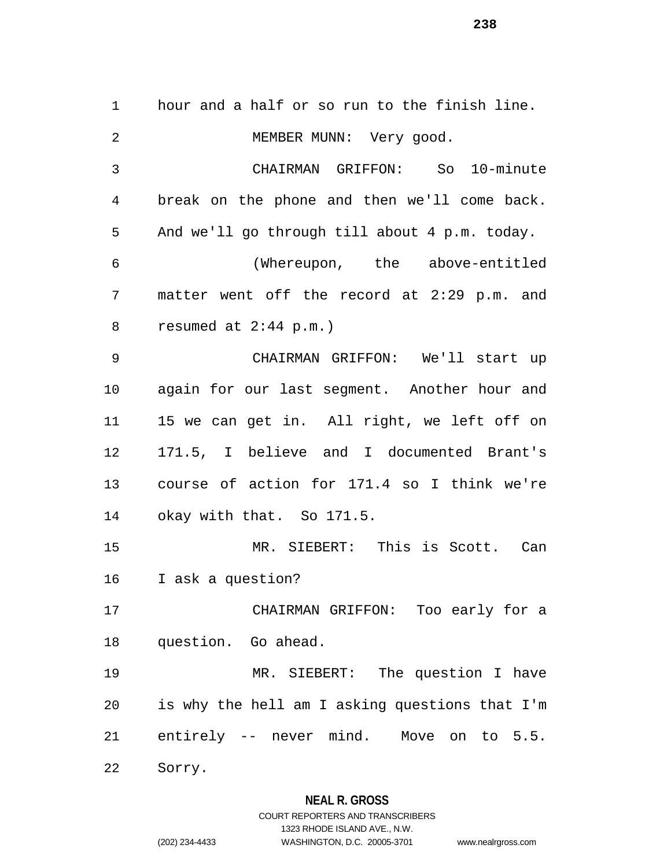hour and a half or so run to the finish line. 2 MEMBER MUNN: Very good. CHAIRMAN GRIFFON: So 10-minute break on the phone and then we'll come back. And we'll go through till about 4 p.m. today. (Whereupon, the above-entitled matter went off the record at 2:29 p.m. and resumed at 2:44 p.m.) CHAIRMAN GRIFFON: We'll start up again for our last segment. Another hour and 15 we can get in. All right, we left off on 171.5, I believe and I documented Brant's course of action for 171.4 so I think we're okay with that. So 171.5. MR. SIEBERT: This is Scott. Can I ask a question? CHAIRMAN GRIFFON: Too early for a question. Go ahead. MR. SIEBERT: The question I have is why the hell am I asking questions that I'm entirely -- never mind. Move on to 5.5. Sorry.

# **NEAL R. GROSS**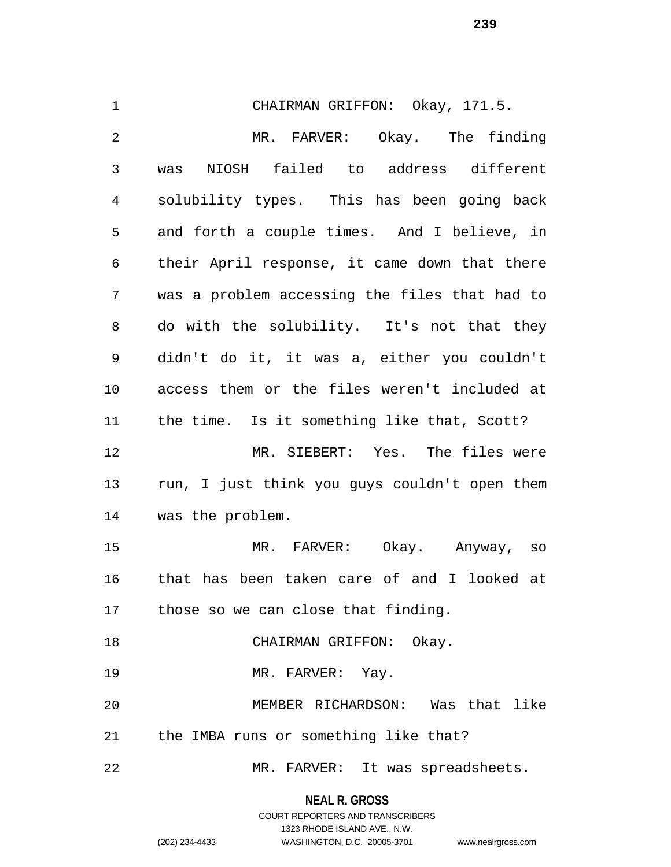CHAIRMAN GRIFFON: Okay, 171.5. MR. FARVER: Okay. The finding was NIOSH failed to address different solubility types. This has been going back and forth a couple times. And I believe, in their April response, it came down that there was a problem accessing the files that had to do with the solubility. It's not that they didn't do it, it was a, either you couldn't access them or the files weren't included at the time. Is it something like that, Scott? MR. SIEBERT: Yes. The files were run, I just think you guys couldn't open them was the problem. MR. FARVER: Okay. Anyway, so that has been taken care of and I looked at those so we can close that finding. 18 CHAIRMAN GRIFFON: Okay. 19 MR. FARVER: Yay. MEMBER RICHARDSON: Was that like the IMBA runs or something like that? MR. FARVER: It was spreadsheets.

**NEAL R. GROSS**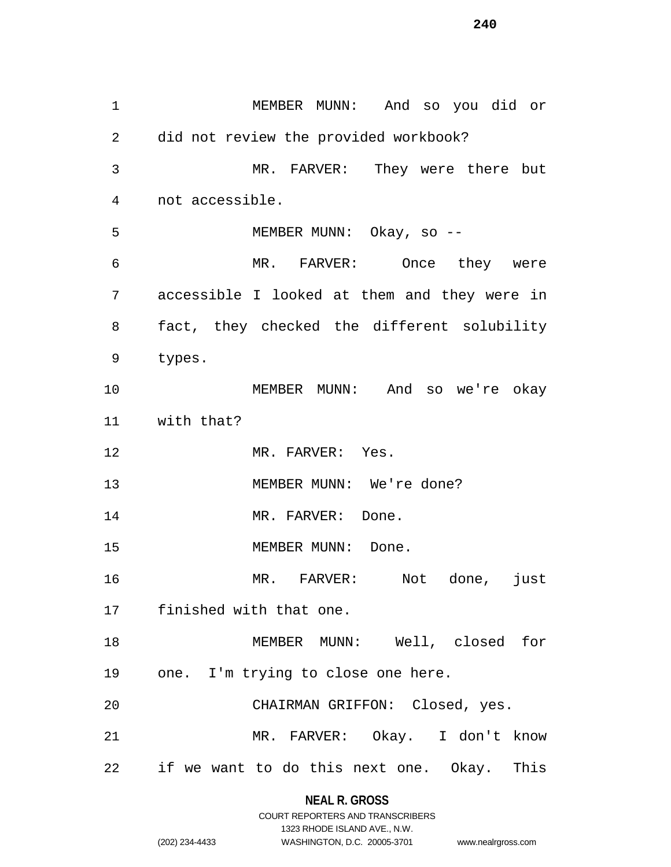MEMBER MUNN: And so you did or did not review the provided workbook? MR. FARVER: They were there but not accessible. MEMBER MUNN: Okay, so -- MR. FARVER: Once they were accessible I looked at them and they were in fact, they checked the different solubility types. MEMBER MUNN: And so we're okay with that? 12 MR. FARVER: Yes. 13 MEMBER MUNN: We're done? 14 MR. FARVER: Done. 15 MEMBER MUNN: Done. MR. FARVER: Not done, just finished with that one. MEMBER MUNN: Well, closed for one. I'm trying to close one here. CHAIRMAN GRIFFON: Closed, yes. MR. FARVER: Okay. I don't know if we want to do this next one. Okay. This

### **NEAL R. GROSS**

|                | COURT REPORTERS AND TRANSCRIBERS |                    |
|----------------|----------------------------------|--------------------|
|                | 1323 RHODE ISLAND AVE N.W.       |                    |
| (202) 234-4433 | WASHINGTON, D.C. 20005-3701      | www.nealrgross.com |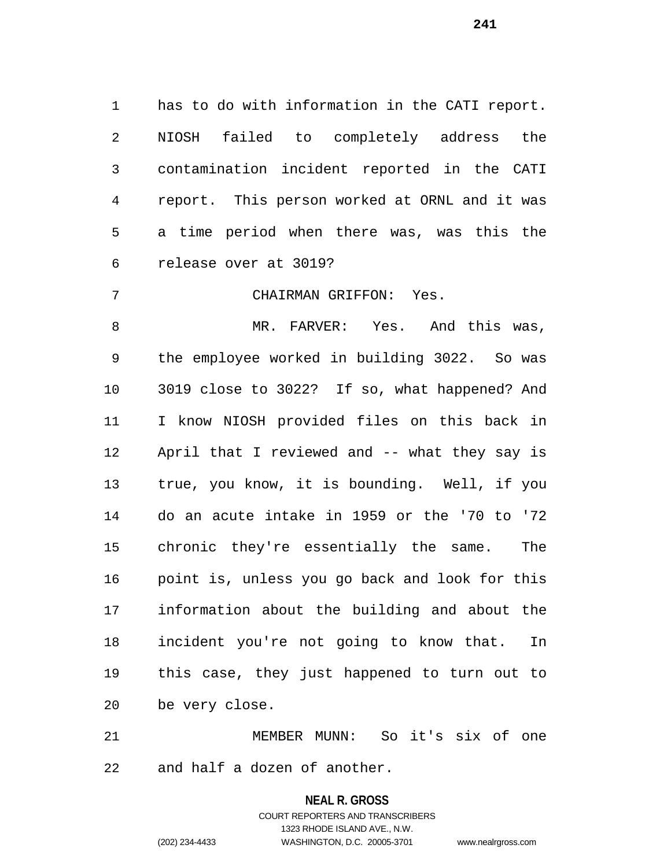has to do with information in the CATI report. NIOSH failed to completely address the contamination incident reported in the CATI report. This person worked at ORNL and it was a time period when there was, was this the release over at 3019?

CHAIRMAN GRIFFON: Yes.

8 MR. FARVER: Yes. And this was, the employee worked in building 3022. So was 3019 close to 3022? If so, what happened? And I know NIOSH provided files on this back in April that I reviewed and -- what they say is true, you know, it is bounding. Well, if you do an acute intake in 1959 or the '70 to '72 chronic they're essentially the same. The point is, unless you go back and look for this information about the building and about the incident you're not going to know that. In this case, they just happened to turn out to be very close.

 MEMBER MUNN: So it's six of one and half a dozen of another.

# **NEAL R. GROSS** COURT REPORTERS AND TRANSCRIBERS 1323 RHODE ISLAND AVE., N.W. (202) 234-4433 WASHINGTON, D.C. 20005-3701 www.nealrgross.com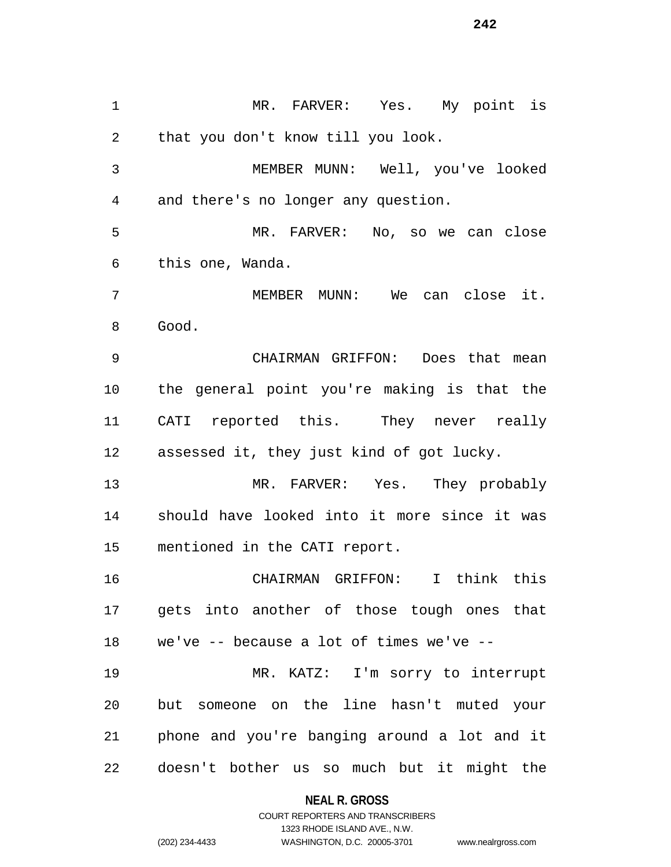MR. FARVER: Yes. My point is that you don't know till you look. MEMBER MUNN: Well, you've looked and there's no longer any question. MR. FARVER: No, so we can close this one, Wanda. MEMBER MUNN: We can close it. Good. CHAIRMAN GRIFFON: Does that mean the general point you're making is that the CATI reported this. They never really assessed it, they just kind of got lucky. MR. FARVER: Yes. They probably should have looked into it more since it was mentioned in the CATI report. CHAIRMAN GRIFFON: I think this gets into another of those tough ones that we've -- because a lot of times we've -- MR. KATZ: I'm sorry to interrupt but someone on the line hasn't muted your phone and you're banging around a lot and it doesn't bother us so much but it might the

### **NEAL R. GROSS**

COURT REPORTERS AND TRANSCRIBERS 1323 RHODE ISLAND AVE., N.W. (202) 234-4433 WASHINGTON, D.C. 20005-3701 www.nealrgross.com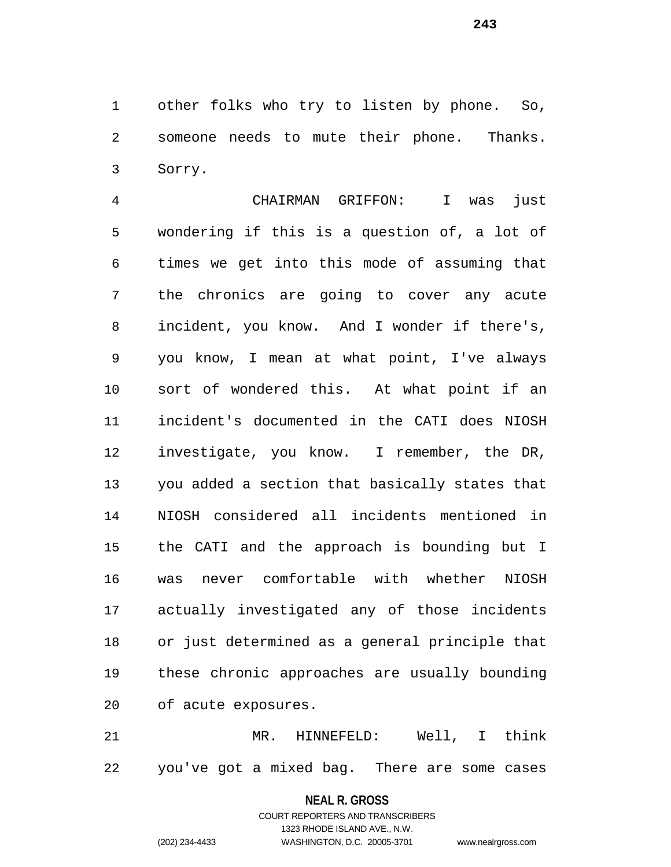other folks who try to listen by phone. So, someone needs to mute their phone. Thanks. Sorry.

 CHAIRMAN GRIFFON: I was just wondering if this is a question of, a lot of times we get into this mode of assuming that the chronics are going to cover any acute incident, you know. And I wonder if there's, you know, I mean at what point, I've always sort of wondered this. At what point if an incident's documented in the CATI does NIOSH investigate, you know. I remember, the DR, you added a section that basically states that NIOSH considered all incidents mentioned in the CATI and the approach is bounding but I was never comfortable with whether NIOSH actually investigated any of those incidents or just determined as a general principle that these chronic approaches are usually bounding of acute exposures.

 MR. HINNEFELD: Well, I think you've got a mixed bag. There are some cases

**NEAL R. GROSS**

COURT REPORTERS AND TRANSCRIBERS 1323 RHODE ISLAND AVE., N.W. (202) 234-4433 WASHINGTON, D.C. 20005-3701 www.nealrgross.com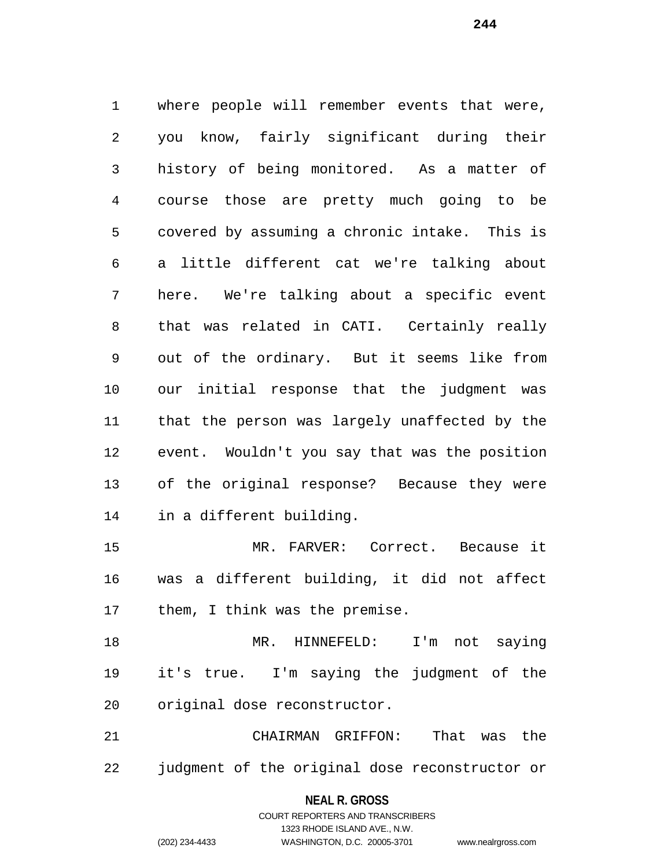where people will remember events that were, you know, fairly significant during their history of being monitored. As a matter of course those are pretty much going to be covered by assuming a chronic intake. This is a little different cat we're talking about here. We're talking about a specific event that was related in CATI. Certainly really out of the ordinary. But it seems like from our initial response that the judgment was that the person was largely unaffected by the event. Wouldn't you say that was the position of the original response? Because they were in a different building.

 MR. FARVER: Correct. Because it was a different building, it did not affect them, I think was the premise.

 MR. HINNEFELD: I'm not saying it's true. I'm saying the judgment of the original dose reconstructor.

 CHAIRMAN GRIFFON: That was the judgment of the original dose reconstructor or

#### **NEAL R. GROSS**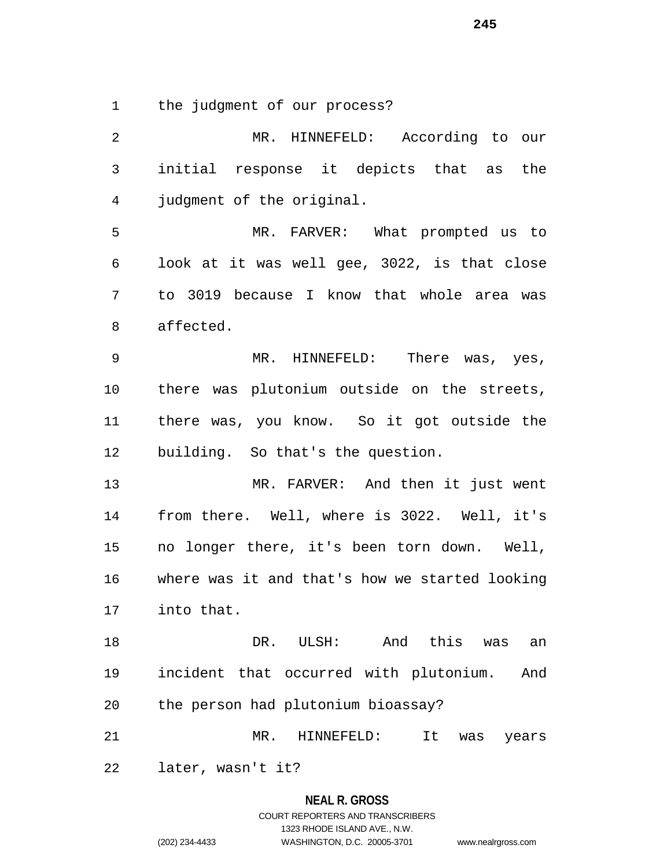the judgment of our process?

 MR. HINNEFELD: According to our initial response it depicts that as the judgment of the original. MR. FARVER: What prompted us to look at it was well gee, 3022, is that close to 3019 because I know that whole area was affected. MR. HINNEFELD: There was, yes, there was plutonium outside on the streets, there was, you know. So it got outside the building. So that's the question. MR. FARVER: And then it just went from there. Well, where is 3022. Well, it's no longer there, it's been torn down. Well, where was it and that's how we started looking into that. DR. ULSH: And this was an incident that occurred with plutonium. And the person had plutonium bioassay? MR. HINNEFELD: It was years later, wasn't it?

# **NEAL R. GROSS** COURT REPORTERS AND TRANSCRIBERS 1323 RHODE ISLAND AVE., N.W. (202) 234-4433 WASHINGTON, D.C. 20005-3701 www.nealrgross.com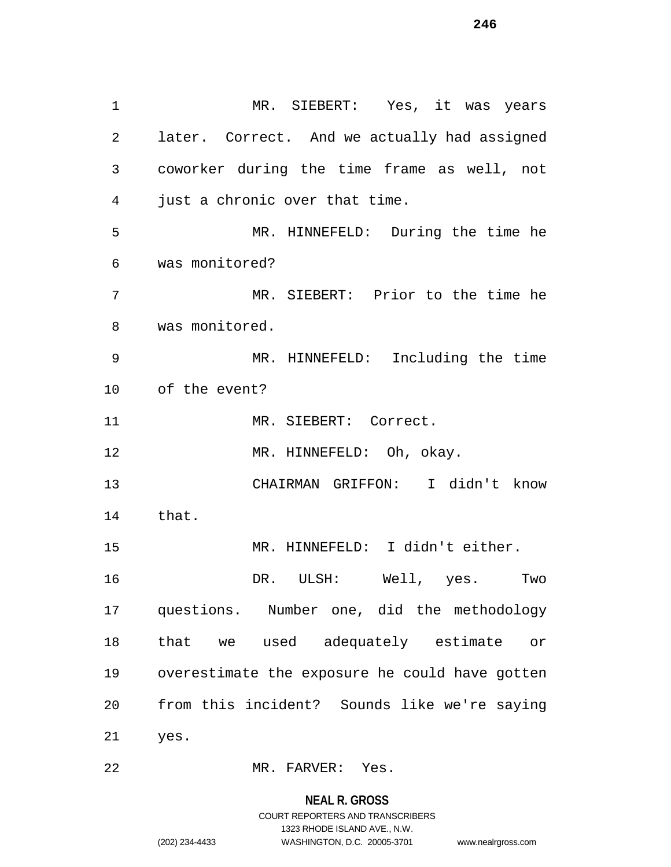MR. SIEBERT: Yes, it was years later. Correct. And we actually had assigned coworker during the time frame as well, not just a chronic over that time. MR. HINNEFELD: During the time he was monitored? MR. SIEBERT: Prior to the time he was monitored. MR. HINNEFELD: Including the time of the event? 11 MR. SIEBERT: Correct. 12 MR. HINNEFELD: Oh, okay. CHAIRMAN GRIFFON: I didn't know that. MR. HINNEFELD: I didn't either. DR. ULSH: Well, yes. Two questions. Number one, did the methodology that we used adequately estimate or overestimate the exposure he could have gotten from this incident? Sounds like we're saying yes.

MR. FARVER: Yes.

#### **NEAL R. GROSS**

COURT REPORTERS AND TRANSCRIBERS 1323 RHODE ISLAND AVE., N.W. (202) 234-4433 WASHINGTON, D.C. 20005-3701 www.nealrgross.com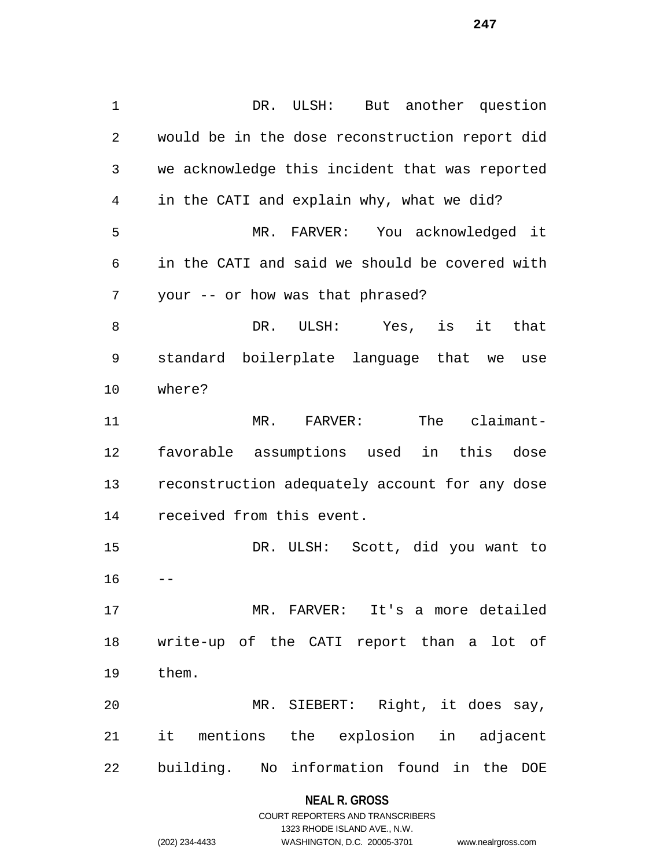DR. ULSH: But another question would be in the dose reconstruction report did we acknowledge this incident that was reported in the CATI and explain why, what we did? MR. FARVER: You acknowledged it in the CATI and said we should be covered with your -- or how was that phrased? DR. ULSH: Yes, is it that standard boilerplate language that we use where? MR. FARVER: The claimant- favorable assumptions used in this dose reconstruction adequately account for any dose received from this event. DR. ULSH: Scott, did you want to MR. FARVER: It's a more detailed write-up of the CATI report than a lot of them. MR. SIEBERT: Right, it does say, it mentions the explosion in adjacent building. No information found in the DOE

### **NEAL R. GROSS**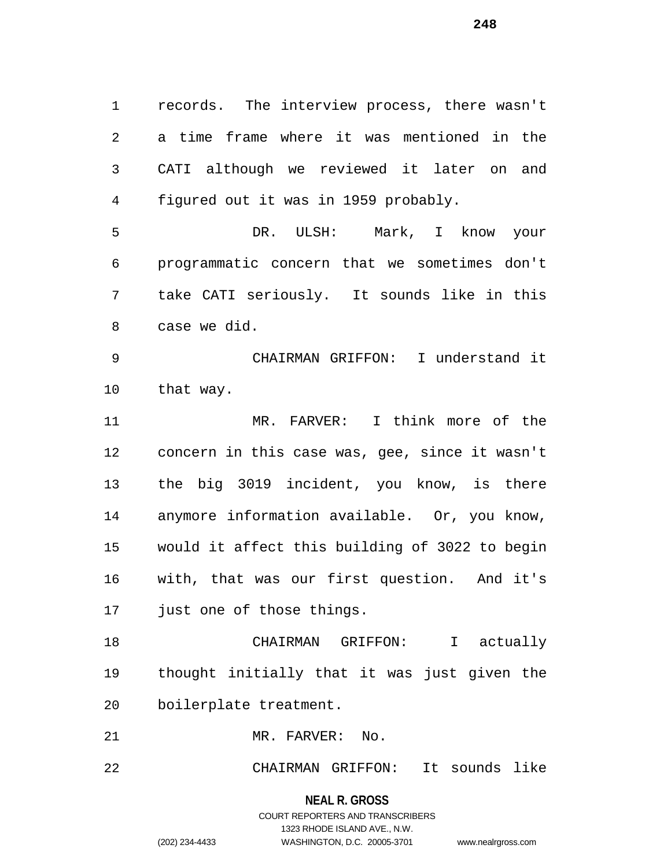records. The interview process, there wasn't a time frame where it was mentioned in the CATI although we reviewed it later on and figured out it was in 1959 probably.

 DR. ULSH: Mark, I know your programmatic concern that we sometimes don't take CATI seriously. It sounds like in this case we did.

 CHAIRMAN GRIFFON: I understand it that way.

 MR. FARVER: I think more of the concern in this case was, gee, since it wasn't the big 3019 incident, you know, is there anymore information available. Or, you know, would it affect this building of 3022 to begin with, that was our first question. And it's just one of those things.

 CHAIRMAN GRIFFON: I actually thought initially that it was just given the boilerplate treatment.

MR. FARVER: No.

CHAIRMAN GRIFFON: It sounds like

**NEAL R. GROSS**

COURT REPORTERS AND TRANSCRIBERS 1323 RHODE ISLAND AVE., N.W. (202) 234-4433 WASHINGTON, D.C. 20005-3701 www.nealrgross.com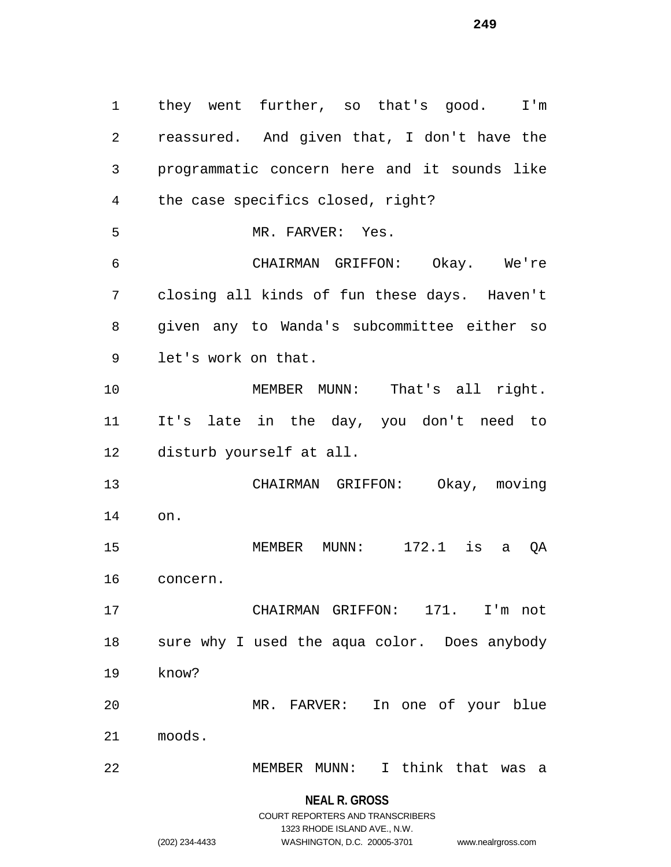they went further, so that's good. I'm reassured. And given that, I don't have the programmatic concern here and it sounds like the case specifics closed, right? MR. FARVER: Yes. CHAIRMAN GRIFFON: Okay. We're closing all kinds of fun these days. Haven't given any to Wanda's subcommittee either so let's work on that. MEMBER MUNN: That's all right. It's late in the day, you don't need to disturb yourself at all. CHAIRMAN GRIFFON: Okay, moving on. MEMBER MUNN: 172.1 is a QA concern. CHAIRMAN GRIFFON: 171. I'm not sure why I used the aqua color. Does anybody know? MR. FARVER: In one of your blue moods. MEMBER MUNN: I think that was a

1323 RHODE ISLAND AVE., N.W.

(202) 234-4433 WASHINGTON, D.C. 20005-3701 www.nealrgross.com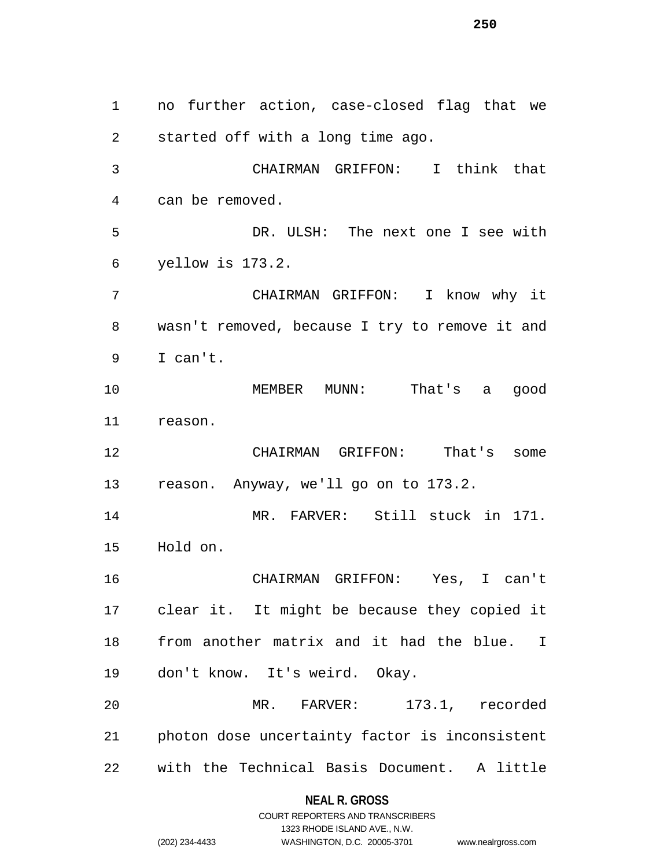no further action, case-closed flag that we started off with a long time ago. CHAIRMAN GRIFFON: I think that can be removed. DR. ULSH: The next one I see with yellow is 173.2. CHAIRMAN GRIFFON: I know why it wasn't removed, because I try to remove it and I can't. MEMBER MUNN: That's a good reason. CHAIRMAN GRIFFON: That's some reason. Anyway, we'll go on to 173.2. MR. FARVER: Still stuck in 171. Hold on. CHAIRMAN GRIFFON: Yes, I can't clear it. It might be because they copied it from another matrix and it had the blue. I don't know. It's weird. Okay. MR. FARVER: 173.1, recorded photon dose uncertainty factor is inconsistent with the Technical Basis Document. A little

**NEAL R. GROSS**

|                | COURT REPORTERS AND TRANSCRIBERS |                    |
|----------------|----------------------------------|--------------------|
|                | 1323 RHODE ISLAND AVE N.W.       |                    |
| (202) 234-4433 | WASHINGTON, D.C. 20005-3701      | www.nealrgross.com |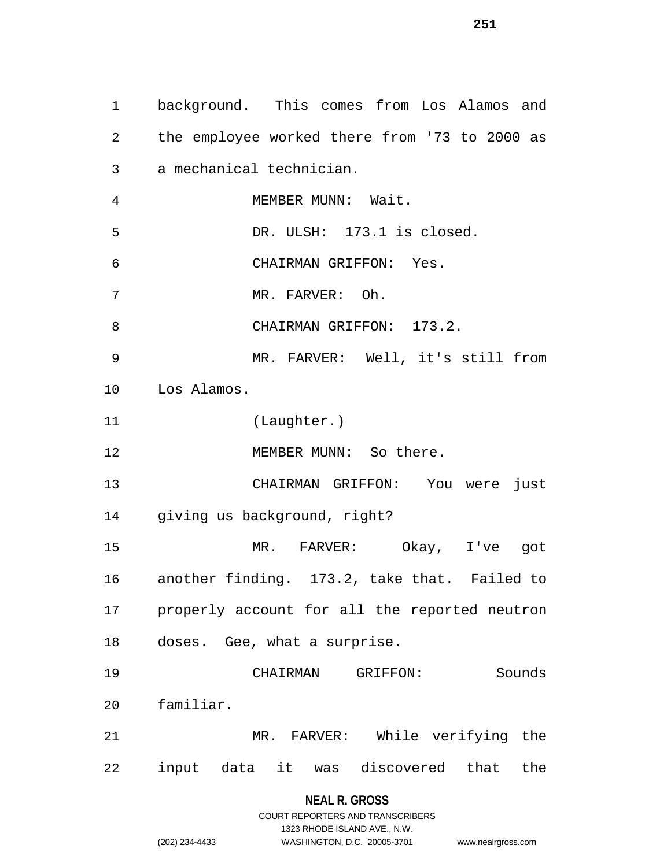background. This comes from Los Alamos and the employee worked there from '73 to 2000 as a mechanical technician. MEMBER MUNN: Wait. DR. ULSH: 173.1 is closed. CHAIRMAN GRIFFON: Yes. MR. FARVER: Oh. 8 CHAIRMAN GRIFFON: 173.2. MR. FARVER: Well, it's still from Los Alamos. (Laughter.) 12 MEMBER MUNN: So there. CHAIRMAN GRIFFON: You were just giving us background, right? MR. FARVER: Okay, I've got another finding. 173.2, take that. Failed to properly account for all the reported neutron doses. Gee, what a surprise. CHAIRMAN GRIFFON: Sounds familiar. MR. FARVER: While verifying the input data it was discovered that the

# **NEAL R. GROSS**

|                | COURT REPORTERS AND TRANSCRIBERS |                    |
|----------------|----------------------------------|--------------------|
|                | 1323 RHODE ISLAND AVE., N.W.     |                    |
| (202) 234-4433 | WASHINGTON, D.C. 20005-3701      | www.nealrgross.com |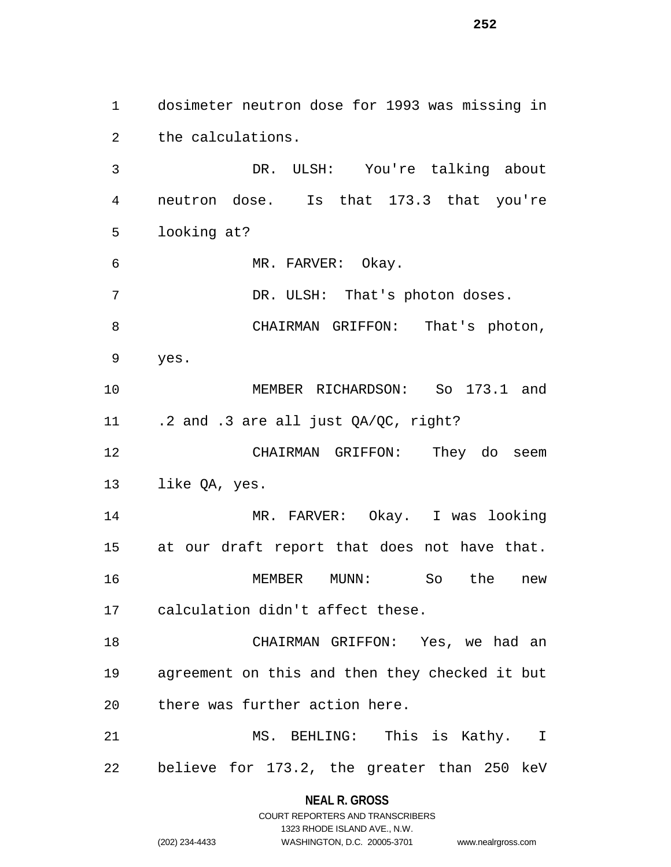dosimeter neutron dose for 1993 was missing in the calculations.

 DR. ULSH: You're talking about neutron dose. Is that 173.3 that you're looking at?

MR. FARVER: Okay.

7 DR. ULSH: That's photon doses.

CHAIRMAN GRIFFON: That's photon,

yes.

 MEMBER RICHARDSON: So 173.1 and .2 and .3 are all just QA/QC, right?

 CHAIRMAN GRIFFON: They do seem like QA, yes.

 MR. FARVER: Okay. I was looking at our draft report that does not have that. MEMBER MUNN: So the new calculation didn't affect these.

 CHAIRMAN GRIFFON: Yes, we had an agreement on this and then they checked it but there was further action here.

 MS. BEHLING: This is Kathy. I believe for 173.2, the greater than 250 keV

> **NEAL R. GROSS** COURT REPORTERS AND TRANSCRIBERS

> > 1323 RHODE ISLAND AVE., N.W.

| (202) 234-4433 |
|----------------|
|                |

WASHINGTON, D.C. 20005-3701 www.nealrgross.com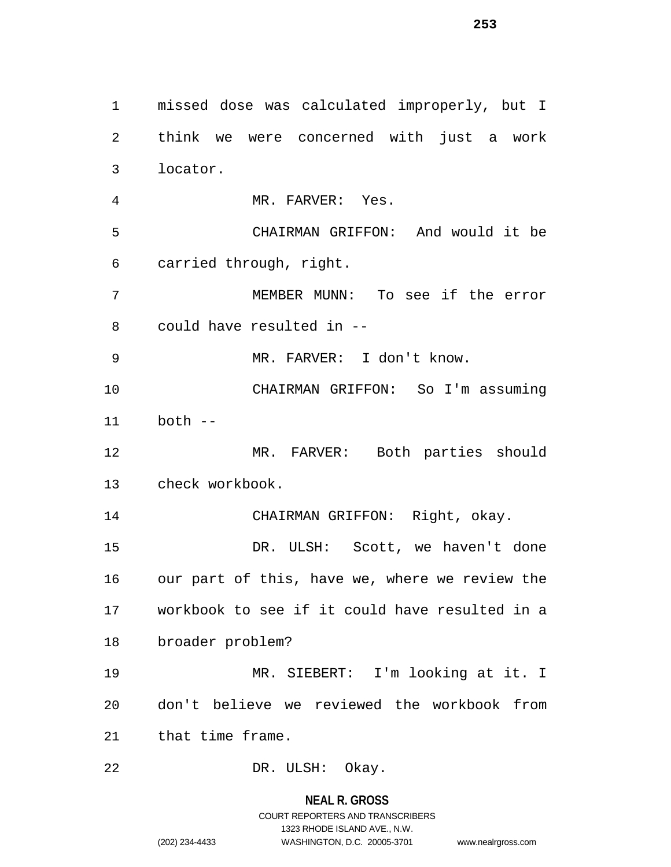missed dose was calculated improperly, but I think we were concerned with just a work locator. MR. FARVER: Yes. CHAIRMAN GRIFFON: And would it be carried through, right. MEMBER MUNN: To see if the error could have resulted in -- MR. FARVER: I don't know. CHAIRMAN GRIFFON: So I'm assuming both -- MR. FARVER: Both parties should check workbook. CHAIRMAN GRIFFON: Right, okay. DR. ULSH: Scott, we haven't done our part of this, have we, where we review the workbook to see if it could have resulted in a broader problem? MR. SIEBERT: I'm looking at it. I don't believe we reviewed the workbook from that time frame. DR. ULSH: Okay.

# **NEAL R. GROSS**

COURT REPORTERS AND TRANSCRIBERS 1323 RHODE ISLAND AVE., N.W. (202) 234-4433 WASHINGTON, D.C. 20005-3701 www.nealrgross.com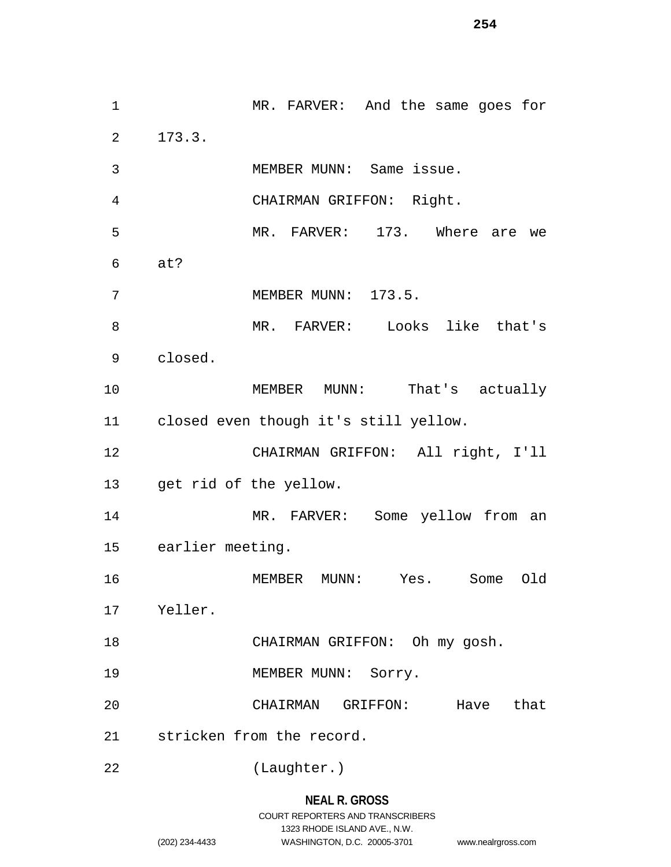MR. FARVER: And the same goes for 173.3. MEMBER MUNN: Same issue. CHAIRMAN GRIFFON: Right. MR. FARVER: 173. Where are we at? MEMBER MUNN: 173.5. MR. FARVER: Looks like that's closed. 10 MEMBER MUNN: That's actually closed even though it's still yellow. CHAIRMAN GRIFFON: All right, I'll get rid of the yellow. MR. FARVER: Some yellow from an earlier meeting. MEMBER MUNN: Yes. Some Old Yeller. 18 CHAIRMAN GRIFFON: Oh my gosh. 19 MEMBER MUNN: Sorry. CHAIRMAN GRIFFON: Have that stricken from the record. (Laughter.)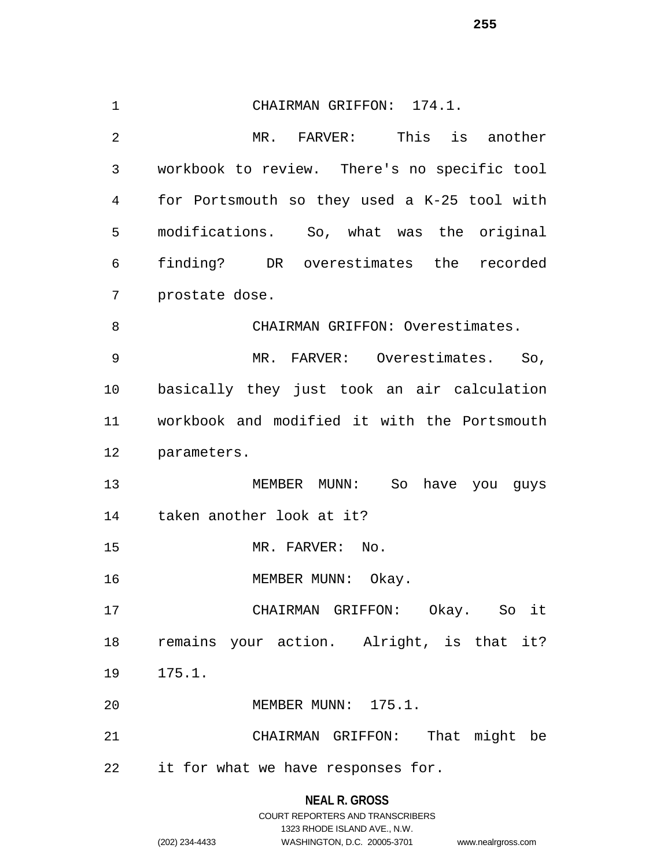CHAIRMAN GRIFFON: 174.1. MR. FARVER: This is another workbook to review. There's no specific tool for Portsmouth so they used a K-25 tool with modifications. So, what was the original finding? DR overestimates the recorded prostate dose. CHAIRMAN GRIFFON: Overestimates. MR. FARVER: Overestimates. So, basically they just took an air calculation workbook and modified it with the Portsmouth parameters. MEMBER MUNN: So have you guys taken another look at it? 15 MR. FARVER: No. 16 MEMBER MUNN: Okay. CHAIRMAN GRIFFON: Okay. So it remains your action. Alright, is that it? 175.1. MEMBER MUNN: 175.1. CHAIRMAN GRIFFON: That might be it for what we have responses for.

# **NEAL R. GROSS** COURT REPORTERS AND TRANSCRIBERS 1323 RHODE ISLAND AVE., N.W. (202) 234-4433 WASHINGTON, D.C. 20005-3701 www.nealrgross.com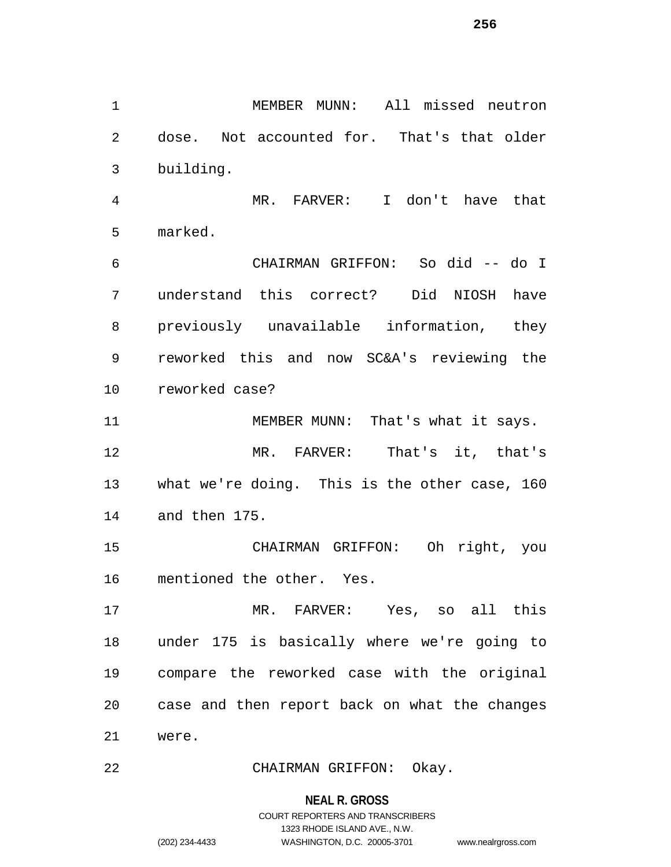MEMBER MUNN: All missed neutron dose. Not accounted for. That's that older building. MR. FARVER: I don't have that marked. CHAIRMAN GRIFFON: So did -- do I understand this correct? Did NIOSH have previously unavailable information, they reworked this and now SC&A's reviewing the reworked case? 11 MEMBER MUNN: That's what it says. MR. FARVER: That's it, that's what we're doing. This is the other case, 160 and then 175. CHAIRMAN GRIFFON: Oh right, you mentioned the other. Yes. MR. FARVER: Yes, so all this under 175 is basically where we're going to compare the reworked case with the original case and then report back on what the changes were. CHAIRMAN GRIFFON: Okay.

> **NEAL R. GROSS** COURT REPORTERS AND TRANSCRIBERS

1323 RHODE ISLAND AVE., N.W. (202) 234-4433 WASHINGTON, D.C. 20005-3701 www.nealrgross.com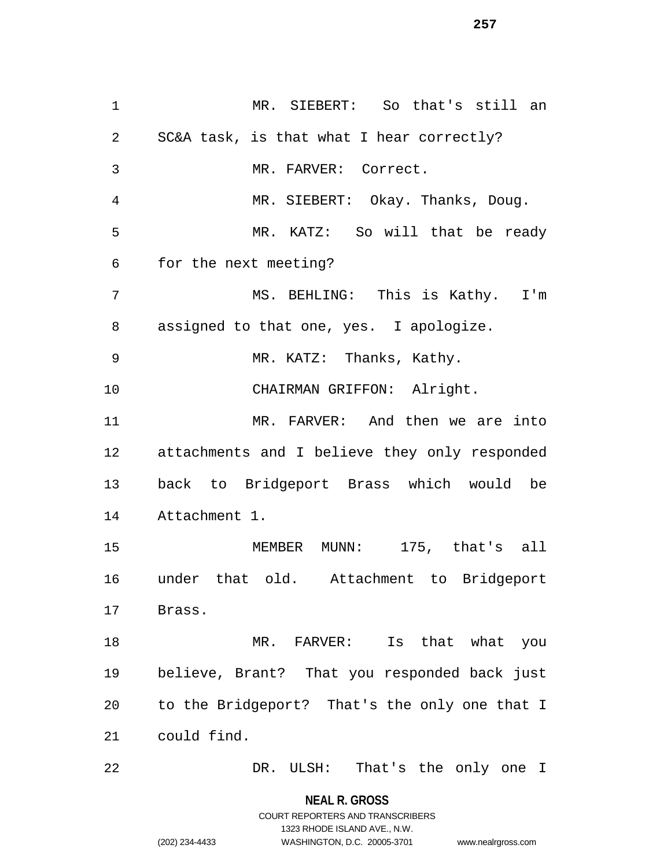MR. SIEBERT: So that's still an SC&A task, is that what I hear correctly? MR. FARVER: Correct. MR. SIEBERT: Okay. Thanks, Doug. MR. KATZ: So will that be ready for the next meeting? MS. BEHLING: This is Kathy. I'm assigned to that one, yes. I apologize. MR. KATZ: Thanks, Kathy. CHAIRMAN GRIFFON: Alright. MR. FARVER: And then we are into attachments and I believe they only responded back to Bridgeport Brass which would be Attachment 1. MEMBER MUNN: 175, that's all under that old. Attachment to Bridgeport Brass. 18 MR. FARVER: Is that what you believe, Brant? That you responded back just to the Bridgeport? That's the only one that I could find. DR. ULSH: That's the only one I

**NEAL R. GROSS**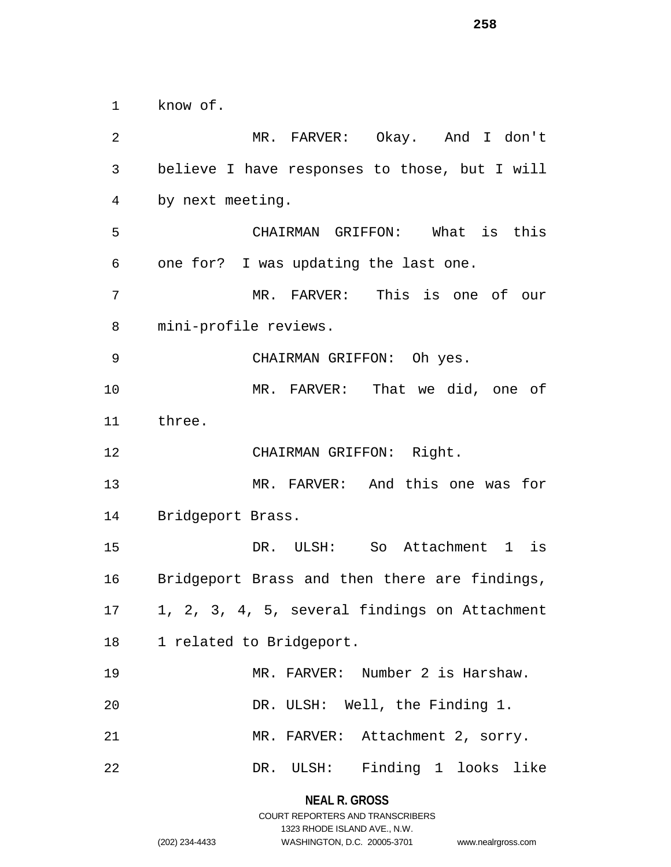know of.

 MR. FARVER: Okay. And I don't believe I have responses to those, but I will by next meeting. CHAIRMAN GRIFFON: What is this one for? I was updating the last one. MR. FARVER: This is one of our mini-profile reviews. CHAIRMAN GRIFFON: Oh yes. MR. FARVER: That we did, one of three. CHAIRMAN GRIFFON: Right. MR. FARVER: And this one was for Bridgeport Brass. DR. ULSH: So Attachment 1 is Bridgeport Brass and then there are findings, 1, 2, 3, 4, 5, several findings on Attachment 1 related to Bridgeport. MR. FARVER: Number 2 is Harshaw. DR. ULSH: Well, the Finding 1. MR. FARVER: Attachment 2, sorry. DR. ULSH: Finding 1 looks like

> **NEAL R. GROSS** COURT REPORTERS AND TRANSCRIBERS

> > 1323 RHODE ISLAND AVE., N.W.

(202) 234-4433 WASHINGTON, D.C. 20005-3701 www.nealrgross.com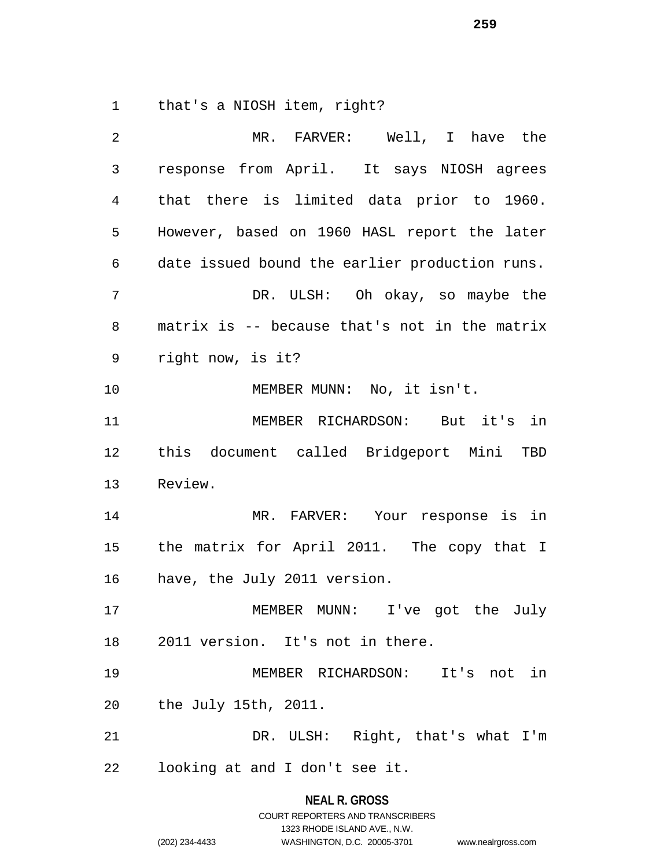that's a NIOSH item, right?

| 2            | MR. FARVER: Well, I have the                   |
|--------------|------------------------------------------------|
| $\mathsf{3}$ | response from April. It says NIOSH agrees      |
| 4            | that there is limited data prior to 1960.      |
| 5            | However, based on 1960 HASL report the later   |
| 6            | date issued bound the earlier production runs. |
| 7            | DR. ULSH: Oh okay, so maybe the                |
| $\,8\,$      | matrix is -- because that's not in the matrix  |
| 9            | right now, is it?                              |
| 10           | MEMBER MUNN: No, it isn't.                     |
| 11           | MEMBER RICHARDSON: But it's in                 |
| 12           | this document called Bridgeport Mini TBD       |
| 13           | Review.                                        |
| 14           | MR. FARVER: Your response is in                |
| 15           | the matrix for April 2011. The copy that I     |
| 16           | have, the July 2011 version.                   |
| 17           | MEMBER MUNN: I've got the July                 |
|              | 18 2011 version. It's not in there.            |
| 19           | MEMBER RICHARDSON: It's not in                 |
| 20           | the July 15th, 2011.                           |
| 21           | DR. ULSH: Right, that's what I'm               |
| 22           | looking at and I don't see it.                 |
|              |                                                |

**NEAL R. GROSS** COURT REPORTERS AND TRANSCRIBERS

1323 RHODE ISLAND AVE., N.W.

(202) 234-4433 WASHINGTON, D.C. 20005-3701 www.nealrgross.com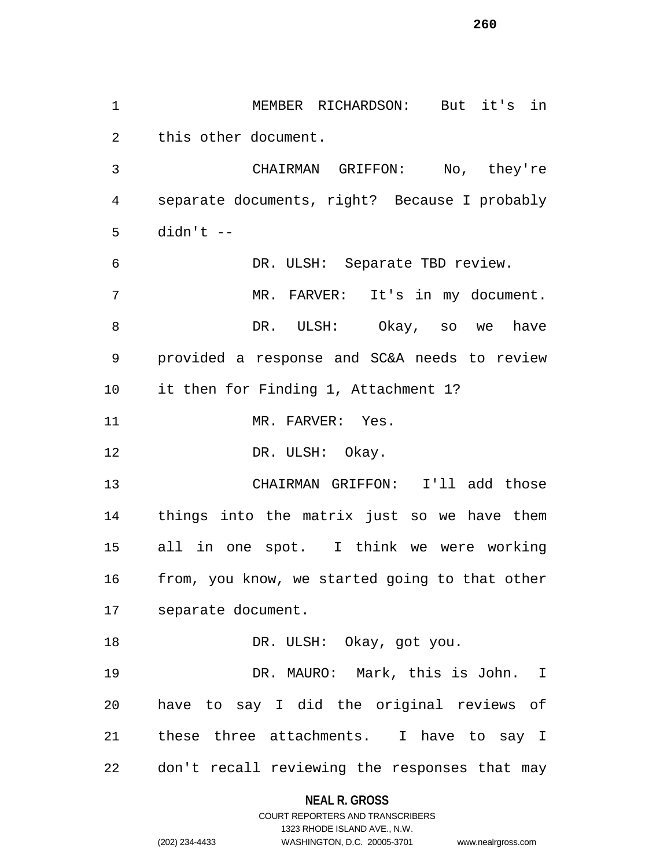MEMBER RICHARDSON: But it's in this other document. CHAIRMAN GRIFFON: No, they're separate documents, right? Because I probably didn't -- DR. ULSH: Separate TBD review. MR. FARVER: It's in my document. DR. ULSH: Okay, so we have provided a response and SC&A needs to review it then for Finding 1, Attachment 1? 11 MR. FARVER: Yes. 12 DR. ULSH: Okay. CHAIRMAN GRIFFON: I'll add those things into the matrix just so we have them all in one spot. I think we were working from, you know, we started going to that other separate document. 18 DR. ULSH: Okay, got you. DR. MAURO: Mark, this is John. I have to say I did the original reviews of these three attachments. I have to say I don't recall reviewing the responses that may

### **NEAL R. GROSS**

COURT REPORTERS AND TRANSCRIBERS 1323 RHODE ISLAND AVE., N.W. (202) 234-4433 WASHINGTON, D.C. 20005-3701 www.nealrgross.com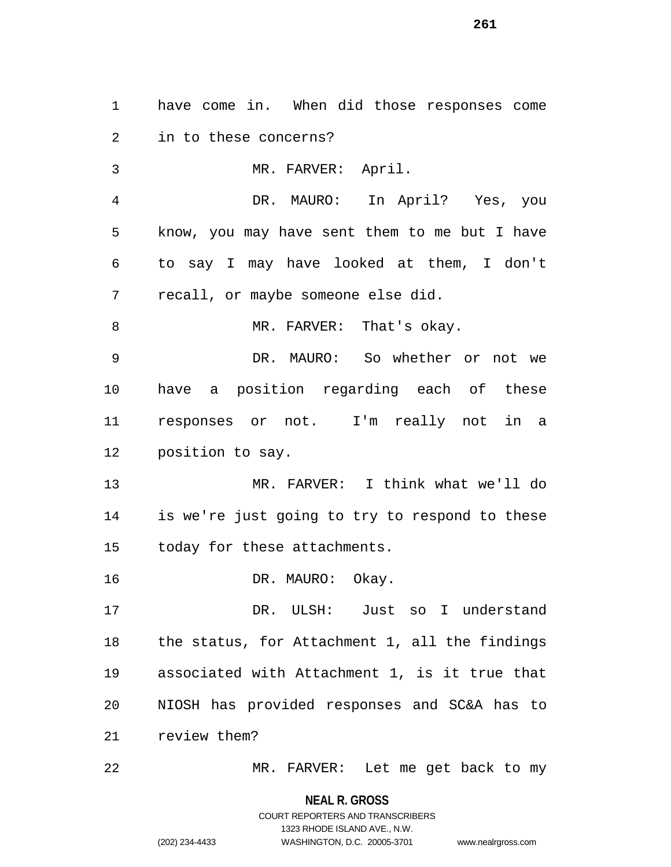have come in. When did those responses come in to these concerns? MR. FARVER: April. DR. MAURO: In April? Yes, you know, you may have sent them to me but I have to say I may have looked at them, I don't recall, or maybe someone else did. 8 MR. FARVER: That's okay. DR. MAURO: So whether or not we have a position regarding each of these responses or not. I'm really not in a position to say. MR. FARVER: I think what we'll do is we're just going to try to respond to these today for these attachments. 16 DR. MAURO: Okay. DR. ULSH: Just so I understand the status, for Attachment 1, all the findings associated with Attachment 1, is it true that NIOSH has provided responses and SC&A has to review them?

MR. FARVER: Let me get back to my

**NEAL R. GROSS** COURT REPORTERS AND TRANSCRIBERS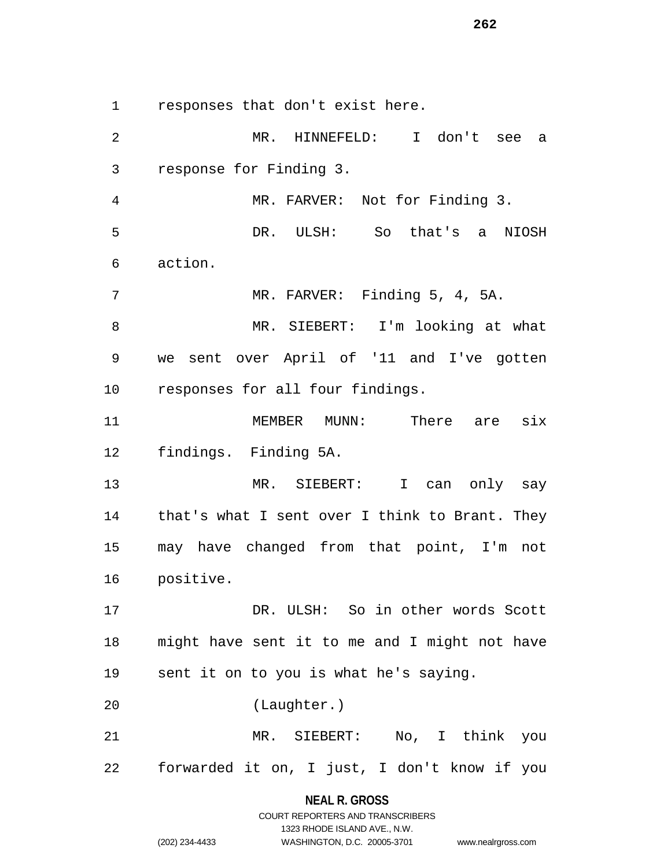responses that don't exist here.

 MR. HINNEFELD: I don't see a response for Finding 3. MR. FARVER: Not for Finding 3. DR. ULSH: So that's a NIOSH action. MR. FARVER: Finding 5, 4, 5A. MR. SIEBERT: I'm looking at what we sent over April of '11 and I've gotten responses for all four findings. MEMBER MUNN: There are six findings. Finding 5A. MR. SIEBERT: I can only say that's what I sent over I think to Brant. They may have changed from that point, I'm not positive. DR. ULSH: So in other words Scott might have sent it to me and I might not have sent it on to you is what he's saying. (Laughter.) MR. SIEBERT: No, I think you forwarded it on, I just, I don't know if you

> **NEAL R. GROSS** COURT REPORTERS AND TRANSCRIBERS

> > 1323 RHODE ISLAND AVE., N.W.

(202) 234-4433 WASHINGTON, D.C. 20005-3701 www.nealrgross.com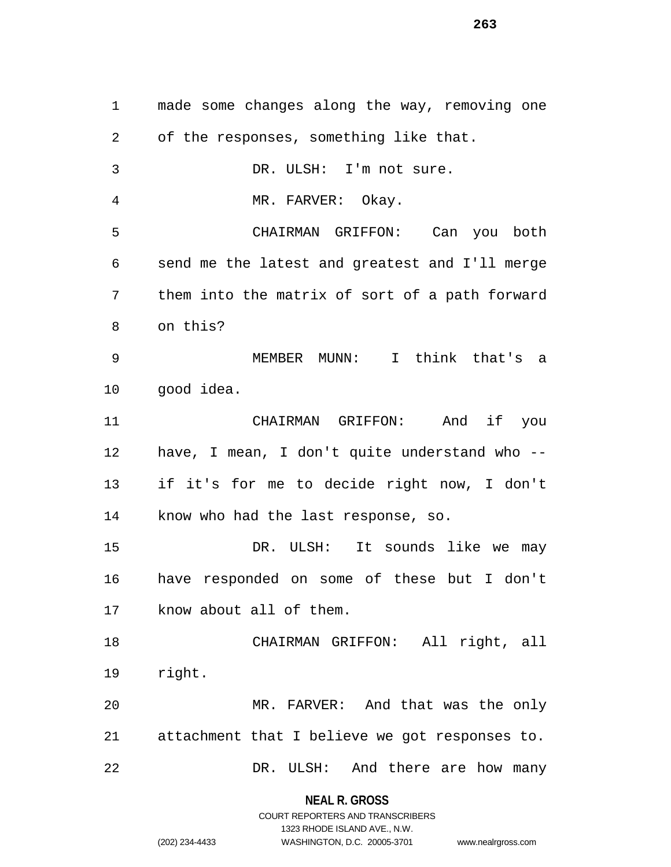made some changes along the way, removing one of the responses, something like that. DR. ULSH: I'm not sure. MR. FARVER: Okay. CHAIRMAN GRIFFON: Can you both send me the latest and greatest and I'll merge them into the matrix of sort of a path forward on this? MEMBER MUNN: I think that's a good idea. CHAIRMAN GRIFFON: And if you have, I mean, I don't quite understand who -- if it's for me to decide right now, I don't know who had the last response, so. DR. ULSH: It sounds like we may have responded on some of these but I don't know about all of them. CHAIRMAN GRIFFON: All right, all right. MR. FARVER: And that was the only attachment that I believe we got responses to. 22 DR. ULSH: And there are how many

#### **NEAL R. GROSS**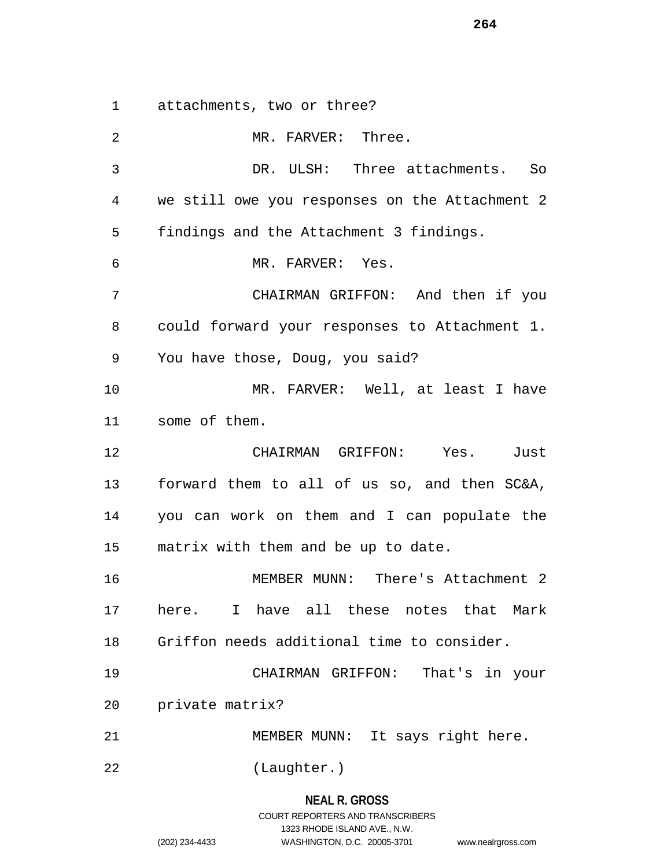attachments, two or three?

2 MR. FARVER: Three. DR. ULSH: Three attachments. So we still owe you responses on the Attachment 2 findings and the Attachment 3 findings. MR. FARVER: Yes. CHAIRMAN GRIFFON: And then if you could forward your responses to Attachment 1. You have those, Doug, you said? MR. FARVER: Well, at least I have some of them. CHAIRMAN GRIFFON: Yes. Just forward them to all of us so, and then SC&A, you can work on them and I can populate the matrix with them and be up to date. MEMBER MUNN: There's Attachment 2 here. I have all these notes that Mark Griffon needs additional time to consider. CHAIRMAN GRIFFON: That's in your private matrix? MEMBER MUNN: It says right here. (Laughter.)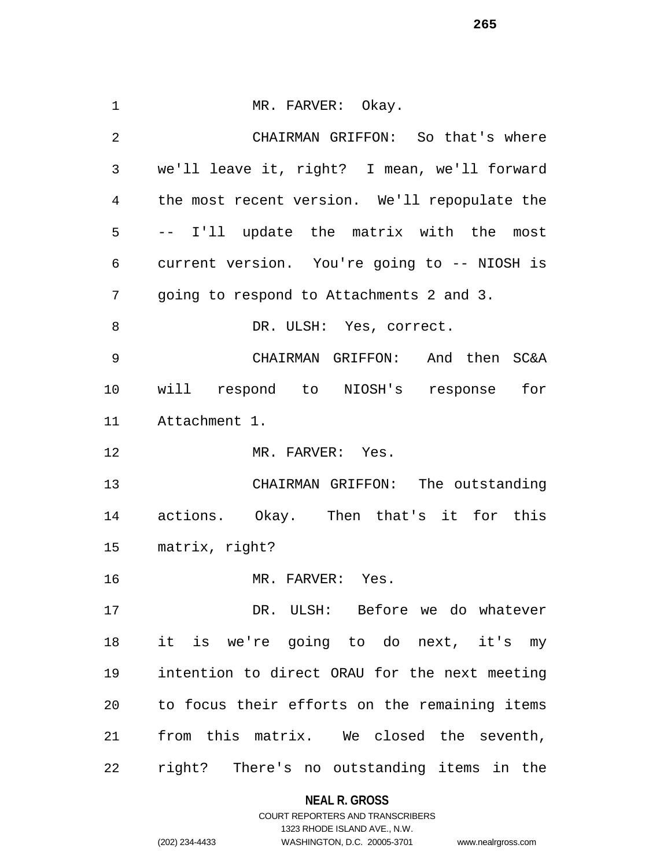1 MR. FARVER: Okay. CHAIRMAN GRIFFON: So that's where we'll leave it, right? I mean, we'll forward the most recent version. We'll repopulate the -- I'll update the matrix with the most current version. You're going to -- NIOSH is going to respond to Attachments 2 and 3. 8 DR. ULSH: Yes, correct. CHAIRMAN GRIFFON: And then SC&A will respond to NIOSH's response for Attachment 1. 12 MR. FARVER: Yes. CHAIRMAN GRIFFON: The outstanding actions. Okay. Then that's it for this matrix, right? MR. FARVER: Yes. DR. ULSH: Before we do whatever it is we're going to do next, it's my intention to direct ORAU for the next meeting to focus their efforts on the remaining items from this matrix. We closed the seventh, right? There's no outstanding items in the

# **NEAL R. GROSS**

COURT REPORTERS AND TRANSCRIBERS 1323 RHODE ISLAND AVE., N.W. (202) 234-4433 WASHINGTON, D.C. 20005-3701 www.nealrgross.com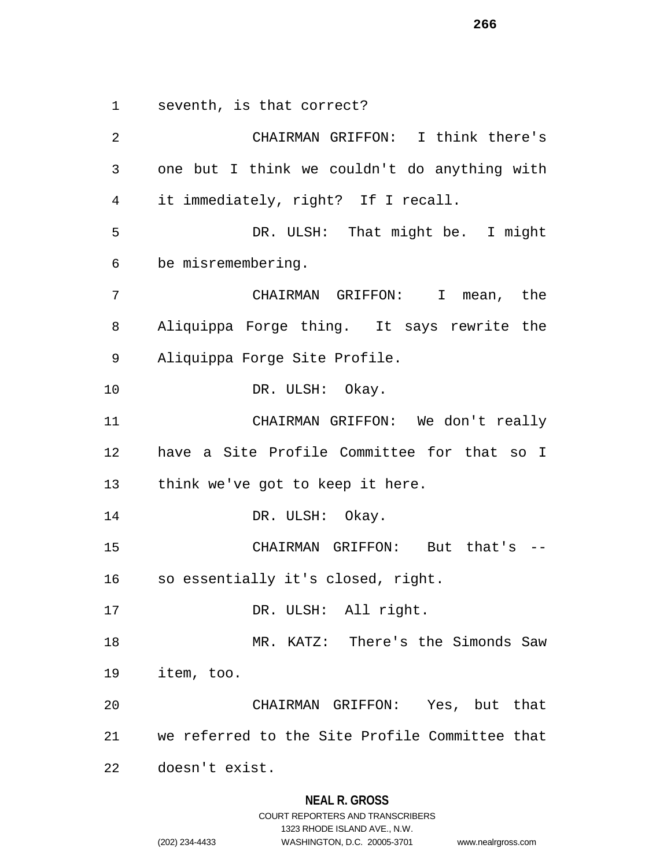seventh, is that correct?

 CHAIRMAN GRIFFON: I think there's one but I think we couldn't do anything with it immediately, right? If I recall. DR. ULSH: That might be. I might be misremembering. CHAIRMAN GRIFFON: I mean, the Aliquippa Forge thing. It says rewrite the Aliquippa Forge Site Profile. DR. ULSH: Okay. CHAIRMAN GRIFFON: We don't really have a Site Profile Committee for that so I think we've got to keep it here. 14 DR. ULSH: Okay. CHAIRMAN GRIFFON: But that's -- so essentially it's closed, right. 17 DR. ULSH: All right. MR. KATZ: There's the Simonds Saw item, too. CHAIRMAN GRIFFON: Yes, but that we referred to the Site Profile Committee that doesn't exist.

#### **NEAL R. GROSS**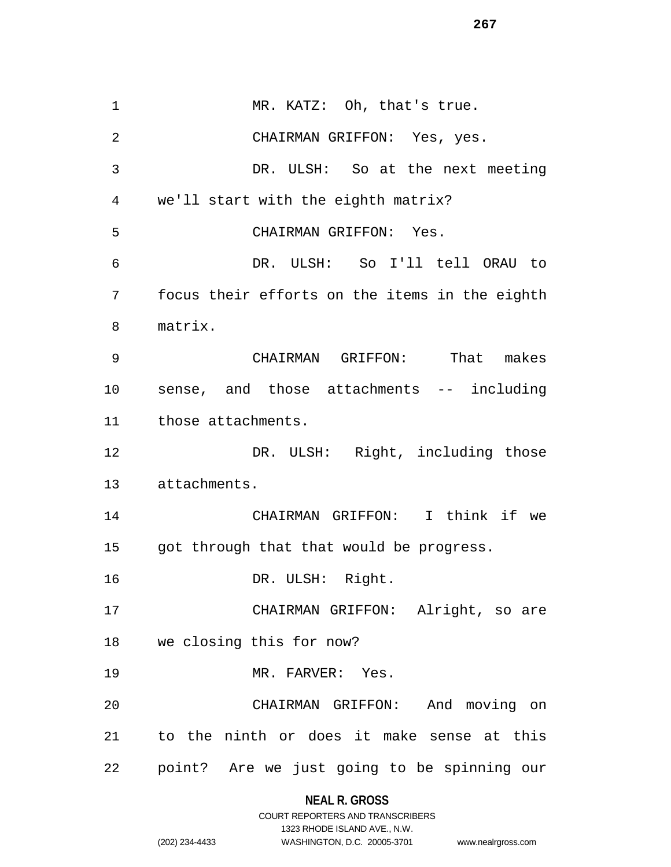1 MR. KATZ: Oh, that's true. CHAIRMAN GRIFFON: Yes, yes. DR. ULSH: So at the next meeting we'll start with the eighth matrix? CHAIRMAN GRIFFON: Yes. DR. ULSH: So I'll tell ORAU to focus their efforts on the items in the eighth matrix. CHAIRMAN GRIFFON: That makes sense, and those attachments -- including those attachments. 12 DR. ULSH: Right, including those attachments. CHAIRMAN GRIFFON: I think if we got through that that would be progress. DR. ULSH: Right. CHAIRMAN GRIFFON: Alright, so are we closing this for now? 19 MR. FARVER: Yes. CHAIRMAN GRIFFON: And moving on to the ninth or does it make sense at this point? Are we just going to be spinning our

# **NEAL R. GROSS**

|                | COURT REPORTERS AND TRANSCRIBERS |                    |
|----------------|----------------------------------|--------------------|
|                | 1323 RHODE ISLAND AVE., N.W.     |                    |
| (202) 234-4433 | WASHINGTON, D.C. 20005-3701      | www.nealrgross.com |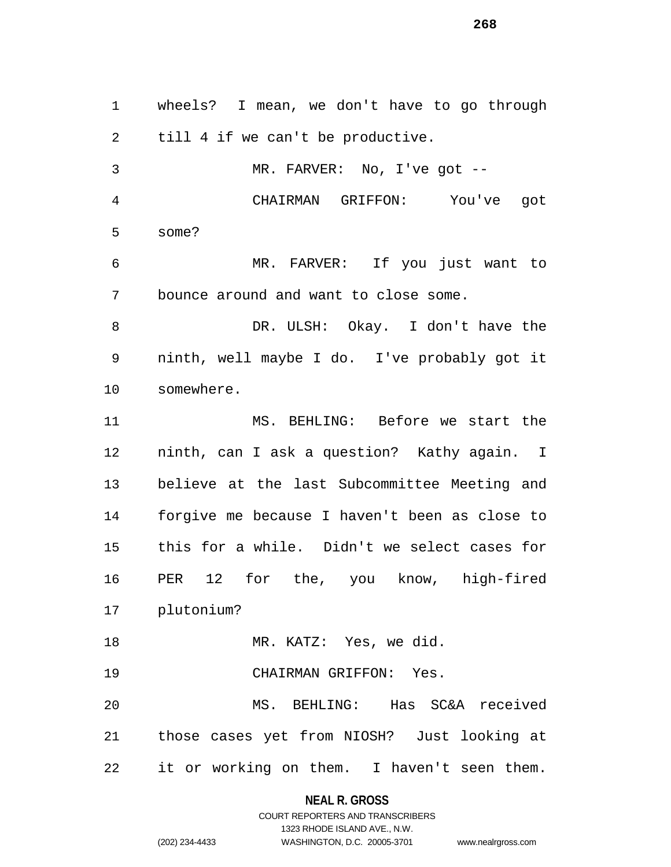wheels? I mean, we don't have to go through till 4 if we can't be productive. MR. FARVER: No, I've got -- CHAIRMAN GRIFFON: You've got some? MR. FARVER: If you just want to bounce around and want to close some. DR. ULSH: Okay. I don't have the ninth, well maybe I do. I've probably got it somewhere. MS. BEHLING: Before we start the ninth, can I ask a question? Kathy again. I believe at the last Subcommittee Meeting and forgive me because I haven't been as close to this for a while. Didn't we select cases for PER 12 for the, you know, high-fired plutonium? MR. KATZ: Yes, we did. CHAIRMAN GRIFFON: Yes. MS. BEHLING: Has SC&A received those cases yet from NIOSH? Just looking at it or working on them. I haven't seen them.

**NEAL R. GROSS**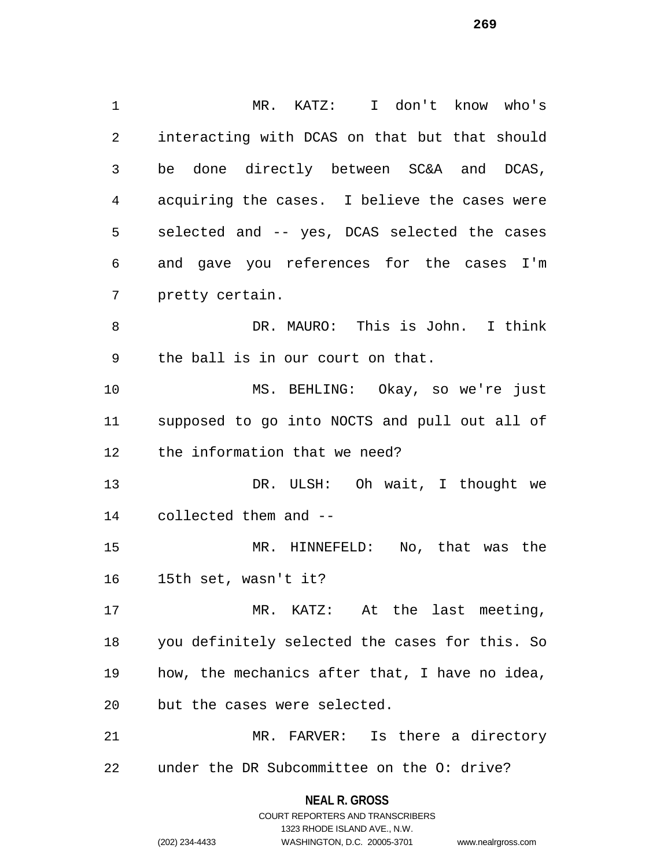MR. KATZ: I don't know who's interacting with DCAS on that but that should be done directly between SC&A and DCAS, acquiring the cases. I believe the cases were selected and -- yes, DCAS selected the cases and gave you references for the cases I'm pretty certain. DR. MAURO: This is John. I think the ball is in our court on that. MS. BEHLING: Okay, so we're just supposed to go into NOCTS and pull out all of the information that we need? 13 DR. ULSH: Oh wait, I thought we collected them and -- MR. HINNEFELD: No, that was the 15th set, wasn't it? MR. KATZ: At the last meeting, you definitely selected the cases for this. So how, the mechanics after that, I have no idea, but the cases were selected. MR. FARVER: Is there a directory under the DR Subcommittee on the O: drive?

> **NEAL R. GROSS** COURT REPORTERS AND TRANSCRIBERS 1323 RHODE ISLAND AVE., N.W. (202) 234-4433 WASHINGTON, D.C. 20005-3701 www.nealrgross.com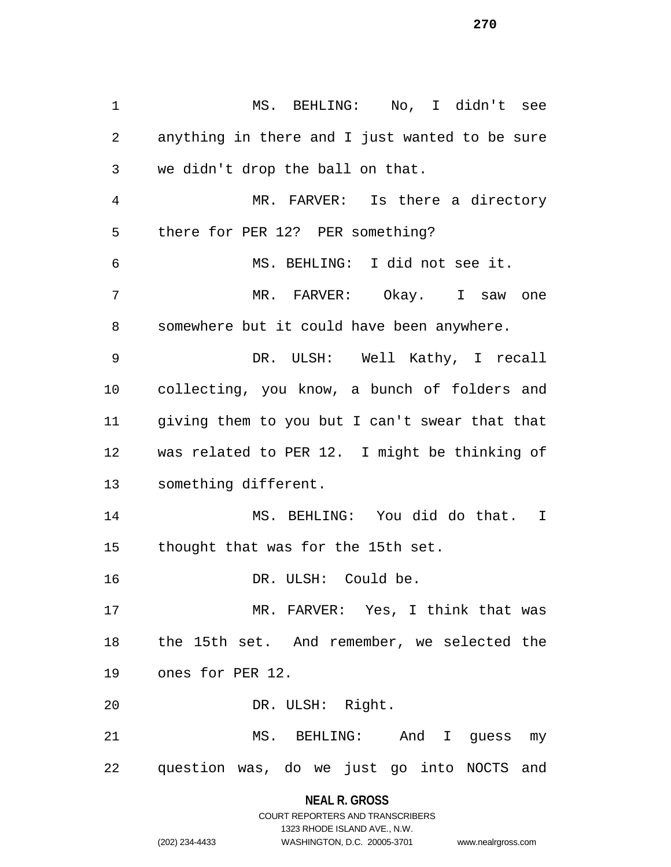MS. BEHLING: No, I didn't see anything in there and I just wanted to be sure we didn't drop the ball on that. MR. FARVER: Is there a directory there for PER 12? PER something? MS. BEHLING: I did not see it. MR. FARVER: Okay. I saw one somewhere but it could have been anywhere. DR. ULSH: Well Kathy, I recall collecting, you know, a bunch of folders and giving them to you but I can't swear that that was related to PER 12. I might be thinking of something different. MS. BEHLING: You did do that. I thought that was for the 15th set. DR. ULSH: Could be. MR. FARVER: Yes, I think that was the 15th set. And remember, we selected the ones for PER 12. DR. ULSH: Right. MS. BEHLING: And I guess my question was, do we just go into NOCTS and

### **NEAL R. GROSS**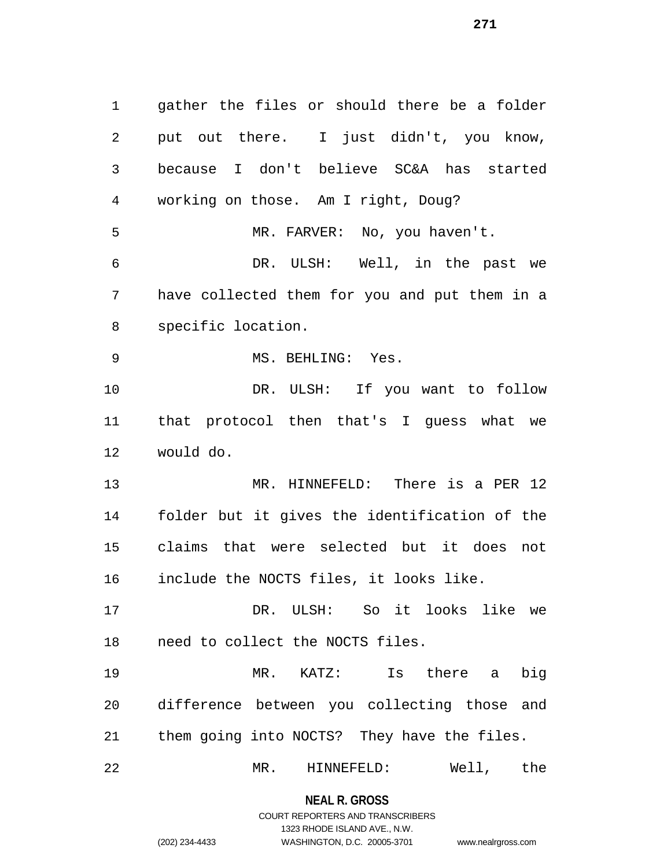gather the files or should there be a folder put out there. I just didn't, you know, because I don't believe SC&A has started working on those. Am I right, Doug? MR. FARVER: No, you haven't. DR. ULSH: Well, in the past we have collected them for you and put them in a specific location. 9 MS. BEHLING: Yes. DR. ULSH: If you want to follow that protocol then that's I guess what we would do. MR. HINNEFELD: There is a PER 12 folder but it gives the identification of the claims that were selected but it does not include the NOCTS files, it looks like. DR. ULSH: So it looks like we need to collect the NOCTS files. MR. KATZ: Is there a big difference between you collecting those and them going into NOCTS? They have the files. MR. HINNEFELD: Well, the

# **NEAL R. GROSS** COURT REPORTERS AND TRANSCRIBERS

1323 RHODE ISLAND AVE., N.W.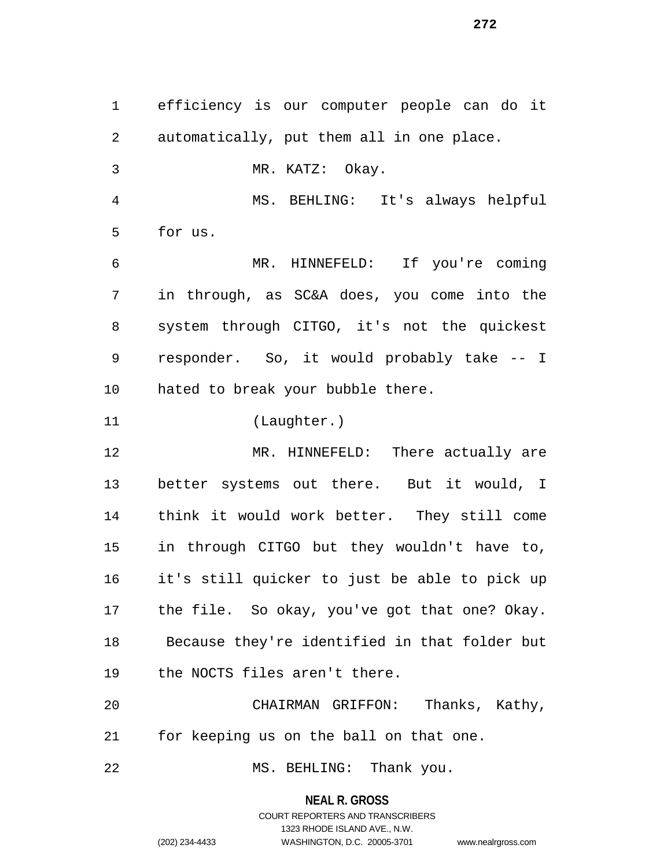efficiency is our computer people can do it automatically, put them all in one place. MR. KATZ: Okay. MS. BEHLING: It's always helpful for us. MR. HINNEFELD: If you're coming in through, as SC&A does, you come into the system through CITGO, it's not the quickest responder. So, it would probably take -- I hated to break your bubble there. (Laughter.) 12 MR. HINNEFELD: There actually are better systems out there. But it would, I think it would work better. They still come in through CITGO but they wouldn't have to, it's still quicker to just be able to pick up the file. So okay, you've got that one? Okay. Because they're identified in that folder but the NOCTS files aren't there. CHAIRMAN GRIFFON: Thanks, Kathy, for keeping us on the ball on that one. 22 MS. BEHLING: Thank you.

> **NEAL R. GROSS** COURT REPORTERS AND TRANSCRIBERS

> > 1323 RHODE ISLAND AVE., N.W.

(202) 234-4433 WASHINGTON, D.C. 20005-3701 www.nealrgross.com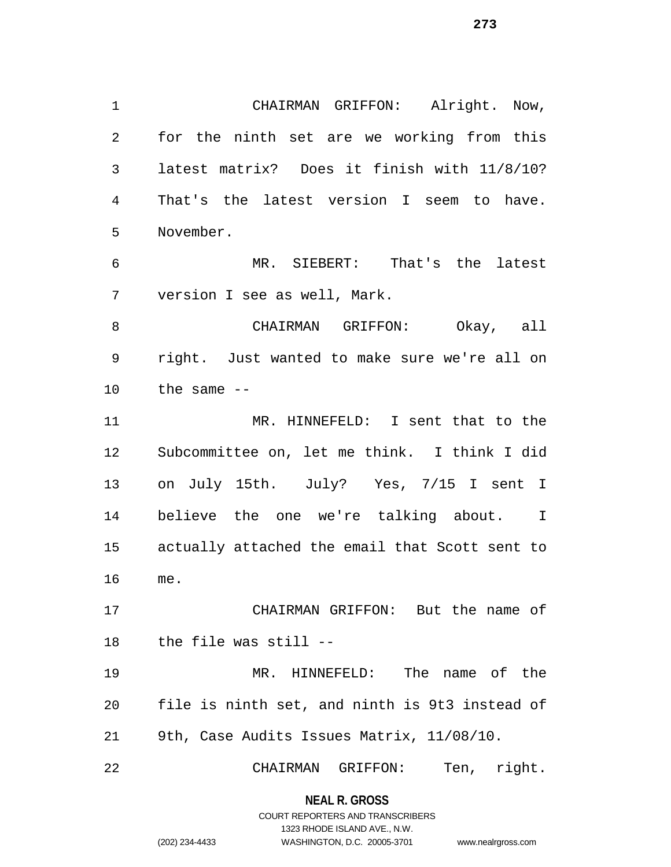CHAIRMAN GRIFFON: Alright. Now, for the ninth set are we working from this latest matrix? Does it finish with 11/8/10? That's the latest version I seem to have. November.

 MR. SIEBERT: That's the latest version I see as well, Mark.

 CHAIRMAN GRIFFON: Okay, all right. Just wanted to make sure we're all on the same  $-$ 

 MR. HINNEFELD: I sent that to the Subcommittee on, let me think. I think I did on July 15th. July? Yes, 7/15 I sent I believe the one we're talking about. I actually attached the email that Scott sent to me.

 CHAIRMAN GRIFFON: But the name of the file was still --

 MR. HINNEFELD: The name of the file is ninth set, and ninth is 9t3 instead of 9th, Case Audits Issues Matrix, 11/08/10.

CHAIRMAN GRIFFON: Ten, right.

#### **NEAL R. GROSS**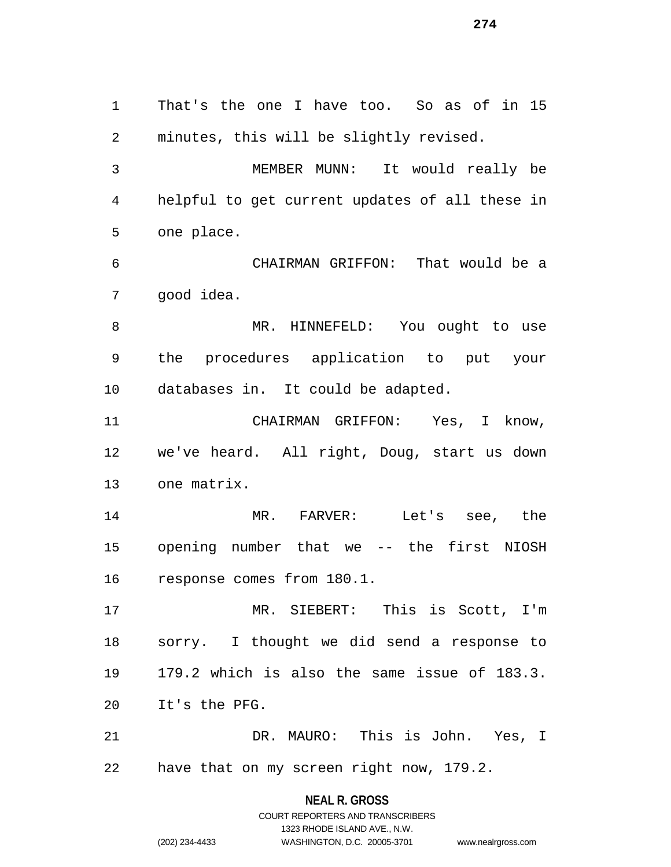That's the one I have too. So as of in 15 minutes, this will be slightly revised. MEMBER MUNN: It would really be helpful to get current updates of all these in one place. CHAIRMAN GRIFFON: That would be a good idea. 8 MR. HINNEFELD: You ought to use the procedures application to put your databases in. It could be adapted. CHAIRMAN GRIFFON: Yes, I know, we've heard. All right, Doug, start us down one matrix. MR. FARVER: Let's see, the opening number that we -- the first NIOSH response comes from 180.1. MR. SIEBERT: This is Scott, I'm sorry. I thought we did send a response to 179.2 which is also the same issue of 183.3. It's the PFG. DR. MAURO: This is John. Yes, I have that on my screen right now, 179.2.

> **NEAL R. GROSS** COURT REPORTERS AND TRANSCRIBERS 1323 RHODE ISLAND AVE., N.W.

(202) 234-4433 WASHINGTON, D.C. 20005-3701 www.nealrgross.com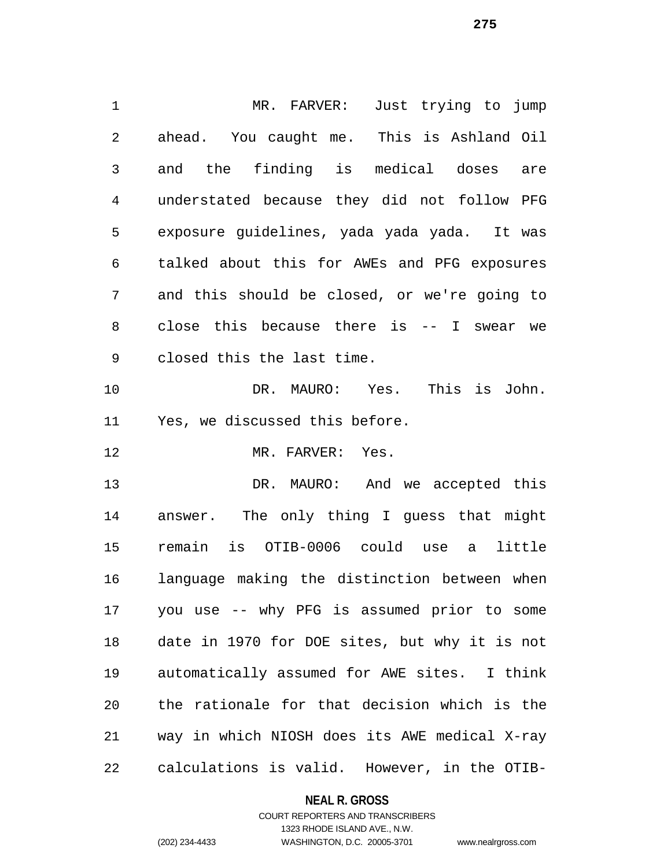MR. FARVER: Just trying to jump ahead. You caught me. This is Ashland Oil and the finding is medical doses are understated because they did not follow PFG exposure guidelines, yada yada yada. It was talked about this for AWEs and PFG exposures and this should be closed, or we're going to close this because there is -- I swear we closed this the last time. DR. MAURO: Yes. This is John. Yes, we discussed this before. 12 MR. FARVER: Yes. DR. MAURO: And we accepted this answer. The only thing I guess that might remain is OTIB-0006 could use a little language making the distinction between when you use -- why PFG is assumed prior to some date in 1970 for DOE sites, but why it is not automatically assumed for AWE sites. I think the rationale for that decision which is the way in which NIOSH does its AWE medical X-ray calculations is valid. However, in the OTIB-

#### **NEAL R. GROSS**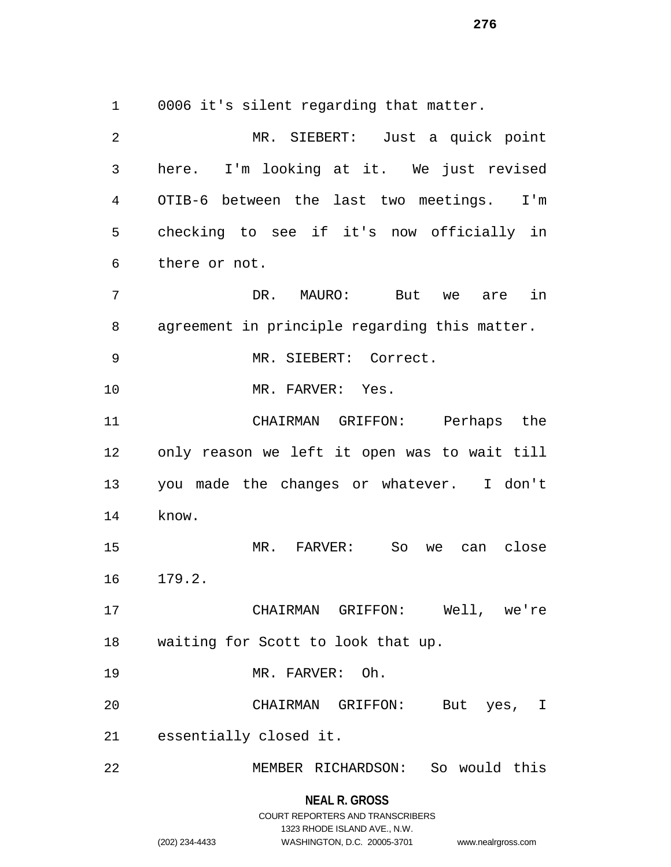0006 it's silent regarding that matter.

**NEAL R. GROSS** MR. SIEBERT: Just a quick point here. I'm looking at it. We just revised OTIB-6 between the last two meetings. I'm checking to see if it's now officially in there or not. DR. MAURO: But we are in agreement in principle regarding this matter. MR. SIEBERT: Correct. 10 MR. FARVER: Yes. CHAIRMAN GRIFFON: Perhaps the only reason we left it open was to wait till you made the changes or whatever. I don't know. MR. FARVER: So we can close 179.2. CHAIRMAN GRIFFON: Well, we're waiting for Scott to look that up. MR. FARVER: Oh. CHAIRMAN GRIFFON: But yes, I essentially closed it. MEMBER RICHARDSON: So would this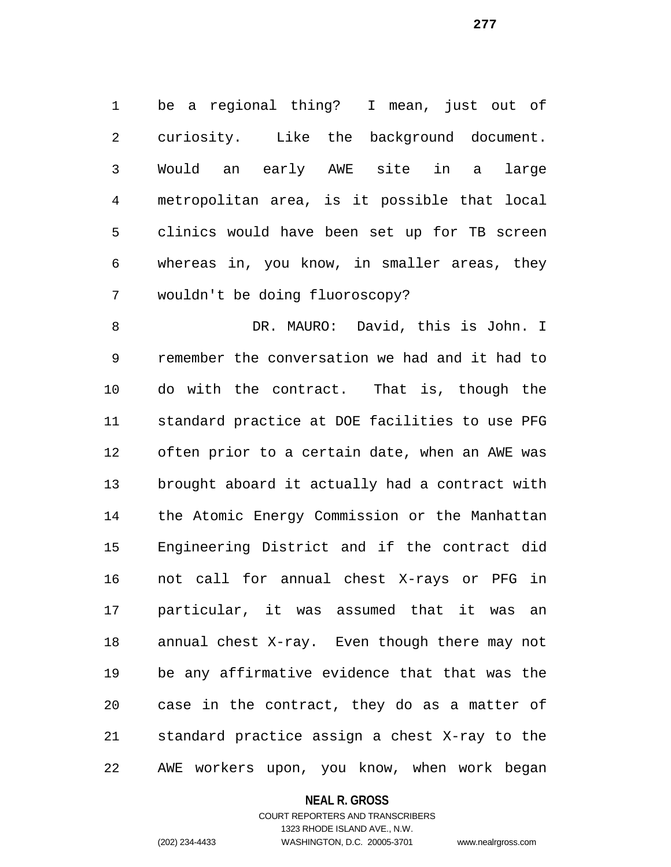be a regional thing? I mean, just out of curiosity. Like the background document. Would an early AWE site in a large metropolitan area, is it possible that local clinics would have been set up for TB screen whereas in, you know, in smaller areas, they wouldn't be doing fluoroscopy?

 DR. MAURO: David, this is John. I remember the conversation we had and it had to do with the contract. That is, though the standard practice at DOE facilities to use PFG often prior to a certain date, when an AWE was brought aboard it actually had a contract with the Atomic Energy Commission or the Manhattan Engineering District and if the contract did not call for annual chest X-rays or PFG in particular, it was assumed that it was an annual chest X-ray. Even though there may not be any affirmative evidence that that was the case in the contract, they do as a matter of standard practice assign a chest X-ray to the AWE workers upon, you know, when work began

#### **NEAL R. GROSS**

# COURT REPORTERS AND TRANSCRIBERS 1323 RHODE ISLAND AVE., N.W. (202) 234-4433 WASHINGTON, D.C. 20005-3701 www.nealrgross.com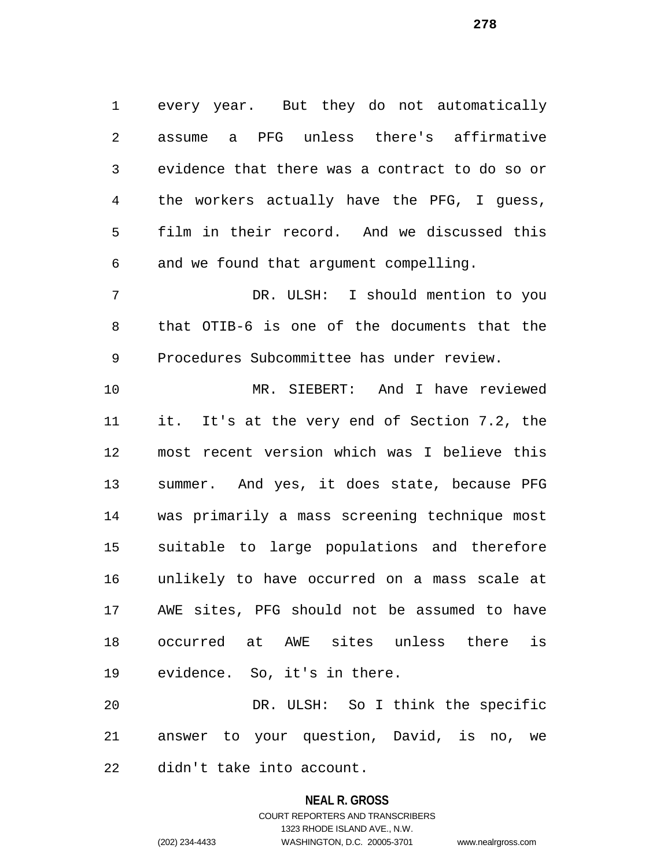every year. But they do not automatically assume a PFG unless there's affirmative evidence that there was a contract to do so or the workers actually have the PFG, I guess, film in their record. And we discussed this and we found that argument compelling. DR. ULSH: I should mention to you that OTIB-6 is one of the documents that the Procedures Subcommittee has under review. MR. SIEBERT: And I have reviewed it. It's at the very end of Section 7.2, the most recent version which was I believe this summer. And yes, it does state, because PFG was primarily a mass screening technique most suitable to large populations and therefore

 unlikely to have occurred on a mass scale at AWE sites, PFG should not be assumed to have occurred at AWE sites unless there is evidence. So, it's in there.

 DR. ULSH: So I think the specific answer to your question, David, is no, we didn't take into account.

#### **NEAL R. GROSS**

COURT REPORTERS AND TRANSCRIBERS 1323 RHODE ISLAND AVE., N.W. (202) 234-4433 WASHINGTON, D.C. 20005-3701 www.nealrgross.com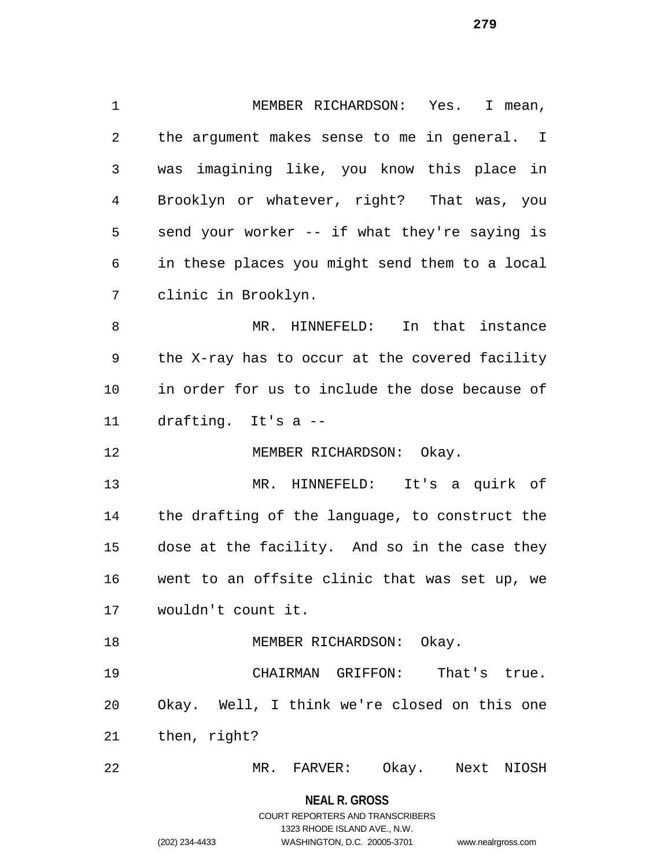MEMBER RICHARDSON: Yes. I mean, the argument makes sense to me in general. I was imagining like, you know this place in Brooklyn or whatever, right? That was, you send your worker -- if what they're saying is in these places you might send them to a local clinic in Brooklyn. MR. HINNEFELD: In that instance the X-ray has to occur at the covered facility in order for us to include the dose because of drafting. It's a -- 12 MEMBER RICHARDSON: Okay. MR. HINNEFELD: It's a quirk of the drafting of the language, to construct the dose at the facility. And so in the case they went to an offsite clinic that was set up, we wouldn't count it. 18 MEMBER RICHARDSON: Okay. CHAIRMAN GRIFFON: That's true. Okay. Well, I think we're closed on this one then, right? MR. FARVER: Okay. Next NIOSH

> **NEAL R. GROSS** COURT REPORTERS AND TRANSCRIBERS 1323 RHODE ISLAND AVE., N.W.

(202) 234-4433 WASHINGTON, D.C. 20005-3701 www.nealrgross.com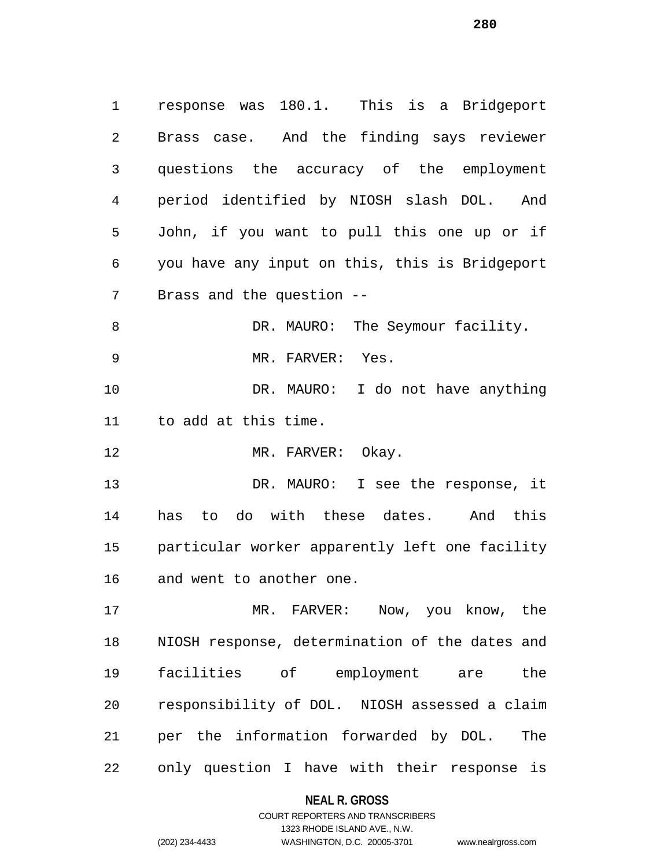response was 180.1. This is a Bridgeport Brass case. And the finding says reviewer questions the accuracy of the employment period identified by NIOSH slash DOL. And John, if you want to pull this one up or if you have any input on this, this is Bridgeport Brass and the question -- 8 DR. MAURO: The Seymour facility. 9 MR. FARVER: Yes. DR. MAURO: I do not have anything to add at this time. 12 MR. FARVER: Okay. 13 DR. MAURO: I see the response, it has to do with these dates. And this particular worker apparently left one facility

and went to another one.

 MR. FARVER: Now, you know, the NIOSH response, determination of the dates and facilities of employment are the responsibility of DOL. NIOSH assessed a claim per the information forwarded by DOL. The only question I have with their response is

# **NEAL R. GROSS**

COURT REPORTERS AND TRANSCRIBERS 1323 RHODE ISLAND AVE., N.W. (202) 234-4433 WASHINGTON, D.C. 20005-3701 www.nealrgross.com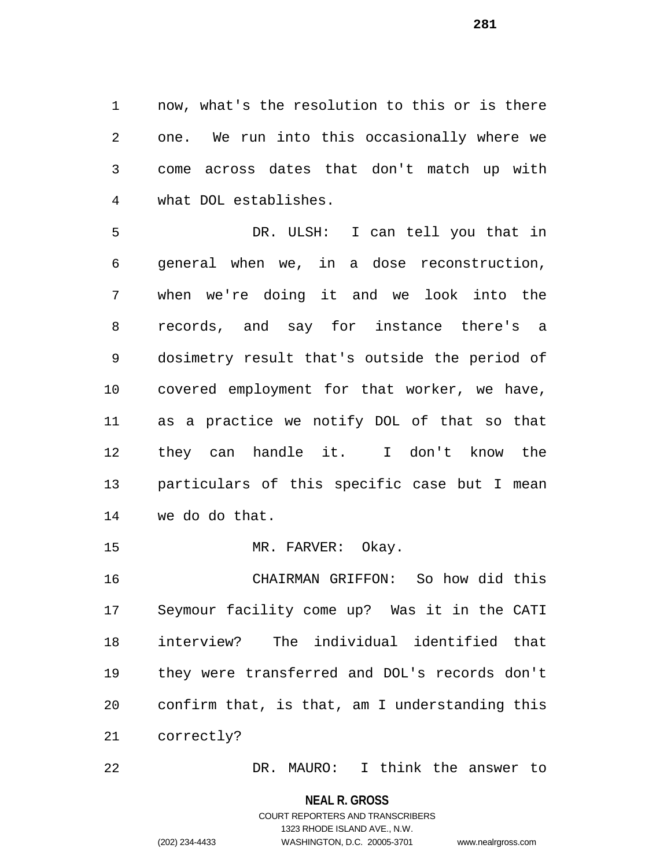now, what's the resolution to this or is there one. We run into this occasionally where we come across dates that don't match up with what DOL establishes.

 DR. ULSH: I can tell you that in general when we, in a dose reconstruction, when we're doing it and we look into the records, and say for instance there's a dosimetry result that's outside the period of covered employment for that worker, we have, as a practice we notify DOL of that so that they can handle it. I don't know the particulars of this specific case but I mean we do do that.

15 MR. FARVER: Okay.

 CHAIRMAN GRIFFON: So how did this Seymour facility come up? Was it in the CATI interview? The individual identified that they were transferred and DOL's records don't confirm that, is that, am I understanding this correctly?

DR. MAURO: I think the answer to

#### **NEAL R. GROSS**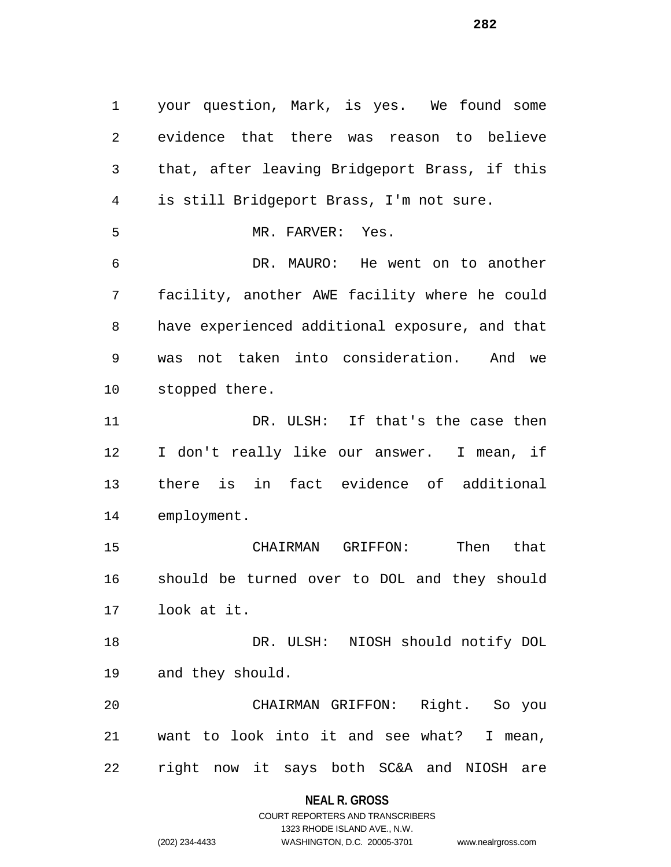your question, Mark, is yes. We found some evidence that there was reason to believe that, after leaving Bridgeport Brass, if this is still Bridgeport Brass, I'm not sure. MR. FARVER: Yes. DR. MAURO: He went on to another facility, another AWE facility where he could have experienced additional exposure, and that was not taken into consideration. And we stopped there. 11 DR. ULSH: If that's the case then I don't really like our answer. I mean, if there is in fact evidence of additional employment. CHAIRMAN GRIFFON: Then that should be turned over to DOL and they should look at it. DR. ULSH: NIOSH should notify DOL and they should. CHAIRMAN GRIFFON: Right. So you want to look into it and see what? I mean, right now it says both SC&A and NIOSH are

### **NEAL R. GROSS**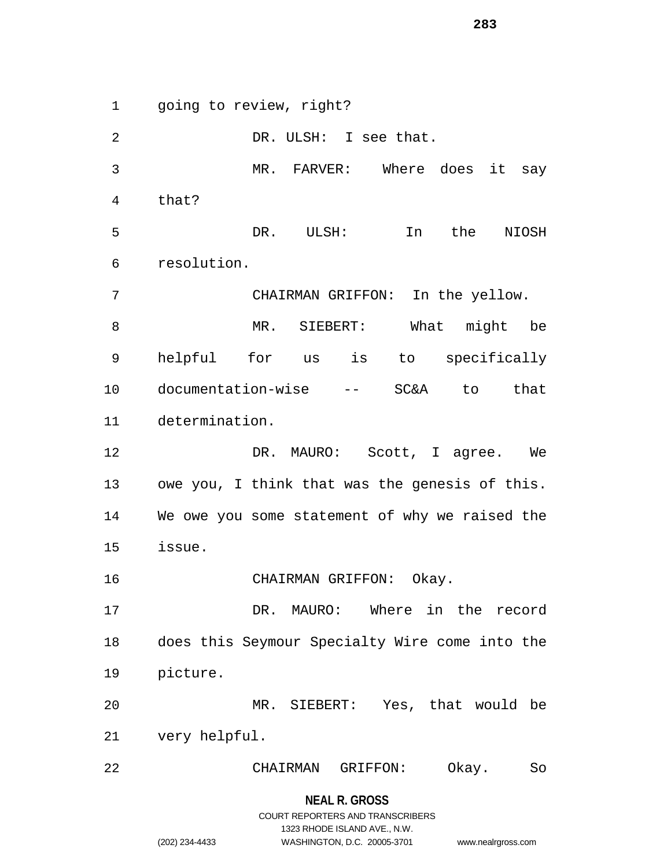going to review, right?

**NEAL R. GROSS** DR. ULSH: I see that. MR. FARVER: Where does it say that? DR. ULSH: In the NIOSH resolution. CHAIRMAN GRIFFON: In the yellow. MR. SIEBERT: What might be helpful for us is to specifically documentation-wise -- SC&A to that determination. 12 DR. MAURO: Scott, I agree. We owe you, I think that was the genesis of this. We owe you some statement of why we raised the issue. CHAIRMAN GRIFFON: Okay. DR. MAURO: Where in the record does this Seymour Specialty Wire come into the picture. MR. SIEBERT: Yes, that would be very helpful. CHAIRMAN GRIFFON: Okay. So

> COURT REPORTERS AND TRANSCRIBERS 1323 RHODE ISLAND AVE., N.W.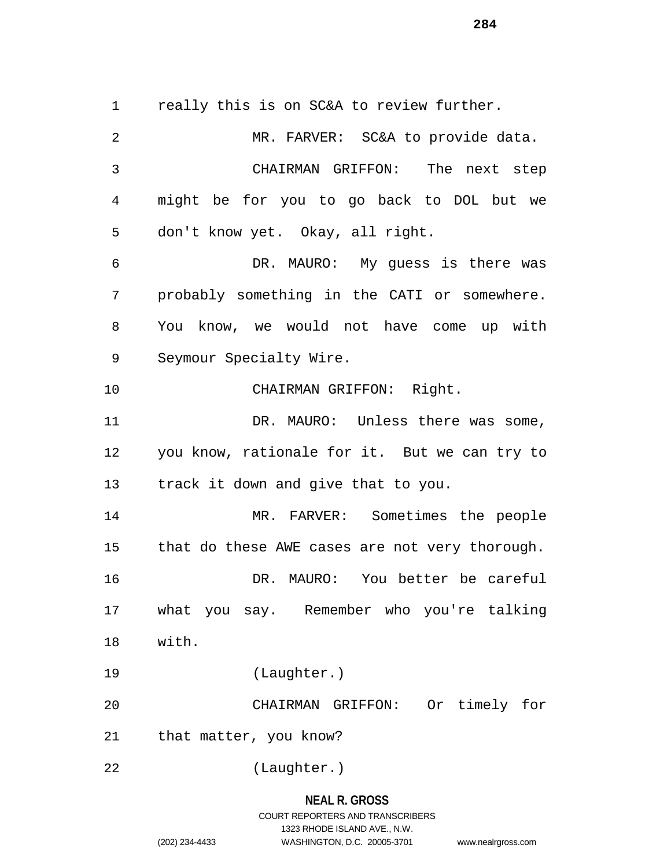1 really this is on SC&A to review further.

 MR. FARVER: SC&A to provide data. CHAIRMAN GRIFFON: The next step might be for you to go back to DOL but we don't know yet. Okay, all right. DR. MAURO: My guess is there was probably something in the CATI or somewhere. You know, we would not have come up with Seymour Specialty Wire. CHAIRMAN GRIFFON: Right. 11 DR. MAURO: Unless there was some, you know, rationale for it. But we can try to track it down and give that to you. MR. FARVER: Sometimes the people 15 that do these AWE cases are not very thorough. DR. MAURO: You better be careful what you say. Remember who you're talking with. (Laughter.) CHAIRMAN GRIFFON: Or timely for that matter, you know? (Laughter.)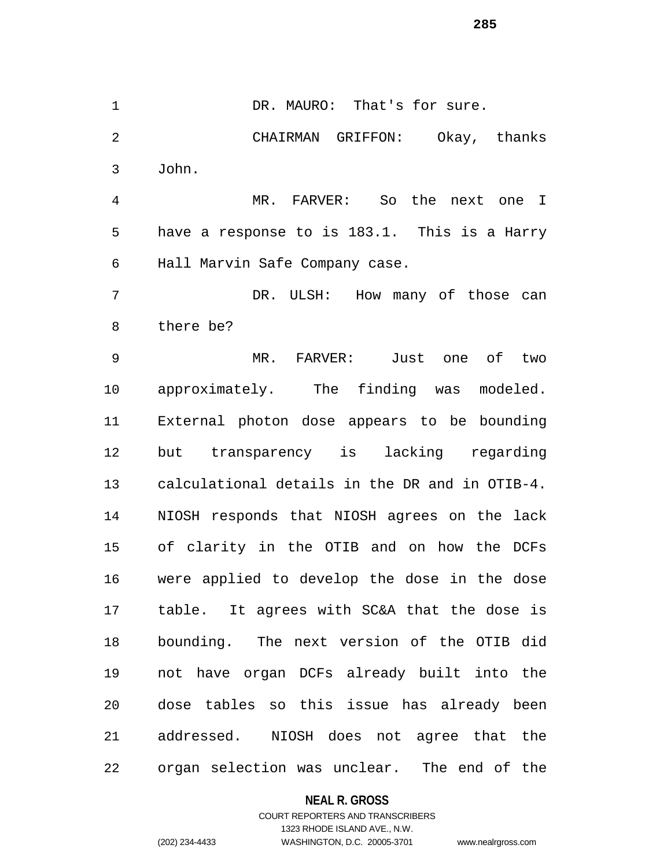1 DR. MAURO: That's for sure. CHAIRMAN GRIFFON: Okay, thanks John. MR. FARVER: So the next one I

 have a response to is 183.1. This is a Harry Hall Marvin Safe Company case.

 DR. ULSH: How many of those can there be?

 MR. FARVER: Just one of two approximately. The finding was modeled. External photon dose appears to be bounding but transparency is lacking regarding calculational details in the DR and in OTIB-4. NIOSH responds that NIOSH agrees on the lack of clarity in the OTIB and on how the DCFs were applied to develop the dose in the dose table. It agrees with SC&A that the dose is bounding. The next version of the OTIB did not have organ DCFs already built into the dose tables so this issue has already been addressed. NIOSH does not agree that the organ selection was unclear. The end of the

#### **NEAL R. GROSS**

# COURT REPORTERS AND TRANSCRIBERS 1323 RHODE ISLAND AVE., N.W. (202) 234-4433 WASHINGTON, D.C. 20005-3701 www.nealrgross.com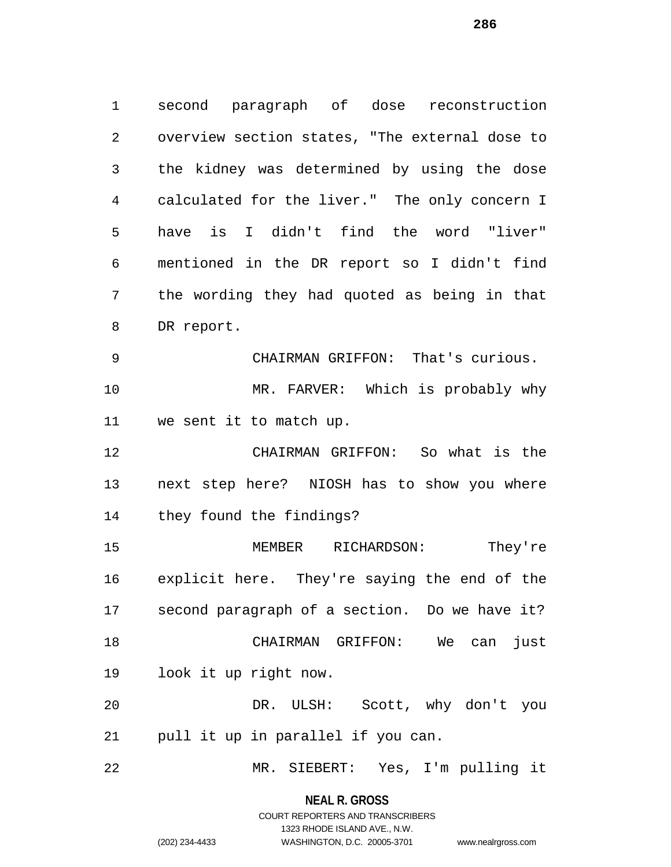second paragraph of dose reconstruction overview section states, "The external dose to the kidney was determined by using the dose calculated for the liver." The only concern I have is I didn't find the word "liver" mentioned in the DR report so I didn't find the wording they had quoted as being in that DR report. CHAIRMAN GRIFFON: That's curious. MR. FARVER: Which is probably why we sent it to match up. CHAIRMAN GRIFFON: So what is the next step here? NIOSH has to show you where they found the findings? MEMBER RICHARDSON: They're explicit here. They're saying the end of the second paragraph of a section. Do we have it? CHAIRMAN GRIFFON: We can just look it up right now. DR. ULSH: Scott, why don't you

pull it up in parallel if you can.

MR. SIEBERT: Yes, I'm pulling it

**NEAL R. GROSS**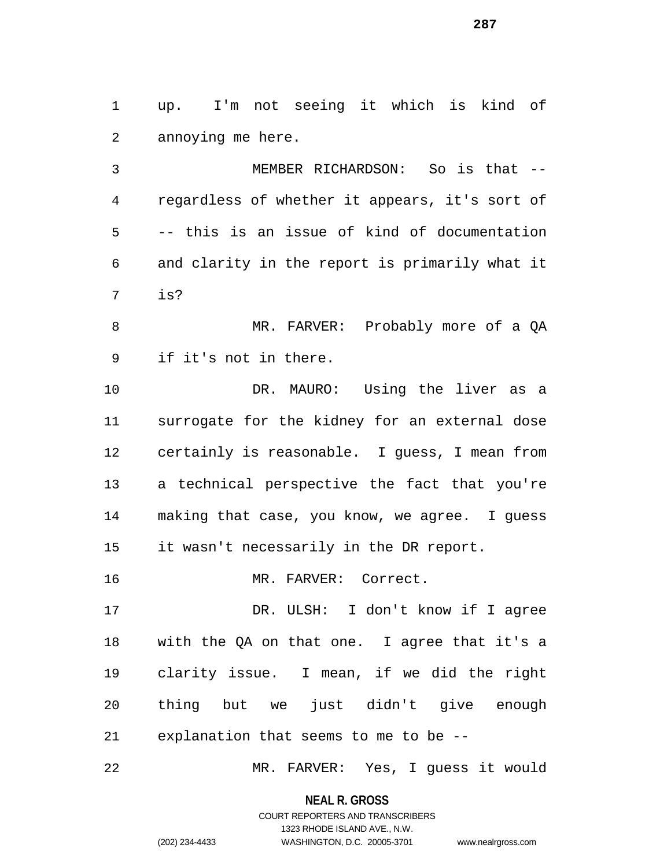up. I'm not seeing it which is kind of annoying me here.

 MEMBER RICHARDSON: So is that -- regardless of whether it appears, it's sort of -- this is an issue of kind of documentation and clarity in the report is primarily what it is?

8 MR. FARVER: Probably more of a OA if it's not in there.

 DR. MAURO: Using the liver as a surrogate for the kidney for an external dose certainly is reasonable. I guess, I mean from a technical perspective the fact that you're making that case, you know, we agree. I guess it wasn't necessarily in the DR report.

MR. FARVER: Correct.

 DR. ULSH: I don't know if I agree with the QA on that one. I agree that it's a clarity issue. I mean, if we did the right thing but we just didn't give enough explanation that seems to me to be --

MR. FARVER: Yes, I guess it would

**NEAL R. GROSS** COURT REPORTERS AND TRANSCRIBERS

1323 RHODE ISLAND AVE., N.W.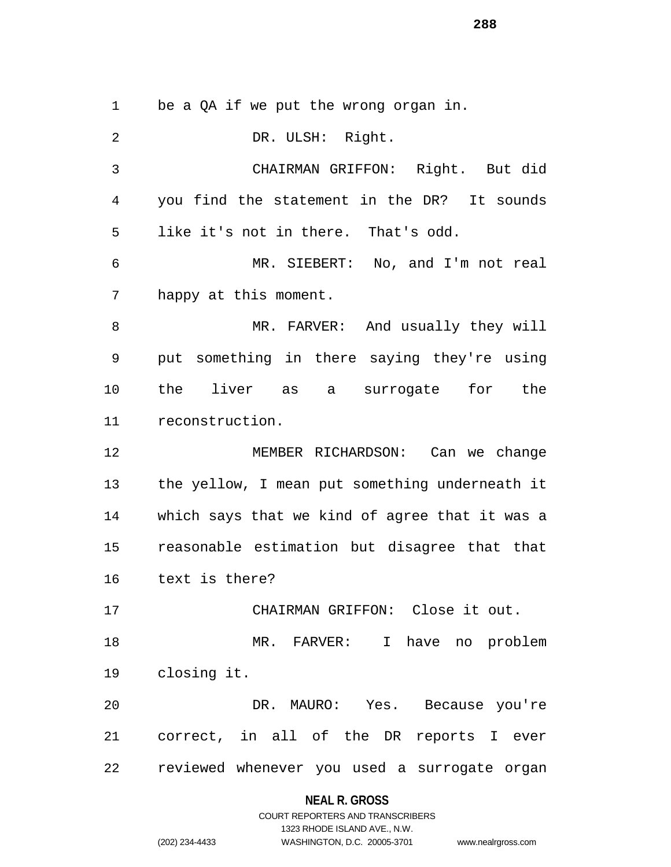be a QA if we put the wrong organ in.

 DR. ULSH: Right. CHAIRMAN GRIFFON: Right. But did you find the statement in the DR? It sounds like it's not in there. That's odd. MR. SIEBERT: No, and I'm not real happy at this moment. MR. FARVER: And usually they will put something in there saying they're using the liver as a surrogate for the reconstruction. MEMBER RICHARDSON: Can we change the yellow, I mean put something underneath it which says that we kind of agree that it was a reasonable estimation but disagree that that text is there? CHAIRMAN GRIFFON: Close it out. MR. FARVER: I have no problem closing it. DR. MAURO: Yes. Because you're correct, in all of the DR reports I ever reviewed whenever you used a surrogate organ

### **NEAL R. GROSS**

# COURT REPORTERS AND TRANSCRIBERS 1323 RHODE ISLAND AVE., N.W. (202) 234-4433 WASHINGTON, D.C. 20005-3701 www.nealrgross.com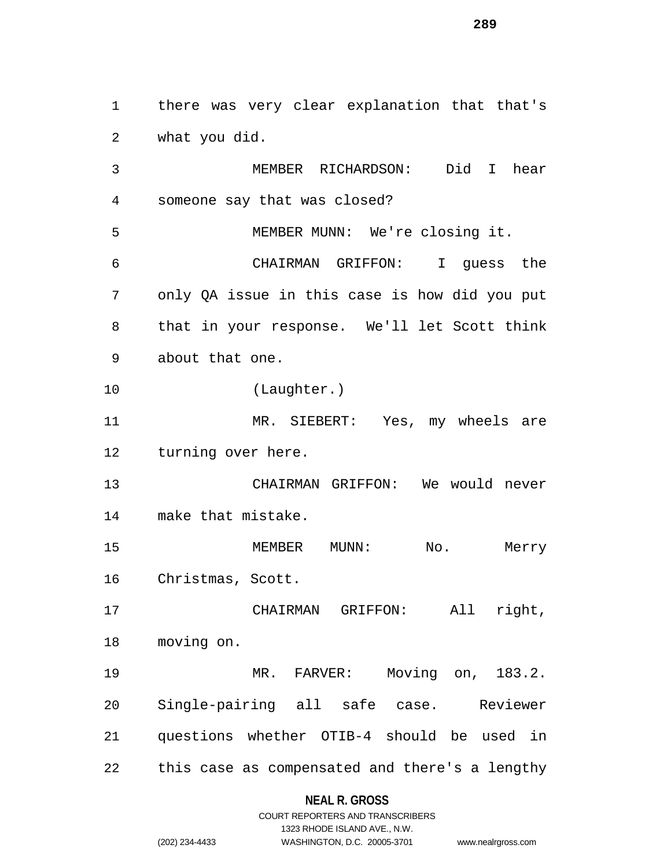there was very clear explanation that that's what you did.

 MEMBER RICHARDSON: Did I hear someone say that was closed? MEMBER MUNN: We're closing it. CHAIRMAN GRIFFON: I guess the only QA issue in this case is how did you put that in your response. We'll let Scott think about that one. (Laughter.) MR. SIEBERT: Yes, my wheels are turning over here. CHAIRMAN GRIFFON: We would never make that mistake. 15 MEMBER MUNN: No. Merry Christmas, Scott. CHAIRMAN GRIFFON: All right, moving on. MR. FARVER: Moving on, 183.2. Single-pairing all safe case. Reviewer questions whether OTIB-4 should be used in this case as compensated and there's a lengthy

#### **NEAL R. GROSS**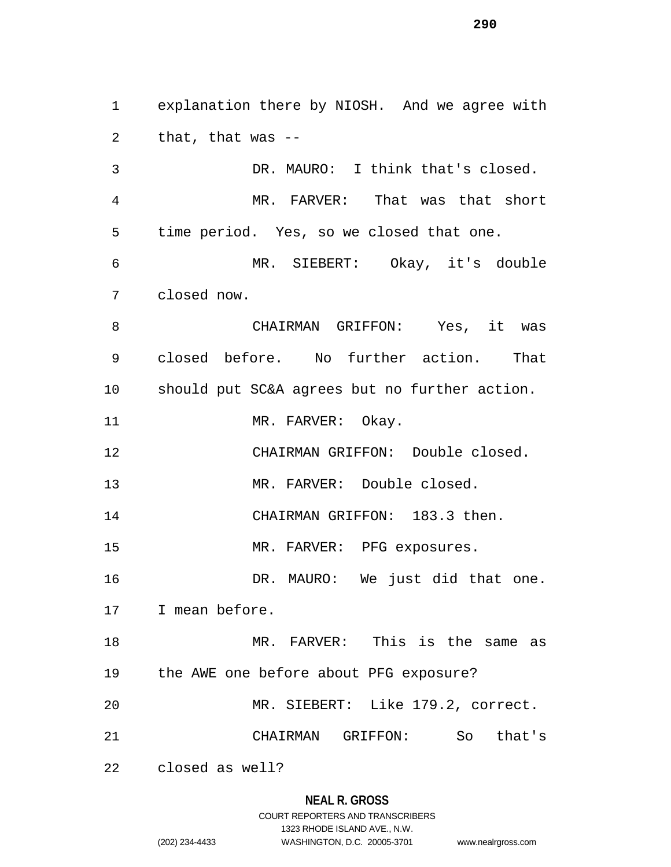explanation there by NIOSH. And we agree with that, that was -- DR. MAURO: I think that's closed. MR. FARVER: That was that short time period. Yes, so we closed that one. MR. SIEBERT: Okay, it's double closed now. CHAIRMAN GRIFFON: Yes, it was closed before. No further action. That should put SC&A agrees but no further action. 11 MR. FARVER: Okay. CHAIRMAN GRIFFON: Double closed. MR. FARVER: Double closed. CHAIRMAN GRIFFON: 183.3 then. MR. FARVER: PFG exposures. DR. MAURO: We just did that one. I mean before. MR. FARVER: This is the same as the AWE one before about PFG exposure? MR. SIEBERT: Like 179.2, correct. CHAIRMAN GRIFFON: So that's closed as well?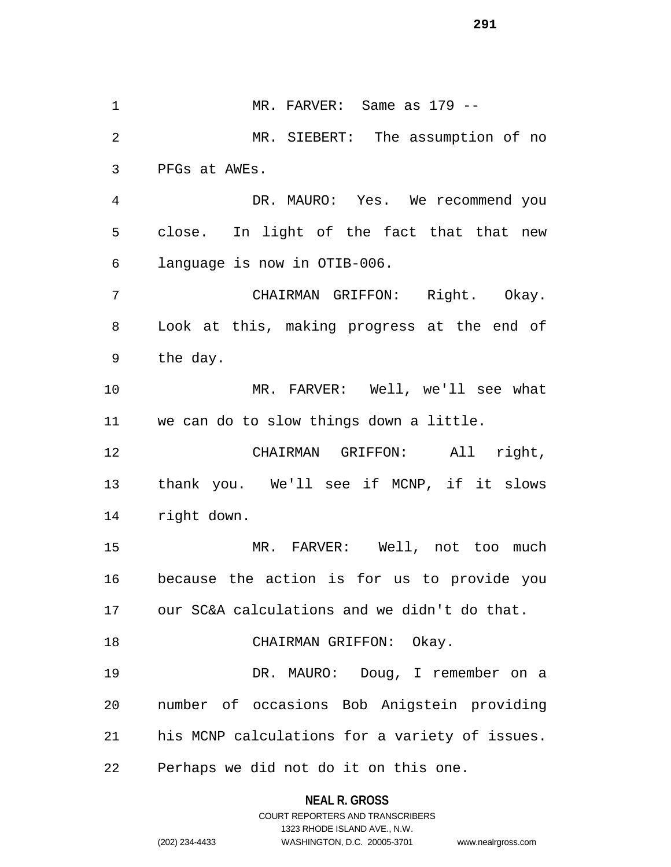MR. FARVER: Same as 179 -- MR. SIEBERT: The assumption of no PFGs at AWEs. DR. MAURO: Yes. We recommend you close. In light of the fact that that new language is now in OTIB-006. CHAIRMAN GRIFFON: Right. Okay. Look at this, making progress at the end of the day. MR. FARVER: Well, we'll see what we can do to slow things down a little. CHAIRMAN GRIFFON: All right, thank you. We'll see if MCNP, if it slows right down. MR. FARVER: Well, not too much because the action is for us to provide you our SC&A calculations and we didn't do that. 18 CHAIRMAN GRIFFON: Okay. DR. MAURO: Doug, I remember on a number of occasions Bob Anigstein providing his MCNP calculations for a variety of issues. Perhaps we did not do it on this one.

#### **NEAL R. GROSS**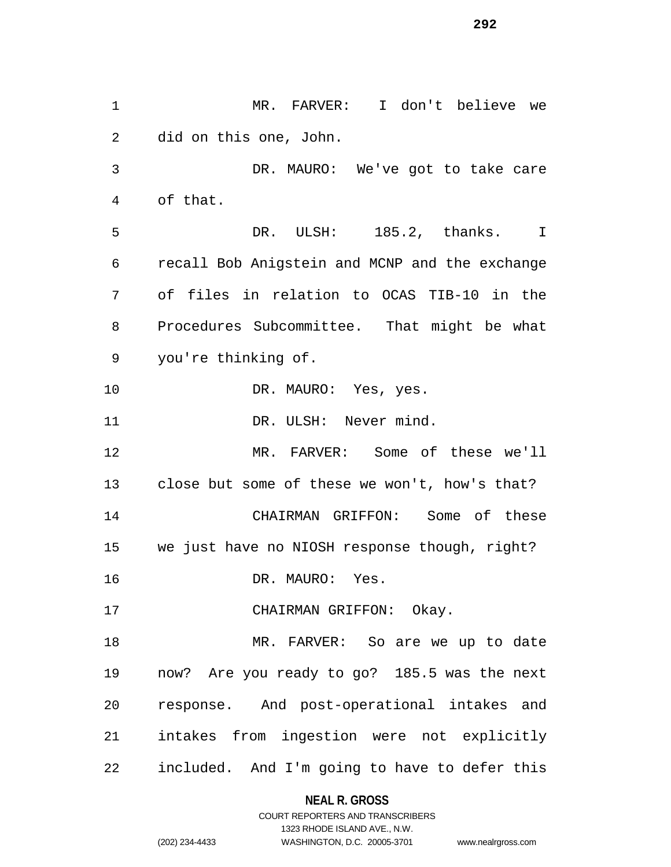MR. FARVER: I don't believe we did on this one, John. DR. MAURO: We've got to take care of that. DR. ULSH: 185.2, thanks. I recall Bob Anigstein and MCNP and the exchange of files in relation to OCAS TIB-10 in the Procedures Subcommittee. That might be what you're thinking of. 10 DR. MAURO: Yes, yes. 11 DR. ULSH: Never mind. MR. FARVER: Some of these we'll close but some of these we won't, how's that? CHAIRMAN GRIFFON: Some of these we just have no NIOSH response though, right? DR. MAURO: Yes. 17 CHAIRMAN GRIFFON: Okay. MR. FARVER: So are we up to date now? Are you ready to go? 185.5 was the next response. And post-operational intakes and intakes from ingestion were not explicitly included. And I'm going to have to defer this

# **NEAL R. GROSS**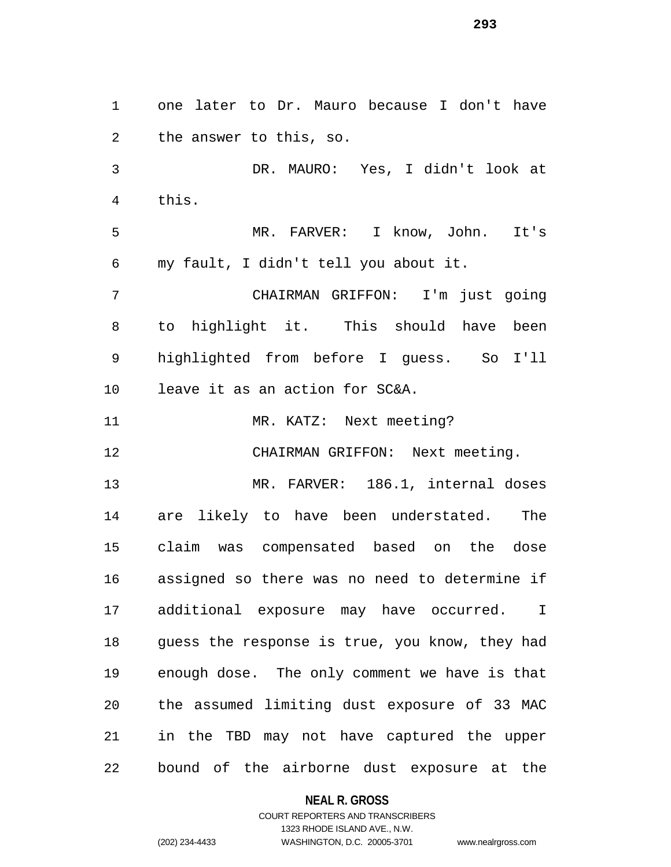one later to Dr. Mauro because I don't have the answer to this, so. DR. MAURO: Yes, I didn't look at this. MR. FARVER: I know, John. It's my fault, I didn't tell you about it. CHAIRMAN GRIFFON: I'm just going to highlight it. This should have been highlighted from before I guess. So I'll leave it as an action for SC&A. 11 MR. KATZ: Next meeting? CHAIRMAN GRIFFON: Next meeting. MR. FARVER: 186.1, internal doses are likely to have been understated. The claim was compensated based on the dose assigned so there was no need to determine if additional exposure may have occurred. I guess the response is true, you know, they had enough dose. The only comment we have is that the assumed limiting dust exposure of 33 MAC in the TBD may not have captured the upper bound of the airborne dust exposure at the

# **NEAL R. GROSS**

COURT REPORTERS AND TRANSCRIBERS 1323 RHODE ISLAND AVE., N.W. (202) 234-4433 WASHINGTON, D.C. 20005-3701 www.nealrgross.com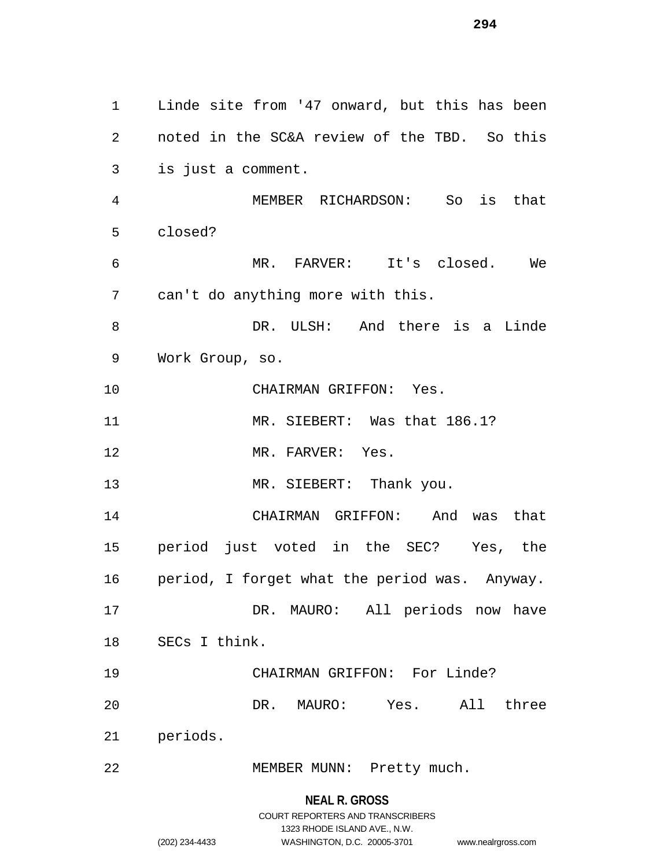Linde site from '47 onward, but this has been noted in the SC&A review of the TBD. So this is just a comment. MEMBER RICHARDSON: So is that closed? MR. FARVER: It's closed. We can't do anything more with this. DR. ULSH: And there is a Linde Work Group, so. CHAIRMAN GRIFFON: Yes. 11 MR. SIEBERT: Was that 186.1? 12 MR. FARVER: Yes. 13 MR. SIEBERT: Thank you. CHAIRMAN GRIFFON: And was that period just voted in the SEC? Yes, the period, I forget what the period was. Anyway. DR. MAURO: All periods now have SECs I think. CHAIRMAN GRIFFON: For Linde? DR. MAURO: Yes. All three periods. MEMBER MUNN: Pretty much.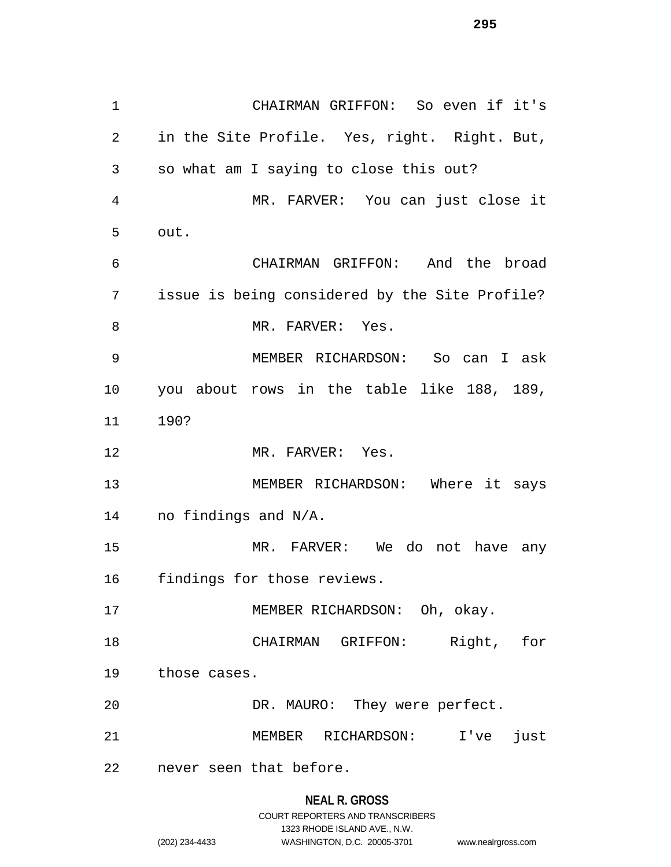CHAIRMAN GRIFFON: So even if it's in the Site Profile. Yes, right. Right. But, so what am I saying to close this out? MR. FARVER: You can just close it out. CHAIRMAN GRIFFON: And the broad issue is being considered by the Site Profile? 8 MR. FARVER: Yes. MEMBER RICHARDSON: So can I ask you about rows in the table like 188, 189, 190? 12 MR. FARVER: Yes. 13 MEMBER RICHARDSON: Where it says no findings and N/A. MR. FARVER: We do not have any findings for those reviews. 17 MEMBER RICHARDSON: Oh, okay. CHAIRMAN GRIFFON: Right, for those cases. DR. MAURO: They were perfect. MEMBER RICHARDSON: I've just never seen that before.

# **NEAL R. GROSS**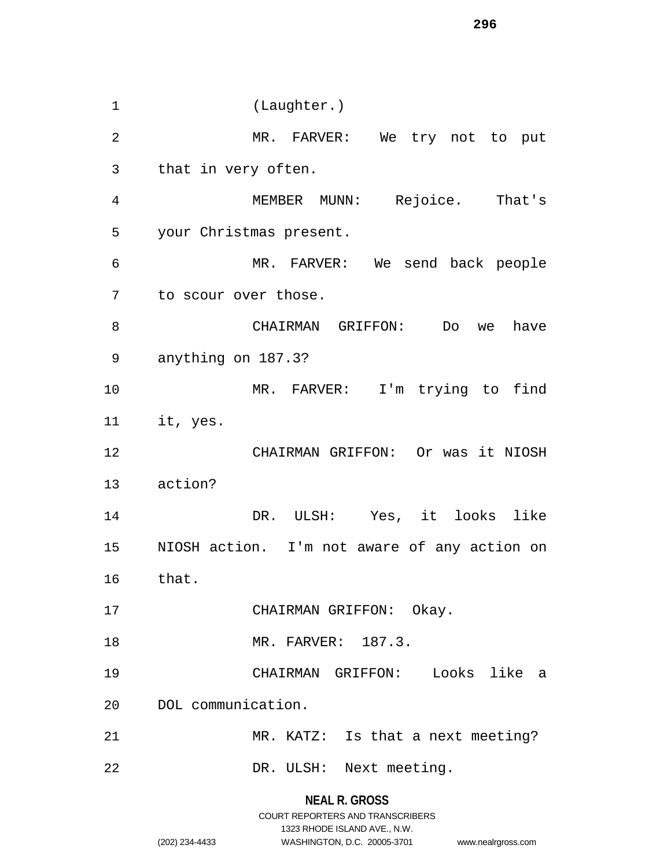**NEAL R. GROSS** (Laughter.) MR. FARVER: We try not to put that in very often. MEMBER MUNN: Rejoice. That's your Christmas present. MR. FARVER: We send back people to scour over those. CHAIRMAN GRIFFON: Do we have anything on 187.3? MR. FARVER: I'm trying to find it, yes. CHAIRMAN GRIFFON: Or was it NIOSH action? DR. ULSH: Yes, it looks like NIOSH action. I'm not aware of any action on that. 17 CHAIRMAN GRIFFON: Okay. MR. FARVER: 187.3. CHAIRMAN GRIFFON: Looks like a DOL communication. MR. KATZ: Is that a next meeting? DR. ULSH: Next meeting.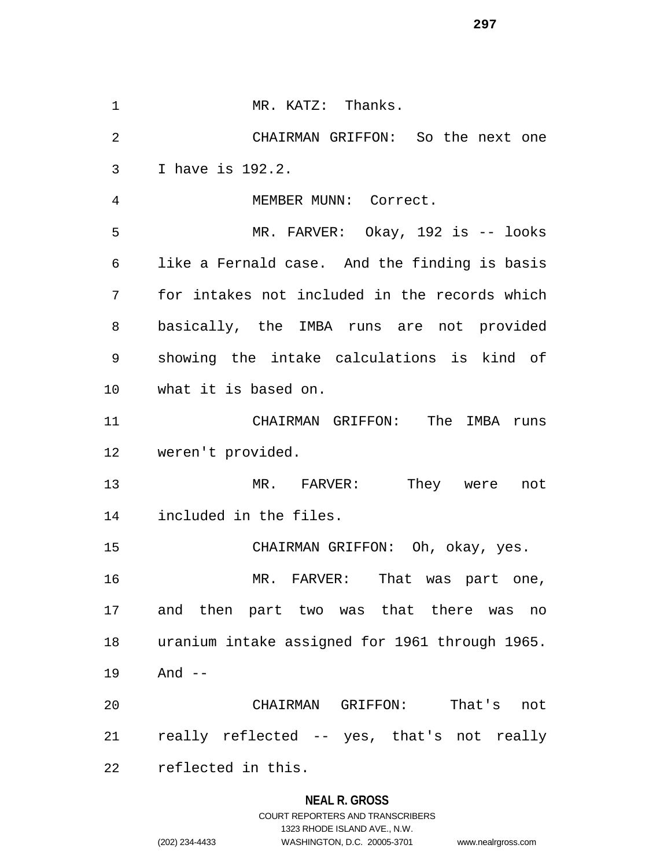1 MR. KATZ: Thanks. CHAIRMAN GRIFFON: So the next one I have is 192.2. MEMBER MUNN: Correct. MR. FARVER: Okay, 192 is -- looks like a Fernald case. And the finding is basis for intakes not included in the records which basically, the IMBA runs are not provided showing the intake calculations is kind of what it is based on. CHAIRMAN GRIFFON: The IMBA runs weren't provided. MR. FARVER: They were not included in the files. CHAIRMAN GRIFFON: Oh, okay, yes. MR. FARVER: That was part one, and then part two was that there was no uranium intake assigned for 1961 through 1965. And -- CHAIRMAN GRIFFON: That's not really reflected -- yes, that's not really reflected in this.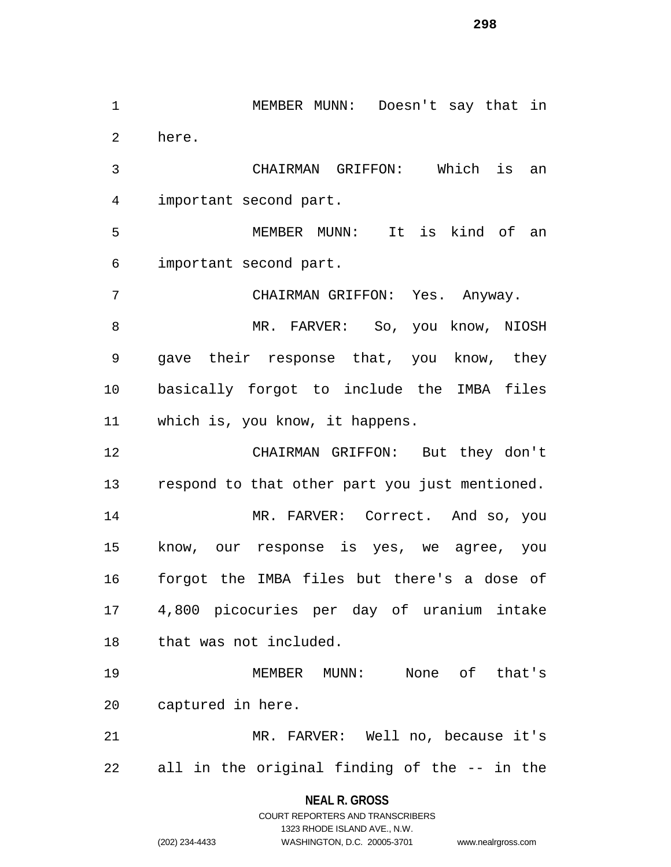MEMBER MUNN: Doesn't say that in here. CHAIRMAN GRIFFON: Which is an important second part. MEMBER MUNN: It is kind of an important second part. CHAIRMAN GRIFFON: Yes. Anyway. 8 MR. FARVER: So, you know, NIOSH gave their response that, you know, they basically forgot to include the IMBA files which is, you know, it happens. CHAIRMAN GRIFFON: But they don't respond to that other part you just mentioned. MR. FARVER: Correct. And so, you know, our response is yes, we agree, you forgot the IMBA files but there's a dose of 4,800 picocuries per day of uranium intake that was not included. MEMBER MUNN: None of that's captured in here. MR. FARVER: Well no, because it's all in the original finding of the -- in the

> **NEAL R. GROSS** COURT REPORTERS AND TRANSCRIBERS

> > 1323 RHODE ISLAND AVE., N.W.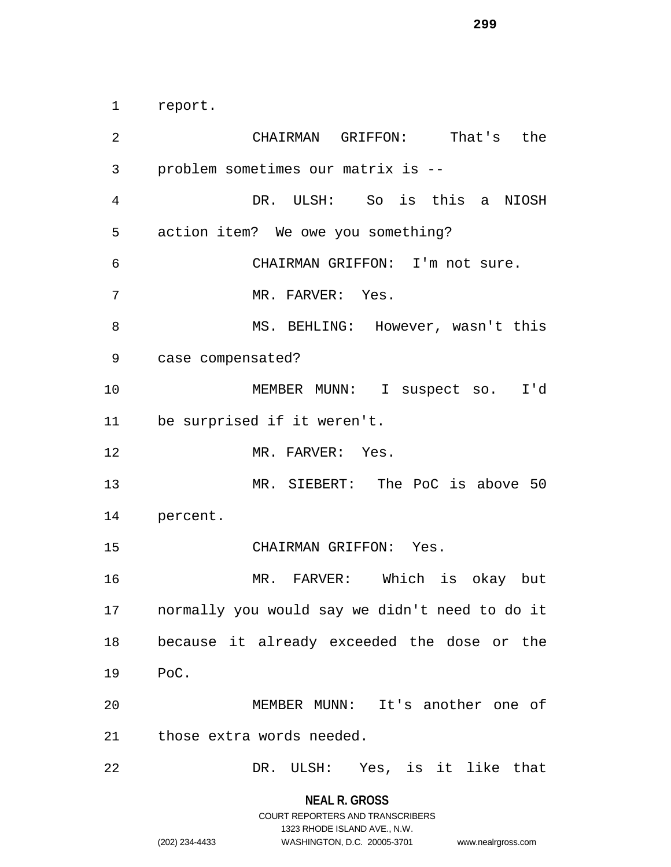report.

 CHAIRMAN GRIFFON: That's the problem sometimes our matrix is -- DR. ULSH: So is this a NIOSH action item? We owe you something? CHAIRMAN GRIFFON: I'm not sure. 7 MR. FARVER: Yes. MS. BEHLING: However, wasn't this case compensated? MEMBER MUNN: I suspect so. I'd be surprised if it weren't. 12 MR. FARVER: Yes. MR. SIEBERT: The PoC is above 50 percent. CHAIRMAN GRIFFON: Yes. MR. FARVER: Which is okay but normally you would say we didn't need to do it because it already exceeded the dose or the PoC. MEMBER MUNN: It's another one of those extra words needed. DR. ULSH: Yes, is it like that

> **NEAL R. GROSS** COURT REPORTERS AND TRANSCRIBERS

> > 1323 RHODE ISLAND AVE., N.W.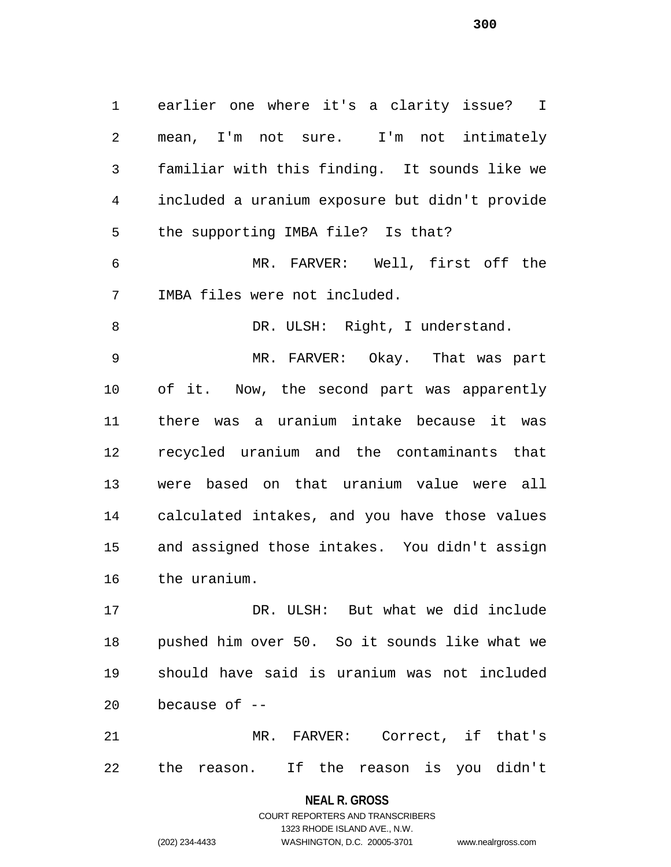earlier one where it's a clarity issue? I mean, I'm not sure. I'm not intimately familiar with this finding. It sounds like we included a uranium exposure but didn't provide the supporting IMBA file? Is that? MR. FARVER: Well, first off the IMBA files were not included.

8 DR. ULSH: Right, I understand.

 MR. FARVER: Okay. That was part of it. Now, the second part was apparently there was a uranium intake because it was recycled uranium and the contaminants that were based on that uranium value were all calculated intakes, and you have those values and assigned those intakes. You didn't assign the uranium.

 DR. ULSH: But what we did include pushed him over 50. So it sounds like what we should have said is uranium was not included because of --

 MR. FARVER: Correct, if that's the reason. If the reason is you didn't

> **NEAL R. GROSS** COURT REPORTERS AND TRANSCRIBERS

> > 1323 RHODE ISLAND AVE., N.W.

(202) 234-4433 WASHINGTON, D.C. 20005-3701 www.nealrgross.com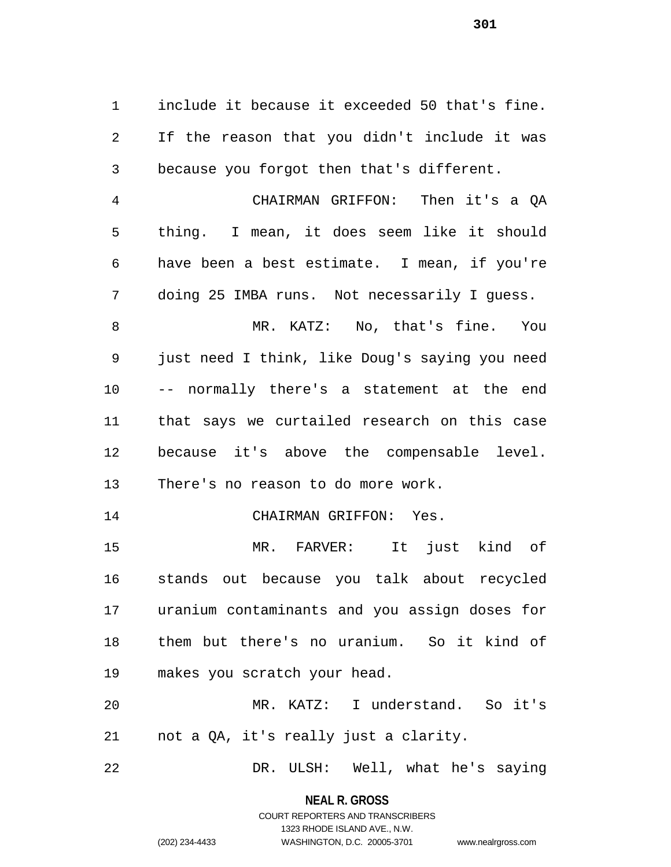include it because it exceeded 50 that's fine. If the reason that you didn't include it was because you forgot then that's different.

 CHAIRMAN GRIFFON: Then it's a QA thing. I mean, it does seem like it should have been a best estimate. I mean, if you're doing 25 IMBA runs. Not necessarily I guess.

 MR. KATZ: No, that's fine. You just need I think, like Doug's saying you need -- normally there's a statement at the end that says we curtailed research on this case because it's above the compensable level. There's no reason to do more work.

CHAIRMAN GRIFFON: Yes.

 MR. FARVER: It just kind of stands out because you talk about recycled uranium contaminants and you assign doses for them but there's no uranium. So it kind of makes you scratch your head.

 MR. KATZ: I understand. So it's not a QA, it's really just a clarity.

DR. ULSH: Well, what he's saying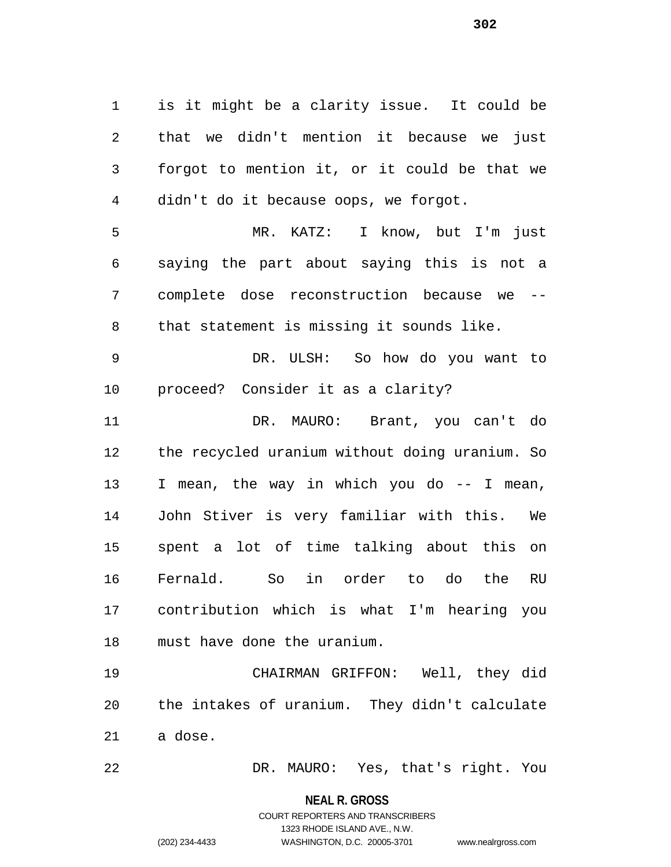is it might be a clarity issue. It could be that we didn't mention it because we just forgot to mention it, or it could be that we didn't do it because oops, we forgot. MR. KATZ: I know, but I'm just saying the part about saying this is not a complete dose reconstruction because we -- that statement is missing it sounds like.

 DR. ULSH: So how do you want to proceed? Consider it as a clarity?

 DR. MAURO: Brant, you can't do the recycled uranium without doing uranium. So I mean, the way in which you do -- I mean, John Stiver is very familiar with this. We spent a lot of time talking about this on Fernald. So in order to do the RU contribution which is what I'm hearing you must have done the uranium.

 CHAIRMAN GRIFFON: Well, they did the intakes of uranium. They didn't calculate a dose.

DR. MAURO: Yes, that's right. You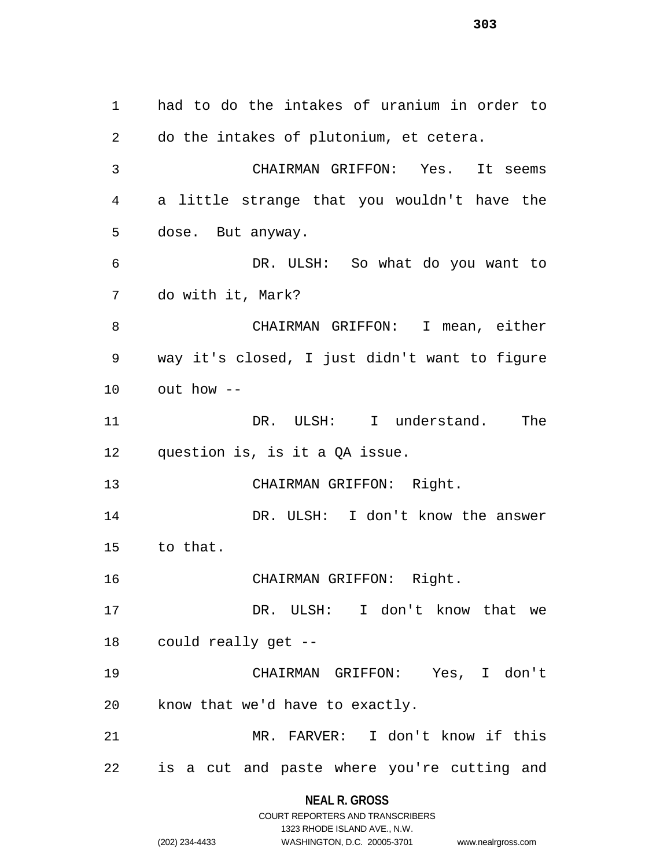had to do the intakes of uranium in order to do the intakes of plutonium, et cetera. CHAIRMAN GRIFFON: Yes. It seems a little strange that you wouldn't have the dose. But anyway. DR. ULSH: So what do you want to do with it, Mark? CHAIRMAN GRIFFON: I mean, either way it's closed, I just didn't want to figure out how -- DR. ULSH: I understand. The question is, is it a QA issue. CHAIRMAN GRIFFON: Right. DR. ULSH: I don't know the answer to that. CHAIRMAN GRIFFON: Right. DR. ULSH: I don't know that we could really get -- CHAIRMAN GRIFFON: Yes, I don't know that we'd have to exactly. MR. FARVER: I don't know if this is a cut and paste where you're cutting and

**NEAL R. GROSS**

|                | COURT REPORTERS AND TRANSCRIBERS |                    |
|----------------|----------------------------------|--------------------|
|                | 1323 RHODE ISLAND AVE N.W.       |                    |
| (202) 234-4433 | WASHINGTON, D.C. 20005-3701      | www.nealrgross.com |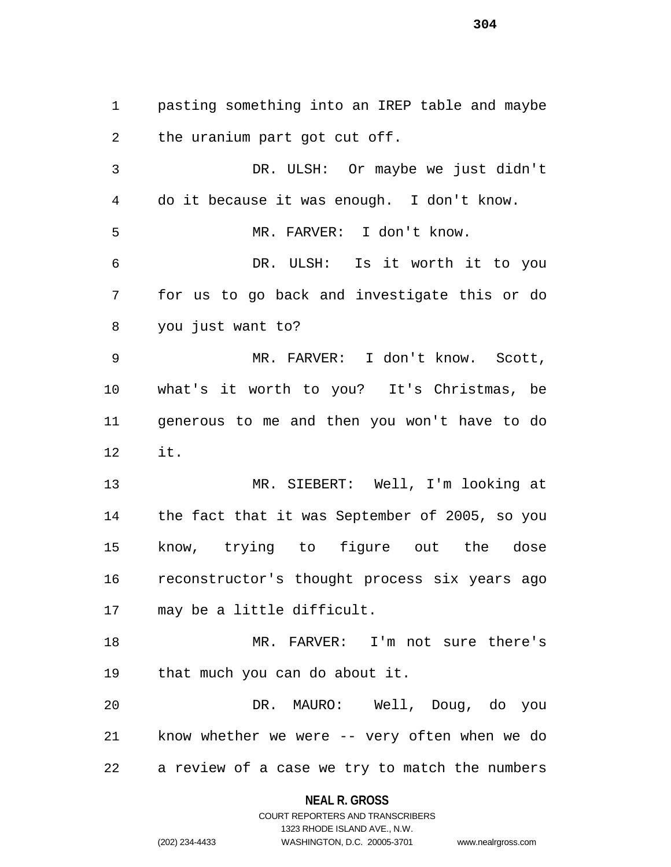pasting something into an IREP table and maybe the uranium part got cut off.

 DR. ULSH: Or maybe we just didn't do it because it was enough. I don't know. MR. FARVER: I don't know. DR. ULSH: Is it worth it to you for us to go back and investigate this or do you just want to? MR. FARVER: I don't know. Scott, what's it worth to you? It's Christmas, be generous to me and then you won't have to do it.

 MR. SIEBERT: Well, I'm looking at the fact that it was September of 2005, so you know, trying to figure out the dose reconstructor's thought process six years ago may be a little difficult.

 MR. FARVER: I'm not sure there's that much you can do about it.

 DR. MAURO: Well, Doug, do you know whether we were -- very often when we do a review of a case we try to match the numbers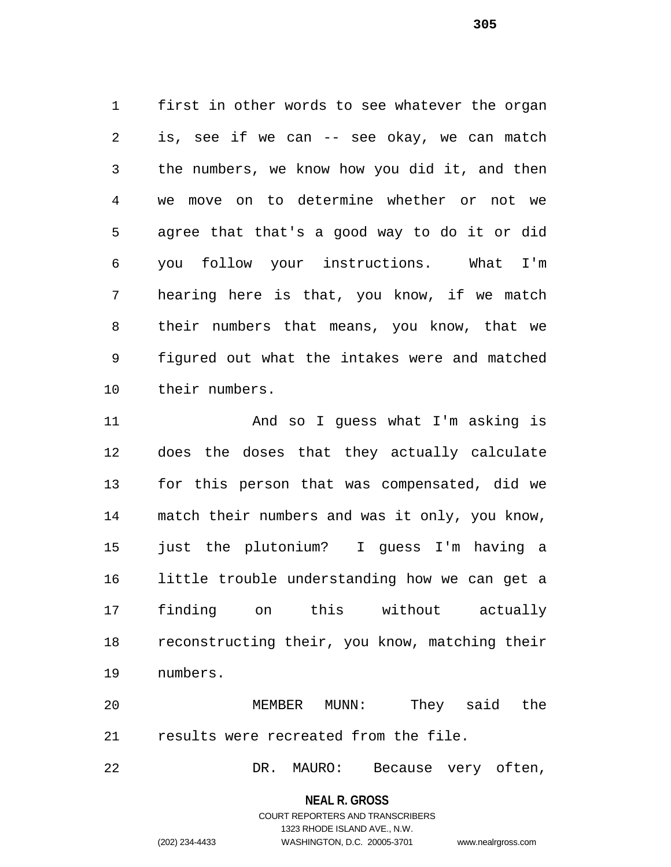first in other words to see whatever the organ is, see if we can -- see okay, we can match the numbers, we know how you did it, and then we move on to determine whether or not we agree that that's a good way to do it or did you follow your instructions. What I'm hearing here is that, you know, if we match their numbers that means, you know, that we figured out what the intakes were and matched their numbers.

 And so I guess what I'm asking is does the doses that they actually calculate for this person that was compensated, did we match their numbers and was it only, you know, just the plutonium? I guess I'm having a little trouble understanding how we can get a finding on this without actually reconstructing their, you know, matching their numbers.

 MEMBER MUNN: They said the results were recreated from the file.

DR. MAURO: Because very often,

**NEAL R. GROSS**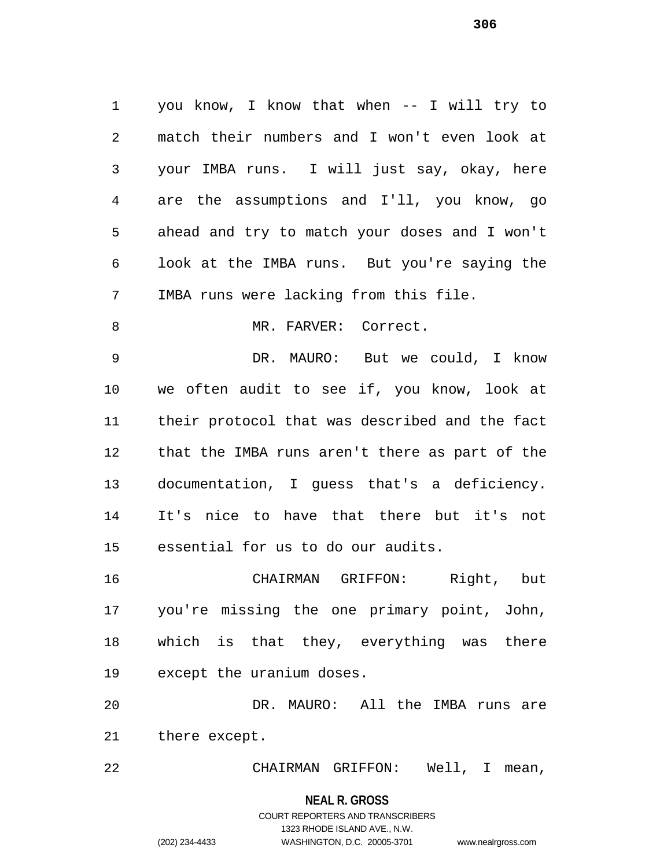you know, I know that when -- I will try to match their numbers and I won't even look at your IMBA runs. I will just say, okay, here are the assumptions and I'll, you know, go ahead and try to match your doses and I won't look at the IMBA runs. But you're saying the IMBA runs were lacking from this file. 8 MR. FARVER: Correct. DR. MAURO: But we could, I know we often audit to see if, you know, look at

 their protocol that was described and the fact that the IMBA runs aren't there as part of the documentation, I guess that's a deficiency. It's nice to have that there but it's not essential for us to do our audits.

 CHAIRMAN GRIFFON: Right, but you're missing the one primary point, John, which is that they, everything was there except the uranium doses.

 DR. MAURO: All the IMBA runs are there except.

CHAIRMAN GRIFFON: Well, I mean,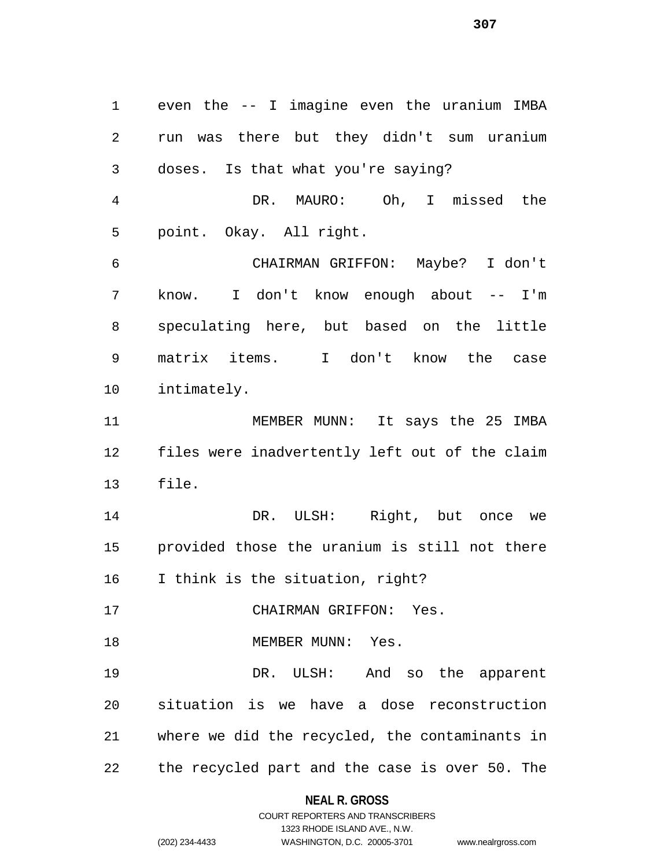even the -- I imagine even the uranium IMBA run was there but they didn't sum uranium doses. Is that what you're saying? DR. MAURO: Oh, I missed the point. Okay. All right. CHAIRMAN GRIFFON: Maybe? I don't know. I don't know enough about -- I'm speculating here, but based on the little matrix items. I don't know the case intimately. 11 MEMBER MUNN: It says the 25 IMBA files were inadvertently left out of the claim file. DR. ULSH: Right, but once we provided those the uranium is still not there I think is the situation, right? CHAIRMAN GRIFFON: Yes. 18 MEMBER MUNN: Yes. DR. ULSH: And so the apparent situation is we have a dose reconstruction where we did the recycled, the contaminants in the recycled part and the case is over 50. The

#### **NEAL R. GROSS**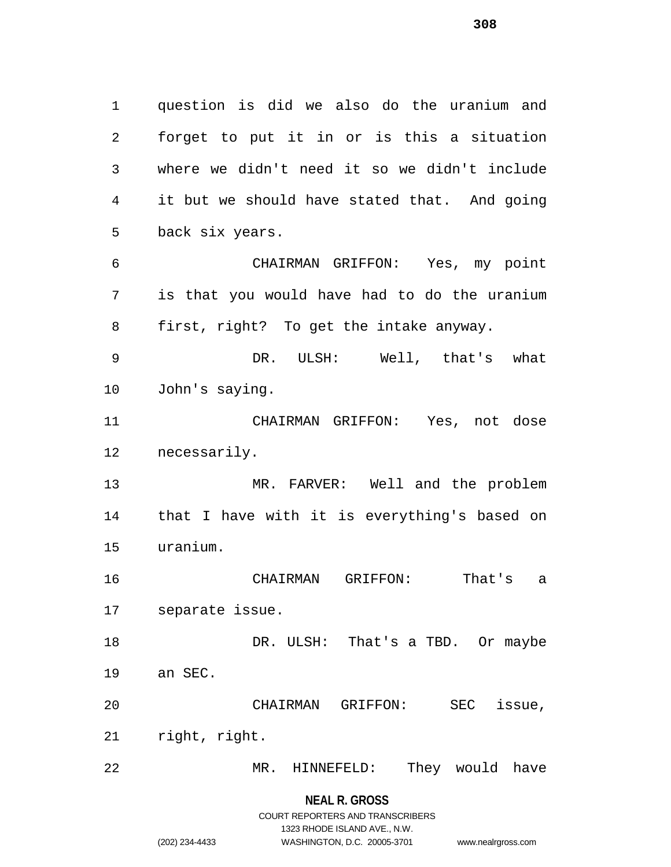question is did we also do the uranium and forget to put it in or is this a situation where we didn't need it so we didn't include it but we should have stated that. And going back six years. CHAIRMAN GRIFFON: Yes, my point is that you would have had to do the uranium first, right? To get the intake anyway. DR. ULSH: Well, that's what John's saying. CHAIRMAN GRIFFON: Yes, not dose necessarily. MR. FARVER: Well and the problem that I have with it is everything's based on uranium. CHAIRMAN GRIFFON: That's a separate issue.

18 DR. ULSH: That's a TBD. Or maybe an SEC.

CHAIRMAN GRIFFON: SEC issue,

right, right.

MR. HINNEFELD: They would have

**NEAL R. GROSS**

# COURT REPORTERS AND TRANSCRIBERS 1323 RHODE ISLAND AVE., N.W. (202) 234-4433 WASHINGTON, D.C. 20005-3701 www.nealrgross.com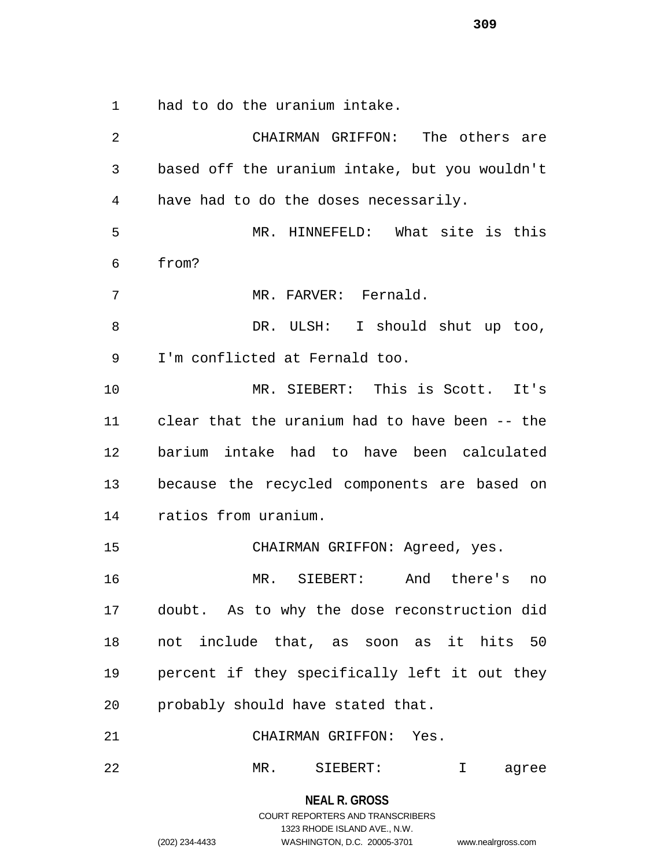had to do the uranium intake.

 CHAIRMAN GRIFFON: The others are based off the uranium intake, but you wouldn't have had to do the doses necessarily. MR. HINNEFELD: What site is this from? MR. FARVER: Fernald. DR. ULSH: I should shut up too, I'm conflicted at Fernald too. MR. SIEBERT: This is Scott. It's clear that the uranium had to have been -- the barium intake had to have been calculated because the recycled components are based on ratios from uranium. CHAIRMAN GRIFFON: Agreed, yes. MR. SIEBERT: And there's no doubt. As to why the dose reconstruction did not include that, as soon as it hits 50 percent if they specifically left it out they probably should have stated that. CHAIRMAN GRIFFON: Yes. MR. SIEBERT: I agree

> **NEAL R. GROSS** COURT REPORTERS AND TRANSCRIBERS 1323 RHODE ISLAND AVE., N.W. (202) 234-4433 WASHINGTON, D.C. 20005-3701 www.nealrgross.com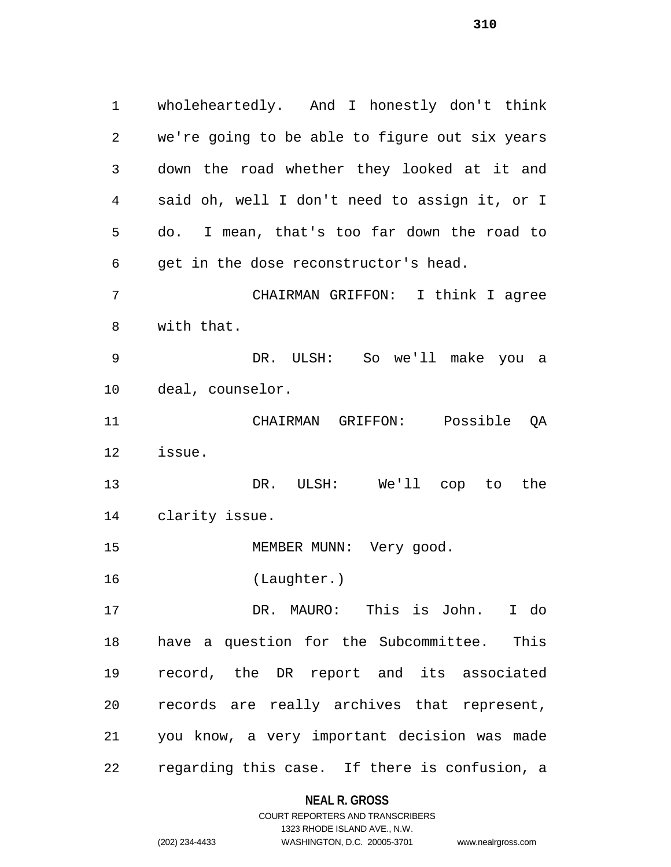wholeheartedly. And I honestly don't think we're going to be able to figure out six years down the road whether they looked at it and said oh, well I don't need to assign it, or I do. I mean, that's too far down the road to get in the dose reconstructor's head. CHAIRMAN GRIFFON: I think I agree with that. DR. ULSH: So we'll make you a deal, counselor. CHAIRMAN GRIFFON: Possible QA issue. DR. ULSH: We'll cop to the clarity issue. 15 MEMBER MUNN: Very good. (Laughter.) DR. MAURO: This is John. I do have a question for the Subcommittee. This record, the DR report and its associated records are really archives that represent, you know, a very important decision was made regarding this case. If there is confusion, a

#### **NEAL R. GROSS**

COURT REPORTERS AND TRANSCRIBERS 1323 RHODE ISLAND AVE., N.W. (202) 234-4433 WASHINGTON, D.C. 20005-3701 www.nealrgross.com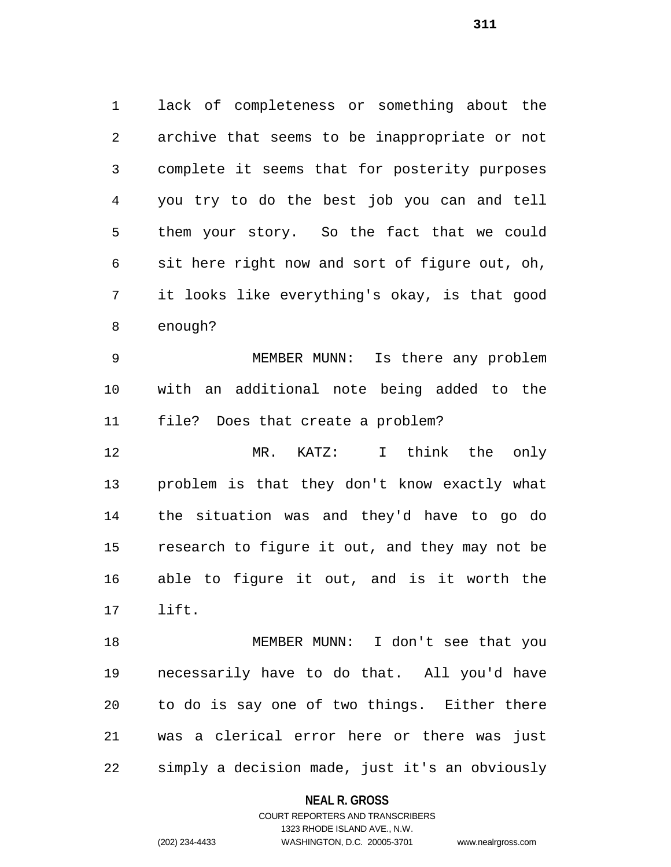lack of completeness or something about the archive that seems to be inappropriate or not complete it seems that for posterity purposes you try to do the best job you can and tell them your story. So the fact that we could sit here right now and sort of figure out, oh, it looks like everything's okay, is that good enough?

 MEMBER MUNN: Is there any problem with an additional note being added to the file? Does that create a problem?

 MR. KATZ: I think the only problem is that they don't know exactly what the situation was and they'd have to go do research to figure it out, and they may not be able to figure it out, and is it worth the lift.

 MEMBER MUNN: I don't see that you necessarily have to do that. All you'd have to do is say one of two things. Either there was a clerical error here or there was just simply a decision made, just it's an obviously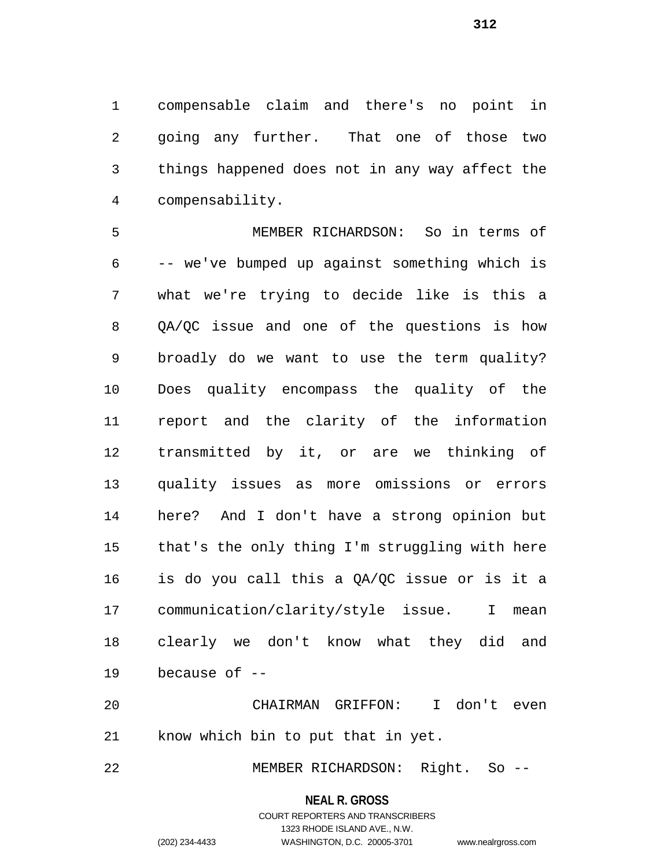compensable claim and there's no point in going any further. That one of those two things happened does not in any way affect the compensability.

 MEMBER RICHARDSON: So in terms of -- we've bumped up against something which is what we're trying to decide like is this a QA/QC issue and one of the questions is how broadly do we want to use the term quality? Does quality encompass the quality of the report and the clarity of the information transmitted by it, or are we thinking of quality issues as more omissions or errors here? And I don't have a strong opinion but that's the only thing I'm struggling with here is do you call this a QA/QC issue or is it a communication/clarity/style issue. I mean clearly we don't know what they did and because of --

 CHAIRMAN GRIFFON: I don't even know which bin to put that in yet.

22 MEMBER RICHARDSON: Right. So --

#### **NEAL R. GROSS**

# COURT REPORTERS AND TRANSCRIBERS 1323 RHODE ISLAND AVE., N.W. (202) 234-4433 WASHINGTON, D.C. 20005-3701 www.nealrgross.com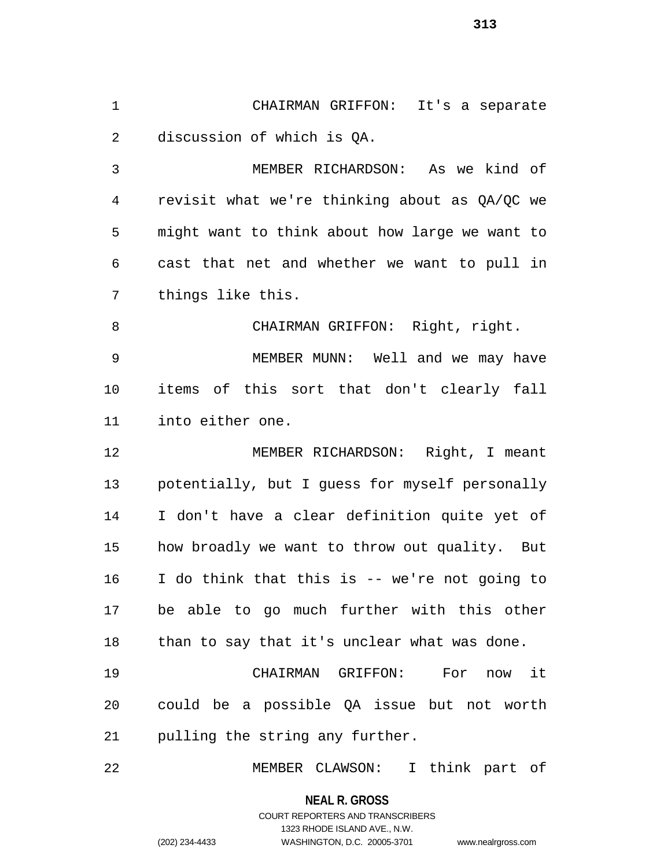CHAIRMAN GRIFFON: It's a separate discussion of which is QA.

 MEMBER RICHARDSON: As we kind of revisit what we're thinking about as QA/QC we might want to think about how large we want to cast that net and whether we want to pull in things like this.

8 CHAIRMAN GRIFFON: Right, right. MEMBER MUNN: Well and we may have items of this sort that don't clearly fall into either one.

 MEMBER RICHARDSON: Right, I meant potentially, but I guess for myself personally I don't have a clear definition quite yet of how broadly we want to throw out quality. But I do think that this is -- we're not going to be able to go much further with this other 18 than to say that it's unclear what was done.

 CHAIRMAN GRIFFON: For now it could be a possible QA issue but not worth pulling the string any further.

MEMBER CLAWSON: I think part of

**NEAL R. GROSS**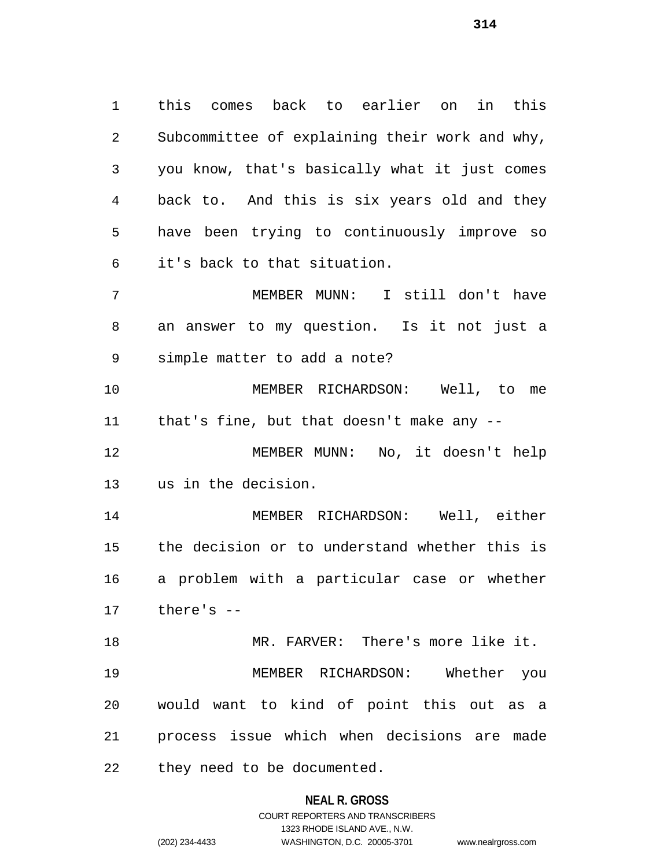this comes back to earlier on in this Subcommittee of explaining their work and why, you know, that's basically what it just comes back to. And this is six years old and they have been trying to continuously improve so it's back to that situation. MEMBER MUNN: I still don't have

 an answer to my question. Is it not just a simple matter to add a note?

 MEMBER RICHARDSON: Well, to me that's fine, but that doesn't make any --

 MEMBER MUNN: No, it doesn't help us in the decision.

 MEMBER RICHARDSON: Well, either the decision or to understand whether this is a problem with a particular case or whether there's --

 MR. FARVER: There's more like it. MEMBER RICHARDSON: Whether you would want to kind of point this out as a process issue which when decisions are made they need to be documented.

#### **NEAL R. GROSS**

# COURT REPORTERS AND TRANSCRIBERS 1323 RHODE ISLAND AVE., N.W. (202) 234-4433 WASHINGTON, D.C. 20005-3701 www.nealrgross.com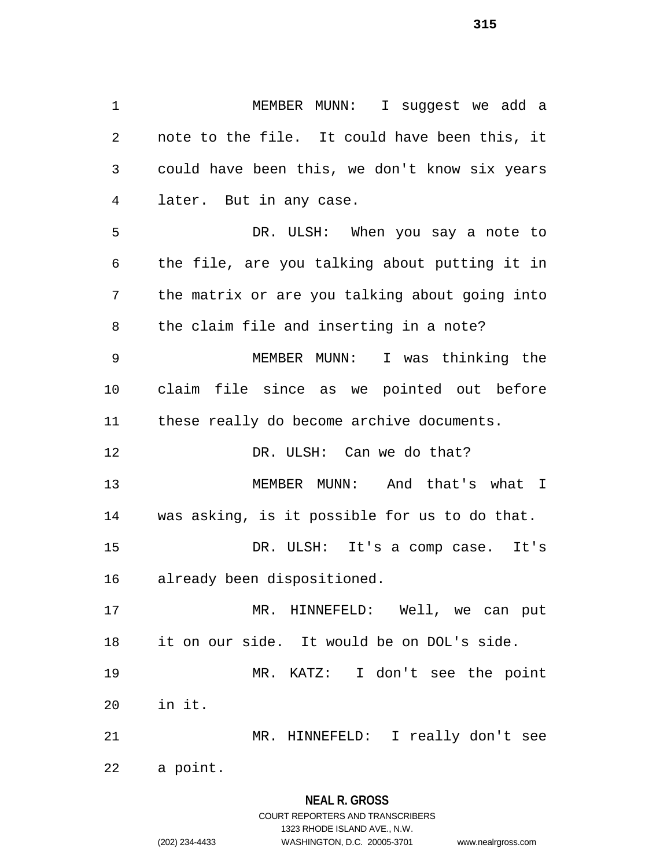MEMBER MUNN: I suggest we add a note to the file. It could have been this, it could have been this, we don't know six years later. But in any case. DR. ULSH: When you say a note to the file, are you talking about putting it in the matrix or are you talking about going into the claim file and inserting in a note? MEMBER MUNN: I was thinking the claim file since as we pointed out before these really do become archive documents. 12 DR. ULSH: Can we do that? MEMBER MUNN: And that's what I was asking, is it possible for us to do that. DR. ULSH: It's a comp case. It's already been dispositioned. MR. HINNEFELD: Well, we can put it on our side. It would be on DOL's side. MR. KATZ: I don't see the point in it. MR. HINNEFELD: I really don't see

a point.

#### **NEAL R. GROSS**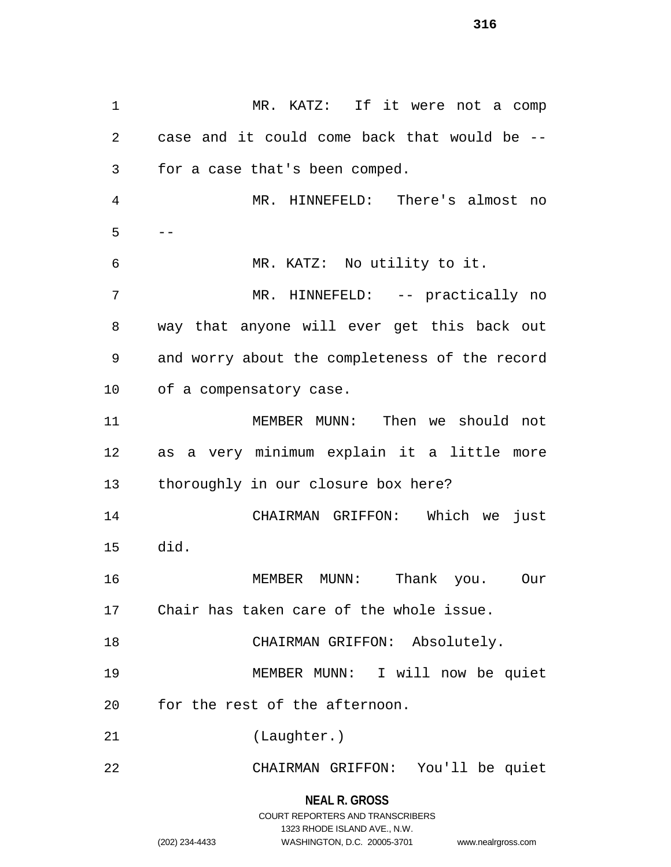MR. KATZ: If it were not a comp case and it could come back that would be -- for a case that's been comped. MR. HINNEFELD: There's almost no  $5 - -$  MR. KATZ: No utility to it. 7 MR. HINNEFELD: -- practically no way that anyone will ever get this back out and worry about the completeness of the record of a compensatory case. MEMBER MUNN: Then we should not as a very minimum explain it a little more thoroughly in our closure box here? CHAIRMAN GRIFFON: Which we just did. MEMBER MUNN: Thank you. Our Chair has taken care of the whole issue. CHAIRMAN GRIFFON: Absolutely. MEMBER MUNN: I will now be quiet for the rest of the afternoon. (Laughter.) CHAIRMAN GRIFFON: You'll be quiet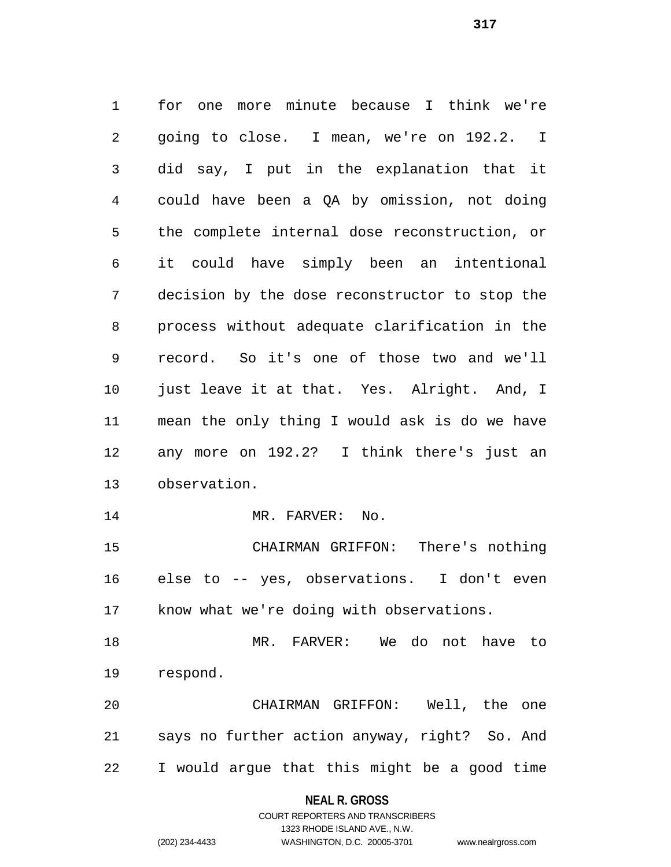for one more minute because I think we're going to close. I mean, we're on 192.2. I did say, I put in the explanation that it could have been a QA by omission, not doing the complete internal dose reconstruction, or it could have simply been an intentional decision by the dose reconstructor to stop the process without adequate clarification in the record. So it's one of those two and we'll just leave it at that. Yes. Alright. And, I mean the only thing I would ask is do we have any more on 192.2? I think there's just an observation. 14 MR. FARVER: No. CHAIRMAN GRIFFON: There's nothing else to -- yes, observations. I don't even know what we're doing with observations.

 MR. FARVER: We do not have to respond.

 CHAIRMAN GRIFFON: Well, the one says no further action anyway, right? So. And I would argue that this might be a good time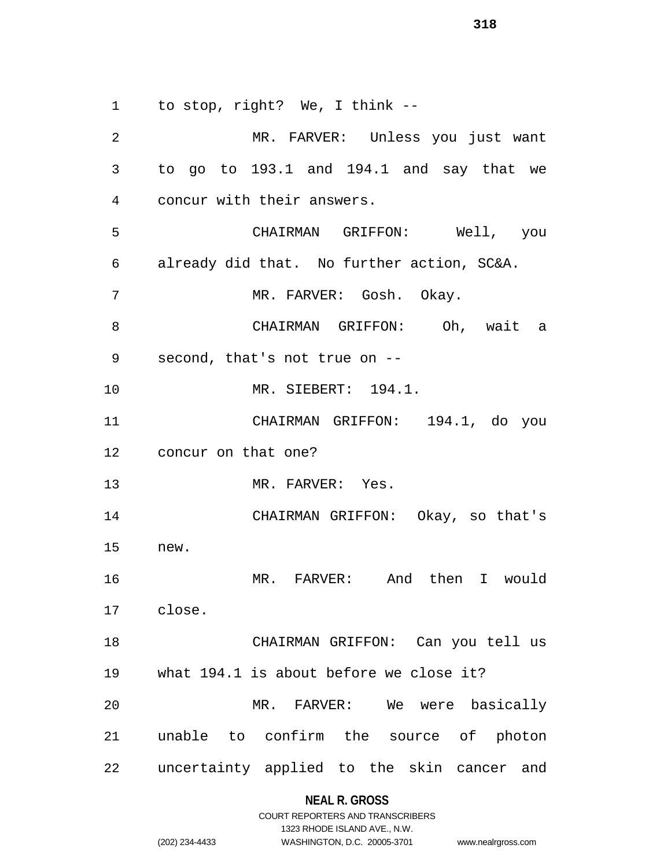to stop, right? We, I think --

 MR. FARVER: Unless you just want to go to 193.1 and 194.1 and say that we concur with their answers. CHAIRMAN GRIFFON: Well, you already did that. No further action, SC&A. MR. FARVER: Gosh. Okay. CHAIRMAN GRIFFON: Oh, wait a second, that's not true on -- MR. SIEBERT: 194.1. CHAIRMAN GRIFFON: 194.1, do you concur on that one? MR. FARVER: Yes. CHAIRMAN GRIFFON: Okay, so that's new. MR. FARVER: And then I would close. CHAIRMAN GRIFFON: Can you tell us what 194.1 is about before we close it? MR. FARVER: We were basically unable to confirm the source of photon uncertainty applied to the skin cancer and

#### **NEAL R. GROSS**

|                | COURT REPORTERS AND TRANSCRIBERS |                    |
|----------------|----------------------------------|--------------------|
|                | 1323 RHODE ISLAND AVE., N.W.     |                    |
| (202) 234-4433 | WASHINGTON, D.C. 20005-3701      | www.nealrgross.com |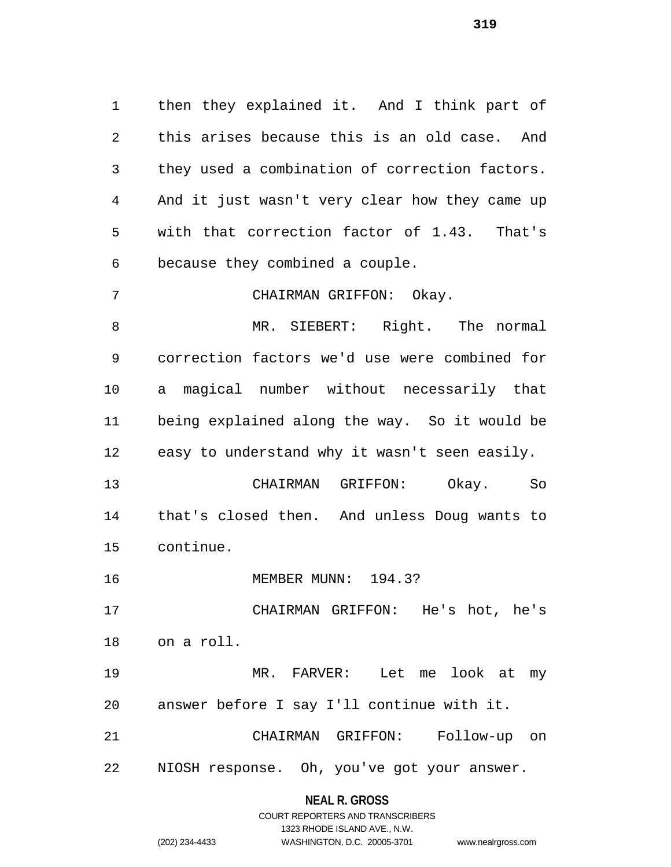then they explained it. And I think part of this arises because this is an old case. And they used a combination of correction factors. And it just wasn't very clear how they came up with that correction factor of 1.43. That's because they combined a couple.

CHAIRMAN GRIFFON: Okay.

 MR. SIEBERT: Right. The normal correction factors we'd use were combined for a magical number without necessarily that being explained along the way. So it would be easy to understand why it wasn't seen easily.

 CHAIRMAN GRIFFON: Okay. So that's closed then. And unless Doug wants to continue.

MEMBER MUNN: 194.3?

 CHAIRMAN GRIFFON: He's hot, he's on a roll.

 MR. FARVER: Let me look at my answer before I say I'll continue with it.

 CHAIRMAN GRIFFON: Follow-up on NIOSH response. Oh, you've got your answer.

|                | COURT REPORTERS AND TRANSCRIBERS |                    |
|----------------|----------------------------------|--------------------|
|                | 1323 RHODE ISLAND AVE N.W.       |                    |
| (202) 234-4433 | WASHINGTON, D.C. 20005-3701      | www.nealrgross.com |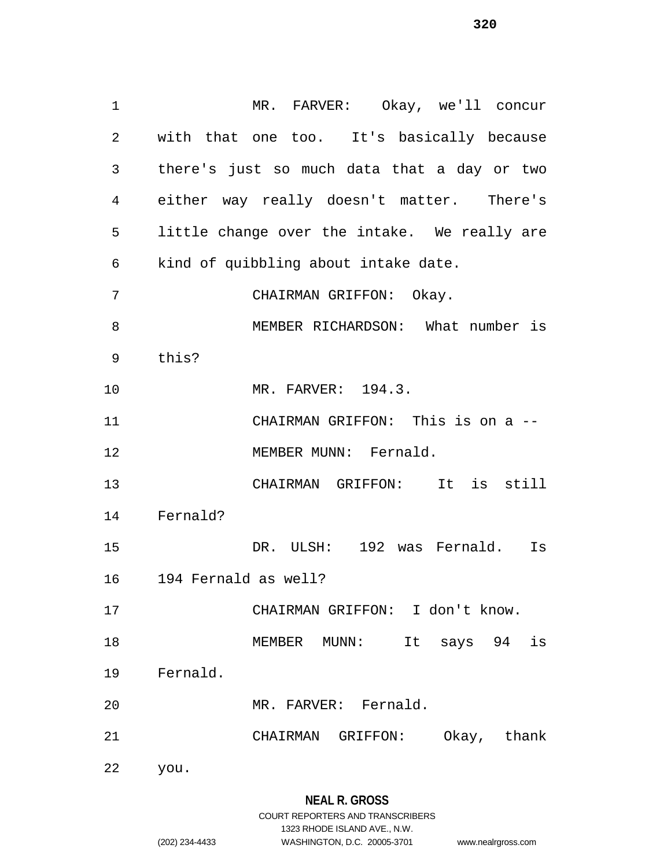MR. FARVER: Okay, we'll concur with that one too. It's basically because there's just so much data that a day or two either way really doesn't matter. There's little change over the intake. We really are kind of quibbling about intake date. CHAIRMAN GRIFFON: Okay. MEMBER RICHARDSON: What number is this? MR. FARVER: 194.3. CHAIRMAN GRIFFON: This is on a -- 12 MEMBER MUNN: Fernald. CHAIRMAN GRIFFON: It is still Fernald? DR. ULSH: 192 was Fernald. Is 194 Fernald as well? CHAIRMAN GRIFFON: I don't know. MEMBER MUNN: It says 94 is Fernald. MR. FARVER: Fernald. CHAIRMAN GRIFFON: Okay, thank you.

(202) 234-4433 WASHINGTON, D.C. 20005-3701 www.nealrgross.com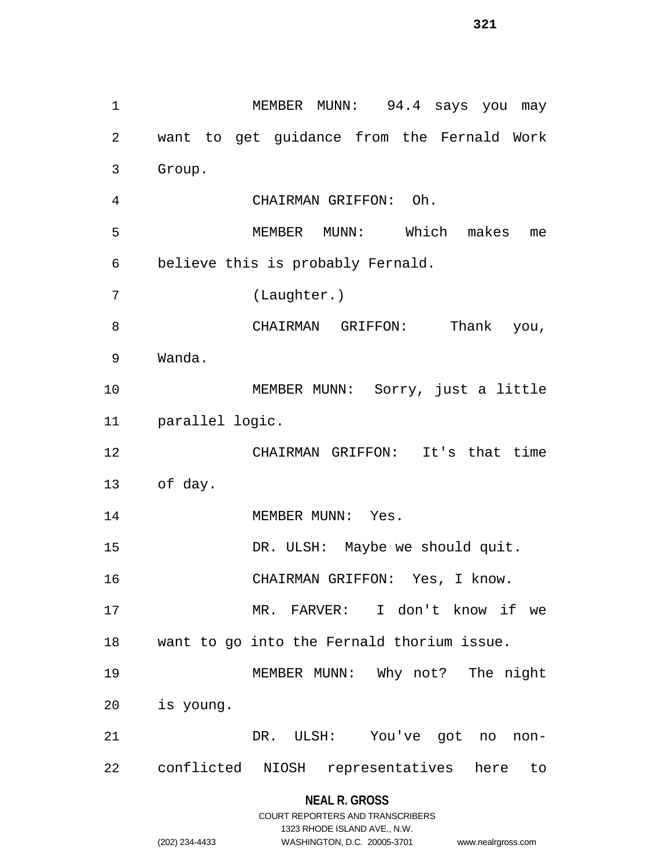1 MEMBER MUNN: 94.4 says you may want to get guidance from the Fernald Work Group. CHAIRMAN GRIFFON: Oh. MEMBER MUNN: Which makes me believe this is probably Fernald. (Laughter.) CHAIRMAN GRIFFON: Thank you, Wanda. MEMBER MUNN: Sorry, just a little parallel logic. CHAIRMAN GRIFFON: It's that time of day. 14 MEMBER MUNN: Yes. 15 DR. ULSH: Maybe we should quit. CHAIRMAN GRIFFON: Yes, I know. MR. FARVER: I don't know if we want to go into the Fernald thorium issue. MEMBER MUNN: Why not? The night is young. DR. ULSH: You've got no non-conflicted NIOSH representatives here to

#### **NEAL R. GROSS**

|                | COURT REPORTERS AND TRANSCRIBERS |                    |
|----------------|----------------------------------|--------------------|
|                | 1323 RHODE ISLAND AVE N.W.       |                    |
| (202) 234-4433 | WASHINGTON, D.C. 20005-3701      | www.nealrgross.com |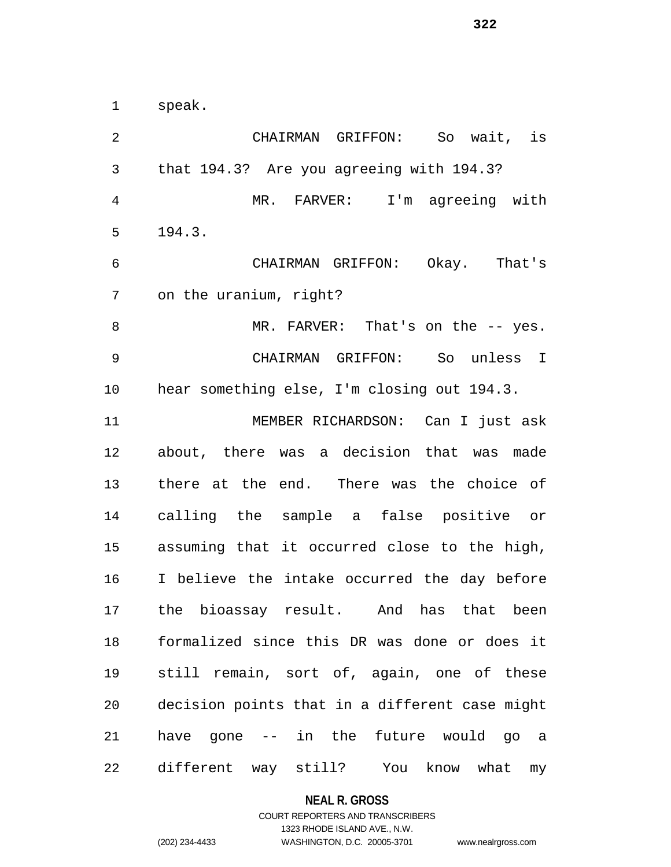speak.

 CHAIRMAN GRIFFON: So wait, is that 194.3? Are you agreeing with 194.3? MR. FARVER: I'm agreeing with 194.3. CHAIRMAN GRIFFON: Okay. That's on the uranium, right? 8 MR. FARVER: That's on the -- yes. CHAIRMAN GRIFFON: So unless I hear something else, I'm closing out 194.3. MEMBER RICHARDSON: Can I just ask about, there was a decision that was made there at the end. There was the choice of calling the sample a false positive or assuming that it occurred close to the high, I believe the intake occurred the day before the bioassay result. And has that been formalized since this DR was done or does it still remain, sort of, again, one of these decision points that in a different case might have gone -- in the future would go a different way still? You know what my

#### **NEAL R. GROSS**

# COURT REPORTERS AND TRANSCRIBERS 1323 RHODE ISLAND AVE., N.W. (202) 234-4433 WASHINGTON, D.C. 20005-3701 www.nealrgross.com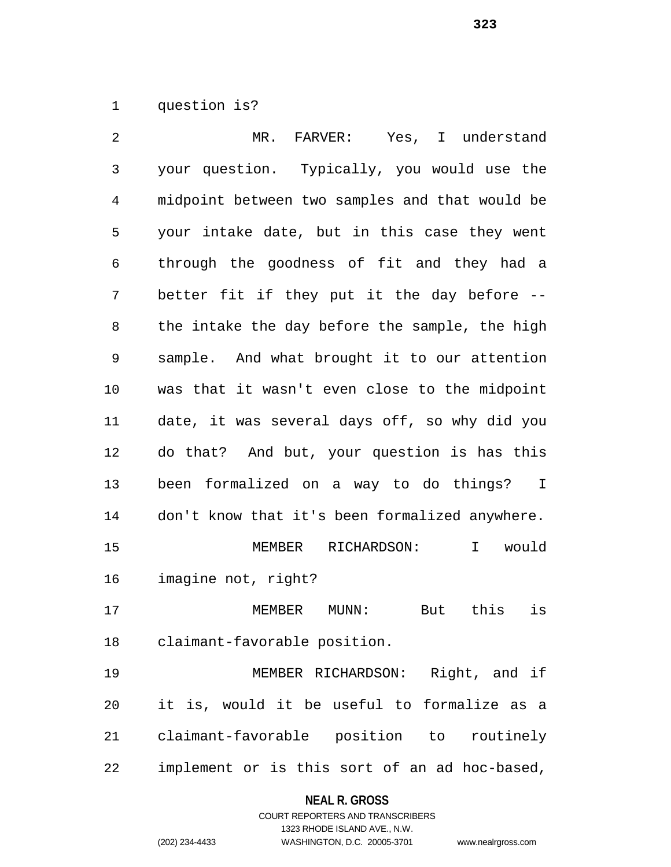question is?

| 2              | MR.<br>FARVER: Yes, I understand               |
|----------------|------------------------------------------------|
| $\mathfrak{Z}$ | your question. Typically, you would use the    |
| $\overline{4}$ | midpoint between two samples and that would be |
| 5              | your intake date, but in this case they went   |
| 6              | through the goodness of fit and they had a     |
| 7              | better fit if they put it the day before --    |
| 8              | the intake the day before the sample, the high |
| 9              | sample. And what brought it to our attention   |
| 10             | was that it wasn't even close to the midpoint  |
| 11             | date, it was several days off, so why did you  |
| 12             | do that? And but, your question is has this    |
| 13             | been formalized on a way to do things? I       |
| 14             | don't know that it's been formalized anywhere. |
| 15             | I would<br>MEMBER RICHARDSON:                  |
| 16             | imagine not, right?                            |
| 17             | is<br>MEMBER<br>this<br>MUNN:<br>But           |
| 18             | claimant-favorable position.                   |
| 19             | Right, and if<br>MEMBER RICHARDSON:            |
| 20             | it is, would it be useful to formalize as a    |
| 21             | claimant-favorable position to routinely       |
| 22             | implement or is this sort of an ad hoc-based,  |

**NEAL R. GROSS**

# COURT REPORTERS AND TRANSCRIBERS 1323 RHODE ISLAND AVE., N.W. (202) 234-4433 WASHINGTON, D.C. 20005-3701 www.nealrgross.com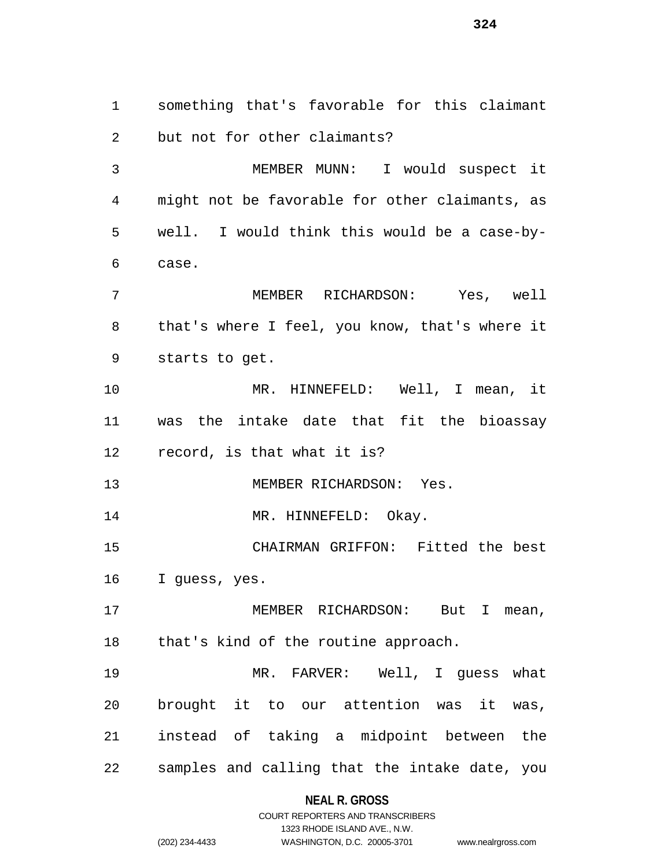something that's favorable for this claimant but not for other claimants? MEMBER MUNN: I would suspect it might not be favorable for other claimants, as well. I would think this would be a case-by- case. MEMBER RICHARDSON: Yes, well that's where I feel, you know, that's where it starts to get. MR. HINNEFELD: Well, I mean, it was the intake date that fit the bioassay record, is that what it is? 13 MEMBER RICHARDSON: Yes. 14 MR. HINNEFELD: Okay. CHAIRMAN GRIFFON: Fitted the best I guess, yes. MEMBER RICHARDSON: But I mean, that's kind of the routine approach. MR. FARVER: Well, I guess what brought it to our attention was it was, instead of taking a midpoint between the samples and calling that the intake date, you

# **NEAL R. GROSS**

COURT REPORTERS AND TRANSCRIBERS 1323 RHODE ISLAND AVE., N.W. (202) 234-4433 WASHINGTON, D.C. 20005-3701 www.nealrgross.com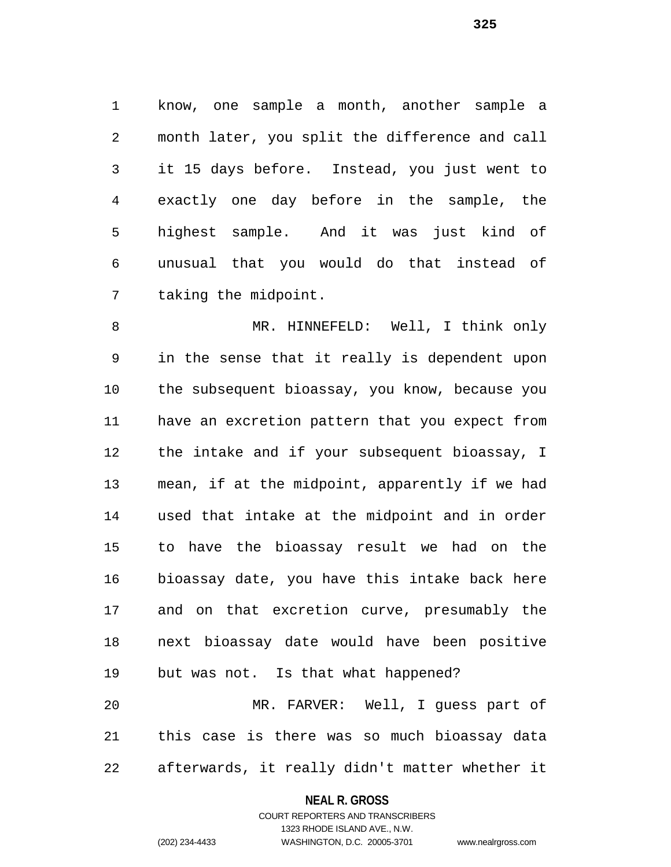know, one sample a month, another sample a month later, you split the difference and call it 15 days before. Instead, you just went to exactly one day before in the sample, the highest sample. And it was just kind of unusual that you would do that instead of taking the midpoint.

 MR. HINNEFELD: Well, I think only in the sense that it really is dependent upon the subsequent bioassay, you know, because you have an excretion pattern that you expect from the intake and if your subsequent bioassay, I mean, if at the midpoint, apparently if we had used that intake at the midpoint and in order to have the bioassay result we had on the bioassay date, you have this intake back here and on that excretion curve, presumably the next bioassay date would have been positive but was not. Is that what happened? MR. FARVER: Well, I guess part of this case is there was so much bioassay data

afterwards, it really didn't matter whether it

#### **NEAL R. GROSS**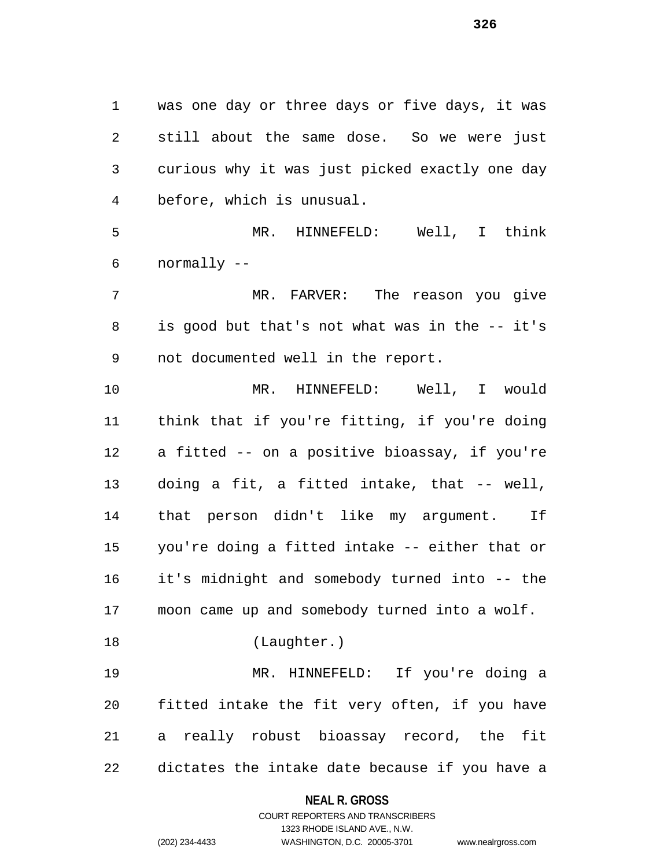was one day or three days or five days, it was still about the same dose. So we were just curious why it was just picked exactly one day before, which is unusual.

 MR. HINNEFELD: Well, I think normally --

 MR. FARVER: The reason you give is good but that's not what was in the -- it's not documented well in the report.

 MR. HINNEFELD: Well, I would think that if you're fitting, if you're doing a fitted -- on a positive bioassay, if you're doing a fit, a fitted intake, that -- well, that person didn't like my argument. If you're doing a fitted intake -- either that or it's midnight and somebody turned into -- the moon came up and somebody turned into a wolf.

(Laughter.)

 MR. HINNEFELD: If you're doing a fitted intake the fit very often, if you have a really robust bioassay record, the fit dictates the intake date because if you have a

#### **NEAL R. GROSS**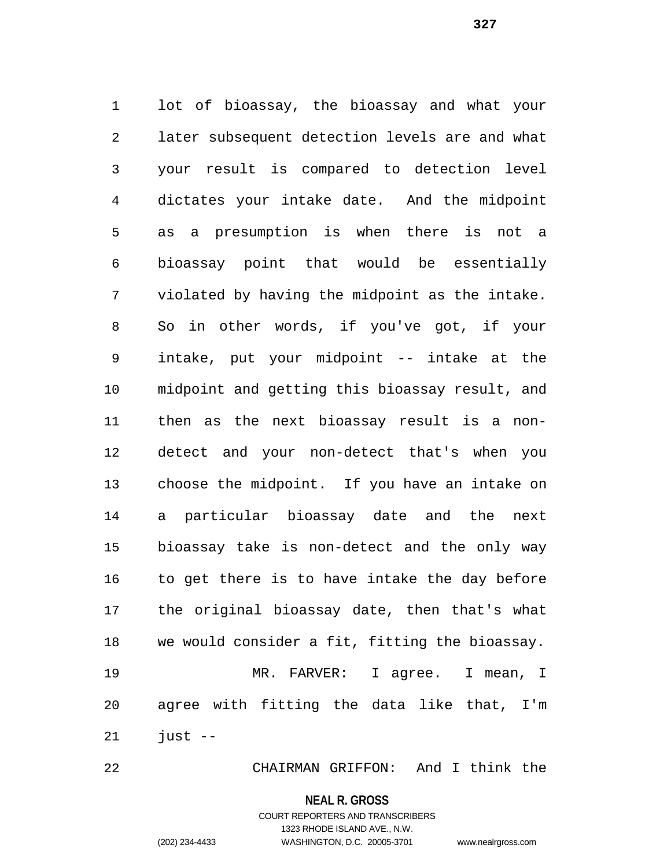lot of bioassay, the bioassay and what your later subsequent detection levels are and what your result is compared to detection level dictates your intake date. And the midpoint as a presumption is when there is not a bioassay point that would be essentially violated by having the midpoint as the intake. So in other words, if you've got, if your intake, put your midpoint -- intake at the midpoint and getting this bioassay result, and then as the next bioassay result is a non- detect and your non-detect that's when you choose the midpoint. If you have an intake on a particular bioassay date and the next bioassay take is non-detect and the only way to get there is to have intake the day before the original bioassay date, then that's what we would consider a fit, fitting the bioassay. MR. FARVER: I agree. I mean, I agree with fitting the data like that, I'm just  $-$ 

CHAIRMAN GRIFFON: And I think the

**NEAL R. GROSS**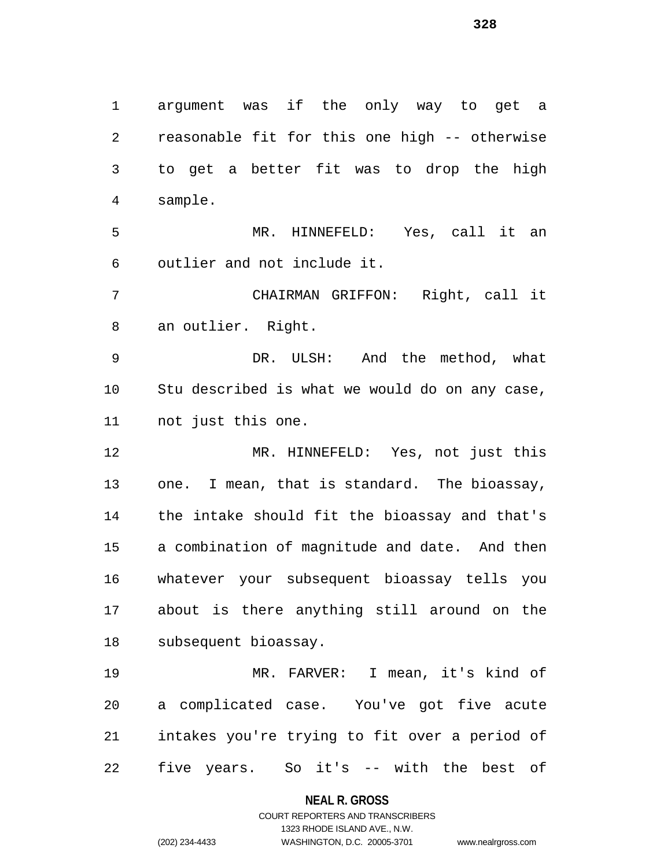argument was if the only way to get a reasonable fit for this one high -- otherwise to get a better fit was to drop the high sample. MR. HINNEFELD: Yes, call it an outlier and not include it. CHAIRMAN GRIFFON: Right, call it an outlier. Right. DR. ULSH: And the method, what Stu described is what we would do on any case, not just this one. MR. HINNEFELD: Yes, not just this one. I mean, that is standard. The bioassay, the intake should fit the bioassay and that's a combination of magnitude and date. And then whatever your subsequent bioassay tells you about is there anything still around on the subsequent bioassay. MR. FARVER: I mean, it's kind of a complicated case. You've got five acute intakes you're trying to fit over a period of five years. So it's -- with the best of

> **NEAL R. GROSS** COURT REPORTERS AND TRANSCRIBERS

> > 1323 RHODE ISLAND AVE., N.W.

(202) 234-4433 WASHINGTON, D.C. 20005-3701 www.nealrgross.com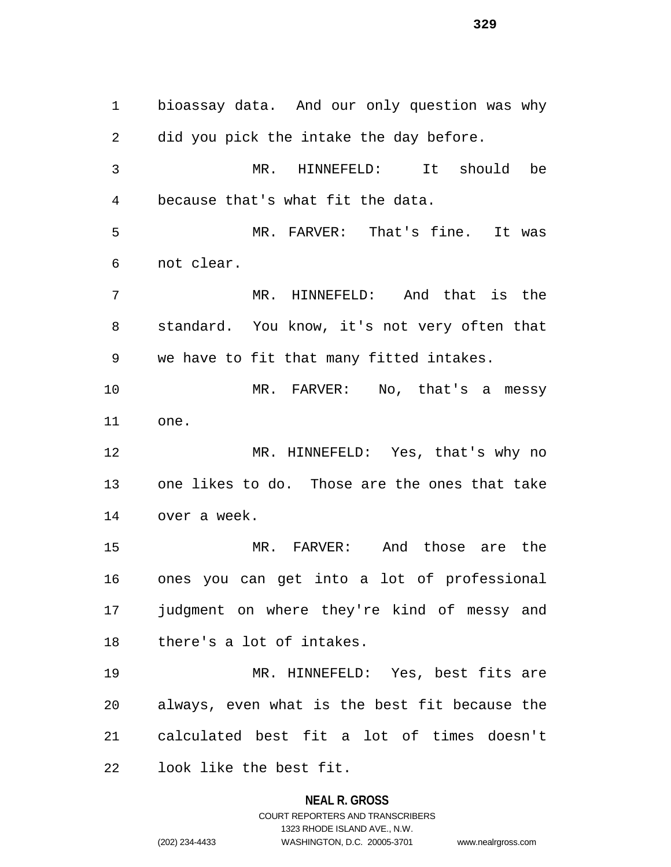bioassay data. And our only question was why did you pick the intake the day before. MR. HINNEFELD: It should be because that's what fit the data. MR. FARVER: That's fine. It was not clear. MR. HINNEFELD: And that is the standard. You know, it's not very often that we have to fit that many fitted intakes. MR. FARVER: No, that's a messy one. MR. HINNEFELD: Yes, that's why no one likes to do. Those are the ones that take over a week. MR. FARVER: And those are the ones you can get into a lot of professional judgment on where they're kind of messy and there's a lot of intakes. MR. HINNEFELD: Yes, best fits are always, even what is the best fit because the calculated best fit a lot of times doesn't look like the best fit.

# **NEAL R. GROSS** COURT REPORTERS AND TRANSCRIBERS 1323 RHODE ISLAND AVE., N.W. (202) 234-4433 WASHINGTON, D.C. 20005-3701 www.nealrgross.com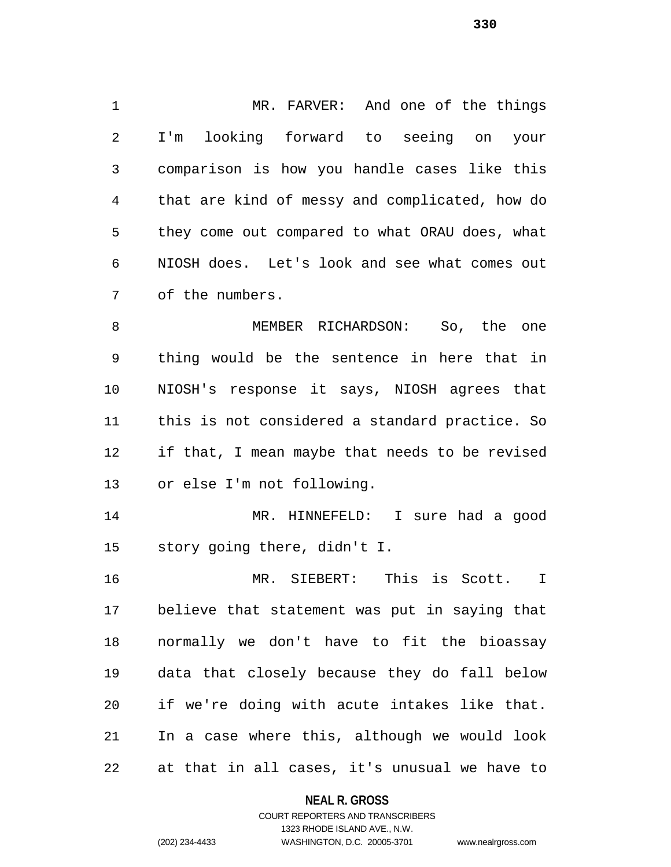MR. FARVER: And one of the things I'm looking forward to seeing on your comparison is how you handle cases like this that are kind of messy and complicated, how do they come out compared to what ORAU does, what NIOSH does. Let's look and see what comes out of the numbers.

8 MEMBER RICHARDSON: So, the one thing would be the sentence in here that in NIOSH's response it says, NIOSH agrees that this is not considered a standard practice. So if that, I mean maybe that needs to be revised or else I'm not following.

 MR. HINNEFELD: I sure had a good story going there, didn't I.

 MR. SIEBERT: This is Scott. I believe that statement was put in saying that normally we don't have to fit the bioassay data that closely because they do fall below if we're doing with acute intakes like that. In a case where this, although we would look at that in all cases, it's unusual we have to

### **NEAL R. GROSS**

### COURT REPORTERS AND TRANSCRIBERS 1323 RHODE ISLAND AVE., N.W. (202) 234-4433 WASHINGTON, D.C. 20005-3701 www.nealrgross.com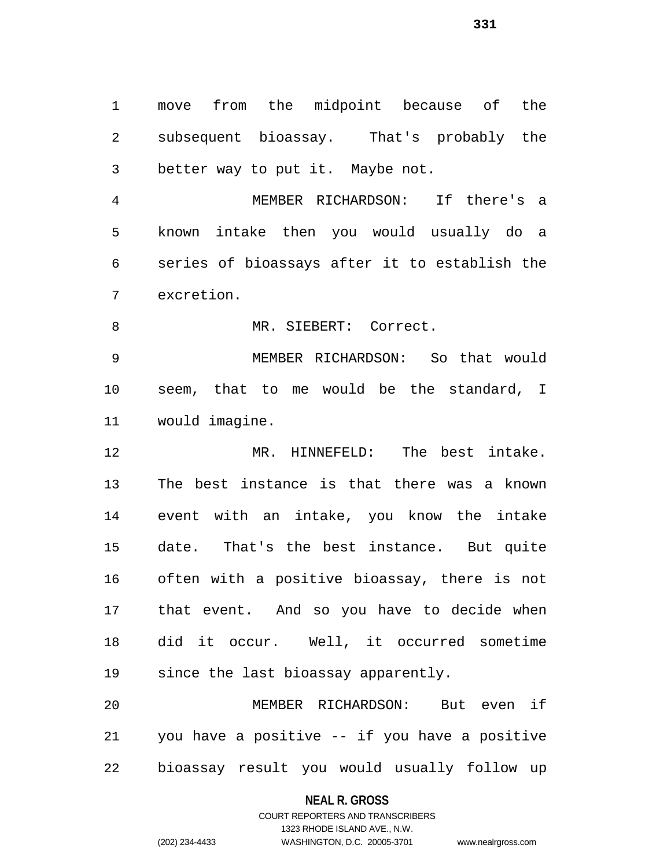move from the midpoint because of the subsequent bioassay. That's probably the better way to put it. Maybe not.

 MEMBER RICHARDSON: If there's a known intake then you would usually do a series of bioassays after it to establish the excretion.

8 MR. SIEBERT: Correct.

 MEMBER RICHARDSON: So that would seem, that to me would be the standard, I would imagine.

 MR. HINNEFELD: The best intake. The best instance is that there was a known event with an intake, you know the intake date. That's the best instance. But quite often with a positive bioassay, there is not that event. And so you have to decide when did it occur. Well, it occurred sometime since the last bioassay apparently.

 MEMBER RICHARDSON: But even if you have a positive -- if you have a positive bioassay result you would usually follow up

#### **NEAL R. GROSS**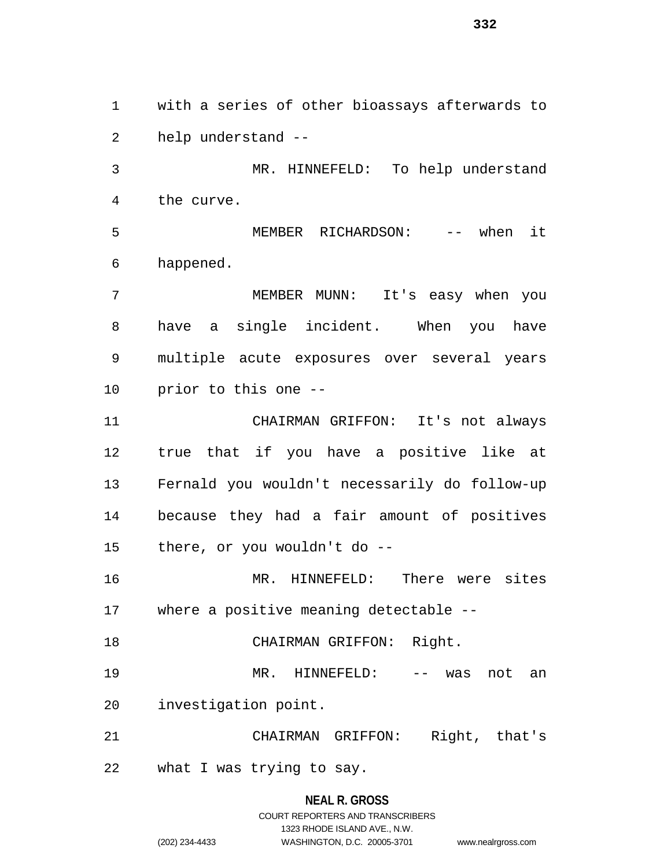with a series of other bioassays afterwards to help understand --

 MR. HINNEFELD: To help understand the curve.

 MEMBER RICHARDSON: -- when it happened.

 MEMBER MUNN: It's easy when you have a single incident. When you have multiple acute exposures over several years prior to this one --

 CHAIRMAN GRIFFON: It's not always true that if you have a positive like at Fernald you wouldn't necessarily do follow-up because they had a fair amount of positives there, or you wouldn't do --

 MR. HINNEFELD: There were sites where a positive meaning detectable --

18 CHAIRMAN GRIFFON: Right.

MR. HINNEFELD: -- was not an

investigation point.

CHAIRMAN GRIFFON: Right, that's

what I was trying to say.

### **NEAL R. GROSS**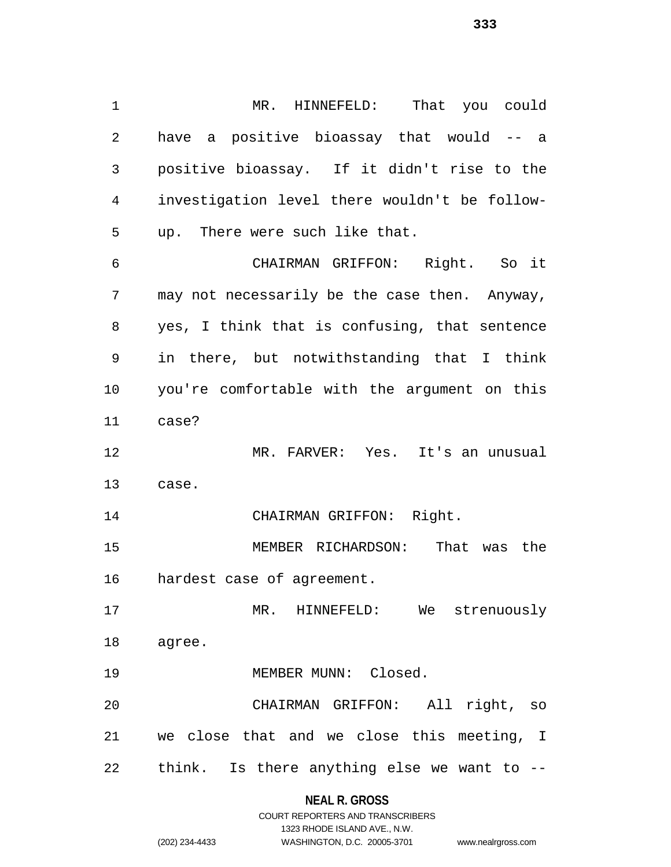MR. HINNEFELD: That you could have a positive bioassay that would -- a positive bioassay. If it didn't rise to the investigation level there wouldn't be follow- up. There were such like that. CHAIRMAN GRIFFON: Right. So it may not necessarily be the case then. Anyway, yes, I think that is confusing, that sentence in there, but notwithstanding that I think you're comfortable with the argument on this case? MR. FARVER: Yes. It's an unusual case. CHAIRMAN GRIFFON: Right. MEMBER RICHARDSON: That was the hardest case of agreement. MR. HINNEFELD: We strenuously agree. 19 MEMBER MUNN: Closed. CHAIRMAN GRIFFON: All right, so we close that and we close this meeting, I think. Is there anything else we want to --

# **NEAL R. GROSS**

|                | COURT REPORTERS AND TRANSCRIBERS |                    |
|----------------|----------------------------------|--------------------|
|                | 1323 RHODE ISLAND AVE N.W.       |                    |
| (202) 234-4433 | WASHINGTON, D.C. 20005-3701      | www.nealrgross.com |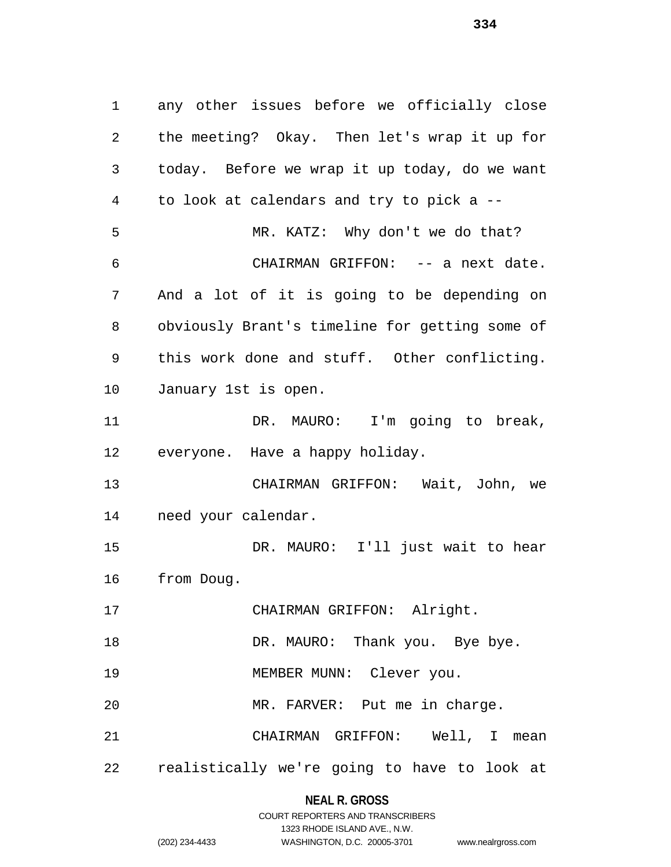any other issues before we officially close the meeting? Okay. Then let's wrap it up for today. Before we wrap it up today, do we want to look at calendars and try to pick a -- MR. KATZ: Why don't we do that? CHAIRMAN GRIFFON: -- a next date. And a lot of it is going to be depending on obviously Brant's timeline for getting some of this work done and stuff. Other conflicting. January 1st is open. DR. MAURO: I'm going to break, everyone. Have a happy holiday. CHAIRMAN GRIFFON: Wait, John, we need your calendar. DR. MAURO: I'll just wait to hear from Doug. CHAIRMAN GRIFFON: Alright. 18 DR. MAURO: Thank you. Bye bye. 19 MEMBER MUNN: Clever you. MR. FARVER: Put me in charge. CHAIRMAN GRIFFON: Well, I mean realistically we're going to have to look at

### **NEAL R. GROSS**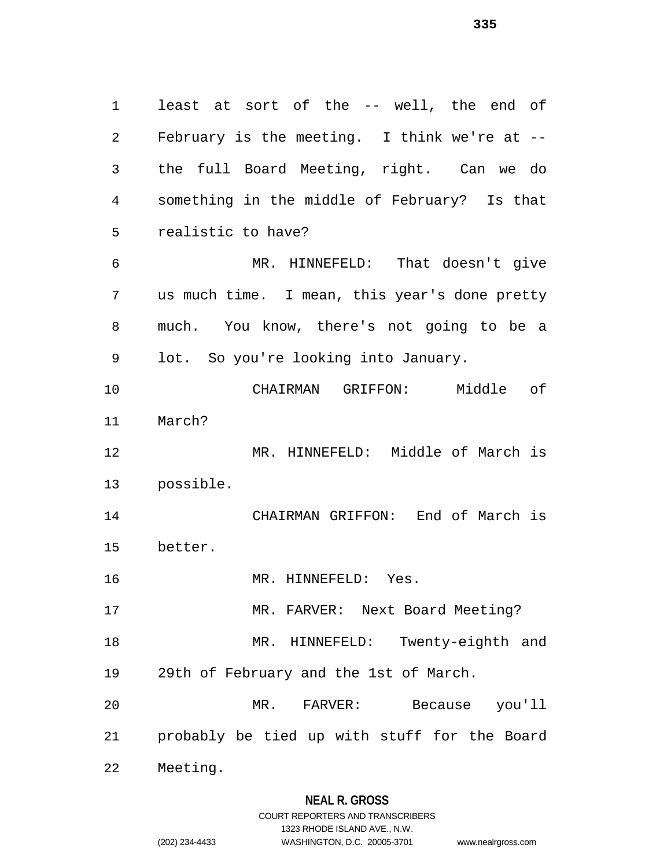least at sort of the -- well, the end of February is the meeting. I think we're at -- the full Board Meeting, right. Can we do something in the middle of February? Is that realistic to have? MR. HINNEFELD: That doesn't give us much time. I mean, this year's done pretty much. You know, there's not going to be a lot. So you're looking into January. CHAIRMAN GRIFFON: Middle of March? MR. HINNEFELD: Middle of March is possible. CHAIRMAN GRIFFON: End of March is better. MR. HINNEFELD: Yes. MR. FARVER: Next Board Meeting? MR. HINNEFELD: Twenty-eighth and 29th of February and the 1st of March. MR. FARVER: Because you'll probably be tied up with stuff for the Board Meeting.

### **NEAL R. GROSS**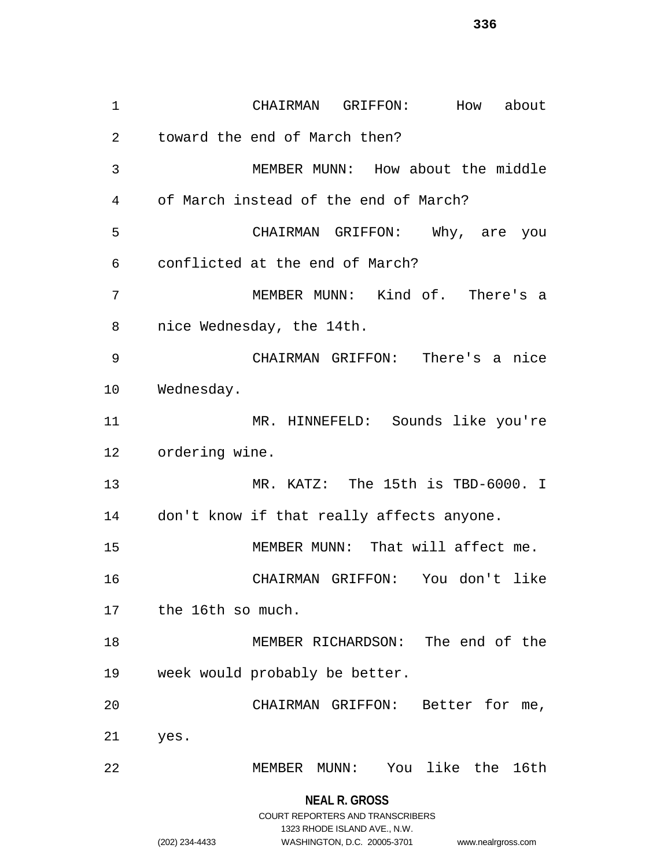CHAIRMAN GRIFFON: How about toward the end of March then? MEMBER MUNN: How about the middle of March instead of the end of March? CHAIRMAN GRIFFON: Why, are you conflicted at the end of March? MEMBER MUNN: Kind of. There's a nice Wednesday, the 14th. CHAIRMAN GRIFFON: There's a nice Wednesday. MR. HINNEFELD: Sounds like you're ordering wine. MR. KATZ: The 15th is TBD-6000. I don't know if that really affects anyone. 15 MEMBER MUNN: That will affect me. CHAIRMAN GRIFFON: You don't like the 16th so much. MEMBER RICHARDSON: The end of the week would probably be better. CHAIRMAN GRIFFON: Better for me, yes. MEMBER MUNN: You like the 16th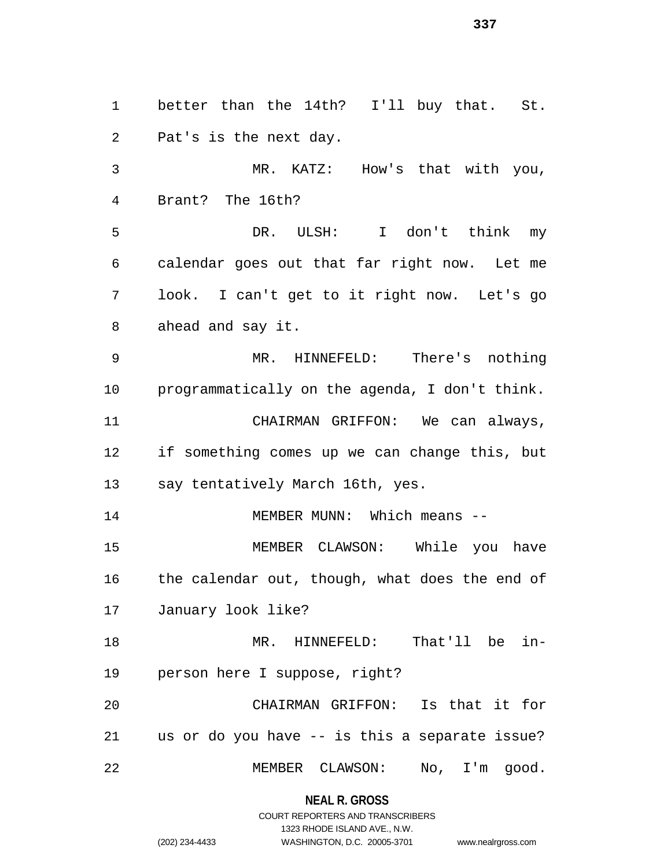better than the 14th? I'll buy that. St. Pat's is the next day. MR. KATZ: How's that with you, Brant? The 16th? DR. ULSH: I don't think my calendar goes out that far right now. Let me look. I can't get to it right now. Let's go ahead and say it. MR. HINNEFELD: There's nothing programmatically on the agenda, I don't think. CHAIRMAN GRIFFON: We can always, if something comes up we can change this, but say tentatively March 16th, yes. 14 MEMBER MUNN: Which means -- MEMBER CLAWSON: While you have 16 the calendar out, though, what does the end of January look like? MR. HINNEFELD: That'll be in- person here I suppose, right? CHAIRMAN GRIFFON: Is that it for us or do you have -- is this a separate issue? MEMBER CLAWSON: No, I'm good.

**NEAL R. GROSS**